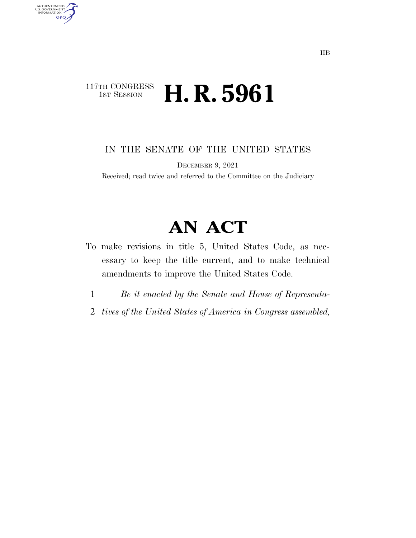### 117TH CONGRESS<br>1st Session **H. R. 5961**

AUTHENTICATED<br>U.S. GOVERNMENT<br>INFORMATION

**GPO** 

IN THE SENATE OF THE UNITED STATES

DECEMBER 9, 2021

Received; read twice and referred to the Committee on the Judiciary

# **AN ACT**

- To make revisions in title 5, United States Code, as necessary to keep the title current, and to make technical amendments to improve the United States Code.
	- 1 *Be it enacted by the Senate and House of Representa-*
	- 2 *tives of the United States of America in Congress assembled,*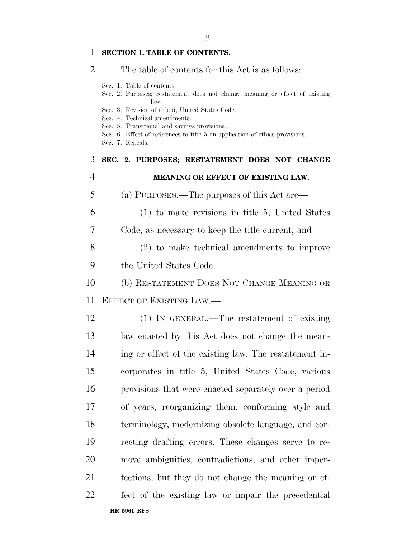#### **SECTION 1. TABLE OF CONTENTS.**

#### The table of contents for this Act is as follows:

- Sec. 1. Table of contents.
- Sec. 2. Purposes; restatement does not change meaning or effect of existing law.
- Sec. 3. Revision of title 5, United States Code.
- Sec. 4. Technical amendments.
- Sec. 5. Transitional and savings provisions.
- Sec. 6. Effect of references to title 5 on application of ethics provisions.
- Sec. 7. Repeals.

## **SEC. 2. PURPOSES; RESTATEMENT DOES NOT CHANGE MEANING OR EFFECT OF EXISTING LAW.**  (a) PURPOSES.—The purposes of this Act are— (1) to make revisions in title 5, United States Code, as necessary to keep the title current; and (2) to make technical amendments to improve the United States Code. (b) RESTATEMENT DOES NOT CHANGE MEANING OR EFFECT OF EXISTING LAW.—

**HR 5961 RFS** (1) IN GENERAL.—The restatement of existing law enacted by this Act does not change the mean- ing or effect of the existing law. The restatement in- corporates in title 5, United States Code, various provisions that were enacted separately over a period of years, reorganizing them, conforming style and terminology, modernizing obsolete language, and cor- recting drafting errors. These changes serve to re- move ambiguities, contradictions, and other imper- fections, but they do not change the meaning or ef-fect of the existing law or impair the precedential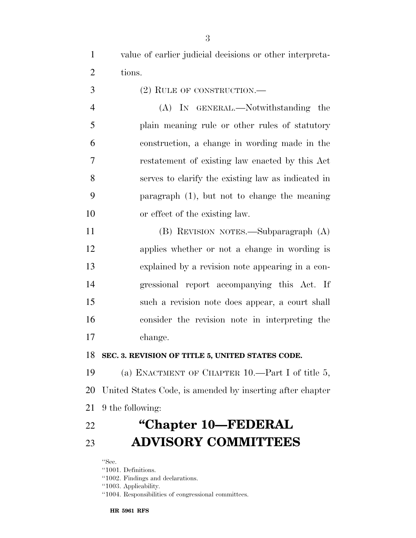value of earlier judicial decisions or other interpreta-tions.

(2) RULE OF CONSTRUCTION.—

 (A) IN GENERAL.—Notwithstanding the plain meaning rule or other rules of statutory construction, a change in wording made in the restatement of existing law enacted by this Act serves to clarify the existing law as indicated in paragraph (1), but not to change the meaning or effect of the existing law.

 (B) REVISION NOTES.—Subparagraph (A) applies whether or not a change in wording is explained by a revision note appearing in a con- gressional report accompanying this Act. If such a revision note does appear, a court shall consider the revision note in interpreting the change.

#### **SEC. 3. REVISION OF TITLE 5, UNITED STATES CODE.**

 (a) ENACTMENT OF CHAPTER 10.—Part I of title 5, United States Code, is amended by inserting after chapter 9 the following:

### **''Chapter 10—FEDERAL ADVISORY COMMITTEES**

''Sec.

- ''1001. Definitions.
- ''1002. Findings and declarations.

''1003. Applicability.

''1004. Responsibilities of congressional committees.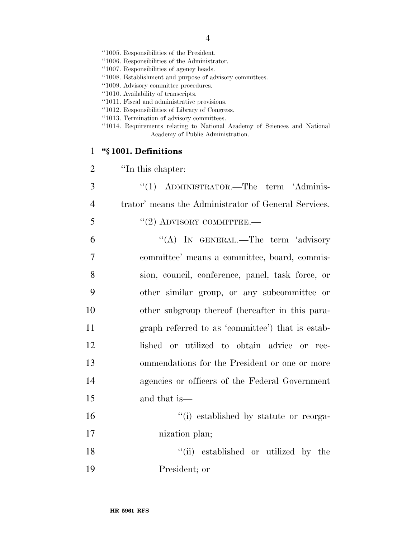- ''1005. Responsibilities of the President.
- ''1006. Responsibilities of the Administrator.
- ''1007. Responsibilities of agency heads.
- ''1008. Establishment and purpose of advisory committees.
- ''1009. Advisory committee procedures.
- ''1010. Availability of transcripts.
- ''1011. Fiscal and administrative provisions.
- ''1012. Responsibilities of Library of Congress.
- ''1013. Termination of advisory committees.
- ''1014. Requirements relating to National Academy of Sciences and National Academy of Public Administration.

#### 1 **''§ 1001. Definitions**

| $\overline{2}$ | "In this chapter:                                    |
|----------------|------------------------------------------------------|
| 3              | "(1) ADMINISTRATOR.—The term 'Adminis-               |
| $\overline{4}$ | trator' means the Administrator of General Services. |
| 5              | $``(2)$ ADVISORY COMMITTEE.—                         |
| 6              | "(A) IN GENERAL.—The term 'advisory                  |
| $\overline{7}$ | committee' means a committee, board, commis-         |
| 8              | sion, council, conference, panel, task force, or     |
| 9              | other similar group, or any subcommittee or          |
| 10             | other subgroup thereof (hereafter in this para-      |
| 11             | graph referred to as 'committee') that is estab-     |
| 12             | lished or utilized to obtain advice or rec-          |
| 13             | ommendations for the President or one or more        |
| 14             | agencies or officers of the Federal Government       |
| 15             | and that is—                                         |
| 16             | "(i) established by statute or reorga-               |
| 17             | nization plan;                                       |

18 ''(ii) established or utilized by the 19 President; or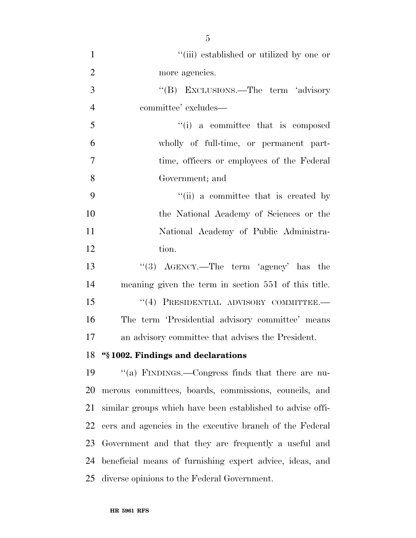| $\mathbf{1}$   | "(iii) established or utilized by one or                   |
|----------------|------------------------------------------------------------|
| $\overline{2}$ | more agencies.                                             |
| 3              | "(B) EXCLUSIONS.—The term 'advisory                        |
| $\overline{4}$ | committee' excludes—                                       |
| 5              | "(i) a committee that is composed                          |
| 6              | wholly of full-time, or permanent part-                    |
| $\overline{7}$ | time, officers or employees of the Federal                 |
| 8              | Government; and                                            |
| 9              | "(ii) a committee that is created by                       |
| 10             | the National Academy of Sciences or the                    |
| 11             | National Academy of Public Administra-                     |
| 12             | tion.                                                      |
| 13             | "(3) $AGENCY.$ —The term 'agency' has the                  |
| 14             | meaning given the term in section 551 of this title.       |
| 15             | "(4) PRESIDENTIAL ADVISORY COMMITTEE.-                     |
| 16             | The term 'Presidential advisory committee' means           |
| 17             | an advisory committee that advises the President.          |
|                | 18 "§1002. Findings and declarations                       |
| 19             | "(a) FINDINGS.—Congress finds that there are nu-           |
| 20             | merous committees, boards, commissions, councils, and      |
| 21             | similar groups which have been established to advise offi- |
| 22             | cers and agencies in the executive branch of the Federal   |
| 23             | Government and that they are frequently a useful and       |
| 24             | beneficial means of furnishing expert advice, ideas, and   |
| 25             | diverse opinions to the Federal Government.                |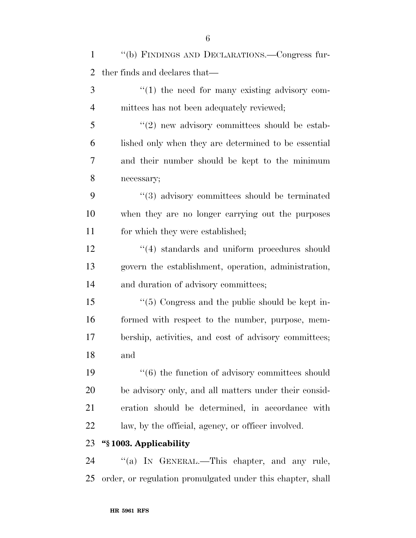| $\mathbf{1}$   | "(b) FINDINGS AND DECLARATIONS.—Congress fur-              |
|----------------|------------------------------------------------------------|
| $\overline{2}$ | ther finds and declares that—                              |
| 3              | $\lq(1)$ the need for many existing advisory com-          |
| $\overline{4}$ | mittees has not been adequately reviewed;                  |
| 5              | $\lq(2)$ new advisory committees should be estab-          |
| 6              | lished only when they are determined to be essential       |
| 7              | and their number should be kept to the minimum             |
| 8              | necessary;                                                 |
| 9              | "(3) advisory committees should be terminated              |
| 10             | when they are no longer carrying out the purposes          |
| 11             | for which they were established;                           |
| 12             | $\cdot$ (4) standards and uniform procedures should        |
| 13             | govern the establishment, operation, administration,       |
| 14             | and duration of advisory committees;                       |
| 15             | $\lq(5)$ Congress and the public should be kept in-        |
| 16             | formed with respect to the number, purpose, mem-           |
| 17             | bership, activities, and cost of advisory committees;      |
| 18             | and                                                        |
| 19             | $"(6)$ the function of advisory committees should          |
| 20             | be advisory only, and all matters under their consid-      |
| 21             | eration should be determined, in accordance with           |
| 22             | law, by the official, agency, or officer involved.         |
| 23             | "§1003. Applicability                                      |
| 24             | "(a) IN GENERAL.—This chapter, and any rule,               |
| 25             | order, or regulation promulgated under this chapter, shall |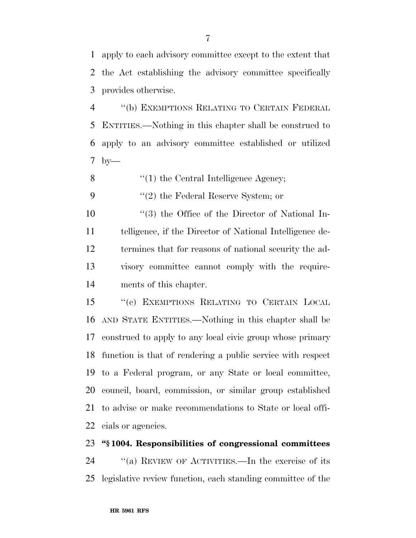apply to each advisory committee except to the extent that the Act establishing the advisory committee specifically

provides otherwise.

 ''(b) EXEMPTIONS RELATING TO CERTAIN FEDERAL ENTITIES.—Nothing in this chapter shall be construed to apply to an advisory committee established or utilized by—

8 ''(1) the Central Intelligence Agency;

9  $\frac{1}{2}$  the Federal Reserve System; or

 ''(3) the Office of the Director of National In- telligence, if the Director of National Intelligence de- termines that for reasons of national security the ad- visory committee cannot comply with the require-ments of this chapter.

 ''(c) EXEMPTIONS RELATING TO CERTAIN LOCAL AND STATE ENTITIES.—Nothing in this chapter shall be construed to apply to any local civic group whose primary function is that of rendering a public service with respect to a Federal program, or any State or local committee, council, board, commission, or similar group established to advise or make recommendations to State or local offi-cials or agencies.

#### **''§ 1004. Responsibilities of congressional committees**

 ''(a) REVIEW OF ACTIVITIES.—In the exercise of its legislative review function, each standing committee of the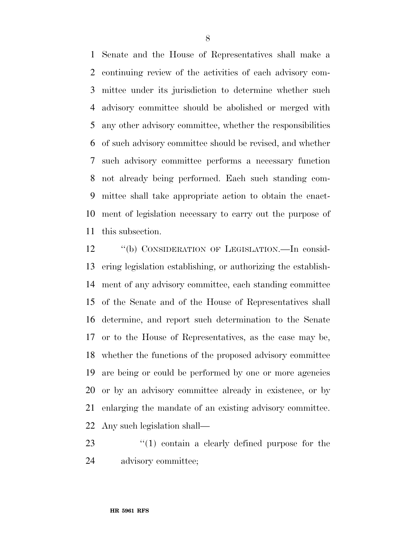Senate and the House of Representatives shall make a continuing review of the activities of each advisory com- mittee under its jurisdiction to determine whether such advisory committee should be abolished or merged with any other advisory committee, whether the responsibilities of such advisory committee should be revised, and whether such advisory committee performs a necessary function not already being performed. Each such standing com- mittee shall take appropriate action to obtain the enact- ment of legislation necessary to carry out the purpose of this subsection.

 ''(b) CONSIDERATION OF LEGISLATION.—In consid- ering legislation establishing, or authorizing the establish- ment of any advisory committee, each standing committee of the Senate and of the House of Representatives shall determine, and report such determination to the Senate or to the House of Representatives, as the case may be, whether the functions of the proposed advisory committee are being or could be performed by one or more agencies or by an advisory committee already in existence, or by enlarging the mandate of an existing advisory committee. Any such legislation shall—

23 ''(1) contain a clearly defined purpose for the advisory committee;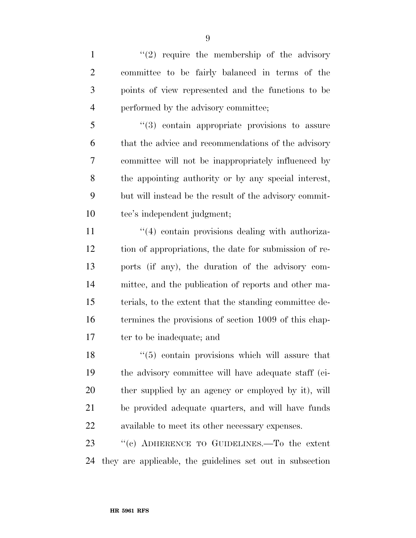$\frac{1}{2}$  require the membership of the advisory committee to be fairly balanced in terms of the points of view represented and the functions to be performed by the advisory committee;

 ''(3) contain appropriate provisions to assure that the advice and recommendations of the advisory committee will not be inappropriately influenced by the appointing authority or by any special interest, but will instead be the result of the advisory commit-tee's independent judgment;

 $\frac{4}{4}$  contain provisions dealing with authoriza- tion of appropriations, the date for submission of re- ports (if any), the duration of the advisory com- mittee, and the publication of reports and other ma- terials, to the extent that the standing committee de- termines the provisions of section 1009 of this chap-17 ter to be inadequate; and

18 ''(5) contain provisions which will assure that the advisory committee will have adequate staff (ei- ther supplied by an agency or employed by it), will be provided adequate quarters, and will have funds available to meet its other necessary expenses.

23 "(c) ADHERENCE TO GUIDELINES.—To the extent they are applicable, the guidelines set out in subsection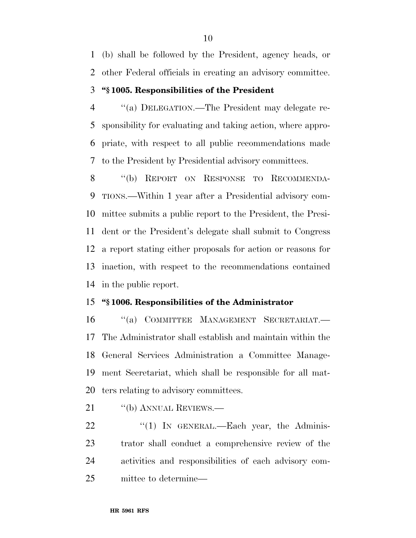(b) shall be followed by the President, agency heads, or other Federal officials in creating an advisory committee.

#### **''§ 1005. Responsibilities of the President**

 ''(a) DELEGATION.—The President may delegate re- sponsibility for evaluating and taking action, where appro- priate, with respect to all public recommendations made to the President by Presidential advisory committees.

 ''(b) REPORT ON RESPONSE TO RECOMMENDA- TIONS.—Within 1 year after a Presidential advisory com- mittee submits a public report to the President, the Presi- dent or the President's delegate shall submit to Congress a report stating either proposals for action or reasons for inaction, with respect to the recommendations contained in the public report.

#### **''§ 1006. Responsibilities of the Administrator**

 ''(a) COMMITTEE MANAGEMENT SECRETARIAT.— The Administrator shall establish and maintain within the General Services Administration a Committee Manage- ment Secretariat, which shall be responsible for all mat-ters relating to advisory committees.

21 "(b) ANNUAL REVIEWS.—

 "(1) In GENERAL.—Each year, the Adminis- trator shall conduct a comprehensive review of the activities and responsibilities of each advisory com-mittee to determine—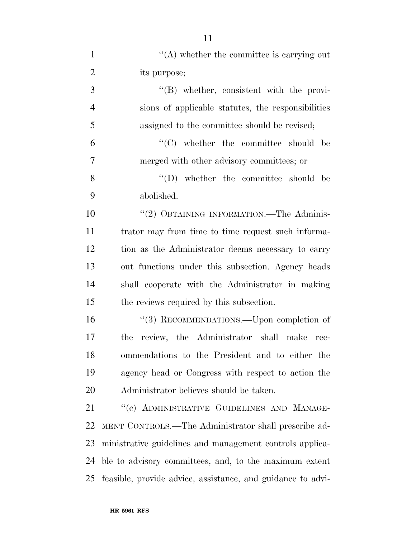| $\mathbf{1}$   | $\lq\lq$ whether the committee is carrying out              |
|----------------|-------------------------------------------------------------|
| $\overline{2}$ | its purpose;                                                |
| 3              | $\lq\lq (B)$ whether, consistent with the provi-            |
| $\overline{4}$ | sions of applicable statutes, the responsibilities          |
| 5              | assigned to the committee should be revised;                |
| 6              | $\lq\lq$ (C) whether the committee should be                |
| $\overline{7}$ | merged with other advisory committees; or                   |
| 8              | $\lq\lq$ (D) whether the committee should be                |
| 9              | abolished.                                                  |
| 10             | "(2) OBTAINING INFORMATION.—The Adminis-                    |
| 11             | trator may from time to time request such informa-          |
| 12             | tion as the Administrator deems necessary to carry          |
| 13             | out functions under this subsection. Agency heads           |
| 14             | shall cooperate with the Administrator in making            |
| 15             | the reviews required by this subsection.                    |
| 16             | "(3) RECOMMENDATIONS.—Upon completion of                    |
| 17             | review, the Administrator shall make<br>the<br>rec-         |
| 18             | ommendations to the President and to either the             |
| 19             | agency head or Congress with respect to action the          |
| 20             | Administrator believes should be taken.                     |
| 21             | "(c) ADMINISTRATIVE GUIDELINES AND MANAGE-                  |
| 22             | MENT CONTROLS.—The Administrator shall prescribe ad-        |
| 23             | ministrative guidelines and management controls applica-    |
| 24             | ble to advisory committees, and, to the maximum extent      |
| 25             | feasible, provide advice, assistance, and guidance to advi- |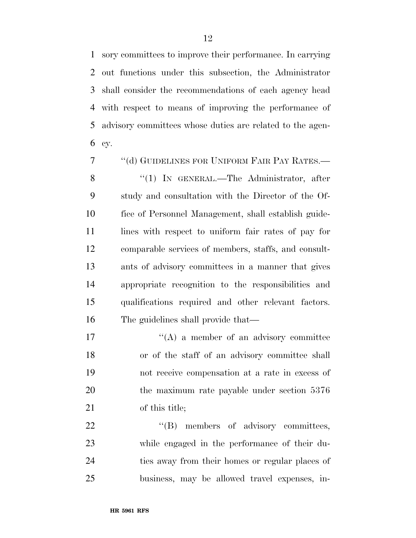sory committees to improve their performance. In carrying out functions under this subsection, the Administrator shall consider the recommendations of each agency head with respect to means of improving the performance of advisory committees whose duties are related to the agen-cy.

 ''(d) GUIDELINES FOR UNIFORM FAIR PAY RATES.— 8 "(1) IN GENERAL.—The Administrator, after study and consultation with the Director of the Of- fice of Personnel Management, shall establish guide-11 lines with respect to uniform fair rates of pay for comparable services of members, staffs, and consult- ants of advisory committees in a manner that gives appropriate recognition to the responsibilities and qualifications required and other relevant factors. The guidelines shall provide that—

 $\langle (A)$  a member of an advisory committee or of the staff of an advisory committee shall not receive compensation at a rate in excess of 20 the maximum rate payable under section 5376 of this title;

22 "'(B) members of advisory committees, while engaged in the performance of their du- ties away from their homes or regular places of business, may be allowed travel expenses, in-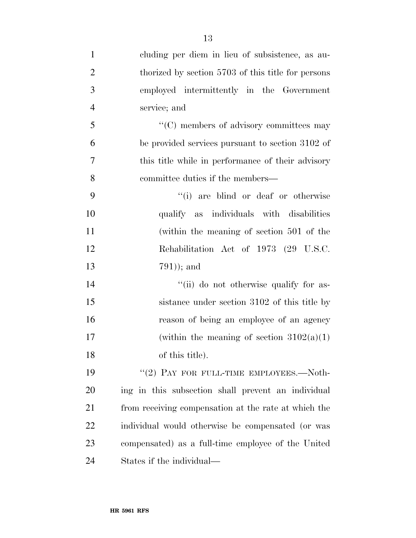| $\mathbf{1}$   | cluding per diem in lieu of subsistence, as au-      |
|----------------|------------------------------------------------------|
| $\overline{2}$ | thorized by section 5703 of this title for persons   |
| 3              | employed intermittently in the Government            |
| $\overline{4}$ | service; and                                         |
| 5              | $\cdot\cdot$ (C) members of advisory committees may  |
| 6              | be provided services pursuant to section 3102 of     |
| $\tau$         | this title while in performance of their advisory    |
| 8              | committee duties if the members—                     |
| 9              | "(i) are blind or deaf or otherwise                  |
| 10             | qualify as individuals with disabilities             |
| 11             | (within the meaning of section 501 of the            |
| 12             | Rehabilitation Act of 1973 (29 U.S.C.                |
| 13             | $(791)$ ; and                                        |
| 14             | "(ii) do not otherwise qualify for as-               |
| 15             | sistance under section 3102 of this title by         |
| 16             | reason of being an employee of an agency             |
| 17             | (within the meaning of section $3102(a)(1)$ )        |
| 18             | of this title).                                      |
| 19             | "(2) PAY FOR FULL-TIME EMPLOYEES.—Noth-              |
| 20             | ing in this subsection shall prevent an individual   |
| 21             | from receiving compensation at the rate at which the |
| 22             | individual would otherwise be compensated (or was    |
| 23             | compensated) as a full-time employee of the United   |
| 24             | States if the individual—                            |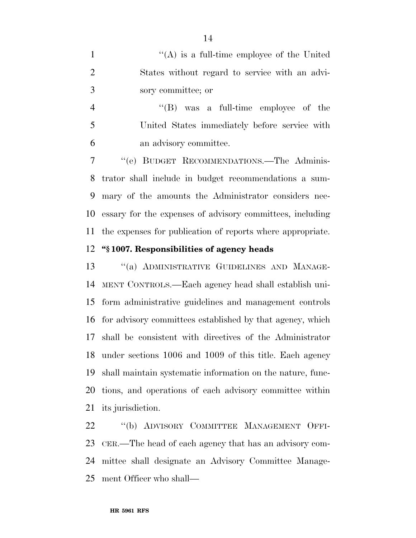1 ''(A) is a full-time employee of the United States without regard to service with an advi-sory committee; or

 ''(B) was a full-time employee of the United States immediately before service with an advisory committee.

 ''(e) BUDGET RECOMMENDATIONS.—The Adminis- trator shall include in budget recommendations a sum- mary of the amounts the Administrator considers nec- essary for the expenses of advisory committees, including the expenses for publication of reports where appropriate.

#### **''§ 1007. Responsibilities of agency heads**

13 "(a) ADMINISTRATIVE GUIDELINES AND MANAGE- MENT CONTROLS.—Each agency head shall establish uni- form administrative guidelines and management controls for advisory committees established by that agency, which shall be consistent with directives of the Administrator under sections 1006 and 1009 of this title. Each agency shall maintain systematic information on the nature, func- tions, and operations of each advisory committee within its jurisdiction.

 ''(b) ADVISORY COMMITTEE MANAGEMENT OFFI- CER.—The head of each agency that has an advisory com- mittee shall designate an Advisory Committee Manage-ment Officer who shall—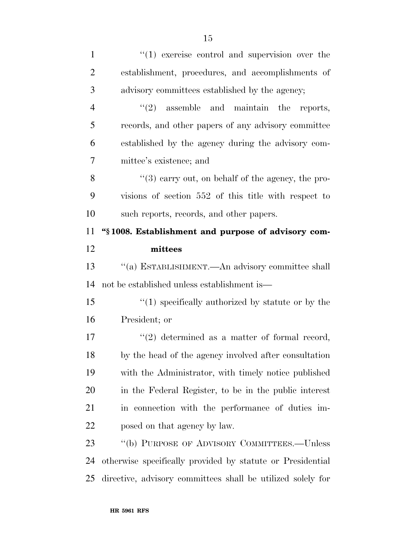| $\mathbf{1}$   | $\lq(1)$ exercise control and supervision over the         |
|----------------|------------------------------------------------------------|
| $\overline{2}$ | establishment, procedures, and accomplishments of          |
| 3              | advisory committees established by the agency;             |
| $\overline{4}$ | $\lq(2)$ assemble and maintain the reports,                |
| 5              | records, and other papers of any advisory committee        |
| 6              | established by the agency during the advisory com-         |
| 7              | mittee's existence; and                                    |
| 8              | $(3)$ carry out, on behalf of the agency, the pro-         |
| 9              | visions of section 552 of this title with respect to       |
| 10             | such reports, records, and other papers.                   |
| 11             | "\\$1008. Establishment and purpose of advisory com-       |
| 12             | mittees                                                    |
| 13             | "(a) ESTABLISHMENT.—An advisory committee shall            |
| 14             | not be established unless establishment is—                |
| 15             | $\cdot$ (1) specifically authorized by statute or by the   |
| 16             |                                                            |
|                | President; or                                              |
| 17             | $f'(2)$ determined as a matter of formal record,           |
| 18             | by the head of the agency involved after consultation      |
| 19             | with the Administrator, with timely notice published       |
| 20             | in the Federal Register, to be in the public interest      |
| 21             | in connection with the performance of duties im-           |
| 22             | posed on that agency by law.                               |
| 23             | "(b) PURPOSE OF ADVISORY COMMITTEES.—Unless                |
| 24             | otherwise specifically provided by statute or Presidential |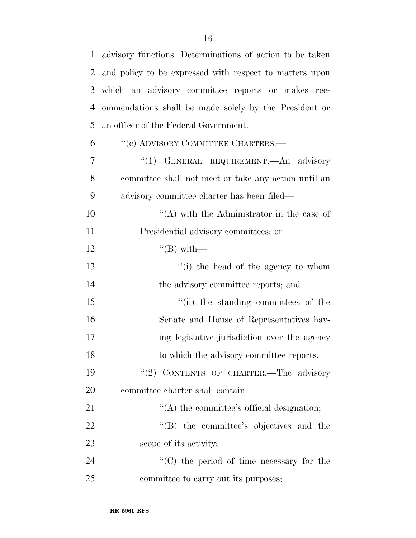| $\mathbf{1}$   | advisory functions. Determinations of action to be taken |
|----------------|----------------------------------------------------------|
| $\overline{2}$ | and policy to be expressed with respect to matters upon  |
| 3              | which an advisory committee reports or makes rec-        |
| 4              | ommendations shall be made solely by the President or    |
| 5              | an officer of the Federal Government.                    |
| 6              | "(c) ADVISORY COMMITTEE CHARTERS.—                       |
| 7              | "(1) GENERAL REQUIREMENT.—An advisory                    |
| 8              | committee shall not meet or take any action until an     |
| 9              | advisory committee charter has been filed—               |
| 10             | $\lq\lq$ with the Administrator in the case of           |
| 11             | Presidential advisory committees; or                     |
| 12             | $\lq (B)$ with —                                         |
| 13             | $f'(i)$ the head of the agency to whom                   |
| 14             | the advisory committee reports; and                      |
| 15             | "(ii) the standing committees of the                     |
| 16             | Senate and House of Representatives hav-                 |
| 17             | ing legislative jurisdiction over the agency             |
| 18             | to which the advisory committee reports.                 |
| 19             | "(2) CONTENTS OF CHARTER. The advisory                   |
| 20             | committee charter shall contain—                         |
| 21             | $\lq\lq$ the committee's official designation;           |
| 22             | $\lq\lq$ the committee's objectives and the              |
| 23             | scope of its activity;                                   |
| 24             | $\lq\lq$ (C) the period of time necessary for the        |
| 25             | committee to carry out its purposes;                     |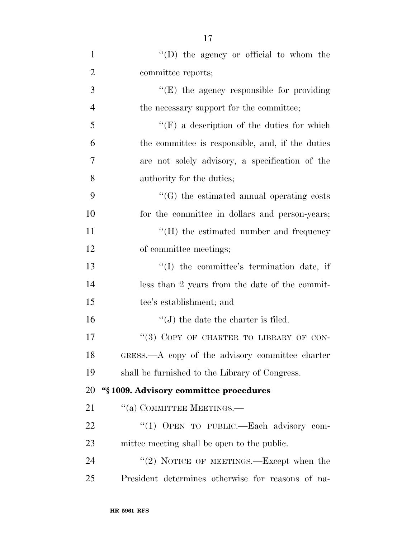| $\mathbf{1}$   | "(D) the agency or official to whom the           |
|----------------|---------------------------------------------------|
| $\overline{2}$ | committee reports;                                |
| 3              | $\lq\lq(E)$ the agency responsible for providing  |
| $\overline{4}$ | the necessary support for the committee;          |
| 5              | $\lq\lq(F)$ a description of the duties for which |
| 6              | the committee is responsible, and, if the duties  |
| 7              | are not solely advisory, a specification of the   |
| 8              | authority for the duties;                         |
| 9              | "(G) the estimated annual operating costs         |
| 10             | for the committee in dollars and person-years;    |
| 11             | $\lq\lq(H)$ the estimated number and frequency    |
| 12             | of committee meetings;                            |
| 13             | "(I) the committee's termination date, if         |
| 14             | less than 2 years from the date of the commit-    |
| 15             | tee's establishment; and                          |
| 16             | $\lq\lq$ the date the charter is filed.           |
| 17             | "(3) COPY OF CHARTER TO LIBRARY OF CON-           |
| 18             | GRESS.—A copy of the advisory committee charter   |
| 19             | shall be furnished to the Library of Congress.    |
| 20             | "§1009. Advisory committee procedures             |
| 21             | "(a) COMMITTEE MEETINGS.—                         |
| 22             | "(1) OPEN TO PUBLIC.—Each advisory com-           |
| 23             | mittee meeting shall be open to the public.       |
| 24             | "(2) NOTICE OF MEETINGS.—Except when the          |
| 25             | President determines otherwise for reasons of na- |
|                |                                                   |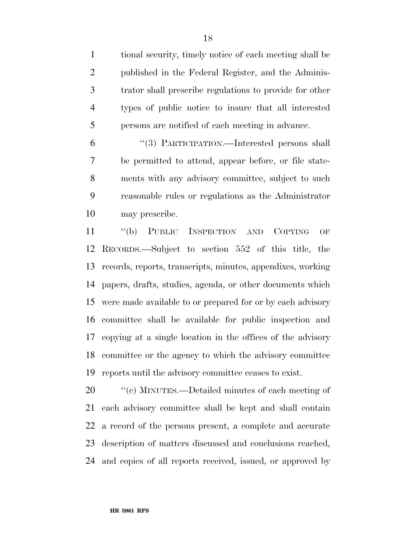tional security, timely notice of each meeting shall be published in the Federal Register, and the Adminis- trator shall prescribe regulations to provide for other types of public notice to insure that all interested persons are notified of each meeting in advance.

 ''(3) PARTICIPATION.—Interested persons shall be permitted to attend, appear before, or file state- ments with any advisory committee, subject to such reasonable rules or regulations as the Administrator may prescribe.

 ''(b) PUBLIC INSPECTION AND COPYING OF RECORDS.—Subject to section 552 of this title, the records, reports, transcripts, minutes, appendixes, working papers, drafts, studies, agenda, or other documents which were made available to or prepared for or by each advisory committee shall be available for public inspection and copying at a single location in the offices of the advisory committee or the agency to which the advisory committee reports until the advisory committee ceases to exist.

 $\degree$  (c) MINUTES.—Detailed minutes of each meeting of each advisory committee shall be kept and shall contain a record of the persons present, a complete and accurate description of matters discussed and conclusions reached, and copies of all reports received, issued, or approved by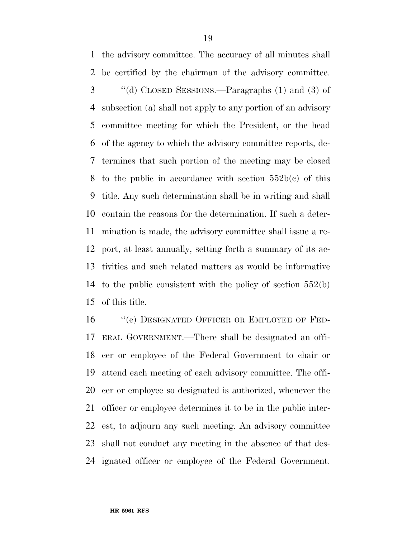the advisory committee. The accuracy of all minutes shall be certified by the chairman of the advisory committee. ''(d) CLOSED SESSIONS.—Paragraphs (1) and (3) of subsection (a) shall not apply to any portion of an advisory committee meeting for which the President, or the head of the agency to which the advisory committee reports, de- termines that such portion of the meeting may be closed 8 to the public in accordance with section  $552b(c)$  of this title. Any such determination shall be in writing and shall contain the reasons for the determination. If such a deter- mination is made, the advisory committee shall issue a re- port, at least annually, setting forth a summary of its ac- tivities and such related matters as would be informative to the public consistent with the policy of section 552(b) of this title.

 ''(e) DESIGNATED OFFICER OR EMPLOYEE OF FED- ERAL GOVERNMENT.—There shall be designated an offi- cer or employee of the Federal Government to chair or attend each meeting of each advisory committee. The offi- cer or employee so designated is authorized, whenever the officer or employee determines it to be in the public inter- est, to adjourn any such meeting. An advisory committee shall not conduct any meeting in the absence of that des-ignated officer or employee of the Federal Government.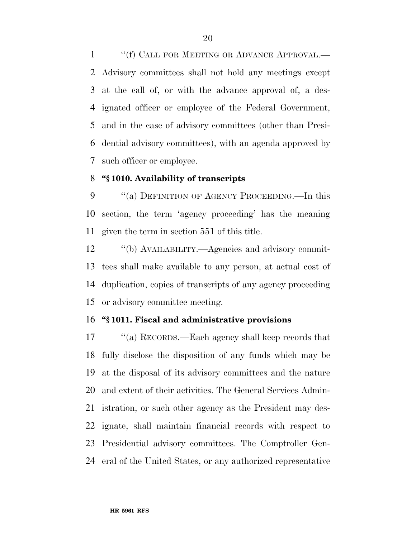1 ""(f) CALL FOR MEETING OR ADVANCE APPROVAL.— Advisory committees shall not hold any meetings except at the call of, or with the advance approval of, a des- ignated officer or employee of the Federal Government, and in the case of advisory committees (other than Presi- dential advisory committees), with an agenda approved by such officer or employee.

#### **''§ 1010. Availability of transcripts**

9 "(a) DEFINITION OF AGENCY PROCEEDING.—In this section, the term 'agency proceeding' has the meaning given the term in section 551 of this title.

 ''(b) AVAILABILITY.—Agencies and advisory commit- tees shall make available to any person, at actual cost of duplication, copies of transcripts of any agency proceeding or advisory committee meeting.

#### **''§ 1011. Fiscal and administrative provisions**

 ''(a) RECORDS.—Each agency shall keep records that fully disclose the disposition of any funds which may be at the disposal of its advisory committees and the nature and extent of their activities. The General Services Admin- istration, or such other agency as the President may des- ignate, shall maintain financial records with respect to Presidential advisory committees. The Comptroller Gen-eral of the United States, or any authorized representative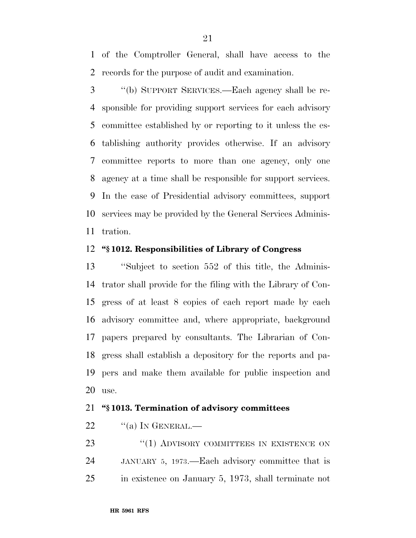of the Comptroller General, shall have access to the records for the purpose of audit and examination.

 ''(b) SUPPORT SERVICES.—Each agency shall be re- sponsible for providing support services for each advisory committee established by or reporting to it unless the es- tablishing authority provides otherwise. If an advisory committee reports to more than one agency, only one agency at a time shall be responsible for support services. In the case of Presidential advisory committees, support services may be provided by the General Services Adminis-tration.

#### **''§ 1012. Responsibilities of Library of Congress**

 ''Subject to section 552 of this title, the Adminis- trator shall provide for the filing with the Library of Con- gress of at least 8 copies of each report made by each advisory committee and, where appropriate, background papers prepared by consultants. The Librarian of Con- gress shall establish a depository for the reports and pa- pers and make them available for public inspection and use.

#### **''§ 1013. Termination of advisory committees**

"(a) In GENERAL.—

**''(1) ADVISORY COMMITTEES IN EXISTENCE ON**  JANUARY 5, 1973.—Each advisory committee that is in existence on January 5, 1973, shall terminate not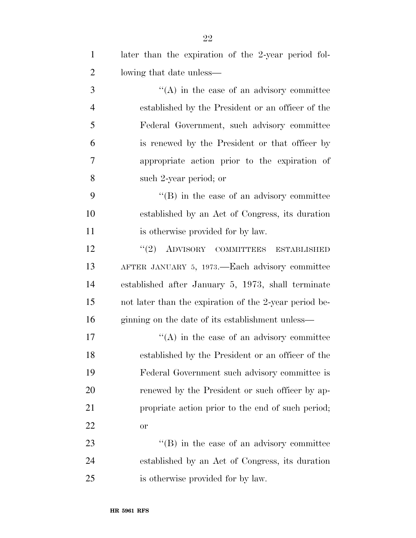| $\mathbf{1}$   | later than the expiration of the 2-year period fol-    |
|----------------|--------------------------------------------------------|
| $\overline{2}$ | lowing that date unless—                               |
| 3              | $\lq\lq$ in the case of an advisory committee          |
| $\overline{4}$ | established by the President or an officer of the      |
| 5              | Federal Government, such advisory committee            |
| 6              | is renewed by the President or that officer by         |
| 7              | appropriate action prior to the expiration of          |
| 8              | such 2-year period; or                                 |
| 9              | $\lq\lq (B)$ in the case of an advisory committee      |
| 10             | established by an Act of Congress, its duration        |
| 11             | is otherwise provided for by law.                      |
| 12             | $(2)$ ADVISORY COMMITTEES<br><b>ESTABLISHED</b>        |
| 13             | AFTER JANUARY 5, 1973.—Each advisory committee         |
| 14             | established after January 5, 1973, shall terminate     |
| 15             | not later than the expiration of the 2-year period be- |
| 16             | ginning on the date of its establishment unless—       |
| 17             | $\lq\lq$ in the case of an advisory committee          |
| 18             | established by the President or an officer of the      |
| 19             | Federal Government such advisory committee is          |
| 20             | renewed by the President or such officer by ap-        |
| 21             | propriate action prior to the end of such period;      |
| 22             | <b>or</b>                                              |
| 23             | $\lq\lq (B)$ in the case of an advisory committee      |
| 24             | established by an Act of Congress, its duration        |
| 25             | is otherwise provided for by law.                      |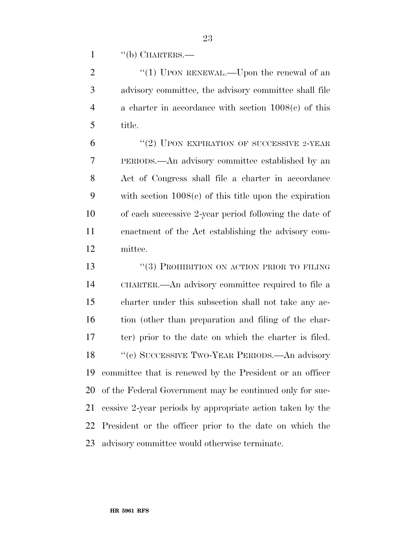1 "(b) CHARTERS.—

2 "(1) UPON RENEWAL.—Upon the renewal of an advisory committee, the advisory committee shall file a charter in accordance with section 1008(c) of this title.

 $(2)$  UPON EXPIRATION OF SUCCESSIVE 2-YEAR PERIODS.—An advisory committee established by an Act of Congress shall file a charter in accordance with section 1008(c) of this title upon the expiration of each successive 2-year period following the date of enactment of the Act establishing the advisory com-mittee.

13 "(3) PROHIBITION ON ACTION PRIOR TO FILING CHARTER.—An advisory committee required to file a charter under this subsection shall not take any ac- tion (other than preparation and filing of the char- ter) prior to the date on which the charter is filed. 18 "(c) SUCCESSIVE TWO-YEAR PERIODS.—An advisory committee that is renewed by the President or an officer of the Federal Government may be continued only for suc- cessive 2-year periods by appropriate action taken by the President or the officer prior to the date on which the advisory committee would otherwise terminate.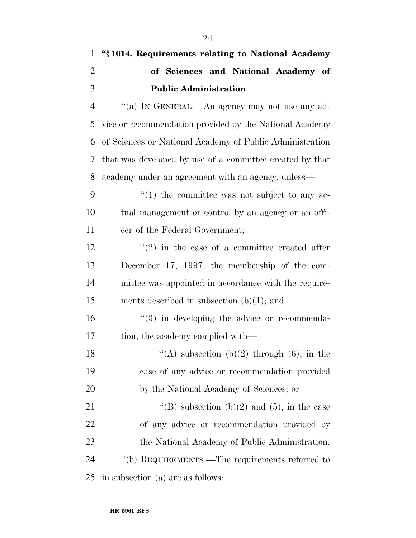| $\mathbf{1}$   | "§1014. Requirements relating to National Academy             |
|----------------|---------------------------------------------------------------|
| $\overline{2}$ | of Sciences and National Academy of                           |
| 3              | <b>Public Administration</b>                                  |
| $\overline{4}$ | "(a) IN GENERAL.—An agency may not use any ad-                |
| 5              | vice or recommendation provided by the National Academy       |
| 6              | of Sciences or National Academy of Public Administration      |
| 7              | that was developed by use of a committee created by that      |
| 8              | academy under an agreement with an agency, unless—            |
| 9              | $\cdot\cdot\cdot(1)$ the committee was not subject to any ac- |
| 10             | tual management or control by an agency or an offi-           |
| 11             | cer of the Federal Government;                                |
| 12             | $\cdot\cdot\cdot(2)$ in the case of a committee created after |
| 13             | December 17, 1997, the membership of the com-                 |
| 14             | mittee was appointed in accordance with the require-          |
| 15             | ments described in subsection $(b)(1)$ ; and                  |
| 16             | $\lq(3)$ in developing the advice or recommenda-              |
| 17             | tion, the academy complied with—                              |
| 18             | "(A) subsection (b)(2) through (6), in the                    |
| 19             | case of any advice or recommendation provided                 |
| 20             | by the National Academy of Sciences; or                       |
| 21             | "(B) subsection (b)(2) and (5), in the case                   |
| 22             | of any advice or recommendation provided by                   |
| 23             | the National Academy of Public Administration.                |
| 24             | "(b) REQUIREMENTS.—The requirements referred to               |
| 25             | in subsection (a) are as follows:                             |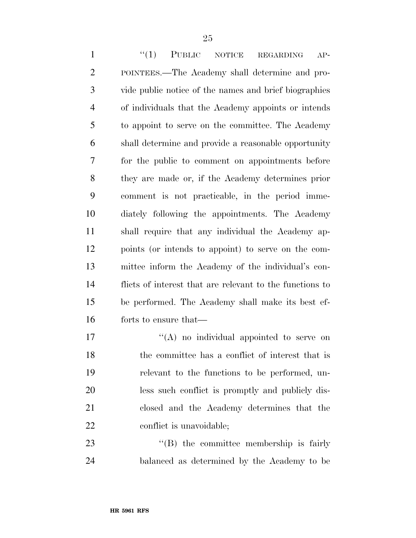1 "(1) PUBLIC NOTICE REGARDING AP- POINTEES.—The Academy shall determine and pro- vide public notice of the names and brief biographies of individuals that the Academy appoints or intends to appoint to serve on the committee. The Academy shall determine and provide a reasonable opportunity for the public to comment on appointments before they are made or, if the Academy determines prior comment is not practicable, in the period imme- diately following the appointments. The Academy shall require that any individual the Academy ap- points (or intends to appoint) to serve on the com- mittee inform the Academy of the individual's con- flicts of interest that are relevant to the functions to be performed. The Academy shall make its best ef-forts to ensure that—

 $\mathcal{L}(\mathbf{A})$  no individual appointed to serve on the committee has a conflict of interest that is relevant to the functions to be performed, un- less such conflict is promptly and publicly dis- closed and the Academy determines that the 22 conflict is unavoidable;

23 ''(B) the committee membership is fairly balanced as determined by the Academy to be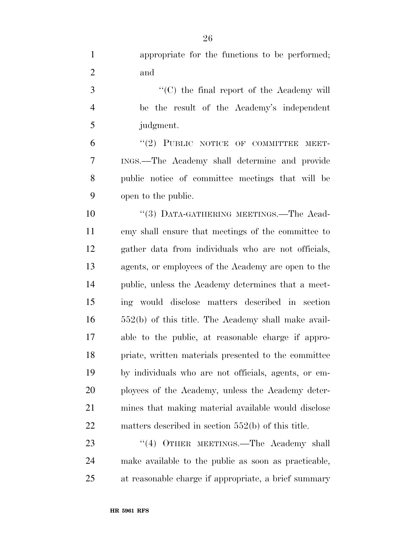| $\mathbf{1}$   | appropriate for the functions to be performed;    |
|----------------|---------------------------------------------------|
| $\overline{2}$ | and                                               |
| 3              | $\lq\lq$ (C) the final report of the Academy will |
| $\overline{4}$ | be the result of the Academy's independent        |
| 5              | judgment.                                         |
| 6              | "(2) PUBLIC NOTICE OF COMMITTEE MEET-             |
| 7              | INGS.—The Academy shall determine and provide     |

 public notice of committee meetings that will be open to the public.

10 "(3) DATA-GATHERING MEETINGS.—The Acad- emy shall ensure that meetings of the committee to gather data from individuals who are not officials, agents, or employees of the Academy are open to the public, unless the Academy determines that a meet- ing would disclose matters described in section 552(b) of this title. The Academy shall make avail- able to the public, at reasonable charge if appro- priate, written materials presented to the committee by individuals who are not officials, agents, or em- ployees of the Academy, unless the Academy deter- mines that making material available would disclose matters described in section 552(b) of this title.

23 "(4) OTHER MEETINGS.—The Academy shall make available to the public as soon as practicable, at reasonable charge if appropriate, a brief summary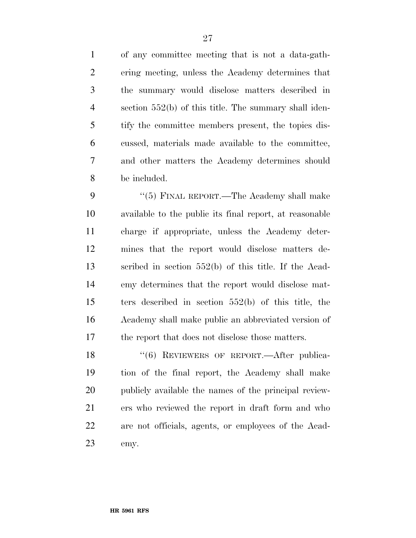of any committee meeting that is not a data-gath- ering meeting, unless the Academy determines that the summary would disclose matters described in section 552(b) of this title. The summary shall iden- tify the committee members present, the topics dis- cussed, materials made available to the committee, and other matters the Academy determines should be included.

9 "(5) FINAL REPORT.—The Academy shall make available to the public its final report, at reasonable charge if appropriate, unless the Academy deter- mines that the report would disclose matters de- scribed in section 552(b) of this title. If the Acad- emy determines that the report would disclose mat- ters described in section 552(b) of this title, the Academy shall make public an abbreviated version of the report that does not disclose those matters.

18 "(6) REVIEWERS OF REPORT.—After publica- tion of the final report, the Academy shall make publicly available the names of the principal review- ers who reviewed the report in draft form and who are not officials, agents, or employees of the Acad-emy.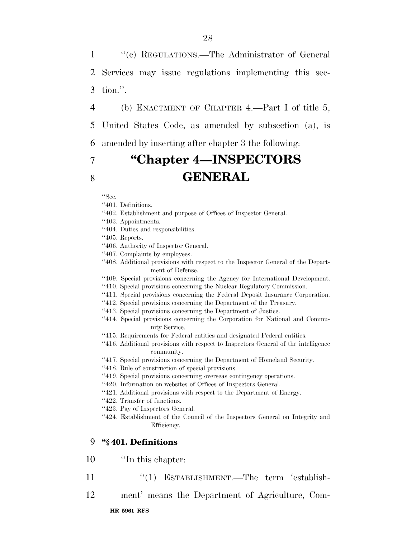1 ''(c) REGULATIONS.—The Administrator of General 2 Services may issue regulations implementing this sec-3 tion.''.

4 (b) ENACTMENT OF CHAPTER 4.—Part I of title 5,

5 United States Code, as amended by subsection (a), is

6 amended by inserting after chapter 3 the following:

### 7 **''Chapter 4—INSPECTORS**  8 **GENERAL**

''Sec.

''401. Definitions.

- ''402. Establishment and purpose of Offices of Inspector General.
- ''403. Appointments.
- ''404. Duties and responsibilities.

''405. Reports.

- ''406. Authority of Inspector General.
- ''407. Complaints by employees.
- ''408. Additional provisions with respect to the Inspector General of the Department of Defense.
- ''409. Special provisions concerning the Agency for International Development.
- ''410. Special provisions concerning the Nuclear Regulatory Commission.
- ''411. Special provisions concerning the Federal Deposit Insurance Corporation.
- ''412. Special provisions concerning the Department of the Treasury.
- ''413. Special provisions concerning the Department of Justice.
- ''414. Special provisions concerning the Corporation for National and Community Service.
- ''415. Requirements for Federal entities and designated Federal entities.
- ''416. Additional provisions with respect to Inspectors General of the intelligence community.
- ''417. Special provisions concerning the Department of Homeland Security.
- ''418. Rule of construction of special provisions.
- ''419. Special provisions concerning overseas contingency operations.
- ''420. Information on websites of Offices of Inspectors General.
- ''421. Additional provisions with respect to the Department of Energy.
- ''422. Transfer of functions.
- ''423. Pay of Inspectors General.
- ''424. Establishment of the Council of the Inspectors General on Integrity and Efficiency.

#### 9 **''§ 401. Definitions**

- 10 ''In this chapter:
- 11 "(1) ESTABLISHMENT.—The term 'establish-
- 12 ment' means the Department of Agriculture, Com-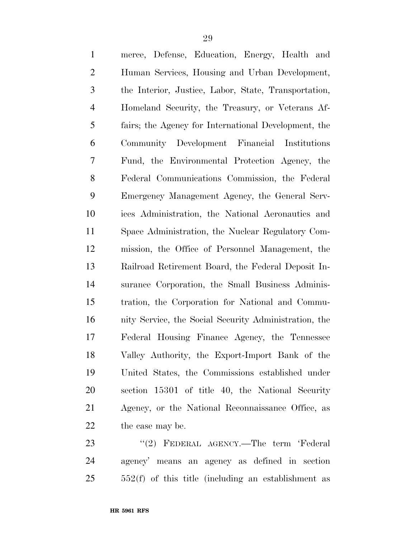| $\mathbf{1}$   | merce, Defense, Education, Energy, Health and         |
|----------------|-------------------------------------------------------|
| $\overline{2}$ | Human Services, Housing and Urban Development,        |
| 3              | the Interior, Justice, Labor, State, Transportation,  |
| $\overline{4}$ | Homeland Security, the Treasury, or Veterans Af-      |
| 5              | fairs; the Agency for International Development, the  |
| 6              | Community Development Financial Institutions          |
| 7              | Fund, the Environmental Protection Agency, the        |
| 8              | Federal Communications Commission, the Federal        |
| 9              | Emergency Management Agency, the General Serv-        |
| 10             | ices Administration, the National Aeronautics and     |
| 11             | Space Administration, the Nuclear Regulatory Com-     |
| 12             | mission, the Office of Personnel Management, the      |
| 13             | Railroad Retirement Board, the Federal Deposit In-    |
| 14             | surance Corporation, the Small Business Adminis-      |
| 15             | tration, the Corporation for National and Commu-      |
| 16             | nity Service, the Social Security Administration, the |
| 17             | Federal Housing Finance Agency, the Tennessee         |
| 18             | Valley Authority, the Export-Import Bank of the       |
| 19             | United States, the Commissions established under      |
| 20             | section 15301 of title 40, the National Security      |
| 21             | Agency, or the National Reconnaissance Office, as     |
| 22             | the case may be.                                      |
|                |                                                       |

 ''(2) FEDERAL AGENCY.—The term 'Federal agency' means an agency as defined in section 552(f) of this title (including an establishment as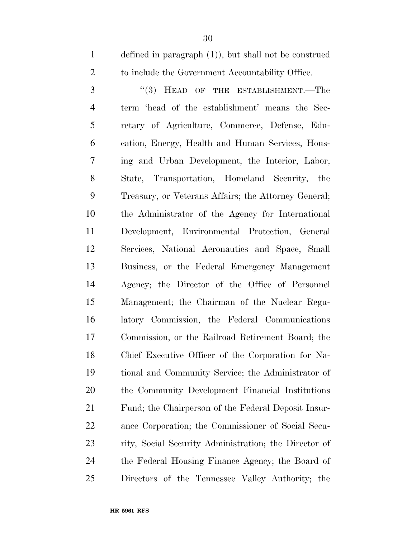defined in paragraph (1)), but shall not be construed to include the Government Accountability Office.

3 "(3) HEAD OF THE ESTABLISHMENT.—The term 'head of the establishment' means the Sec- retary of Agriculture, Commerce, Defense, Edu- cation, Energy, Health and Human Services, Hous- ing and Urban Development, the Interior, Labor, State, Transportation, Homeland Security, the Treasury, or Veterans Affairs; the Attorney General; the Administrator of the Agency for International Development, Environmental Protection, General Services, National Aeronautics and Space, Small Business, or the Federal Emergency Management Agency; the Director of the Office of Personnel Management; the Chairman of the Nuclear Regu- latory Commission, the Federal Communications Commission, or the Railroad Retirement Board; the Chief Executive Officer of the Corporation for Na- tional and Community Service; the Administrator of the Community Development Financial Institutions Fund; the Chairperson of the Federal Deposit Insur- ance Corporation; the Commissioner of Social Secu- rity, Social Security Administration; the Director of the Federal Housing Finance Agency; the Board of Directors of the Tennessee Valley Authority; the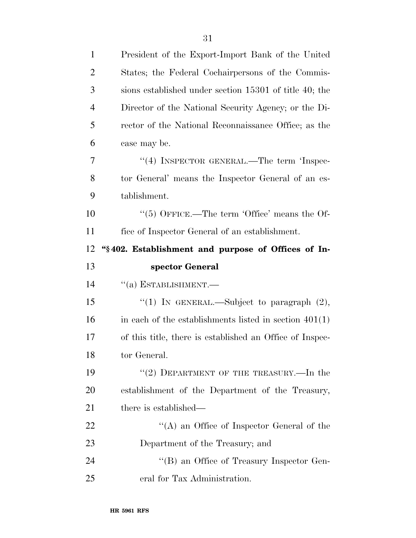| 1              | President of the Export-Import Bank of the United        |
|----------------|----------------------------------------------------------|
| $\overline{2}$ | States; the Federal Cochairpersons of the Commis-        |
| 3              | sions established under section 15301 of title 40; the   |
| $\overline{4}$ | Director of the National Security Agency; or the Di-     |
| 5              | rector of the National Reconnaissance Office; as the     |
| 6              | case may be.                                             |
| 7              | "(4) INSPECTOR GENERAL.—The term 'Inspec-                |
| 8              | tor General' means the Inspector General of an es-       |
| 9              | tablishment.                                             |
| 10             | $\lq(5)$ OFFICE.—The term 'Office' means the Of-         |
| 11             | fice of Inspector General of an establishment.           |
| 12             | "§402. Establishment and purpose of Offices of In-       |
|                |                                                          |
| 13             | spector General                                          |
| 14             | $``(a)$ ESTABLISHMENT.—                                  |
| 15             | "(1) IN GENERAL.—Subject to paragraph $(2)$ ,            |
| 16             | in each of the establishments listed in section $401(1)$ |
| 17             | of this title, there is established an Office of Inspec- |
| 18             | tor General.                                             |
| 19             | "(2) DEPARTMENT OF THE TREASURY.—In the                  |
| 20             | establishment of the Department of the Treasury,         |
| 21             | there is established—                                    |
| <u>22</u>      | "(A) an Office of Inspector General of the               |
| 23             | Department of the Treasury; and                          |
| 24             | "(B) an Office of Treasury Inspector Gen-                |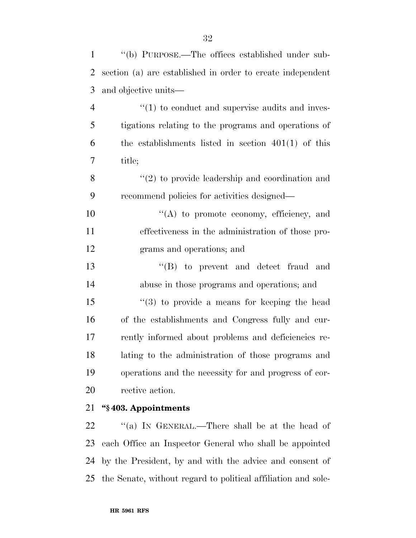| $\mathbf{1}$   | "(b) PURPOSE.—The offices established under sub-           |
|----------------|------------------------------------------------------------|
| 2              | section (a) are established in order to create independent |
| 3              | and objective units—                                       |
| $\overline{4}$ | $\cdot$ (1) to conduct and supervise audits and inves-     |
| 5              | tigations relating to the programs and operations of       |
| 6              | the establishments listed in section $401(1)$ of this      |
| 7              | title;                                                     |
| 8              | $\lq(2)$ to provide leadership and coordination and        |
| 9              | recommend policies for activities designed—                |
| 10             | "(A) to promote economy, efficiency, and                   |
| 11             | effectiveness in the administration of those pro-          |
| 12             | grams and operations; and                                  |
| 13             | $\lq\lq$ (B) to prevent and detect fraud and               |
| 14             | abuse in those programs and operations; and                |

 ''(3) to provide a means for keeping the head of the establishments and Congress fully and cur- rently informed about problems and deficiencies re- lating to the administration of those programs and operations and the necessity for and progress of cor-rective action.

#### **''§ 403. Appointments**

22 "(a) IN GENERAL.—There shall be at the head of each Office an Inspector General who shall be appointed by the President, by and with the advice and consent of the Senate, without regard to political affiliation and sole-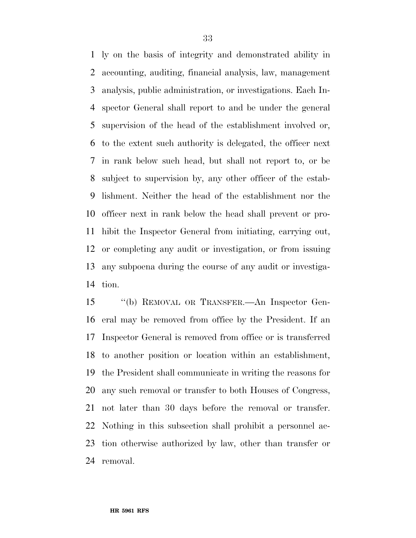ly on the basis of integrity and demonstrated ability in accounting, auditing, financial analysis, law, management analysis, public administration, or investigations. Each In- spector General shall report to and be under the general supervision of the head of the establishment involved or, to the extent such authority is delegated, the officer next in rank below such head, but shall not report to, or be subject to supervision by, any other officer of the estab- lishment. Neither the head of the establishment nor the officer next in rank below the head shall prevent or pro- hibit the Inspector General from initiating, carrying out, or completing any audit or investigation, or from issuing any subpoena during the course of any audit or investiga-tion.

 ''(b) REMOVAL OR TRANSFER.—An Inspector Gen- eral may be removed from office by the President. If an Inspector General is removed from office or is transferred to another position or location within an establishment, the President shall communicate in writing the reasons for any such removal or transfer to both Houses of Congress, not later than 30 days before the removal or transfer. Nothing in this subsection shall prohibit a personnel ac- tion otherwise authorized by law, other than transfer or removal.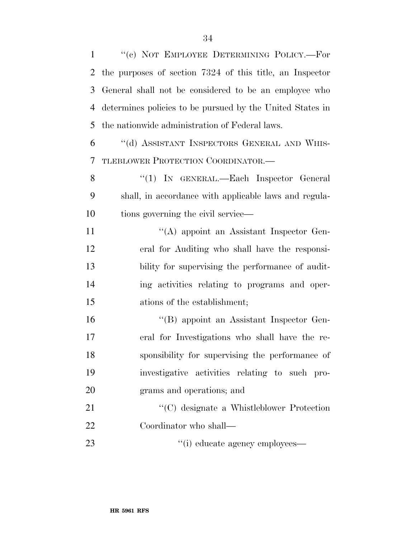''(c) NOT EMPLOYEE DETERMINING POLICY.—For the purposes of section 7324 of this title, an Inspector General shall not be considered to be an employee who determines policies to be pursued by the United States in the nationwide administration of Federal laws. ''(d) ASSISTANT INSPECTORS GENERAL AND WHIS- TLEBLOWER PROTECTION COORDINATOR.— 8 "(1) IN GENERAL.—Each Inspector General shall, in accordance with applicable laws and regula-10 tions governing the civil service— ''(A) appoint an Assistant Inspector Gen- eral for Auditing who shall have the responsi- bility for supervising the performance of audit- ing activities relating to programs and oper- ations of the establishment; ''(B) appoint an Assistant Inspector Gen- eral for Investigations who shall have the re- sponsibility for supervising the performance of investigative activities relating to such pro- grams and operations; and ''(C) designate a Whistleblower Protection

Coordinator who shall—

23  $\qquad$  ''(i) educate agency employees—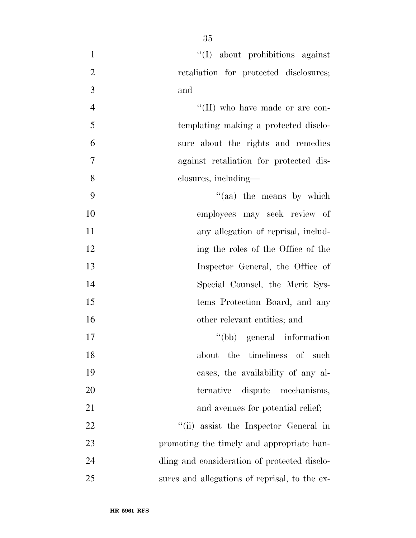| $\mathbf{1}$   | "(I) about prohibitions against               |
|----------------|-----------------------------------------------|
| $\overline{2}$ | retaliation for protected disclosures;        |
| $\overline{3}$ | and                                           |
| $\overline{4}$ | "(II) who have made or are con-               |
| 5              | templating making a protected disclo-         |
| 6              | sure about the rights and remedies            |
| $\tau$         | against retaliation for protected dis-        |
| 8              | closures, including—                          |
| 9              | "(aa) the means by which                      |
| 10             | employees may seek review of                  |
| 11             | any allegation of reprisal, includ-           |
| 12             | ing the roles of the Office of the            |
| 13             | Inspector General, the Office of              |
| 14             | Special Counsel, the Merit Sys-               |
| 15             | tems Protection Board, and any                |
| 16             | other relevant entities; and                  |
| 17             | "(bb) general information                     |
| 18             | the timeliness of such<br>about               |
| 19             | cases, the availability of any al-            |
| 20             | dispute mechanisms,<br>ternative              |
| 21             | and avenues for potential relief;             |
| 22             | "(ii) assist the Inspector General in         |
| 23             | promoting the timely and appropriate han-     |
| 24             | dling and consideration of protected disclo-  |
| 25             | sures and allegations of reprisal, to the ex- |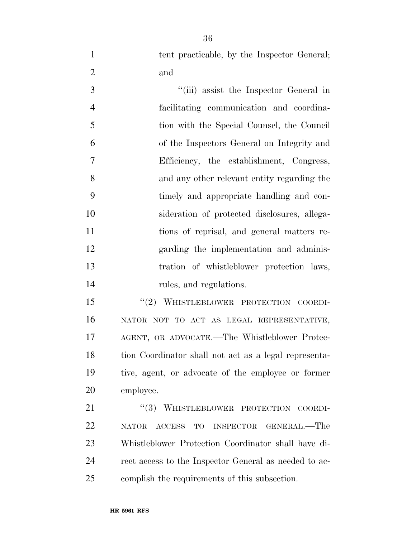1 tent practicable, by the Inspector General; and

 ''(iii) assist the Inspector General in facilitating communication and coordina- tion with the Special Counsel, the Council of the Inspectors General on Integrity and Efficiency, the establishment, Congress, and any other relevant entity regarding the timely and appropriate handling and con- sideration of protected disclosures, allega- tions of reprisal, and general matters re- garding the implementation and adminis- tration of whistleblower protection laws, rules, and regulations.

15 "(2) WHISTLEBLOWER PROTECTION COORDI- NATOR NOT TO ACT AS LEGAL REPRESENTATIVE, AGENT, OR ADVOCATE.—The Whistleblower Protec- tion Coordinator shall not act as a legal representa- tive, agent, or advocate of the employee or former employee.

21 "(3) WHISTLEBLOWER PROTECTION COORDI- NATOR ACCESS TO INSPECTOR GENERAL.—The Whistleblower Protection Coordinator shall have di- rect access to the Inspector General as needed to ac-complish the requirements of this subsection.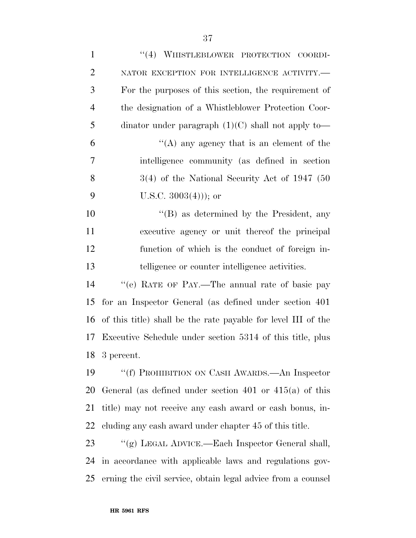| $\mathbf{1}$   | "(4) WHISTLEBLOWER PROTECTION COORDI-                         |
|----------------|---------------------------------------------------------------|
| $\overline{2}$ | NATOR EXCEPTION FOR INTELLIGENCE ACTIVITY.-                   |
| 3              | For the purposes of this section, the requirement of          |
| $\overline{4}$ | the designation of a Whistleblower Protection Coor-           |
| 5              | dinator under paragraph $(1)(C)$ shall not apply to-          |
| 6              | "(A) any agency that is an element of the                     |
| 7              | intelligence community (as defined in section                 |
| 8              | $3(4)$ of the National Security Act of 1947 (50               |
| 9              | U.S.C. $3003(4)$ ; or                                         |
| 10             | $\lq\lq (B)$ as determined by the President, any              |
| 11             | executive agency or unit thereof the principal                |
| 12             | function of which is the conduct of foreign in-               |
| 13             | telligence or counter intelligence activities.                |
| 14             | "(e) RATE OF PAY.—The annual rate of basic pay                |
| 15             | for an Inspector General (as defined under section 401)       |
| 16             | of this title) shall be the rate payable for level III of the |
| 17             | Executive Schedule under section 5314 of this title, plus     |
| 18             | 3 percent.                                                    |
| 19             | "(f) PROHIBITION ON CASH AWARDS.—An Inspector                 |
| 20             | General (as defined under section 401 or $415(a)$ of this     |
| 21             | title) may not receive any cash award or cash bonus, in-      |
| 22             | cluding any cash award under chapter 45 of this title.        |
| 23             | "(g) LEGAL ADVICE.—Each Inspector General shall,              |
| 24             | in accordance with applicable laws and regulations gov-       |
| 25             | erning the civil service, obtain legal advice from a counsel  |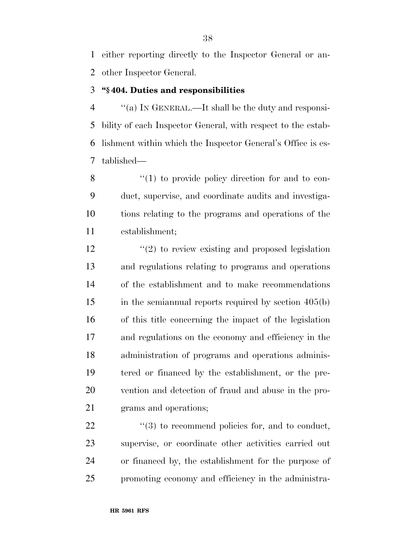either reporting directly to the Inspector General or an-other Inspector General.

## **''§ 404. Duties and responsibilities**

 ''(a) IN GENERAL.—It shall be the duty and responsi- bility of each Inspector General, with respect to the estab- lishment within which the Inspector General's Office is es-tablished—

8 "(1) to provide policy direction for and to con- duct, supervise, and coordinate audits and investiga- tions relating to the programs and operations of the establishment;

12 ''(2) to review existing and proposed legislation and regulations relating to programs and operations of the establishment and to make recommendations 15 in the semiannual reports required by section 405(b) of this title concerning the impact of the legislation and regulations on the economy and efficiency in the administration of programs and operations adminis- tered or financed by the establishment, or the pre- vention and detection of fraud and abuse in the pro-grams and operations;

 $\frac{1}{2}$  (3) to recommend policies for, and to conduct, supervise, or coordinate other activities carried out or financed by, the establishment for the purpose of promoting economy and efficiency in the administra-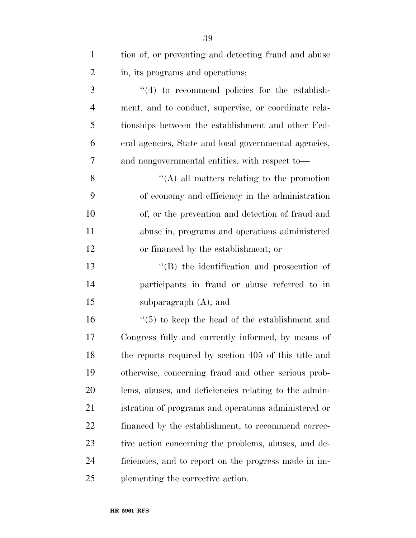| $\mathbf{1}$   | tion of, or preventing and detecting fraud and abuse  |
|----------------|-------------------------------------------------------|
| $\overline{2}$ | in, its programs and operations;                      |
| 3              | $\lq(4)$ to recommend policies for the establish-     |
| $\overline{4}$ | ment, and to conduct, supervise, or coordinate rela-  |
| 5              | tionships between the establishment and other Fed-    |
| 6              | eral agencies, State and local governmental agencies, |
| 7              | and nongovernmental entities, with respect to-        |
| 8              | $\lq\lq$ (A) all matters relating to the promotion    |
| 9              | of economy and efficiency in the administration       |
| 10             | of, or the prevention and detection of fraud and      |
| 11             | abuse in, programs and operations administered        |
| 12             | or financed by the establishment; or                  |
| 13             | "(B) the identification and prosecution of            |
| 14             | participants in fraud or abuse referred to in         |
| 15             | subparagraph $(A)$ ; and                              |
| 16             | $\lq(5)$ to keep the head of the establishment and    |
| 17             | Congress fully and currently informed, by means of    |
| 18             | the reports required by section 405 of this title and |
| 19             | otherwise, concerning fraud and other serious prob-   |
| 20             | lems, abuses, and deficiencies relating to the admin- |
| 21             | istration of programs and operations administered or  |
| 22             | financed by the establishment, to recommend correc-   |
| 23             | tive action concerning the problems, abuses, and de-  |
| 24             | ficiencies, and to report on the progress made in im- |
| 25             | plementing the corrective action.                     |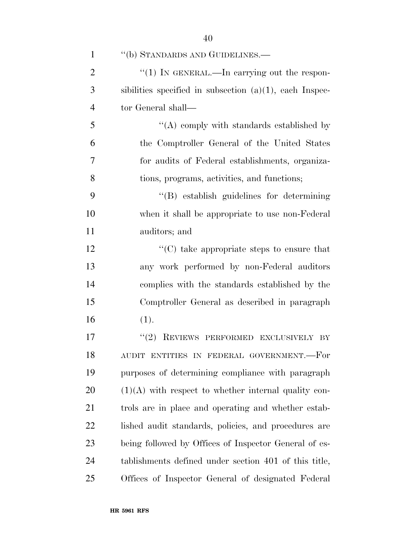| $\mathbf{1}$   | "(b) STANDARDS AND GUIDELINES.—                            |
|----------------|------------------------------------------------------------|
| $\overline{2}$ | "(1) IN GENERAL.—In carrying out the respon-               |
| 3              | sibilities specified in subsection $(a)(1)$ , each Inspec- |
| $\overline{4}$ | tor General shall—                                         |
| 5              | $\lq\lq$ comply with standards established by              |
| 6              | the Comptroller General of the United States               |
| 7              | for audits of Federal establishments, organiza-            |
| 8              | tions, programs, activities, and functions;                |
| 9              | "(B) establish guidelines for determining                  |
| 10             | when it shall be appropriate to use non-Federal            |
| 11             | auditors; and                                              |
| 12             | $\cdot\cdot$ (C) take appropriate steps to ensure that     |
| 13             | any work performed by non-Federal auditors                 |
| 14             | complies with the standards established by the             |
| 15             | Comptroller General as described in paragraph              |
| 16             | (1).                                                       |
| 17             | "(2) REVIEWS PERFORMED EXCLUSIVELY BY                      |
| 18             | AUDIT ENTITIES IN FEDERAL GOVERNMENT.--For                 |
| 19             | purposes of determining compliance with paragraph          |
| 20             | $(1)(A)$ with respect to whether internal quality con-     |
| 21             | trols are in place and operating and whether estab-        |
| 22             | lished audit standards, policies, and procedures are       |
| 23             | being followed by Offices of Inspector General of es-      |
| 24             | tablishments defined under section 401 of this title,      |
| 25             | Offices of Inspector General of designated Federal         |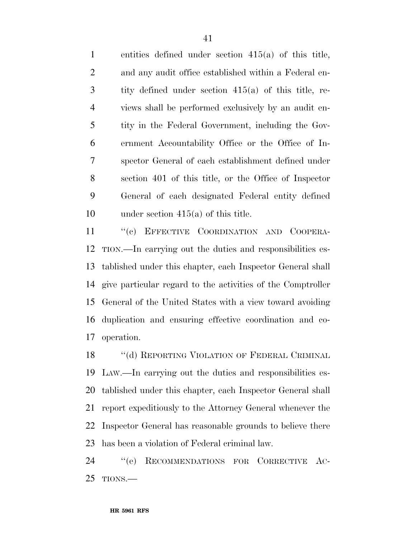entities defined under section 415(a) of this title, and any audit office established within a Federal en- tity defined under section 415(a) of this title, re- views shall be performed exclusively by an audit en- tity in the Federal Government, including the Gov- ernment Accountability Office or the Office of In- spector General of each establishment defined under section 401 of this title, or the Office of Inspector General of each designated Federal entity defined under section 415(a) of this title.

11 "(c) EFFECTIVE COORDINATION AND COOPERA- TION.—In carrying out the duties and responsibilities es- tablished under this chapter, each Inspector General shall give particular regard to the activities of the Comptroller General of the United States with a view toward avoiding duplication and ensuring effective coordination and co-operation.

18 "(d) REPORTING VIOLATION OF FEDERAL CRIMINAL LAW.—In carrying out the duties and responsibilities es- tablished under this chapter, each Inspector General shall report expeditiously to the Attorney General whenever the Inspector General has reasonable grounds to believe there has been a violation of Federal criminal law.

 ''(e) RECOMMENDATIONS FOR CORRECTIVE AC-TIONS.—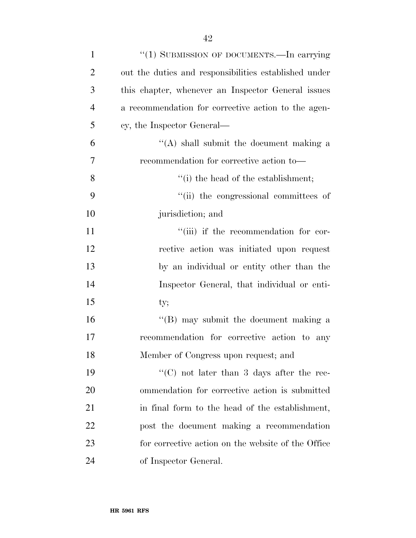| $\mathbf{1}$   | "(1) SUBMISSION OF DOCUMENTS.—In carrying             |
|----------------|-------------------------------------------------------|
| $\overline{2}$ | out the duties and responsibilities established under |
| 3              | this chapter, whenever an Inspector General issues    |
| $\overline{4}$ | a recommendation for corrective action to the agen-   |
| 5              | cy, the Inspector General—                            |
| 6              | $\lq\lq$ shall submit the document making a           |
| 7              | recommendation for corrective action to-              |
| 8              | $f(i)$ the head of the establishment;                 |
| 9              | "(ii) the congressional committees of                 |
| 10             | jurisdiction; and                                     |
| 11             | "(iii) if the recommendation for cor-                 |
| 12             | rective action was initiated upon request             |
| 13             | by an individual or entity other than the             |
| 14             | Inspector General, that individual or enti-           |
| 15             | ty;                                                   |
| 16             | "(B) may submit the document making a                 |
| 17             | recommendation for corrective action to any           |
| 18             | Member of Congress upon request; and                  |
| 19             | "(C) not later than 3 days after the rec-             |
| 20             | ommendation for corrective action is submitted        |
| 21             | in final form to the head of the establishment,       |
| 22             | post the document making a recommendation             |
| 23             | for corrective action on the website of the Office    |
| 24             | of Inspector General.                                 |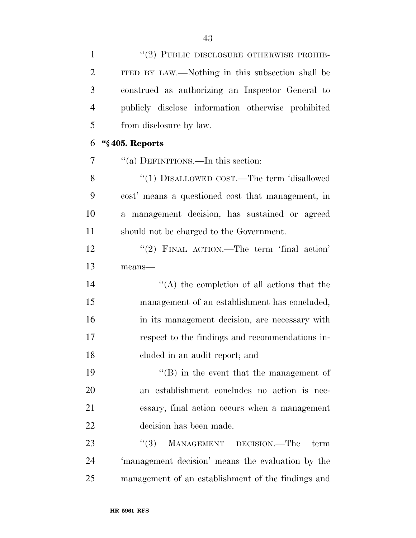1 "(2) PUBLIC DISCLOSURE OTHERWISE PROHIB-

| $\overline{2}$ | ITED BY LAW.—Nothing in this subsection shall be   |
|----------------|----------------------------------------------------|
| 3              | construed as authorizing an Inspector General to   |
| $\overline{4}$ | publicly disclose information otherwise prohibited |
| 5              | from disclosure by law.                            |
| 6              | "§405. Reports                                     |
| 7              | "(a) DEFINITIONS.—In this section:                 |
| 8              | "(1) DISALLOWED COST.—The term 'disallowed         |
| 9              | cost' means a questioned cost that management, in  |
| 10             | a management decision, has sustained or agreed     |
| 11             | should not be charged to the Government.           |
| 12             | "(2) FINAL ACTION.—The term 'final action'         |
| 13             | means-                                             |
| 14             | $\lq\lq$ the completion of all actions that the    |
| 15             | management of an establishment has concluded,      |
| 16             | in its management decision, are necessary with     |
| 17             | respect to the findings and recommendations in-    |
| 18             | eluded in an audit report; and                     |
| 19             | $\lq\lq$ in the event that the management of       |
| 20             | an establishment concludes no action is nec-       |
| 21             | essary, final action occurs when a management      |
| 22             | decision has been made.                            |
| 23             | ``(3)<br>MANAGEMENT DECISION.—The<br>term          |
| 24             | 'management decision' means the evaluation by the  |
| 25             | management of an establishment of the findings and |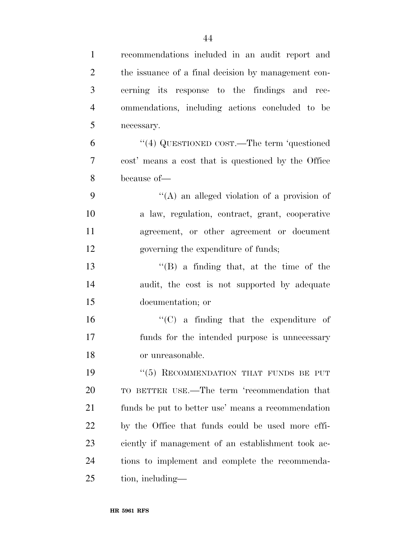| $\mathbf{1}$   | recommendations included in an audit report and     |
|----------------|-----------------------------------------------------|
| $\overline{2}$ | the issuance of a final decision by management con- |
| 3              | cerning its response to the findings and rec-       |
| $\overline{4}$ | ommendations, including actions concluded to be     |
| 5              | necessary.                                          |
| 6              | "(4) QUESTIONED COST.—The term 'questioned          |
| $\overline{7}$ | cost' means a cost that is questioned by the Office |
| 8              | because of-                                         |
| 9              | "(A) an alleged violation of a provision of         |
| 10             | a law, regulation, contract, grant, cooperative     |
| 11             | agreement, or other agreement or document           |
| 12             | governing the expenditure of funds;                 |
| 13             | $\lq\lq (B)$ a finding that, at the time of the     |
| 14             | audit, the cost is not supported by adequate        |
| 15             | documentation; or                                   |
| 16             | $\lq\lq$ (C) a finding that the expenditure of      |
| 17             | funds for the intended purpose is unnecessary       |
| 18             | or unreasonable.                                    |
| 19             | "(5) RECOMMENDATION THAT FUNDS BE PUT               |
| 20             | TO BETTER USE.—The term 'recommendation that        |
| 21             | funds be put to better use' means a recommendation  |
| 22             | by the Office that funds could be used more effi-   |
| 23             | ciently if management of an establishment took ac-  |
| 24             | tions to implement and complete the recommenda-     |
| 25             | tion, including—                                    |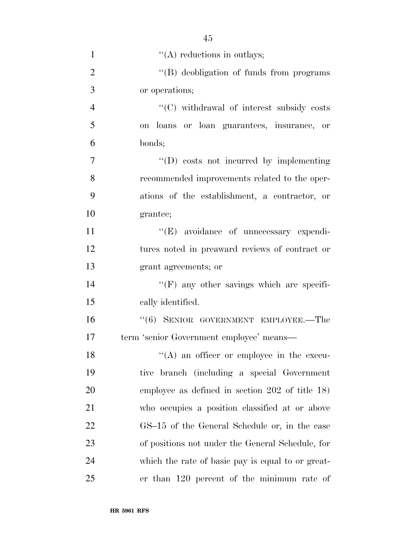| $\mathbf{1}$   | $\lq\lq$ reductions in outlays;                   |
|----------------|---------------------------------------------------|
| $\overline{2}$ | "(B) deobligation of funds from programs          |
| 3              | or operations;                                    |
| $\overline{4}$ | "(C) withdrawal of interest subsidy costs         |
| 5              | on loans or loan guarantees, insurance, or        |
| 6              | bonds;                                            |
| $\overline{7}$ | $\lq\lq$ costs not incurred by implementing       |
| 8              | recommended improvements related to the oper-     |
| 9              | ations of the establishment, a contractor, or     |
| 10             | grantee;                                          |
| 11             | "(E) avoidance of unnecessary expendi-            |
| 12             | tures noted in preaward reviews of contract or    |
| 13             | grant agreements; or                              |
| 14             | "(F) any other savings which are specifi-         |
| 15             | cally identified.                                 |
| 16             | $``(6)$ SENIOR GOVERNMENT EMPLOYEE.—The           |
| 17             | term 'senior Government employee' means-          |
| 18             | $\lq\lq$ an officer or employee in the execu-     |
| 19             | tive branch (including a special Government       |
| 20             | employee as defined in section $202$ of title 18) |
| 21             | who occupies a position classified at or above    |
| 22             | GS-15 of the General Schedule or, in the case     |
| 23             | of positions not under the General Schedule, for  |
| 24             | which the rate of basic pay is equal to or great- |
| 25             | er than 120 percent of the minimum rate of        |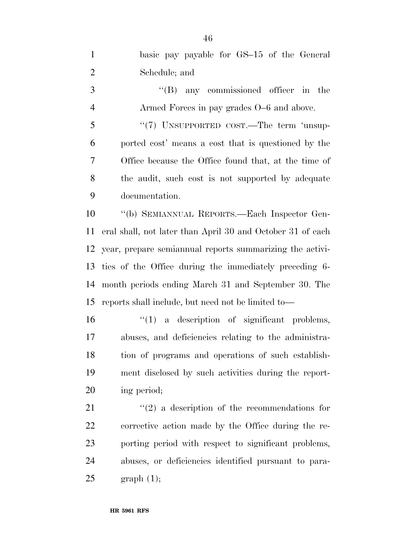| $\mathbf{1}$   | basic pay payable for GS-15 of the General                 |
|----------------|------------------------------------------------------------|
| $\overline{2}$ | Schedule; and                                              |
| 3              | $\lq\lq(B)$ any commissioned officer in the                |
| $\overline{4}$ | Armed Forces in pay grades O–6 and above.                  |
| 5              | " $(7)$ UNSUPPORTED COST.—The term 'unsup-                 |
| 6              | ported cost' means a cost that is questioned by the        |
| $\tau$         | Office because the Office found that, at the time of       |
| 8              | the audit, such cost is not supported by adequate          |
| 9              | documentation.                                             |
| 10             | "(b) SEMIANNUAL REPORTS.—Each Inspector Gen-               |
| 11             | eral shall, not later than April 30 and October 31 of each |
| 12             | year, prepare semiannual reports summarizing the activi-   |
| 13             | ties of the Office during the immediately preceding 6-     |
| 14             | month periods ending March 31 and September 30. The        |
| 15             | reports shall include, but need not be limited to—         |
| 16             | $\lq(1)$ a description of significant problems,            |
| 17             | abuses, and deficiencies relating to the administra-       |
| 18             | tion of programs and operations of such establish-         |
| 19             | ment disclosed by such activities during the report-       |
| 20             | ing period;                                                |
| 21             | $\lq(2)$ a description of the recommendations for          |
| 22             | corrective action made by the Office during the re-        |
| 23             | porting period with respect to significant problems,       |
| 24             | abuses, or deficiencies identified pursuant to para-       |
| 25             | graph(1);                                                  |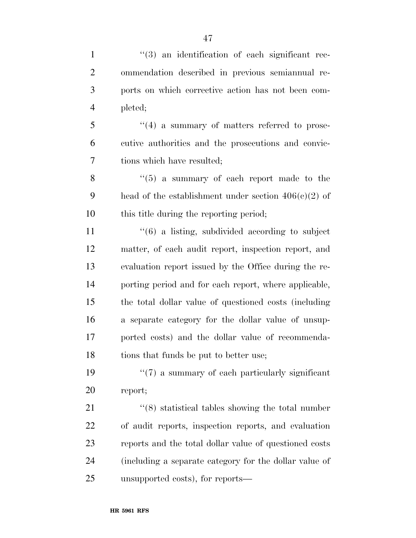$\frac{1}{2}$  (3) an identification of each significant rec- ommendation described in previous semiannual re- ports on which corrective action has not been com- pleted;  $\frac{1}{2}$   $\frac{1}{4}$  a summary of matters referred to prose- cutive authorities and the prosecutions and convic- tions which have resulted; ''(5) a summary of each report made to the 9 head of the establishment under section  $406(c)(2)$  of this title during the reporting period; 11 ''(6) a listing, subdivided according to subject matter, of each audit report, inspection report, and evaluation report issued by the Office during the re- porting period and for each report, where applicable, the total dollar value of questioned costs (including a separate category for the dollar value of unsup- ported costs) and the dollar value of recommenda-18 tions that funds be put to better use;

19  $\frac{1}{2}$  (7) a summary of each particularly significant report;

21 ''(8) statistical tables showing the total number of audit reports, inspection reports, and evaluation reports and the total dollar value of questioned costs (including a separate category for the dollar value of unsupported costs), for reports—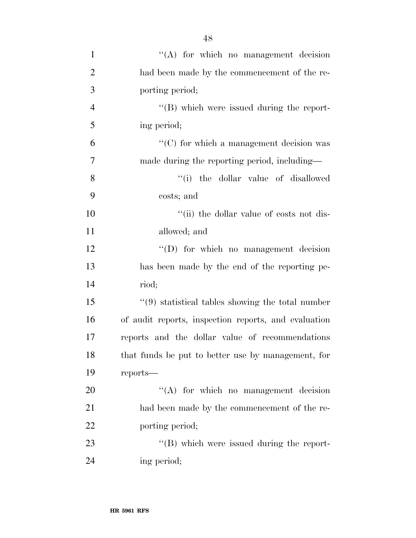| $\mathbf{1}$   | $\lq\lq$ for which no management decision            |
|----------------|------------------------------------------------------|
| $\overline{2}$ | had been made by the commencement of the re-         |
| 3              | porting period;                                      |
| $\overline{4}$ | $\lq\lq$ (B) which were issued during the report-    |
| 5              | ing period;                                          |
| 6              | $\lq\lq$ (C) for which a management decision was     |
| 7              | made during the reporting period, including—         |
| 8              | "(i) the dollar value of disallowed                  |
| 9              | costs; and                                           |
| 10             | "(ii) the dollar value of costs not dis-             |
| 11             | allowed; and                                         |
| 12             | $\lq\lq$ for which no management decision            |
| 13             | has been made by the end of the reporting pe-        |
| 14             | riod;                                                |
| 15             | $\lq(9)$ statistical tables showing the total number |
| 16             | of audit reports, inspection reports, and evaluation |
| 17             | reports and the dollar value of recommendations      |
| 18             | that funds be put to better use by management, for   |
| 19             | $reports$ —                                          |
| 20             | $\lq\lq$ for which no management decision            |
| 21             | had been made by the commencement of the re-         |
| 22             | porting period;                                      |
| 23             | $\lq\lq (B)$ which were issued during the report-    |
| 24             | ing period;                                          |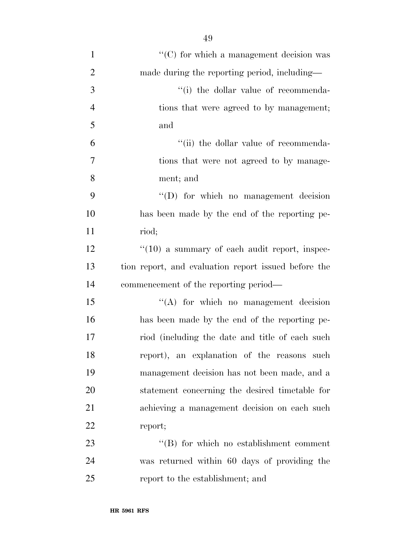| $\mathbf{1}$     | $\cdot$ (C) for which a management decision was      |
|------------------|------------------------------------------------------|
| $\overline{2}$   | made during the reporting period, including—         |
| 3                | "(i) the dollar value of recommenda-                 |
| $\overline{4}$   | tions that were agreed to by management;             |
| 5                | and                                                  |
| 6                | "(ii) the dollar value of recommenda-                |
| $\boldsymbol{7}$ | tions that were not agreed to by manage-             |
| 8                | ment; and                                            |
| 9                | $\lq\lq$ for which no management decision            |
| 10               | has been made by the end of the reporting pe-        |
| 11               | riod;                                                |
| 12               | $f'(10)$ a summary of each audit report, inspec-     |
| 13               | tion report, and evaluation report issued before the |
| 14               | commencement of the reporting period—                |
| 15               | "(A) for which no management decision                |
| 16               | has been made by the end of the reporting pe-        |
| 17               | riod (including the date and title of each such      |
| 18               | report), an explanation of the reasons such          |
| 19               | management decision has not been made, and a         |
| 20               | statement concerning the desired timetable for       |
| 21               | achieving a management decision on each such         |
| 22               | report;                                              |
| 23               | $\lq\lq$ for which no establishment comment          |
| 24               | was returned within 60 days of providing the         |
| 25               | report to the establishment; and                     |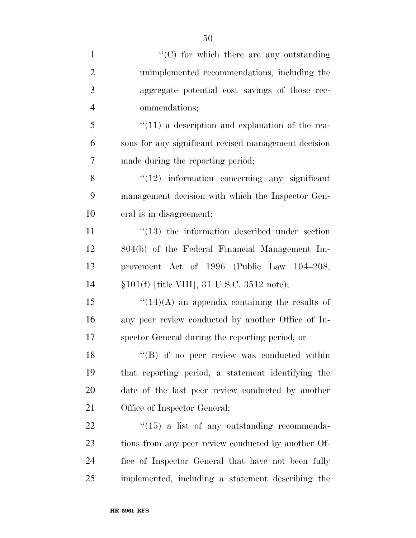| $\mathbf{1}$   | $\lq\lq$ (C) for which there are any outstanding       |
|----------------|--------------------------------------------------------|
| $\overline{2}$ | unimplemented recommendations, including the           |
| 3              | aggregate potential cost savings of those rec-         |
| $\overline{4}$ | ommendations;                                          |
| 5              | $\lq(11)$ a description and explanation of the rea-    |
| 6              | sons for any significant revised management decision   |
| $\overline{7}$ | made during the reporting period;                      |
| 8              | $"(12)$ information concerning any significant         |
| 9              | management decision with which the Inspector Gen-      |
| 10             | eral is in disagreement;                               |
| 11             | $\cdot$ (13) the information described under section   |
| 12             | 804(b) of the Federal Financial Management Im-         |
| 13             | provement Act of 1996 (Public Law 104-208,             |
| 14             | §101(f) [title VIII], 31 U.S.C. 3512 note);            |
| 15             | $\lq(14)(A)$ an appendix containing the results of     |
| 16             | any peer review conducted by another Office of In-     |
| 17             | spector General during the reporting period; or        |
| 18             | "(B) if no peer review was conducted within            |
| 19             | that reporting period, a statement identifying the     |
| 20             | date of the last peer review conducted by another      |
| 21             | Office of Inspector General;                           |
| 22             | $\cdot\cdot(15)$ a list of any outstanding recommenda- |
| 23             | tions from any peer review conducted by another Of-    |
| 24             | fice of Inspector General that have not been fully     |
| 25             | implemented, including a statement describing the      |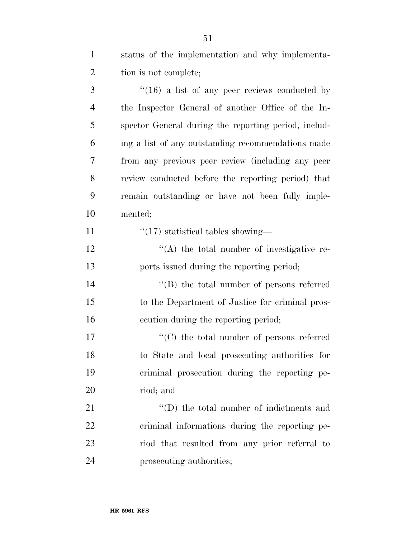| -1             | status of the implementation and why implementa-   |
|----------------|----------------------------------------------------|
| 2              | tion is not complete;                              |
| 3              | $\lq(16)$ a list of any peer reviews conducted by  |
| $\overline{4}$ | the Inspector General of another Office of the In- |

 spector General during the reporting period, includ- ing a list of any outstanding recommendations made from any previous peer review (including any peer review conducted before the reporting period) that remain outstanding or have not been fully imple-mented;

11  $\frac{1}{17}$  statistical tables showing—

 $'$ (A) the total number of investigative re-ports issued during the reporting period;

 ''(B) the total number of persons referred to the Department of Justice for criminal pros-ecution during the reporting period;

 $\lq\lq$  (C) the total number of persons referred to State and local prosecuting authorities for criminal prosecution during the reporting pe-riod; and

21 ''(D) the total number of indictments and criminal informations during the reporting pe- riod that resulted from any prior referral to prosecuting authorities;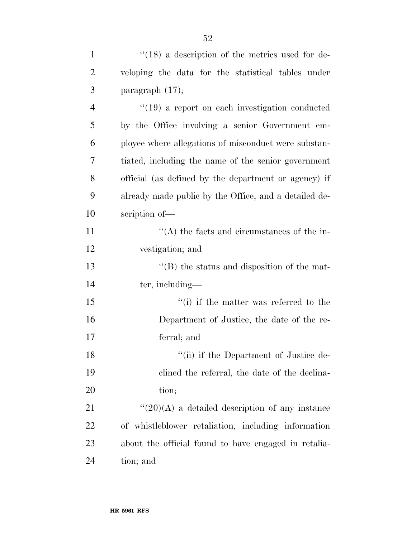| $\mathbf{1}$   | $\degree$ (18) a description of the metrics used for de-     |
|----------------|--------------------------------------------------------------|
| $\overline{2}$ | veloping the data for the statistical tables under           |
| 3              | paragraph $(17)$ ;                                           |
| $\overline{4}$ | $\cdot$ (19) a report on each investigation conducted        |
| 5              | by the Office involving a senior Government em-              |
| 6              | ployee where allegations of misconduct were substan-         |
| 7              | tiated, including the name of the senior government          |
| 8              | official (as defined by the department or agency) if         |
| 9              | already made public by the Office, and a detailed de-        |
| 10             | scription of-                                                |
| 11             | $\lq\lq$ the facts and circumstances of the in-              |
| 12             | vestigation; and                                             |
| 13             | $\lq\lq$ the status and disposition of the mat-              |
| 14             | ter, including—                                              |
| 15             | "(i) if the matter was referred to the                       |
| 16             | Department of Justice, the date of the re-                   |
| 17             | ferral; and                                                  |
| 18             | "(ii) if the Department of Justice de-                       |
| 19             | clined the referral, the date of the declina-                |
| 20             | tion;                                                        |
| 21             | $\lq(20)(\mathrm{A})$ a detailed description of any instance |
| 22             | of whistleblower retaliation, including information          |
| 23             | about the official found to have engaged in retalia-         |
| 24             | tion; and                                                    |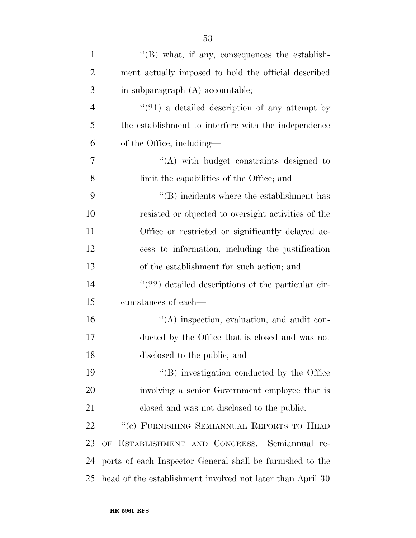| $\mathbf{1}$   | $\lq\lq$ what, if any, consequences the establish-         |
|----------------|------------------------------------------------------------|
| $\overline{2}$ | ment actually imposed to hold the official described       |
| 3              | in subparagraph (A) accountable;                           |
| $\overline{4}$ | $\lq(21)$ a detailed description of any attempt by         |
| 5              | the establishment to interfere with the independence       |
| 6              | of the Office, including—                                  |
| 7              | $\lq\lq$ with budget constraints designed to               |
| 8              | limit the capabilities of the Office; and                  |
| 9              | $\cdot$ (B) incidents where the establishment has          |
| 10             | resisted or objected to oversight activities of the        |
| 11             | Office or restricted or significantly delayed ac-          |
| 12             | cess to information, including the justification           |
| 13             | of the establishment for such action; and                  |
| 14             | $\lq(22)$ detailed descriptions of the particular cir-     |
| 15             | cumstances of each—                                        |
| 16             | $\lq\lq$ inspection, evaluation, and audit con-            |
| 17             | ducted by the Office that is closed and was not            |
| 18             | disclosed to the public; and                               |
| 19             | "(B) investigation conducted by the Office                 |
| 20             | involving a senior Government employee that is             |
| 21             | closed and was not disclosed to the public.                |
| 22             | "(c) FURNISHING SEMIANNUAL REPORTS TO HEAD                 |
| 23             | OF ESTABLISHMENT AND CONGRESS.-Semiannual re-              |
| 24             | ports of each Inspector General shall be furnished to the  |
| 25             | head of the establishment involved not later than April 30 |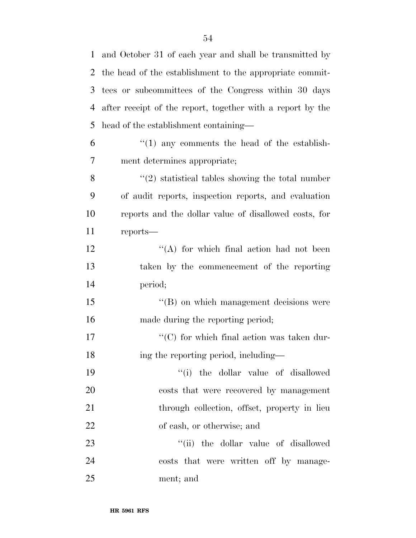and October 31 of each year and shall be transmitted by the head of the establishment to the appropriate commit- tees or subcommittees of the Congress within 30 days after receipt of the report, together with a report by the head of the establishment containing—  $(1)$  any comments the head of the establish- ment determines appropriate;  $\binom{4}{2}$  statistical tables showing the total number of audit reports, inspection reports, and evaluation reports and the dollar value of disallowed costs, for reports—  $'$ (A) for which final action had not been taken by the commencement of the reporting period; 15 "(B) on which management decisions were made during the reporting period;  $\lq\lq$  (C) for which final action was taken dur-18 ing the reporting period, including— ''(i) the dollar value of disallowed costs that were recovered by management 21 through collection, offset, property in lieu of cash, or otherwise; and  $\frac{1}{1}$  the dollar value of disallowed costs that were written off by manage-

ment; and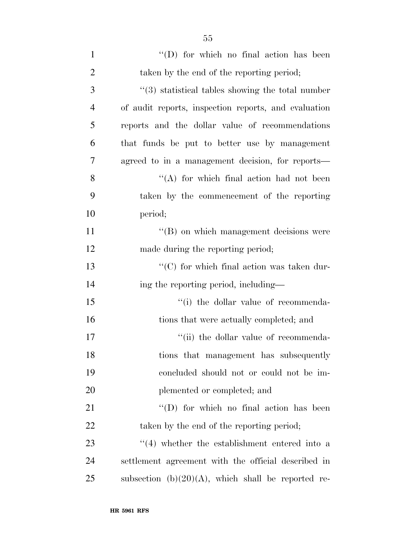| $\mathbf{1}$   | $\lq\lq$ for which no final action has been                  |
|----------------|--------------------------------------------------------------|
| $\overline{2}$ | taken by the end of the reporting period;                    |
| 3              | $\cdot\cdot$ (3) statistical tables showing the total number |
| $\overline{4}$ | of audit reports, inspection reports, and evaluation         |
| 5              | reports and the dollar value of recommendations              |
| 6              | that funds be put to better use by management                |
| 7              | agreed to in a management decision, for reports—             |
| 8              | "(A) for which final action had not been                     |
| 9              | taken by the commencement of the reporting                   |
| 10             | period;                                                      |
| 11             | $\lq\lq (B)$ on which management decisions were              |
| 12             | made during the reporting period;                            |
| 13             | " $(C)$ for which final action was taken dur-                |
| 14             | ing the reporting period, including—                         |
| 15             | "(i) the dollar value of recommenda-                         |
| 16             | tions that were actually completed; and                      |
| 17             | "(ii) the dollar value of recommenda-                        |
| 18             | tions that management has subsequently                       |
| 19             | concluded should not or could not be im-                     |
| 20             | plemented or completed; and                                  |
| 21             | $\lq\lq$ for which no final action has been                  |
| 22             | taken by the end of the reporting period;                    |
| 23             | $\cdot$ (4) whether the establishment entered into a         |
| 24             | settlement agreement with the official described in          |
| 25             | subsection $(b)(20)(A)$ , which shall be reported re-        |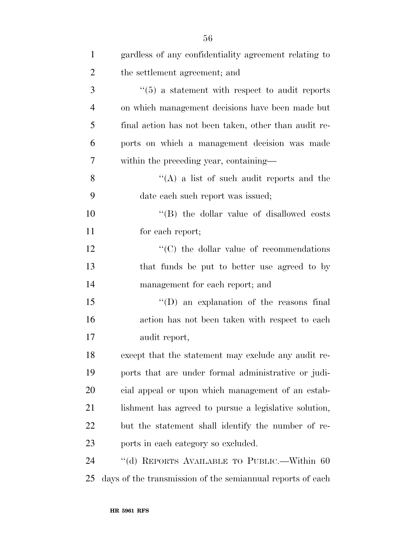| $\mathbf{1}$   | gardless of any confidentiality agreement relating to      |
|----------------|------------------------------------------------------------|
| $\overline{2}$ | the settlement agreement; and                              |
| 3              | $\cdot\cdot$ (5) a statement with respect to audit reports |
| $\overline{4}$ | on which management decisions have been made but           |
| 5              | final action has not been taken, other than audit re-      |
| 6              | ports on which a management decision was made              |
| 7              | within the preceding year, containing—                     |
| 8              | "(A) a list of such audit reports and the                  |
| 9              | date each such report was issued;                          |
| 10             | "(B) the dollar value of disallowed costs                  |
| 11             | for each report;                                           |
| 12             | $\cdot$ (C) the dollar value of recommendations            |
| 13             | that funds be put to better use agreed to by               |
| 14             | management for each report; and                            |
| 15             | $\lq\lq$ (D) an explanation of the reasons final           |
| 16             | action has not been taken with respect to each             |
| 17             | audit report,                                              |
| 18             | except that the statement may exclude any audit re-        |
| 19             | ports that are under formal administrative or judi-        |
| 20             | cial appeal or upon which management of an estab-          |
| 21             | lishment has agreed to pursue a legislative solution,      |
| 22             | but the statement shall identify the number of re-         |
| 23             | ports in each category so excluded.                        |
| 24             | "(d) REPORTS AVAILABLE TO PUBLIC.—Within 60                |
| 25             | days of the transmission of the semiannual reports of each |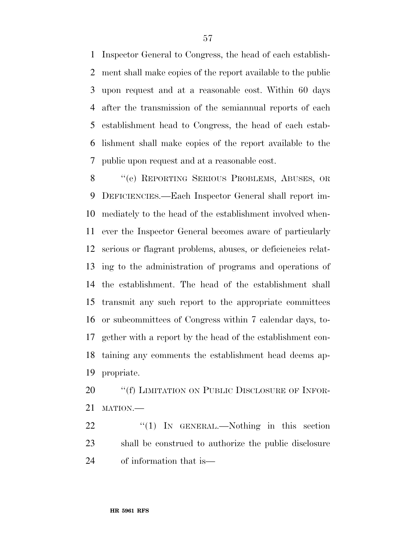Inspector General to Congress, the head of each establish- ment shall make copies of the report available to the public upon request and at a reasonable cost. Within 60 days after the transmission of the semiannual reports of each establishment head to Congress, the head of each estab- lishment shall make copies of the report available to the public upon request and at a reasonable cost.

 ''(e) REPORTING SERIOUS PROBLEMS, ABUSES, OR DEFICIENCIES.—Each Inspector General shall report im- mediately to the head of the establishment involved when- ever the Inspector General becomes aware of particularly serious or flagrant problems, abuses, or deficiencies relat- ing to the administration of programs and operations of the establishment. The head of the establishment shall transmit any such report to the appropriate committees or subcommittees of Congress within 7 calendar days, to- gether with a report by the head of the establishment con- taining any comments the establishment head deems ap-propriate.

20 "(f) LIMITATION ON PUBLIC DISCLOSURE OF INFOR-MATION.—

22 "(1) IN GENERAL.—Nothing in this section shall be construed to authorize the public disclosure of information that is—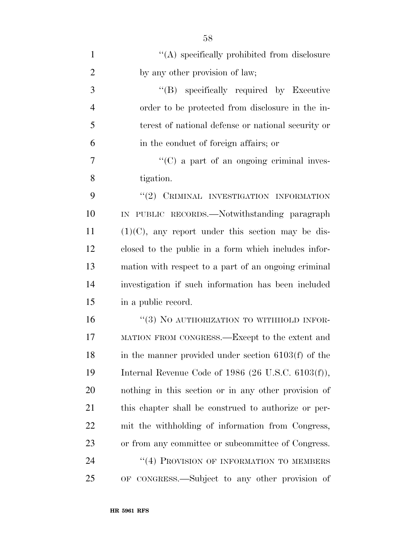| $\mathbf{1}$   | $\lq\lq$ specifically prohibited from disclosure      |
|----------------|-------------------------------------------------------|
| $\overline{2}$ | by any other provision of law;                        |
| 3              | "(B) specifically required by Executive               |
| $\overline{4}$ | order to be protected from disclosure in the in-      |
| 5              | terest of national defense or national security or    |
| 6              | in the conduct of foreign affairs; or                 |
| $\overline{7}$ | $\lq\lq$ (C) a part of an ongoing criminal inves-     |
| 8              | tigation.                                             |
| 9              | "(2) CRIMINAL INVESTIGATION INFORMATION               |
| 10             | IN PUBLIC RECORDS.—Notwithstanding paragraph          |
| 11             | $(1)(C)$ , any report under this section may be dis-  |
| 12             | closed to the public in a form which includes infor-  |
| 13             | mation with respect to a part of an ongoing criminal  |
| 14             | investigation if such information has been included   |
| 15             | in a public record.                                   |
| 16             | "(3) NO AUTHORIZATION TO WITHHOLD INFOR-              |
| 17             | MATION FROM CONGRESS.—Except to the extent and        |
| 18             | in the manner provided under section $6103(f)$ of the |
| 19             | Internal Revenue Code of 1986 (26 U.S.C. $6103(f)$ ), |
| 20             | nothing in this section or in any other provision of  |
| 21             | this chapter shall be construed to authorize or per-  |
| 22             | mit the withholding of information from Congress,     |
| 23             | or from any committee or subcommittee of Congress.    |
| 24             | "(4) PROVISION OF INFORMATION TO MEMBERS              |
| 25             | OF CONGRESS.—Subject to any other provision of        |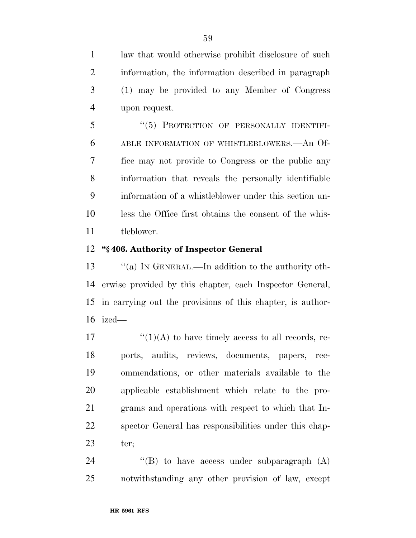law that would otherwise prohibit disclosure of such information, the information described in paragraph (1) may be provided to any Member of Congress upon request.

5 "(5) PROTECTION OF PERSONALLY IDENTIFI- ABLE INFORMATION OF WHISTLEBLOWERS.—An Of- fice may not provide to Congress or the public any information that reveals the personally identifiable information of a whistleblower under this section un- less the Office first obtains the consent of the whis-tleblower.

## **''§ 406. Authority of Inspector General**

 ''(a) IN GENERAL.—In addition to the authority oth- erwise provided by this chapter, each Inspector General, in carrying out the provisions of this chapter, is author-ized—

 $\frac{17}{2}$   $\frac{17}{2}$   $\frac{17}{2}$  to have timely access to all records, re- ports, audits, reviews, documents, papers, rec- ommendations, or other materials available to the applicable establishment which relate to the pro- grams and operations with respect to which that In- spector General has responsibilities under this chap-ter;

24  $\langle\text{B}\rangle$  to have access under subparagraph  $(A)$ notwithstanding any other provision of law, except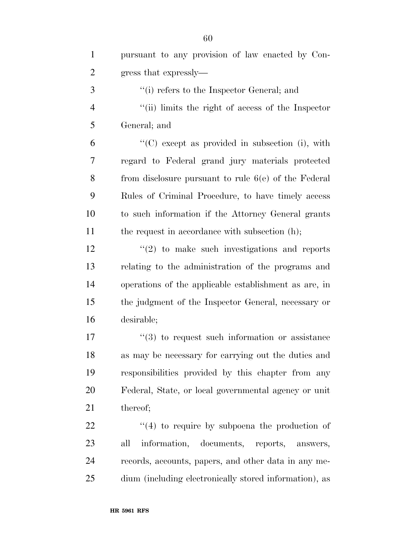| $\mathbf{1}$   | pursuant to any provision of law enacted by Con-       |
|----------------|--------------------------------------------------------|
| $\overline{2}$ | gress that expressly—                                  |
| 3              | "(i) refers to the Inspector General; and              |
| $\overline{4}$ | "(ii) limits the right of access of the Inspector      |
| 5              | General; and                                           |
| 6              | $\lq\lq$ except as provided in subsection (i), with    |
| $\overline{7}$ | regard to Federal grand jury materials protected       |
| 8              | from disclosure pursuant to rule $6(e)$ of the Federal |
| 9              | Rules of Criminal Procedure, to have timely access     |
| 10             | to such information if the Attorney General grants     |
| 11             | the request in accordance with subsection (h);         |
| 12             | $\lq(2)$ to make such investigations and reports       |
| 13             | relating to the administration of the programs and     |
| 14             | operations of the applicable establishment as are, in  |
| 15             | the judgment of the Inspector General, necessary or    |
| 16             | desirable;                                             |
| 17             | $(3)$ to request such information or assistance        |
| 18             | as may be necessary for carrying out the duties and    |
| 19             | responsibilities provided by this chapter from any     |
| 20             | Federal, State, or local governmental agency or unit   |
| 21             | thereof;                                               |
| 22             | $\cdot$ (4) to require by subpoena the production of   |
| 23             | information, documents, reports,<br>all<br>answers,    |
| 24             | records, accounts, papers, and other data in any me-   |
| 25             | dium (including electronically stored information), as |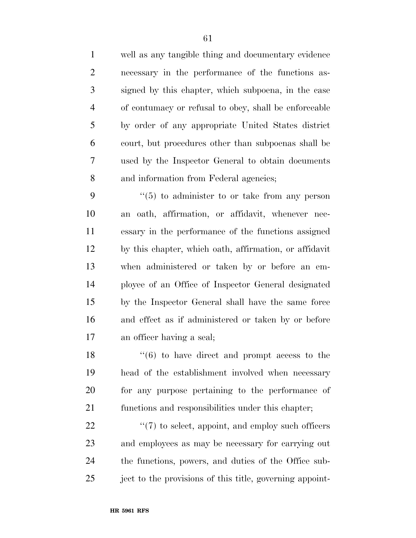well as any tangible thing and documentary evidence necessary in the performance of the functions as- signed by this chapter, which subpoena, in the case of contumacy or refusal to obey, shall be enforceable by order of any appropriate United States district court, but procedures other than subpoenas shall be used by the Inspector General to obtain documents and information from Federal agencies;

 ''(5) to administer to or take from any person an oath, affirmation, or affidavit, whenever nec- essary in the performance of the functions assigned by this chapter, which oath, affirmation, or affidavit when administered or taken by or before an em- ployee of an Office of Inspector General designated by the Inspector General shall have the same force and effect as if administered or taken by or before an officer having a seal;

 $\frac{16}{16}$  to have direct and prompt access to the head of the establishment involved when necessary for any purpose pertaining to the performance of functions and responsibilities under this chapter;

 $\frac{22}{7}$  ''(7) to select, appoint, and employ such officers and employees as may be necessary for carrying out the functions, powers, and duties of the Office sub-25 ject to the provisions of this title, governing appoint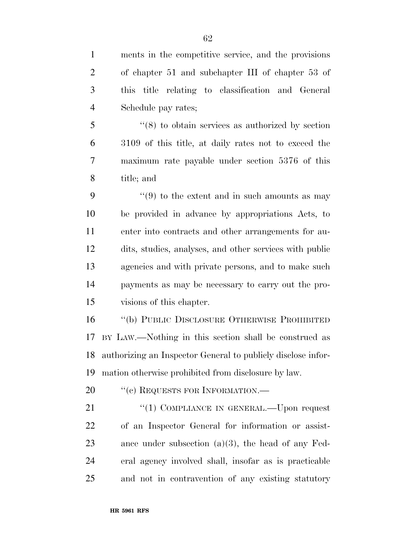ments in the competitive service, and the provisions of chapter 51 and subchapter III of chapter 53 of this title relating to classification and General Schedule pay rates;

 ''(8) to obtain services as authorized by section 3109 of this title, at daily rates not to exceed the maximum rate payable under section 5376 of this title; and

 $(9)$  to the extent and in such amounts as may be provided in advance by appropriations Acts, to enter into contracts and other arrangements for au- dits, studies, analyses, and other services with public agencies and with private persons, and to make such payments as may be necessary to carry out the pro-visions of this chapter.

 ''(b) PUBLIC DISCLOSURE OTHERWISE PROHIBITED BY LAW.—Nothing in this section shall be construed as authorizing an Inspector General to publicly disclose infor-mation otherwise prohibited from disclosure by law.

20 "(c) REQUESTS FOR INFORMATION.—

21 "(1) COMPLIANCE IN GENERAL.—Upon request of an Inspector General for information or assist- ance under subsection (a)(3), the head of any Fed- eral agency involved shall, insofar as is practicable and not in contravention of any existing statutory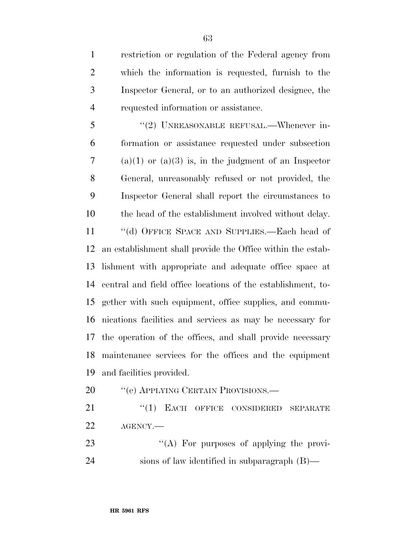restriction or regulation of the Federal agency from which the information is requested, furnish to the Inspector General, or to an authorized designee, the requested information or assistance.

5 "(2) UNREASONABLE REFUSAL.—Whenever in- formation or assistance requested under subsection 7 (a)(1) or (a)(3) is, in the judgment of an Inspector General, unreasonably refused or not provided, the Inspector General shall report the circumstances to the head of the establishment involved without delay.

 ''(d) OFFICE SPACE AND SUPPLIES.—Each head of an establishment shall provide the Office within the estab- lishment with appropriate and adequate office space at central and field office locations of the establishment, to- gether with such equipment, office supplies, and commu- nications facilities and services as may be necessary for the operation of the offices, and shall provide necessary maintenance services for the offices and the equipment and facilities provided.

20 "'(e) APPLYING CERTAIN PROVISIONS.—

21 "(1) EACH OFFICE CONSIDERED SEPARATE AGENCY.—

23 "(A) For purposes of applying the provi-sions of law identified in subparagraph (B)—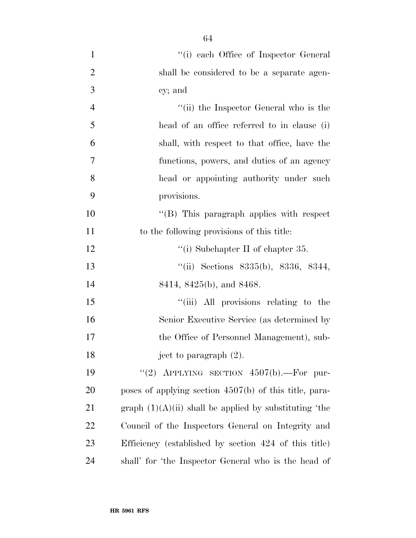| $\mathbf{1}$   | "(i) each Office of Inspector General                    |
|----------------|----------------------------------------------------------|
| $\overline{2}$ | shall be considered to be a separate agen-               |
| 3              | cy; and                                                  |
| $\overline{4}$ | "(ii) the Inspector General who is the                   |
| 5              | head of an office referred to in clause (i)              |
| 6              | shall, with respect to that office, have the             |
| 7              | functions, powers, and duties of an agency               |
| 8              | head or appointing authority under such                  |
| 9              | provisions.                                              |
| 10             | $\lq\lq$ (B) This paragraph applies with respect         |
| 11             | to the following provisions of this title:               |
| 12             | "(i) Subchapter II of chapter 35.                        |
| 13             | "(ii) Sections $8335(b)$ , $8336$ , $8344$ ,             |
| 14             | 8414, 8425(b), and 8468.                                 |
| 15             | "(iii) All provisions relating to the                    |
| 16             | Senior Executive Service (as determined by               |
| 17             | the Office of Personnel Management), sub-                |
| 18             | ject to paragraph $(2)$ .                                |
| 19             | "(2) APPLYING SECTION $4507(b)$ . For pur-               |
| 20             | poses of applying section $4507(b)$ of this title, para- |
| 21             | graph $(1)(A)(ii)$ shall be applied by substituting 'the |
| 22             | Council of the Inspectors General on Integrity and       |
| 23             | Efficiency (established by section 424 of this title)    |
| 24             | shall' for 'the Inspector General who is the head of     |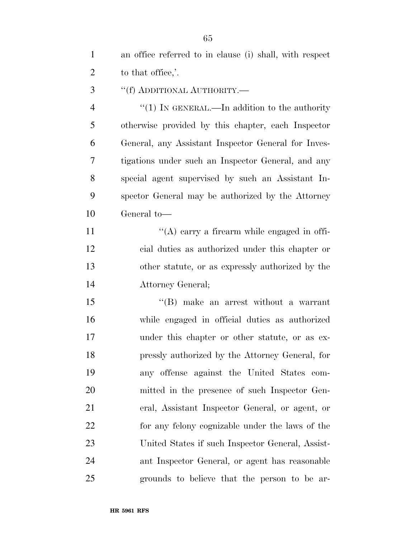an office referred to in clause (i) shall, with respect 2 to that office,'.

''(f) ADDITIONAL AUTHORITY.—

4 "(1) IN GENERAL.—In addition to the authority otherwise provided by this chapter, each Inspector General, any Assistant Inspector General for Inves- tigations under such an Inspector General, and any special agent supervised by such an Assistant In- spector General may be authorized by the Attorney General to—

 $'$ (A) carry a firearm while engaged in offi- cial duties as authorized under this chapter or other statute, or as expressly authorized by the Attorney General;

15 "(B) make an arrest without a warrant while engaged in official duties as authorized under this chapter or other statute, or as ex- pressly authorized by the Attorney General, for any offense against the United States com- mitted in the presence of such Inspector Gen- eral, Assistant Inspector General, or agent, or for any felony cognizable under the laws of the United States if such Inspector General, Assist- ant Inspector General, or agent has reasonable grounds to believe that the person to be ar-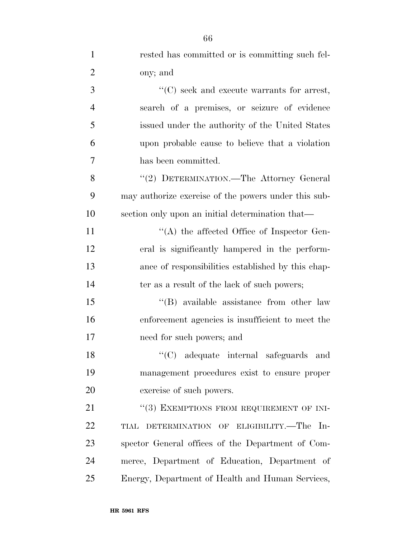| $\mathbf{1}$   | rested has committed or is committing such fel-      |
|----------------|------------------------------------------------------|
| $\overline{2}$ | ony; and                                             |
| 3              | $\lq\lq$ (C) seek and execute warrants for arrest,   |
| $\overline{4}$ | search of a premises, or seizure of evidence         |
| 5              | issued under the authority of the United States      |
| 6              | upon probable cause to believe that a violation      |
| 7              | has been committed.                                  |
| 8              | "(2) DETERMINATION.—The Attorney General             |
| 9              | may authorize exercise of the powers under this sub- |
| 10             | section only upon an initial determination that—     |
| 11             | $\lq\lq$ the affected Office of Inspector Gen-       |
| 12             | eral is significantly hampered in the perform-       |
| 13             | ance of responsibilities established by this chap-   |
| 14             | ter as a result of the lack of such powers;          |
| 15             | "(B) available assistance from other law             |
| 16             | enforcement agencies is insufficient to meet the     |
| 17             | need for such powers; and                            |
| 18             | "(C) adequate internal safeguards and                |
| 19             | management procedures exist to ensure proper         |
| 20             | exercise of such powers.                             |
| 21             | "(3) EXEMPTIONS FROM REQUIREMENT OF INI-             |
| 22             | TIAL DETERMINATION OF ELIGIBILITY.—The In-           |
| 23             | spector General offices of the Department of Com-    |
| 24             | merce, Department of Education, Department of        |
| 25             | Energy, Department of Health and Human Services,     |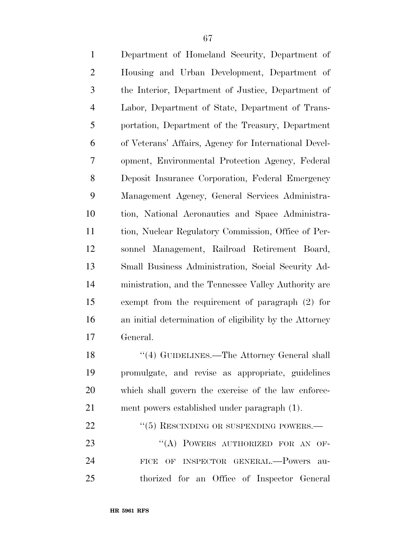| $\mathbf{1}$   | Department of Homeland Security, Department of          |
|----------------|---------------------------------------------------------|
| $\overline{2}$ | Housing and Urban Development, Department of            |
| 3              | the Interior, Department of Justice, Department of      |
| $\overline{4}$ | Labor, Department of State, Department of Trans-        |
| 5              | portation, Department of the Treasury, Department       |
| 6              | of Veterans' Affairs, Agency for International Devel-   |
| $\overline{7}$ | opment, Environmental Protection Agency, Federal        |
| 8              | Deposit Insurance Corporation, Federal Emergency        |
| 9              | Management Agency, General Services Administra-         |
| 10             | tion, National Aeronautics and Space Administra-        |
| 11             | tion, Nuclear Regulatory Commission, Office of Per-     |
| 12             | sonnel Management, Railroad Retirement Board,           |
| 13             | Small Business Administration, Social Security Ad-      |
| 14             | ministration, and the Tennessee Valley Authority are    |
| 15             | exempt from the requirement of paragraph $(2)$ for      |
| 16             | an initial determination of eligibility by the Attorney |
| 17             | General.                                                |
| 18             | "(4) GUIDELINES.—The Attorney General shall             |
| 19             | promulgate, and revise as appropriate, guidelines       |
| 20             | which shall govern the exercise of the law enforce-     |
| 21             | ment powers established under paragraph (1).            |
| 22             | $``(5)$ RESCINDING OR SUSPENDING POWERS.—               |
| 23             | "(A) POWERS AUTHORIZED FOR AN OF-                       |
| 24             | OF INSPECTOR GENERAL.-Powers<br><b>FICE</b><br>au-      |
| 25             | thorized for an Office of Inspector General             |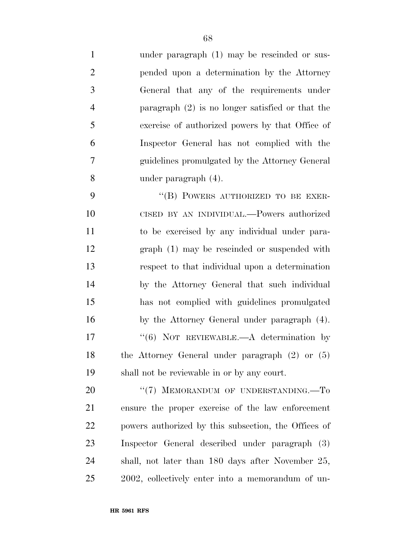under paragraph (1) may be rescinded or sus- pended upon a determination by the Attorney General that any of the requirements under paragraph (2) is no longer satisfied or that the exercise of authorized powers by that Office of Inspector General has not complied with the guidelines promulgated by the Attorney General under paragraph (4).

9 "(B) POWERS AUTHORIZED TO BE EXER- CISED BY AN INDIVIDUAL.—Powers authorized to be exercised by any individual under para- graph (1) may be rescinded or suspended with respect to that individual upon a determination by the Attorney General that such individual has not complied with guidelines promulgated by the Attorney General under paragraph (4). 17 "(6) NOT REVIEWABLE.—A determination by the Attorney General under paragraph (2) or (5) shall not be reviewable in or by any court.

20 "(7) MEMORANDUM OF UNDERSTANDING.—To ensure the proper exercise of the law enforcement powers authorized by this subsection, the Offices of Inspector General described under paragraph (3) shall, not later than 180 days after November 25, 2002, collectively enter into a memorandum of un-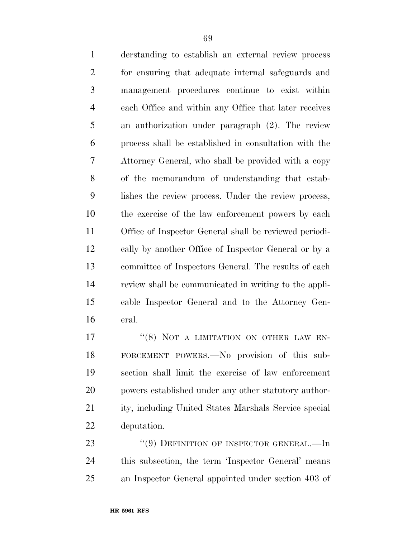| derstanding to establish an external review process    |
|--------------------------------------------------------|
| for ensuring that adequate internal safeguards and     |
| management procedures continue to exist within         |
| each Office and within any Office that later receives  |
| an authorization under paragraph (2). The review       |
| process shall be established in consultation with the  |
| Attorney General, who shall be provided with a copy    |
| of the memorandum of understanding that estab-         |
| lishes the review process. Under the review process,   |
| the exercise of the law enforcement powers by each     |
| Office of Inspector General shall be reviewed periodi- |
| cally by another Office of Inspector General or by a   |
| committee of Inspectors General. The results of each   |
| review shall be communicated in writing to the appli-  |
| cable Inspector General and to the Attorney Gen-       |
|                                                        |
|                                                        |

17 "(8) NOT A LIMITATION ON OTHER LAW EN- FORCEMENT POWERS.—No provision of this sub- section shall limit the exercise of law enforcement powers established under any other statutory author- ity, including United States Marshals Service special deputation.

23 "(9) DEFINITION OF INSPECTOR GENERAL.—In this subsection, the term 'Inspector General' means an Inspector General appointed under section 403 of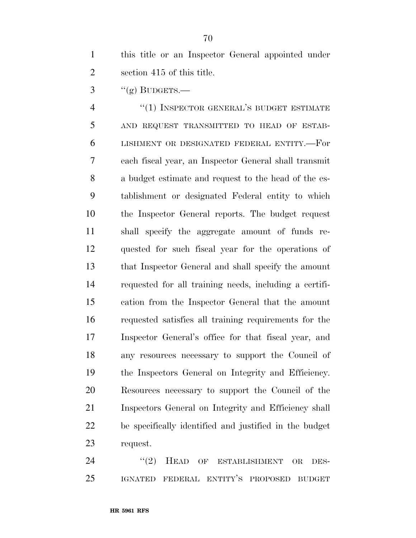this title or an Inspector General appointed under section 415 of this title.

 $\frac{3}{2}$  ''(g) BUDGETS.—

 ''(1) INSPECTOR GENERAL'S BUDGET ESTIMATE AND REQUEST TRANSMITTED TO HEAD OF ESTAB- LISHMENT OR DESIGNATED FEDERAL ENTITY.—For each fiscal year, an Inspector General shall transmit a budget estimate and request to the head of the es- tablishment or designated Federal entity to which the Inspector General reports. The budget request shall specify the aggregate amount of funds re- quested for such fiscal year for the operations of that Inspector General and shall specify the amount requested for all training needs, including a certifi- cation from the Inspector General that the amount requested satisfies all training requirements for the Inspector General's office for that fiscal year, and any resources necessary to support the Council of the Inspectors General on Integrity and Efficiency. Resources necessary to support the Council of the Inspectors General on Integrity and Efficiency shall be specifically identified and justified in the budget request.

24 "(2) HEAD OF ESTABLISHMENT OR DES-IGNATED FEDERAL ENTITY'S PROPOSED BUDGET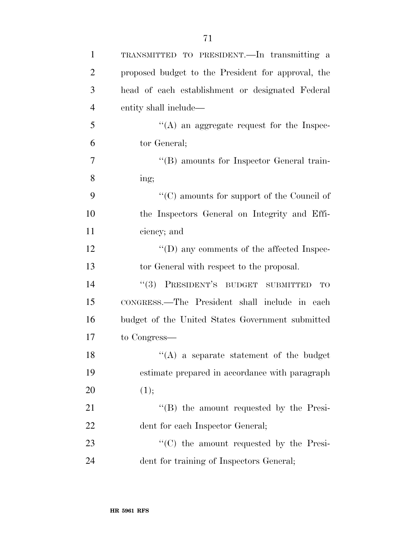| $\mathbf{1}$   | TRANSMITTED TO PRESIDENT. In transmitting a        |
|----------------|----------------------------------------------------|
| $\overline{2}$ | proposed budget to the President for approval, the |
| 3              | head of each establishment or designated Federal   |
| $\overline{4}$ | entity shall include—                              |
| 5              | $\lq\lq$ an aggregate request for the Inspec-      |
| 6              | tor General;                                       |
| 7              | "(B) amounts for Inspector General train-          |
| 8              | ing;                                               |
| 9              | $\cdot$ (C) amounts for support of the Council of  |
| 10             | the Inspectors General on Integrity and Effi-      |
| 11             | ciency; and                                        |
| 12             | $\lq\lq$ (D) any comments of the affected Inspec-  |
| 13             | tor General with respect to the proposal.          |
| 14             | "(3) PRESIDENT'S BUDGET SUBMITTED<br>TO            |
| 15             | CONGRESS.—The President shall include in each      |
| 16             | budget of the United States Government submitted   |
| 17             | to Congress—                                       |
| 18             | $\lq\lq$ a separate statement of the budget        |
| 19             | estimate prepared in accordance with paragraph     |
| 20             | (1);                                               |
| 21             | $\lq\lq$ the amount requested by the Presi-        |
| 22             | dent for each Inspector General;                   |
| 23             | $\cdot$ (C) the amount requested by the Presi-     |
| 24             | dent for training of Inspectors General;           |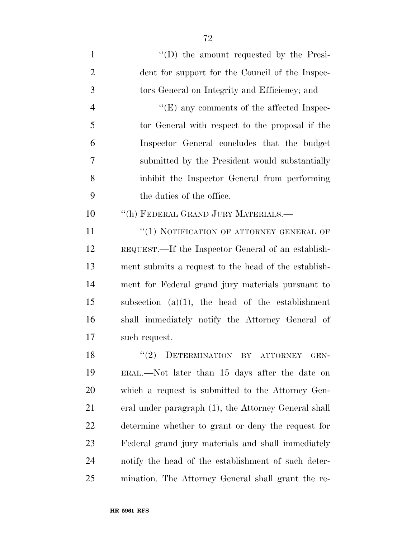$''(D)$  the amount requested by the Presi- dent for support for the Council of the Inspec- tors General on Integrity and Efficiency; and  $"$ (E) any comments of the affected Inspec- tor General with respect to the proposal if the Inspector General concludes that the budget submitted by the President would substantially inhibit the Inspector General from performing the duties of the office. 10 "(h) FEDERAL GRAND JURY MATERIALS.— 11 "(1) NOTIFICATION OF ATTORNEY GENERAL OF REQUEST.—If the Inspector General of an establish- ment submits a request to the head of the establish- ment for Federal grand jury materials pursuant to subsection (a)(1), the head of the establishment shall immediately notify the Attorney General of such request. 18 "(2) DETERMINATION BY ATTORNEY GEN- ERAL.—Not later than 15 days after the date on which a request is submitted to the Attorney Gen- eral under paragraph (1), the Attorney General shall determine whether to grant or deny the request for

 Federal grand jury materials and shall immediately notify the head of the establishment of such deter-mination. The Attorney General shall grant the re-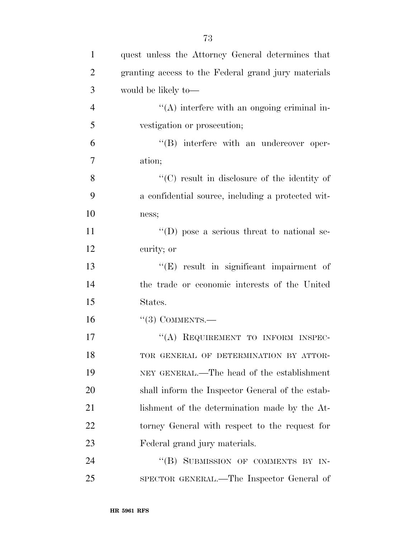| $\mathbf{1}$   | quest unless the Attorney General determines that   |
|----------------|-----------------------------------------------------|
| $\overline{2}$ | granting access to the Federal grand jury materials |
| 3              | would be likely to-                                 |
| $\overline{4}$ | $\lq\lq$ interfere with an ongoing criminal in-     |
| 5              | vestigation or prosecution;                         |
| 6              | $\lq\lq (B)$ interfere with an undercover oper-     |
| $\overline{7}$ | ation;                                              |
| 8              | "(C) result in disclosure of the identity of        |
| 9              | a confidential source, including a protected wit-   |
| 10             | ness;                                               |
| 11             | "(D) pose a serious threat to national se-          |
| 12             | curity; or                                          |
| 13             | $\lq\lq(E)$ result in significant impairment of     |
| 14             | the trade or economic interests of the United       |
| 15             | States.                                             |
| 16             | $``(3)$ COMMENTS.—                                  |
| 17             | "(A) REQUIREMENT TO INFORM INSPEC-                  |
| 18             | TOR GENERAL OF DETERMINATION BY ATTOR-              |
| 19             | NEY GENERAL.—The head of the establishment          |
| 20             | shall inform the Inspector General of the estab-    |
| 21             | lishment of the determination made by the At-       |
| 22             | torney General with respect to the request for      |
| 23             | Federal grand jury materials.                       |
| 24             | SUBMISSION OF COMMENTS BY IN-<br>``(B)              |
| 25             | SPECTOR GENERAL.—The Inspector General of           |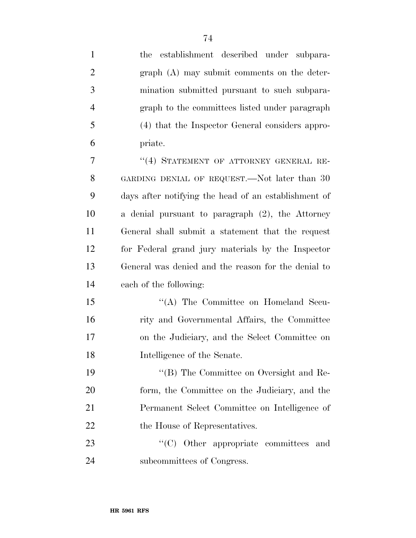| $\mathbf{1}$   | establishment described under subpara-<br>the        |
|----------------|------------------------------------------------------|
| $\overline{2}$ | $graph(A)$ may submit comments on the deter-         |
| 3              | mination submitted pursuant to such subpara-         |
| $\overline{4}$ | graph to the committees listed under paragraph       |
| 5              | (4) that the Inspector General considers appro-      |
| 6              | priate.                                              |
| 7              | "(4) STATEMENT OF ATTORNEY GENERAL RE-               |
| 8              | GARDING DENIAL OF REQUEST.—Not later than 30         |
| 9              | days after notifying the head of an establishment of |
| 10             | a denial pursuant to paragraph (2), the Attorney     |
| 11             | General shall submit a statement that the request    |
| 12             | for Federal grand jury materials by the Inspector    |
| 13             | General was denied and the reason for the denial to  |
| 14             | each of the following:                               |
| 15             | "(A) The Committee on Homeland Secu-                 |
| 16             | rity and Governmental Affairs, the Committee         |
| 17             | on the Judiciary, and the Select Committee on        |
| 18             | Intelligence of the Senate.                          |
| 19             | "(B) The Committee on Oversight and Re-              |
| 20             | form, the Committee on the Judiciary, and the        |
| 21             | Permanent Select Committee on Intelligence of        |
| 22             | the House of Representatives.                        |
| 23             | "(C) Other appropriate committees and                |
| 24             | subcommittees of Congress.                           |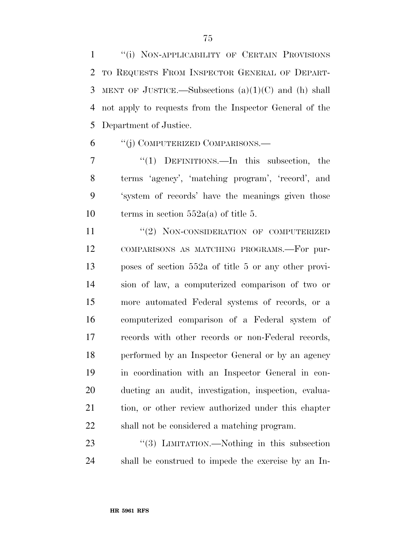1 "(i) NON-APPLICABILITY OF CERTAIN PROVISIONS TO REQUESTS FROM INSPECTOR GENERAL OF DEPART- MENT OF JUSTICE.—Subsections (a)(1)(C) and (h) shall not apply to requests from the Inspector General of the Department of Justice.

''(j) COMPUTERIZED COMPARISONS.—

 ''(1) DEFINITIONS.—In this subsection, the terms 'agency', 'matching program', 'record', and 'system of records' have the meanings given those 10 terms in section  $552a(a)$  of title 5.

11 "(2) NON-CONSIDERATION OF COMPUTERIZED COMPARISONS AS MATCHING PROGRAMS.—For pur- poses of section 552a of title 5 or any other provi- sion of law, a computerized comparison of two or more automated Federal systems of records, or a computerized comparison of a Federal system of records with other records or non-Federal records, performed by an Inspector General or by an agency in coordination with an Inspector General in con- ducting an audit, investigation, inspection, evalua- tion, or other review authorized under this chapter shall not be considered a matching program.

23 "(3) LIMITATION.—Nothing in this subsection shall be construed to impede the exercise by an In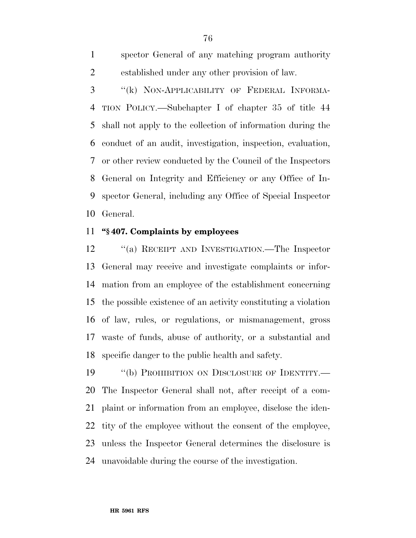spector General of any matching program authority established under any other provision of law.

 ''(k) NON-APPLICABILITY OF FEDERAL INFORMA- TION POLICY.—Subchapter I of chapter 35 of title 44 shall not apply to the collection of information during the conduct of an audit, investigation, inspection, evaluation, or other review conducted by the Council of the Inspectors General on Integrity and Efficiency or any Office of In- spector General, including any Office of Special Inspector General.

#### **''§ 407. Complaints by employees**

 ''(a) RECEIPT AND INVESTIGATION.—The Inspector General may receive and investigate complaints or infor- mation from an employee of the establishment concerning the possible existence of an activity constituting a violation of law, rules, or regulations, or mismanagement, gross waste of funds, abuse of authority, or a substantial and specific danger to the public health and safety.

19 "(b) PROHIBITION ON DISCLOSURE OF IDENTITY.— The Inspector General shall not, after receipt of a com- plaint or information from an employee, disclose the iden- tity of the employee without the consent of the employee, unless the Inspector General determines the disclosure is unavoidable during the course of the investigation.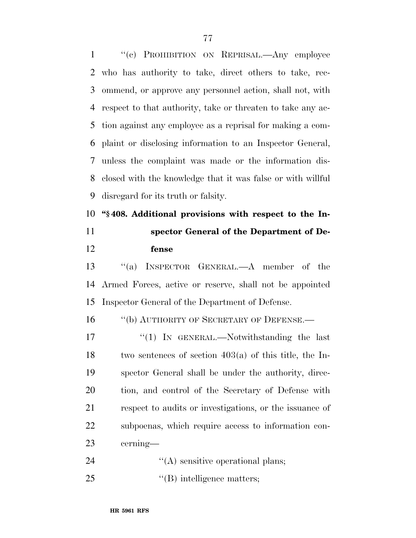''(c) PROHIBITION ON REPRISAL.—Any employee who has authority to take, direct others to take, rec- ommend, or approve any personnel action, shall not, with respect to that authority, take or threaten to take any ac- tion against any employee as a reprisal for making a com- plaint or disclosing information to an Inspector General, unless the complaint was made or the information dis- closed with the knowledge that it was false or with willful disregard for its truth or falsity. **''§ 408. Additional provisions with respect to the In-**

**fense** 

# **spector General of the Department of De-**

 ''(a) INSPECTOR GENERAL.—A member of the Armed Forces, active or reserve, shall not be appointed Inspector General of the Department of Defense.

16 "(b) AUTHORITY OF SECRETARY OF DEFENSE.—

17 "(1) In GENERAL.—Notwithstanding the last 18 two sentences of section  $403(a)$  of this title, the In- spector General shall be under the authority, direc- tion, and control of the Secretary of Defense with respect to audits or investigations, or the issuance of subpoenas, which require access to information con-cerning—

- 24  $\langle (A)$  sensitive operational plans;
- 25  $\text{``(B)}$  intelligence matters;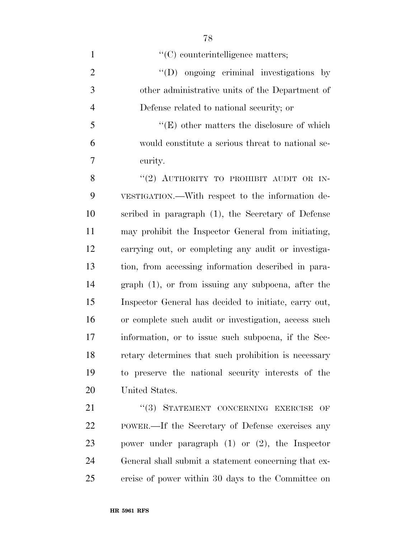$\langle (C)$  counterintelligence matters;  $\text{``(D)}$  ongoing criminal investigations by other administrative units of the Department of Defense related to national security; or ''(E) other matters the disclosure of which would constitute a serious threat to national se- curity. 8 "(2) AUTHORITY TO PROHIBIT AUDIT OR IN- VESTIGATION.—With respect to the information de- scribed in paragraph (1), the Secretary of Defense may prohibit the Inspector General from initiating, carrying out, or completing any audit or investiga- tion, from accessing information described in para- graph (1), or from issuing any subpoena, after the Inspector General has decided to initiate, carry out, or complete such audit or investigation, access such information, or to issue such subpoena, if the Sec- retary determines that such prohibition is necessary to preserve the national security interests of the United States.

21 "(3) STATEMENT CONCERNING EXERCISE OF POWER.—If the Secretary of Defense exercises any power under paragraph (1) or (2), the Inspector General shall submit a statement concerning that ex-ercise of power within 30 days to the Committee on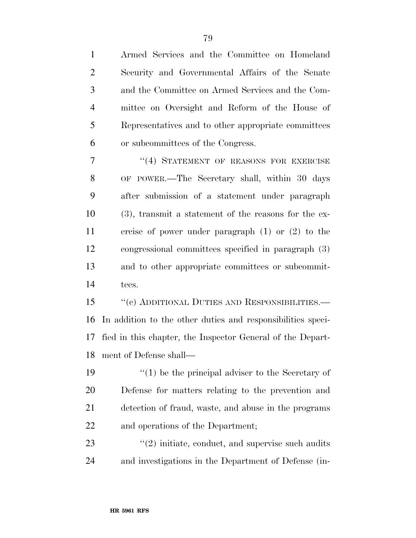Armed Services and the Committee on Homeland Security and Governmental Affairs of the Senate and the Committee on Armed Services and the Com- mittee on Oversight and Reform of the House of Representatives and to other appropriate committees or subcommittees of the Congress.

7 "(4) STATEMENT OF REASONS FOR EXERCISE OF POWER.—The Secretary shall, within 30 days after submission of a statement under paragraph (3), transmit a statement of the reasons for the ex- ercise of power under paragraph (1) or (2) to the congressional committees specified in paragraph (3) and to other appropriate committees or subcommit-tees.

 ''(c) ADDITIONAL DUTIES AND RESPONSIBILITIES.— In addition to the other duties and responsibilities speci- fied in this chapter, the Inspector General of the Depart-ment of Defense shall—

 $\frac{1}{2}$  (1) be the principal adviser to the Secretary of Defense for matters relating to the prevention and detection of fraud, waste, and abuse in the programs and operations of the Department;

23 ''(2) initiate, conduct, and supervise such audits and investigations in the Department of Defense (in-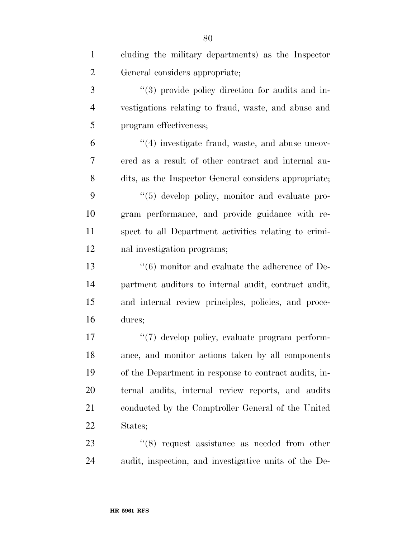| $\mathbf{1}$   | cluding the military departments) as the Inspector         |
|----------------|------------------------------------------------------------|
| $\overline{2}$ | General considers appropriate;                             |
| 3              | "(3) provide policy direction for audits and in-           |
| $\overline{4}$ | vestigations relating to fraud, waste, and abuse and       |
| 5              | program effectiveness;                                     |
| 6              | $\cdot$ (4) investigate fraud, waste, and abuse uncov-     |
| 7              | ered as a result of other contract and internal au-        |
| 8              | dits, as the Inspector General considers appropriate;      |
| 9              | "(5) develop policy, monitor and evaluate pro-             |
| 10             | gram performance, and provide guidance with re-            |
| 11             | spect to all Department activities relating to crimi-      |
| 12             | nal investigation programs;                                |
| 13             | $\cdot\cdot$ (6) monitor and evaluate the adherence of De- |
| 14             | partment auditors to internal audit, contract audit,       |
| 15             | and internal review principles, policies, and proce-       |
| 16             | dures;                                                     |
| 17             | "(7) develop policy, evaluate program perform-             |
| 18             | ance, and monitor actions taken by all components          |
| 19             | of the Department in response to contract audits, in-      |
| 20             | ternal audits, internal review reports, and audits         |
| 21             | conducted by the Comptroller General of the United         |
| 22             | States;                                                    |
| 23             | $\cdot$ (8) request assistance as needed from other        |
| 24             | audit, inspection, and investigative units of the De-      |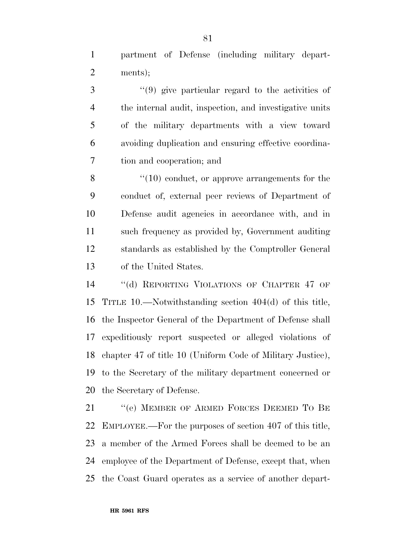partment of Defense (including military depart-ments);

 ''(9) give particular regard to the activities of the internal audit, inspection, and investigative units of the military departments with a view toward avoiding duplication and ensuring effective coordina-tion and cooperation; and

8 "(10) conduct, or approve arrangements for the conduct of, external peer reviews of Department of Defense audit agencies in accordance with, and in such frequency as provided by, Government auditing standards as established by the Comptroller General of the United States.

 ''(d) REPORTING VIOLATIONS OF CHAPTER 47 OF TITLE 10.—Notwithstanding section 404(d) of this title, the Inspector General of the Department of Defense shall expeditiously report suspected or alleged violations of chapter 47 of title 10 (Uniform Code of Military Justice), to the Secretary of the military department concerned or the Secretary of Defense.

21 "(e) MEMBER OF ARMED FORCES DEEMED TO BE EMPLOYEE.—For the purposes of section 407 of this title, a member of the Armed Forces shall be deemed to be an employee of the Department of Defense, except that, when the Coast Guard operates as a service of another depart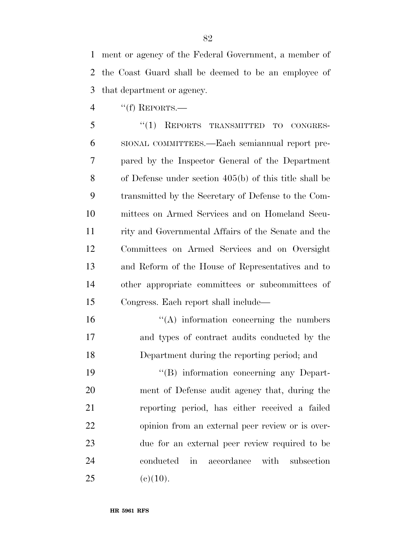ment or agency of the Federal Government, a member of the Coast Guard shall be deemed to be an employee of that department or agency.

''(f) REPORTS.—

 ''(1) REPORTS TRANSMITTED TO CONGRES- SIONAL COMMITTEES.—Each semiannual report pre- pared by the Inspector General of the Department of Defense under section 405(b) of this title shall be transmitted by the Secretary of Defense to the Com- mittees on Armed Services and on Homeland Secu- rity and Governmental Affairs of the Senate and the Committees on Armed Services and on Oversight and Reform of the House of Representatives and to other appropriate committees or subcommittees of Congress. Each report shall include—

 ''(A) information concerning the numbers and types of contract audits conducted by the Department during the reporting period; and

 $\langle G \rangle$  information concerning any Depart- ment of Defense audit agency that, during the reporting period, has either received a failed opinion from an external peer review or is over- due for an external peer review required to be conducted in accordance with subsection 25 (e)(10).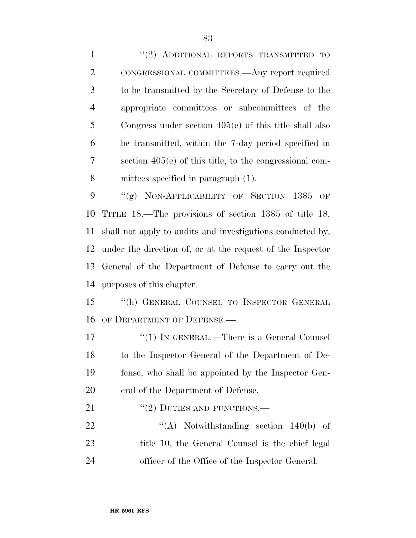1 "(2) ADDITIONAL REPORTS TRANSMITTED TO CONGRESSIONAL COMMITTEES.—Any report required to be transmitted by the Secretary of Defense to the appropriate committees or subcommittees of the Congress under section 405(e) of this title shall also be transmitted, within the 7-day period specified in section 405(e) of this title, to the congressional com- mittees specified in paragraph (1). 9 "(g) NON-APPLICABILITY OF SECTION 1385 OF TITLE 18.—The provisions of section 1385 of title 18, shall not apply to audits and investigations conducted by, under the direction of, or at the request of the Inspector

 General of the Department of Defense to carry out the purposes of this chapter.

 ''(h) GENERAL COUNSEL TO INSPECTOR GENERAL OF DEPARTMENT OF DEFENSE.—

17 "(1) IN GENERAL.—There is a General Counsel to the Inspector General of the Department of De- fense, who shall be appointed by the Inspector Gen-eral of the Department of Defense.

21 "(2) DUTIES AND FUNCTIONS.—

22  $\langle (A) \rangle$  Notwithstanding section 140(b) of 23 title 10, the General Counsel is the chief legal officer of the Office of the Inspector General.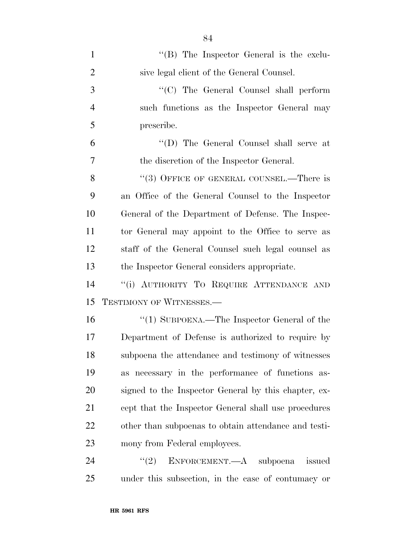| $\mathbf{1}$   | " $(B)$ The Inspector General is the exclu-          |
|----------------|------------------------------------------------------|
| $\overline{2}$ | sive legal client of the General Counsel.            |
| 3              | "(C) The General Counsel shall perform               |
| $\overline{4}$ | such functions as the Inspector General may          |
| 5              | prescribe.                                           |
| 6              | "(D) The General Counsel shall serve at              |
| 7              | the discretion of the Inspector General.             |
| 8              | "(3) OFFICE OF GENERAL COUNSEL.—There is             |
| 9              | an Office of the General Counsel to the Inspector    |
| 10             | General of the Department of Defense. The Inspec-    |
| 11             | tor General may appoint to the Office to serve as    |
| 12             | staff of the General Counsel such legal counsel as   |
| 13             | the Inspector General considers appropriate.         |
| 14             | "(i) AUTHORITY TO REQUIRE ATTENDANCE AND             |
| 15             | TESTIMONY OF WITNESSES.-                             |
| 16             | "(1) SUBPOENA.—The Inspector General of the          |
| 17             | Department of Defense is authorized to require by    |
| 18             | subpoena the attendance and testimony of witnesses   |
| 19             | as necessary in the performance of functions as-     |
| 20             | signed to the Inspector General by this chapter, ex- |
| 21             | cept that the Inspector General shall use procedures |
| 22             | other than subpoenas to obtain attendance and testi- |
| 23             | mony from Federal employees.                         |
| 24             | ENFORCEMENT.—A subpoena<br>(2)<br>issued             |
| 25             | under this subsection, in the case of contumacy or   |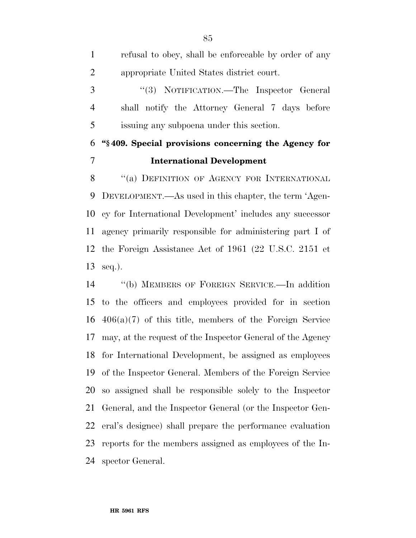refusal to obey, shall be enforceable by order of any appropriate United States district court. ''(3) NOTIFICATION.—The Inspector General shall notify the Attorney General 7 days before issuing any subpoena under this section. **''§ 409. Special provisions concerning the Agency for International Development**  8 "(a) DEFINITION OF AGENCY FOR INTERNATIONAL DEVELOPMENT.—As used in this chapter, the term 'Agen- cy for International Development' includes any successor agency primarily responsible for administering part I of the Foreign Assistance Act of 1961 (22 U.S.C. 2151 et seq.).

 ''(b) MEMBERS OF FOREIGN SERVICE.—In addition to the officers and employees provided for in section 406(a)(7) of this title, members of the Foreign Service may, at the request of the Inspector General of the Agency for International Development, be assigned as employees of the Inspector General. Members of the Foreign Service so assigned shall be responsible solely to the Inspector General, and the Inspector General (or the Inspector Gen- eral's designee) shall prepare the performance evaluation reports for the members assigned as employees of the In-spector General.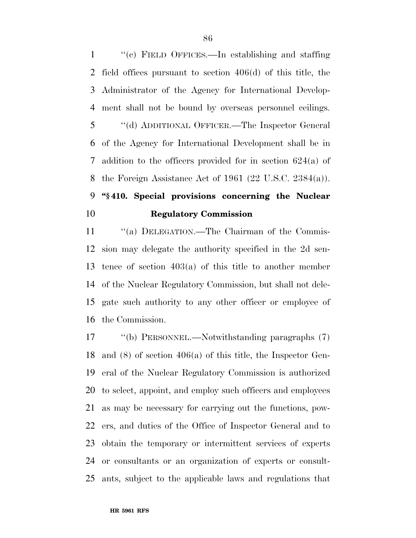''(c) FIELD OFFICES.—In establishing and staffing field offices pursuant to section 406(d) of this title, the Administrator of the Agency for International Develop- ment shall not be bound by overseas personnel ceilings. ''(d) ADDITIONAL OFFICER.—The Inspector General of the Agency for International Development shall be in addition to the officers provided for in section 624(a) of the Foreign Assistance Act of 1961 (22 U.S.C. 2384(a)).

# **''§ 410. Special provisions concerning the Nuclear Regulatory Commission**

11 "(a) DELEGATION.—The Chairman of the Commis- sion may delegate the authority specified in the 2d sen- tence of section 403(a) of this title to another member of the Nuclear Regulatory Commission, but shall not dele- gate such authority to any other officer or employee of the Commission.

 ''(b) PERSONNEL.—Notwithstanding paragraphs (7) and (8) of section 406(a) of this title, the Inspector Gen- eral of the Nuclear Regulatory Commission is authorized to select, appoint, and employ such officers and employees as may be necessary for carrying out the functions, pow- ers, and duties of the Office of Inspector General and to obtain the temporary or intermittent services of experts or consultants or an organization of experts or consult-ants, subject to the applicable laws and regulations that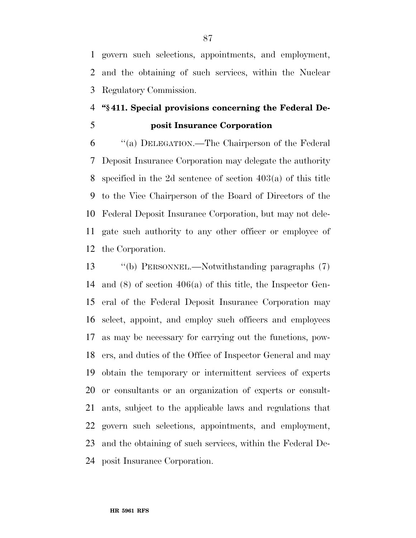govern such selections, appointments, and employment, and the obtaining of such services, within the Nuclear Regulatory Commission.

## **''§ 411. Special provisions concerning the Federal De-posit Insurance Corporation**

 ''(a) DELEGATION.—The Chairperson of the Federal Deposit Insurance Corporation may delegate the authority specified in the 2d sentence of section 403(a) of this title to the Vice Chairperson of the Board of Directors of the Federal Deposit Insurance Corporation, but may not dele- gate such authority to any other officer or employee of the Corporation.

 ''(b) PERSONNEL.—Notwithstanding paragraphs (7) and (8) of section 406(a) of this title, the Inspector Gen- eral of the Federal Deposit Insurance Corporation may select, appoint, and employ such officers and employees as may be necessary for carrying out the functions, pow- ers, and duties of the Office of Inspector General and may obtain the temporary or intermittent services of experts or consultants or an organization of experts or consult- ants, subject to the applicable laws and regulations that govern such selections, appointments, and employment, and the obtaining of such services, within the Federal De-posit Insurance Corporation.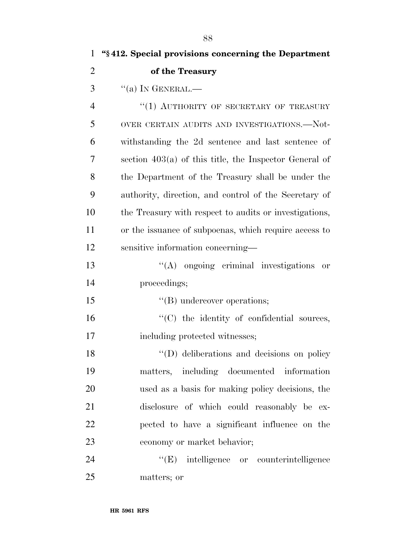| 1              | "\\$412. Special provisions concerning the Department    |
|----------------|----------------------------------------------------------|
| $\overline{2}$ | of the Treasury                                          |
| 3              | $``(a)$ In GENERAL.—                                     |
| $\overline{4}$ | $``(1)$ AUTHORITY OF SECRETARY OF TREASURY               |
| 5              | OVER CERTAIN AUDITS AND INVESTIGATIONS.—Not-             |
| 6              | withstanding the 2d sentence and last sentence of        |
| 7              | section $403(a)$ of this title, the Inspector General of |
| 8              | the Department of the Treasury shall be under the        |
| 9              | authority, direction, and control of the Secretary of    |
| 10             | the Treasury with respect to audits or investigations,   |
| 11             | or the issuance of subpoenas, which require access to    |
| 12             | sensitive information concerning—                        |
| 13             | $\lq\lq$ ongoing criminal investigations or              |
| 14             | proceedings;                                             |
| 15             | $\lq\lq$ (B) undercover operations;                      |
| 16             | "(C) the identity of confidential sources,               |
| 17             | including protected witnesses;                           |
| 18             | "(D) deliberations and decisions on policy"              |
| 19             | matters, including documented information                |
| 20             | used as a basis for making policy decisions, the         |
| 21             | disclosure of which could reasonably be ex-              |
| 22             | pected to have a significant influence on the            |
| 23             | economy or market behavior;                              |
| 24             | "(E) intelligence or counterintelligence                 |
| 25             | matters; or                                              |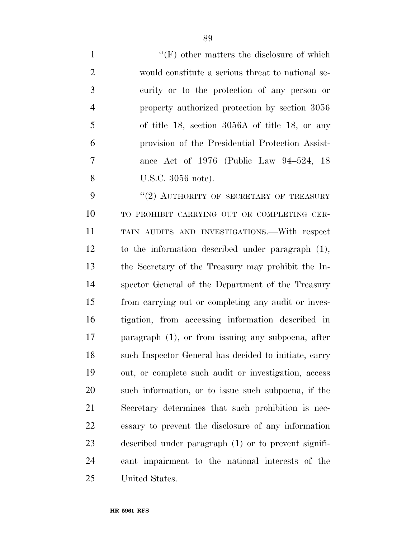1 ''(F) other matters the disclosure of which would constitute a serious threat to national se- curity or to the protection of any person or property authorized protection by section 3056 of title 18, section 3056A of title 18, or any provision of the Presidential Protection Assist- ance Act of 1976 (Public Law 94–524, 18 U.S.C. 3056 note).

9 "(2) AUTHORITY OF SECRETARY OF TREASURY TO PROHIBIT CARRYING OUT OR COMPLETING CER- TAIN AUDITS AND INVESTIGATIONS.—With respect to the information described under paragraph (1), the Secretary of the Treasury may prohibit the In- spector General of the Department of the Treasury from carrying out or completing any audit or inves- tigation, from accessing information described in paragraph (1), or from issuing any subpoena, after such Inspector General has decided to initiate, carry out, or complete such audit or investigation, access such information, or to issue such subpoena, if the Secretary determines that such prohibition is nec- essary to prevent the disclosure of any information described under paragraph (1) or to prevent signifi- cant impairment to the national interests of the United States.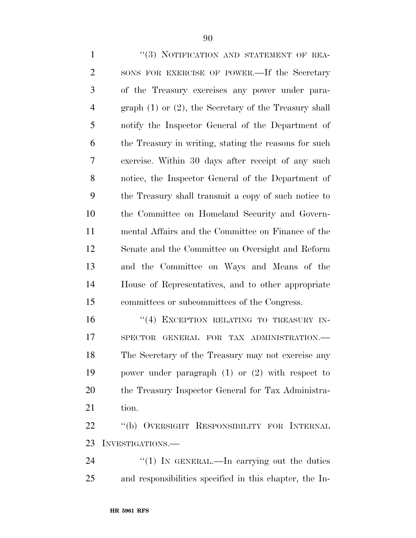| $\mathbf{1}$   | "(3) NOTIFICATION AND STATEMENT OF REA-                    |
|----------------|------------------------------------------------------------|
| $\overline{2}$ | SONS FOR EXERCISE OF POWER.—If the Secretary               |
| 3              | of the Treasury exercises any power under para-            |
| $\overline{4}$ | graph $(1)$ or $(2)$ , the Secretary of the Treasury shall |
| 5              | notify the Inspector General of the Department of          |
| 6              | the Treasury in writing, stating the reasons for such      |
| 7              | exercise. Within 30 days after receipt of any such         |
| 8              | notice, the Inspector General of the Department of         |
| 9              | the Treasury shall transmit a copy of such notice to       |
| 10             | the Committee on Homeland Security and Govern-             |
| 11             | mental Affairs and the Committee on Finance of the         |
| 12             | Senate and the Committee on Oversight and Reform           |
| 13             | and the Committee on Ways and Means of the                 |
| 14             | House of Representatives, and to other appropriate         |
| 15             | committees or subcommittees of the Congress.               |
| 16             | "(4) EXCEPTION RELATING TO TREASURY IN-                    |
| 17             | SPECTOR GENERAL FOR TAX ADMINISTRATION.-                   |
| 18             | The Secretary of the Treasury may not exercise any         |
| 19             | power under paragraph $(1)$ or $(2)$ with respect to       |
| 20             | the Treasury Inspector General for Tax Administra-         |
| 21             | tion.                                                      |

 ''(b) OVERSIGHT RESPONSIBILITY FOR INTERNAL INVESTIGATIONS.—

24 ''(1) IN GENERAL.—In carrying out the duties and responsibilities specified in this chapter, the In-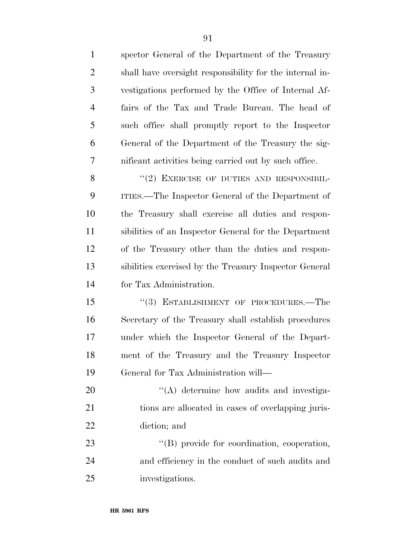| $\mathbf{1}$   | spector General of the Department of the Treasury        |
|----------------|----------------------------------------------------------|
| $\overline{2}$ | shall have oversight responsibility for the internal in- |
| 3              | vestigations performed by the Office of Internal Af-     |
| $\overline{4}$ | fairs of the Tax and Trade Bureau. The head of           |
| 5              | such office shall promptly report to the Inspector       |
| 6              | General of the Department of the Treasury the sig-       |
| 7              | nificant activities being carried out by such office.    |
| 8              | $``(2)$ EXERCISE OF DUTIES AND RESPONSIBIL-              |
| 9              | ITIES.—The Inspector General of the Department of        |
| 10             | the Treasury shall exercise all duties and respon-       |
| 11             | sibilities of an Inspector General for the Department    |
| 12             | of the Treasury other than the duties and respon-        |
| 13             | sibilities exercised by the Treasury Inspector General   |
| 14             | for Tax Administration.                                  |
| 15             | "(3) ESTABLISHMENT OF PROCEDURES.—The                    |
| 16             | Secretary of the Treasury shall establish procedures     |
| 17             | under which the Inspector General of the Depart-         |
| 18             | ment of the Treasury and the Treasury Inspector          |
| 19             | General for Tax Administration will—                     |
| 20             | "(A) determine how audits and investiga-                 |
| 21             | tions are allocated in cases of overlapping juris-       |
| 22             | diction; and                                             |
| 23             | "(B) provide for coordination, cooperation,              |
| 24             | and efficiency in the conduct of such audits and         |
| 25             | investigations.                                          |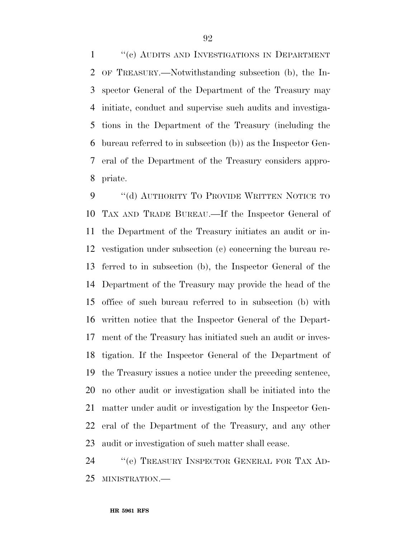1 ''(c) AUDITS AND INVESTIGATIONS IN DEPARTMENT OF TREASURY.—Notwithstanding subsection (b), the In- spector General of the Department of the Treasury may initiate, conduct and supervise such audits and investiga- tions in the Department of the Treasury (including the bureau referred to in subsection (b)) as the Inspector Gen- eral of the Department of the Treasury considers appro-priate.

9 "(d) AUTHORITY TO PROVIDE WRITTEN NOTICE TO TAX AND TRADE BUREAU.—If the Inspector General of the Department of the Treasury initiates an audit or in- vestigation under subsection (c) concerning the bureau re- ferred to in subsection (b), the Inspector General of the Department of the Treasury may provide the head of the office of such bureau referred to in subsection (b) with written notice that the Inspector General of the Depart- ment of the Treasury has initiated such an audit or inves- tigation. If the Inspector General of the Department of the Treasury issues a notice under the preceding sentence, no other audit or investigation shall be initiated into the matter under audit or investigation by the Inspector Gen- eral of the Department of the Treasury, and any other audit or investigation of such matter shall cease.

 ''(e) TREASURY INSPECTOR GENERAL FOR TAX AD-MINISTRATION.—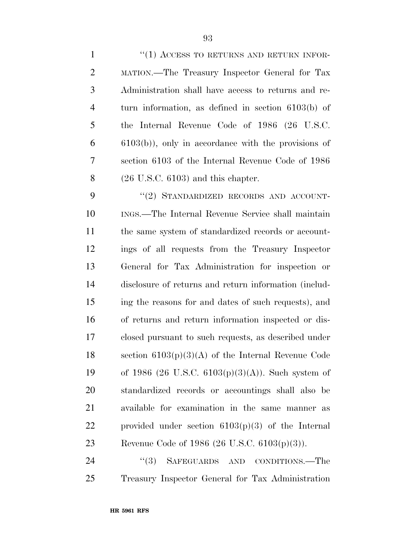| $\mathbf{1}$   | $``(1)$ ACCESS TO RETURNS AND RETURN INFOR-             |
|----------------|---------------------------------------------------------|
| $\overline{2}$ | MATION.—The Treasury Inspector General for Tax          |
| 3              | Administration shall have access to returns and re-     |
| $\overline{4}$ | turn information, as defined in section $6103(b)$ of    |
| 5              | the Internal Revenue Code of 1986 (26 U.S.C.            |
| 6              | $(6103(b))$ , only in accordance with the provisions of |
| 7              | section 6103 of the Internal Revenue Code of 1986       |
| 8              | $(26 \text{ U.S.C. } 6103)$ and this chapter.           |
| 9              | "(2) STANDARDIZED RECORDS AND ACCOUNT-                  |
| 10             | INGS.—The Internal Revenue Service shall maintain       |
| 11             | the same system of standardized records or account-     |
| 12             | ings of all requests from the Treasury Inspector        |
| 13             | General for Tax Administration for inspection or        |
| 14             | disclosure of returns and return information (includ-   |
| 15             | ing the reasons for and dates of such requests), and    |
| 16             | of returns and return information inspected or dis-     |
| 17             | closed pursuant to such requests, as described under    |
| 18             | section $6103(p)(3)(A)$ of the Internal Revenue Code    |
| 19             | of 1986 (26 U.S.C. $6103(p)(3)(A)$ ). Such system of    |
| 20             | standardized records or accountings shall also be       |
| 21             | available for examination in the same manner as         |
| 22             | provided under section $6103(p)(3)$ of the Internal     |
| 23             | Revenue Code of 1986 (26 U.S.C. $6103(p)(3)$ ).         |
| $2\pi$         | $\frac{47}{3}$ SAERCHAPDS AND CONDITIONS The            |

 ''(3) SAFEGUARDS AND CONDITIONS.—The Treasury Inspector General for Tax Administration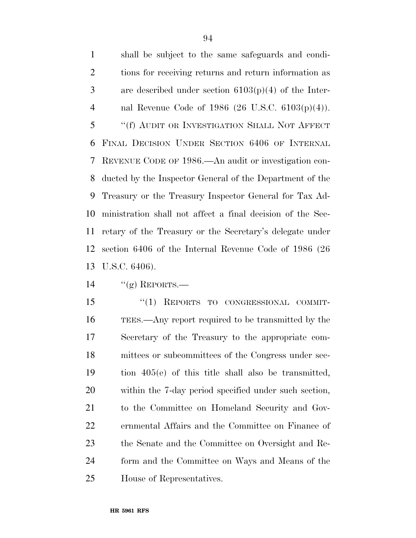shall be subject to the same safeguards and condi- tions for receiving returns and return information as are described under section 6103(p)(4) of the Inter- nal Revenue Code of 1986 (26 U.S.C. 6103(p)(4)). ''(f) AUDIT OR INVESTIGATION SHALL NOT AFFECT FINAL DECISION UNDER SECTION 6406 OF INTERNAL REVENUE CODE OF 1986.—An audit or investigation con- ducted by the Inspector General of the Department of the Treasury or the Treasury Inspector General for Tax Ad- ministration shall not affect a final decision of the Sec- retary of the Treasury or the Secretary's delegate under section 6406 of the Internal Revenue Code of 1986 (26 U.S.C. 6406).

14  $\frac{u(\mathbf{g})}{\mathbf{g}}$  REPORTS.

15 "(1) REPORTS TO CONGRESSIONAL COMMIT- TEES.—Any report required to be transmitted by the Secretary of the Treasury to the appropriate com- mittees or subcommittees of the Congress under sec- tion 405(e) of this title shall also be transmitted, within the 7-day period specified under such section, to the Committee on Homeland Security and Gov- ernmental Affairs and the Committee on Finance of the Senate and the Committee on Oversight and Re- form and the Committee on Ways and Means of the House of Representatives.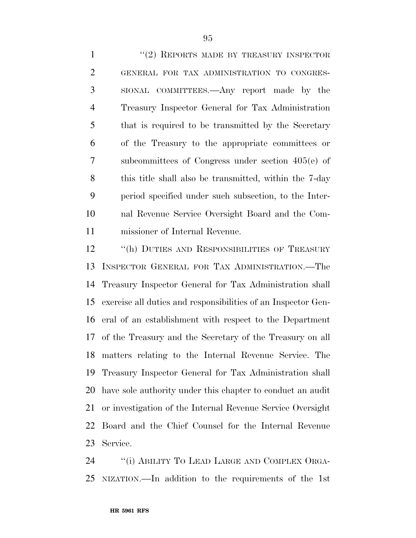1 "(2) REPORTS MADE BY TREASURY INSPECTOR GENERAL FOR TAX ADMINISTRATION TO CONGRES- SIONAL COMMITTEES.—Any report made by the Treasury Inspector General for Tax Administration that is required to be transmitted by the Secretary of the Treasury to the appropriate committees or subcommittees of Congress under section 405(e) of this title shall also be transmitted, within the 7-day period specified under such subsection, to the Inter- nal Revenue Service Oversight Board and the Com-missioner of Internal Revenue.

12 "(h) DUTIES AND RESPONSIBILITIES OF TREASURY INSPECTOR GENERAL FOR TAX ADMINISTRATION.—The Treasury Inspector General for Tax Administration shall exercise all duties and responsibilities of an Inspector Gen- eral of an establishment with respect to the Department of the Treasury and the Secretary of the Treasury on all matters relating to the Internal Revenue Service. The Treasury Inspector General for Tax Administration shall have sole authority under this chapter to conduct an audit or investigation of the Internal Revenue Service Oversight Board and the Chief Counsel for the Internal Revenue Service.

24 "(i) ABILITY TO LEAD LARGE AND COMPLEX ORGA-NIZATION.—In addition to the requirements of the 1st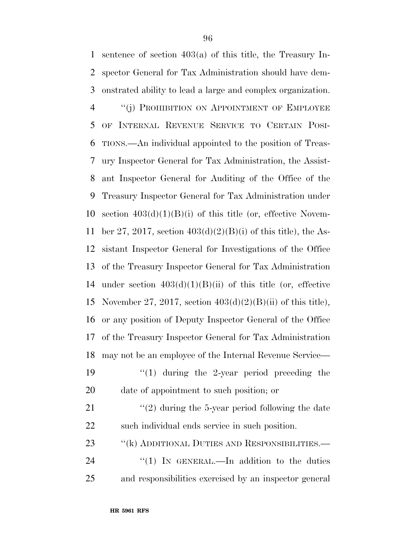sentence of section 403(a) of this title, the Treasury In- spector General for Tax Administration should have dem- onstrated ability to lead a large and complex organization. 4 "(j) PROHIBITION ON APPOINTMENT OF EMPLOYEE OF INTERNAL REVENUE SERVICE TO CERTAIN POSI- TIONS.—An individual appointed to the position of Treas- ury Inspector General for Tax Administration, the Assist- ant Inspector General for Auditing of the Office of the Treasury Inspector General for Tax Administration under 10 section  $403(d)(1)(B)(i)$  of this title (or, effective Novem-11 ber 27, 2017, section  $403(d)(2)(B)(i)$  of this title), the As- sistant Inspector General for Investigations of the Office of the Treasury Inspector General for Tax Administration 14 under section  $403(d)(1)(B)(ii)$  of this title (or, effective 15 November 27, 2017, section  $403(d)(2)(B)(ii)$  of this title), or any position of Deputy Inspector General of the Office of the Treasury Inspector General for Tax Administration may not be an employee of the Internal Revenue Service—  $\frac{1}{2}$   $\frac{1}{2}$  during the 2-year period preceding the date of appointment to such position; or  $\frac{1}{2}$   $(2)$  during the 5-year period following the date such individual ends service in such position. 23 "(k) ADDITIONAL DUTIES AND RESPONSIBILITIES.— 24 "(1) In GENERAL.—In addition to the duties

and responsibilities exercised by an inspector general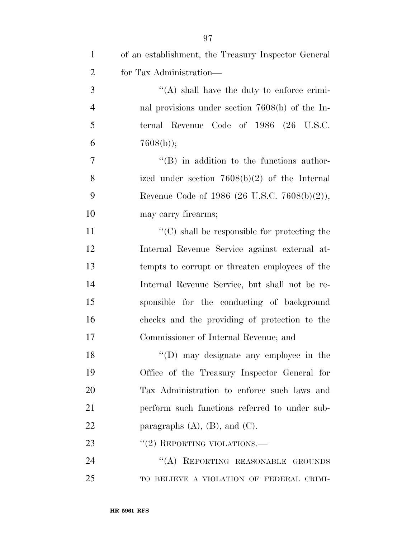| $\mathbf{1}$   | of an establishment, the Treasury Inspector General  |
|----------------|------------------------------------------------------|
| $\overline{2}$ | for Tax Administration—                              |
| 3              | $\lq\lq$ shall have the duty to enforce crimi-       |
| $\overline{4}$ | nal provisions under section $7608(b)$ of the In-    |
| 5              | ternal Revenue Code of 1986 (26 U.S.C.               |
| 6              | $7608(b)$ ;                                          |
| 7              | $\lq\lq (B)$ in addition to the functions author-    |
| 8              | ized under section $7608(b)(2)$ of the Internal      |
| 9              | Revenue Code of 1986 (26 U.S.C. 7608(b)(2)),         |
| 10             | may carry firearms;                                  |
| 11             | $\lq\lq$ (C) shall be responsible for protecting the |
| 12             | Internal Revenue Service against external at-        |
| 13             | tempts to corrupt or threaten employees of the       |
| 14             | Internal Revenue Service, but shall not be re-       |
| 15             | sponsible for the conducting of background           |
| 16             | checks and the providing of protection to the        |
| 17             | Commissioner of Internal Revenue; and                |
| 18             | $\lq\lq$ (D) may designate any employee in the       |
| 19             | Office of the Treasury Inspector General for         |
| 20             | Tax Administration to enforce such laws and          |
| 21             | perform such functions referred to under sub-        |
| 22             | paragraphs $(A)$ , $(B)$ , and $(C)$ .               |
| 23             | $``(2)$ REPORTING VIOLATIONS.—                       |
| 24             | "(A) REPORTING REASONABLE GROUNDS                    |
| 25             | TO BELIEVE A VIOLATION OF FEDERAL CRIMI-             |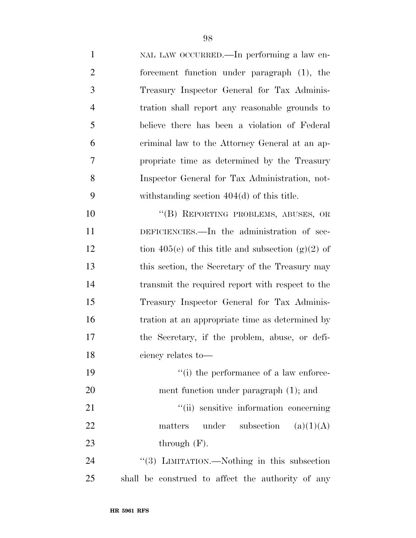| $\mathbf{1}$   | NAL LAW OCCURRED.—In performing a law en-          |
|----------------|----------------------------------------------------|
| $\overline{2}$ | forcement function under paragraph (1), the        |
| 3              | Treasury Inspector General for Tax Adminis-        |
| $\overline{4}$ | tration shall report any reasonable grounds to     |
| 5              | believe there has been a violation of Federal      |
| 6              | criminal law to the Attorney General at an ap-     |
| 7              | propriate time as determined by the Treasury       |
| 8              | Inspector General for Tax Administration, not-     |
| 9              | withstanding section $404(d)$ of this title.       |
| 10             | "(B) REPORTING PROBLEMS, ABUSES, OR                |
| 11             | DEFICIENCIES.—In the administration of sec-        |
| 12             | tion 405(e) of this title and subsection (g)(2) of |
| 13             | this section, the Secretary of the Treasury may    |
| 14             | transmit the required report with respect to the   |
| 15             | Treasury Inspector General for Tax Adminis-        |
| 16             | tration at an appropriate time as determined by    |
| 17             | the Secretary, if the problem, abuse, or defi-     |
| 18             | ciency relates to-                                 |
| 19             | "(i) the performance of a law enforce-             |
| 20             | ment function under paragraph (1); and             |
| 21             | "(ii) sensitive information concerning             |
| 22             | under subsection<br>(a)(1)(A)<br>matters           |
| 23             | through $(F)$ .                                    |
| 24             | "(3) LIMITATION.—Nothing in this subsection        |
| 25             | shall be construed to affect the authority of any  |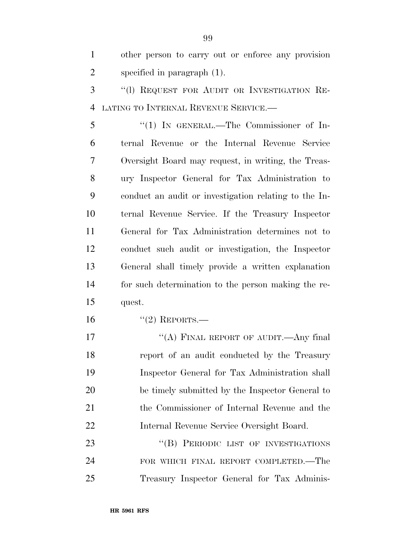other person to carry out or enforce any provision specified in paragraph (1).

 ''(l) REQUEST FOR AUDIT OR INVESTIGATION RE-LATING TO INTERNAL REVENUE SERVICE.—

 ''(1) IN GENERAL.—The Commissioner of In- ternal Revenue or the Internal Revenue Service Oversight Board may request, in writing, the Treas- ury Inspector General for Tax Administration to conduct an audit or investigation relating to the In- ternal Revenue Service. If the Treasury Inspector General for Tax Administration determines not to conduct such audit or investigation, the Inspector General shall timely provide a written explanation for such determination to the person making the re-quest.

16 "(2) REPORTS.—

17 "(A) FINAL REPORT OF AUDIT.—Any final report of an audit conducted by the Treasury Inspector General for Tax Administration shall be timely submitted by the Inspector General to the Commissioner of Internal Revenue and the Internal Revenue Service Oversight Board.

23 "(B) PERIODIC LIST OF INVESTIGATIONS FOR WHICH FINAL REPORT COMPLETED.—The Treasury Inspector General for Tax Adminis-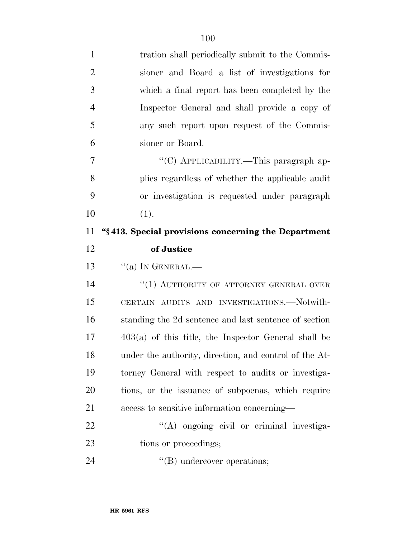| $\mathbf{1}$   | tration shall periodically submit to the Commis-       |
|----------------|--------------------------------------------------------|
| $\overline{2}$ | sioner and Board a list of investigations for          |
| 3              | which a final report has been completed by the         |
| $\overline{4}$ | Inspector General and shall provide a copy of          |
| 5              | any such report upon request of the Commis-            |
| 6              | sioner or Board.                                       |
| 7              | "(C) APPLICABILITY.—This paragraph ap-                 |
| 8              | plies regardless of whether the applicable audit       |
| 9              | or investigation is requested under paragraph          |
| 10             | (1).                                                   |
| 11             | "\\$413. Special provisions concerning the Department  |
| 12             | of Justice                                             |
|                |                                                        |
| 13             | $``(a)$ In GENERAL.—                                   |
| 14             | $``(1)$ AUTHORITY OF ATTORNEY GENERAL OVER             |
| 15             | CERTAIN AUDITS AND INVESTIGATIONS.—Notwith-            |
| 16             | standing the 2d sentence and last sentence of section  |
| 17             | $403(a)$ of this title, the Inspector General shall be |
| 18             | under the authority, direction, and control of the At- |
| 19             | torney General with respect to audits or investiga-    |
| 20             | tions, or the issuance of subpoenas, which require     |
| 21             | access to sensitive information concerning—            |
| 22             | "(A) ongoing civil or criminal investiga-              |
| 23             | tions or proceedings;                                  |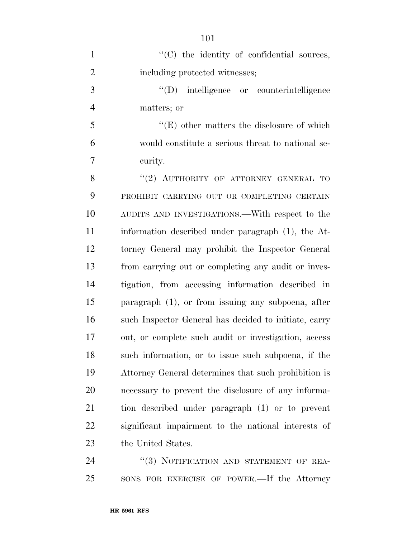| $\mathbf{1}$   | "(C) the identity of confidential sources,            |
|----------------|-------------------------------------------------------|
| $\overline{2}$ | including protected witnesses;                        |
| 3              | "(D) intelligence or counterintelligence              |
| $\overline{4}$ | matters; or                                           |
| 5              | $\lq\lq(E)$ other matters the disclosure of which     |
| 6              | would constitute a serious threat to national se-     |
| $\overline{7}$ | curity.                                               |
| 8              | "(2) AUTHORITY OF ATTORNEY GENERAL TO                 |
| 9              | PROHIBIT CARRYING OUT OR COMPLETING CERTAIN           |
| 10             | AUDITS AND INVESTIGATIONS.—With respect to the        |
| 11             | information described under paragraph (1), the At-    |
| 12             | torney General may prohibit the Inspector General     |
| 13             | from carrying out or completing any audit or inves-   |
| 14             | tigation, from accessing information described in     |
| 15             | paragraph $(1)$ , or from issuing any subpoena, after |
| 16             | such Inspector General has decided to initiate, carry |
| 17             | out, or complete such audit or investigation, access  |
| 18             | such information, or to issue such subpoena, if the   |
| 19             | Attorney General determines that such prohibition is  |
| 20             | necessary to prevent the disclosure of any informa-   |
| 21             | tion described under paragraph (1) or to prevent      |
| 22             | significant impairment to the national interests of   |
| 23             | the United States.                                    |
| 24             | $\frac{17}{2}$ NOTIFICATION AND STATEMENT OF REA-     |

 ''(3) NOTIFICATION AND STATEMENT OF REA-SONS FOR EXERCISE OF POWER.—If the Attorney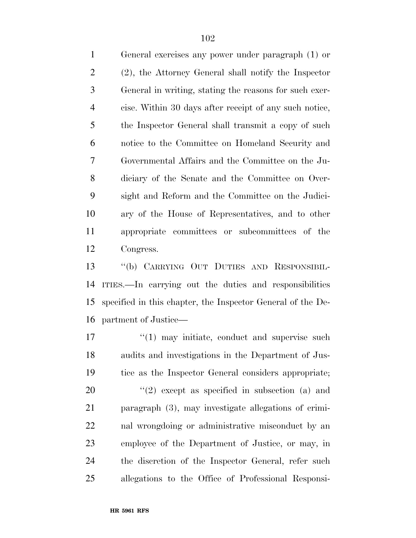General exercises any power under paragraph (1) or (2), the Attorney General shall notify the Inspector General in writing, stating the reasons for such exer- cise. Within 30 days after receipt of any such notice, the Inspector General shall transmit a copy of such notice to the Committee on Homeland Security and Governmental Affairs and the Committee on the Ju- diciary of the Senate and the Committee on Over- sight and Reform and the Committee on the Judici- ary of the House of Representatives, and to other appropriate committees or subcommittees of the Congress.

 ''(b) CARRYING OUT DUTIES AND RESPONSIBIL- ITIES.—In carrying out the duties and responsibilities specified in this chapter, the Inspector General of the De-partment of Justice—

17 ''(1) may initiate, conduct and supervise such audits and investigations in the Department of Jus- tice as the Inspector General considers appropriate;  $\frac{1}{2}$  except as specified in subsection (a) and paragraph (3), may investigate allegations of crimi- nal wrongdoing or administrative misconduct by an employee of the Department of Justice, or may, in the discretion of the Inspector General, refer such allegations to the Office of Professional Responsi-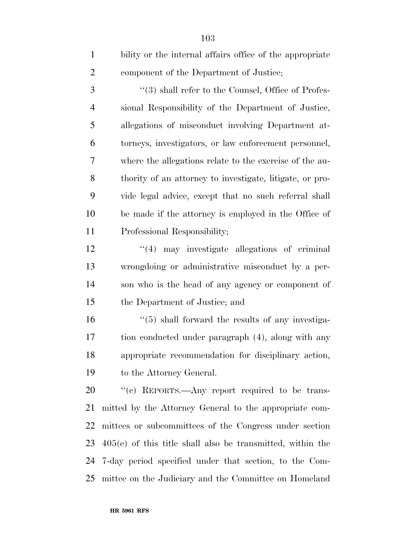| $\mathbf{1}$   | bility or the internal affairs office of the appropriate     |
|----------------|--------------------------------------------------------------|
| $\overline{2}$ | component of the Department of Justice;                      |
| 3              | $\lq(3)$ shall refer to the Counsel, Office of Profes-       |
| $\overline{4}$ | sional Responsibility of the Department of Justice,          |
| 5              | allegations of misconduct involving Department at-           |
| 6              | torneys, investigators, or law enforcement personnel,        |
| 7              | where the allegations relate to the exercise of the au-      |
| 8              | thority of an attorney to investigate, litigate, or pro-     |
| 9              | vide legal advice, except that no such referral shall        |
| 10             | be made if the attorney is employed in the Office of         |
| 11             | Professional Responsibility;                                 |
| 12             | $\lq(4)$ may investigate allegations of criminal             |
| 13             | wrongdoing or administrative misconduct by a per-            |
| 14             | son who is the head of any agency or component of            |
| 15             | the Department of Justice; and                               |
| 16             | $\cdot\cdot$ (5) shall forward the results of any investiga- |
| 17             | tion conducted under paragraph (4), along with any           |
| 18             | appropriate recommendation for disciplinary action,          |
| 19             | to the Attorney General.                                     |
| 20             | "(c) REPORTS.—Any report required to be trans-               |
| 21             | mitted by the Attorney General to the appropriate com-       |
| 22             | mittees or subcommittees of the Congress under section       |
| 23             | $405(e)$ of this title shall also be transmitted, within the |
| 24             | 7-day period specified under that section, to the Com-       |
| 25             | mittee on the Judiciary and the Committee on Homeland        |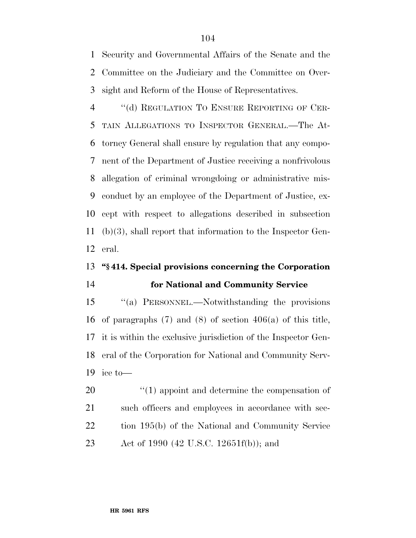Security and Governmental Affairs of the Senate and the Committee on the Judiciary and the Committee on Over-sight and Reform of the House of Representatives.

4 "(d) REGULATION TO ENSURE REPORTING OF CER- TAIN ALLEGATIONS TO INSPECTOR GENERAL.—The At- torney General shall ensure by regulation that any compo- nent of the Department of Justice receiving a nonfrivolous allegation of criminal wrongdoing or administrative mis- conduct by an employee of the Department of Justice, ex- cept with respect to allegations described in subsection (b)(3), shall report that information to the Inspector Gen-eral.

#### **''§ 414. Special provisions concerning the Corporation**

### **for National and Community Service**

 ''(a) PERSONNEL.—Notwithstanding the provisions of paragraphs (7) and (8) of section 406(a) of this title, it is within the exclusive jurisdiction of the Inspector Gen- eral of the Corporation for National and Community Serv-ice to—

 $\frac{1}{20}$  (1) appoint and determine the compensation of 21 such officers and employees in accordance with sec- tion 195(b) of the National and Community Service Act of 1990 (42 U.S.C. 12651f(b)); and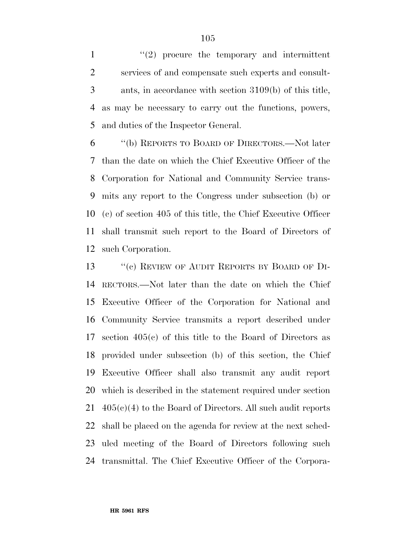$\frac{1}{2}$  procure the temporary and intermittent services of and compensate such experts and consult- ants, in accordance with section 3109(b) of this title, as may be necessary to carry out the functions, powers, and duties of the Inspector General.

 ''(b) REPORTS TO BOARD OF DIRECTORS.—Not later than the date on which the Chief Executive Officer of the Corporation for National and Community Service trans- mits any report to the Congress under subsection (b) or (c) of section 405 of this title, the Chief Executive Officer shall transmit such report to the Board of Directors of such Corporation.

13 "(c) REVIEW OF AUDIT REPORTS BY BOARD OF DI- RECTORS.—Not later than the date on which the Chief Executive Officer of the Corporation for National and Community Service transmits a report described under section 405(c) of this title to the Board of Directors as provided under subsection (b) of this section, the Chief Executive Officer shall also transmit any audit report which is described in the statement required under section  $21 \quad 405(c)(4)$  to the Board of Directors. All such audit reports shall be placed on the agenda for review at the next sched- uled meeting of the Board of Directors following such transmittal. The Chief Executive Officer of the Corpora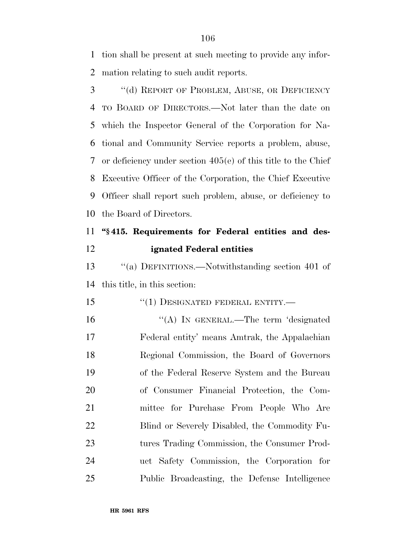tion shall be present at such meeting to provide any infor-mation relating to such audit reports.

 ''(d) REPORT OF PROBLEM, ABUSE, OR DEFICIENCY TO BOARD OF DIRECTORS.—Not later than the date on which the Inspector General of the Corporation for Na- tional and Community Service reports a problem, abuse, or deficiency under section 405(e) of this title to the Chief Executive Officer of the Corporation, the Chief Executive Officer shall report such problem, abuse, or deficiency to the Board of Directors.

# **''§ 415. Requirements for Federal entities and des-ignated Federal entities**

 ''(a) DEFINITIONS.—Notwithstanding section 401 of this title, in this section:

- 15 "(1) DESIGNATED FEDERAL ENTITY.—
- 16 "(A) IN GENERAL.—The term 'designated Federal entity' means Amtrak, the Appalachian Regional Commission, the Board of Governors of the Federal Reserve System and the Bureau of Consumer Financial Protection, the Com- mittee for Purchase From People Who Are Blind or Severely Disabled, the Commodity Fu- tures Trading Commission, the Consumer Prod- uct Safety Commission, the Corporation for Public Broadcasting, the Defense Intelligence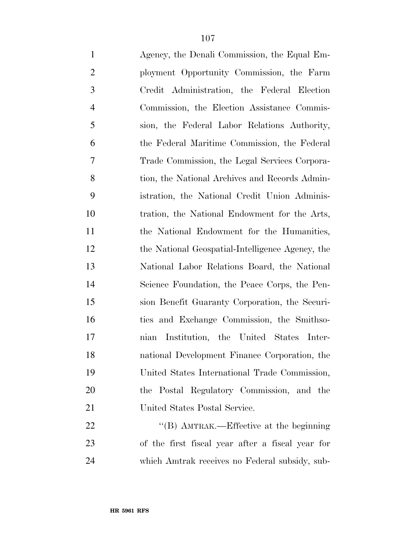| $\mathbf{1}$   | Agency, the Denali Commission, the Equal Em-     |
|----------------|--------------------------------------------------|
| $\overline{2}$ | ployment Opportunity Commission, the Farm        |
| 3              | Credit Administration, the Federal Election      |
| $\overline{4}$ | Commission, the Election Assistance Commis-      |
| 5              | sion, the Federal Labor Relations Authority,     |
| 6              | the Federal Maritime Commission, the Federal     |
| 7              | Trade Commission, the Legal Services Corpora-    |
| 8              | tion, the National Archives and Records Admin-   |
| 9              | istration, the National Credit Union Adminis-    |
| 10             | tration, the National Endowment for the Arts,    |
| 11             | the National Endowment for the Humanities,       |
| 12             | the National Geospatial-Intelligence Agency, the |
| 13             | National Labor Relations Board, the National     |
| 14             | Science Foundation, the Peace Corps, the Pen-    |
| 15             | sion Benefit Guaranty Corporation, the Securi-   |
| 16             | ties and Exchange Commission, the Smithso-       |
| 17             | nian Institution, the United States Inter-       |
| 18             | national Development Finance Corporation, the    |
| 19             | United States International Trade Commission,    |
| 20             | the Postal Regulatory Commission, and the        |
| 21             | United States Postal Service.                    |
| 22             | "(B) AMTRAK.—Effective at the beginning          |
| 23             | of the first fiscal year after a fiscal year for |
| 24             | which Amtrak receives no Federal subsidy, sub-   |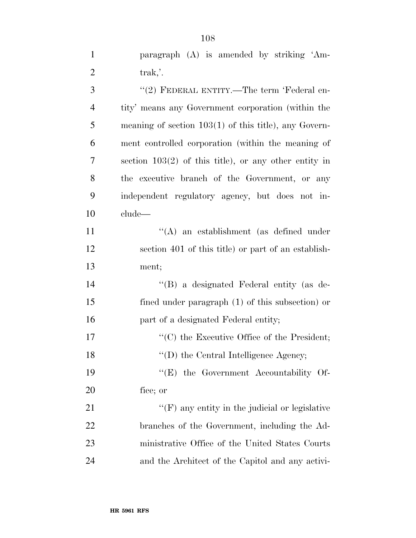| 3              | "(2) FEDERAL ENTITY.—The term 'Federal en-              |
|----------------|---------------------------------------------------------|
| $\overline{4}$ | tity' means any Government corporation (within the      |
| 5              | meaning of section $103(1)$ of this title), any Govern- |
| 6              | ment controlled corporation (within the meaning of      |
| 7              | section $103(2)$ of this title), or any other entity in |
| 8              | the executive branch of the Government, or any          |
| 9              | independent regulatory agency, but does not in-         |
| 10             | clude—                                                  |
| 11             | $\lq\lq$ an establishment (as defined under             |
| 12             | section 401 of this title) or part of an establish-     |
| 13             | ment;                                                   |
| 14             | "(B) a designated Federal entity (as de-                |
| 15             | fined under paragraph $(1)$ of this subsection) or      |
| 16             | part of a designated Federal entity;                    |
| 17             | $\cdot$ (C) the Executive Office of the President;      |
| 18             | $\lq\lq$ (D) the Central Intelligence Agency;           |
| 19             | $\lq\lq$ the Government Accountability Of-              |
| 20             | fice; or                                                |
| 21             | $\lq\lq(F)$ any entity in the judicial or legislative   |
| 22             | branches of the Government, including the Ad-           |
| 23             | ministrative Office of the United States Courts         |
| 24             | and the Architect of the Capitol and any activi-        |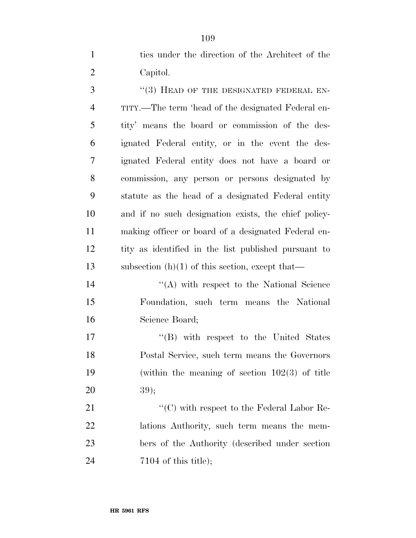ties under the direction of the Architect of the Capitol.

3 "(3) HEAD OF THE DESIGNATED FEDERAL EN- TITY.—The term 'head of the designated Federal en- tity' means the board or commission of the des- ignated Federal entity, or in the event the des- ignated Federal entity does not have a board or commission, any person or persons designated by statute as the head of a designated Federal entity and if no such designation exists, the chief policy- making officer or board of a designated Federal en- tity as identified in the list published pursuant to 13 subsection  $(h)(1)$  of this section, except that—

14 ''(A) with respect to the National Science Foundation, such term means the National Science Board;

 $\text{``(B)}$  with respect to the United States Postal Service, such term means the Governors (within the meaning of section 102(3) of title 39);

21 "'(C) with respect to the Federal Labor Re- lations Authority, such term means the mem- bers of the Authority (described under section 7104 of this title);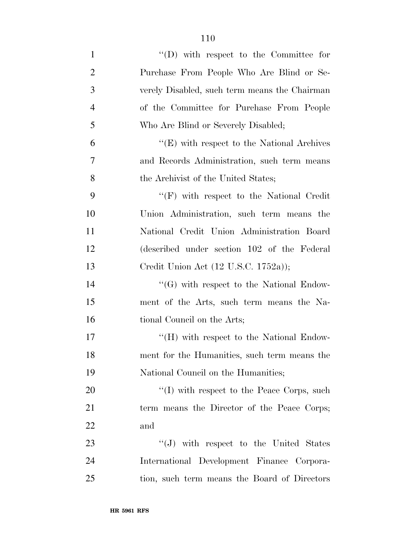| $\mathbf{1}$   | $\lq\lq$ (D) with respect to the Committee for               |
|----------------|--------------------------------------------------------------|
| $\overline{2}$ | Purchase From People Who Are Blind or Se-                    |
| 3              | verely Disabled, such term means the Chairman                |
| $\overline{4}$ | of the Committee for Purchase From People                    |
| 5              | Who Are Blind or Severely Disabled;                          |
| 6              | $\lq\lq(E)$ with respect to the National Archives            |
| 7              | and Records Administration, such term means                  |
| 8              | the Archivist of the United States;                          |
| 9              | $\lq\lq(F)$ with respect to the National Credit              |
| 10             | Union Administration, such term means the                    |
| 11             | National Credit Union Administration Board                   |
| 12             | (described under section 102 of the Federal                  |
| 13             | Credit Union Act $(12 \text{ U.S.C. } 1752a)$ );             |
| 14             | $\lq\lq(G)$ with respect to the National Endow-              |
| 15             | ment of the Arts, such term means the Na-                    |
| 16             | tional Council on the Arts;                                  |
| 17             | $\rm ^{\prime\prime}(H)$ with respect to the National Endow- |
| 18             | ment for the Humanities, such term means the                 |
| 19             | National Council on the Humanities;                          |
| 20             | $\lq\lq$ with respect to the Peace Corps, such               |
| 21             | term means the Director of the Peace Corps;                  |
| 22             | and                                                          |
| 23             | $\lq\lq (J)$ with respect to the United States               |
| 24             | International Development Finance Corpora-                   |
| 25             | tion, such term means the Board of Directors                 |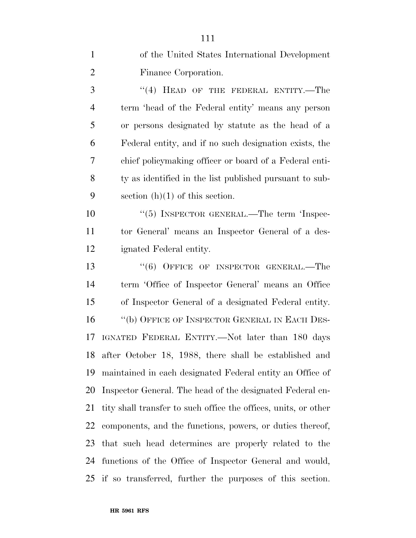| $\mathbf{1}$   | of the United States International Development                  |
|----------------|-----------------------------------------------------------------|
| $\overline{2}$ | Finance Corporation.                                            |
| 3              | $(4)$ HEAD OF THE FEDERAL ENTITY.—The                           |
| $\overline{4}$ | term 'head of the Federal entity' means any person              |
| 5              | or persons designated by statute as the head of a               |
| 6              | Federal entity, and if no such designation exists, the          |
| 7              | chief policymaking officer or board of a Federal enti-          |
| 8              | ty as identified in the list published pursuant to sub-         |
| 9              | section $(h)(1)$ of this section.                               |
| 10             | "(5) INSPECTOR GENERAL.—The term 'Inspec-                       |
| 11             | tor General' means an Inspector General of a des-               |
| 12             | ignated Federal entity.                                         |
| 13             | "(6) OFFICE OF INSPECTOR GENERAL.—The                           |
| 14             | term 'Office of Inspector General' means an Office              |
| 15             | of Inspector General of a designated Federal entity.            |
| 16             | "(b) OFFICE OF INSPECTOR GENERAL IN EACH DES-                   |
| 17             | IGNATED FEDERAL ENTITY.—Not later than 180 days                 |
| 18             | after October 18, 1988, there shall be established and          |
| 19             | maintained in each designated Federal entity an Office of       |
| 20             | Inspector General. The head of the designated Federal en-       |
| 21             | tity shall transfer to such office the offices, units, or other |
| 22             | components, and the functions, powers, or duties thereof,       |
| 23             | that such head determines are properly related to the           |
| 24             | functions of the Office of Inspector General and would,         |
| 25             | if so transferred, further the purposes of this section.        |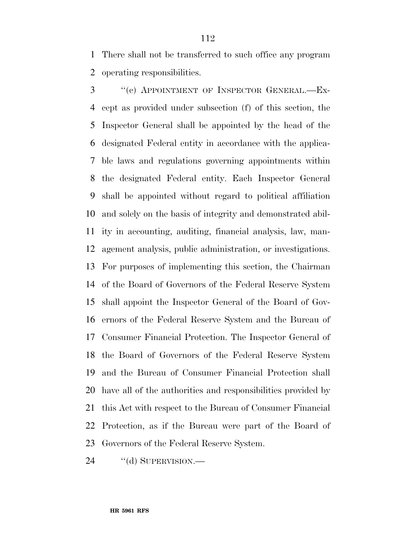There shall not be transferred to such office any program operating responsibilities.

 ''(c) APPOINTMENT OF INSPECTOR GENERAL.—Ex- cept as provided under subsection (f) of this section, the Inspector General shall be appointed by the head of the designated Federal entity in accordance with the applica- ble laws and regulations governing appointments within the designated Federal entity. Each Inspector General shall be appointed without regard to political affiliation and solely on the basis of integrity and demonstrated abil- ity in accounting, auditing, financial analysis, law, man- agement analysis, public administration, or investigations. For purposes of implementing this section, the Chairman of the Board of Governors of the Federal Reserve System shall appoint the Inspector General of the Board of Gov- ernors of the Federal Reserve System and the Bureau of Consumer Financial Protection. The Inspector General of the Board of Governors of the Federal Reserve System and the Bureau of Consumer Financial Protection shall have all of the authorities and responsibilities provided by this Act with respect to the Bureau of Consumer Financial Protection, as if the Bureau were part of the Board of Governors of the Federal Reserve System.

24 "(d) SUPERVISION.—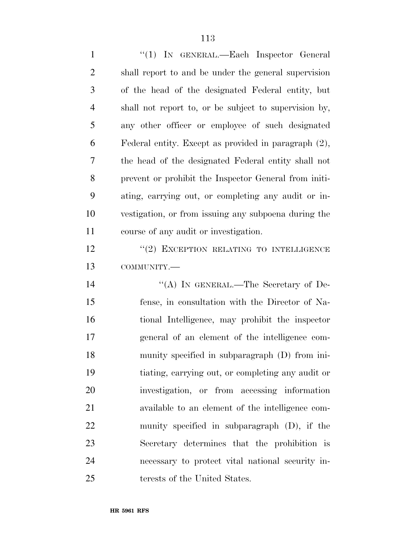1 "(1) IN GENERAL.—Each Inspector General shall report to and be under the general supervision of the head of the designated Federal entity, but shall not report to, or be subject to supervision by, any other officer or employee of such designated Federal entity. Except as provided in paragraph (2), the head of the designated Federal entity shall not prevent or prohibit the Inspector General from initi- ating, carrying out, or completing any audit or in- vestigation, or from issuing any subpoena during the course of any audit or investigation. 12 "(2) EXCEPTION RELATING TO INTELLIGENCE COMMUNITY.— 14 "(A) IN GENERAL.—The Secretary of De- fense, in consultation with the Director of Na- tional Intelligence, may prohibit the inspector general of an element of the intelligence com- munity specified in subparagraph (D) from ini- tiating, carrying out, or completing any audit or investigation, or from accessing information available to an element of the intelligence com- munity specified in subparagraph (D), if the Secretary determines that the prohibition is necessary to protect vital national security in-terests of the United States.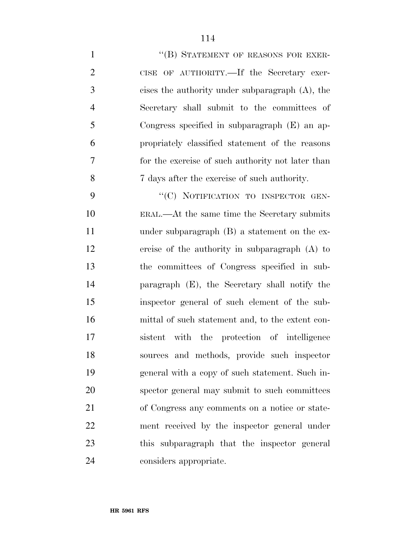| $\mathbf{1}$   | "(B) STATEMENT OF REASONS FOR EXER-                |
|----------------|----------------------------------------------------|
| $\overline{2}$ | CISE OF AUTHORITY.—If the Secretary exer-          |
| 3              | cises the authority under subparagraph $(A)$ , the |
| $\overline{4}$ | Secretary shall submit to the committees of        |
| 5              | Congress specified in subparagraph (E) an ap-      |
| 6              | propriately classified statement of the reasons    |
| $\tau$         | for the exercise of such authority not later than  |
| 8              | 7 days after the exercise of such authority.       |
| 9              | "(C) NOTIFICATION TO INSPECTOR GEN-                |
| 10             | ERAL.—At the same time the Secretary submits       |
| 11             | under subparagraph $(B)$ a statement on the ex-    |
| 12             | ercise of the authority in subparagraph $(A)$ to   |
| 13             | the committees of Congress specified in sub-       |
| 14             | paragraph (E), the Secretary shall notify the      |
| 15             | inspector general of such element of the sub-      |
| 16             | mittal of such statement and, to the extent con-   |
| 17             | with the protection of intelligence<br>sistent     |
| 18             | sources and methods, provide such inspector        |
| 19             | general with a copy of such statement. Such in-    |
| 20             | spector general may submit to such committees      |
| 21             | of Congress any comments on a notice or state-     |
| 22             | ment received by the inspector general under       |
| 23             | this subparagraph that the inspector general       |
| 24             | considers appropriate.                             |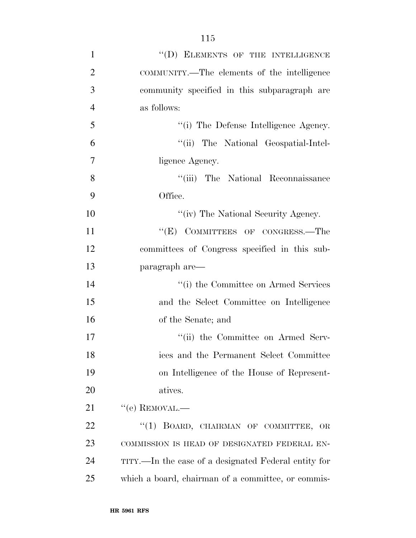| $\mathbf{1}$   | "(D) ELEMENTS OF THE INTELLIGENCE                    |
|----------------|------------------------------------------------------|
| $\overline{2}$ | COMMUNITY.—The elements of the intelligence          |
| 3              | community specified in this subparagraph are         |
| $\overline{4}$ | as follows:                                          |
| 5              | "(i) The Defense Intelligence Agency.                |
| 6              | "(ii) The National Geospatial-Intel-                 |
| 7              | ligence Agency.                                      |
| 8              | "(iii) The National Reconnaissance                   |
| 9              | Office.                                              |
| 10             | "(iv) The National Security Agency.                  |
| 11             | "(E) COMMITTEES OF CONGRESS.—The                     |
| 12             | committees of Congress specified in this sub-        |
| 13             | paragraph are—                                       |
| 14             | "(i) the Committee on Armed Services                 |
| 15             | and the Select Committee on Intelligence             |
| 16             | of the Senate; and                                   |
| 17             | "(ii) the Committee on Armed Serv-                   |
| 18             | ices and the Permanent Select Committee              |
| 19             | on Intelligence of the House of Represent-           |
| 20             | atives.                                              |
| 21             | $``$ (e) REMOVAL.—                                   |
| 22             | "(1) BOARD, CHAIRMAN OF COMMITTEE, OR                |
| 23             | COMMISSION IS HEAD OF DESIGNATED FEDERAL EN-         |
| 24             | TITY.—In the case of a designated Federal entity for |
| 25             | which a board, chairman of a committee, or commis-   |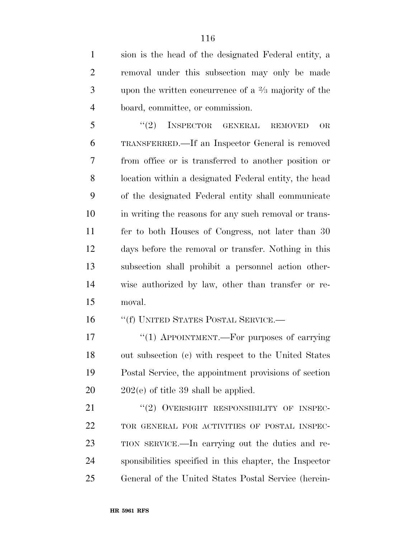sion is the head of the designated Federal entity, a removal under this subsection may only be made 3 approximate upon the written concurrence of a  $\frac{2}{3}$  majority of the board, committee, or commission.

5 "(2) INSPECTOR GENERAL REMOVED OR TRANSFERRED.—If an Inspector General is removed from office or is transferred to another position or location within a designated Federal entity, the head of the designated Federal entity shall communicate in writing the reasons for any such removal or trans- fer to both Houses of Congress, not later than 30 days before the removal or transfer. Nothing in this subsection shall prohibit a personnel action other- wise authorized by law, other than transfer or re-moval.

16 "(f) UNITED STATES POSTAL SERVICE.—

17 "(1) APPOINTMENT.—For purposes of carrying out subsection (c) with respect to the United States Postal Service, the appointment provisions of section 202(e) of title 39 shall be applied.

21 "(2) OVERSIGHT RESPONSIBILITY OF INSPEC- TOR GENERAL FOR ACTIVITIES OF POSTAL INSPEC- TION SERVICE.—In carrying out the duties and re- sponsibilities specified in this chapter, the Inspector General of the United States Postal Service (herein-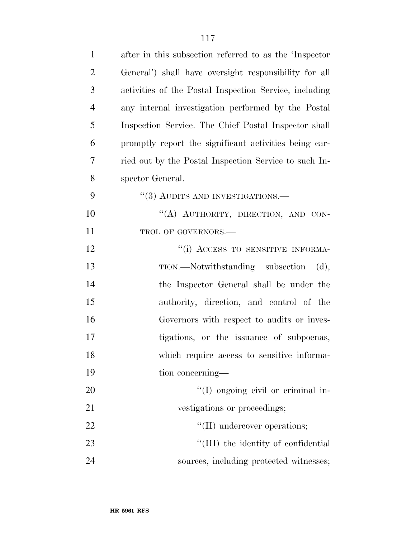| $\mathbf{1}$   | after in this subsection referred to as the 'Inspector' |
|----------------|---------------------------------------------------------|
| $\overline{2}$ | General') shall have oversight responsibility for all   |
| 3              | activities of the Postal Inspection Service, including  |
| $\overline{4}$ | any internal investigation performed by the Postal      |
| 5              | Inspection Service. The Chief Postal Inspector shall    |
| 6              | promptly report the significant activities being car-   |
| 7              | ried out by the Postal Inspection Service to such In-   |
| 8              | spector General.                                        |
| 9              | $\cdot$ (3) AUDITS AND INVESTIGATIONS.—                 |
| 10             | "(A) AUTHORITY, DIRECTION, AND CON-                     |
| 11             | TROL OF GOVERNORS.-                                     |
| 12             | "(i) ACCESS TO SENSITIVE INFORMA-                       |
| 13             | TION.—Notwithstanding subsection<br>(d),                |
| 14             | the Inspector General shall be under the                |
| 15             | authority, direction, and control of the                |
| 16             | Governors with respect to audits or inves-              |
| 17             | tigations, or the issuance of subpoenas,                |
| 18             | which require access to sensitive informa-              |
| 19             | tion concerning—                                        |
| 20             | $\lq(1)$ ongoing civil or criminal in-                  |
| 21             | vestigations or proceedings;                            |
| 22             | $\lq\lq$ (II) undercover operations;                    |
| 23             | "(III) the identity of confidential                     |
| 24             | sources, including protected witnesses;                 |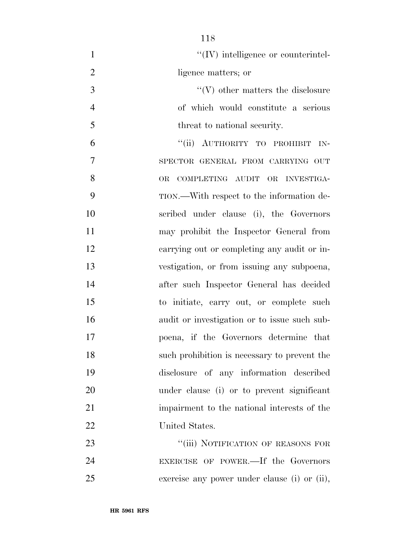| $\mathbf{1}$   | $\lq\lq$ (IV) intelligence or counterintel-  |
|----------------|----------------------------------------------|
| $\overline{2}$ | ligence matters; or                          |
| 3              | $\lq\lq(V)$ other matters the disclosure     |
| $\overline{4}$ | of which would constitute a serious          |
| 5              | threat to national security.                 |
| 6              | "(ii) AUTHORITY TO PROHIBIT IN-              |
| 7              | SPECTOR GENERAL FROM CARRYING OUT            |
| 8              | <b>OR</b><br>COMPLETING AUDIT OR INVESTIGA-  |
| 9              | TION.—With respect to the information de-    |
| 10             | scribed under clause (i), the Governors      |
| 11             | may prohibit the Inspector General from      |
| 12             | carrying out or completing any audit or in-  |
| 13             | vestigation, or from issuing any subpoena,   |
| 14             | after such Inspector General has decided     |
| 15             | to initiate, carry out, or complete such     |
| 16             | audit or investigation or to issue such sub- |
| 17             | poena, if the Governors determine that       |
| 18             | such prohibition is necessary to prevent the |
| 19             | disclosure of any information described      |
| 20             | under clause (i) or to prevent significant   |
| 21             | impairment to the national interests of the  |
| 22             | United States.                               |
| 23             | "(iii) NOTIFICATION OF REASONS FOR           |
| 24             | EXERCISE OF POWER.—If the Governors          |
| 25             | exercise any power under clause (i) or (ii), |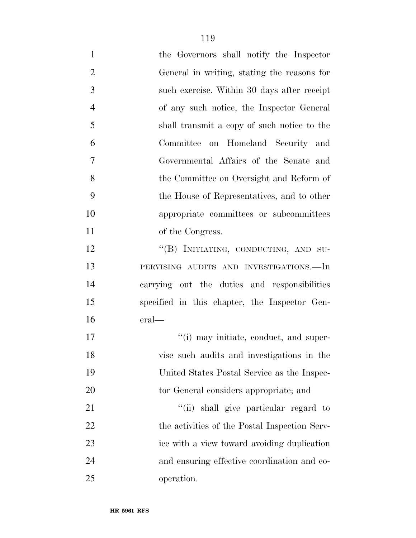| $\mathbf{1}$   | the Governors shall notify the Inspector      |
|----------------|-----------------------------------------------|
| $\overline{2}$ | General in writing, stating the reasons for   |
| 3              | such exercise. Within 30 days after receipt   |
| $\overline{4}$ | of any such notice, the Inspector General     |
| 5              | shall transmit a copy of such notice to the   |
| 6              | Committee on Homeland Security and            |
| $\overline{7}$ | Governmental Affairs of the Senate and        |
| 8              | the Committee on Oversight and Reform of      |
| 9              | the House of Representatives, and to other    |
| 10             | appropriate committees or subcommittees       |
| 11             | of the Congress.                              |
| 12             | "(B) INITIATING, CONDUCTING, AND SU-          |
| 13             | PERVISING AUDITS AND INVESTIGATIONS.-In       |
| 14             | carrying out the duties and responsibilities  |
| 15             | specified in this chapter, the Inspector Gen- |
| 16             | eral—                                         |
| 17             | "(i) may initiate, conduct, and super-        |
| 18             | vise such audits and investigations in the    |
| 19             | United States Postal Service as the Inspec-   |
| 20             | tor General considers appropriate; and        |
| 21             | "(ii) shall give particular regard to         |
| 22             | the activities of the Postal Inspection Serv- |
| 23             | ice with a view toward avoiding duplication   |
| 24             | and ensuring effective coordination and co-   |
| 25             | operation.                                    |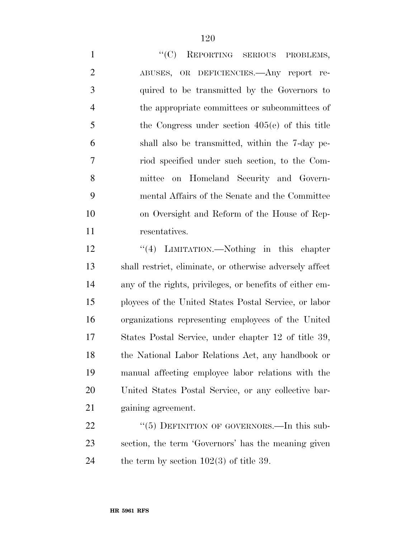1 "'(C) REPORTING SERIOUS PROBLEMS, ABUSES, OR DEFICIENCIES.—Any report re- quired to be transmitted by the Governors to the appropriate committees or subcommittees of the Congress under section 405(e) of this title shall also be transmitted, within the 7-day pe- riod specified under such section, to the Com- mittee on Homeland Security and Govern- mental Affairs of the Senate and the Committee on Oversight and Reform of the House of Rep-resentatives.

12 ''(4) LIMITATION.—Nothing in this chapter shall restrict, eliminate, or otherwise adversely affect any of the rights, privileges, or benefits of either em- ployees of the United States Postal Service, or labor organizations representing employees of the United States Postal Service, under chapter 12 of title 39, the National Labor Relations Act, any handbook or manual affecting employee labor relations with the United States Postal Service, or any collective bar-gaining agreement.

22 "(5) DEFINITION OF GOVERNORS.—In this sub- section, the term 'Governors' has the meaning given 24 the term by section  $102(3)$  of title 39.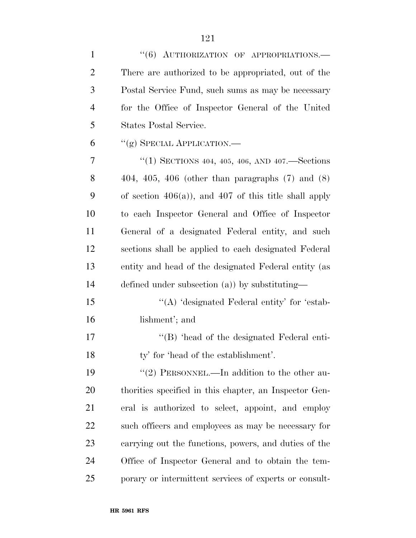| $\mathbf{1}$   | "(6) AUTHORIZATION OF APPROPRIATIONS.-                    |
|----------------|-----------------------------------------------------------|
| $\overline{2}$ | There are authorized to be appropriated, out of the       |
| 3              | Postal Service Fund, such sums as may be necessary        |
| $\overline{4}$ | for the Office of Inspector General of the United         |
| 5              | States Postal Service.                                    |
| 6              | "(g) SPECIAL APPLICATION.—                                |
| 7              | "(1) SECTIONS 404, 405, 406, AND 407.—Sections            |
| 8              | $404, 405, 406$ (other than paragraphs $(7)$ and $(8)$ )  |
| 9              | of section $406(a)$ , and $407$ of this title shall apply |
| 10             | to each Inspector General and Office of Inspector         |
| 11             | General of a designated Federal entity, and such          |
| 12             | sections shall be applied to each designated Federal      |
| 13             | entity and head of the designated Federal entity (as      |
| 14             | defined under subsection $(a)$ ) by substituting—         |
| 15             | $\lq\lq$ designated Federal entity' for 'estab-           |
| 16             | lishment'; and                                            |
| 17             | "(B) 'head of the designated Federal enti-                |
| 18             | ty' for 'head of the establishment'.                      |
| 19             | "(2) PERSONNEL.—In addition to the other au-              |
| 20             | thorities specified in this chapter, an Inspector Gen-    |
| 21             | eral is authorized to select, appoint, and employ         |
| 22             | such officers and employees as may be necessary for       |
| 23             | carrying out the functions, powers, and duties of the     |
| 24             | Office of Inspector General and to obtain the tem-        |
| 25             | porary or intermittent services of experts or consult-    |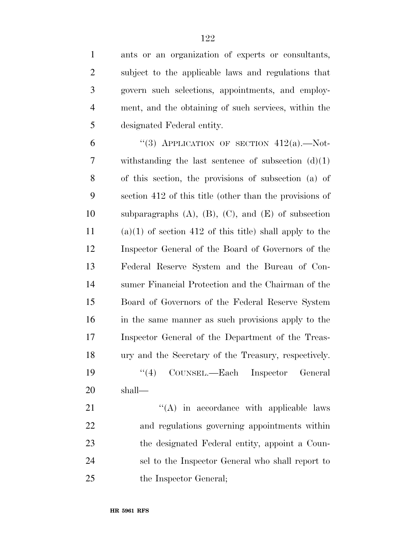| $\mathbf{1}$   | ants or an organization of experts or consultants,            |
|----------------|---------------------------------------------------------------|
| $\overline{2}$ | subject to the applicable laws and regulations that           |
| $\mathfrak{Z}$ | govern such selections, appointments, and employ-             |
| $\overline{4}$ | ment, and the obtaining of such services, within the          |
| 5              | designated Federal entity.                                    |
| 6              | "(3) APPLICATION OF SECTION $412(a)$ .—Not-                   |
| 7              | withstanding the last sentence of subsection $(d)(1)$         |
| 8              | of this section, the provisions of subsection (a) of          |
| 9              | section 412 of this title (other than the provisions of       |
| 10             | subparagraphs $(A)$ , $(B)$ , $(C)$ , and $(E)$ of subsection |
| 11             | $(a)(1)$ of section 412 of this title) shall apply to the     |
| 12             | Inspector General of the Board of Governors of the            |
| 13             | Federal Reserve System and the Bureau of Con-                 |
| 14             | sumer Financial Protection and the Chairman of the            |
| 15             | Board of Governors of the Federal Reserve System              |
| 16             | in the same manner as such provisions apply to the            |
| 17             | Inspector General of the Department of the Treas-             |
| 18             | ury and the Secretary of the Treasury, respectively.          |
| 19             | COUNSEL.—Each Inspector General<br>``(4)                      |
| 20             | shall—                                                        |
| 21             | $\lq\lq$ in accordance with applicable laws                   |
| 22             | and regulations governing appointments within                 |
| 23             | the designated Federal entity, appoint a Coun-                |
| 24             | sel to the Inspector General who shall report to              |
| 25             | the Inspector General;                                        |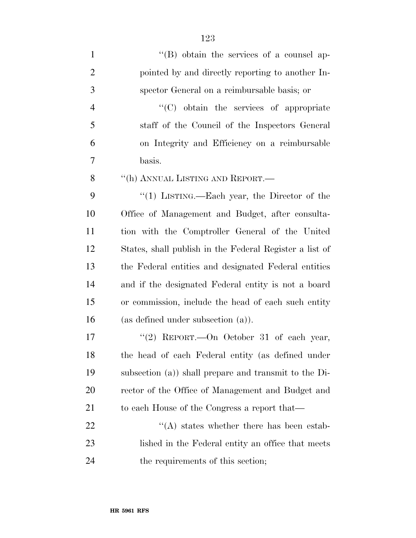| $\mathbf{1}$   | $\lq\lq (B)$ obtain the services of a counsel ap-        |
|----------------|----------------------------------------------------------|
| $\overline{2}$ | pointed by and directly reporting to another In-         |
| 3              | spector General on a reimbursable basis; or              |
| $\overline{4}$ | "(C) obtain the services of appropriate                  |
| 5              | staff of the Council of the Inspectors General           |
| 6              | on Integrity and Efficiency on a reimbursable            |
| 7              | basis.                                                   |
| 8              | "(h) ANNUAL LISTING AND REPORT.—                         |
| 9              | "(1) LISTING.—Each year, the Director of the             |
| 10             | Office of Management and Budget, after consulta-         |
| 11             | tion with the Comptroller General of the United          |
| 12             | States, shall publish in the Federal Register a list of  |
| 13             | the Federal entities and designated Federal entities     |
| 14             | and if the designated Federal entity is not a board      |
| 15             | or commission, include the head of each such entity      |
| 16             | (as defined under subsection $(a)$ ).                    |
| 17             | "(2) REPORT. - On October 31 of each year,               |
| 18             | the head of each Federal entity (as defined under        |
| 19             | subsection $(a)$ ) shall prepare and transmit to the Di- |
| 20             | rector of the Office of Management and Budget and        |
| 21             | to each House of the Congress a report that—             |
| 22             | $\lq\lq$ states whether there has been estab-            |
| 23             | lished in the Federal entity an office that meets        |
| 24             | the requirements of this section;                        |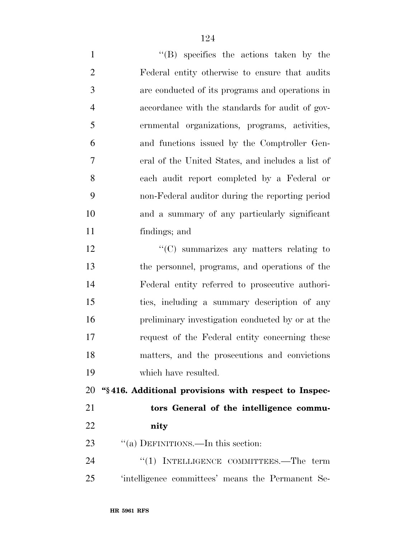''(B) specifies the actions taken by the Federal entity otherwise to ensure that audits are conducted of its programs and operations in accordance with the standards for audit of gov- ernmental organizations, programs, activities, and functions issued by the Comptroller Gen- eral of the United States, and includes a list of each audit report completed by a Federal or non-Federal auditor during the reporting period and a summary of any particularly significant findings; and 12 "'(C) summarizes any matters relating to the personnel, programs, and operations of the Federal entity referred to prosecutive authori- ties, including a summary description of any preliminary investigation conducted by or at the request of the Federal entity concerning these matters, and the prosecutions and convictions which have resulted. **''§ 416. Additional provisions with respect to Inspec- tors General of the intelligence commu- nity**  23 "(a) DEFINITIONS.—In this section:

24 "(1) INTELLIGENCE COMMITTEES.—The term 'intelligence committees' means the Permanent Se-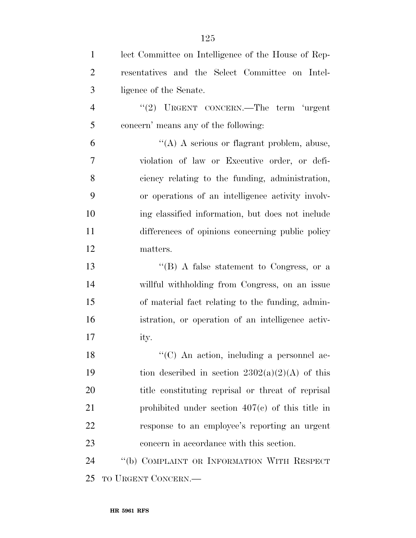| $\mathbf{1}$   | lect Committee on Intelligence of the House of Rep- |
|----------------|-----------------------------------------------------|
| 2              | resentatives and the Select Committee on Intel-     |
| 3              | ligence of the Senate.                              |
| $\overline{4}$ | "(2) URGENT CONCERN.—The term 'urgent               |
| 5              | concern' means any of the following:                |
| 6              | $\lq\lq$ A serious or flagrant problem, abuse,      |
| 7              | violation of law or Executive order, or defi-       |
| 8              | ciency relating to the funding, administration,     |
| 9              | or operations of an intelligence activity involv-   |
| 10             | ing classified information, but does not include    |
| 11             | differences of opinions concerning public policy    |
| 12             | matters.                                            |
| 13             | "(B) A false statement to Congress, or a            |
| 14             | willful withholding from Congress, on an issue      |
| 15             | of material fact relating to the funding, admin-    |
| 16             | istration, or operation of an intelligence activ-   |
| 17             | ity.                                                |
| 18             | "(C) An action, including a personnel ac-           |
| 19             | tion described in section $2302(a)(2)(A)$ of this   |
| 20             | title constituting reprisal or threat of reprisal   |
| 21             | prohibited under section $407(c)$ of this title in  |
| 22             | response to an employee's reporting an urgent       |
| 23             | concern in accordance with this section.            |
| 24             | "(b) COMPLAINT OR INFORMATION WITH RESPECT          |
| 25             | TO URGENT CONCERN.—                                 |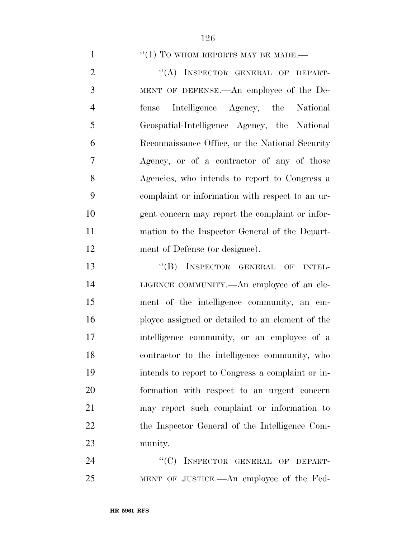$(1)$  TO WHOM REPORTS MAY BE MADE.—

2 "(A) INSPECTOR GENERAL OF DEPART- MENT OF DEFENSE.—An employee of the De- fense Intelligence Agency, the National Geospatial-Intelligence Agency, the National Reconnaissance Office, or the National Security Agency, or of a contractor of any of those Agencies, who intends to report to Congress a complaint or information with respect to an ur- gent concern may report the complaint or infor- mation to the Inspector General of the Depart-ment of Defense (or designee).

13 "(B) INSPECTOR GENERAL OF INTEL- LIGENCE COMMUNITY.—An employee of an ele- ment of the intelligence community, an em- ployee assigned or detailed to an element of the intelligence community, or an employee of a contractor to the intelligence community, who intends to report to Congress a complaint or in- formation with respect to an urgent concern may report such complaint or information to the Inspector General of the Intelligence Com-munity.

24 "(C) INSPECTOR GENERAL OF DEPART-MENT OF JUSTICE.—An employee of the Fed-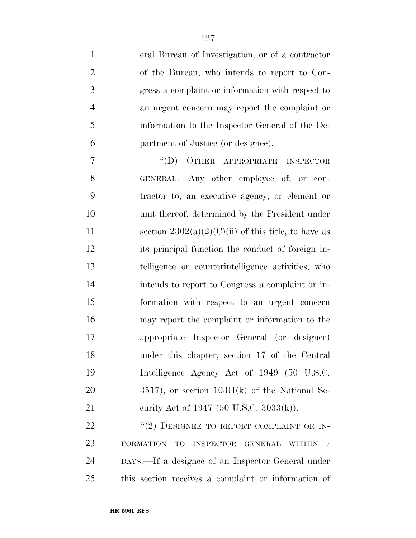| $\mathbf{1}$   | eral Bureau of Investigation, or of a contractor                  |
|----------------|-------------------------------------------------------------------|
| $\overline{2}$ | of the Bureau, who intends to report to Con-                      |
| 3              | gress a complaint or information with respect to                  |
| $\overline{4}$ | an urgent concern may report the complaint or                     |
| 5              | information to the Inspector General of the De-                   |
| 6              | partment of Justice (or designee).                                |
| 7              | $\lq\lq$ (D) OTHER APPROPRIATE INSPECTOR                          |
| 8              | GENERAL.—Any other employee of, or con-                           |
| 9              | tractor to, an executive agency, or element or                    |
| 10             | unit thereof, determined by the President under                   |
| 11             | section $2302(a)(2)(C)(ii)$ of this title, to have as             |
| 12             | its principal function the conduct of foreign in-                 |
| 13             | telligence or counterintelligence activities, who                 |
| 14             | intends to report to Congress a complaint or in-                  |
| 15             | formation with respect to an urgent concern                       |
| 16             | may report the complaint or information to the                    |
| 17             | appropriate Inspector General (or designee)                       |
| 18             | under this chapter, section 17 of the Central                     |
| 19             | Intelligence Agency Act of 1949 (50 U.S.C.                        |
| 20             | $3517$ , or section $103H(k)$ of the National Se-                 |
| 21             | eurity Act of 1947 (50 U.S.C. 3033(k)).                           |
| 22             | "(2) DESIGNEE TO REPORT COMPLAINT OR IN-                          |
| 23             | FORMATION TO INSPECTOR GENERAL<br><b>WITHIN</b><br>$\overline{7}$ |
| 24             | DAYS.—If a designee of an Inspector General under                 |

this section receives a complaint or information of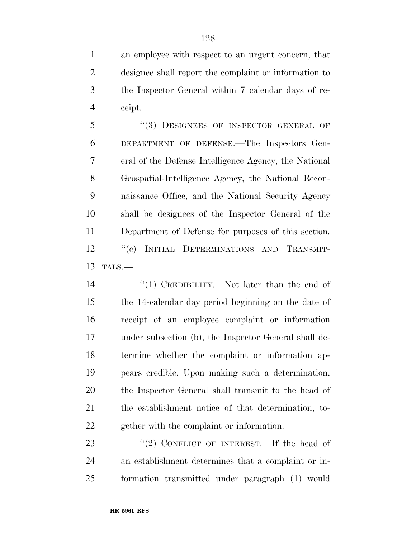an employee with respect to an urgent concern, that designee shall report the complaint or information to the Inspector General within 7 calendar days of re-ceipt.

5 "(3) DESIGNEES OF INSPECTOR GENERAL OF DEPARTMENT OF DEFENSE.—The Inspectors Gen- eral of the Defense Intelligence Agency, the National Geospatial-Intelligence Agency, the National Recon- naissance Office, and the National Security Agency shall be designees of the Inspector General of the Department of Defense for purposes of this section. 12 "(c) INITIAL DETERMINATIONS AND TRANSMIT-TALS.—

14 ''(1) CREDIBILITY.—Not later than the end of the 14-calendar day period beginning on the date of receipt of an employee complaint or information under subsection (b), the Inspector General shall de- termine whether the complaint or information ap- pears credible. Upon making such a determination, the Inspector General shall transmit to the head of the establishment notice of that determination, to-gether with the complaint or information.

23 "(2) CONFLICT OF INTEREST.—If the head of an establishment determines that a complaint or in-formation transmitted under paragraph (1) would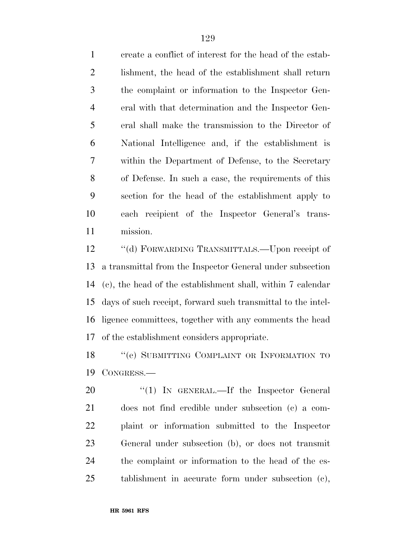create a conflict of interest for the head of the estab- lishment, the head of the establishment shall return the complaint or information to the Inspector Gen- eral with that determination and the Inspector Gen- eral shall make the transmission to the Director of National Intelligence and, if the establishment is within the Department of Defense, to the Secretary of Defense. In such a case, the requirements of this section for the head of the establishment apply to each recipient of the Inspector General's trans-mission.

 ''(d) FORWARDING TRANSMITTALS.—Upon receipt of a transmittal from the Inspector General under subsection (c), the head of the establishment shall, within 7 calendar days of such receipt, forward such transmittal to the intel- ligence committees, together with any comments the head of the establishment considers appropriate.

18 "(e) SUBMITTING COMPLAINT OR INFORMATION TO CONGRESS.—

20 "(1) IN GENERAL.—If the Inspector General does not find credible under subsection (c) a com- plaint or information submitted to the Inspector General under subsection (b), or does not transmit the complaint or information to the head of the es-tablishment in accurate form under subsection (c),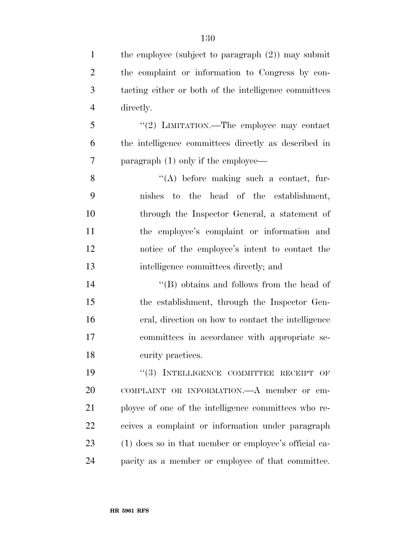1 the employee (subject to paragraph (2)) may submit the complaint or information to Congress by con- tacting either or both of the intelligence committees directly. ''(2) LIMITATION.—The employee may contact the intelligence committees directly as described in paragraph (1) only if the employee— ''(A) before making such a contact, fur- nishes to the head of the establishment, through the Inspector General, a statement of the employee's complaint or information and notice of the employee's intent to contact the intelligence committees directly; and ''(B) obtains and follows from the head of the establishment, through the Inspector Gen- eral, direction on how to contact the intelligence committees in accordance with appropriate se- curity practices.  $(3)$  INTELLIGENCE COMMITTEE RECEIPT OF COMPLAINT OR INFORMATION.—A member or em- ployee of one of the intelligence committees who re- ceives a complaint or information under paragraph (1) does so in that member or employee's official ca-pacity as a member or employee of that committee.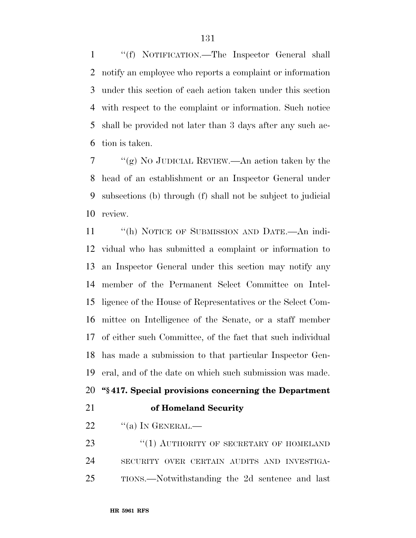''(f) NOTIFICATION.—The Inspector General shall notify an employee who reports a complaint or information under this section of each action taken under this section with respect to the complaint or information. Such notice shall be provided not later than 3 days after any such ac-tion is taken.

 $7 \cdot \text{``(g)}$  No JUDICIAL REVIEW.—An action taken by the head of an establishment or an Inspector General under subsections (b) through (f) shall not be subject to judicial review.

 ''(h) NOTICE OF SUBMISSION AND DATE.—An indi- vidual who has submitted a complaint or information to an Inspector General under this section may notify any member of the Permanent Select Committee on Intel- ligence of the House of Representatives or the Select Com- mittee on Intelligence of the Senate, or a staff member of either such Committee, of the fact that such individual has made a submission to that particular Inspector Gen-eral, and of the date on which such submission was made.

```
20 ''§ 417. Special provisions concerning the Department
```
## **of Homeland Security**

22  $\frac{1}{2}$  (a) In GENERAL.

23 "(1) AUTHORITY OF SECRETARY OF HOMELAND SECURITY OVER CERTAIN AUDITS AND INVESTIGA-TIONS.—Notwithstanding the 2d sentence and last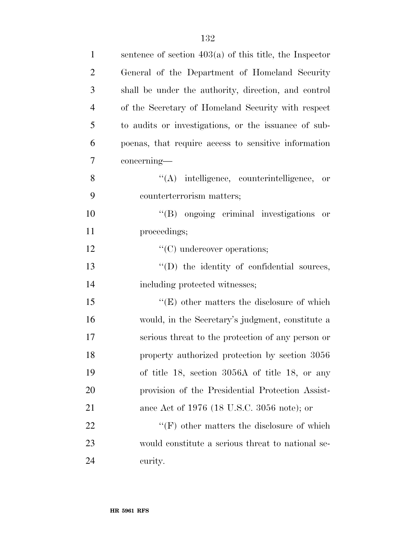| $\mathbf{1}$   | sentence of section $403(a)$ of this title, the Inspector |
|----------------|-----------------------------------------------------------|
| $\overline{2}$ | General of the Department of Homeland Security            |
| 3              | shall be under the authority, direction, and control      |
| $\overline{4}$ | of the Secretary of Homeland Security with respect        |
| 5              | to audits or investigations, or the issuance of sub-      |
| 6              | poenas, that require access to sensitive information      |
| 7              | concerning—                                               |
| 8              | $\lq\lq$ intelligence, counterintelligence, or            |
| 9              | counterterrorism matters;                                 |
| 10             | "(B) ongoing criminal investigations or                   |
| 11             | proceedings;                                              |
| 12             | $\lq\lq$ constraints; (C) undercover operations;          |
| 13             | "(D) the identity of confidential sources,                |
| 14             | including protected witnesses;                            |
| 15             | $\lq\lq(E)$ other matters the disclosure of which         |
| 16             | would, in the Secretary's judgment, constitute a          |
| 17             | serious threat to the protection of any person or         |
| 18             | property authorized protection by section 3056            |
| 19             | of title 18, section $3056A$ of title 18, or any          |
| 20             | provision of the Presidential Protection Assist-          |
| 21             | ance Act of 1976 (18 U.S.C. 3056 note); or                |
| 22             | $\lq\lq(F)$ other matters the disclosure of which         |
| 23             | would constitute a serious threat to national se-         |
| 24             | curity.                                                   |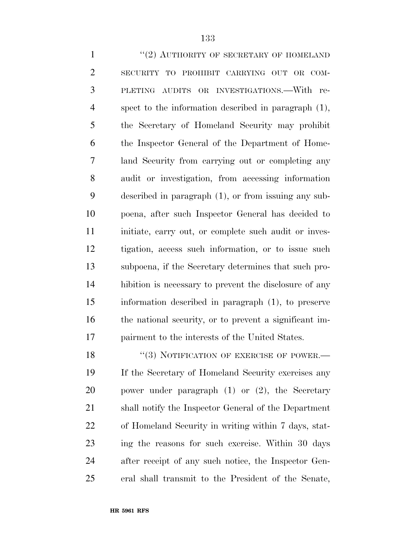<sup>"</sup>(2) AUTHORITY OF SECRETARY OF HOMELAND SECURITY TO PROHIBIT CARRYING OUT OR COM- PLETING AUDITS OR INVESTIGATIONS.—With re- spect to the information described in paragraph (1), the Secretary of Homeland Security may prohibit the Inspector General of the Department of Home- land Security from carrying out or completing any audit or investigation, from accessing information described in paragraph (1), or from issuing any sub- poena, after such Inspector General has decided to 11 initiate, carry out, or complete such audit or inves- tigation, access such information, or to issue such subpoena, if the Secretary determines that such pro- hibition is necessary to prevent the disclosure of any information described in paragraph (1), to preserve the national security, or to prevent a significant im- pairment to the interests of the United States. 18 "(3) NOTIFICATION OF EXERCISE OF POWER.—

 If the Secretary of Homeland Security exercises any power under paragraph (1) or (2), the Secretary shall notify the Inspector General of the Department of Homeland Security in writing within 7 days, stat- ing the reasons for such exercise. Within 30 days after receipt of any such notice, the Inspector Gen-eral shall transmit to the President of the Senate,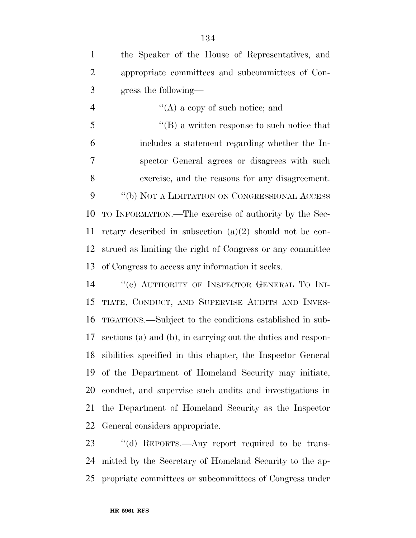| $\mathbf{1}$   | the Speaker of the House of Representatives, and             |
|----------------|--------------------------------------------------------------|
| $\overline{2}$ | appropriate committees and subcommittees of Con-             |
| 3              | gress the following—                                         |
| $\overline{4}$ | $\lq\lq$ (A) a copy of such notice; and                      |
| 5              | $\lq\lq (B)$ a written response to such notice that          |
| 6              | includes a statement regarding whether the In-               |
| 7              | spector General agrees or disagrees with such                |
| 8              | exercise, and the reasons for any disagreement.              |
| 9              | "(b) NOT A LIMITATION ON CONGRESSIONAL ACCESS                |
| 10             | TO INFORMATION.—The exercise of authority by the Sec-        |
| 11             | retary described in subsection $(a)(2)$ should not be con-   |
| 12             | strued as limiting the right of Congress or any committee    |
| 13             | of Congress to access any information it seeks.              |
| 14             | "(c) AUTHORITY OF INSPECTOR GENERAL TO INI-                  |
| 15             | TIATE, CONDUCT, AND SUPERVISE AUDITS AND INVES-              |
| 16             | TIGATIONS.—Subject to the conditions established in sub-     |
| 17             | sections (a) and (b), in carrying out the duties and respon- |

 General considers appropriate. 23 "(d) REPORTS.—Any report required to be trans- mitted by the Secretary of Homeland Security to the ap-propriate committees or subcommittees of Congress under

sibilities specified in this chapter, the Inspector General

of the Department of Homeland Security may initiate,

conduct, and supervise such audits and investigations in

the Department of Homeland Security as the Inspector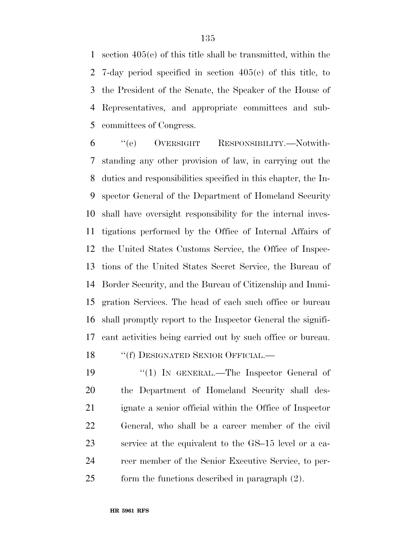section 405(e) of this title shall be transmitted, within the 7-day period specified in section 405(e) of this title, to the President of the Senate, the Speaker of the House of Representatives, and appropriate committees and sub-committees of Congress.

 ''(e) OVERSIGHT RESPONSIBILITY.—Notwith- standing any other provision of law, in carrying out the duties and responsibilities specified in this chapter, the In- spector General of the Department of Homeland Security shall have oversight responsibility for the internal inves- tigations performed by the Office of Internal Affairs of the United States Customs Service, the Office of Inspec- tions of the United States Secret Service, the Bureau of Border Security, and the Bureau of Citizenship and Immi- gration Services. The head of each such office or bureau shall promptly report to the Inspector General the signifi-cant activities being carried out by such office or bureau.

18 "(f) DESIGNATED SENIOR OFFICIAL.—

19 "(1) In GENERAL.—The Inspector General of the Department of Homeland Security shall des- ignate a senior official within the Office of Inspector General, who shall be a career member of the civil service at the equivalent to the GS–15 level or a ca- reer member of the Senior Executive Service, to per-form the functions described in paragraph (2).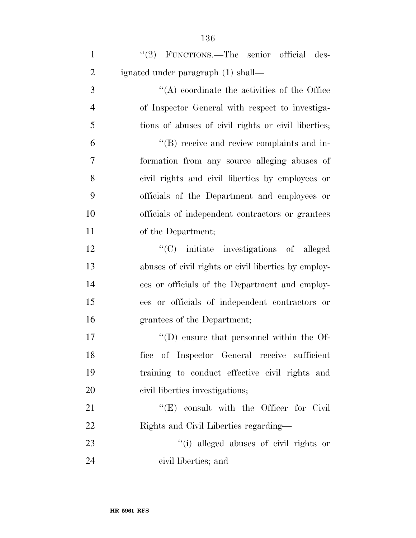| $\mathbf{1}$   | "(2) FUNCTIONS.—The senior official des-             |
|----------------|------------------------------------------------------|
| $\overline{2}$ | ignated under paragraph (1) shall—                   |
| 3              | $\lq\lq$ coordinate the activities of the Office     |
| $\overline{4}$ | of Inspector General with respect to investiga-      |
| 5              | tions of abuses of civil rights or civil liberties;  |
| 6              | "(B) receive and review complaints and in-           |
| 7              | formation from any source alleging abuses of         |
| 8              | civil rights and civil liberties by employees or     |
| 9              | officials of the Department and employees or         |
| 10             | officials of independent contractors or grantees     |
| 11             | of the Department;                                   |
| 12             | "(C) initiate investigations of alleged              |
| 13             | abuses of civil rights or civil liberties by employ- |
| 14             | ees or officials of the Department and employ-       |
| 15             | ees or officials of independent contractors or       |
| 16             | grantees of the Department;                          |
| 17             | $\lq\lq$ (D) ensure that personnel within the Of-    |
| 18             | fice of Inspector General receive sufficient         |
| 19             | training to conduct effective civil rights and       |
| 20             | civil liberties investigations;                      |
| 21             | $\lq\lq$ (E) consult with the Officer for Civil      |
| 22             | Rights and Civil Liberties regarding—                |
| 23             | "(i) alleged abuses of civil rights or               |
| 24             | civil liberties; and                                 |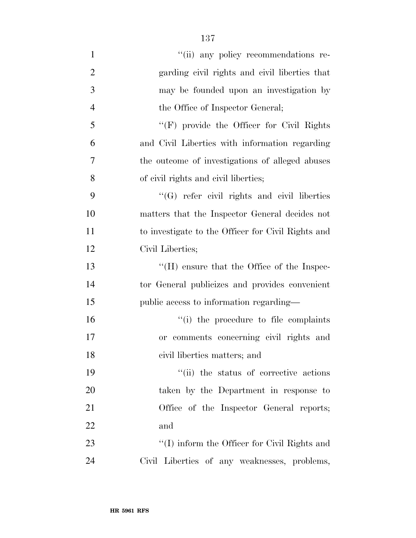- 1  $"$ (ii) any policy recommendations re- garding civil rights and civil liberties that may be founded upon an investigation by 4 the Office of Inspector General; ''(F) provide the Officer for Civil Rights and Civil Liberties with information regarding the outcome of investigations of alleged abuses of civil rights and civil liberties; ''(G) refer civil rights and civil liberties matters that the Inspector General decides not to investigate to the Officer for Civil Rights and Civil Liberties; ''(H) ensure that the Office of the Inspec- tor General publicizes and provides convenient public access to information regarding— 16  $\frac{1}{10}$  the procedure to file complaints or comments concerning civil rights and civil liberties matters; and 19  $\frac{1}{10}$  the status of corrective actions taken by the Department in response to 21 Office of the Inspector General reports; and
- 23 "'(I) inform the Officer for Civil Rights and Civil Liberties of any weaknesses, problems,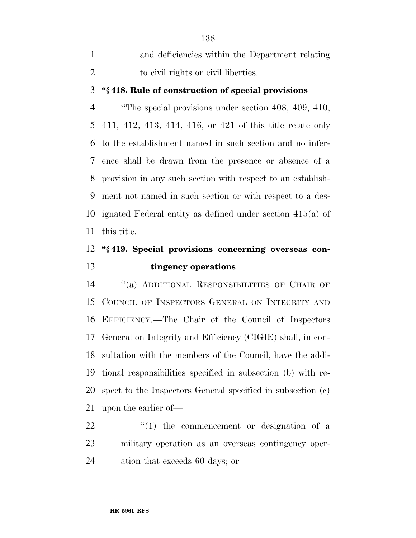| and deficiencies within the Department relating |
|-------------------------------------------------|
| to civil rights or civil liberties.             |

## **''§ 418. Rule of construction of special provisions**

 ''The special provisions under section 408, 409, 410, 411, 412, 413, 414, 416, or 421 of this title relate only to the establishment named in such section and no infer- ence shall be drawn from the presence or absence of a provision in any such section with respect to an establish- ment not named in such section or with respect to a des- ignated Federal entity as defined under section 415(a) of this title.

## **''§ 419. Special provisions concerning overseas con-tingency operations**

 ''(a) ADDITIONAL RESPONSIBILITIES OF CHAIR OF COUNCIL OF INSPECTORS GENERAL ON INTEGRITY AND EFFICIENCY.—The Chair of the Council of Inspectors General on Integrity and Efficiency (CIGIE) shall, in con- sultation with the members of the Council, have the addi- tional responsibilities specified in subsection (b) with re- spect to the Inspectors General specified in subsection (c) upon the earlier of—

  $\qquad$   $\qquad$   $\qquad$   $\qquad$   $\qquad$   $\qquad$   $\qquad$   $\qquad$   $\qquad$   $\qquad$   $\qquad$   $\qquad$   $\qquad$   $\qquad$   $\qquad$   $\qquad$   $\qquad$   $\qquad$   $\qquad$   $\qquad$   $\qquad$   $\qquad$   $\qquad$   $\qquad$   $\qquad$   $\qquad$   $\qquad$   $\qquad$   $\qquad$   $\qquad$   $\qquad$   $\qquad$   $\qquad$   $\qquad$   $\qquad$   $\qquad$  military operation as an overseas contingency oper-ation that exceeds 60 days; or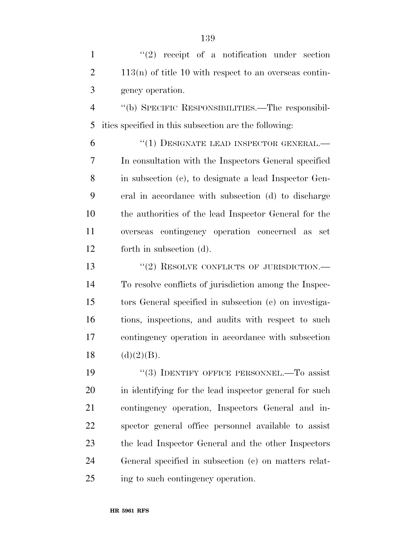| $\mathbf{1}$   | $(2)$ receipt of a notification under section            |
|----------------|----------------------------------------------------------|
| $\overline{2}$ | $113(n)$ of title 10 with respect to an overseas contin- |
| 3              | gency operation.                                         |
| $\overline{4}$ | "(b) SPECIFIC RESPONSIBILITIES.—The responsibil-         |
| 5              | ities specified in this subsection are the following:    |
| 6              | "(1) DESIGNATE LEAD INSPECTOR GENERAL.-                  |
| 7              | In consultation with the Inspectors General specified    |
| 8              | in subsection (c), to designate a lead Inspector Gen-    |
| 9              | eral in accordance with subsection (d) to discharge      |
| 10             | the authorities of the lead Inspector General for the    |
| 11             | overseas contingency operation concerned as set          |
| 12             | forth in subsection (d).                                 |
| 13             | $``(2)$ RESOLVE CONFLICTS OF JURISDICTION.—              |
| 14             | To resolve conflicts of jurisdiction among the Inspec-   |
| 15             | tors General specified in subsection (c) on investiga-   |
| 16             | tions, inspections, and audits with respect to such      |
| 17             | contingency operation in accordance with subsection      |
| 18             | (d)(2)(B).                                               |
| 19             | "(3) IDENTIFY OFFICE PERSONNEL.—To assist                |
| 20             | in identifying for the lead inspector general for such   |
| 21             | contingency operation, Inspectors General and in-        |
| 22             | spector general office personnel available to assist     |
| 23             | the lead Inspector General and the other Inspectors      |
| 24             | General specified in subsection (c) on matters relat-    |

ing to such contingency operation.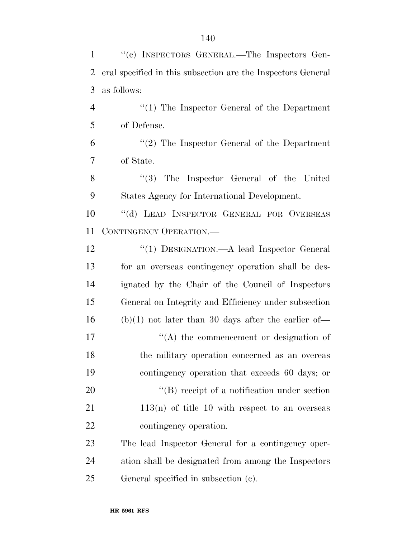| $\mathbf{1}$   | "(c) INSPECTORS GENERAL.—The Inspectors Gen-                 |
|----------------|--------------------------------------------------------------|
| $\overline{2}$ | eral specified in this subsection are the Inspectors General |
| 3              | as follows:                                                  |
| $\overline{4}$ | $\lq(1)$ The Inspector General of the Department             |
| 5              | of Defense.                                                  |
| 6              | $\lq(2)$ The Inspector General of the Department             |
| 7              | of State.                                                    |
| 8              | $\lq(3)$ The Inspector General of the United                 |
| 9              | States Agency for International Development.                 |
| 10             | "(d) LEAD INSPECTOR GENERAL FOR OVERSEAS                     |
| 11             | CONTINGENCY OPERATION.                                       |
| 12             | "(1) DESIGNATION.—A lead Inspector General                   |
| 13             | for an overseas contingency operation shall be des-          |
| 14             | ignated by the Chair of the Council of Inspectors            |
| 15             | General on Integrity and Efficiency under subsection         |
| 16             | $(b)(1)$ not later than 30 days after the earlier of-        |
| 17             | $\lq\lq$ the commencement or designation of                  |
| 18             | the military operation concerned as an overeas               |
| 19             | contingency operation that exceeds 60 days; or               |
| 20             | $\lq\lq$ receipt of a notification under section             |
| 21             | $113(n)$ of title 10 with respect to an overseas             |
| 22             | contingency operation.                                       |
| 23             | The lead Inspector General for a contingency oper-           |
| 24             | ation shall be designated from among the Inspectors          |
| 25             | General specified in subsection (c).                         |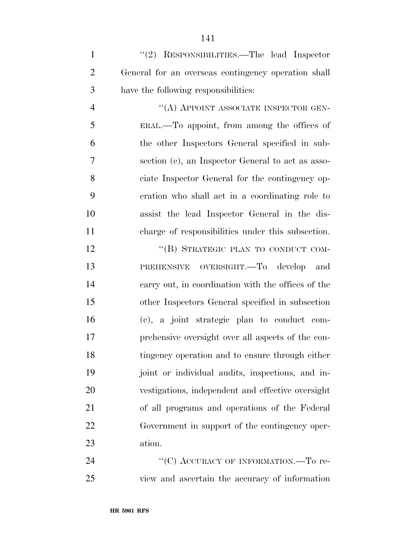1 "(2) RESPONSIBILITIES.—The lead Inspector General for an overseas contingency operation shall have the following responsibilities:

 $''(A)$  APPOINT ASSOCIATE INSPECTOR GEN- ERAL.—To appoint, from among the offices of the other Inspectors General specified in sub- section (c), an Inspector General to act as asso- ciate Inspector General for the contingency op- eration who shall act in a coordinating role to assist the lead Inspector General in the dis-charge of responsibilities under this subsection.

12 "(B) STRATEGIC PLAN TO CONDUCT COM- PREHENSIVE OVERSIGHT.—To develop and carry out, in coordination with the offices of the other Inspectors General specified in subsection (c), a joint strategic plan to conduct com- prehensive oversight over all aspects of the con- tingency operation and to ensure through either joint or individual audits, inspections, and in- vestigations, independent and effective oversight of all programs and operations of the Federal Government in support of the contingency oper-ation.

24 "(C) ACCURACY OF INFORMATION.—To re-view and ascertain the accuracy of information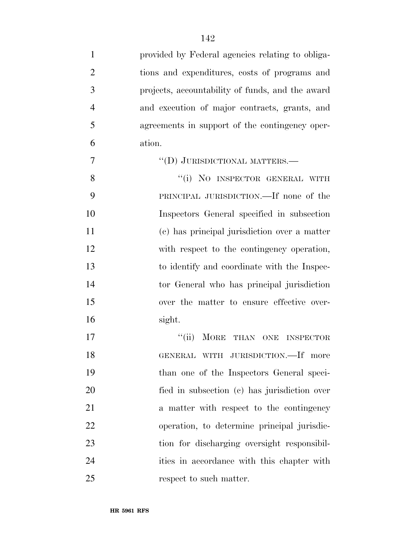| $\mathbf{1}$   | provided by Federal agencies relating to obliga- |
|----------------|--------------------------------------------------|
| $\overline{2}$ | tions and expenditures, costs of programs and    |
| 3              | projects, accountability of funds, and the award |
| $\overline{4}$ | and execution of major contracts, grants, and    |
| 5              | agreements in support of the contingency oper-   |
| 6              | ation.                                           |
| 7              | "(D) JURISDICTIONAL MATTERS.—                    |
| 8              | "(i) NO INSPECTOR GENERAL WITH                   |
| 9              | PRINCIPAL JURISDICTION.—If none of the           |
| 10             | Inspectors General specified in subsection       |
| 11             | (c) has principal jurisdiction over a matter     |
| 12             | with respect to the contingency operation,       |
| 13             | to identify and coordinate with the Inspec-      |
| 14             | tor General who has principal jurisdiction       |
| 15             | over the matter to ensure effective over-        |
| 16             | sight.                                           |
| 17             | "(ii) MORE THAN ONE INSPECTOR                    |
| 18             | GENERAL WITH JURISDICTION.-If more               |
| 19             | than one of the Inspectors General speci-        |
| 20             | fied in subsection (c) has jurisdiction over     |
| 21             | a matter with respect to the contingency         |
| 22             | operation, to determine principal jurisdic-      |
| 23             | tion for discharging oversight responsibil-      |
| 24             | ities in accordance with this chapter with       |
| 25             | respect to such matter.                          |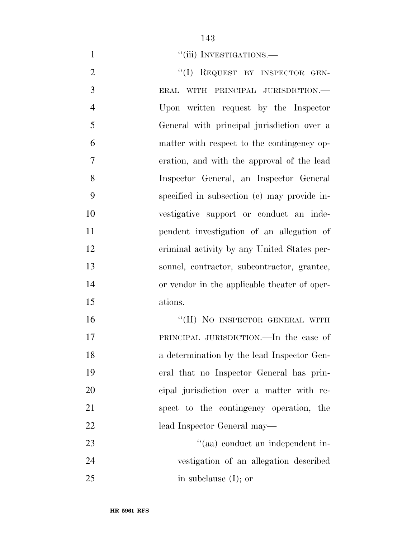1 ''(iii) INVESTIGATIONS.

2 "(I) REQUEST BY INSPECTOR GEN- ERAL WITH PRINCIPAL JURISDICTION.— Upon written request by the Inspector General with principal jurisdiction over a matter with respect to the contingency op- eration, and with the approval of the lead Inspector General, an Inspector General specified in subsection (c) may provide in- vestigative support or conduct an inde- pendent investigation of an allegation of criminal activity by any United States per- sonnel, contractor, subcontractor, grantee, or vendor in the applicable theater of oper- ations. 16 "(II) NO INSPECTOR GENERAL WITH

 PRINCIPAL JURISDICTION.—In the case of a determination by the lead Inspector Gen- eral that no Inspector General has prin- cipal jurisdiction over a matter with re- spect to the contingency operation, the lead Inspector General may— 23 ''(aa) conduct an independent in-

 vestigation of an allegation described in subclause (I); or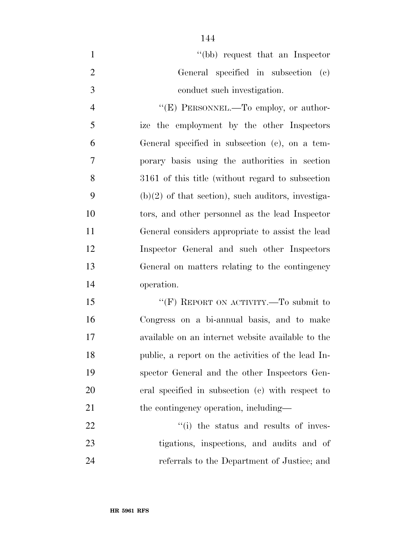|               | "(bb) request that an Inspector"    |
|---------------|-------------------------------------|
|               | General specified in subsection (c) |
| $\mathcal{R}$ | conduct such investigation.         |

4 "'(E) PERSONNEL.—To employ, or author- ize the employment by the other Inspectors General specified in subsection (c), on a tem- porary basis using the authorities in section 3161 of this title (without regard to subsection 9 (b) $(2)$  of that section), such auditors, investiga- tors, and other personnel as the lead Inspector General considers appropriate to assist the lead Inspector General and such other Inspectors General on matters relating to the contingency operation.

15 ""(F) REPORT ON ACTIVITY.—To submit to Congress on a bi-annual basis, and to make available on an internet website available to the public, a report on the activities of the lead In- spector General and the other Inspectors Gen- eral specified in subsection (c) with respect to 21 the contingency operation, including—

22  $\frac{1}{1}$  the status and results of inves- tigations, inspections, and audits and of referrals to the Department of Justice; and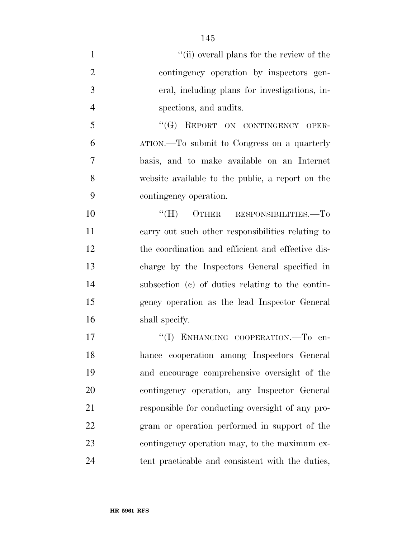- 1 ''(ii) overall plans for the review of the contingency operation by inspectors gen- eral, including plans for investigations, in- spections, and audits. 5 "(G) REPORT ON CONTINGENCY OPER-ATION.—To submit to Congress on a quarterly
- basis, and to make available on an Internet website available to the public, a report on the contingency operation.
- 10  $"$ (H) OTHER RESPONSIBILITIES.—To carry out such other responsibilities relating to the coordination and efficient and effective dis- charge by the Inspectors General specified in subsection (c) of duties relating to the contin- gency operation as the lead Inspector General shall specify.
- 17 "(I) ENHANCING COOPERATION.—To en- hance cooperation among Inspectors General and encourage comprehensive oversight of the contingency operation, any Inspector General responsible for conducting oversight of any pro- gram or operation performed in support of the contingency operation may, to the maximum ex-tent practicable and consistent with the duties,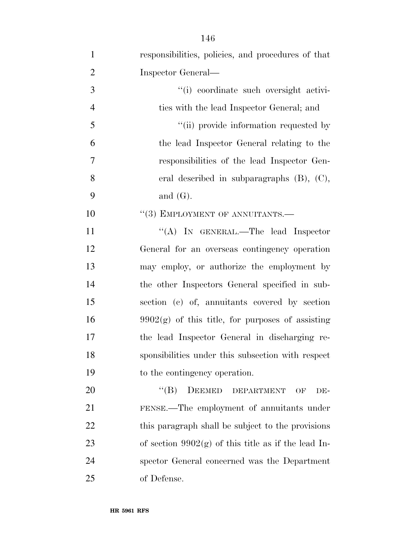| $\mathbf{1}$   | responsibilities, policies, and procedures of that       |
|----------------|----------------------------------------------------------|
| $\overline{2}$ | Inspector General—                                       |
| 3              | "(i) coordinate such oversight activi-                   |
| $\overline{4}$ | ties with the lead Inspector General; and                |
| 5              | "(ii) provide information requested by                   |
| 6              | the lead Inspector General relating to the               |
| $\tau$         | responsibilities of the lead Inspector Gen-              |
| 8              | eral described in subparagraphs $(B)$ , $(C)$ ,          |
| 9              | and $(G)$ .                                              |
| 10             | $``(3)$ EMPLOYMENT OF ANNUITANTS.—                       |
| 11             | "(A) IN GENERAL.—The lead Inspector                      |
| 12             | General for an overseas contingency operation            |
| 13             | may employ, or authorize the employment by               |
| 14             | the other Inspectors General specified in sub-           |
| 15             | section (c) of, annuitants covered by section            |
| 16             | $9902(g)$ of this title, for purposes of assisting       |
| 17             | the lead Inspector General in discharging re-            |
| 18             | sponsibilities under this subsection with respect        |
| 19             | to the contingency operation.                            |
| 20             | $\lq\lq (B)$<br>DEEMED<br><b>DEPARTMENT</b><br>OF<br>DE- |
| 21             | FENSE.—The employment of annuitants under                |
| 22             | this paragraph shall be subject to the provisions        |
| 23             | of section $9902(g)$ of this title as if the lead In-    |
| 24             | spector General concerned was the Department             |
| 25             | of Defense.                                              |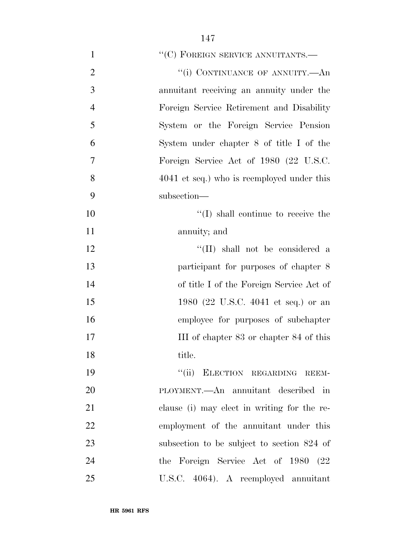| $\mathbf{1}$   | "(C) FOREIGN SERVICE ANNUITANTS.—           |
|----------------|---------------------------------------------|
| $\overline{2}$ | "(i) CONTINUANCE OF ANNUITY.—An             |
| 3              | annuitant receiving an annuity under the    |
| $\overline{4}$ | Foreign Service Retirement and Disability   |
| 5              | System or the Foreign Service Pension       |
| 6              | System under chapter 8 of title I of the    |
| 7              | Foreign Service Act of 1980 (22 U.S.C.      |
| 8              | 4041 et seq.) who is reemployed under this  |
| 9              | subsection-                                 |
| 10             | $\lq\lq$ (I) shall continue to receive the  |
| 11             | annuity; and                                |
| 12             | "(II) shall not be considered a             |
| 13             | participant for purposes of chapter 8       |
| 14             | of title I of the Foreign Service Act of    |
| 15             | 1980 (22 U.S.C. 4041 et seq.) or an         |
| 16             | employee for purposes of subchapter         |
| 17             | III of chapter 83 or chapter 84 of this     |
| 18             | title.                                      |
| 19             | "(ii) ELECTION REGARDING REEM-              |
| 20             | PLOYMENT.—An annuitant described in         |
| 21             | clause (i) may elect in writing for the re- |
| 22             | employment of the annuitant under this      |
| 23             | subsection to be subject to section 824 of  |
| 24             | the Foreign Service Act of 1980 (22         |
| 25             | U.S.C. 4064). A reemployed annuitant        |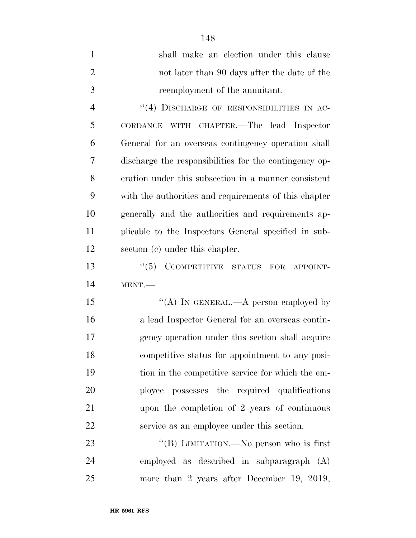| $\mathbf{1}$   | shall make an election under this clause               |
|----------------|--------------------------------------------------------|
| $\overline{2}$ | not later than 90 days after the date of the           |
| 3              | reemployment of the annuitant.                         |
| $\overline{4}$ | "(4) DISCHARGE OF RESPONSIBILITIES IN AC-              |
| 5              | CORDANCE WITH CHAPTER.—The lead Inspector              |
| 6              | General for an overseas contingency operation shall    |
| 7              | discharge the responsibilities for the contingency op- |
| 8              | eration under this subsection in a manner consistent   |
| 9              | with the authorities and requirements of this chapter  |
| 10             | generally and the authorities and requirements ap-     |
| 11             | plicable to the Inspectors General specified in sub-   |
| 12             | section (c) under this chapter.                        |
| 13             | $``(5)$ CCOMPETITIVE STATUS FOR<br>APPOINT-            |
| 14             | MENT.                                                  |
| 15             | "(A) IN GENERAL.—A person employed by                  |
| 16             | a lead Inspector General for an overseas contin-       |
| 17             | gency operation under this section shall acquire       |
| 18             | competitive status for appointment to any posi-        |
| 19             | tion in the competitive service for which the em-      |
| 20             | ployee possesses the required qualifications           |
| 21             | upon the completion of 2 years of continuous           |
| 22             | service as an employee under this section.             |
| 23             | "(B) LIMITATION.—No person who is first                |
| 24             | employed as described in subparagraph (A)              |
| 25             | more than 2 years after December 19, 2019,             |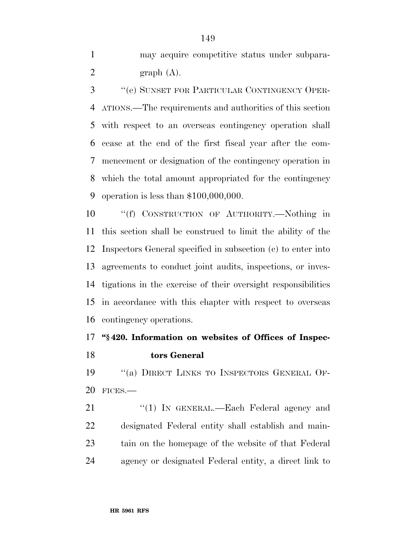may acquire competitive status under subpara-2 graph  $(A)$ .

 ''(e) SUNSET FOR PARTICULAR CONTINGENCY OPER- ATIONS.—The requirements and authorities of this section with respect to an overseas contingency operation shall cease at the end of the first fiscal year after the com- mencement or designation of the contingency operation in which the total amount appropriated for the contingency operation is less than \$100,000,000.

 ''(f) CONSTRUCTION OF AUTHORITY.—Nothing in this section shall be construed to limit the ability of the Inspectors General specified in subsection (c) to enter into agreements to conduct joint audits, inspections, or inves- tigations in the exercise of their oversight responsibilities in accordance with this chapter with respect to overseas contingency operations.

## **''§ 420. Information on websites of Offices of Inspec-tors General**

19 "(a) DIRECT LINKS TO INSPECTORS GENERAL OF-FICES.—

21 "(1) In GENERAL.—Each Federal agency and designated Federal entity shall establish and main- tain on the homepage of the website of that Federal agency or designated Federal entity, a direct link to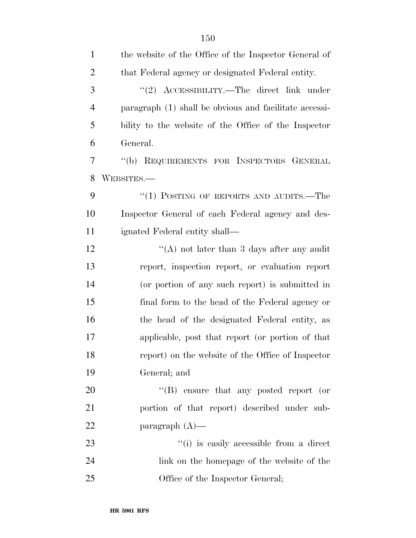| $\mathbf{1}$   | the website of the Office of the Inspector General of  |
|----------------|--------------------------------------------------------|
| $\overline{2}$ | that Federal agency or designated Federal entity.      |
| 3              | "(2) $\Lambda$ CCESSIBILITY.—The direct link under     |
| $\overline{4}$ | paragraph (1) shall be obvious and facilitate accessi- |
| 5              | bility to the website of the Office of the Inspector   |
| 6              | General.                                               |
| 7              | "(b) REQUIREMENTS FOR INSPECTORS GENERAL               |
| 8              | WEBSITES.—                                             |
| 9              | "(1) POSTING OF REPORTS AND AUDITS.—The                |
| 10             | Inspector General of each Federal agency and des-      |
| 11             | ignated Federal entity shall—                          |
| 12             | "(A) not later than 3 days after any audit             |
| 13             | report, inspection report, or evaluation report        |
| 14             | (or portion of any such report) is submitted in        |
| 15             | final form to the head of the Federal agency or        |
| 16             | the head of the designated Federal entity, as          |
| 17             | applicable, post that report (or portion of that       |
| 18             | report) on the website of the Office of Inspector      |
| 19             | General; and                                           |
| 20             | $\lq\lq(B)$ ensure that any posted report (or          |
| 21             | portion of that report) described under sub-           |
| 22             | paragraph $(A)$ —                                      |
| 23             | "(i) is easily accessible from a direct                |
| 24             | link on the homepage of the website of the             |
| 25             | Office of the Inspector General;                       |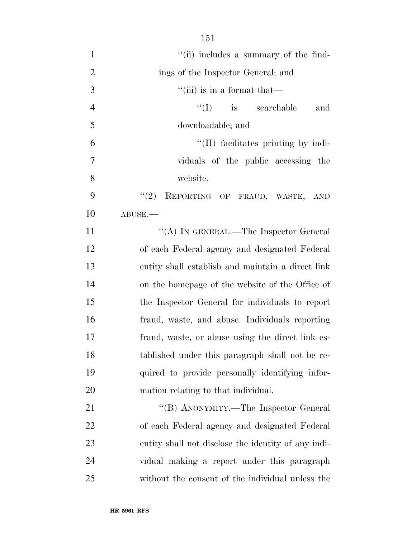| $\mathbf{1}$   | "(ii) includes a summary of the find-               |
|----------------|-----------------------------------------------------|
| $\overline{2}$ | ings of the Inspector General; and                  |
| 3              | $\lq$ <sup>"</sup> (iii) is in a format that—       |
| $\overline{4}$ | $f'(I)$ is searchable<br>and                        |
| 5              | downloadable; and                                   |
| 6              | "(II) facilitates printing by indi-                 |
| 7              | viduals of the public accessing the                 |
| 8              | website.                                            |
| 9              | REPORTING OF FRAUD, WASTE, AND<br>(2)               |
| 10             | ABUSE.                                              |
| 11             | "(A) IN GENERAL.—The Inspector General              |
| 12             | of each Federal agency and designated Federal       |
| 13             | entity shall establish and maintain a direct link   |
| 14             | on the homepage of the website of the Office of     |
| 15             | the Inspector General for individuals to report     |
| 16             | fraud, waste, and abuse. Individuals reporting      |
| 17             | fraud, waste, or abuse using the direct link es-    |
| 18             | tablished under this paragraph shall not be re-     |
| 19             | quired to provide personally identifying infor-     |
| 20             | mation relating to that individual.                 |
| 21             | "(B) ANONYMITY.—The Inspector General               |
| 22             | of each Federal agency and designated Federal       |
| 23             | entity shall not disclose the identity of any indi- |
| 24             | vidual making a report under this paragraph         |
| 25             | without the consent of the individual unless the    |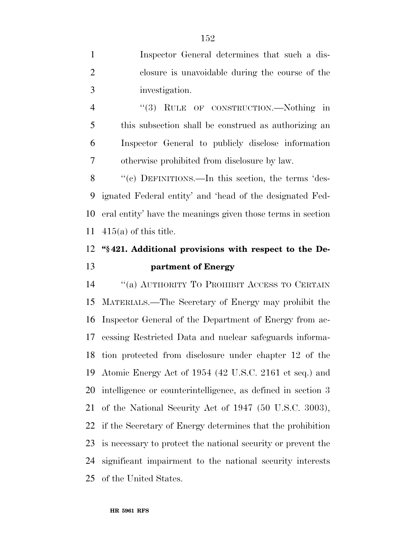Inspector General determines that such a dis- closure is unavoidable during the course of the investigation.

4 "(3) RULE OF CONSTRUCTION.—Nothing in this subsection shall be construed as authorizing an Inspector General to publicly disclose information otherwise prohibited from disclosure by law.

8 "(c) DEFINITIONS.—In this section, the terms 'des- ignated Federal entity' and 'head of the designated Fed- eral entity' have the meanings given those terms in section 415(a) of this title.

# **''§ 421. Additional provisions with respect to the De-partment of Energy**

 ''(a) AUTHORITY TO PROHIBIT ACCESS TO CERTAIN MATERIALS.—The Secretary of Energy may prohibit the Inspector General of the Department of Energy from ac- cessing Restricted Data and nuclear safeguards informa- tion protected from disclosure under chapter 12 of the Atomic Energy Act of 1954 (42 U.S.C. 2161 et seq.) and intelligence or counterintelligence, as defined in section 3 of the National Security Act of 1947 (50 U.S.C. 3003), if the Secretary of Energy determines that the prohibition is necessary to protect the national security or prevent the significant impairment to the national security interests of the United States.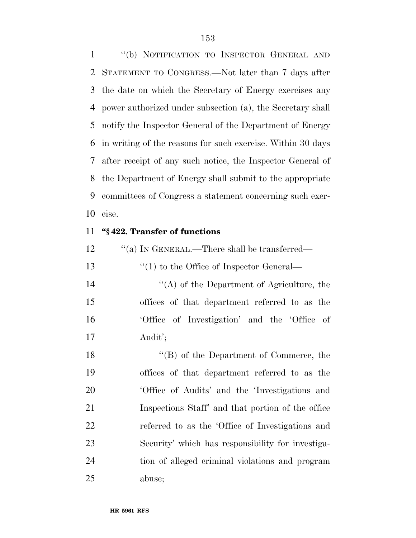''(b) NOTIFICATION TO INSPECTOR GENERAL AND STATEMENT TO CONGRESS.—Not later than 7 days after the date on which the Secretary of Energy exercises any power authorized under subsection (a), the Secretary shall notify the Inspector General of the Department of Energy in writing of the reasons for such exercise. Within 30 days after receipt of any such notice, the Inspector General of the Department of Energy shall submit to the appropriate committees of Congress a statement concerning such exer-cise.

#### **''§ 422. Transfer of functions**

| 12 | "(a) IN GENERAL.—There shall be transferred—      |
|----|---------------------------------------------------|
| 13 | $\lq(1)$ to the Office of Inspector General—      |
| 14 | $\lq\lq$ of the Department of Agriculture, the    |
| 15 | offices of that department referred to as the     |
| 16 | 'Office of Investigation' and the 'Office of      |
| 17 | Audit';                                           |
| 18 | $\lq\lq (B)$ of the Department of Commerce, the   |
| 19 | offices of that department referred to as the     |
| 20 | 'Office of Audits' and the 'Investigations and    |
| 21 | Inspections Staff' and that portion of the office |
| 22 | referred to as the 'Office of Investigations and  |
| 23 | Security' which has responsibility for investiga- |
| 24 | tion of alleged criminal violations and program   |
| 25 | abuse;                                            |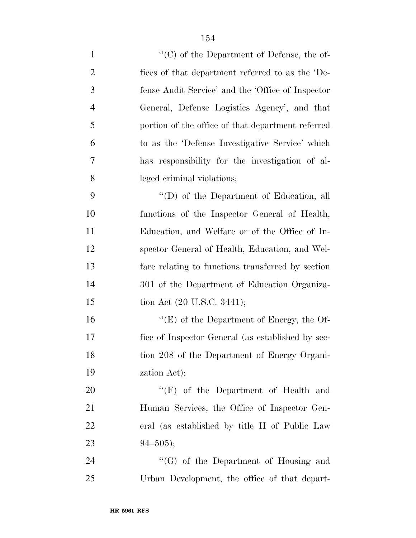| $\mathbf{1}$   | $\lq\lq$ (C) of the Department of Defense, the of- |
|----------------|----------------------------------------------------|
| $\overline{2}$ | fices of that department referred to as the 'De-   |
| 3              | fense Audit Service' and the 'Office of Inspector  |
| $\overline{4}$ | General, Defense Logistics Agency', and that       |
| 5              | portion of the office of that department referred  |
| 6              | to as the 'Defense Investigative Service' which    |
| 7              | has responsibility for the investigation of al-    |
| 8              | leged criminal violations;                         |
| 9              | $\lq\lq$ of the Department of Education, all       |
| 10             | functions of the Inspector General of Health,      |
| 11             | Education, and Welfare or of the Office of In-     |
| 12             | spector General of Health, Education, and Wel-     |
| 13             | fare relating to functions transferred by section  |
| 14             | 301 of the Department of Education Organiza-       |
| 15             | tion Act (20 U.S.C. 3441);                         |
| 16             | " $(E)$ of the Department of Energy, the Of-       |
| 17             | fice of Inspector General (as established by sec-  |
| 18             | tion 208 of the Department of Energy Organi-       |
| 19             | zation Act);                                       |
| 20             | " $(F)$ of the Department of Health and            |
| 21             | Human Services, the Office of Inspector Gen-       |
| 22             | eral (as established by title II of Public Law     |
| 23             | $94 - 505$ ;                                       |
| 24             | $\lq\lq(G)$ of the Department of Housing and       |
| 25             | Urban Development, the office of that depart-      |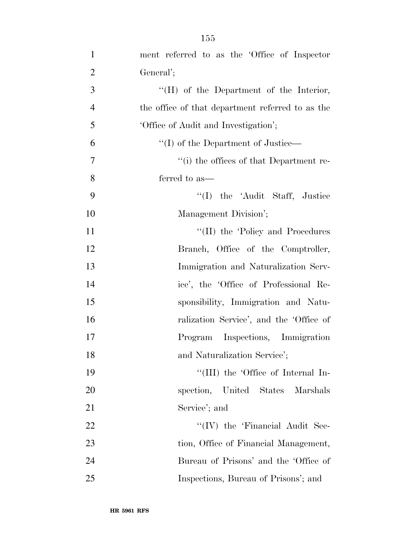| $\mathbf{1}$   | ment referred to as the 'Office of Inspector     |
|----------------|--------------------------------------------------|
| $\overline{2}$ | General';                                        |
| 3              | "(H) of the Department of the Interior,          |
| $\overline{4}$ | the office of that department referred to as the |
| 5              | 'Office of Audit and Investigation';             |
| 6              | "(I) of the Department of Justice—               |
| 7              | "(i) the offices of that Department re-          |
| 8              | ferred to as—                                    |
| 9              | "(I) the 'Audit Staff, Justice                   |
| 10             | Management Division';                            |
| 11             | "(II) the 'Policy and Procedures                 |
| 12             | Branch, Office of the Comptroller,               |
| 13             | Immigration and Naturalization Serv-             |
| 14             | ice', the 'Office of Professional Re-            |
| 15             | sponsibility, Immigration and Natu-              |
| 16             | ralization Service', and the 'Office of          |
| 17             | Program Inspections, Immigration                 |
| 18             | and Naturalization Service';                     |
| 19             | "(III) the 'Office of Internal In-               |
| 20             | spection, United States Marshals                 |
| 21             | Service'; and                                    |
| 22             | "(IV) the 'Financial Audit Sec-                  |
| 23             | tion, Office of Financial Management,            |
| 24             | Bureau of Prisons' and the 'Office of            |
| 25             | Inspections, Bureau of Prisons'; and             |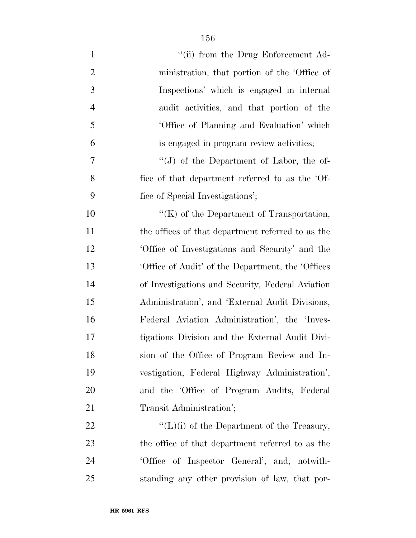| $\mathbf{1}$   | "(ii) from the Drug Enforcement Ad-                |
|----------------|----------------------------------------------------|
| $\overline{2}$ | ministration, that portion of the 'Office of       |
| 3              | Inspections' which is engaged in internal          |
| $\overline{4}$ | audit activities, and that portion of the          |
| 5              | 'Office of Planning and Evaluation' which          |
| 6              | is engaged in program review activities;           |
| 7              | "(J) of the Department of Labor, the of-           |
| 8              | fice of that department referred to as the 'Of-    |
| 9              | fice of Special Investigations';                   |
| 10             | " $(K)$ of the Department of Transportation,       |
| 11             | the offices of that department referred to as the  |
| 12             | Office of Investigations and Security' and the     |
| 13             | 'Office of Audit' of the Department, the 'Offices' |
| 14             | of Investigations and Security, Federal Aviation   |
| 15             | Administration', and 'External Audit Divisions,    |
| 16             | Federal Aviation Administration', the 'Inves-      |
| 17             | tigations Division and the External Audit Divi-    |
| 18             | sion of the Office of Program Review and In-       |
| 19             | vestigation, Federal Highway Administration',      |
| 20             | and the 'Office of Program Audits, Federal         |
| 21             | Transit Administration';                           |
| 22             | $\lq\lq(L)(i)$ of the Department of the Treasury,  |
| 23             | the office of that department referred to as the   |
| 24             | 'Office of Inspector General', and, notwith-       |
| 25             | standing any other provision of law, that por-     |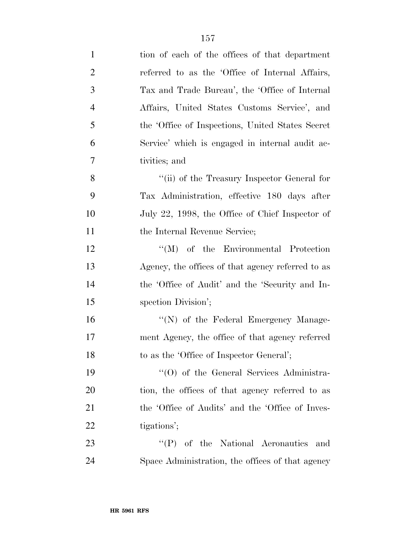| $\mathbf{1}$   | tion of each of the offices of that department    |
|----------------|---------------------------------------------------|
| $\overline{2}$ | referred to as the 'Office of Internal Affairs,   |
| 3              | Tax and Trade Bureau', the 'Office of Internal    |
| $\overline{4}$ | Affairs, United States Customs Service', and      |
| 5              | the 'Office of Inspections, United States Secret  |
| 6              | Service' which is engaged in internal audit ac-   |
| 7              | tivities; and                                     |
| 8              | "(ii) of the Treasury Inspector General for       |
| 9              | Tax Administration, effective 180 days after      |
| 10             | July 22, 1998, the Office of Chief Inspector of   |
| 11             | the Internal Revenue Service;                     |
| 12             | "(M) of the Environmental Protection              |
| 13             | Agency, the offices of that agency referred to as |
| 14             | the 'Office of Audit' and the 'Security and In-   |
| 15             | spection Division';                               |
| 16             | "(N) of the Federal Emergency Manage-             |
| 17             | ment Agency, the office of that agency referred   |
| 18             | to as the 'Office of Inspector General';          |
| 19             | "(O) of the General Services Administra-          |
| 20             | tion, the offices of that agency referred to as   |
| 21             | the 'Office of Audits' and the 'Office of Inves-  |
| 22             | tigations';                                       |
| 23             | $\lq\lq(P)$ of the National Aeronautics<br>and    |
| 24             | Space Administration, the offices of that agency  |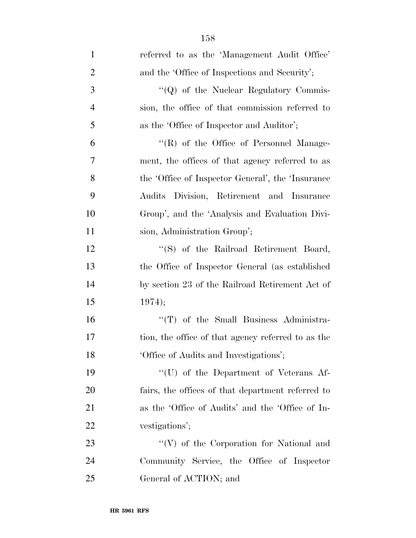| $\mathbf{1}$   | referred to as the 'Management Audit Office'       |
|----------------|----------------------------------------------------|
| $\overline{2}$ | and the 'Office of Inspections and Security';      |
| 3              | "(Q) of the Nuclear Regulatory Commis-             |
| $\overline{4}$ | sion, the office of that commission referred to    |
| 5              | as the 'Office of Inspector and Auditor';          |
| 6              | "(R) of the Office of Personnel Manage-            |
| $\overline{7}$ | ment, the offices of that agency referred to as    |
| 8              | the 'Office of Inspector General', the 'Insurance  |
| 9              | Audits Division, Retirement and Insurance          |
| 10             | Group', and the 'Analysis and Evaluation Divi-     |
| 11             | sion, Administration Group';                       |
| 12             | "(S) of the Railroad Retirement Board,             |
| 13             | the Office of Inspector General (as established    |
| 14             | by section 23 of the Railroad Retirement Act of    |
| 15             | 1974);                                             |
| 16             | "(T) of the Small Business Administra-             |
| 17             | tion, the office of that agency referred to as the |
| 18             | 'Office of Audits and Investigations';             |
| 19             | $\lq\lq$ (U) of the Department of Veterans Af-     |
| 20             | fairs, the offices of that department referred to  |
| 21             | as the 'Office of Audits' and the 'Office of In-   |
| 22             | vestigations';                                     |
| 23             | $``(V)$ of the Corporation for National and        |
| 24             | Community Service, the Office of Inspector         |
| 25             | General of ACTION; and                             |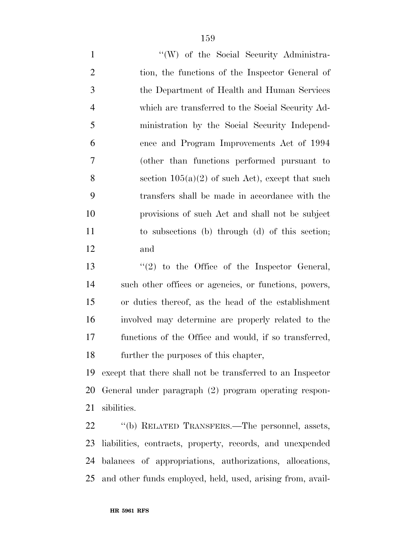1 ''(W) of the Social Security Administra- tion, the functions of the Inspector General of the Department of Health and Human Services which are transferred to the Social Security Ad- ministration by the Social Security Independ- ence and Program Improvements Act of 1994 (other than functions performed pursuant to 8 section  $105(a)(2)$  of such Act), except that such transfers shall be made in accordance with the provisions of such Act and shall not be subject to subsections (b) through (d) of this section; and

13 ''(2) to the Office of the Inspector General, such other offices or agencies, or functions, powers, or duties thereof, as the head of the establishment involved may determine are properly related to the functions of the Office and would, if so transferred, further the purposes of this chapter,

 except that there shall not be transferred to an Inspector General under paragraph (2) program operating respon-sibilities.

 ''(b) RELATED TRANSFERS.—The personnel, assets, liabilities, contracts, property, records, and unexpended balances of appropriations, authorizations, allocations, and other funds employed, held, used, arising from, avail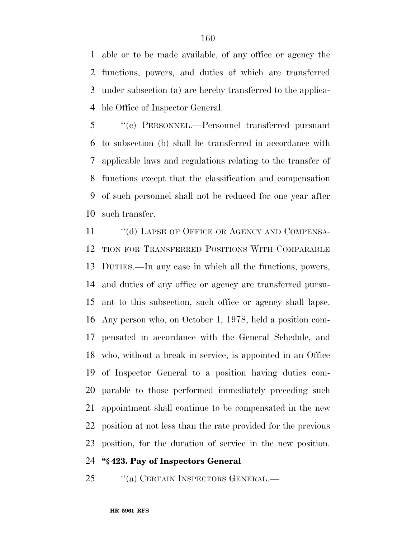able or to be made available, of any office or agency the functions, powers, and duties of which are transferred under subsection (a) are hereby transferred to the applica-ble Office of Inspector General.

 ''(c) PERSONNEL.—Personnel transferred pursuant to subsection (b) shall be transferred in accordance with applicable laws and regulations relating to the transfer of functions except that the classification and compensation of such personnel shall not be reduced for one year after such transfer.

11 "(d) LAPSE OF OFFICE OR AGENCY AND COMPENSA- TION FOR TRANSFERRED POSITIONS WITH COMPARABLE DUTIES.—In any case in which all the functions, powers, and duties of any office or agency are transferred pursu- ant to this subsection, such office or agency shall lapse. Any person who, on October 1, 1978, held a position com- pensated in accordance with the General Schedule, and who, without a break in service, is appointed in an Office of Inspector General to a position having duties com- parable to those performed immediately preceding such appointment shall continue to be compensated in the new position at not less than the rate provided for the previous position, for the duration of service in the new position.

### **''§ 423. Pay of Inspectors General**

25 "(a) CERTAIN INSPECTORS GENERAL.—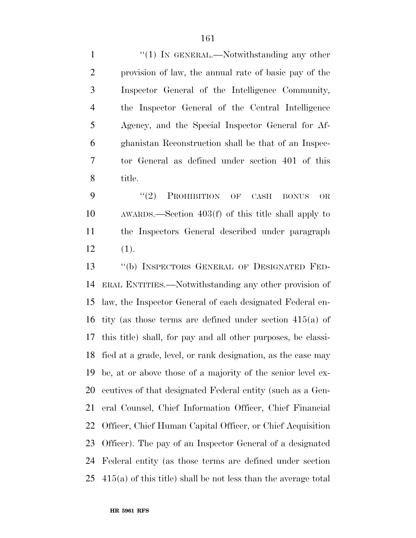1 "(1) In GENERAL.—Notwithstanding any other provision of law, the annual rate of basic pay of the Inspector General of the Intelligence Community, the Inspector General of the Central Intelligence Agency, and the Special Inspector General for Af- ghanistan Reconstruction shall be that of an Inspec- tor General as defined under section 401 of this title.

9 "(2) PROHIBITION OF CASH BONUS OR AWARDS.—Section 403(f) of this title shall apply to the Inspectors General described under paragraph  $12 \t(1).$ 

 ''(b) INSPECTORS GENERAL OF DESIGNATED FED- ERAL ENTITIES.—Notwithstanding any other provision of law, the Inspector General of each designated Federal en- tity (as those terms are defined under section 415(a) of this title) shall, for pay and all other purposes, be classi- fied at a grade, level, or rank designation, as the case may be, at or above those of a majority of the senior level ex- ecutives of that designated Federal entity (such as a Gen- eral Counsel, Chief Information Officer, Chief Financial Officer, Chief Human Capital Officer, or Chief Acquisition Officer). The pay of an Inspector General of a designated Federal entity (as those terms are defined under section 415(a) of this title) shall be not less than the average total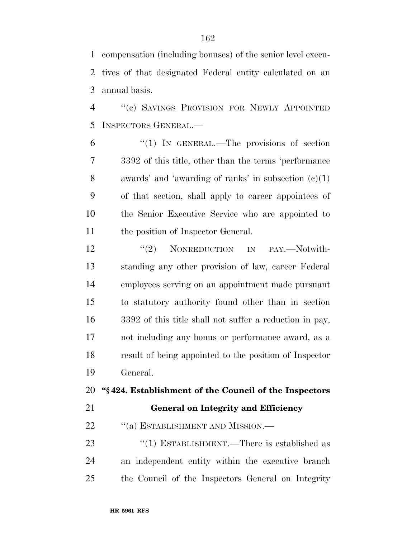compensation (including bonuses) of the senior level execu- tives of that designated Federal entity calculated on an annual basis.

 ''(c) SAVINGS PROVISION FOR NEWLY APPOINTED INSPECTORS GENERAL.—

 ''(1) IN GENERAL.—The provisions of section 3392 of this title, other than the terms 'performance awards' and 'awarding of ranks' in subsection (c)(1) of that section, shall apply to career appointees of the Senior Executive Service who are appointed to 11 the position of Inspector General.

12 "(2) NONREDUCTION IN PAY.—Notwith- standing any other provision of law, career Federal employees serving on an appointment made pursuant to statutory authority found other than in section 3392 of this title shall not suffer a reduction in pay, not including any bonus or performance award, as a result of being appointed to the position of Inspector General.

### **''§ 424. Establishment of the Council of the Inspectors**

## **General on Integrity and Efficiency**

22 "(a) ESTABLISHMENT AND MISSION.—

23 "(1) ESTABLISHMENT.—There is established as an independent entity within the executive branch the Council of the Inspectors General on Integrity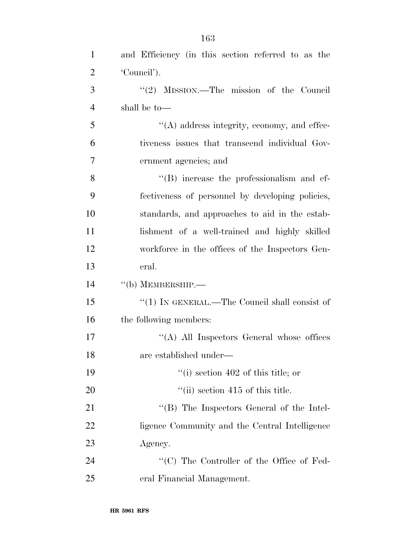| $\mathbf{1}$   | and Efficiency (in this section referred to as the  |
|----------------|-----------------------------------------------------|
| $\overline{2}$ | 'Council').                                         |
| 3              | " $(2)$ MISSION.—The mission of the Council         |
| $\overline{4}$ | shall be to-                                        |
| 5              | $\lq\lq$ and address integrity, economy, and effec- |
| 6              | tiveness issues that transcend individual Gov-      |
| 7              | ernment agencies; and                               |
| 8              | "(B) increase the professionalism and ef-           |
| 9              | fectiveness of personnel by developing policies,    |
| 10             | standards, and approaches to aid in the estab-      |
| 11             | lishment of a well-trained and highly skilled       |
| 12             | workforce in the offices of the Inspectors Gen-     |
| 13             | eral.                                               |
| 14             | $\lq\lq(b)$ MEMBERSHIP.—                            |
| 15             | "(1) IN GENERAL.—The Council shall consist of       |
| 16             | the following members:                              |
| 17             | $\lq\lq$ (A) All Inspectors General whose offices   |
| 18             | are established under—                              |
| 19             | $\lq\lq$ (i) section 402 of this title; or          |
| 20             | $\lq$ <sup>"</sup> (ii) section 415 of this title.  |
| 21             | $\lq\lq (B)$ The Inspectors General of the Intel-   |
| 22             | ligence Community and the Central Intelligence      |
| 23             | Agency.                                             |
| 24             | "(C) The Controller of the Office of Fed-           |
| 25             | eral Financial Management.                          |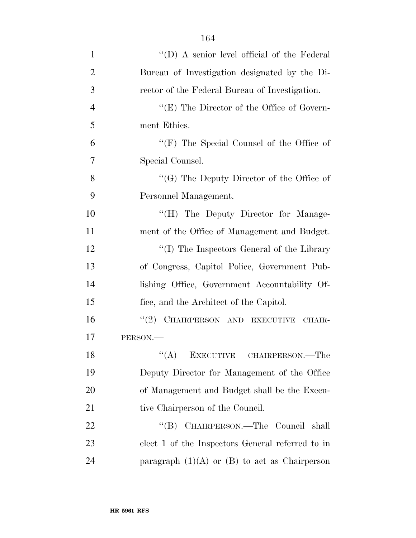| $\mathbf{1}$   | "(D) A senior level official of the Federal       |
|----------------|---------------------------------------------------|
| $\overline{2}$ | Bureau of Investigation designated by the Di-     |
| 3              | rector of the Federal Bureau of Investigation.    |
| $\overline{4}$ | " $(E)$ The Director of the Office of Govern-     |
| 5              | ment Ethics.                                      |
| 6              | " $(F)$ The Special Counsel of the Office of      |
| 7              | Special Counsel.                                  |
| 8              | "(G) The Deputy Director of the Office of         |
| 9              | Personnel Management.                             |
| 10             | "(H) The Deputy Director for Manage-              |
| 11             | ment of the Office of Management and Budget.      |
| 12             | "(I) The Inspectors General of the Library        |
| 13             | of Congress, Capitol Police, Government Pub-      |
| 14             | lishing Office, Government Accountability Of-     |
| 15             | fice, and the Architect of the Capitol.           |
| 16             | "(2) CHAIRPERSON AND EXECUTIVE<br>CHAIR-          |
| 17             | PERSON.                                           |
| 18             | ``(A)<br>EXECUTIVE CHAIRPERSON.—The               |
| 19             | Deputy Director for Management of the Office      |
| 20             | of Management and Budget shall be the Execu-      |
| 21             | tive Chairperson of the Council.                  |
| 22             | "(B) CHAIRPERSON.—The Council shall               |
| 23             | elect 1 of the Inspectors General referred to in  |
| 24             | paragraph $(1)(A)$ or $(B)$ to act as Chairperson |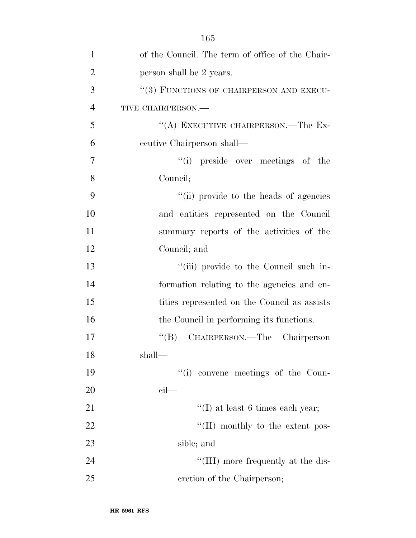| $\mathbf{1}$   | of the Council. The term of office of the Chair- |
|----------------|--------------------------------------------------|
| $\overline{2}$ | person shall be 2 years.                         |
| 3              | "(3) FUNCTIONS OF CHAIRPERSON AND EXECU-         |
| $\overline{4}$ | TIVE CHAIRPERSON.-                               |
| 5              | "(A) EXECUTIVE CHAIRPERSON.—The Ex-              |
| 6              | ecutive Chairperson shall—                       |
| $\overline{7}$ | "(i) preside over meetings of the                |
| 8              | Council;                                         |
| 9              | "(ii) provide to the heads of agencies           |
| 10             | and entities represented on the Council          |
| 11             | summary reports of the activities of the         |
| 12             | Council; and                                     |
| 13             | "(iii) provide to the Council such in-           |
| 14             | formation relating to the agencies and en-       |
| 15             | tities represented on the Council as assists     |
| 16             | the Council in performing its functions.         |
| 17             | CHAIRPERSON.—The Chairperson<br>$\lq\lq (B)$     |
| 18             | shall-                                           |
| 19             | "(i) convene meetings of the Coun-               |
| 20             | $\operatorname{cil}$                             |
| 21             | $\lq\lq$ (I) at least 6 times each year;         |
| 22             | "(II) monthly to the extent pos-                 |
| 23             | sible; and                                       |
| 24             | "(III) more frequently at the dis-               |
| 25             | cretion of the Chairperson;                      |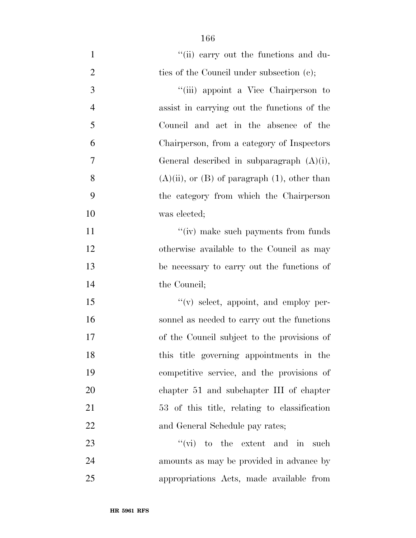| $\mathbf{1}$   | "(ii) earry out the functions and du-                |
|----------------|------------------------------------------------------|
| $\overline{2}$ | ties of the Council under subsection (c);            |
| $\mathfrak{Z}$ | "(iii) appoint a Vice Chairperson to                 |
| $\overline{4}$ | assist in carrying out the functions of the          |
| 5              | Council and act in the absence of the                |
| 6              | Chairperson, from a category of Inspectors           |
| 7              | General described in subparagraph $(A)(i)$ ,         |
| 8              | $(A)(ii)$ , or $(B)$ of paragraph $(1)$ , other than |
| 9              | the category from which the Chairperson              |
| 10             | was elected;                                         |
| 11             | "(iv) make such payments from funds                  |
| 12             | otherwise available to the Council as may            |
| 13             | be necessary to carry out the functions of           |
| 14             | the Council;                                         |
| 15             | $f'(v)$ select, appoint, and employ per-             |
| 16             | sonnel as needed to carry out the functions          |
| 17             | of the Council subject to the provisions of          |
| 18             | this title governing appointments in the             |
| 19             | competitive service, and the provisions of           |
| 20             | chapter 51 and subchapter III of chapter             |
| 21             | 53 of this title, relating to classification         |
| 22             | and General Schedule pay rates;                      |
| 23             | $\lq\lq$ (vi) to the extent and in<br>such           |
| 24             | amounts as may be provided in advance by             |
| 25             | appropriations Acts, made available from             |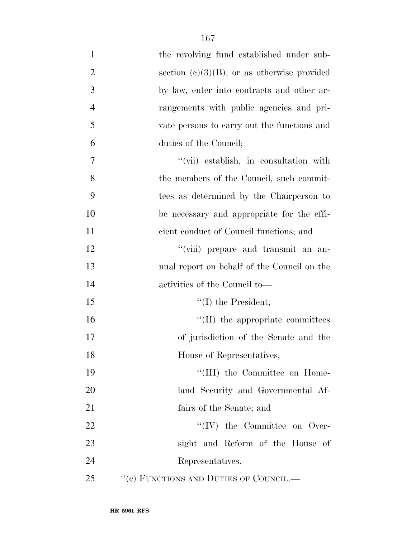| $\mathbf{1}$   | the revolving fund established under sub-      |
|----------------|------------------------------------------------|
| $\overline{2}$ | section $(e)(3)(B)$ , or as otherwise provided |
| 3              | by law, enter into contracts and other ar-     |
| $\overline{4}$ | rangements with public agencies and pri-       |
| 5              | vate persons to carry out the functions and    |
| 6              | duties of the Council;                         |
| $\tau$         | "(vii) establish, in consultation with         |
| 8              | the members of the Council, such commit-       |
| 9              | tees as determined by the Chairperson to       |
| 10             | be necessary and appropriate for the effi-     |
| 11             | cient conduct of Council functions; and        |
| 12             | "(viii) prepare and transmit an an-            |
| 13             | nual report on behalf of the Council on the    |
| 14             | activities of the Council to-                  |
| 15             | $\lq\lq$ (I) the President;                    |
| 16             | $\lq\lq$ (II) the appropriate committees       |
| 17             | of jurisdiction of the Senate and the          |
| 18             | House of Representatives;                      |
| 19             | "(III) the Committee on Home-                  |
| 20             | land Security and Governmental Af-             |
| 21             | fairs of the Senate; and                       |
| 22             | $\lq\lq (IV)$ the Committee on Over-           |
| 23             | sight and Reform of the House of               |
| 24             | Representatives.                               |
| 25             | "(c) FUNCTIONS AND DUTIES OF COUNCIL.—         |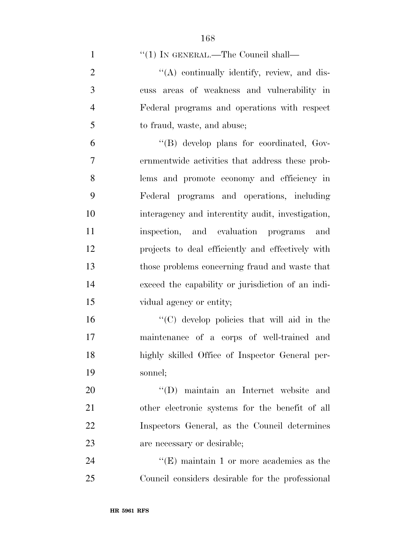1 "(1) IN GENERAL.—The Council shall—

 ''(A) continually identify, review, and dis- cuss areas of weakness and vulnerability in Federal programs and operations with respect to fraud, waste, and abuse;

 ''(B) develop plans for coordinated, Gov- ernmentwide activities that address these prob- lems and promote economy and efficiency in Federal programs and operations, including interagency and interentity audit, investigation, inspection, and evaluation programs and projects to deal efficiently and effectively with those problems concerning fraud and waste that exceed the capability or jurisdiction of an indi-15 vidual agency or entity;

 ''(C) develop policies that will aid in the maintenance of a corps of well-trained and highly skilled Office of Inspector General per-sonnel;

 ''(D) maintain an Internet website and other electronic systems for the benefit of all Inspectors General, as the Council determines are necessary or desirable;

24 ''(E) maintain 1 or more academies as the Council considers desirable for the professional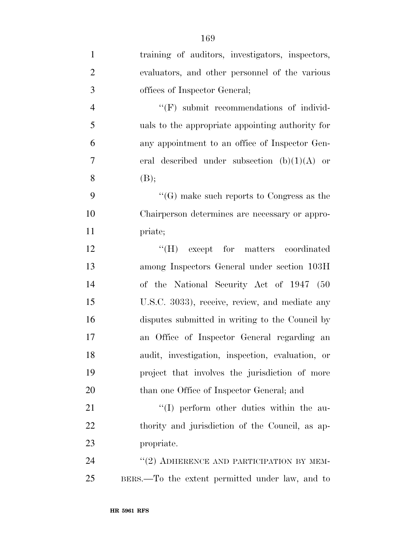| $\mathbf{1}$     | training of auditors, investigators, inspectors, |
|------------------|--------------------------------------------------|
| $\overline{2}$   | evaluators, and other personnel of the various   |
| 3                | offices of Inspector General;                    |
| $\overline{4}$   | $\lq\lq(F)$ submit recommendations of individ-   |
| 5                | uals to the appropriate appointing authority for |
| 6                | any appointment to an office of Inspector Gen-   |
| $\boldsymbol{7}$ | eral described under subsection $(b)(1)(A)$ or   |
| 8                | (B);                                             |
| 9                | "(G) make such reports to Congress as the        |
| 10               | Chairperson determines are necessary or appro-   |
| 11               | priate;                                          |
| 12               | "(H) except for matters coordinated              |
| 13               | among Inspectors General under section 103H      |
| 14               | of the National Security Act of 1947 (50         |
| 15               | U.S.C. 3033), receive, review, and mediate any   |
| 16               | disputes submitted in writing to the Council by  |
| 17               | an Office of Inspector General regarding an      |
| 18               | audit, investigation, inspection, evaluation, or |
| 19               | project that involves the jurisdiction of more   |
| 20               | than one Office of Inspector General; and        |
| 21               | "(I) perform other duties within the au-         |
| 22               | thority and jurisdiction of the Council, as ap-  |
| 23               | propriate.                                       |
| 24               | "(2) ADHERENCE AND PARTICIPATION BY MEM-         |
| 25               | BERS.—To the extent permitted under law, and to  |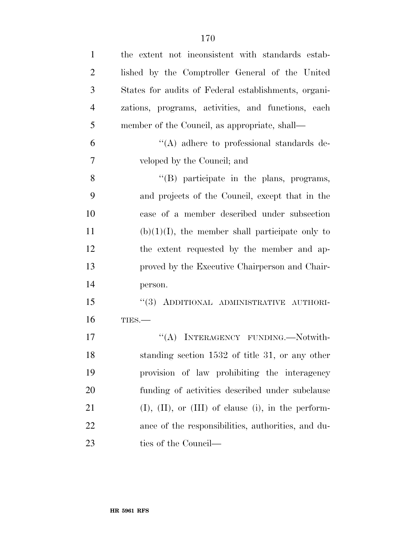| $\mathbf{1}$   | the extent not inconsistent with standards estab-      |
|----------------|--------------------------------------------------------|
| $\overline{2}$ | lished by the Comptroller General of the United        |
| 3              | States for audits of Federal establishments, organi-   |
| $\overline{4}$ | zations, programs, activities, and functions, each     |
| 5              | member of the Council, as appropriate, shall—          |
| 6              | "(A) adhere to professional standards de-              |
| 7              | veloped by the Council; and                            |
| 8              | $\lq\lq(B)$ participate in the plans, programs,        |
| 9              | and projects of the Council, except that in the        |
| 10             | case of a member described under subsection            |
| 11             | $(b)(1)(I)$ , the member shall participate only to     |
| 12             | the extent requested by the member and ap-             |
| 13             | proved by the Executive Chairperson and Chair-         |
| 14             | person.                                                |
| 15             | "(3) ADDITIONAL ADMINISTRATIVE AUTHORI-                |
| 16             | TIES.                                                  |
| 17             | "(A) INTERAGENCY FUNDING. Notwith-                     |
| 18             | standing section 1532 of title 31, or any other        |
| 19             | provision of law prohibiting the interagency           |
| 20             | funding of activities described under subclause        |
| 21             | $(I), (II),$ or $(III)$ of clause (i), in the perform- |
| 22             | ance of the responsibilities, authorities, and du-     |
| 23             | ties of the Council—                                   |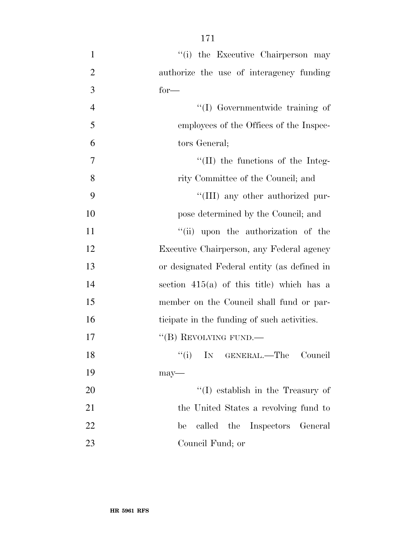1 ''(i) the Executive Chairperson may authorize the use of interagency funding  $3 \text{ for—}$  ''(I) Governmentwide training of employees of the Offices of the Inspec- tors General;  $\frac{1}{11}$  the functions of the Integ-8 rity Committee of the Council; and  $\frac{4}{\text{III}}$  any other authorized pur- pose determined by the Council; and  $"$ (ii) upon the authorization of the Executive Chairperson, any Federal agency or designated Federal entity (as defined in section 415(a) of this title) which has a member on the Council shall fund or par- ticipate in the funding of such activities. 17 "(B) REVOLVING FUND.— 18 ''(i) IN GENERAL.—The Council 19 may—

 $\text{``(I)}$  establish in the Treasury of 21 the United States a revolving fund to be called the Inspectors General Council Fund; or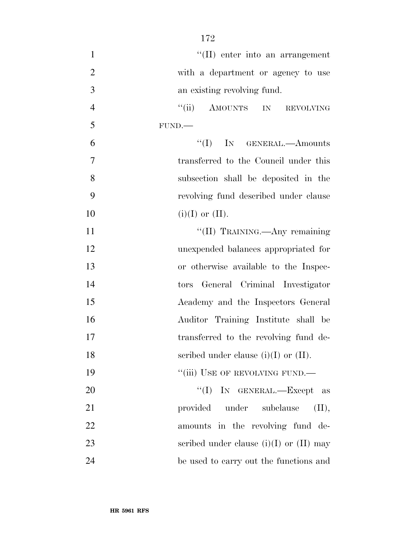$\text{``(II)}$  enter into an arrangement with a department or agency to use an existing revolving fund. 4 "(ii) AMOUNTS IN REVOLVING FUND.— ''(I) IN GENERAL.—Amounts transferred to the Council under this subsection shall be deposited in the revolving fund described under clause 10 (i)(I) or (II). 11 ''(II) TRAINING.—Any remaining unexpended balances appropriated for or otherwise available to the Inspec- tors General Criminal Investigator Academy and the Inspectors General Auditor Training Institute shall be transferred to the revolving fund de-18 seribed under clause  $(i)(I)$  or  $(II)$ . 19 "'(iii) USE OF REVOLVING FUND. ''(I) IN GENERAL.—Except as 21 provided under subclause (II), 22 amounts in the revolving fund de-23 seribed under clause (i)(I) or (II) may

be used to carry out the functions and

**HR 5961 RFS**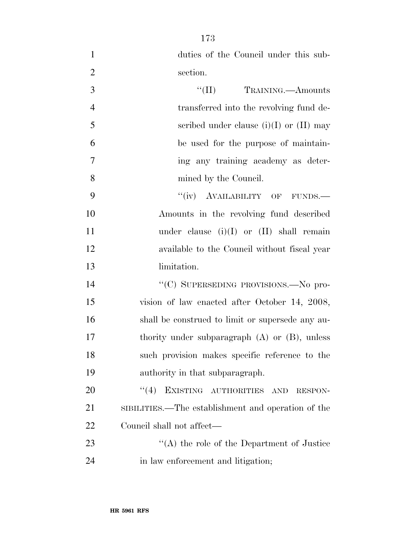| $\mathbf{1}$   | duties of the Council under this sub-              |
|----------------|----------------------------------------------------|
| $\overline{2}$ | section.                                           |
| 3              | TRAINING. <u>- Amounts</u>                         |
| $\overline{4}$ | transferred into the revolving fund de-            |
| 5              | scribed under clause (i)(I) or (II) may            |
| 6              | be used for the purpose of maintain-               |
| 7              | ing any training academy as deter-                 |
| 8              | mined by the Council.                              |
| 9              | "(iv) AVAILABILITY OF FUNDS.—                      |
| 10             | Amounts in the revolving fund described            |
| 11             | under clause $(i)(I)$ or $(II)$ shall remain       |
| 12             | available to the Council without fiscal year       |
| 13             | limitation.                                        |
| 14             | "(C) SUPERSEDING PROVISIONS.—No pro-               |
| 15             | vision of law enacted after October 14, 2008,      |
| 16             | shall be construed to limit or supersede any au-   |
| 17             | thority under subparagraph $(A)$ or $(B)$ , unless |
| 18             | such provision makes specific reference to the     |
| 19             | authority in that subparagraph.                    |
| 20             | EXISTING AUTHORITIES<br>(4)<br>AND<br>RESPON-      |
| 21             | SIBILITIES.—The establishment and operation of the |
| 22             | Council shall not affect—                          |
| 23             | "(A) the role of the Department of Justice"        |
| 24             | in law enforcement and litigation;                 |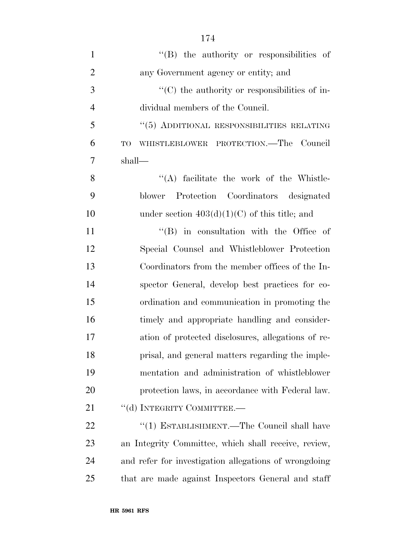| $\mathbf{1}$   | $\lq\lq$ the authority or responsibilities of         |
|----------------|-------------------------------------------------------|
| $\overline{2}$ | any Government agency or entity; and                  |
| 3              | $\cdot$ (C) the authority or responsibilities of in-  |
| $\overline{4}$ | dividual members of the Council.                      |
| 5              | "(5) ADDITIONAL RESPONSIBILITIES RELATING             |
| 6              | WHISTLEBLOWER PROTECTION.—The Council<br>TO           |
| $\overline{7}$ | shall—                                                |
| 8              | $\lq\lq$ facilitate the work of the Whistle-          |
| 9              | Protection Coordinators designated<br>blower          |
| 10             | under section $403(d)(1)(C)$ of this title; and       |
| 11             | $\lq\lq$ (B) in consultation with the Office of       |
| 12             | Special Counsel and Whistleblower Protection          |
| 13             | Coordinators from the member offices of the In-       |
| 14             | spector General, develop best practices for co-       |
| 15             | ordination and communication in promoting the         |
| 16             | timely and appropriate handling and consider-         |
| 17             | ation of protected disclosures, allegations of re-    |
| 18             | prisal, and general matters regarding the imple-      |
| 19             | mentation and administration of whistleblower         |
| 20             | protection laws, in accordance with Federal law.      |
| 21             | "(d) INTEGRITY COMMITTEE.-                            |
| 22             | "(1) ESTABLISHMENT.—The Council shall have            |
| 23             | an Integrity Committee, which shall receive, review,  |
| 24             | and refer for investigation allegations of wrongdoing |
| 25             | that are made against Inspectors General and staff    |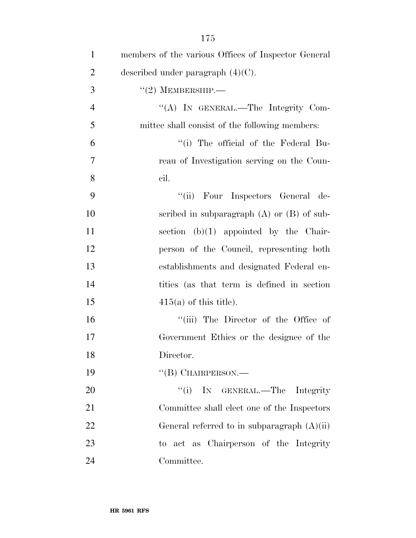| $\mathbf{1}$   | members of the various Offices of Inspector General |
|----------------|-----------------------------------------------------|
| $\overline{2}$ | described under paragraph $(4)(C)$ .                |
| 3              | $``(2)$ MEMBERSHIP.—                                |
| $\overline{4}$ | "(A) IN GENERAL.—The Integrity Com-                 |
| 5              | mittee shall consist of the following members:      |
| 6              | "(i) The official of the Federal Bu-                |
| $\overline{7}$ | reau of Investigation serving on the Coun-          |
| 8              | cil.                                                |
| 9              | "(ii) Four Inspectors General de-                   |
| 10             | scribed in subparagraph $(A)$ or $(B)$ of sub-      |
| 11             | section $(b)(1)$ appointed by the Chair-            |
| 12             | person of the Council, representing both            |
| 13             | establishments and designated Federal en-           |
| 14             | tities (as that term is defined in section          |
| 15             | $415(a)$ of this title).                            |
| 16             | "(iii) The Director of the Office of                |
| 17             | Government Ethics or the designee of the            |
| 18             | Director.                                           |
| 19             | $\lq\lq$ (B) CHAIRPERSON.—                          |
| 20             | ``(i)<br>IN GENERAL.—The Integrity                  |
| 21             | Committee shall elect one of the Inspectors         |
| 22             | General referred to in subparagraph $(A)(ii)$       |
| 23             | to act as Chairperson of the Integrity              |
| 24             | Committee.                                          |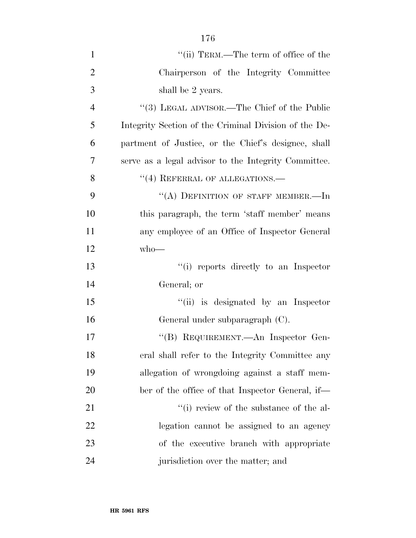| $\mathbf{1}$   | "(ii) TERM.—The term of office of the $\,$            |
|----------------|-------------------------------------------------------|
| $\overline{2}$ | Chairperson of the Integrity Committee                |
| 3              | shall be 2 years.                                     |
| $\overline{4}$ | "(3) LEGAL ADVISOR.—The Chief of the Public           |
| 5              | Integrity Section of the Criminal Division of the De- |
| 6              | partment of Justice, or the Chief's designee, shall   |
| 7              | serve as a legal advisor to the Integrity Committee.  |
| 8              | "(4) REFERRAL OF ALLEGATIONS.-                        |
| 9              | "(A) DEFINITION OF STAFF MEMBER.-In                   |
| 10             | this paragraph, the term 'staff member' means         |
| 11             | any employee of an Office of Inspector General        |
| 12             | $who$ —                                               |
| 13             | "(i) reports directly to an Inspector                 |
| 14             | General; or                                           |
| 15             | "(ii) is designated by an Inspector                   |
| 16             | General under subparagraph (C).                       |
| 17             | "(B) REQUIREMENT.—An Inspector Gen-                   |
| 18             | eral shall refer to the Integrity Committee any       |
| 19             | allegation of wrongdoing against a staff mem-         |
| 20             | ber of the office of that Inspector General, if—      |
| 21             | "(i) review of the substance of the al-               |
| 22             | legation cannot be assigned to an agency              |
| 23             | of the executive branch with appropriate              |
| 24             | jurisdiction over the matter; and                     |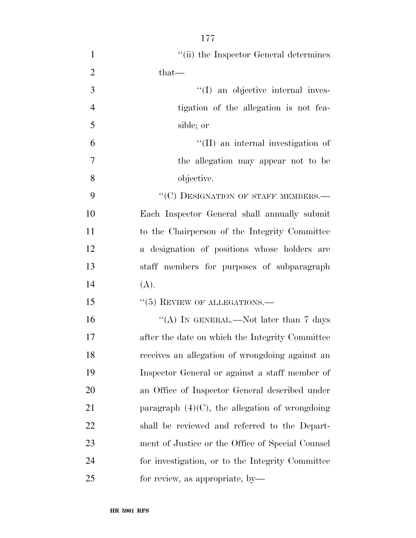1 ''(ii) the Inspector General determines 2 that— ''(I) an objective internal inves- tigation of the allegation is not fea- sible; or ''(II) an internal investigation of the allegation may appear not to be objective. 9 "(C) DESIGNATION OF STAFF MEMBERS.— Each Inspector General shall annually submit to the Chairperson of the Integrity Committee a designation of positions whose holders are staff members for purposes of subparagraph  $14 \qquad (A).$ 15 "(5) REVIEW OF ALLEGATIONS.— 16 "(A) IN GENERAL.—Not later than 7 days after the date on which the Integrity Committee receives an allegation of wrongdoing against an Inspector General or against a staff member of

 an Office of Inspector General described under 21 paragraph  $(4)(C)$ , the allegation of wrongdoing shall be reviewed and referred to the Depart- ment of Justice or the Office of Special Counsel for investigation, or to the Integrity Committee for review, as appropriate, by—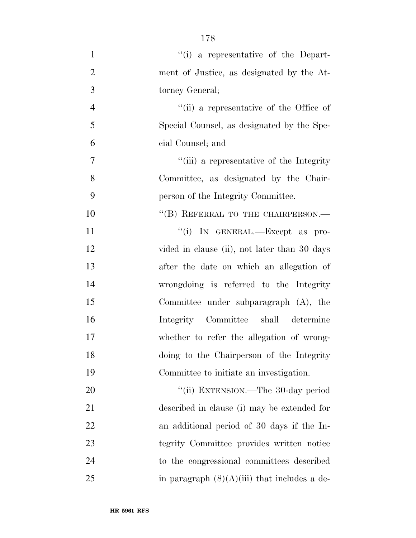| $\mathbf{1}$   | "(i) a representative of the Depart-           |
|----------------|------------------------------------------------|
| $\overline{2}$ | ment of Justice, as designated by the At-      |
| 3              | torney General;                                |
| $\overline{4}$ | "(ii) a representative of the Office of        |
| 5              | Special Counsel, as designated by the Spe-     |
| 6              | cial Counsel; and                              |
| $\tau$         | "(iii) a representative of the Integrity       |
| 8              | Committee, as designated by the Chair-         |
| 9              | person of the Integrity Committee.             |
| 10             | "(B) REFERRAL TO THE CHAIRPERSON.-             |
| 11             | "(i) IN GENERAL.—Except as pro-                |
| 12             | vided in clause (ii), not later than 30 days   |
| 13             | after the date on which an allegation of       |
| 14             | wrongdoing is referred to the Integrity        |
| 15             | Committee under subparagraph $(A)$ , the       |
| 16             | Integrity Committee shall determine            |
| 17             | whether to refer the allegation of wrong-      |
| 18             | doing to the Chairperson of the Integrity      |
| 19             | Committee to initiate an investigation.        |
| 20             | "(ii) EXTENSION.—The 30-day period             |
| 21             | described in clause (i) may be extended for    |
| 22             | an additional period of 30 days if the In-     |
| 23             | tegrity Committee provides written notice      |
| 24             | to the congressional committees described      |
| 25             | in paragraph $(8)(A)(iii)$ that includes a de- |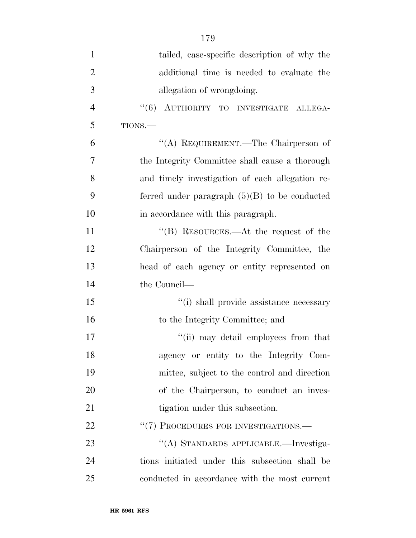| $\mathbf{1}$   | tailed, case-specific description of why the    |
|----------------|-------------------------------------------------|
| $\overline{2}$ | additional time is needed to evaluate the       |
| 3              | allegation of wrongdoing.                       |
| $\overline{4}$ | "(6) AUTHORITY TO INVESTIGATE ALLEGA-           |
| 5              | TIONS.                                          |
| 6              | "(A) REQUIREMENT.—The Chairperson of            |
| 7              | the Integrity Committee shall cause a thorough  |
| 8              | and timely investigation of each allegation re- |
| 9              | ferred under paragraph $(5)(B)$ to be conducted |
| 10             | in accordance with this paragraph.              |
| 11             | "(B) RESOURCES.—At the request of the           |
| 12             | Chairperson of the Integrity Committee, the     |
| 13             | head of each agency or entity represented on    |
| 14             | the Council—                                    |
| 15             | "(i) shall provide assistance necessary         |
| 16             | to the Integrity Committee; and                 |
| 17             | "(ii) may detail employees from that            |
| 18             | agency or entity to the Integrity Com-          |
| 19             | mittee, subject to the control and direction    |
| 20             | of the Chairperson, to conduct an inves-        |
| 21             | tigation under this subsection.                 |
| 22             | "(7) PROCEDURES FOR INVESTIGATIONS.—            |
| 23             | "(A) STANDARDS APPLICABLE.—Investiga-           |
| 24             | tions initiated under this subsection shall be  |
| 25             | conducted in accordance with the most current   |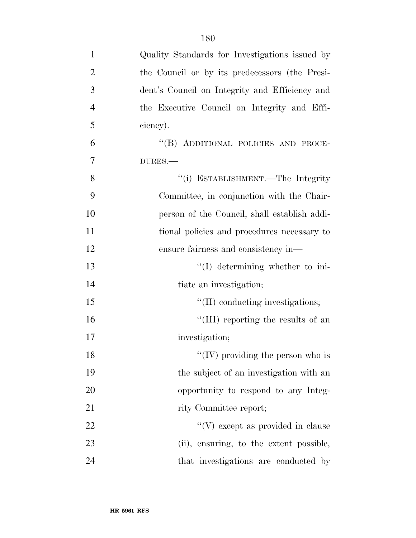| $\mathbf{1}$   | Quality Standards for Investigations issued by |
|----------------|------------------------------------------------|
| $\overline{2}$ | the Council or by its predecessors (the Presi- |
| 3              | dent's Council on Integrity and Efficiency and |
| $\overline{4}$ | the Executive Council on Integrity and Effi-   |
| 5              | ciency).                                       |
| 6              | "(B) ADDITIONAL POLICIES AND PROCE-            |
| 7              | DURES.-                                        |
| 8              | "(i) ESTABLISHMENT.—The Integrity              |
| 9              | Committee, in conjunction with the Chair-      |
| 10             | person of the Council, shall establish addi-   |
| 11             | tional policies and procedures necessary to    |
| 12             | ensure fairness and consistency in-            |
| 13             | "(I) determining whether to ini-               |
| 14             | tiate an investigation;                        |
| 15             | "(II) conducting investigations;               |
| 16             | "(III) reporting the results of an             |
| 17             | investigation;                                 |
| 18             | "(IV) providing the person who is              |
| 19             | the subject of an investigation with an        |
| 20             | opportunity to respond to any Integ-           |
| 21             | rity Committee report;                         |
| 22             | $\lq\lq(V)$ except as provided in clause       |
| 23             | (ii), ensuring, to the extent possible,        |
| 24             | that investigations are conducted by           |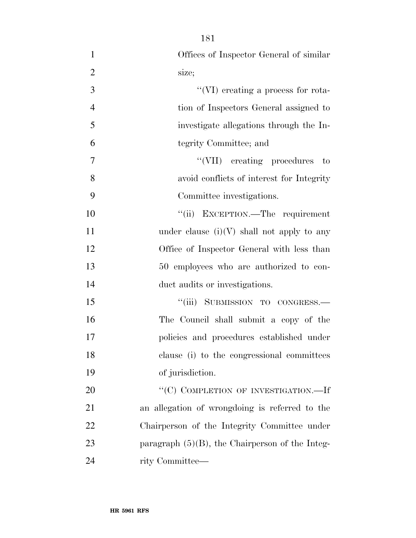| $\mathbf{1}$   | Offices of Inspector General of similar            |
|----------------|----------------------------------------------------|
| $\overline{2}$ | size;                                              |
| 3              | "(VI) creating a process for rota-                 |
| $\overline{4}$ | tion of Inspectors General assigned to             |
| 5              | investigate allegations through the In-            |
| 6              | tegrity Committee; and                             |
| $\overline{7}$ | "(VII) creating procedures to                      |
| 8              | avoid conflicts of interest for Integrity          |
| 9              | Committee investigations.                          |
| 10             | "(ii) EXCEPTION.—The requirement                   |
| 11             | under clause $(i)(V)$ shall not apply to any       |
| 12             | Office of Inspector General with less than         |
| 13             | 50 employees who are authorized to con-            |
| 14             | duct audits or investigations.                     |
| 15             | "(iii) SUBMISSION TO CONGRESS.—                    |
| 16             | The Council shall submit a copy of the             |
| 17             | policies and procedures established under          |
| 18             | clause (i) to the congressional committees         |
| 19             | of jurisdiction.                                   |
| 20             | "(C) COMPLETION OF INVESTIGATION.—If               |
| 21             | an allegation of wrongdoing is referred to the     |
| 22             | Chairperson of the Integrity Committee under       |
| 23             | paragraph $(5)(B)$ , the Chairperson of the Integ- |
| 24             | rity Committee—                                    |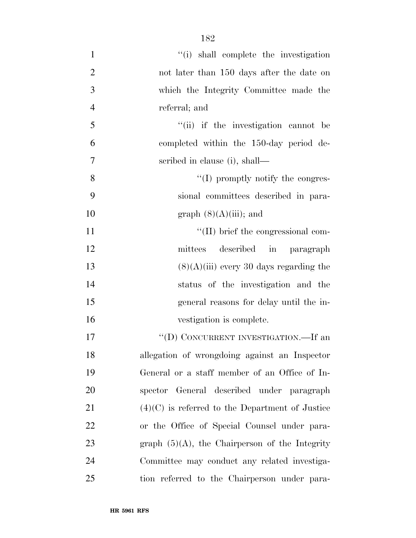| $\mathbf{1}$   | "(i) shall complete the investigation             |
|----------------|---------------------------------------------------|
| $\overline{2}$ | not later than 150 days after the date on         |
| $\mathfrak{Z}$ | which the Integrity Committee made the            |
| $\overline{4}$ | referral; and                                     |
| 5              | "(ii) if the investigation cannot be              |
| 6              | completed within the 150-day period de-           |
| $\overline{7}$ | scribed in clause (i), shall—                     |
| 8              | $\lq\lq$ (I) promptly notify the congres-         |
| 9              | sional committees described in para-              |
| 10             | graph $(8)(A)(iii)$ ; and                         |
| 11             | $\lq\lq$ (II) brief the congressional com-        |
| 12             | described in paragraph<br>mittees                 |
| 13             | $(8)(A)(iii)$ every 30 days regarding the         |
| 14             | status of the investigation and the               |
| 15             | general reasons for delay until the in-           |
| 16             | vestigation is complete.                          |
| 17             | "(D) CONCURRENT INVESTIGATION.—If an              |
| 18             | allegation of wrongdoing against an Inspector     |
| 19             | General or a staff member of an Office of In-     |
| 20             | spector General described under paragraph         |
| 21             | $(4)(C)$ is referred to the Department of Justice |
| 22             | or the Office of Special Counsel under para-      |
| 23             | graph $(5)(A)$ , the Chairperson of the Integrity |
| 24             | Committee may conduct any related investiga-      |
| 25             | tion referred to the Chairperson under para-      |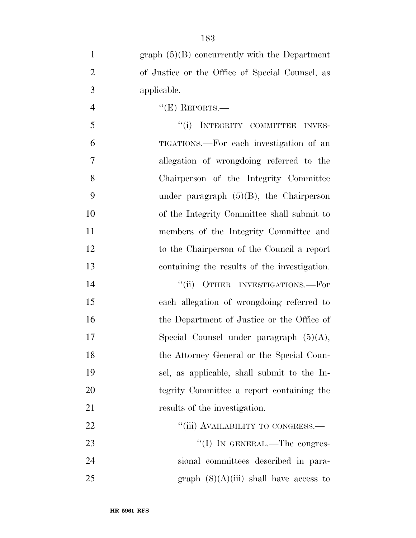| $\mathbf{1}$   | graph $(5)(B)$ concurrently with the Department |
|----------------|-------------------------------------------------|
| $\overline{2}$ | of Justice or the Office of Special Counsel, as |
| 3              | applicable.                                     |
| $\overline{4}$ | $``(E)$ REPORTS.—                               |
| 5              | "(i) INTEGRITY COMMITTEE INVES-                 |
| 6              | TIGATIONS.—For each investigation of an         |
| 7              | allegation of wrongdoing referred to the        |
| 8              | Chairperson of the Integrity Committee          |
| 9              | under paragraph $(5)(B)$ , the Chairperson      |
| 10             | of the Integrity Committee shall submit to      |
| 11             | members of the Integrity Committee and          |
| 12             | to the Chairperson of the Council a report      |
| 13             | containing the results of the investigation.    |
| 14             | OTHER INVESTIGATIONS.-For<br>``(ii)             |
| 15             | each allegation of wrongdoing referred to       |
| 16             | the Department of Justice or the Office of      |
| 17             | Special Counsel under paragraph $(5)(A)$ ,      |
| 18             | the Attorney General or the Special Coun-       |
| 19             | sel, as applicable, shall submit to the In-     |
| 20             | tegrity Committee a report containing the       |
| 21             | results of the investigation.                   |
| 22             | "(iii) AVAILABILITY TO CONGRESS.—               |
| 23             | "(I) IN GENERAL.—The congres-                   |
| 24             | sional committees described in para-            |
| 25             | graph $(8)(A)(iii)$ shall have access to        |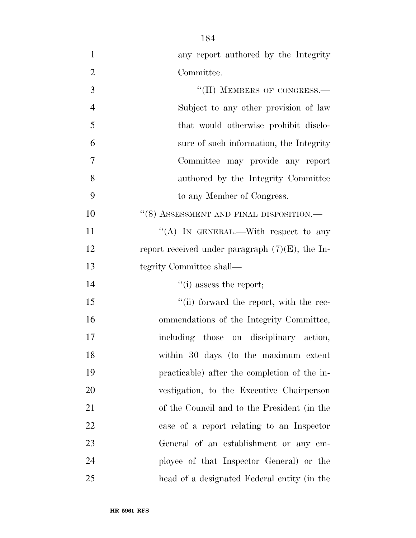| $\mathbf{1}$   | any report authored by the Integrity               |
|----------------|----------------------------------------------------|
| $\overline{2}$ | Committee.                                         |
| 3              | "(II) MEMBERS OF CONGRESS.-                        |
| $\overline{4}$ | Subject to any other provision of law              |
| 5              | that would otherwise prohibit disclo-              |
| 6              | sure of such information, the Integrity            |
| $\overline{7}$ | Committee may provide any report                   |
| 8              | authored by the Integrity Committee                |
| 9              | to any Member of Congress.                         |
| 10             | $``(8)$ ASSESSMENT AND FINAL DISPOSITION.—         |
| 11             | "(A) IN GENERAL.—With respect to any               |
| 12             | report received under paragraph $(7)(E)$ , the In- |
| 13             | tegrity Committee shall—                           |
| 14             | $\lq\lq$ (i) assess the report;                    |
| 15             | "(ii) forward the report, with the rec-            |
| 16             | ommendations of the Integrity Committee,           |
| 17             | including those on disciplinary action,            |
| 18             | within 30 days (to the maximum extent              |
| 19             | practicable) after the completion of the in-       |
| 20             | vestigation, to the Executive Chairperson          |
| 21             | of the Council and to the President (in the        |
| 22             | case of a report relating to an Inspector          |
| 23             | General of an establishment or any em-             |
| 24             | ployee of that Inspector General) or the           |
| 25             | head of a designated Federal entity (in the        |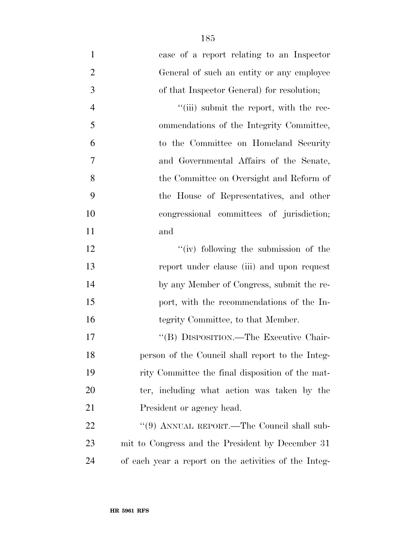| $\mathbf{1}$   | case of a report relating to an Inspector             |
|----------------|-------------------------------------------------------|
| $\overline{2}$ | General of such an entity or any employee             |
| 3              | of that Inspector General) for resolution;            |
| $\overline{4}$ | "(iii) submit the report, with the rec-               |
| 5              | ommendations of the Integrity Committee,              |
| 6              | to the Committee on Homeland Security                 |
| $\overline{7}$ | and Governmental Affairs of the Senate,               |
| 8              | the Committee on Oversight and Reform of              |
| 9              | the House of Representatives, and other               |
| 10             | congressional committees of jurisdiction;             |
| 11             | and                                                   |
| 12             | "(iv) following the submission of the                 |
| 13             | report under clause (iii) and upon request            |
| 14             | by any Member of Congress, submit the re-             |
| 15             | port, with the recommendations of the In-             |
| 16             | tegrity Committee, to that Member.                    |
| 17             | "(B) DISPOSITION.—The Executive Chair-                |
| 18             | person of the Council shall report to the Integ-      |
| 19             | rity Committee the final disposition of the mat-      |
| 20             | ter, including what action was taken by the           |
| 21             | President or agency head.                             |
| 22             | "(9) ANNUAL REPORT.—The Council shall sub-            |
| 23             | mit to Congress and the President by December 31      |
| 24             | of each year a report on the activities of the Integ- |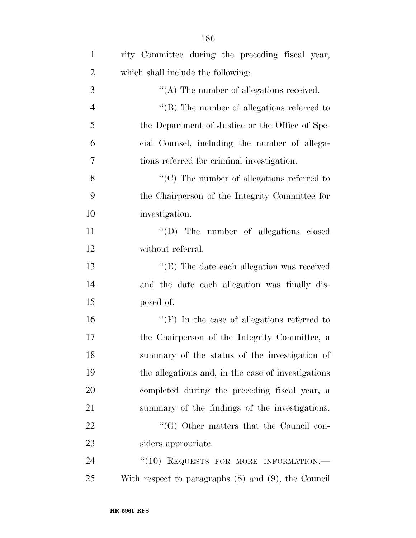| $\mathbf{1}$   | rity Committee during the preceding fiscal year,         |
|----------------|----------------------------------------------------------|
| $\overline{2}$ | which shall include the following:                       |
| 3              | $\lq\lq$ . The number of allegations received.           |
| $\overline{4}$ | $\lq\lq$ (B) The number of allegations referred to       |
| 5              | the Department of Justice or the Office of Spe-          |
| 6              | cial Counsel, including the number of allega-            |
| 7              | tions referred for criminal investigation.               |
| 8              | $\lq\lq$ (C) The number of allegations referred to       |
| 9              | the Chairperson of the Integrity Committee for           |
| 10             | investigation.                                           |
| 11             | "(D) The number of allegations closed                    |
| 12             | without referral.                                        |
| 13             | $\lq\lq$ (E) The date each allegation was received       |
| 14             | and the date each allegation was finally dis-            |
| 15             | posed of.                                                |
| 16             | $``(F)$ In the case of allegations referred to           |
| 17             | the Chairperson of the Integrity Committee, a            |
| 18             | summary of the status of the investigation of            |
| 19             | the allegations and, in the case of investigations       |
| 20             | completed during the preceding fiscal year, a            |
| 21             | summary of the findings of the investigations.           |
| 22             | $\lq\lq (G)$ Other matters that the Council con-         |
| 23             | siders appropriate.                                      |
| 24             | "(10) REQUESTS FOR MORE INFORMATION.-                    |
| 25             | With respect to paragraphs $(8)$ and $(9)$ , the Council |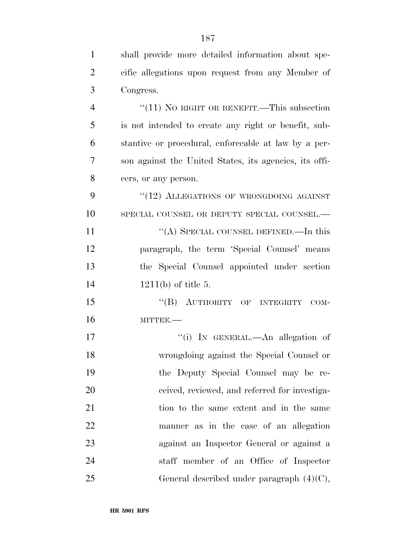| $\mathbf{1}$   | shall provide more detailed information about spe-     |
|----------------|--------------------------------------------------------|
| $\overline{2}$ | cific allegations upon request from any Member of      |
| 3              | Congress.                                              |
| $\overline{4}$ | " $(11)$ No RIGHT OR BENEFIT.—This subsection          |
| 5              | is not intended to create any right or benefit, sub-   |
| 6              | stantive or procedural, enforceable at law by a per-   |
| 7              | son against the United States, its agencies, its offi- |
| 8              | cers, or any person.                                   |
| 9              | "(12) ALLEGATIONS OF WRONGDOING AGAINST                |
| 10             | SPECIAL COUNSEL OR DEPUTY SPECIAL COUNSEL.-            |
| 11             | "(A) SPECIAL COUNSEL DEFINED.—In this                  |
| 12             | paragraph, the term 'Special Counsel' means            |
| 13             | the Special Counsel appointed under section            |
| 14             | $1211(b)$ of title 5.                                  |
| 15             | "(B) AUTHORITY OF INTEGRITY<br>$COM-$                  |
| 16             | MITTEE.-                                               |
| 17             | "(i) IN GENERAL.—An allegation of                      |
| 18             | wrongdoing against the Special Counsel or              |
| 19             | the Deputy Special Counsel may be re-                  |
| 20             | ceived, reviewed, and referred for investiga-          |
| 21             | tion to the same extent and in the same                |
| 22             | manner as in the case of an allegation                 |
| 23             | against an Inspector General or against a              |
| 24             | staff member of an Office of Inspector                 |
| 25             | General described under paragraph $(4)(C)$ ,           |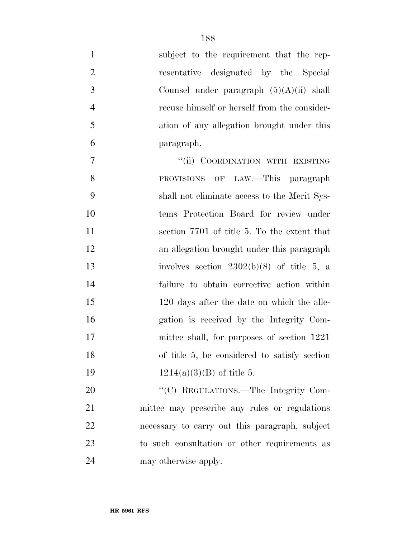| $\mathbf{1}$   | subject to the requirement that the rep-       |
|----------------|------------------------------------------------|
| $\overline{2}$ | resentative designated by the Special          |
| 3              | Counsel under paragraph $(5)(A)(ii)$ shall     |
| $\overline{4}$ | recuse himself or herself from the consider-   |
| 5              | ation of any allegation brought under this     |
| 6              | paragraph.                                     |
| $\tau$         | "(ii) COORDINATION WITH EXISTING               |
| 8              | PROVISIONS OF LAW.—This paragraph              |
| 9              | shall not eliminate access to the Merit Sys-   |
| 10             | tems Protection Board for review under         |
| 11             | section 7701 of title 5. To the extent that    |
| 12             | an allegation brought under this paragraph     |
| 13             | involves section $2302(b)(8)$ of title 5, a    |
| 14             | failure to obtain corrective action within     |
| 15             | 120 days after the date on which the alle-     |
| 16             | gation is received by the Integrity Com-       |
| 17             | mittee shall, for purposes of section 1221     |
| 18             | of title 5, be considered to satisfy section   |
| 19             | $1214(a)(3)(B)$ of title 5.                    |
| 20             | "(C) REGULATIONS.—The Integrity Com-           |
| 21             | mittee may prescribe any rules or regulations  |
| 22             | necessary to carry out this paragraph, subject |
| 23             | to such consultation or other requirements as  |

may otherwise apply.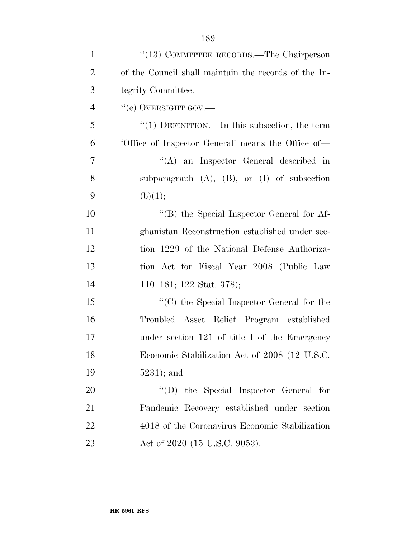| $\mathbf{1}$   | "(13) COMMITTEE RECORDS.—The Chairperson             |
|----------------|------------------------------------------------------|
| $\overline{2}$ | of the Council shall maintain the records of the In- |
| 3              | tegrity Committee.                                   |
| $\overline{4}$ | "(e) OVERSIGHT.GOV.—                                 |
| 5              | "(1) DEFINITION.—In this subsection, the term        |
| 6              | Office of Inspector General' means the Office of-    |
| 7              | $\lq\lq$ an Inspector General described in           |
| 8              | subparagraph $(A)$ , $(B)$ , or $(I)$ of subsection  |
| 9              | (b)(1);                                              |
| 10             | "(B) the Special Inspector General for Af-           |
| 11             | ghanistan Reconstruction established under sec-      |
| 12             | tion 1229 of the National Defense Authoriza-         |
| 13             | tion Act for Fiscal Year 2008 (Public Law            |
| 14             | 110–181; 122 Stat. 378);                             |
| 15             | "(C) the Special Inspector General for the           |
| 16             | Troubled Asset Relief Program established            |
| 17             | under section $121$ of title I of the Emergency      |
| 18             | Economic Stabilization Act of 2008 (12 U.S.C.        |
| 19             | $5231$ ); and                                        |
| 20             | $\lq\lq$ the Special Inspector General for           |
| 21             | Pandemic Recovery established under section          |
| 22             | 4018 of the Coronavirus Economic Stabilization       |
| 23             | Act of 2020 (15 U.S.C. 9053).                        |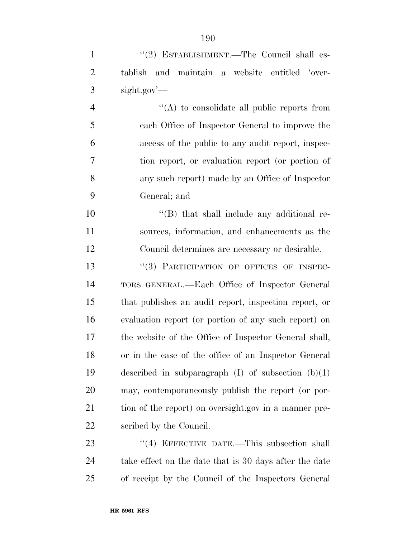| $\mathbf{1}$   | "(2) ESTABLISHMENT.—The Council shall es-              |
|----------------|--------------------------------------------------------|
| $\overline{2}$ | and maintain a website entitled 'over-<br>tablish      |
| 3              | $sight.gov'$ —                                         |
| $\overline{4}$ | $\lq\lq$ to consolidate all public reports from        |
| 5              | each Office of Inspector General to improve the        |
| 6              | access of the public to any audit report, inspec-      |
| 7              | tion report, or evaluation report (or portion of       |
| $8\,$          | any such report) made by an Office of Inspector        |
| 9              | General; and                                           |
| 10             | $\lq\lq$ that shall include any additional re-         |
| 11             | sources, information, and enhancements as the          |
| 12             | Council determines are necessary or desirable.         |
| 13             | "(3) PARTICIPATION OF OFFICES OF INSPEC-               |
| 14             | TORS GENERAL.—Each Office of Inspector General         |
| 15             | that publishes an audit report, inspection report, or  |
| 16             | evaluation report (or portion of any such report) on   |
| 17             | the website of the Office of Inspector General shall,  |
| 18             | or in the case of the office of an Inspector General   |
| 19             | described in subparagraph $(I)$ of subsection $(b)(1)$ |
| 20             | may, contemporaneously publish the report (or por-     |
| 21             | tion of the report) on oversight.gov in a manner pre-  |
| 22             | scribed by the Council.                                |
| 23             | "(4) EFFECTIVE DATE.—This subsection shall             |
| 24             | take effect on the date that is 30 days after the date |
|                |                                                        |

of receipt by the Council of the Inspectors General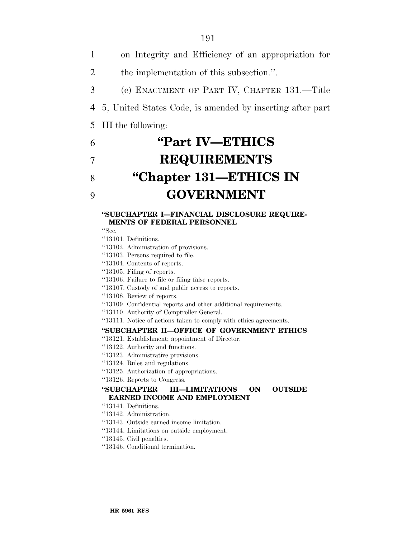on Integrity and Efficiency of an appropriation for the implementation of this subsection.''. (c) ENACTMENT OF PART IV, CHAPTER 131.—Title 5, United States Code, is amended by inserting after part III the following: **''Part IV—ETHICS REQUIREMENTS ''Chapter 131—ETHICS IN** 

# 9 **GOVERNMENT**

### **''SUBCHAPTER I—FINANCIAL DISCLOSURE REQUIRE-MENTS OF FEDERAL PERSONNEL**

- ''Sec.
- ''13101. Definitions.
- ''13102. Administration of provisions.
- ''13103. Persons required to file.
- ''13104. Contents of reports.
- ''13105. Filing of reports.
- ''13106. Failure to file or filing false reports.
- ''13107. Custody of and public access to reports.
- ''13108. Review of reports.
- ''13109. Confidential reports and other additional requirements.
- ''13110. Authority of Comptroller General.
- ''13111. Notice of actions taken to comply with ethics agreements.

#### **''SUBCHAPTER II—OFFICE OF GOVERNMENT ETHICS**

- ''13121. Establishment; appointment of Director.
- ''13122. Authority and functions.
- ''13123. Administrative provisions.
- ''13124. Rules and regulations.
- ''13125. Authorization of appropriations.
- ''13126. Reports to Congress.

### **''SUBCHAPTER III—LIMITATIONS ON OUTSIDE EARNED INCOME AND EMPLOYMENT**

- ''13141. Definitions.
- ''13142. Administration.
- ''13143. Outside earned income limitation.
- ''13144. Limitations on outside employment.
- ''13145. Civil penalties.
- ''13146. Conditional termination.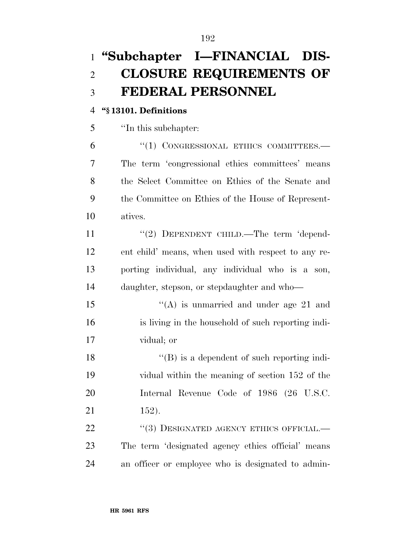# **''Subchapter I—FINANCIAL DIS- CLOSURE REQUIREMENTS OF FEDERAL PERSONNEL**

# **''§ 13101. Definitions**

''In this subchapter:

 ''(1) CONGRESSIONAL ETHICS COMMITTEES.— The term 'congressional ethics committees' means the Select Committee on Ethics of the Senate and the Committee on Ethics of the House of Represent-atives.

11 "(2) DEPENDENT CHILD.—The term 'depend- ent child' means, when used with respect to any re- porting individual, any individual who is a son, daughter, stepson, or stepdaughter and who—

15 ''(A) is unmarried and under age 21 and is living in the household of such reporting indi-vidual; or

18 ''(B) is a dependent of such reporting indi- vidual within the meaning of section 152 of the Internal Revenue Code of 1986 (26 U.S.C. 152).

22 "(3) DESIGNATED AGENCY ETHICS OFFICIAL.— The term 'designated agency ethics official' means an officer or employee who is designated to admin-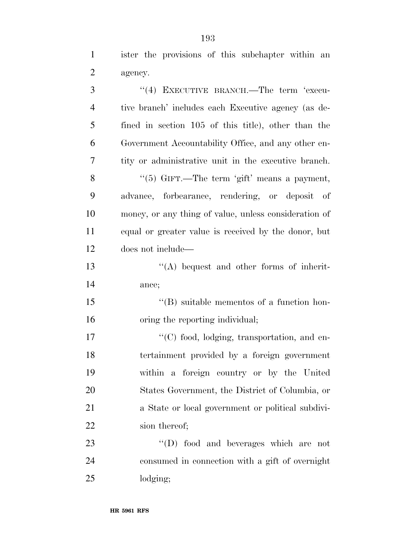ister the provisions of this subchapter within an agency.

| 3              | "(4) EXECUTIVE BRANCH.—The term 'execu-               |
|----------------|-------------------------------------------------------|
| $\overline{4}$ | tive branch' includes each Executive agency (as de-   |
| 5              | fined in section 105 of this title), other than the   |
| 6              | Government Accountability Office, and any other en-   |
| 7              | tity or administrative unit in the executive branch.  |
| 8              | " $(5)$ GIFT.—The term 'gift' means a payment,        |
| 9              | advance, forbearance, rendering, or deposit of        |
| 10             | money, or any thing of value, unless consideration of |
| 11             | equal or greater value is received by the donor, but  |
| 12             | does not include—                                     |
| 13             | $\lq\lq$ bequest and other forms of inherit-          |
| 14             | ance;                                                 |
| 15             | $\lq\lq$ suitable mementos of a function hon-         |
| 16             | oring the reporting individual;                       |
| 17             | "(C) food, lodging, transportation, and en-           |
| 18             | tertainment provided by a foreign government          |
| 19             | within a foreign country or by the United             |
| 20             | States Government, the District of Columbia, or       |
| 21             | a State or local government or political subdivi-     |
| 22             | sion thereof;                                         |
| 23             | $\lq\lq$ food and beverages which are not             |
| 24             | consumed in connection with a gift of overnight       |
| 25             | lodging;                                              |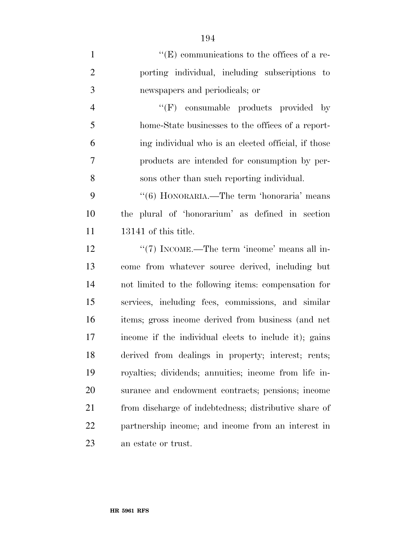$"({\rm E})$  communications to the offices of a re- porting individual, including subscriptions to newspapers and periodicals; or 4 ''(F) consumable products provided by home-State businesses to the offices of a report- ing individual who is an elected official, if those products are intended for consumption by per- sons other than such reporting individual. ''(6) HONORARIA.—The term 'honoraria' means the plural of 'honorarium' as defined in section 13141 of this title. 12 ''(7) INCOME.—The term 'income' means all in- come from whatever source derived, including but not limited to the following items: compensation for services, including fees, commissions, and similar items; gross income derived from business (and net income if the individual elects to include it); gains derived from dealings in property; interest; rents; royalties; dividends; annuities; income from life in- surance and endowment contracts; pensions; income from discharge of indebtedness; distributive share of partnership income; and income from an interest in an estate or trust.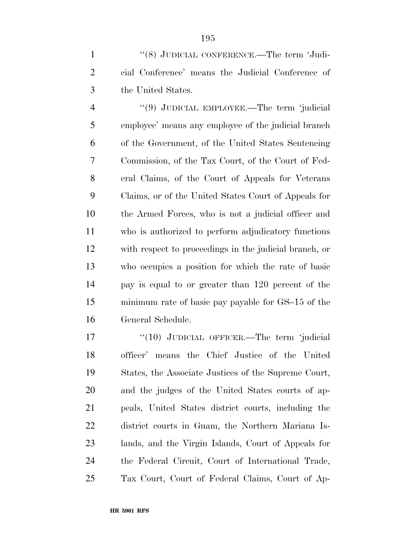1 "(8) JUDICIAL CONFERENCE.—The term 'Judi- cial Conference' means the Judicial Conference of the United States.

 ''(9) JUDICIAL EMPLOYEE.—The term 'judicial employee' means any employee of the judicial branch of the Government, of the United States Sentencing Commission, of the Tax Court, of the Court of Fed- eral Claims, of the Court of Appeals for Veterans Claims, or of the United States Court of Appeals for the Armed Forces, who is not a judicial officer and who is authorized to perform adjudicatory functions with respect to proceedings in the judicial branch, or who occupies a position for which the rate of basic pay is equal to or greater than 120 percent of the minimum rate of basic pay payable for GS–15 of the General Schedule.

17 "(10) JUDICIAL OFFICER.—The term 'judicial officer' means the Chief Justice of the United States, the Associate Justices of the Supreme Court, and the judges of the United States courts of ap- peals, United States district courts, including the district courts in Guam, the Northern Mariana Is- lands, and the Virgin Islands, Court of Appeals for the Federal Circuit, Court of International Trade, Tax Court, Court of Federal Claims, Court of Ap-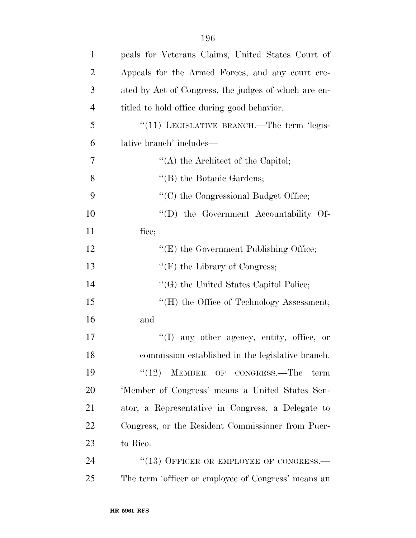| $\mathbf{1}$   | peals for Veterans Claims, United States Court of    |
|----------------|------------------------------------------------------|
| $\overline{2}$ | Appeals for the Armed Forces, and any court cre-     |
| 3              | ated by Act of Congress, the judges of which are en- |
| $\overline{4}$ | titled to hold office during good behavior.          |
| 5              | " $(11)$ LEGISLATIVE BRANCH.—The term 'legis-        |
| 6              | lative branch' includes—                             |
| $\overline{7}$ | $\lq\lq$ the Architect of the Capitol;               |
| 8              | $\lq\lq$ the Botanic Gardens;                        |
| 9              | "(C) the Congressional Budget Office;                |
| 10             | "(D) the Government Accountability Of-               |
| 11             | fice;                                                |
| 12             | " $(E)$ the Government Publishing Office;            |
| 13             | $\lq\lq(F)$ the Library of Congress;                 |
| 14             | "(G) the United States Capitol Police;               |
| 15             | "(H) the Office of Technology Assessment;            |
| 16             | and                                                  |
| 17             | $\lq(1)$ any other agency, entity, office, or        |
| 18             | commission established in the legislative branch.    |
| 19             | (12)<br>MEMBER OF CONGRESS.-The<br>term              |
| 20             | 'Member of Congress' means a United States Sen-      |
| 21             | ator, a Representative in Congress, a Delegate to    |
| 22             | Congress, or the Resident Commissioner from Puer-    |
| 23             | to Rico.                                             |
| 24             | $``(13)$ OFFICER OR EMPLOYEE OF CONGRESS.—           |
| 25             | The term 'officer or employee of Congress' means an  |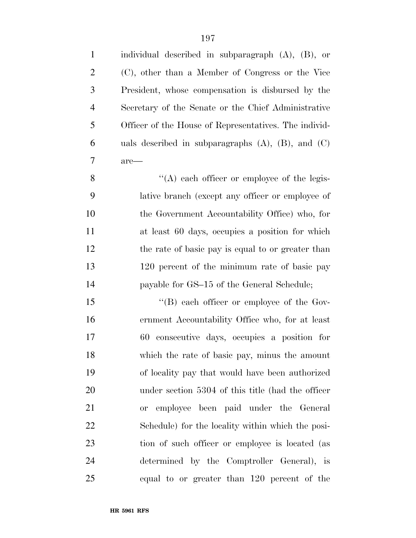| $\mathbf{1}$   | individual described in subparagraph $(A)$ , $(B)$ , or   |
|----------------|-----------------------------------------------------------|
| $\overline{2}$ | (C), other than a Member of Congress or the Vice          |
| 3              | President, whose compensation is disbursed by the         |
| $\overline{4}$ | Secretary of the Senate or the Chief Administrative       |
| 5              | Officer of the House of Representatives. The individ-     |
| 6              | uals described in subparagraphs $(A)$ , $(B)$ , and $(C)$ |
| 7              | $are-$                                                    |
| 8              | $\lq\lq$ each officer or employee of the legis-           |
| 9              | lative branch (except any officer or employee of          |
| 10             | the Government Accountability Office) who, for            |
| 11             | at least 60 days, occupies a position for which           |
| 12             | the rate of basic pay is equal to or greater than         |
| 13             | 120 percent of the minimum rate of basic pay              |
| 14             | payable for GS-15 of the General Schedule;                |
| 15             | $\lq\lq (B)$ each officer or employee of the Gov-         |
| 16             | ernment Accountability Office who, for at least           |
| 17             | 60 consecutive days, occupies a position for              |
| 18             | which the rate of basic pay, minus the amount             |
| 19             | of locality pay that would have been authorized           |
| 20             | under section 5304 of this title (had the officer         |
| 21             | employee been paid under the General<br>or                |
| 22             | Schedule) for the locality within which the posi-         |
| 23             | tion of such officer or employee is located (as           |
| 24             | determined by the Comptroller General), is                |
| 25             | equal to or greater than 120 percent of the               |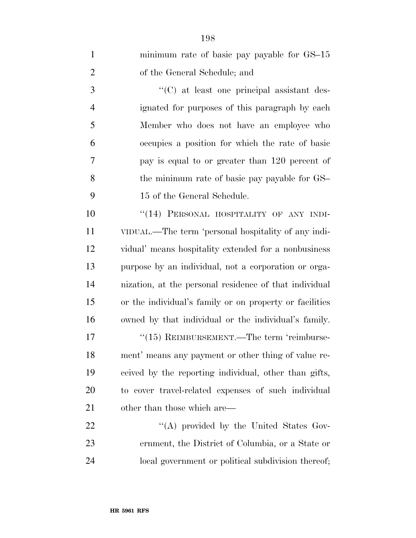| $\mathbf{1}$   | minimum rate of basic pay payable for GS-15             |
|----------------|---------------------------------------------------------|
| $\overline{2}$ | of the General Schedule; and                            |
| 3              | "(C) at least one principal assistant des-              |
| $\overline{4}$ | ignated for purposes of this paragraph by each          |
| 5              | Member who does not have an employee who                |
| 6              | occupies a position for which the rate of basic         |
| $\overline{7}$ | pay is equal to or greater than 120 percent of          |
| 8              | the minimum rate of basic pay payable for GS-           |
| 9              | 15 of the General Schedule.                             |
| 10             | "(14) PERSONAL HOSPITALITY OF ANY INDI-                 |
| 11             | VIDUAL.—The term 'personal hospitality of any indi-     |
| 12             | vidual' means hospitality extended for a nonbusiness    |
| 13             | purpose by an individual, not a corporation or orga-    |
| 14             | nization, at the personal residence of that individual  |
| 15             | or the individual's family or on property or facilities |
| 16             | owned by that individual or the individual's family.    |
| $17\,$         | "(15) REIMBURSEMENT.—The term 'reimburse-               |
| 18             | ment' means any payment or other thing of value re-     |
| 19             | ceived by the reporting individual, other than gifts,   |
| <b>20</b>      | to cover travel-related expenses of such individual     |
| 21             | other than those which are—                             |
| 22             | "(A) provided by the United States Gov-                 |
| 23             | ernment, the District of Columbia, or a State or        |
| 24             | local government or political subdivision thereof;      |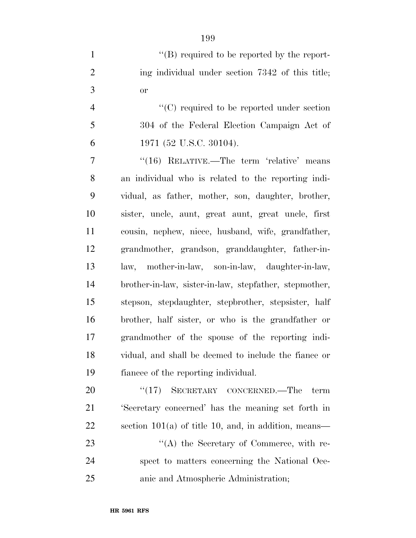| $\lq\lq (B)$ required to be reported by the report- |
|-----------------------------------------------------|
| ing individual under section 7342 of this title;    |
| Оr                                                  |

4  $\lq$  (C) required to be reported under section 304 of the Federal Election Campaign Act of 1971 (52 U.S.C. 30104).

7 "(16) RELATIVE.—The term 'relative' means an individual who is related to the reporting indi- vidual, as father, mother, son, daughter, brother, sister, uncle, aunt, great aunt, great uncle, first cousin, nephew, niece, husband, wife, grandfather, grandmother, grandson, granddaughter, father-in- law, mother-in-law, son-in-law, daughter-in-law, brother-in-law, sister-in-law, stepfather, stepmother, stepson, stepdaughter, stepbrother, stepsister, half brother, half sister, or who is the grandfather or grandmother of the spouse of the reporting indi- vidual, and shall be deemed to include the fiance or fiancee of the reporting individual.

20 "(17) SECRETARY CONCERNED.—The term 'Secretary concerned' has the meaning set forth in section 101(a) of title 10, and, in addition, means— 23 ''(A) the Secretary of Commerce, with re- spect to matters concerning the National Oce-anic and Atmospheric Administration;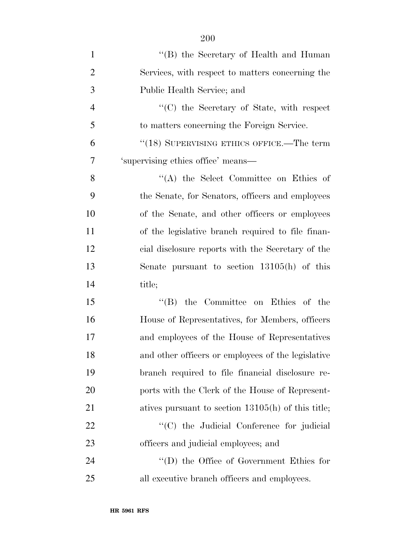| $\mathbf{1}$   | "(B) the Secretary of Health and Human               |
|----------------|------------------------------------------------------|
| $\overline{2}$ | Services, with respect to matters concerning the     |
| 3              | Public Health Service; and                           |
| $\overline{4}$ | "(C) the Secretary of State, with respect            |
| 5              | to matters concerning the Foreign Service.           |
| 6              | "(18) SUPERVISING ETHICS OFFICE.—The term            |
| 7              | 'supervising ethics office' means-                   |
| 8              | $\lq\lq$ the Select Committee on Ethics of           |
| 9              | the Senate, for Senators, officers and employees     |
| 10             | of the Senate, and other officers or employees       |
| 11             | of the legislative branch required to file finan-    |
| 12             | cial disclosure reports with the Secretary of the    |
| 13             | Senate pursuant to section $13105(h)$ of this        |
| 14             | title;                                               |
| 15             | $\lq\lq$ (B) the Committee on Ethics of the          |
| 16             | House of Representatives, for Members, officers      |
| 17             | and employees of the House of Representatives        |
| 18             | and other officers or employees of the legislative   |
| 19             | branch required to file financial disclosure re-     |
| 20             | ports with the Clerk of the House of Represent-      |
| 21             | atives pursuant to section $13105(h)$ of this title; |
| 22             | "(C) the Judicial Conference for judicial            |
| 23             | officers and judicial employees; and                 |
| 24             | $\lq\lq$ the Office of Government Ethics for         |
| 25             | all executive branch officers and employees.         |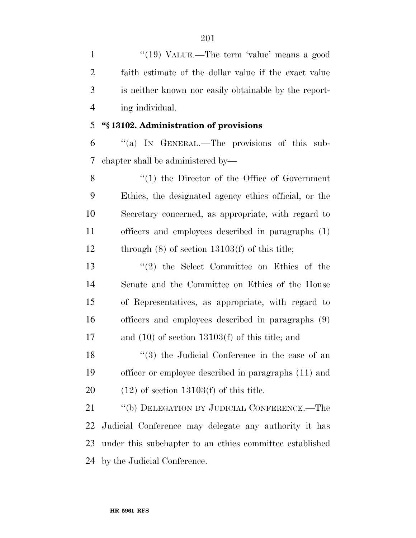1 "(19) VALUE.—The term 'value' means a good faith estimate of the dollar value if the exact value is neither known nor easily obtainable by the report-ing individual.

# **''§ 13102. Administration of provisions**

 ''(a) IN GENERAL.—The provisions of this sub-chapter shall be administered by—

8 "(1) the Director of the Office of Government Ethics, the designated agency ethics official, or the Secretary concerned, as appropriate, with regard to officers and employees described in paragraphs (1) through (8) of section 13103(f) of this title;

 ''(2) the Select Committee on Ethics of the Senate and the Committee on Ethics of the House of Representatives, as appropriate, with regard to officers and employees described in paragraphs (9) and (10) of section 13103(f) of this title; and

18 ''(3) the Judicial Conference in the case of an officer or employee described in paragraphs (11) and 20  $(12)$  of section 13103(f) of this title.

 ''(b) DELEGATION BY JUDICIAL CONFERENCE.—The Judicial Conference may delegate any authority it has under this subchapter to an ethics committee established by the Judicial Conference.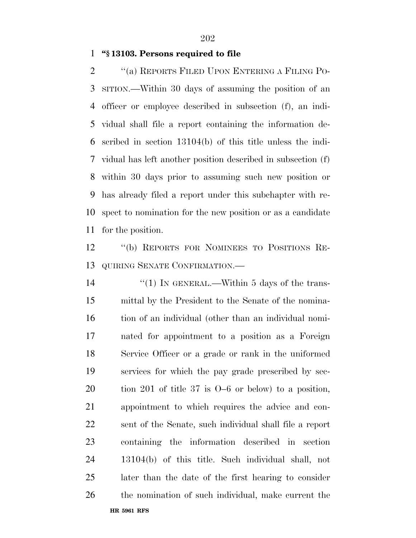# **''§ 13103. Persons required to file**

 ''(a) REPORTS FILED UPON ENTERING A FILING PO- SITION.—Within 30 days of assuming the position of an officer or employee described in subsection (f), an indi- vidual shall file a report containing the information de- scribed in section 13104(b) of this title unless the indi- vidual has left another position described in subsection (f) within 30 days prior to assuming such new position or has already filed a report under this subchapter with re- spect to nomination for the new position or as a candidate for the position.

 ''(b) REPORTS FOR NOMINEES TO POSITIONS RE-QUIRING SENATE CONFIRMATION.—

**HR 5961 RFS** 14 "(1) IN GENERAL.—Within 5 days of the trans- mittal by the President to the Senate of the nomina- tion of an individual (other than an individual nomi- nated for appointment to a position as a Foreign Service Officer or a grade or rank in the uniformed services for which the pay grade prescribed by sec- tion 201 of title 37 is O–6 or below) to a position, appointment to which requires the advice and con- sent of the Senate, such individual shall file a report containing the information described in section 13104(b) of this title. Such individual shall, not later than the date of the first hearing to consider the nomination of such individual, make current the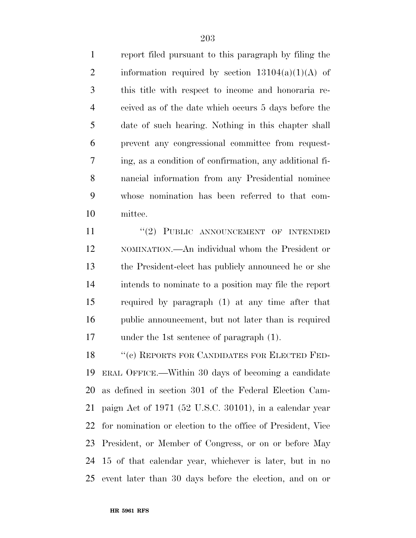report filed pursuant to this paragraph by filing the 2 information required by section  $13104(a)(1)(A)$  of this title with respect to income and honoraria re- ceived as of the date which occurs 5 days before the date of such hearing. Nothing in this chapter shall prevent any congressional committee from request- ing, as a condition of confirmation, any additional fi- nancial information from any Presidential nominee whose nomination has been referred to that com-mittee.

11 "(2) PUBLIC ANNOUNCEMENT OF INTENDED NOMINATION.—An individual whom the President or the President-elect has publicly announced he or she intends to nominate to a position may file the report required by paragraph (1) at any time after that public announcement, but not later than is required under the 1st sentence of paragraph (1).

18 "(c) REPORTS FOR CANDIDATES FOR ELECTED FED- ERAL OFFICE.—Within 30 days of becoming a candidate as defined in section 301 of the Federal Election Cam- paign Act of 1971 (52 U.S.C. 30101), in a calendar year for nomination or election to the office of President, Vice President, or Member of Congress, or on or before May 15 of that calendar year, whichever is later, but in no event later than 30 days before the election, and on or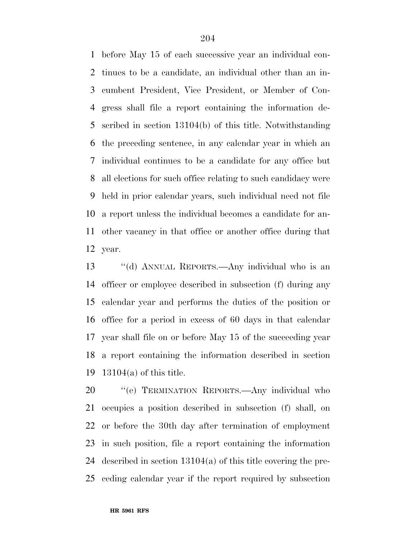before May 15 of each successive year an individual con- tinues to be a candidate, an individual other than an in- cumbent President, Vice President, or Member of Con- gress shall file a report containing the information de- scribed in section 13104(b) of this title. Notwithstanding the preceding sentence, in any calendar year in which an individual continues to be a candidate for any office but all elections for such office relating to such candidacy were held in prior calendar years, such individual need not file a report unless the individual becomes a candidate for an- other vacancy in that office or another office during that year.

 ''(d) ANNUAL REPORTS.—Any individual who is an officer or employee described in subsection (f) during any calendar year and performs the duties of the position or office for a period in excess of 60 days in that calendar year shall file on or before May 15 of the succeeding year a report containing the information described in section 13104(a) of this title.

20 "'(e) TERMINATION REPORTS.—Any individual who occupies a position described in subsection (f) shall, on or before the 30th day after termination of employment in such position, file a report containing the information described in section 13104(a) of this title covering the pre-ceding calendar year if the report required by subsection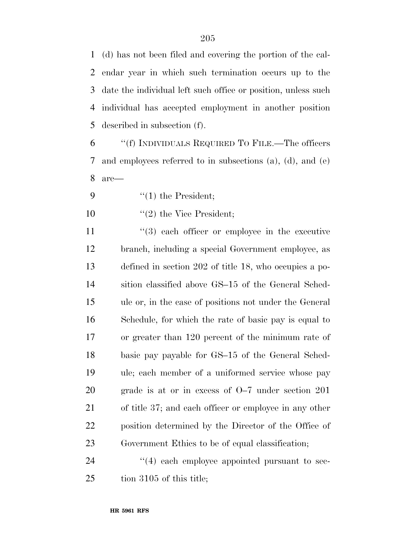(d) has not been filed and covering the portion of the cal- endar year in which such termination occurs up to the date the individual left such office or position, unless such individual has accepted employment in another position described in subsection (f).

 ''(f) INDIVIDUALS REQUIRED TO FILE.—The officers and employees referred to in subsections (a), (d), and (e) are—

9  $\frac{1}{2}$  (1) the President;

10  $\frac{10}{2}$  the Vice President;

 $(3)$  each officer or employee in the executive branch, including a special Government employee, as defined in section 202 of title 18, who occupies a po- sition classified above GS–15 of the General Sched- ule or, in the case of positions not under the General Schedule, for which the rate of basic pay is equal to or greater than 120 percent of the minimum rate of basic pay payable for GS–15 of the General Sched- ule; each member of a uniformed service whose pay grade is at or in excess of O–7 under section 201 of title 37; and each officer or employee in any other position determined by the Director of the Office of Government Ethics to be of equal classification;

24  $\frac{1}{4}$  each employee appointed pursuant to sec-tion 3105 of this title;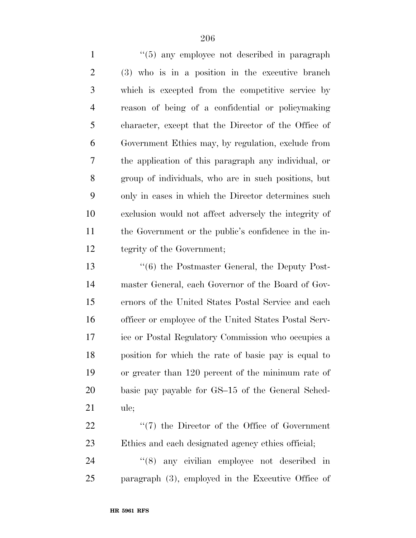1 ''(5) any employee not described in paragraph (3) who is in a position in the executive branch which is excepted from the competitive service by reason of being of a confidential or policymaking character, except that the Director of the Office of Government Ethics may, by regulation, exclude from the application of this paragraph any individual, or group of individuals, who are in such positions, but only in cases in which the Director determines such exclusion would not affect adversely the integrity of the Government or the public's confidence in the in-tegrity of the Government;

 ''(6) the Postmaster General, the Deputy Post- master General, each Governor of the Board of Gov- ernors of the United States Postal Service and each officer or employee of the United States Postal Serv- ice or Postal Regulatory Commission who occupies a position for which the rate of basic pay is equal to or greater than 120 percent of the minimum rate of basic pay payable for GS–15 of the General Sched-ule;

22  $\frac{1}{2}$  (7) the Director of the Office of Government Ethics and each designated agency ethics official;

24  $(8)$  any civilian employee not described in paragraph (3), employed in the Executive Office of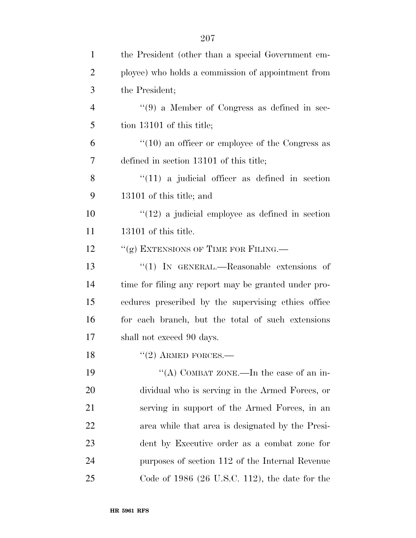| 1              | the President (other than a special Government em-       |
|----------------|----------------------------------------------------------|
| $\overline{2}$ | ployee) who holds a commission of appointment from       |
| 3              | the President;                                           |
| $\overline{4}$ | $\lq(9)$ a Member of Congress as defined in sec-         |
| 5              | tion 13101 of this title;                                |
| 6              | $\cdot$ (10) an officer or employee of the Congress as   |
| 7              | defined in section 13101 of this title;                  |
| 8              | $\lq(11)$ a judicial officer as defined in section       |
| 9              | 13101 of this title; and                                 |
| 10             | $\degree$ (12) a judicial employee as defined in section |
| 11             | 13101 of this title.                                     |
| 12             | "(g) EXTENSIONS OF TIME FOR FILING.—                     |
| 13             | " $(1)$ In GENERAL.—Reasonable extensions of             |
| 14             | time for filing any report may be granted under pro-     |
| 15             | cedures prescribed by the supervising ethics office      |
| 16             | for each branch, but the total of such extensions        |
| 17             | shall not exceed 90 days.                                |
| 18             | $"(2)$ ARMED FORCES.—                                    |
| 19             | "(A) COMBAT ZONE.—In the case of an in-                  |
| <b>20</b>      | dividual who is serving in the Armed Forces, or          |
| 21             | serving in support of the Armed Forces, in an            |
| 22             | area while that area is designated by the Presi-         |
| 23             | dent by Executive order as a combat zone for             |
| 24             | purposes of section 112 of the Internal Revenue          |
| 25             | Code of $1986$ (26 U.S.C. 112), the date for the         |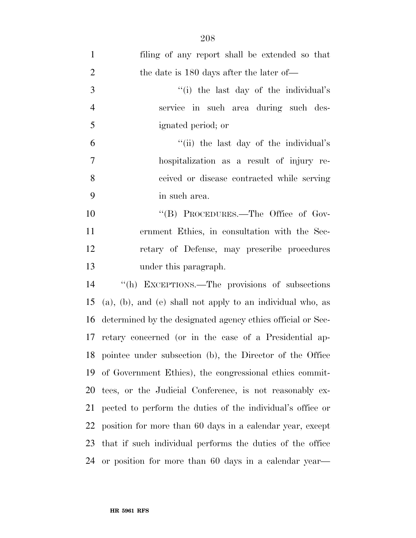| $\mathbf{1}$   | filing of any report shall be extended so that              |
|----------------|-------------------------------------------------------------|
| $\overline{2}$ | the date is 180 days after the later of—                    |
| 3              | "(i) the last day of the individual's                       |
| $\overline{4}$ | service in such area during such des-                       |
| 5              | ignated period; or                                          |
| 6              | "(ii) the last day of the individual's                      |
| $\tau$         | hospitalization as a result of injury re-                   |
| 8              | ceived or disease contracted while serving                  |
| 9              | in such area.                                               |
| 10             | "(B) PROCEDURES.—The Office of Gov-                         |
| 11             | ernment Ethics, in consultation with the Sec-               |
| 12             | retary of Defense, may prescribe procedures                 |
| 13             | under this paragraph.                                       |
|                | "(h) EXCEPTIONS.—The provisions of subsections              |
| 14             |                                                             |
| 15             | (a), (b), and (e) shall not apply to an individual who, as  |
| 16             | determined by the designated agency ethics official or Sec- |
|                | 17 retary concerned (or in the case of a Presidential ap-   |
|                | 18 pointee under subsection (b), the Director of the Office |
|                | 19 of Government Ethics), the congressional ethics commit-  |
| 20             | tees, or the Judicial Conference, is not reasonably ex-     |
| 21             | pected to perform the duties of the individual's office or  |
| 22             | position for more than 60 days in a calendar year, except   |
| 23             | that if such individual performs the duties of the office   |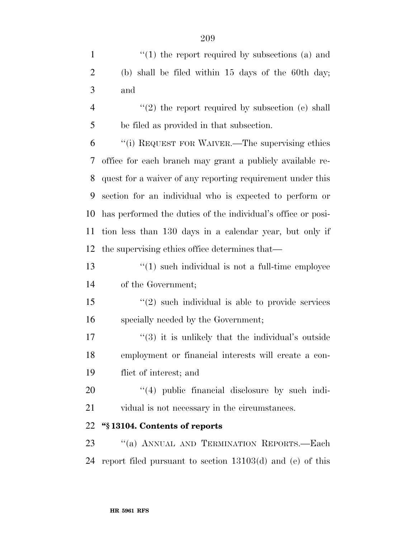1 ''(1) the report required by subsections (a) and (b) shall be filed within 15 days of the 60th day; and  $\frac{4}{2}$  ''(2) the report required by subsection (e) shall be filed as provided in that subsection. ''(i) REQUEST FOR WAIVER.—The supervising ethics

 office for each branch may grant a publicly available re- quest for a waiver of any reporting requirement under this section for an individual who is expected to perform or has performed the duties of the individual's office or posi- tion less than 130 days in a calendar year, but only if the supervising ethics office determines that—

13  $\frac{1}{2}$   $\frac{1}{2}$  such individual is not a full-time employee of the Government;

 ''(2) such individual is able to provide services specially needed by the Government;

 $\frac{17}{2}$  ''(3) it is unlikely that the individual's outside employment or financial interests will create a con-flict of interest; and

20  $\frac{1}{4}$  public financial disclosure by such indi-vidual is not necessary in the circumstances.

# **''§ 13104. Contents of reports**

23 "(a) ANNUAL AND TERMINATION REPORTS.—Each report filed pursuant to section 13103(d) and (e) of this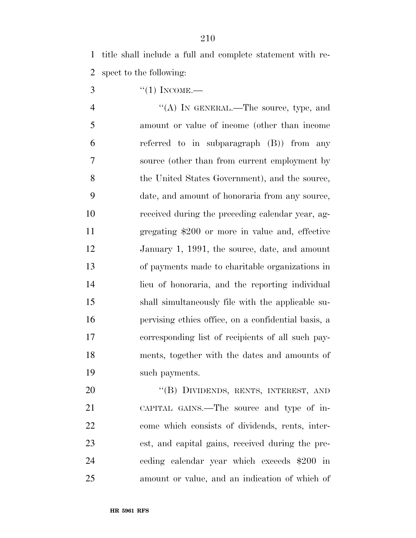title shall include a full and complete statement with re-spect to the following:

3  $\frac{4}{1}$  INCOME.

 $\langle A \rangle$  In GENERAL.—The source, type, and amount or value of income (other than income referred to in subparagraph (B)) from any source (other than from current employment by 8 the United States Government), and the source, date, and amount of honoraria from any source, received during the preceding calendar year, ag- gregating \$200 or more in value and, effective January 1, 1991, the source, date, and amount of payments made to charitable organizations in lieu of honoraria, and the reporting individual shall simultaneously file with the applicable su- pervising ethics office, on a confidential basis, a corresponding list of recipients of all such pay- ments, together with the dates and amounts of such payments.

20 "(B) DIVIDENDS, RENTS, INTEREST, AND CAPITAL GAINS.—The source and type of in- come which consists of dividends, rents, inter- est, and capital gains, received during the pre- ceding calendar year which exceeds \$200 in amount or value, and an indication of which of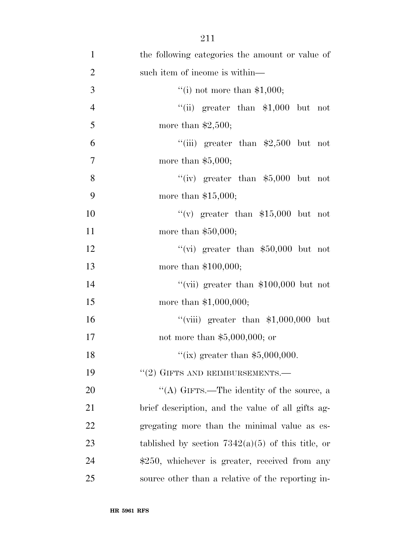| $\mathbf{1}$   | the following categories the amount or value of     |
|----------------|-----------------------------------------------------|
| $\overline{2}$ | such item of income is within—                      |
| 3              | "(i) not more than $$1,000;$                        |
| $\overline{4}$ | "(ii) greater than $$1,000$ but not                 |
| 5              | more than $$2,500;$                                 |
| 6              | "(iii) greater than $$2,500$ but not                |
| $\tau$         | more than $$5,000;$                                 |
| $8\,$          | "(iv) greater than $$5,000$ but not                 |
| 9              | more than $$15,000;$                                |
| 10             | "(v) greater than $$15,000$ but not                 |
| 11             | more than $$50,000;$                                |
| 12             | "(vi) greater than $$50,000$ but not                |
| 13             | more than $$100,000;$                               |
| 14             | "(vii) greater than $$100,000$ but not              |
| 15             | more than $$1,000,000;$                             |
| 16             | "(viii) greater than $$1,000,000$ but               |
| 17             | not more than $$5,000,000;$ or                      |
| 18             | "(ix) greater than $$5,000,000$ .                   |
| 19             | $"(2)$ GIFTS AND REIMBURSEMENTS.—                   |
| <b>20</b>      | "(A) GIFTS.—The identity of the source, a           |
| 21             | brief description, and the value of all gifts ag-   |
| 22             | gregating more than the minimal value as es-        |
| 23             | tablished by section $7342(a)(5)$ of this title, or |
| 24             | \$250, whichever is greater, received from any      |
| 25             | source other than a relative of the reporting in-   |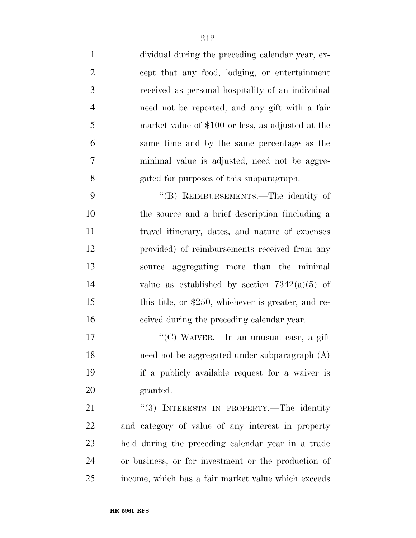dividual during the preceding calendar year, ex- cept that any food, lodging, or entertainment received as personal hospitality of an individual need not be reported, and any gift with a fair market value of \$100 or less, as adjusted at the same time and by the same percentage as the minimal value is adjusted, need not be aggre-gated for purposes of this subparagraph.

 ''(B) REIMBURSEMENTS.—The identity of the source and a brief description (including a travel itinerary, dates, and nature of expenses provided) of reimbursements received from any source aggregating more than the minimal 14 value as established by section  $7342(a)(5)$  of 15 this title, or \$250, whichever is greater, and re-ceived during the preceding calendar year.

 ''(C) WAIVER.—In an unusual case, a gift need not be aggregated under subparagraph (A) if a publicly available request for a waiver is granted.

21 "(3) INTERESTS IN PROPERTY.—The identity and category of value of any interest in property held during the preceding calendar year in a trade or business, or for investment or the production of income, which has a fair market value which exceeds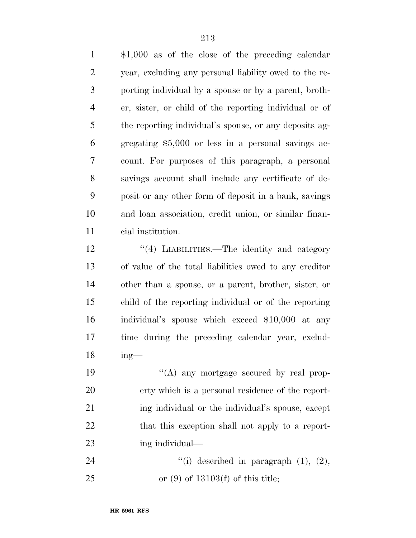\$1,000 as of the close of the preceding calendar year, excluding any personal liability owed to the re- porting individual by a spouse or by a parent, broth- er, sister, or child of the reporting individual or of the reporting individual's spouse, or any deposits ag- gregating \$5,000 or less in a personal savings ac- count. For purposes of this paragraph, a personal savings account shall include any certificate of de- posit or any other form of deposit in a bank, savings and loan association, credit union, or similar finan-cial institution.

12 ''(4) LIABILITIES.—The identity and category of value of the total liabilities owed to any creditor other than a spouse, or a parent, brother, sister, or child of the reporting individual or of the reporting individual's spouse which exceed \$10,000 at any time during the preceding calendar year, exclud-ing—

 $((A)$  any mortgage secured by real prop- erty which is a personal residence of the report- ing individual or the individual's spouse, except 22 that this exception shall not apply to a report-ing individual—

24  $"(i)$  described in paragraph  $(1)$ ,  $(2)$ , or (9) of 13103(f) of this title;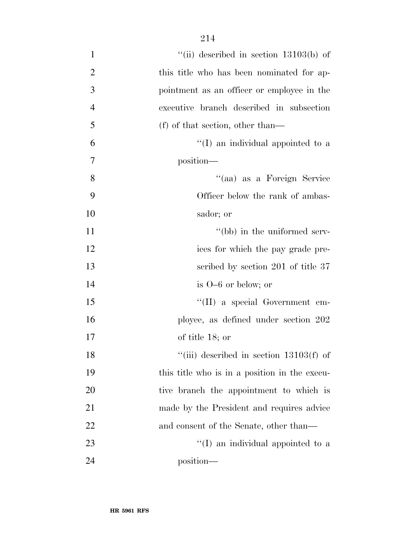| $\mathbf{1}$     | "(ii) described in section $13103(b)$ of      |
|------------------|-----------------------------------------------|
| $\overline{2}$   | this title who has been nominated for ap-     |
| 3                | pointment as an officer or employee in the    |
| $\overline{4}$   | executive branch described in subsection      |
| 5                | $(f)$ of that section, other than—            |
| 6                | $\lq\lq$ (I) an individual appointed to a     |
| $\boldsymbol{7}$ | position—                                     |
| 8                | "(aa) as a Foreign Service                    |
| 9                | Officer below the rank of ambas-              |
| 10               | sador; or                                     |
| 11               | "(bb) in the uniformed serv-                  |
| 12               | ices for which the pay grade pre-             |
| 13               | scribed by section 201 of title 37            |
| 14               | is $O-6$ or below; or                         |
| 15               | "(II) a special Government em-                |
| 16               | ployee, as defined under section 202          |
| 17               | of title 18; or                               |
| 18               | "(iii) described in section $13103(f)$ of     |
| 19               | this title who is in a position in the execu- |
| 20               | tive branch the appointment to which is       |
| 21               | made by the President and requires advice     |
| 22               | and consent of the Senate, other than—        |
| 23               | $\lq (I)$ an individual appointed to a        |
| 24               | position—                                     |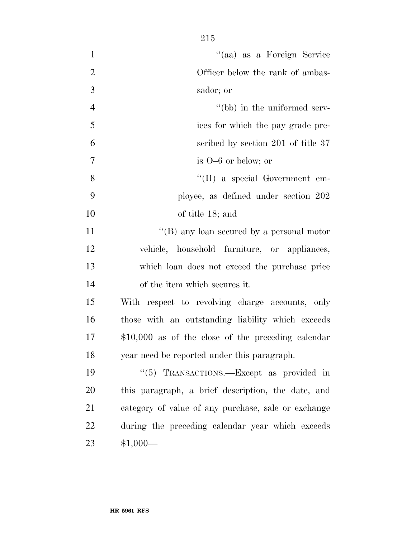''(aa) as a Foreign Service 2 Officer below the rank of ambas- sador; or 4 ''(bb) in the uniformed serv- ices for which the pay grade pre- scribed by section 201 of title 37 is O–6 or below; or 8 ''(II) a special Government em- ployee, as defined under section 202 of title 18; and 11 ''(B) any loan secured by a personal motor vehicle, household furniture, or appliances, which loan does not exceed the purchase price of the item which secures it.

 With respect to revolving charge accounts, only those with an outstanding liability which exceeds \$10,000 as of the close of the preceding calendar year need be reported under this paragraph.

19 "(5) TRANSACTIONS.—Except as provided in this paragraph, a brief description, the date, and category of value of any purchase, sale or exchange during the preceding calendar year which exceeds \$1,000—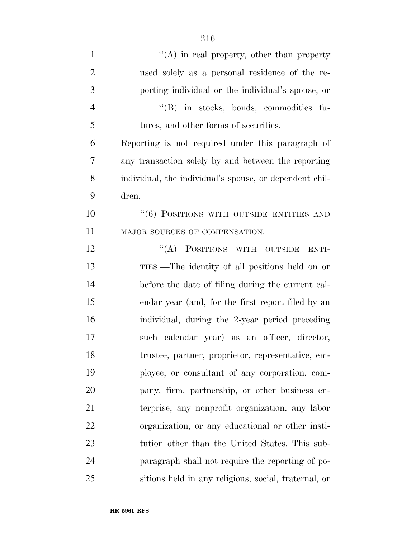| $\mathbf{1}$   | $\lq\lq$ in real property, other than property          |
|----------------|---------------------------------------------------------|
| $\overline{2}$ | used solely as a personal residence of the re-          |
| 3              | porting individual or the individual's spouse; or       |
| $\overline{4}$ | "(B) in stocks, bonds, commodities fu-                  |
| 5              | tures, and other forms of securities.                   |
| 6              | Reporting is not required under this paragraph of       |
| 7              | any transaction solely by and between the reporting     |
| 8              | individual, the individual's spouse, or dependent chil- |
| 9              | dren.                                                   |
| 10             | $``(6)$ POSITIONS WITH OUTSIDE ENTITIES AND             |
| 11             | MAJOR SOURCES OF COMPENSATION.-                         |
| 12             | "(A) POSITIONS WITH OUTSIDE<br>ENTI-                    |
| 13             | TIES.—The identity of all positions held on or          |
| 14             | before the date of filing during the current cal-       |
| 15             | endar year (and, for the first report filed by an       |
| 16             | individual, during the 2-year period preceding          |
| 17             | such calendar year) as an officer, director,            |
| 18             | trustee, partner, proprietor, representative, em-       |
| 19             | ployee, or consultant of any corporation, com-          |
| 20             | pany, firm, partnership, or other business en-          |
| 21             | terprise, any nonprofit organization, any labor         |
| 22             | organization, or any educational or other insti-        |
| 23             | tution other than the United States. This sub-          |
| 24             | paragraph shall not require the reporting of po-        |
| 25             | sitions held in any religious, social, fraternal, or    |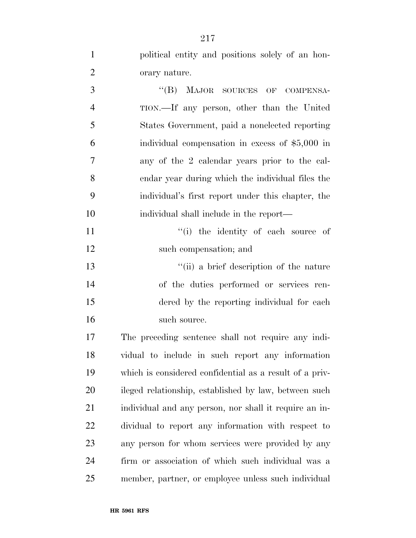| $\mathbf{1}$   | political entity and positions solely of an hon-        |
|----------------|---------------------------------------------------------|
| $\overline{2}$ | orary nature.                                           |
| 3              | "(B) MAJOR SOURCES OF COMPENSA-                         |
| $\overline{4}$ | TION.—If any person, other than the United              |
| 5              | States Government, paid a nonelected reporting          |
| 6              | individual compensation in excess of $$5,000$ in        |
| $\overline{7}$ | any of the 2 calendar years prior to the cal-           |
| 8              | endar year during which the individual files the        |
| 9              | individual's first report under this chapter, the       |
| 10             | individual shall include in the report—                 |
| 11             | "(i) the identity of each source of                     |
| 12             | such compensation; and                                  |
| 13             | "(ii) a brief description of the nature                 |
| 14             | of the duties performed or services ren-                |
| 15             | dered by the reporting individual for each              |
| 16             | such source.                                            |
| 17             | The preceding sentence shall not require any indi-      |
| 18             | vidual to include in such report any information        |
| 19             | which is considered confidential as a result of a priv- |
| 20             | ileged relationship, established by law, between such   |
| 21             | individual and any person, nor shall it require an in-  |
| 22             | dividual to report any information with respect to      |
| 23             | any person for whom services were provided by any       |
| 24             | firm or association of which such individual was a      |
| 25             | member, partner, or employee unless such individual     |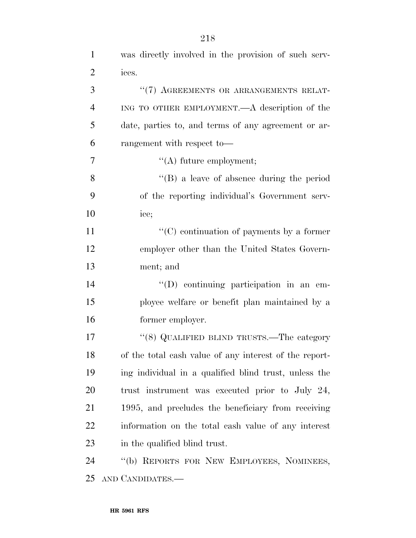| $\mathbf{1}$   | was directly involved in the provision of such serv-   |
|----------------|--------------------------------------------------------|
| $\overline{2}$ | ices.                                                  |
| 3              | "(7) AGREEMENTS OR ARRANGEMENTS RELAT-                 |
| $\overline{4}$ | ING TO OTHER EMPLOYMENT.—A description of the          |
| 5              | date, parties to, and terms of any agreement or ar-    |
| 6              | rangement with respect to-                             |
| 7              | $\lq\lq$ future employment;                            |
| 8              | $\lq\lq (B)$ a leave of absence during the period      |
| 9              | of the reporting individual's Government serv-         |
| 10             | ice;                                                   |
| 11             | "(C) continuation of payments by a former              |
| 12             | employer other than the United States Govern-          |
| 13             | ment; and                                              |
| 14             | $\lq\lq$ continuing participation in an em-            |
| 15             | ployee welfare or benefit plan maintained by a         |
| 16             | former employer.                                       |
| 17             | " $(8)$ QUALIFIED BLIND TRUSTS.—The category           |
| 18             | of the total cash value of any interest of the report- |
| 19             | ing individual in a qualified blind trust, unless the  |
| <b>20</b>      | trust instrument was executed prior to July 24,        |
| 21             | 1995, and precludes the beneficiary from receiving     |
| 22             | information on the total cash value of any interest    |
| 23             | in the qualified blind trust.                          |
| 24             | "(b) REPORTS FOR NEW EMPLOYEES, NOMINEES,              |
| 25             | AND CANDIDATES.—                                       |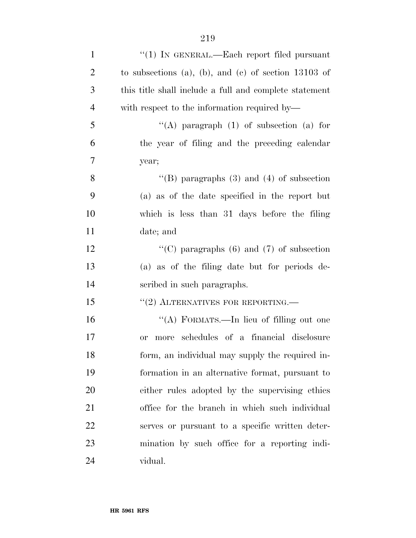| $\mathbf{1}$   | " $(1)$ In GENERAL.—Each report filed pursuant         |
|----------------|--------------------------------------------------------|
| $\overline{2}$ | to subsections (a), (b), and (c) of section $13103$ of |
| 3              | this title shall include a full and complete statement |
| $\overline{4}$ | with respect to the information required by—           |
| 5              | "(A) paragraph $(1)$ of subsection $(a)$ for           |
| 6              | the year of filing and the preceding calendar          |
| 7              | year;                                                  |
| 8              | "(B) paragraphs $(3)$ and $(4)$ of subsection          |
| 9              | (a) as of the date specified in the report but         |
| 10             | which is less than 31 days before the filing           |
| 11             | date; and                                              |
| 12             | "(C) paragraphs $(6)$ and $(7)$ of subsection          |
| 13             | (a) as of the filing date but for periods de-          |
| 14             | scribed in such paragraphs.                            |
| 15             | $``(2)$ ALTERNATIVES FOR REPORTING.—                   |
| 16             | "(A) FORMATS.—In lieu of filling out one               |
| 17             | more schedules of a financial disclosure<br><b>or</b>  |
| 18             | form, an individual may supply the required in-        |
| 19             | formation in an alternative format, pursuant to        |
| 20             | either rules adopted by the supervising ethics         |
| 21             | office for the branch in which such individual         |
| 22             | serves or pursuant to a specific written deter-        |
| 23             | mination by such office for a reporting indi-          |
| 24             | vidual.                                                |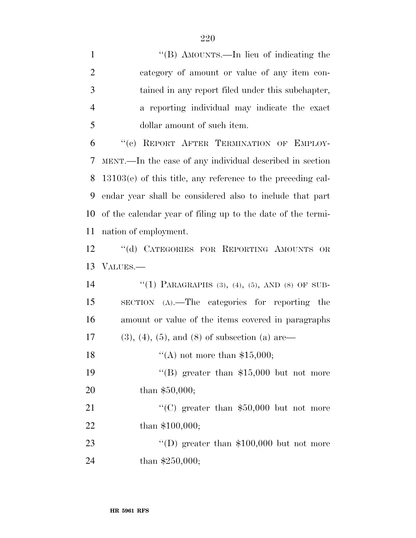| $\mathbf{1}$   | "(B) AMOUNTS.—In lieu of indicating the                       |
|----------------|---------------------------------------------------------------|
| $\overline{2}$ | category of amount or value of any item con-                  |
| 3              | tained in any report filed under this subchapter,             |
| $\overline{4}$ | a reporting individual may indicate the exact                 |
| 5              | dollar amount of such item.                                   |
| 6              | "(c) REPORT AFTER TERMINATION OF EMPLOY-                      |
| 7              | MENT.—In the case of any individual described in section      |
| 8              | $13103(e)$ of this title, any reference to the preceding cal- |
| 9              | endar year shall be considered also to include that part      |
| 10             | of the calendar year of filing up to the date of the termi-   |
| 11             | nation of employment.                                         |
| 12             | "(d) CATEGORIES FOR REPORTING AMOUNTS OR                      |
| 13             | VALUES.                                                       |
| 14             | "(1) PARAGRAPHS (3), (4), (5), AND (8) OF SUB-                |
| 15             | $SECTION (A)$ . The categories for reporting the              |
| 16             | amount or value of the items covered in paragraphs            |

17 (3), (4), (5), and (8) of subsection (a) are—

18  $((A)$  not more than \$15,000;

19 ''(B) greater than \$15,000 but not more 20 than \$50,000;

21 ''(C) greater than \$50,000 but not more 22 than \$100,000;

23 ''(D) greater than \$100,000 but not more 24 than \$250,000;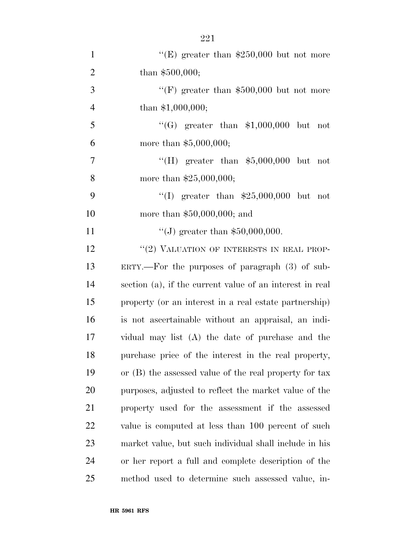| $\mathbf{1}$   | "(E) greater than $$250,000$ but not more                |
|----------------|----------------------------------------------------------|
| $\overline{2}$ | than \$500,000;                                          |
| 3              | "(F) greater than $$500,000$ but not more                |
| $\overline{4}$ | than $$1,000,000;$                                       |
| 5              | "(G) greater than $$1,000,000$ but not                   |
| 6              | more than $$5,000,000;$                                  |
| 7              | "(H) greater than $$5,000,000$ but not                   |
| 8              | more than $$25,000,000;$                                 |
| 9              | "(I) greater than $$25,000,000$ but not                  |
| 10             | more than $$50,000,000$ ; and                            |
| 11             | "(J) greater than $$50,000,000$ .                        |
| 12             | "(2) VALUATION OF INTERESTS IN REAL PROP-                |
| 13             | $ERTY.$ For the purposes of paragraph $(3)$ of sub-      |
| 14             | section (a), if the current value of an interest in real |
| 15             | property (or an interest in a real estate partnership)   |
| 16             | is not ascertainable without an appraisal, an indi-      |
| 17             | vidual may list (A) the date of purchase and the         |
| 18             | purchase price of the interest in the real property,     |
| 19             | or (B) the assessed value of the real property for tax   |
| 20             | purposes, adjusted to reflect the market value of the    |
| 21             | property used for the assessment if the assessed         |
| 22             | value is computed at less than 100 percent of such       |
| 23             | market value, but such individual shall include in his   |
| 24             | or her report a full and complete description of the     |
| 25             | method used to determine such assessed value, in-        |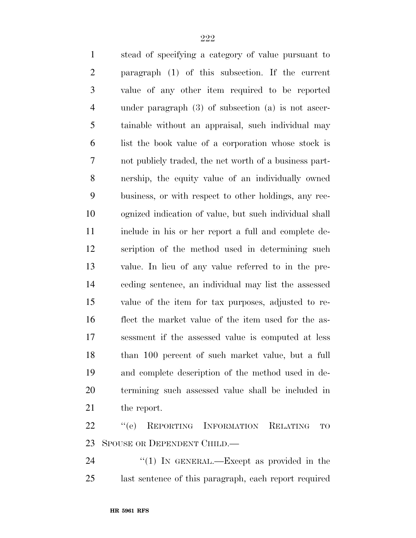stead of specifying a category of value pursuant to paragraph (1) of this subsection. If the current value of any other item required to be reported under paragraph (3) of subsection (a) is not ascer- tainable without an appraisal, such individual may list the book value of a corporation whose stock is not publicly traded, the net worth of a business part- nership, the equity value of an individually owned business, or with respect to other holdings, any rec- ognized indication of value, but such individual shall include in his or her report a full and complete de- scription of the method used in determining such value. In lieu of any value referred to in the pre- ceding sentence, an individual may list the assessed value of the item for tax purposes, adjusted to re- flect the market value of the item used for the as- sessment if the assessed value is computed at less than 100 percent of such market value, but a full and complete description of the method used in de- termining such assessed value shall be included in the report. 22 "(e) REPORTING INFORMATION RELATING TO

SPOUSE OR DEPENDENT CHILD.—

24 "(1) In GENERAL.—Except as provided in the last sentence of this paragraph, each report required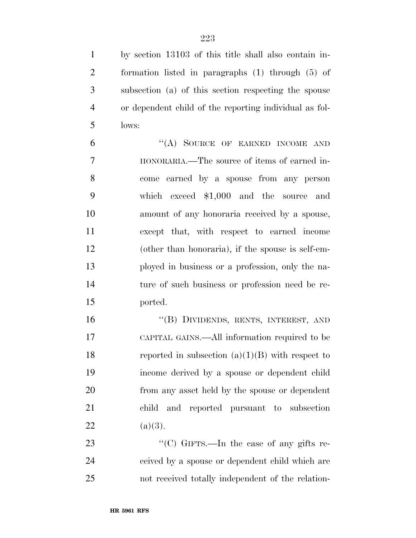by section 13103 of this title shall also contain in- formation listed in paragraphs (1) through (5) of subsection (a) of this section respecting the spouse or dependent child of the reporting individual as fol-lows:

6 "(A) SOURCE OF EARNED INCOME AND HONORARIA.—The source of items of earned in- come earned by a spouse from any person which exceed \$1,000 and the source and amount of any honoraria received by a spouse, except that, with respect to earned income (other than honoraria), if the spouse is self-em- ployed in business or a profession, only the na- ture of such business or profession need be re-ported.

 ''(B) DIVIDENDS, RENTS, INTEREST, AND CAPITAL GAINS.—All information required to be 18 reported in subsection  $(a)(1)(B)$  with respect to income derived by a spouse or dependent child from any asset held by the spouse or dependent child and reported pursuant to subsection 22 (a)(3).

23 "'(C) GIFTS.—In the case of any gifts re- ceived by a spouse or dependent child which are not received totally independent of the relation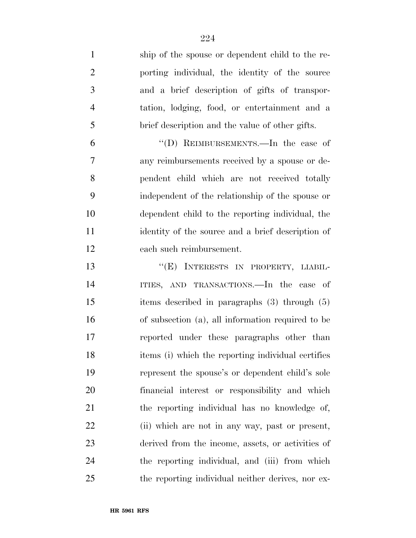| $\mathbf{1}$   | ship of the spouse or dependent child to the re-   |
|----------------|----------------------------------------------------|
| $\overline{2}$ | porting individual, the identity of the source     |
| 3              | and a brief description of gifts of transpor-      |
| $\overline{4}$ | tation, lodging, food, or entertainment and a      |
| 5              | brief description and the value of other gifts.    |
| 6              | "(D) REIMBURSEMENTS.—In the case of                |
| $\overline{7}$ | any reimbursements received by a spouse or de-     |
| 8              | pendent child which are not received totally       |
| 9              | independent of the relationship of the spouse or   |
| 10             | dependent child to the reporting individual, the   |
| 11             | identity of the source and a brief description of  |
| 12             | each such reimbursement.                           |
| 13             | "(E) INTERESTS IN PROPERTY, LIABIL-                |
| 14             | ITIES, AND TRANSACTIONS. In the case of            |
| 15             | items described in paragraphs $(3)$ through $(5)$  |
| 16             | of subsection (a), all information required to be  |
| 17             | reported under these paragraphs other than         |
| 18             | items (i) which the reporting individual certifies |
| 19             | represent the spouse's or dependent child's sole   |
| 20             | financial interest or responsibility and which     |
| 21             | the reporting individual has no knowledge of,      |
| 22             | (ii) which are not in any way, past or present,    |
| 23             | derived from the income, assets, or activities of  |
| 24             | the reporting individual, and (iii) from which     |
| 25             | the reporting individual neither derives, nor ex-  |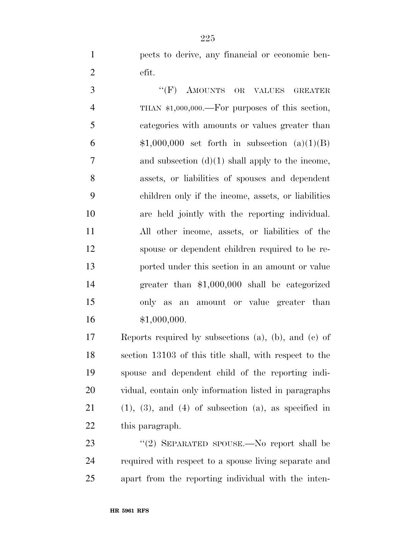pects to derive, any financial or economic ben-efit.

3 " (F) AMOUNTS OR VALUES GREATER THAN \$1,000,000.—For purposes of this section, categories with amounts or values greater than  $$1,000,000$  set forth in subsection  $(a)(1)(B)$  and subsection (d)(1) shall apply to the income, assets, or liabilities of spouses and dependent children only if the income, assets, or liabilities are held jointly with the reporting individual. All other income, assets, or liabilities of the spouse or dependent children required to be re- ported under this section in an amount or value greater than \$1,000,000 shall be categorized only as an amount or value greater than \$1,000,000.

 Reports required by subsections (a), (b), and (c) of section 13103 of this title shall, with respect to the spouse and dependent child of the reporting indi- vidual, contain only information listed in paragraphs 21 (1), (3), and (4) of subsection (a), as specified in this paragraph.

23 "(2) SEPARATED SPOUSE.—No report shall be required with respect to a spouse living separate and apart from the reporting individual with the inten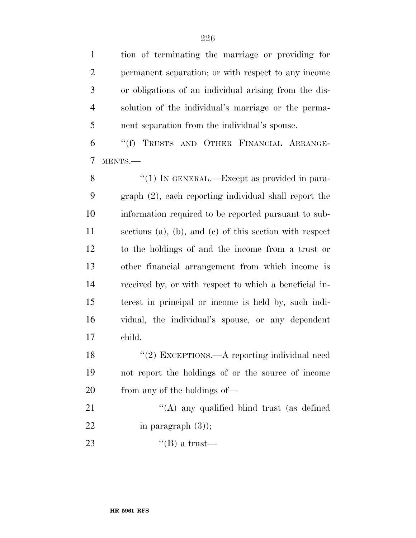tion of terminating the marriage or providing for permanent separation; or with respect to any income or obligations of an individual arising from the dis- solution of the individual's marriage or the perma-nent separation from the individual's spouse.

 ''(f) TRUSTS AND OTHER FINANCIAL ARRANGE-MENTS.—

8 "(1) IN GENERAL.—Except as provided in para- graph (2), each reporting individual shall report the information required to be reported pursuant to sub- sections (a), (b), and (c) of this section with respect to the holdings of and the income from a trust or other financial arrangement from which income is received by, or with respect to which a beneficial in- terest in principal or income is held by, such indi- vidual, the individual's spouse, or any dependent child.

18 "(2) EXCEPTIONS.—A reporting individual need not report the holdings of or the source of income from any of the holdings of—

21 "(A) any qualified blind trust (as defined 22 in paragraph  $(3)$ ;

23  $\text{``(B) a trust}$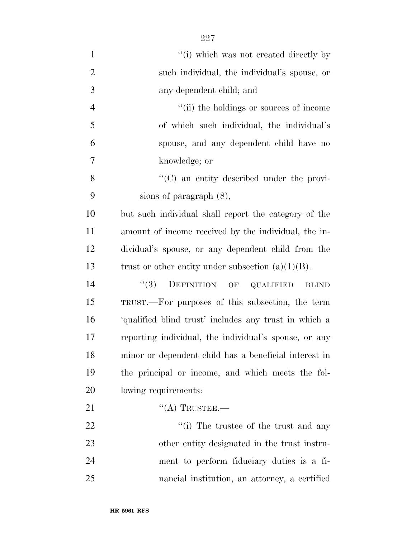| $\mathbf{1}$   | "(i) which was not created directly by                |
|----------------|-------------------------------------------------------|
| $\overline{2}$ | such individual, the individual's spouse, or          |
| 3              | any dependent child; and                              |
| $\overline{4}$ | "(ii) the holdings or sources of income               |
| 5              | of which such individual, the individual's            |
| 6              | spouse, and any dependent child have no               |
| 7              | knowledge; or                                         |
| 8              | $\lq\lq$ (C) an entity described under the provi-     |
| 9              | sions of paragraph $(8)$ ,                            |
| 10             | but such individual shall report the category of the  |
| 11             | amount of income received by the individual, the in-  |
| 12             | dividual's spouse, or any dependent child from the    |
| 13             | trust or other entity under subsection $(a)(1)(B)$ .  |
| 14             | DEFINITION OF QUALIFIED<br>(3)<br><b>BLIND</b>        |
| 15             | TRUST.—For purposes of this subsection, the term      |
| 16             | 'qualified blind trust' includes any trust in which a |
| 17             | reporting individual, the individual's spouse, or any |
| 18             | minor or dependent child has a beneficial interest in |
| 19             | the principal or income, and which meets the fol-     |
| 20             | lowing requirements:                                  |
| 21             | $\lq\lq$ Trustee.—                                    |
| 22             | $\lq\lq$ (i) The trustee of the trust and any         |
| 23             | other entity designated in the trust instru-          |
| 24             | ment to perform fiduciary duties is a fi-             |
| 25             | nancial institution, an attorney, a certified         |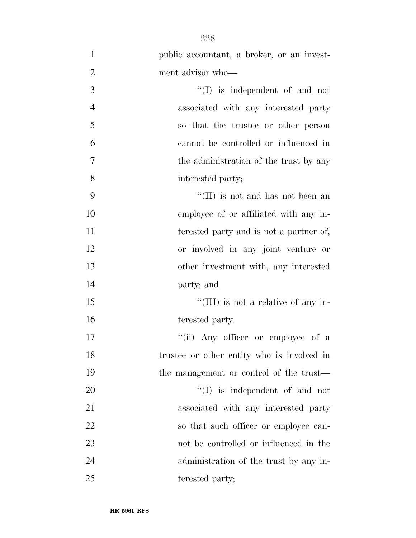| $\mathbf{1}$   | public accountant, a broker, or an invest- |
|----------------|--------------------------------------------|
| $\overline{2}$ | ment advisor who-                          |
| 3              | $\lq\lq$ is independent of and not         |
| $\overline{4}$ | associated with any interested party       |
| 5              | so that the trustee or other person        |
| 6              | cannot be controlled or influenced in      |
| 7              | the administration of the trust by any     |
| 8              | interested party;                          |
| 9              | "(II) is not and has not been an           |
| 10             | employee of or affiliated with any in-     |
| 11             | terested party and is not a partner of,    |
| 12             | or involved in any joint venture or        |
| 13             | other investment with, any interested      |
| 14             | party; and                                 |
| 15             | "(III) is not a relative of any in-        |
| 16             | terested party.                            |
| 17             | "(ii) Any officer or employee of a         |
| 18             | trustee or other entity who is involved in |
| 19             | the management or control of the trust—    |
| 20             | $\lq\lq$ is independent of and not         |
| 21             | associated with any interested party       |
| 22             | so that such officer or employee can-      |
| 23             | not be controlled or influenced in the     |
| 24             | administration of the trust by any in-     |
| 25             | terested party;                            |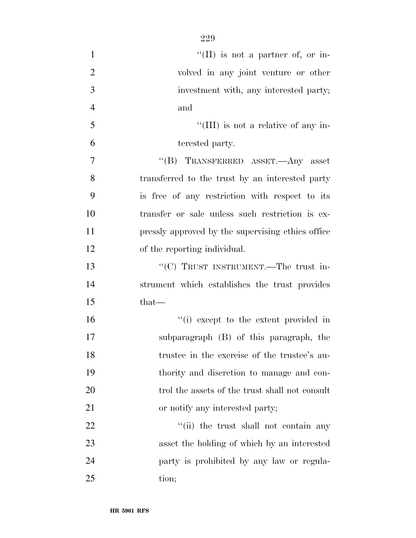| $\mathbf{1}$   | "(II) is not a partner of, or in-                 |
|----------------|---------------------------------------------------|
| $\overline{2}$ | volved in any joint venture or other              |
| 3              | investment with, any interested party;            |
| $\overline{4}$ | and                                               |
| 5              | "(III) is not a relative of any in-               |
| 6              | terested party.                                   |
| $\overline{7}$ | "(B) TRANSFERRED ASSET.—Any asset                 |
| 8              | transferred to the trust by an interested party   |
| 9              | is free of any restriction with respect to its    |
| 10             | transfer or sale unless such restriction is ex-   |
| 11             | pressly approved by the supervising ethics office |
| 12             | of the reporting individual.                      |
| 13             | "(C) TRUST INSTRUMENT.—The trust in-              |
| 14             | strument which establishes the trust provides     |
| 15             | $that-$                                           |
| 16             | "(i) except to the extent provided in             |
| 17             | subparagraph (B) of this paragraph, the           |
| 18             | trustee in the exercise of the trustee's au-      |
| 19             | thority and discretion to manage and con-         |
| 20             | trol the assets of the trust shall not consult    |
| 21             | or notify any interested party;                   |
| 22             | "(ii) the trust shall not contain any             |
| 23             | asset the holding of which by an interested       |
| 24             | party is prohibited by any law or regula-         |
| 25             | tion;                                             |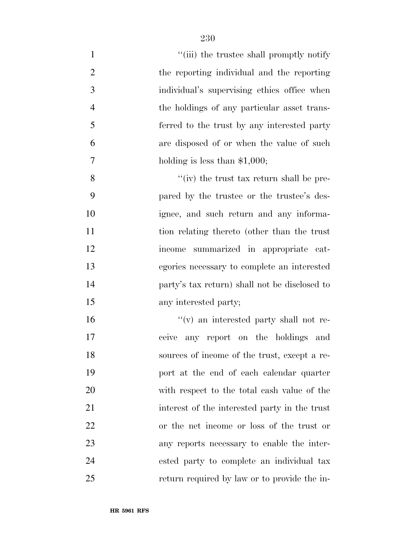| $\mathbf{1}$   | "(iii) the trustee shall promptly notify      |
|----------------|-----------------------------------------------|
| $\overline{c}$ | the reporting individual and the reporting    |
| 3              | individual's supervising ethics office when   |
| $\overline{4}$ | the holdings of any particular asset trans-   |
| 5              | ferred to the trust by any interested party   |
| 6              | are disposed of or when the value of such     |
| 7              | holding is less than $$1,000;$                |
| 8              | $f'(iv)$ the trust tax return shall be pre-   |
| 9              | pared by the trustee or the trustee's des-    |
| 10             | ignee, and such return and any informa-       |
| 11             | tion relating thereto (other than the trust   |
| 12             | summarized in appropriate cat-<br>income      |
| 13             | egories necessary to complete an interested   |
| 14             | party's tax return) shall not be disclosed to |
| 15             | any interested party;                         |
| 16             | "(v) an interested party shall not re-        |
| 17             | any report on the holdings<br>ceive<br>and    |
| 18             | sources of income of the trust, except a re-  |
| 19             | port at the end of each calendar quarter      |
| 20             | with respect to the total cash value of the   |
| 21             | interest of the interested party in the trust |
| 22             | or the net income or loss of the trust or     |
| 23             | any reports necessary to enable the inter-    |
| 24             | ested party to complete an individual tax     |
| 25             | return required by law or to provide the in-  |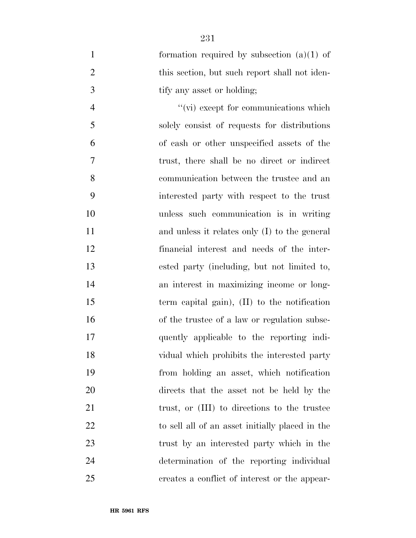1 formation required by subsection (a)(1) of 2 this section, but such report shall not iden-3 tify any asset or holding;

 ''(vi) except for communications which solely consist of requests for distributions of cash or other unspecified assets of the trust, there shall be no direct or indirect communication between the trustee and an interested party with respect to the trust unless such communication is in writing 11 and unless it relates only (I) to the general financial interest and needs of the inter- ested party (including, but not limited to, an interest in maximizing income or long- term capital gain), (II) to the notification of the trustee of a law or regulation subse- quently applicable to the reporting indi- vidual which prohibits the interested party from holding an asset, which notification directs that the asset not be held by the 21 trust, or (III) to directions to the trustee to sell all of an asset initially placed in the trust by an interested party which in the determination of the reporting individual creates a conflict of interest or the appear-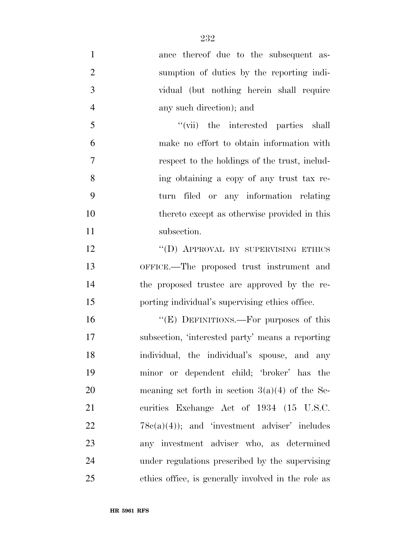ance thereof due to the subsequent as- sumption of duties by the reporting indi- vidual (but nothing herein shall require any such direction); and ''(vii) the interested parties shall make no effort to obtain information with respect to the holdings of the trust, includ- ing obtaining a copy of any trust tax re- turn filed or any information relating thereto except as otherwise provided in this 11 subsection. 12 "(D) APPROVAL BY SUPERVISING ETHICS OFFICE.—The proposed trust instrument and the proposed trustee are approved by the re- porting individual's supervising ethics office. 16 "(E) DEFINITIONS.—For purposes of this subsection, 'interested party' means a reporting individual, the individual's spouse, and any minor or dependent child; 'broker' has the meaning set forth in section 3(a)(4) of the Se-21 curities Exchange Act of 1934 (15 U.S.C.

 $22 \t 78c(a)(4)$ ; and 'investment adviser' includes any investment adviser who, as determined under regulations prescribed by the supervising ethics office, is generally involved in the role as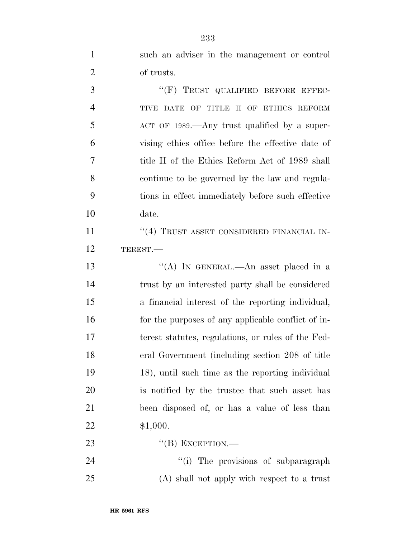such an adviser in the management or control of trusts.

3 "(F) TRUST QUALIFIED BEFORE EFFEC- TIVE DATE OF TITLE II OF ETHICS REFORM 5 ACT OF 1989.—Any trust qualified by a super- vising ethics office before the effective date of title II of the Ethics Reform Act of 1989 shall continue to be governed by the law and regula- tions in effect immediately before such effective date. 11 ''(4) TRUST ASSET CONSIDERED FINANCIAL IN-TEREST.—

 ''(A) IN GENERAL.—An asset placed in a trust by an interested party shall be considered a financial interest of the reporting individual, for the purposes of any applicable conflict of in- terest statutes, regulations, or rules of the Fed- eral Government (including section 208 of title 18), until such time as the reporting individual is notified by the trustee that such asset has been disposed of, or has a value of less than \$1,000.

''(B) EXCEPTION.—

24  $(i)$  The provisions of subparagraph (A) shall not apply with respect to a trust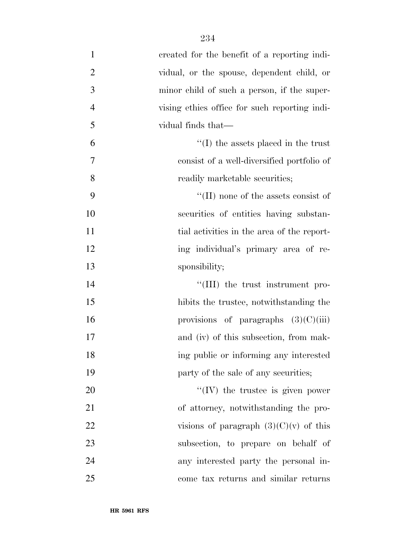| $\mathbf{1}$   | created for the benefit of a reporting indi-  |
|----------------|-----------------------------------------------|
| $\overline{2}$ | vidual, or the spouse, dependent child, or    |
| 3              | minor child of such a person, if the super-   |
| $\overline{4}$ | vising ethics office for such reporting indi- |
| 5              | vidual finds that—                            |
| 6              | $\lq\lq$ (I) the assets placed in the trust   |
| $\tau$         | consist of a well-diversified portfolio of    |
| 8              | readily marketable securities;                |
| 9              | $\lq\lq$ (II) none of the assets consist of   |
| 10             | securities of entities having substan-        |
| 11             | tial activities in the area of the report-    |
| 12             | ing individual's primary area of re-          |
| 13             | sponsibility;                                 |
| 14             | $\lq\lq$ (III) the trust instrument pro-      |
| 15             | hibits the trustee, notwithstanding the       |
| 16             | provisions of paragraphs $(3)(C)(iii)$        |
| 17             | and (iv) of this subsection, from mak-        |
| 18             | ing public or informing any interested        |
| 19             | party of the sale of any securities;          |
| 20             | $\lq\lq (IV)$ the trustee is given power      |
| 21             | of attorney, notwithstanding the pro-         |
| 22             | visions of paragraph $(3)(C)(v)$ of this      |
| 23             | subsection, to prepare on behalf of           |
| 24             | any interested party the personal in-         |
| 25             | come tax returns and similar returns          |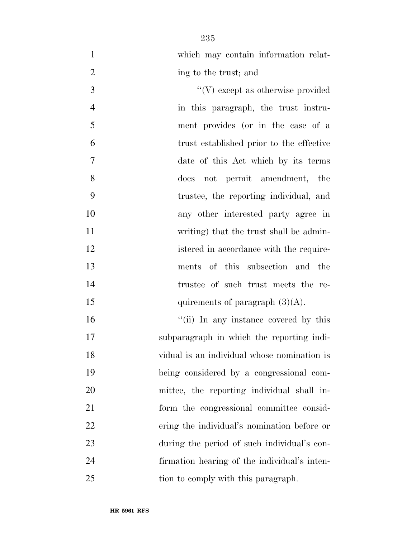which may contain information relat-2 ing to the trust; and 3  $\mathcal{C}(V)$  except as otherwise provided

 in this paragraph, the trust instru- ment provides (or in the case of a trust established prior to the effective date of this Act which by its terms does not permit amendment, the trustee, the reporting individual, and any other interested party agree in writing) that the trust shall be admin-12 istered in accordance with the require- ments of this subsection and the trustee of such trust meets the re-15 quirements of paragraph  $(3)(A)$ .

 $\frac{1}{10}$  In any instance covered by this subparagraph in which the reporting indi- vidual is an individual whose nomination is being considered by a congressional com- mittee, the reporting individual shall in- form the congressional committee consid- ering the individual's nomination before or during the period of such individual's con- firmation hearing of the individual's inten-25 tion to comply with this paragraph.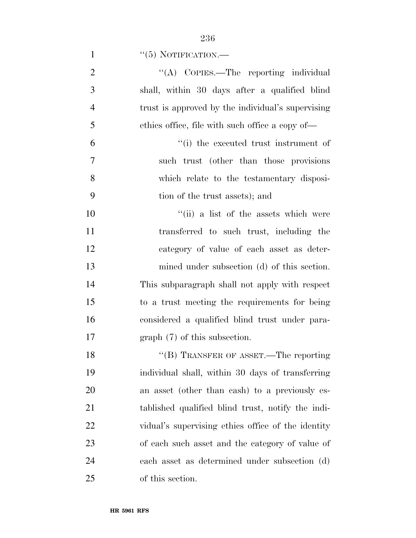1  $``(5)$  NOTIFICATION.—

| $\overline{2}$ | "(A) COPIES.—The reporting individual              |
|----------------|----------------------------------------------------|
| 3              | shall, within 30 days after a qualified blind      |
| $\overline{4}$ | trust is approved by the individual's supervising  |
| 5              | ethics office, file with such office a copy of—    |
| 6              | "(i) the executed trust instrument of              |
| 7              | such trust (other than those provisions)           |
| 8              | which relate to the testamentary disposi-          |
| 9              | tion of the trust assets); and                     |
| 10             | "(ii) a list of the assets which were              |
| 11             | transferred to such trust, including the           |
| 12             | category of value of each asset as deter-          |
| 13             | mined under subsection (d) of this section.        |
| 14             | This subparagraph shall not apply with respect     |
| 15             | to a trust meeting the requirements for being      |
| 16             | considered a qualified blind trust under para-     |
| 17             | $graph(7)$ of this subsection.                     |
| 18             | $\lq\lq (B)$ TRANSFER OF ASSET.—The reporting      |
| 19             | individual shall, within 30 days of transferring   |
| 20             | an asset (other than cash) to a previously es-     |
| 21             | tablished qualified blind trust, notify the indi-  |
| 22             | vidual's supervising ethics office of the identity |
| 23             | of each such asset and the category of value of    |
| 24             | each asset as determined under subsection (d)      |
| 25             | of this section.                                   |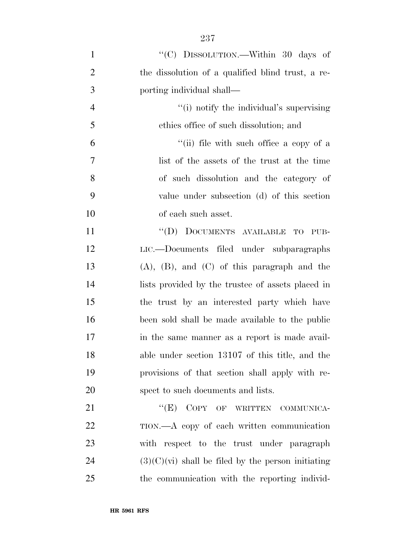| $\mathbf{1}$   | "(C) DISSOLUTION.—Within 30 days of                  |
|----------------|------------------------------------------------------|
| $\overline{2}$ | the dissolution of a qualified blind trust, a re-    |
| 3              | porting individual shall—                            |
| $\overline{4}$ | "(i) notify the individual's supervising             |
| 5              | ethics office of such dissolution; and               |
| 6              | "(ii) file with such office a copy of a              |
| 7              | list of the assets of the trust at the time          |
| 8              | of such dissolution and the category of              |
| 9              | value under subsection (d) of this section           |
| 10             | of each such asset.                                  |
| 11             | "(D) DOCUMENTS AVAILABLE<br>$_{\rm TO}$<br>PUB-      |
| 12             | LIC.—Documents filed under subparagraphs             |
| 13             | $(A)$ , $(B)$ , and $(C)$ of this paragraph and the  |
| 14             | lists provided by the trustee of assets placed in    |
| 15             | the trust by an interested party which have          |
| 16             | been sold shall be made available to the public      |
| 17             | in the same manner as a report is made avail-        |
| 18             | able under section 13107 of this title, and the      |
| 19             | provisions of that section shall apply with re-      |
| 20             | spect to such documents and lists.                   |
| 21             | "(E) COPY OF WRITTEN COMMUNICA-                      |
| 22             | TION.—A copy of each written communication           |
| 23             | with respect to the trust under paragraph            |
| 24             | $(3)(C)(vi)$ shall be filed by the person initiating |
| 25             | the communication with the reporting individ-        |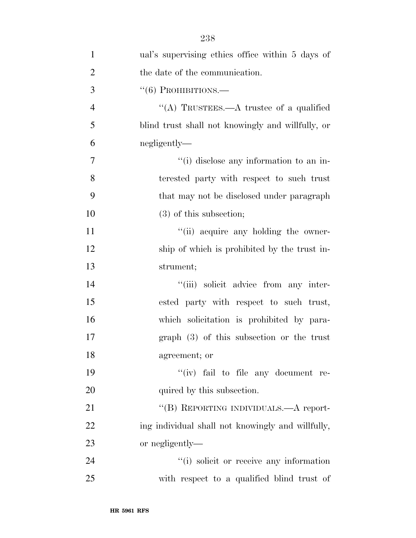| $\mathbf{1}$   | ual's supervising ethics office within 5 days of  |
|----------------|---------------------------------------------------|
| $\overline{2}$ | the date of the communication.                    |
| 3              | $``(6)$ PROHIBITIONS.—                            |
| $\overline{4}$ | "(A) TRUSTEES.—A trustee of a qualified           |
| 5              | blind trust shall not knowingly and willfully, or |
| 6              | negligently—                                      |
| 7              | "(i) disclose any information to an in-           |
| 8              | terested party with respect to such trust         |
| 9              | that may not be disclosed under paragraph         |
| 10             | $(3)$ of this subsection;                         |
| 11             | "(ii) acquire any holding the owner-              |
| 12             | ship of which is prohibited by the trust in-      |
| 13             | strument;                                         |
| 14             | "(iii) solicit advice from any inter-             |
| 15             | ested party with respect to such trust,           |
| 16             | which solicitation is prohibited by para-         |
| 17             | $graph$ (3) of this subsection or the trust       |
| 18             | agreement; or                                     |
| 19             | "(iv) fail to file any document re-               |
| 20             | quired by this subsection.                        |
| 21             | "(B) REPORTING INDIVIDUALS.—A report-             |
| 22             | ing individual shall not knowingly and willfully, |
| 23             | or negligently—                                   |
| 24             | "(i) solicit or receive any information           |
| 25             | with respect to a qualified blind trust of        |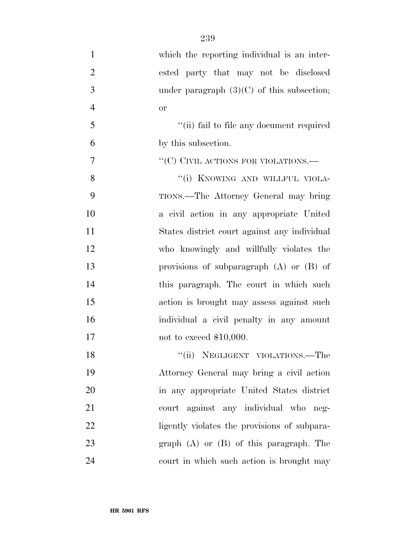| $\mathbf{1}$   | which the reporting individual is an inter-  |
|----------------|----------------------------------------------|
| $\overline{2}$ | ested party that may not be disclosed        |
| 3              | under paragraph $(3)(C)$ of this subsection; |
| $\overline{4}$ | <b>or</b>                                    |
| 5              | "(ii) fail to file any document required     |
| 6              | by this subsection.                          |
| $\overline{7}$ | "(C) CIVIL ACTIONS FOR VIOLATIONS.—          |
| 8              | "(i) KNOWING AND WILLFUL VIOLA-              |
| 9              | TIONS.—The Attorney General may bring        |
| 10             | a civil action in any appropriate United     |
| 11             | States district court against any individual |
| 12             | who knowingly and willfully violates the     |
| 13             | provisions of subparagraph $(A)$ or $(B)$ of |
| 14             | this paragraph. The court in which such      |
| 15             | action is brought may assess against such    |
| 16             | individual a civil penalty in any amount     |
| 17             | not to exceed $$10,000$ .                    |
| 18             | "(ii) NEGLIGENT VIOLATIONS.—The              |
| 19             | Attorney General may bring a civil action    |
| 20             | in any appropriate United States district    |
| 21             | court against any individual who neg-        |
| 22             | ligently violates the provisions of subpara- |
| 23             | $graph(A)$ or $(B)$ of this paragraph. The   |
| 24             | court in which such action is brought may    |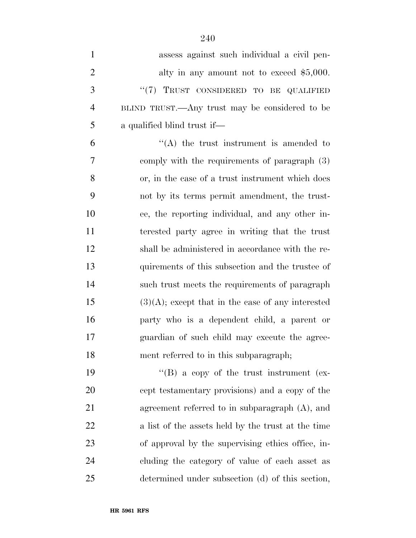| $\mathbf{1}$   | assess against such individual a civil pen-          |
|----------------|------------------------------------------------------|
| $\overline{2}$ | alty in any amount not to exceed $$5,000$ .          |
| 3              | "(7) TRUST CONSIDERED TO BE QUALIFIED                |
| 4              | BLIND TRUST.—Any trust may be considered to be       |
| 5              | a qualified blind trust if—                          |
| 6              | $\lq\lq$ the trust instrument is amended to          |
| 7              | comply with the requirements of paragraph (3)        |
| 8              | or, in the case of a trust instrument which does     |
| 9              | not by its terms permit amendment, the trust-        |
| 10             | ee, the reporting individual, and any other in-      |
| 11             | terested party agree in writing that the trust       |
| 12             | shall be administered in accordance with the re-     |
| 13             | quirements of this subsection and the trustee of     |
| 14             | such trust meets the requirements of paragraph       |
| 15             | $(3)(A)$ ; except that in the case of any interested |
| 16             | party who is a dependent child, a parent or          |
| 17             | guardian of such child may execute the agree-        |
| 18             | ment referred to in this subparagraph;               |
| 19             | $\lq\lq (B)$ a copy of the trust instrument (ex-     |
| 20             | cept testamentary provisions) and a copy of the      |
| 21             | agreement referred to in subparagraph $(A)$ , and    |
| 22             | a list of the assets held by the trust at the time   |
| 23             | of approval by the supervising ethics office, in-    |
| 24             | cluding the category of value of each asset as       |
| 25             | determined under subsection (d) of this section,     |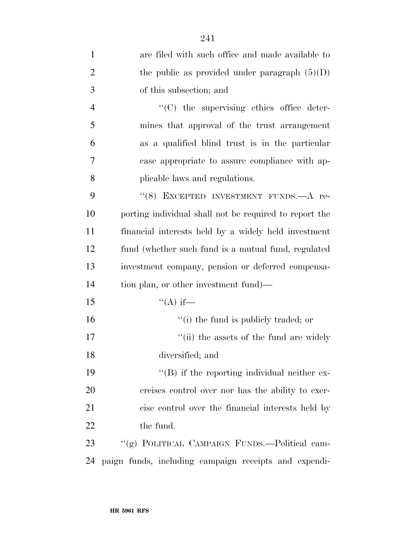| $\mathbf{1}$   | are filed with such office and made available to       |
|----------------|--------------------------------------------------------|
| $\overline{2}$ | the public as provided under paragraph $(5)(D)$        |
| 3              | of this subsection; and                                |
| $\overline{4}$ | $\cdot$ (C) the supervising ethics office deter-       |
| 5              | mines that approval of the trust arrangement           |
| 6              | as a qualified blind trust is in the particular        |
| 7              | case appropriate to assure compliance with ap-         |
| 8              | plicable laws and regulations.                         |
| 9              | "(8) EXCEPTED INVESTMENT FUNDS.—A re-                  |
| 10             | porting individual shall not be required to report the |
| 11             | financial interests held by a widely held investment   |
| 12             | fund (whether such fund is a mutual fund, regulated    |
| 13             | investment company, pension or deferred compensa-      |
| 14             | tion plan, or other investment fund)—                  |
| 15             | $\lq (A)$ if—                                          |
| 16             | "(i) the fund is publicly traded; or                   |
| 17             | "(ii) the assets of the fund are widely                |
| 18             | diversified; and                                       |
| 19             | $\lq\lq$ ) if the reporting individual neither ex-     |
| 20             | ercises control over nor has the ability to exer-      |
| 21             | cise control over the financial interests held by      |
| 22             | the fund.                                              |
| 23             | "(g) POLITICAL CAMPAIGN FUNDS.—Political cam-          |
| 24             | paign funds, including campaign receipts and expendi-  |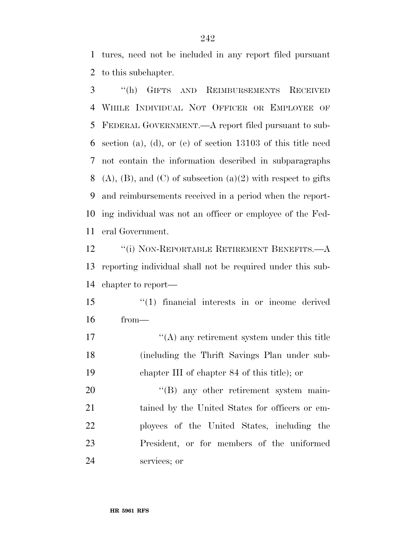tures, need not be included in any report filed pursuant to this subchapter.

 ''(h) GIFTS AND REIMBURSEMENTS RECEIVED WHILE INDIVIDUAL NOT OFFICER OR EMPLOYEE OF FEDERAL GOVERNMENT.—A report filed pursuant to sub- section (a), (d), or (e) of section 13103 of this title need not contain the information described in subparagraphs 8 (A), (B), and (C) of subsection (a)(2) with respect to gifts and reimbursements received in a period when the report- ing individual was not an officer or employee of the Fed-eral Government.

12 "(i) NON-REPORTABLE RETIREMENT BENEFITS.—A reporting individual shall not be required under this sub-chapter to report—

 ''(1) financial interests in or income derived from—

17 ''(A) any retirement system under this title (including the Thrift Savings Plan under sub-chapter III of chapter 84 of this title); or

20 "(B) any other retirement system main- tained by the United States for officers or em- ployees of the United States, including the President, or for members of the uniformed services; or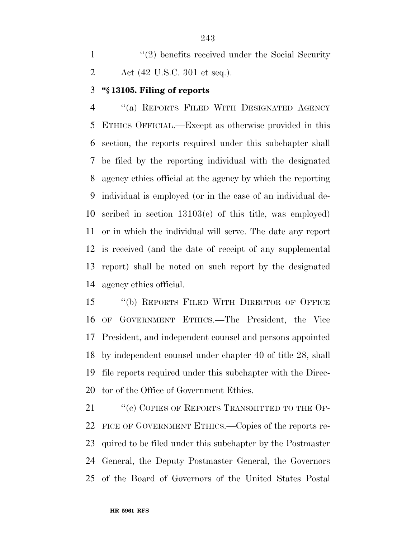1 ''(2) benefits received under the Social Security Act (42 U.S.C. 301 et seq.).

## **''§ 13105. Filing of reports**

 ''(a) REPORTS FILED WITH DESIGNATED AGENCY ETHICS OFFICIAL.—Except as otherwise provided in this section, the reports required under this subchapter shall be filed by the reporting individual with the designated agency ethics official at the agency by which the reporting individual is employed (or in the case of an individual de- scribed in section 13103(e) of this title, was employed) or in which the individual will serve. The date any report is received (and the date of receipt of any supplemental report) shall be noted on such report by the designated agency ethics official.

 ''(b) REPORTS FILED WITH DIRECTOR OF OFFICE OF GOVERNMENT ETHICS.—The President, the Vice President, and independent counsel and persons appointed by independent counsel under chapter 40 of title 28, shall file reports required under this subchapter with the Direc-tor of the Office of Government Ethics.

21 "(c) COPIES OF REPORTS TRANSMITTED TO THE OF- FICE OF GOVERNMENT ETHICS.—Copies of the reports re- quired to be filed under this subchapter by the Postmaster General, the Deputy Postmaster General, the Governors of the Board of Governors of the United States Postal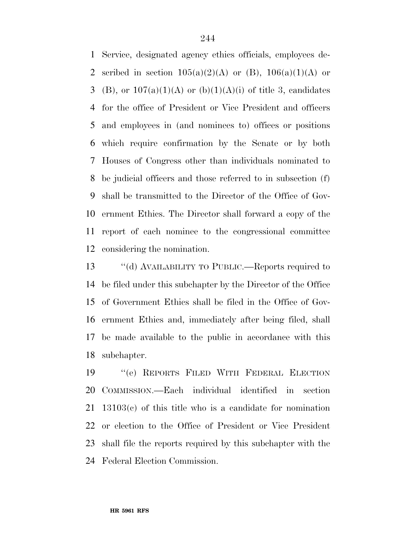Service, designated agency ethics officials, employees de-2 scribed in section  $105(a)(2)(A)$  or (B),  $106(a)(1)(A)$  or 3 (B), or  $107(a)(1)(A)$  or  $(b)(1)(A)(i)$  of title 3, candidates for the office of President or Vice President and officers and employees in (and nominees to) offices or positions which require confirmation by the Senate or by both Houses of Congress other than individuals nominated to be judicial officers and those referred to in subsection (f) shall be transmitted to the Director of the Office of Gov- ernment Ethics. The Director shall forward a copy of the report of each nominee to the congressional committee considering the nomination.

 ''(d) AVAILABILITY TO PUBLIC.—Reports required to be filed under this subchapter by the Director of the Office of Government Ethics shall be filed in the Office of Gov- ernment Ethics and, immediately after being filed, shall be made available to the public in accordance with this subchapter.

 ''(e) REPORTS FILED WITH FEDERAL ELECTION COMMISSION.—Each individual identified in section 13103(c) of this title who is a candidate for nomination or election to the Office of President or Vice President shall file the reports required by this subchapter with the Federal Election Commission.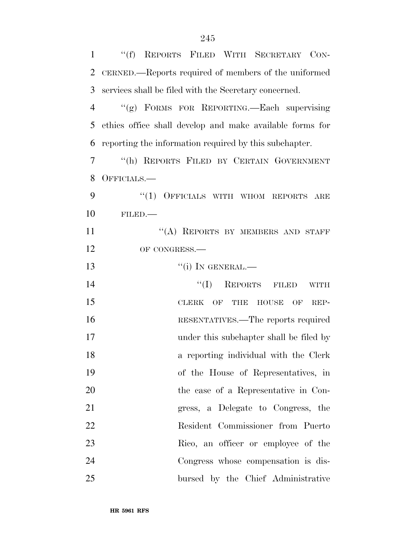| $\mathbf{1}$   | "(f) REPORTS FILED WITH SECRETARY CON-                                                          |
|----------------|-------------------------------------------------------------------------------------------------|
| $\overline{2}$ | CERNED.—Reports required of members of the uniformed                                            |
| 3              | services shall be filed with the Secretary concerned.                                           |
| 4              | "(g) FORMS FOR REPORTING.—Each supervising                                                      |
| 5              | ethics office shall develop and make available forms for                                        |
| 6              | reporting the information required by this subchapter.                                          |
| 7              | "(h) REPORTS FILED BY CERTAIN GOVERNMENT                                                        |
| 8              | OFFICIALS.—                                                                                     |
| 9              | OFFICIALS WITH WHOM REPORTS<br>``(1)<br>ARE                                                     |
| 10             | FILED.                                                                                          |
| 11             | "(A) REPORTS BY MEMBERS AND STAFF                                                               |
| 12             | OF CONGRESS.                                                                                    |
| 13             | $``(i)$ In GENERAL.—                                                                            |
| 14             | ``(I)<br>REPORTS FILED<br><b>WITH</b>                                                           |
| 15             | $\overline{\text{OF}}$<br><b>HOUSE</b><br>$\overline{\text{OF}}$<br><b>CLERK</b><br>THE<br>REP- |
| 16             | RESENTATIVES.—The reports required                                                              |
| 17             | under this subchapter shall be filed by                                                         |
| 18             | a reporting individual with the Clerk                                                           |
| 19             | of the House of Representatives, in                                                             |
| 20             | the case of a Representative in Con-                                                            |
| 21             | gress, a Delegate to Congress, the                                                              |
| 22             | Resident Commissioner from Puerto                                                               |
| 23             | Rico, an officer or employee of the                                                             |
| 24             | Congress whose compensation is dis-                                                             |
| 25             | bursed by the Chief Administrative                                                              |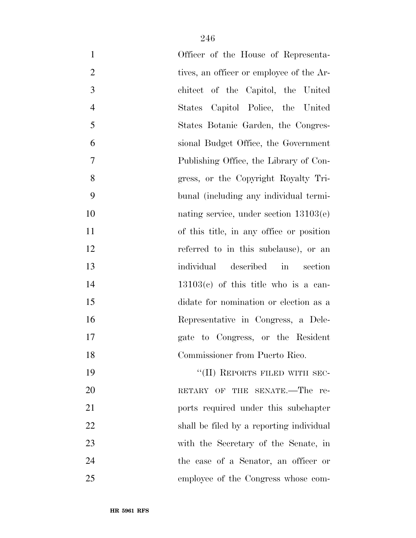| $\mathbf{1}$   | Officer of the House of Representa-      |
|----------------|------------------------------------------|
| $\overline{2}$ | tives, an officer or employee of the Ar- |
| 3              | chitect of the Capitol, the United       |
| $\overline{4}$ | States Capitol Police, the United        |
| 5              | States Botanic Garden, the Congres-      |
| 6              | sional Budget Office, the Government     |
| 7              | Publishing Office, the Library of Con-   |
| 8              | gress, or the Copyright Royalty Tri-     |
| 9              | bunal (including any individual termi-   |
| 10             | nating service, under section $13103(e)$ |
| 11             | of this title, in any office or position |
| 12             | referred to in this subclause), or an    |
| 13             | individual<br>described in<br>section    |
| 14             | $13103(c)$ of this title who is a can-   |
| 15             | didate for nomination or election as a   |
| 16             | Representative in Congress, a Dele-      |
| 17             | gate to Congress, or the Resident        |
| 18             | Commissioner from Puerto Rico.           |
| 19             | "(II) REPORTS FILED WITH SEC-            |
| 20             | RETARY OF THE SENATE.-The re-            |
| 21             | ports required under this subchapter     |
| 22             | shall be filed by a reporting individual |
| 23             | with the Secretary of the Senate, in     |
| 24             | the case of a Senator, an officer or     |
| 25             | employee of the Congress whose com-      |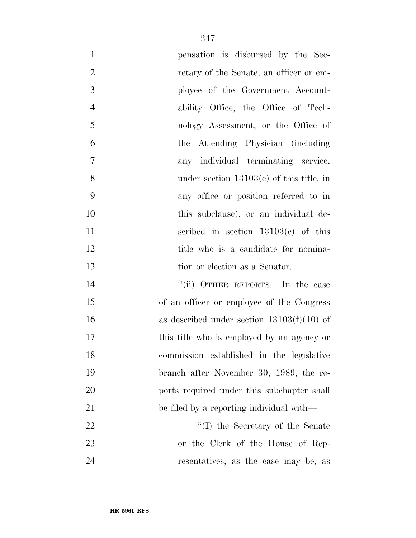| $\mathbf{1}$   | pensation is disbursed by the Sec-           |
|----------------|----------------------------------------------|
| $\overline{2}$ | retary of the Senate, an officer or em-      |
| 3              | ployee of the Government Account-            |
| $\overline{4}$ | ability Office, the Office of Tech-          |
| 5              | nology Assessment, or the Office of          |
| 6              | the Attending Physician (including)          |
| $\overline{7}$ | any individual terminating service,          |
| 8              | under section $13103(e)$ of this title, in   |
| 9              | any office or position referred to in        |
| 10             | this subclause), or an individual de-        |
| 11             | scribed in section $13103(c)$ of this        |
| 12             | title who is a candidate for nomina-         |
| 13             | tion or election as a Senator.               |
| 14             | "(ii) OTHER REPORTS.—In the case             |
| 15             | of an officer or employee of the Congress    |
| 16             | as described under section $13103(f)(10)$ of |
| 17             | this title who is employed by an agency or   |
| 18             | commission established in the legislative    |
| 19             | branch after November 30, 1989, the re-      |
| 20             | ports required under this subchapter shall   |
| 21             | be filed by a reporting individual with—     |
| 22             | "(I) the Secretary of the Senate             |
| 23             | or the Clerk of the House of Rep-            |
| 24             | resentatives, as the case may be, as         |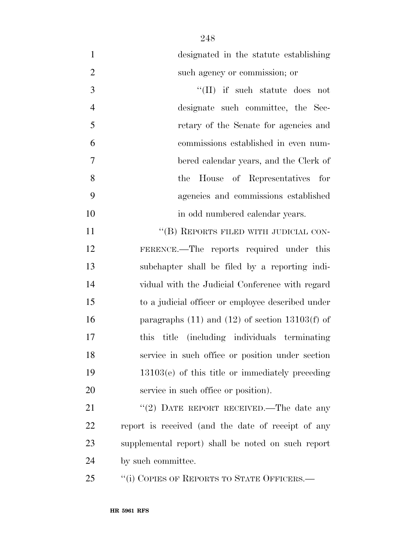| $\mathbf{1}$   | designated in the statute establishing                |
|----------------|-------------------------------------------------------|
| $\overline{2}$ | such agency or commission; or                         |
| 3              | "(II) if such statute does not                        |
| $\overline{4}$ | designate such committee, the Sec-                    |
| 5              | retary of the Senate for agencies and                 |
| 6              | commissions established in even num-                  |
| 7              | bered calendar years, and the Clerk of                |
| 8              | House of Representatives for<br>the                   |
| 9              | agencies and commissions established                  |
| 10             | in odd numbered calendar years.                       |
| 11             | "(B) REPORTS FILED WITH JUDICIAL CON-                 |
| 12             | FERENCE.—The reports required under this              |
| 13             | subchapter shall be filed by a reporting indi-        |
| 14             | vidual with the Judicial Conference with regard       |
| 15             | to a judicial officer or employee described under     |
| 16             | paragraphs $(11)$ and $(12)$ of section $13103(f)$ of |
| 17             | title (including individuals terminating<br>this      |
| 18             | service in such office or position under section      |
| 19             | $13103(e)$ of this title or immediately preceding     |
| 20             | service in such office or position).                  |
| 21             | "(2) DATE REPORT RECEIVED.—The date any               |
| 22             | report is received (and the date of receipt of any    |
| 23             | supplemental report) shall be noted on such report    |
| 24             | by such committee.                                    |
| 25             | "(i) COPIES OF REPORTS TO STATE OFFICERS.—            |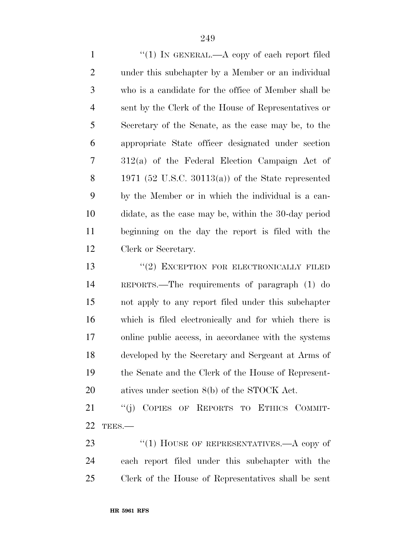1 "(1) IN GENERAL.—A copy of each report filed under this subchapter by a Member or an individual who is a candidate for the office of Member shall be sent by the Clerk of the House of Representatives or Secretary of the Senate, as the case may be, to the appropriate State officer designated under section 312(a) of the Federal Election Campaign Act of 1971 (52 U.S.C. 30113(a)) of the State represented by the Member or in which the individual is a can- didate, as the case may be, within the 30-day period beginning on the day the report is filed with the Clerk or Secretary.

13 "(2) EXCEPTION FOR ELECTRONICALLY FILED REPORTS.—The requirements of paragraph (1) do not apply to any report filed under this subchapter which is filed electronically and for which there is online public access, in accordance with the systems developed by the Secretary and Sergeant at Arms of the Senate and the Clerk of the House of Represent-atives under section 8(b) of the STOCK Act.

21 "(j) COPIES OF REPORTS TO ETHICS COMMIT-TEES.—

23 "(1) HOUSE OF REPRESENTATIVES.—A copy of each report filed under this subchapter with the Clerk of the House of Representatives shall be sent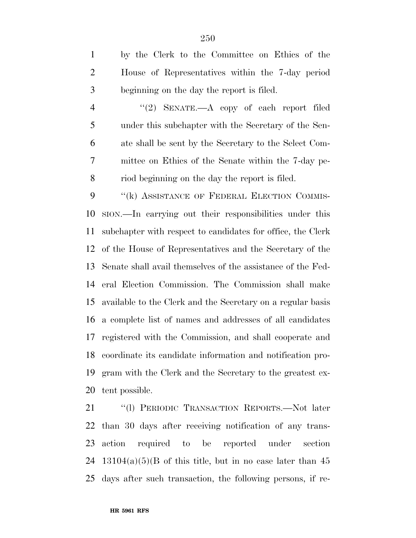by the Clerk to the Committee on Ethics of the House of Representatives within the 7-day period beginning on the day the report is filed.

4 "(2) SENATE.—A copy of each report filed under this subchapter with the Secretary of the Sen- ate shall be sent by the Secretary to the Select Com- mittee on Ethics of the Senate within the 7-day pe-riod beginning on the day the report is filed.

9 "(k) ASSISTANCE OF FEDERAL ELECTION COMMIS- SION.—In carrying out their responsibilities under this subchapter with respect to candidates for office, the Clerk of the House of Representatives and the Secretary of the Senate shall avail themselves of the assistance of the Fed- eral Election Commission. The Commission shall make available to the Clerk and the Secretary on a regular basis a complete list of names and addresses of all candidates registered with the Commission, and shall cooperate and coordinate its candidate information and notification pro- gram with the Clerk and the Secretary to the greatest ex-tent possible.

 ''(l) PERIODIC TRANSACTION REPORTS.—Not later than 30 days after receiving notification of any trans- action required to be reported under section 24 13104(a)(5)(B of this title, but in no case later than days after such transaction, the following persons, if re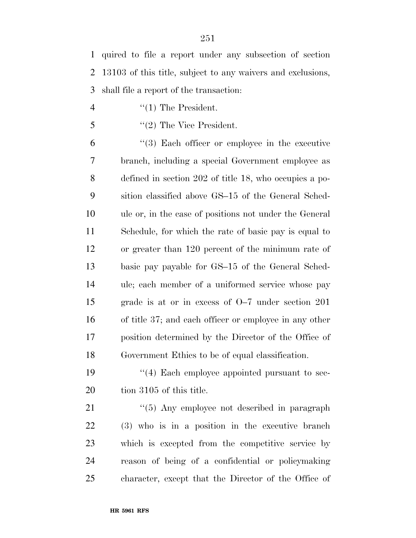quired to file a report under any subsection of section 13103 of this title, subject to any waivers and exclusions, shall file a report of the transaction:

- 4  $\frac{4}{1}$  The President.
- ''(2) The Vice President.

 ''(3) Each officer or employee in the executive branch, including a special Government employee as defined in section 202 of title 18, who occupies a po- sition classified above GS–15 of the General Sched- ule or, in the case of positions not under the General Schedule, for which the rate of basic pay is equal to or greater than 120 percent of the minimum rate of basic pay payable for GS–15 of the General Sched- ule; each member of a uniformed service whose pay grade is at or in excess of O–7 under section 201 of title 37; and each officer or employee in any other position determined by the Director of the Office of Government Ethics to be of equal classification.

19 ''(4) Each employee appointed pursuant to sec-20 tion 3105 of this title.

21 ''(5) Any employee not described in paragraph (3) who is in a position in the executive branch which is excepted from the competitive service by reason of being of a confidential or policymaking character, except that the Director of the Office of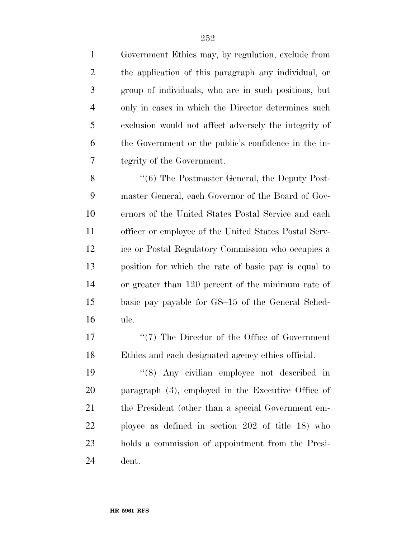Government Ethics may, by regulation, exclude from the application of this paragraph any individual, or group of individuals, who are in such positions, but only in cases in which the Director determines such exclusion would not affect adversely the integrity of the Government or the public's confidence in the in-tegrity of the Government.

8 "(6) The Postmaster General, the Deputy Post- master General, each Governor of the Board of Gov- ernors of the United States Postal Service and each officer or employee of the United States Postal Serv- ice or Postal Regulatory Commission who occupies a position for which the rate of basic pay is equal to or greater than 120 percent of the minimum rate of basic pay payable for GS–15 of the General Sched-ule.

17  $\frac{17}{2}$  The Director of the Office of Government Ethics and each designated agency ethics official.

 ''(8) Any civilian employee not described in paragraph (3), employed in the Executive Office of the President (other than a special Government em- ployee as defined in section 202 of title 18) who holds a commission of appointment from the Presi-dent.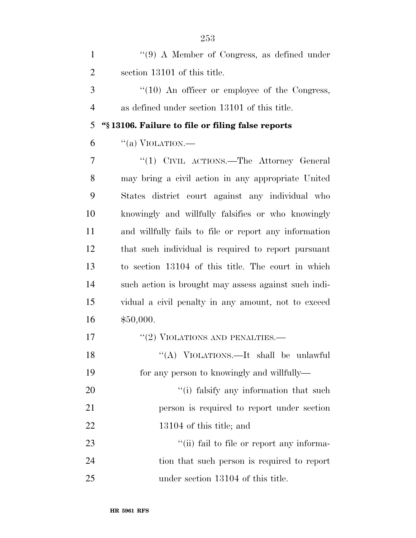| $\mathbf{1}$   | $\lq(9)$ A Member of Congress, as defined under       |
|----------------|-------------------------------------------------------|
| $\overline{2}$ | section 13101 of this title.                          |
| 3              | $\lq(10)$ An officer or employee of the Congress,     |
| $\overline{4}$ | as defined under section 13101 of this title.         |
| 5              | "§13106. Failure to file or filing false reports      |
| 6              | "(a) VIOLATION.—                                      |
| 7              | "(1) CIVIL ACTIONS.—The Attorney General              |
| 8              | may bring a civil action in any appropriate United    |
| 9              | States district court against any individual who      |
| 10             | knowingly and willfully falsifies or who knowingly    |
| 11             | and willfully fails to file or report any information |
| 12             | that such individual is required to report pursuant   |
| 13             | to section 13104 of this title. The court in which    |
| 14             | such action is brought may assess against such indi-  |
| 15             | vidual a civil penalty in any amount, not to exceed   |
| 16             | \$50,000.                                             |
| 17             | $``(2)$ VIOLATIONS AND PENALTIES.-                    |
| 18             | "(A) VIOLATIONS.—It shall be unlawful                 |
| 19             | for any person to knowingly and willfully—            |
| 20             | "(i) falsify any information that such                |
| 21             | person is required to report under section            |
| 22             | 13104 of this title; and                              |
| 23             | "(ii) fail to file or report any informa-             |
| 24             | tion that such person is required to report           |
| 25             | under section 13104 of this title.                    |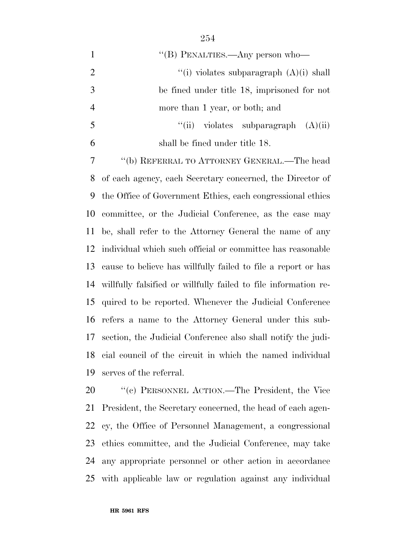1 ''(B) PENALTIES.—Any person who—  $\frac{1}{1}$  (i) violates subparagraph  $(A)(i)$  shall be fined under title 18, imprisoned for not more than 1 year, or both; and  $\qquad$  ''(ii) violates subparagraph  $(A)(ii)$  shall be fined under title 18. ''(b) REFERRAL TO ATTORNEY GENERAL.—The head of each agency, each Secretary concerned, the Director of the Office of Government Ethics, each congressional ethics committee, or the Judicial Conference, as the case may be, shall refer to the Attorney General the name of any individual which such official or committee has reasonable cause to believe has willfully failed to file a report or has willfully falsified or willfully failed to file information re- quired to be reported. Whenever the Judicial Conference refers a name to the Attorney General under this sub- section, the Judicial Conference also shall notify the judi-cial council of the circuit in which the named individual

 ''(c) PERSONNEL ACTION.—The President, the Vice President, the Secretary concerned, the head of each agen- cy, the Office of Personnel Management, a congressional ethics committee, and the Judicial Conference, may take any appropriate personnel or other action in accordance with applicable law or regulation against any individual

serves of the referral.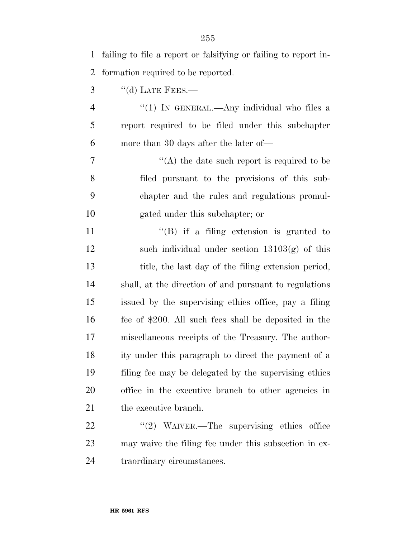| $\mathbf{1}$ | failing to file a report or falsifying or failing to report in- |
|--------------|-----------------------------------------------------------------|
| 2            | formation required to be reported.                              |
| 3            | $``$ (d) LATE FEES.—                                            |
| 4            | "(1) IN GENERAL.—Any individual who files a                     |
| 5            | report required to be filed under this subchapter               |
| 6            | more than 30 days after the later of—                           |
| 7            | $\lq\lq$ the date such report is required to be                 |
| 8            | filed pursuant to the provisions of this sub-                   |
| 9            | chapter and the rules and regulations promul-                   |
| 10           | gated under this subchapter; or                                 |
| 11           | $\lq\lq (B)$ if a filing extension is granted to                |
| 12           | such individual under section $13103(g)$ of this                |
| 13           | title, the last day of the filing extension period,             |
| 14           | shall, at the direction of and pursuant to regulations          |
| 15           | issued by the supervising ethics office, pay a filing           |
| 16           | fee of \$200. All such fees shall be deposited in the           |
| 17           | miscellaneous receipts of the Treasury. The author-             |
| 18           | ity under this paragraph to direct the payment of a             |
| 19           | filing fee may be delegated by the supervising ethics           |
| 20           | office in the executive branch to other agencies in             |
| 21           | the executive branch.                                           |
| 22           | " $(2)$ WAIVER.—The supervising ethics office                   |
| 23           | may waive the filing fee under this subsection in ex-           |
| 24           | traordinary circumstances.                                      |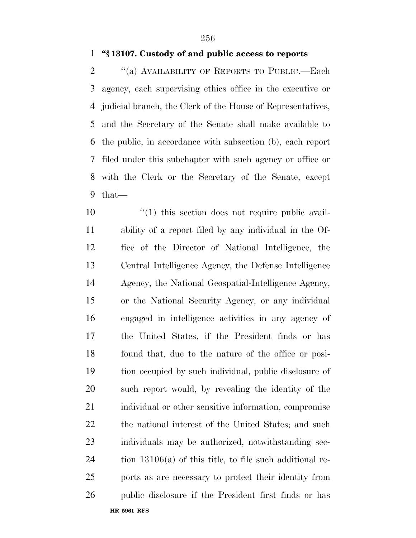### **''§ 13107. Custody of and public access to reports**

 ''(a) AVAILABILITY OF REPORTS TO PUBLIC.—Each agency, each supervising ethics office in the executive or judicial branch, the Clerk of the House of Representatives, and the Secretary of the Senate shall make available to the public, in accordance with subsection (b), each report filed under this subchapter with such agency or office or with the Clerk or the Secretary of the Senate, except that—

**HR 5961 RFS**  $\frac{1}{10}$  this section does not require public avail- ability of a report filed by any individual in the Of- fice of the Director of National Intelligence, the Central Intelligence Agency, the Defense Intelligence Agency, the National Geospatial-Intelligence Agency, or the National Security Agency, or any individual engaged in intelligence activities in any agency of the United States, if the President finds or has found that, due to the nature of the office or posi- tion occupied by such individual, public disclosure of such report would, by revealing the identity of the individual or other sensitive information, compromise 22 the national interest of the United States; and such individuals may be authorized, notwithstanding sec- tion 13106(a) of this title, to file such additional re- ports as are necessary to protect their identity from public disclosure if the President first finds or has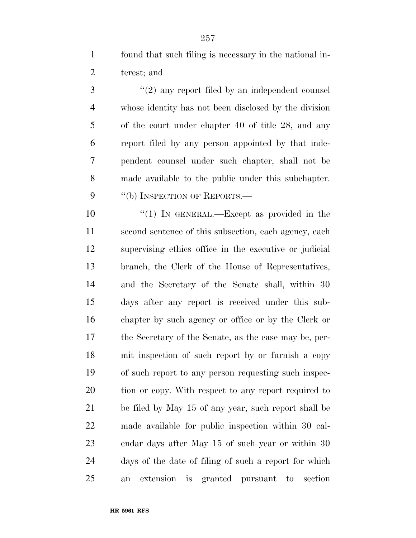found that such filing is necessary in the national in-terest; and

3 "(2) any report filed by an independent counsel whose identity has not been disclosed by the division of the court under chapter 40 of title 28, and any report filed by any person appointed by that inde- pendent counsel under such chapter, shall not be made available to the public under this subchapter. 9 "(b) INSPECTION OF REPORTS.—

 $\frac{10}{10}$  IN GENERAL.—Except as provided in the second sentence of this subsection, each agency, each supervising ethics office in the executive or judicial branch, the Clerk of the House of Representatives, and the Secretary of the Senate shall, within 30 days after any report is received under this sub- chapter by such agency or office or by the Clerk or the Secretary of the Senate, as the case may be, per- mit inspection of such report by or furnish a copy of such report to any person requesting such inspec-20 tion or copy. With respect to any report required to be filed by May 15 of any year, such report shall be made available for public inspection within 30 cal- endar days after May 15 of such year or within 30 days of the date of filing of such a report for which an extension is granted pursuant to section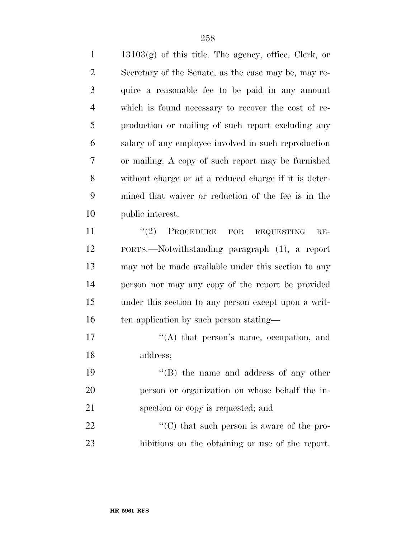13103(g) of this title. The agency, office, Clerk, or Secretary of the Senate, as the case may be, may re- quire a reasonable fee to be paid in any amount which is found necessary to recover the cost of re- production or mailing of such report excluding any salary of any employee involved in such reproduction or mailing. A copy of such report may be furnished without charge or at a reduced charge if it is deter- mined that waiver or reduction of the fee is in the public interest.

11 "(2) PROCEDURE FOR REQUESTING RE- PORTS.—Notwithstanding paragraph (1), a report may not be made available under this section to any person nor may any copy of the report be provided under this section to any person except upon a writ-16 ten application by such person stating—

17  $\langle (A)$  that person's name, occupation, and address;

19 ''(B) the name and address of any other person or organization on whose behalf the in-spection or copy is requested; and

22  $\langle ^{\prime}(C) \rangle$  that such person is aware of the pro-hibitions on the obtaining or use of the report.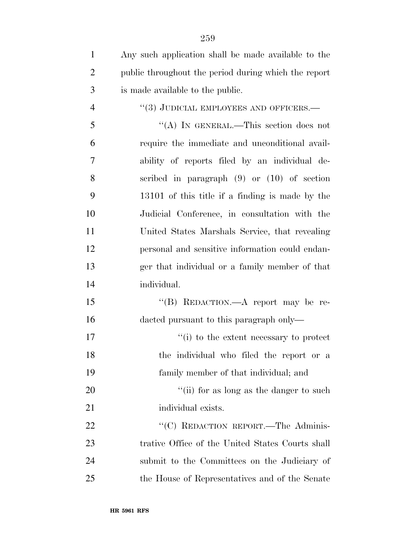| $\mathbf{1}$   | Any such application shall be made available to the  |
|----------------|------------------------------------------------------|
| $\overline{2}$ | public throughout the period during which the report |
| 3              | is made available to the public.                     |
| 4              | "(3) JUDICIAL EMPLOYEES AND OFFICERS.—               |
| 5              | "(A) IN GENERAL.—This section does not               |
| 6              | require the immediate and unconditional avail-       |
| 7              | ability of reports filed by an individual de-        |
| 8              | scribed in paragraph $(9)$ or $(10)$ of section      |
| 9              | 13101 of this title if a finding is made by the      |
| 10             | Judicial Conference, in consultation with the        |
| 11             | United States Marshals Service, that revealing       |
| 12             | personal and sensitive information could endan-      |
| 13             | ger that individual or a family member of that       |
| 14             | individual.                                          |
| 15             | "(B) REDACTION.—A report may be re-                  |
| 16             | dacted pursuant to this paragraph only—              |
| 17             | "(i) to the extent necessary to protect              |
| 18             | the individual who filed the report or a             |
| 19             | family member of that individual; and                |
| 20             | "(ii) for as long as the danger to such              |
| 21             | individual exists.                                   |
| 22             | "(C) REDACTION REPORT.—The Adminis-                  |
| 23             | trative Office of the United States Courts shall     |
| 24             | submit to the Committees on the Judiciary of         |
| 25             | the House of Representatives and of the Senate       |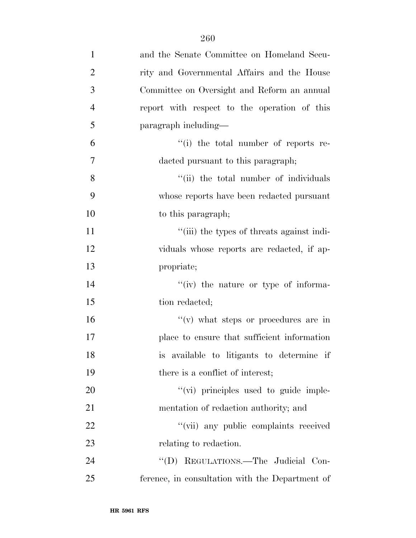| $\mathbf{1}$   | and the Senate Committee on Homeland Secu-      |
|----------------|-------------------------------------------------|
| $\overline{2}$ | rity and Governmental Affairs and the House     |
| 3              | Committee on Oversight and Reform an annual     |
| $\overline{4}$ | report with respect to the operation of this    |
| 5              | paragraph including—                            |
| 6              | "(i) the total number of reports re-            |
| 7              | dacted pursuant to this paragraph;              |
| 8              | "(ii) the total number of individuals           |
| 9              | whose reports have been redacted pursuant       |
| 10             | to this paragraph;                              |
| 11             | "(iii) the types of threats against indi-       |
| 12             | viduals whose reports are redacted, if ap-      |
| 13             | propriate;                                      |
| 14             | $``(iv)$ the nature or type of informa-         |
| 15             | tion redacted;                                  |
| 16             | $f'(v)$ what steps or procedures are in         |
| 17             | place to ensure that sufficient information     |
| 18             | is available to litigants to determine if       |
| 19             | there is a conflict of interest;                |
| 20             | "(vi) principles used to guide imple-           |
| 21             | mentation of redaction authority; and           |
| 22             | "(vii) any public complaints received           |
| 23             | relating to redaction.                          |
| 24             | "(D) REGULATIONS.—The Judicial Con-             |
| 25             | ference, in consultation with the Department of |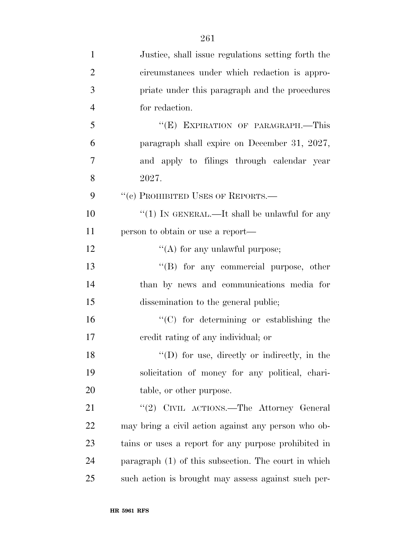| $\mathbf{1}$   | Justice, shall issue regulations setting forth the   |
|----------------|------------------------------------------------------|
| $\overline{2}$ | circumstances under which redaction is appro-        |
| 3              | priate under this paragraph and the procedures       |
| $\overline{4}$ | for redaction.                                       |
| 5              | "(E) EXPIRATION OF PARAGRAPH.-This                   |
| 6              | paragraph shall expire on December 31, 2027,         |
| 7              | and apply to filings through calendar year           |
| 8              | 2027.                                                |
| 9              | "(c) PROHIBITED USES OF REPORTS.-                    |
| 10             | " $(1)$ In GENERAL.—It shall be unlawful for any     |
| 11             | person to obtain or use a report—                    |
| 12             | $\lq\lq$ for any unlawful purpose;                   |
| 13             | $\lq\lq(B)$ for any commercial purpose, other        |
| 14             | than by news and communications media for            |
| 15             | dissemination to the general public;                 |
| 16             | "(C) for determining or establishing the             |
| 17             | credit rating of any individual; or                  |
| 18             | $\lq\lq$ (D) for use, directly or indirectly, in the |
| 19             | solicitation of money for any political, chari-      |
| 20             | table, or other purpose.                             |
| 21             | "(2) CIVIL ACTIONS.—The Attorney General             |
| 22             | may bring a civil action against any person who ob-  |
| 23             | tains or uses a report for any purpose prohibited in |
| 24             | paragraph (1) of this subsection. The court in which |
| 25             | such action is brought may assess against such per-  |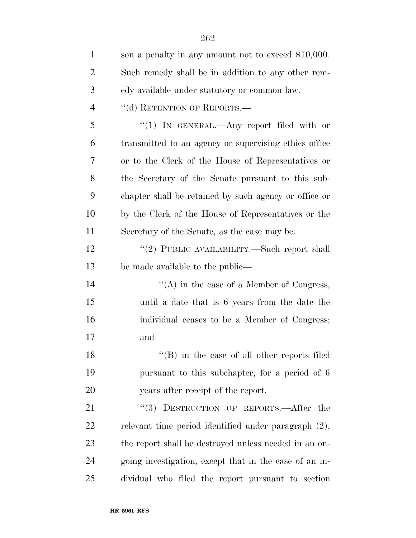| $\mathbf{1}$   | son a penalty in any amount not to exceed \$10,000.    |
|----------------|--------------------------------------------------------|
| $\overline{2}$ | Such remedy shall be in addition to any other rem-     |
| 3              | edy available under statutory or common law.           |
| $\overline{4}$ | "(d) RETENTION OF REPORTS.-                            |
| 5              | "(1) IN GENERAL.—Any report filed with or              |
| 6              | transmitted to an agency or supervising ethics office  |
| 7              | or to the Clerk of the House of Representatives or     |
| 8              | the Secretary of the Senate pursuant to this sub-      |
| 9              | chapter shall be retained by such agency or office or  |
| 10             | by the Clerk of the House of Representatives or the    |
| 11             | Secretary of the Senate, as the case may be.           |
| 12             | "(2) PUBLIC AVAILABILITY.—Such report shall            |
| 13             | be made available to the public—                       |
| 14             | $\lq\lq$ in the case of a Member of Congress,          |
| 15             | until a date that is 6 years from the date the         |
| 16             | individual ceases to be a Member of Congress;          |
| 17             | and                                                    |
| 18             | $\lq\lq$ (B) in the case of all other reports filed    |
| 19             | pursuant to this subchapter, for a period of 6         |
| 20             | years after receipt of the report.                     |
| 21             | "(3) DESTRUCTION OF REPORTS.—After the                 |
| 22             | relevant time period identified under paragraph (2),   |
| 23             | the report shall be destroyed unless needed in an on-  |
| 24             | going investigation, except that in the case of an in- |
| 25             | dividual who filed the report pursuant to section      |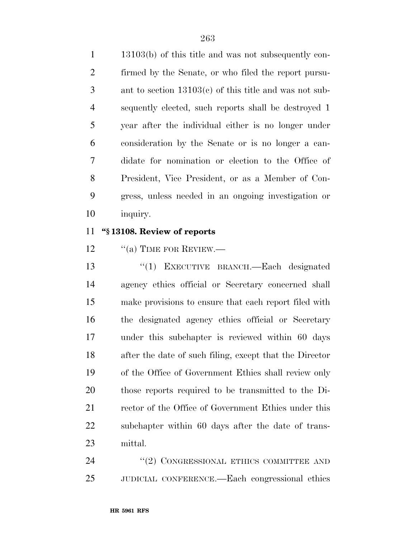13103(b) of this title and was not subsequently con- firmed by the Senate, or who filed the report pursu- ant to section 13103(c) of this title and was not sub- sequently elected, such reports shall be destroyed 1 year after the individual either is no longer under consideration by the Senate or is no longer a can- didate for nomination or election to the Office of President, Vice President, or as a Member of Con- gress, unless needed in an ongoing investigation or inquiry.

### **''§ 13108. Review of reports**

12 "(a) TIME FOR REVIEW.—

 ''(1) EXECUTIVE BRANCH.—Each designated agency ethics official or Secretary concerned shall make provisions to ensure that each report filed with the designated agency ethics official or Secretary under this subchapter is reviewed within 60 days after the date of such filing, except that the Director of the Office of Government Ethics shall review only those reports required to be transmitted to the Di-21 rector of the Office of Government Ethics under this subchapter within 60 days after the date of trans-mittal.

24 "(2) CONGRESSIONAL ETHICS COMMITTEE AND JUDICIAL CONFERENCE.—Each congressional ethics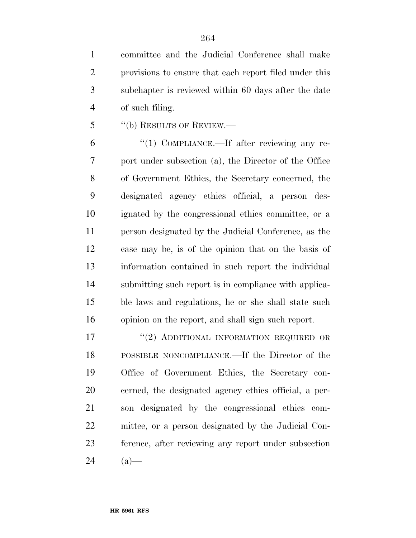committee and the Judicial Conference shall make provisions to ensure that each report filed under this subchapter is reviewed within 60 days after the date of such filing.

''(b) RESULTS OF REVIEW.—

 $^{\prime\prime}(1)$  COMPLIANCE.—If after reviewing any re- port under subsection (a), the Director of the Office of Government Ethics, the Secretary concerned, the designated agency ethics official, a person des- ignated by the congressional ethics committee, or a person designated by the Judicial Conference, as the case may be, is of the opinion that on the basis of information contained in such report the individual submitting such report is in compliance with applica- ble laws and regulations, he or she shall state such opinion on the report, and shall sign such report.

17 "(2) ADDITIONAL INFORMATION REQUIRED OR POSSIBLE NONCOMPLIANCE.—If the Director of the Office of Government Ethics, the Secretary con- cerned, the designated agency ethics official, a per- son designated by the congressional ethics com- mittee, or a person designated by the Judicial Con- ference, after reviewing any report under subsection  $24 \t(a)$ —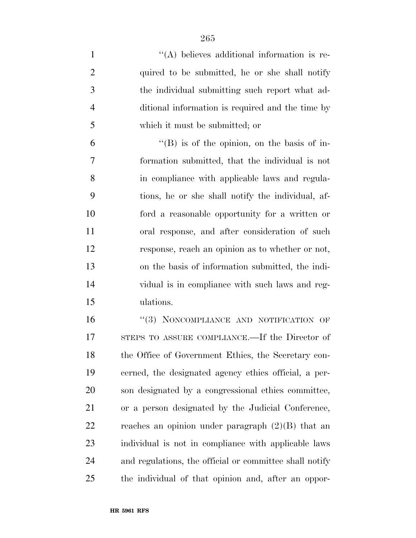- 1  $\langle (A) \rangle$  believes additional information is re-2 quired to be submitted, he or she shall notify the individual submitting such report what ad- ditional information is required and the time by which it must be submitted; or  $^4$ (B) is of the opinion, on the basis of in- formation submitted, that the individual is not in compliance with applicable laws and regula- tions, he or she shall notify the individual, af- ford a reasonable opportunity for a written or oral response, and after consideration of such response, reach an opinion as to whether or not, on the basis of information submitted, the indi-
- vidual is in compliance with such laws and reg-ulations.

16 "(3) NONCOMPLIANCE AND NOTIFICATION OF STEPS TO ASSURE COMPLIANCE.—If the Director of the Office of Government Ethics, the Secretary con- cerned, the designated agency ethics official, a per- son designated by a congressional ethics committee, or a person designated by the Judicial Conference, 22 reaches an opinion under paragraph  $(2)(B)$  that an individual is not in compliance with applicable laws and regulations, the official or committee shall notify the individual of that opinion and, after an oppor-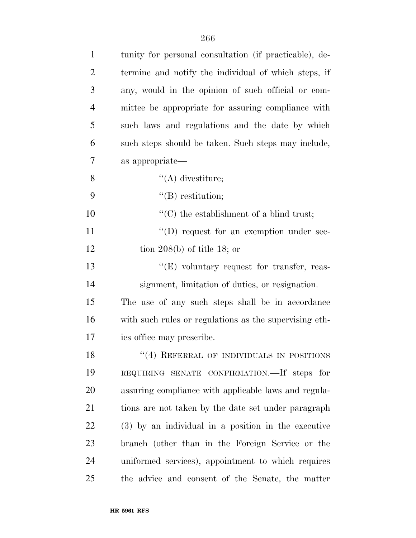| $\mathbf{1}$   | tunity for personal consultation (if practicable), de- |
|----------------|--------------------------------------------------------|
| $\overline{2}$ | termine and notify the individual of which steps, if   |
| 3              | any, would in the opinion of such official or com-     |
| $\overline{4}$ | mittee be appropriate for assuring compliance with     |
| 5              | such laws and regulations and the date by which        |
| 6              | such steps should be taken. Such steps may include,    |
| 7              | as appropriate-                                        |
| 8              | $\lq\lq$ divestiture;                                  |
| 9              | $\lq\lq(B)$ restitution;                               |
| 10             | $\lq\lq$ (C) the establishment of a blind trust;       |
| 11             | $\lq\lq$ request for an exemption under sec-           |
| 12             | tion $208(b)$ of title 18; or                          |
| 13             | $\lq\lq(E)$ voluntary request for transfer, reas-      |
| 14             | signment, limitation of duties, or resignation.        |
| 15             | The use of any such steps shall be in accordance       |
| 16             | with such rules or regulations as the supervising eth- |
| 17             | ics office may prescribe.                              |
| 18             | "(4) REFERRAL OF INDIVIDUALS IN POSITIONS              |
| 19             | REQUIRING SENATE CONFIRMATION. If steps for            |
| 20             | assuring compliance with applicable laws and regula-   |
| 21             | tions are not taken by the date set under paragraph    |
| 22             | (3) by an individual in a position in the executive    |
| 23             | branch (other than in the Foreign Service or the       |
| 24             | uniformed services), appointment to which requires     |
| 25             | the advice and consent of the Senate, the matter       |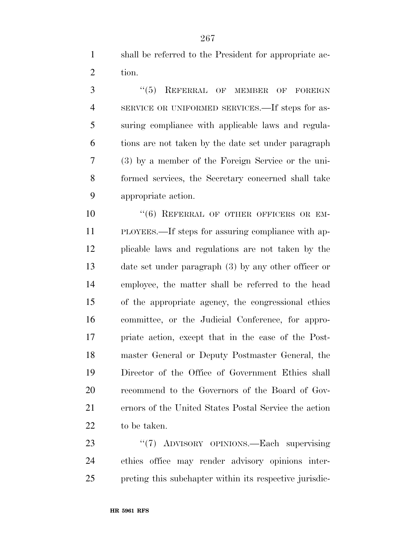shall be referred to the President for appropriate ac-tion.

3 "(5) REFERRAL OF MEMBER OF FOREIGN SERVICE OR UNIFORMED SERVICES.—If steps for as- suring compliance with applicable laws and regula- tions are not taken by the date set under paragraph (3) by a member of the Foreign Service or the uni- formed services, the Secretary concerned shall take appropriate action.

 $(6)$  REFERRAL OF OTHER OFFICERS OR EM- PLOYEES.—If steps for assuring compliance with ap- plicable laws and regulations are not taken by the date set under paragraph (3) by any other officer or employee, the matter shall be referred to the head of the appropriate agency, the congressional ethics committee, or the Judicial Conference, for appro- priate action, except that in the case of the Post- master General or Deputy Postmaster General, the Director of the Office of Government Ethics shall recommend to the Governors of the Board of Gov- ernors of the United States Postal Service the action to be taken.

23 "(7) ADVISORY OPINIONS.—Each supervising ethics office may render advisory opinions inter-preting this subchapter within its respective jurisdic-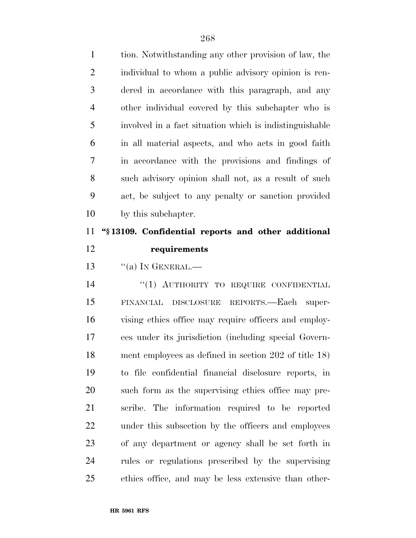| $\mathbf{1}$   | tion. Notwithstanding any other provision of law, the   |
|----------------|---------------------------------------------------------|
| $\overline{2}$ | individual to whom a public advisory opinion is ren-    |
| 3              | dered in accordance with this paragraph, and any        |
| $\overline{4}$ | other individual covered by this subchapter who is      |
| 5              | involved in a fact situation which is indistinguishable |
| 6              | in all material aspects, and who acts in good faith     |
| 7              | in accordance with the provisions and findings of       |
| 8              | such advisory opinion shall not, as a result of such    |
| 9              | act, be subject to any penalty or sanction provided     |
| 10             | by this subchapter.                                     |
| 11             | "§13109. Confidential reports and other additional      |
|                |                                                         |
| 12             | requirements                                            |
| 13             | $\lq\lq$ (a) In GENERAL.—                               |
| 14             | "(1) AUTHORITY TO REQUIRE CONFIDENTIAL                  |
| 15             | DISCLOSURE REPORTS.—Each super-<br>FINANCIAL            |
| 16             | vising ethics office may require officers and employ-   |
| 17             | ees under its jurisdiction (including special Govern-   |
| 18             | ment employees as defined in section 202 of title 18)   |
| 19             | to file confidential financial disclosure reports, in   |
| 20             | such form as the supervising ethics office may pre-     |
| 21             | scribe. The information required to be reported         |
| 22             | under this subsection by the officers and employees     |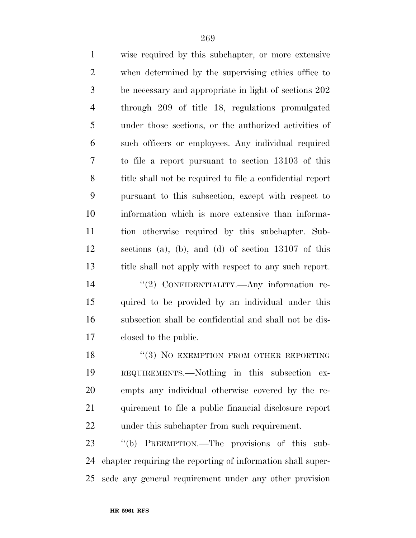| $\mathbf{1}$   | wise required by this subchapter, or more extensive         |
|----------------|-------------------------------------------------------------|
| $\overline{c}$ | when determined by the supervising ethics office to         |
| 3              | be necessary and appropriate in light of sections 202       |
| $\overline{4}$ | through 209 of title 18, regulations promulgated            |
| 5              | under those sections, or the authorized activities of       |
| 6              | such officers or employees. Any individual required         |
| $\overline{7}$ | to file a report pursuant to section 13103 of this          |
| 8              | title shall not be required to file a confidential report   |
| 9              | pursuant to this subsection, except with respect to         |
| 10             | information which is more extensive than informa-           |
| 11             | tion otherwise required by this subchapter. Sub-            |
| 12             | sections (a), (b), and (d) of section $13107$ of this       |
| 13             | title shall not apply with respect to any such report.      |
| 14             | "(2) CONFIDENTIALITY.- Any information re-                  |
| 15             | quired to be provided by an individual under this           |
| 16             | subsection shall be confidential and shall not be dis-      |
| 17             | closed to the public.                                       |
| 18             | $(3)$ NO EXEMPTION FROM OTHER REPORTING                     |
| 19             | REQUIREMENTS.—Nothing in this subsection ex-                |
| 20             | empts any individual otherwise covered by the re-           |
| 21             | quirement to file a public financial disclosure report      |
| 22             | under this subchapter from such requirement.                |
| 23             | "(b) PREEMPTION.—The provisions of this sub-                |
| 24             | chapter requiring the reporting of information shall super- |
| 25             | sede any general requirement under any other provision      |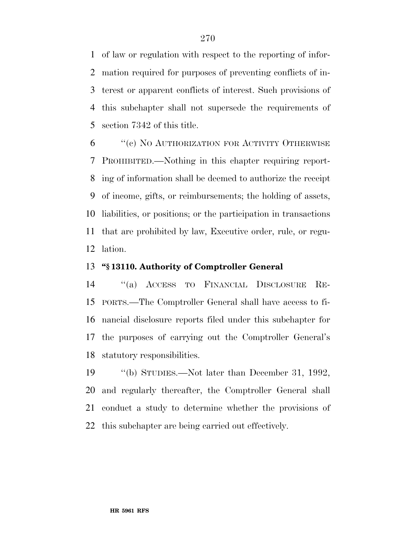of law or regulation with respect to the reporting of infor- mation required for purposes of preventing conflicts of in- terest or apparent conflicts of interest. Such provisions of this subchapter shall not supersede the requirements of section 7342 of this title.

 ''(c) NO AUTHORIZATION FOR ACTIVITY OTHERWISE PROHIBITED.—Nothing in this chapter requiring report- ing of information shall be deemed to authorize the receipt of income, gifts, or reimbursements; the holding of assets, liabilities, or positions; or the participation in transactions that are prohibited by law, Executive order, rule, or regu-lation.

## **''§ 13110. Authority of Comptroller General**

 ''(a) ACCESS TO FINANCIAL DISCLOSURE RE- PORTS.—The Comptroller General shall have access to fi- nancial disclosure reports filed under this subchapter for the purposes of carrying out the Comptroller General's statutory responsibilities.

 ''(b) STUDIES.—Not later than December 31, 1992, and regularly thereafter, the Comptroller General shall conduct a study to determine whether the provisions of this subchapter are being carried out effectively.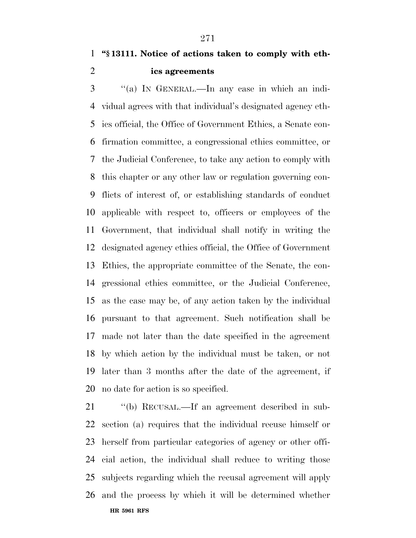**''§ 13111. Notice of actions taken to comply with eth-ics agreements** 

 ''(a) IN GENERAL.—In any case in which an indi- vidual agrees with that individual's designated agency eth- ics official, the Office of Government Ethics, a Senate con- firmation committee, a congressional ethics committee, or the Judicial Conference, to take any action to comply with this chapter or any other law or regulation governing con- flicts of interest of, or establishing standards of conduct applicable with respect to, officers or employees of the Government, that individual shall notify in writing the designated agency ethics official, the Office of Government Ethics, the appropriate committee of the Senate, the con- gressional ethics committee, or the Judicial Conference, as the case may be, of any action taken by the individual pursuant to that agreement. Such notification shall be made not later than the date specified in the agreement by which action by the individual must be taken, or not later than 3 months after the date of the agreement, if no date for action is so specified.

**HR 5961 RFS** ''(b) RECUSAL.—If an agreement described in sub- section (a) requires that the individual recuse himself or herself from particular categories of agency or other offi- cial action, the individual shall reduce to writing those subjects regarding which the recusal agreement will apply and the process by which it will be determined whether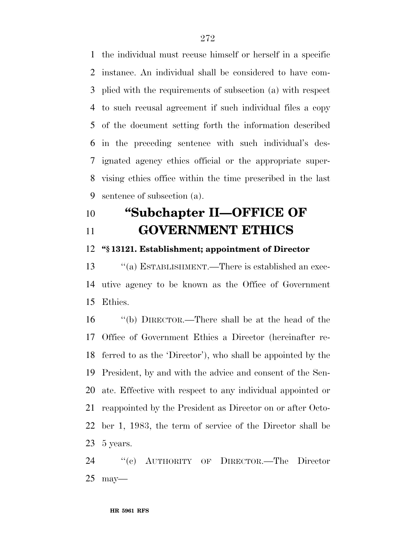the individual must recuse himself or herself in a specific instance. An individual shall be considered to have com- plied with the requirements of subsection (a) with respect to such recusal agreement if such individual files a copy of the document setting forth the information described in the preceding sentence with such individual's des- ignated agency ethics official or the appropriate super- vising ethics office within the time prescribed in the last sentence of subsection (a).

# **''Subchapter II—OFFICE OF GOVERNMENT ETHICS**

#### **''§ 13121. Establishment; appointment of Director**

13 "(a) ESTABLISHMENT.—There is established an exec- utive agency to be known as the Office of Government Ethics.

 ''(b) DIRECTOR.—There shall be at the head of the Office of Government Ethics a Director (hereinafter re- ferred to as the 'Director'), who shall be appointed by the President, by and with the advice and consent of the Sen- ate. Effective with respect to any individual appointed or reappointed by the President as Director on or after Octo- ber 1, 1983, the term of service of the Director shall be 5 years.

 ''(c) AUTHORITY OF DIRECTOR.—The Director may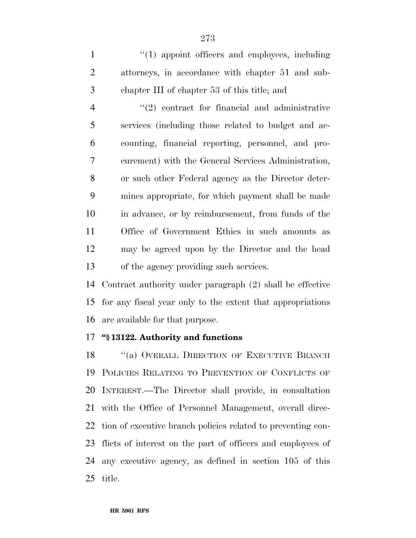1 ''(1) appoint officers and employees, including attorneys, in accordance with chapter 51 and sub-chapter III of chapter 53 of this title; and

4 "(2) contract for financial and administrative services (including those related to budget and ac- counting, financial reporting, personnel, and pro- curement) with the General Services Administration, or such other Federal agency as the Director deter- mines appropriate, for which payment shall be made in advance, or by reimbursement, from funds of the Office of Government Ethics in such amounts as may be agreed upon by the Director and the head of the agency providing such services.

 Contract authority under paragraph (2) shall be effective for any fiscal year only to the extent that appropriations are available for that purpose.

# **''§ 13122. Authority and functions**

18 "(a) OVERALL DIRECTION OF EXECUTIVE BRANCH POLICIES RELATING TO PREVENTION OF CONFLICTS OF INTEREST.—The Director shall provide, in consultation with the Office of Personnel Management, overall direc- tion of executive branch policies related to preventing con- flicts of interest on the part of officers and employees of any executive agency, as defined in section 105 of this title.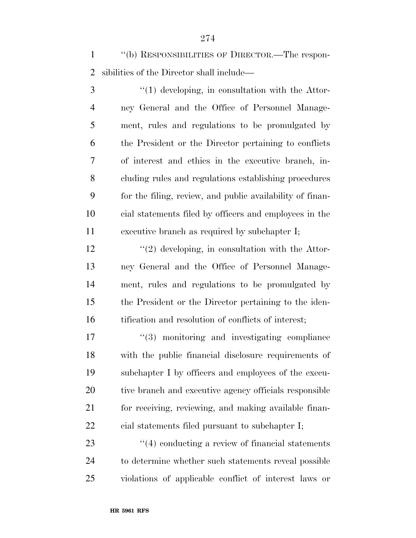''(b) RESPONSIBILITIES OF DIRECTOR.—The respon-sibilities of the Director shall include—

3 ''(1) developing, in consultation with the Attor- ney General and the Office of Personnel Manage- ment, rules and regulations to be promulgated by the President or the Director pertaining to conflicts of interest and ethics in the executive branch, in- cluding rules and regulations establishing procedures for the filing, review, and public availability of finan- cial statements filed by officers and employees in the executive branch as required by subchapter I;

12 ''(2) developing, in consultation with the Attor- ney General and the Office of Personnel Manage- ment, rules and regulations to be promulgated by the President or the Director pertaining to the iden-16 tification and resolution of conflicts of interest;

 $\frac{1}{3}$  monitoring and investigating compliance with the public financial disclosure requirements of subchapter I by officers and employees of the execu- tive branch and executive agency officials responsible for receiving, reviewing, and making available finan-cial statements filed pursuant to subchapter I;

23 ''(4) conducting a review of financial statements to determine whether such statements reveal possible violations of applicable conflict of interest laws or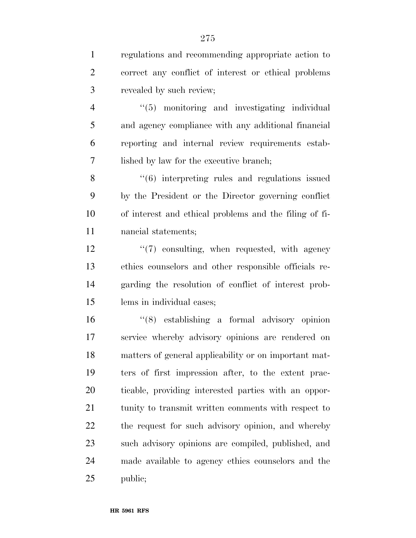regulations and recommending appropriate action to correct any conflict of interest or ethical problems revealed by such review;

 ''(5) monitoring and investigating individual and agency compliance with any additional financial reporting and internal review requirements estab-lished by law for the executive branch;

8 "(6) interpreting rules and regulations issued by the President or the Director governing conflict of interest and ethical problems and the filing of fi-nancial statements;

 ''(7) consulting, when requested, with agency ethics counselors and other responsible officials re- garding the resolution of conflict of interest prob-lems in individual cases;

 ''(8) establishing a formal advisory opinion service whereby advisory opinions are rendered on matters of general applicability or on important mat- ters of first impression after, to the extent prac- ticable, providing interested parties with an oppor- tunity to transmit written comments with respect to the request for such advisory opinion, and whereby such advisory opinions are compiled, published, and made available to agency ethics counselors and the public;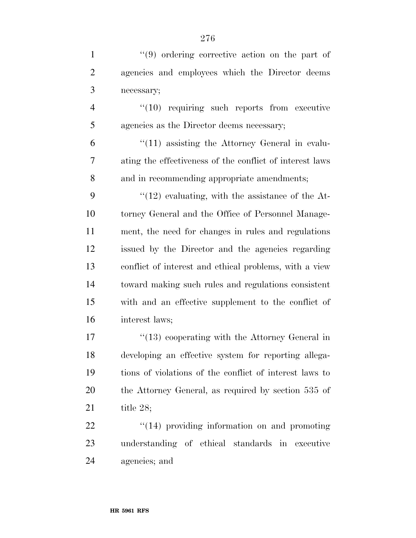| $\mathbf{1}$   | $(9)$ ordering corrective action on the part of          |
|----------------|----------------------------------------------------------|
| $\overline{2}$ | agencies and employees which the Director deems          |
| 3              | necessary;                                               |
| $\overline{4}$ | $"(10)$ requiring such reports from executive            |
| 5              | agencies as the Director deems necessary;                |
| 6              | $\lq(11)$ assisting the Attorney General in evalu-       |
| 7              | ating the effectiveness of the conflict of interest laws |
| 8              | and in recommending appropriate amendments;              |
| 9              | $\lq(12)$ evaluating, with the assistance of the At-     |
| 10             | torney General and the Office of Personnel Manage-       |
| 11             | ment, the need for changes in rules and regulations      |
| 12             | issued by the Director and the agencies regarding        |
| 13             | conflict of interest and ethical problems, with a view   |
| 14             | toward making such rules and regulations consistent      |
| 15             | with and an effective supplement to the conflict of      |
| 16             | interest laws;                                           |
| 17             | $\lq(13)$ cooperating with the Attorney General in       |
| 18             | developing an effective system for reporting allega-     |
| 19             | tions of violations of the conflict of interest laws to  |
| 20             | the Attorney General, as required by section 535 of      |
| 21             | title $28;$                                              |
| 22             | $\cdot$ (14) providing information on and promoting      |
| つつ             | understanding of ethical standards in executive          |

 understanding of ethical standards in executive agencies; and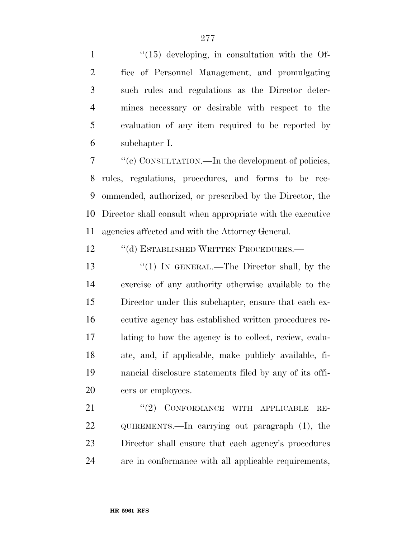$\frac{1}{15}$  developing, in consultation with the Of- fice of Personnel Management, and promulgating such rules and regulations as the Director deter- mines necessary or desirable with respect to the evaluation of any item required to be reported by subchapter I.

 ''(c) CONSULTATION.—In the development of policies, rules, regulations, procedures, and forms to be rec- ommended, authorized, or prescribed by the Director, the Director shall consult when appropriate with the executive agencies affected and with the Attorney General.

12 "(d) ESTABLISHED WRITTEN PROCEDURES.—

13 "(1) IN GENERAL.—The Director shall, by the exercise of any authority otherwise available to the Director under this subchapter, ensure that each ex- ecutive agency has established written procedures re- lating to how the agency is to collect, review, evalu- ate, and, if applicable, make publicly available, fi- nancial disclosure statements filed by any of its offi-cers or employees.

21 "(2) CONFORMANCE WITH APPLICABLE RE- QUIREMENTS.—In carrying out paragraph (1), the Director shall ensure that each agency's procedures are in conformance with all applicable requirements,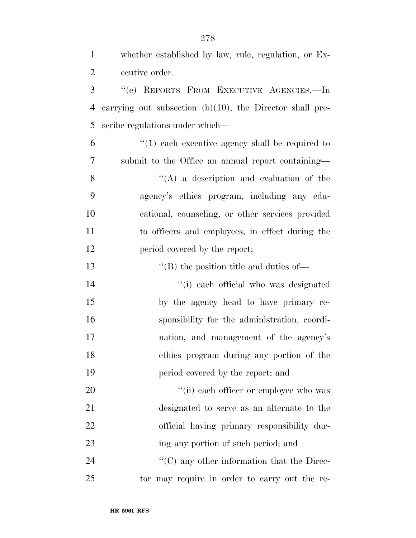| $\mathbf{1}$   | whether established by law, rule, regulation, or Ex-        |
|----------------|-------------------------------------------------------------|
| $\overline{2}$ | ecutive order.                                              |
| 3              | "(e) REPORTS FROM EXECUTIVE AGENCIES.-In                    |
| $\overline{4}$ | carrying out subsection $(b)(10)$ , the Director shall pre- |
| 5              | scribe regulations under which—                             |
| 6              | $(1)$ each executive agency shall be required to            |
| 7              | submit to the Office an annual report containing-           |
| 8              | $\lq\lq$ a description and evaluation of the                |
| 9              | agency's ethics program, including any edu-                 |
| 10             | cational, counseling, or other services provided            |
| 11             | to officers and employees, in effect during the             |
| 12             | period covered by the report;                               |
| 13             | $\lq$ (B) the position title and duties of —                |
| 14             | "(i) each official who was designated                       |
| 15             | by the agency head to have primary re-                      |
| 16             | sponsibility for the administration, coordi-                |
| 17             | nation, and management of the agency's                      |
| 18             | ethics program during any portion of the                    |
| 19             | period covered by the report; and                           |
| 20             | "(ii) each officer or employee who was                      |
| 21             | designated to serve as an alternate to the                  |
| 22             | official having primary responsibility dur-                 |
| 23             | ing any portion of such period; and                         |
| 24             | $\lq\lq$ (C) any other information that the Direc-          |
| 25             | tor may require in order to carry out the re-               |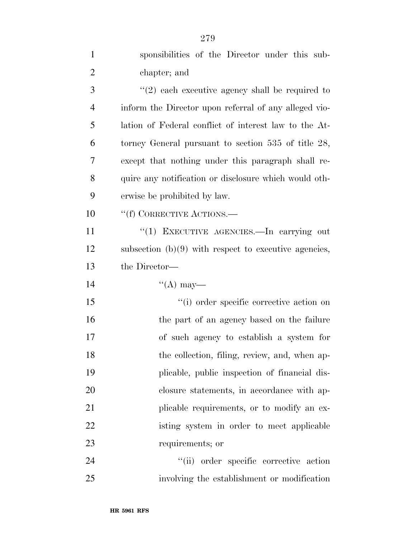| $\mathbf{1}$   | sponsibilities of the Director under this sub-           |
|----------------|----------------------------------------------------------|
| $\overline{2}$ | chapter; and                                             |
| 3              | $(2)$ each executive agency shall be required to         |
| $\overline{4}$ | inform the Director upon referral of any alleged vio-    |
| 5              | lation of Federal conflict of interest law to the At-    |
| 6              | torney General pursuant to section $535$ of title $28$ , |
| 7              | except that nothing under this paragraph shall re-       |
| 8              | quire any notification or disclosure which would oth-    |
| 9              | erwise be prohibited by law.                             |
| 10             | "(f) CORRECTIVE ACTIONS.—                                |
| 11             | "(1) EXECUTIVE AGENCIES.—In carrying out                 |
| 12             | subsection $(b)(9)$ with respect to executive agencies,  |
| 13             | the Director—                                            |
| 14             | $\lq\lq (A)$ may—                                        |
| 15             | "(i) order specific corrective action on                 |
| 16             | the part of an agency based on the failure               |
| 17             | of such agency to establish a system for                 |
| 18             | the collection, filing, review, and, when ap-            |
| 19             | plicable, public inspection of financial dis-            |
| 20             | closure statements, in accordance with ap-               |
| 21             | plicable requirements, or to modify an ex-               |
| 22             | isting system in order to meet applicable                |
| 23             | requirements; or                                         |
| 24             | "(ii) order specific corrective action                   |
| 25             | involving the establishment or modification              |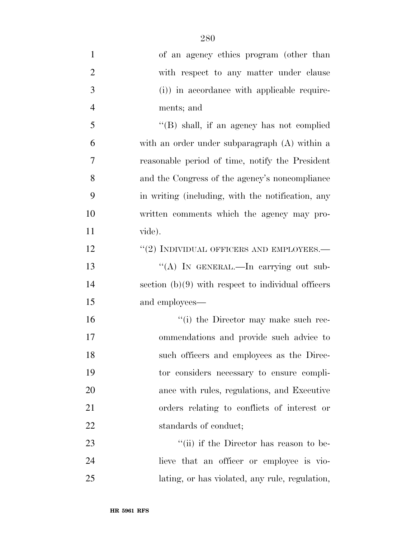| $\mathbf{1}$   | of an agency ethics program (other than              |
|----------------|------------------------------------------------------|
| $\overline{2}$ | with respect to any matter under clause              |
| 3              | (i)) in accordance with applicable require-          |
| $\overline{4}$ | ments; and                                           |
| 5              | $\lq\lq$ (B) shall, if an agency has not complied    |
| 6              | with an order under subparagraph (A) within a        |
| 7              | reasonable period of time, notify the President      |
| 8              | and the Congress of the agency's noncompliance       |
| 9              | in writing (including, with the notification, any    |
| 10             | written comments which the agency may pro-           |
| 11             | vide).                                               |
| 12             | $``(2)$ INDIVIDUAL OFFICERS AND EMPLOYEES.—          |
| 13             | "(A) IN GENERAL.—In carrying out sub-                |
| 14             | section $(b)(9)$ with respect to individual officers |
| 15             | and employees—                                       |
| 16             | "(i) the Director may make such rec-                 |
| 17             | ommendations and provide such advice to              |
| 18             | such officers and employees as the Direc-            |
| 19             | tor considers necessary to ensure compli-            |
| 20             | ance with rules, regulations, and Executive          |
| 21             | orders relating to conflicts of interest or          |
| 22             | standards of conduct;                                |
| 23             | "(ii) if the Director has reason to be-              |
| 24             | lieve that an officer or employee is vio-            |
| 25             | lating, or has violated, any rule, regulation,       |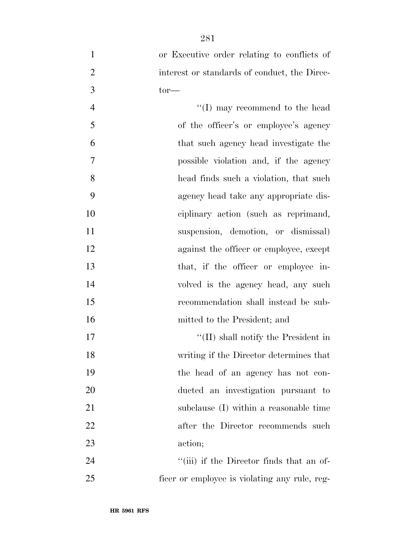| $\mathbf{1}$   | or Executive order relating to conflicts of  |
|----------------|----------------------------------------------|
| $\overline{2}$ | interest or standards of conduct, the Direc- |
| 3              | $tor$ —                                      |
| $\overline{4}$ | $\lq\lq$ (I) may recommend to the head       |
| 5              | of the officer's or employee's agency        |
| 6              | that such agency head investigate the        |
| 7              | possible violation and, if the agency        |
| 8              | head finds such a violation, that such       |
| 9              | agency head take any appropriate dis-        |
| 10             | ciplinary action (such as reprimand,         |
| 11             | suspension, demotion, or dismissal)          |
| 12             | against the officer or employee, except      |
| 13             | that, if the officer or employee in-         |
| 14             | volved is the agency head, any such          |
| 15             | recommendation shall instead be sub-         |
| 16             | mitted to the President; and                 |
| 17             | "(II) shall notify the President in          |
| 18             | writing if the Director determines that      |
| 19             | the head of an agency has not con-           |
| 20             | ducted an investigation pursuant to          |
| 21             | subclause (I) within a reasonable time       |
| 22             | after the Director recommends such           |
| 23             | action;                                      |
| 24             | "(iii) if the Director finds that an of-     |

ficer or employee is violating any rule, reg-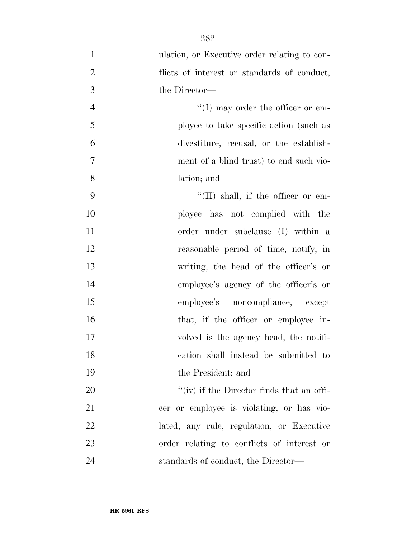| $\mathbf{1}$   | ulation, or Executive order relating to con- |
|----------------|----------------------------------------------|
| $\overline{2}$ | flicts of interest or standards of conduct,  |
| 3              | the Director—                                |
| $\overline{4}$ | $\lq\lq$ (I) may order the officer or em-    |
| 5              | ployee to take specific action (such as      |
| 6              | divestiture, recusal, or the establish-      |
| $\tau$         | ment of a blind trust) to end such vio-      |
| 8              | lation; and                                  |
| 9              | $\lq\lq$ (II) shall, if the officer or em-   |
| 10             | ployee has not complied with the             |
| 11             | order under subclause (I) within a           |
| 12             | reasonable period of time, notify, in        |
| 13             | writing, the head of the officer's or        |
| 14             | employee's agency of the officer's or        |
| 15             | employee's noncompliance, except             |
| 16             | that, if the officer or employee in-         |
| 17             | volved is the agency head, the notifi-       |
| 18             | cation shall instead be submitted to         |
| 19             | the President; and                           |
| 20             | "(iv) if the Director finds that an offi-    |
| 21             | cer or employee is violating, or has vio-    |
| 22             | lated, any rule, regulation, or Executive    |
| 23             | order relating to conflicts of interest or   |
| 24             | standards of conduct, the Director-          |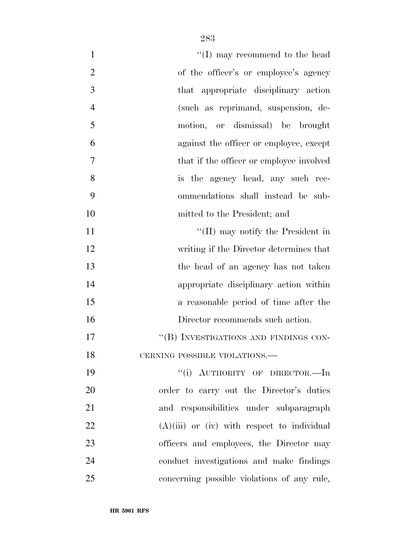| $\mathbf{1}$   | $\lq\lq$ (I) may recommend to the head        |
|----------------|-----------------------------------------------|
| $\overline{2}$ | of the officer's or employee's agency         |
| 3              | that appropriate disciplinary action          |
| $\overline{4}$ | (such as reprimand, suspension, de-           |
| 5              | motion, or dismissal) be brought              |
| 6              | against the officer or employee, except       |
| $\tau$         | that if the officer or employee involved      |
| 8              | is the agency head, any such rec-             |
| 9              | ommendations shall instead be sub-            |
| 10             | mitted to the President; and                  |
| 11             | "(II) may notify the President in             |
| 12             | writing if the Director determines that       |
| 13             | the head of an agency has not taken           |
| 14             | appropriate disciplinary action within        |
| 15             | a reasonable period of time after the         |
| 16             | Director recommends such action.              |
| 17             | "(B) INVESTIGATIONS AND FINDINGS CON-         |
| 18             | CERNING POSSIBLE VIOLATIONS.-                 |
| 19             | "(i) AUTHORITY OF DIRECTOR.-In                |
| 20             | order to carry out the Director's duties      |
| 21             | and responsibilities under subparagraph       |
| 22             | $(A)(iii)$ or (iv) with respect to individual |
| 23             | officers and employees, the Director may      |
| 24             | conduct investigations and make findings      |
| 25             | concerning possible violations of any rule,   |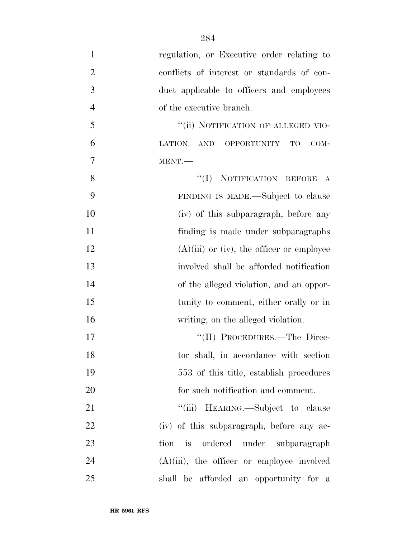- regulation, or Executive order relating to conflicts of interest or standards of con- duct applicable to officers and employees of the executive branch. 5 "(ii) NOTIFICATION OF ALLEGED VIO- LATION AND OPPORTUNITY TO COM- MENT.— 8 "(I) NOTIFICATION BEFORE A FINDING IS MADE.—Subject to clause (iv) of this subparagraph, before any finding is made under subparagraphs 12  $(A)(iii)$  or (iv), the officer or employee involved shall be afforded notification of the alleged violation, and an oppor- tunity to comment, either orally or in writing, on the alleged violation. 17 ''(II) PROCEDURES.—The Direc- tor shall, in accordance with section 553 of this title, establish procedures 20 for such notification and comment. 21 ""(iii) HEARING.—Subject to clause (iv) of this subparagraph, before any ac-tion is ordered under subparagraph
- (A)(iii), the officer or employee involved shall be afforded an opportunity for a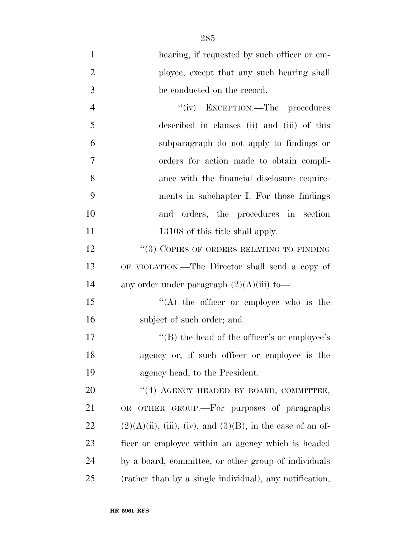| $\mathbf{1}$   | hearing, if requested by such officer or em-                     |
|----------------|------------------------------------------------------------------|
| $\overline{2}$ | ployee, except that any such hearing shall                       |
| 3              | be conducted on the record.                                      |
| $\overline{4}$ | "(iv) EXCEPTION.—The procedures                                  |
| 5              | described in clauses (ii) and (iii) of this                      |
| 6              | subparagraph do not apply to findings or                         |
| 7              | orders for action made to obtain compli-                         |
| 8              | ance with the financial disclosure require-                      |
| 9              | ments in subchapter I. For those findings                        |
| 10             | and orders, the procedures in section                            |
| 11             | 13108 of this title shall apply.                                 |
| 12             | $\lq\lq(3)$ COPIES OF ORDERS RELATING TO FINDING                 |
| 13             | OF VIOLATION.—The Director shall send a copy of                  |
| 14             | any order under paragraph $(2)(A)(iii)$ to-                      |
| 15             | "(A) the officer or employee who is the                          |
| 16             | subject of such order; and                                       |
| 17             | "(B) the head of the officer's or employee's                     |
| 18             | agency or, if such officer or employee is the                    |
| 19             | agency head, to the President.                                   |
| 20             | "(4) AGENCY HEADED BY BOARD, COMMITTEE,                          |
| 21             | OR OTHER GROUP.—For purposes of paragraphs                       |
| 22             | $(2)(A)(ii)$ , (iii), (iv), and $(3)(B)$ , in the case of an of- |
| 23             | ficer or employee within an agency which is headed               |
| 24             | by a board, committee, or other group of individuals             |
| 25             | (rather than by a single individual), any notification,          |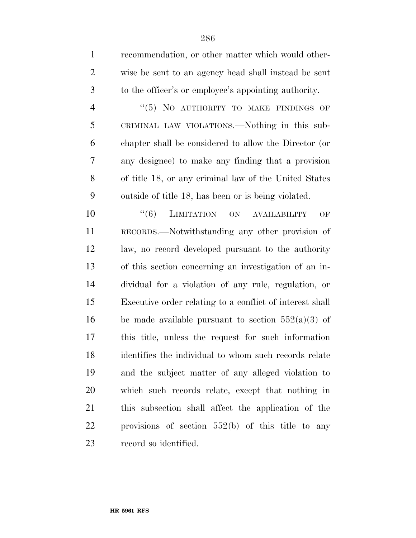| $\mathbf{1}$   | recommendation, or other matter which would other-            |
|----------------|---------------------------------------------------------------|
| $\overline{2}$ | wise be sent to an agency head shall instead be sent          |
| 3              | to the officer's or employee's appointing authority.          |
| $\overline{4}$ | "(5) NO AUTHORITY TO MAKE FINDINGS OF                         |
| 5              | CRIMINAL LAW VIOLATIONS.—Nothing in this sub-                 |
| 6              | chapter shall be considered to allow the Director (or         |
| 7              | any designee) to make any finding that a provision            |
| 8              | of title 18, or any criminal law of the United States         |
| 9              | outside of title 18, has been or is being violated.           |
| 10             | ``(6)<br><b>LIMITATION</b><br>ON<br><b>AVAILABILITY</b><br>OF |
| 11             | RECORDS.—Notwithstanding any other provision of               |
| 12             | law, no record developed pursuant to the authority            |
| 13             | of this section concerning an investigation of an in-         |
| 14             | dividual for a violation of any rule, regulation, or          |
| 15             | Executive order relating to a conflict of interest shall      |
| 16             | be made available pursuant to section $552(a)(3)$ of          |
| 17             | this title, unless the request for such information           |
| 18             | identifies the individual to whom such records relate         |
| 19             | and the subject matter of any alleged violation to            |
| 20             | which such records relate, except that nothing in             |
| 21             | this subsection shall affect the application of the           |
| 22             | provisions of section $552(b)$ of this title to any           |
| 23             | record so identified.                                         |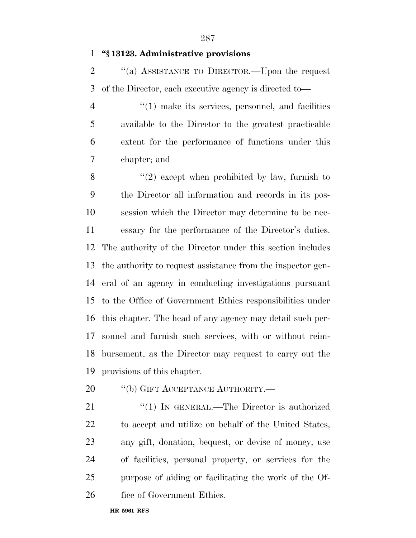# **''§ 13123. Administrative provisions**

 ''(a) ASSISTANCE TO DIRECTOR.—Upon the request of the Director, each executive agency is directed to—

4 "(1) make its services, personnel, and facilities available to the Director to the greatest practicable extent for the performance of functions under this chapter; and

 ''(2) except when prohibited by law, furnish to the Director all information and records in its pos- session which the Director may determine to be nec- essary for the performance of the Director's duties. The authority of the Director under this section includes the authority to request assistance from the inspector gen- eral of an agency in conducting investigations pursuant to the Office of Government Ethics responsibilities under this chapter. The head of any agency may detail such per- sonnel and furnish such services, with or without reim- bursement, as the Director may request to carry out the provisions of this chapter.

- 20 "(b) GIFT ACCEPTANCE AUTHORITY.—
- 21 "(1) IN GENERAL.—The Director is authorized to accept and utilize on behalf of the United States, any gift, donation, bequest, or devise of money, use of facilities, personal property, or services for the purpose of aiding or facilitating the work of the Of-fice of Government Ethics.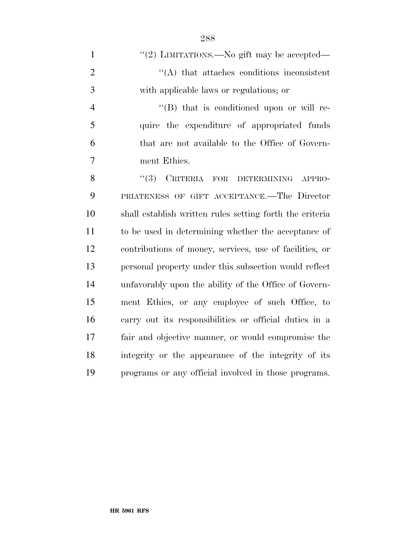| $\mathbf{1}$   | "(2) LIMITATIONS.—No gift may be accepted—               |
|----------------|----------------------------------------------------------|
| $\overline{2}$ | $\lq\lq$ that attaches conditions inconsistent           |
| 3              | with applicable laws or regulations; or                  |
| $\overline{4}$ | $\lq\lq (B)$ that is conditioned upon or will re-        |
| 5              | quire the expenditure of appropriated funds              |
| 6              | that are not available to the Office of Govern-          |
| 7              | ment Ethics.                                             |
| 8              | (3)<br>CRITERIA FOR DETERMINING<br>APPRO-                |
| 9              | PRIATENESS OF GIFT ACCEPTANCE.-The Director              |
| 10             | shall establish written rules setting forth the criteria |
| 11             | to be used in determining whether the acceptance of      |
| 12             | contributions of money, services, use of facilities, or  |
| 13             | personal property under this subsection would reflect    |
| 14             | unfavorably upon the ability of the Office of Govern-    |
| 15             | ment Ethics, or any employee of such Office, to          |
| 16             | carry out its responsibilities or official duties in a   |
| 17             | fair and objective manner, or would compromise the       |
| 18             | integrity or the appearance of the integrity of its      |
| 19             | programs or any official involved in those programs.     |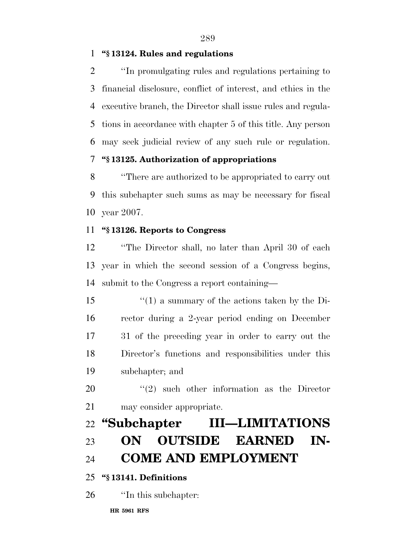**''§ 13124. Rules and regulations** 

 ''In promulgating rules and regulations pertaining to financial disclosure, conflict of interest, and ethics in the executive branch, the Director shall issue rules and regula- tions in accordance with chapter 5 of this title. Any person may seek judicial review of any such rule or regulation.

## **''§ 13125. Authorization of appropriations**

 ''There are authorized to be appropriated to carry out this subchapter such sums as may be necessary for fiscal year 2007.

#### **''§ 13126. Reports to Congress**

 ''The Director shall, no later than April 30 of each year in which the second session of a Congress begins, submit to the Congress a report containing—

 ''(1) a summary of the actions taken by the Di- rector during a 2-year period ending on December 31 of the preceding year in order to carry out the Director's functions and responsibilities under this subchapter; and

20  $\frac{u(2)}{2}$  such other information as the Director may consider appropriate.

# **''Subchapter III—LIMITATIONS ON OUTSIDE EARNED IN-COME AND EMPLOYMENT**

## **''§ 13141. Definitions**

''In this subchapter: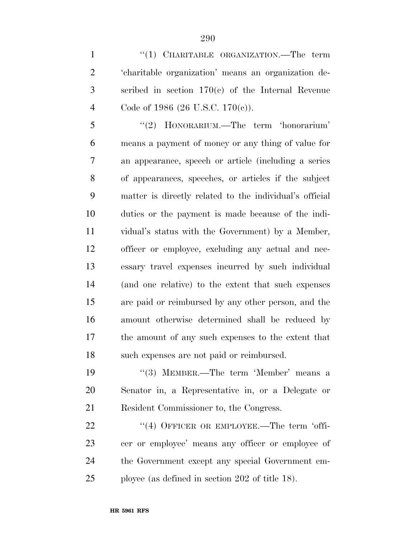1 "(1) CHARITABLE ORGANIZATION.—The term 'charitable organization' means an organization de- scribed in section 170(c) of the Internal Revenue Code of 1986 (26 U.S.C. 170(c)).

 ''(2) HONORARIUM.—The term 'honorarium' means a payment of money or any thing of value for an appearance, speech or article (including a series of appearances, speeches, or articles if the subject matter is directly related to the individual's official duties or the payment is made because of the indi- vidual's status with the Government) by a Member, officer or employee, excluding any actual and nec- essary travel expenses incurred by such individual (and one relative) to the extent that such expenses are paid or reimbursed by any other person, and the amount otherwise determined shall be reduced by the amount of any such expenses to the extent that such expenses are not paid or reimbursed.

 ''(3) MEMBER.—The term 'Member' means a Senator in, a Representative in, or a Delegate or Resident Commissioner to, the Congress.

22 "(4) OFFICER OR EMPLOYEE.—The term 'offi- cer or employee' means any officer or employee of the Government except any special Government em-ployee (as defined in section 202 of title 18).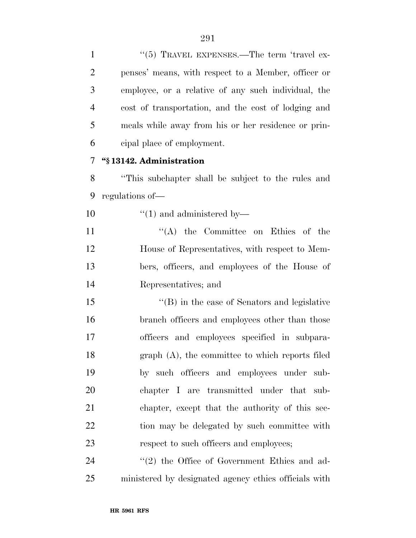| $\mathbf{1}$   | " $(5)$ TRAVEL EXPENSES.—The term 'travel ex-         |
|----------------|-------------------------------------------------------|
| $\overline{2}$ | penses' means, with respect to a Member, officer or   |
| 3              | employee, or a relative of any such individual, the   |
| $\overline{4}$ | cost of transportation, and the cost of lodging and   |
| 5              | meals while away from his or her residence or prin-   |
| 6              | cipal place of employment.                            |
| 7              | "§13142. Administration                               |
| 8              | "This subchapter shall be subject to the rules and    |
| 9              | regulations of—                                       |
| 10             | $\lq(1)$ and administered by-                         |
| 11             | $\lq\lq$ the Committee on Ethics of the               |
| 12             | House of Representatives, with respect to Mem-        |
| 13             | bers, officers, and employees of the House of         |
| 14             | Representatives; and                                  |
| 15             | $\lq\lq$ (B) in the case of Senators and legislative  |
| 16             | branch officers and employees other than those        |
| 17             | officers and employees specified in subpara-          |
| 18             | graph (A), the committee to which reports filed       |
| 19             | by such officers and employees under sub-             |
| 20             | chapter I are transmitted under that sub-             |
| 21             | chapter, except that the authority of this sec-       |
| 22             | tion may be delegated by such committee with          |
| 23             | respect to such officers and employees;               |
| 24             | "(2) the Office of Government Ethics and ad-          |
| 25             | ministered by designated agency ethics officials with |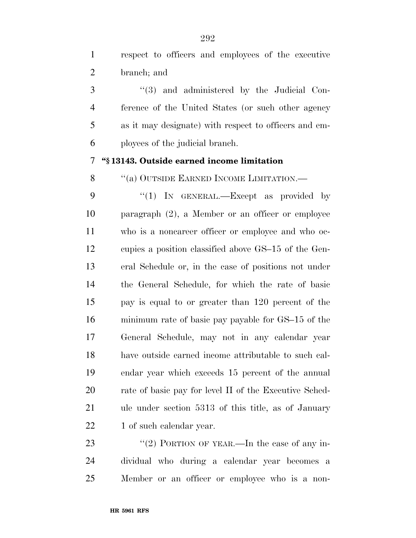respect to officers and employees of the executive branch; and

 ''(3) and administered by the Judicial Con- ference of the United States (or such other agency as it may designate) with respect to officers and em-ployees of the judicial branch.

#### **''§ 13143. Outside earned income limitation**

8 "(a) OUTSIDE EARNED INCOME LIMITATION.—

9 "(1) In GENERAL.—Except as provided by paragraph (2), a Member or an officer or employee who is a noncareer officer or employee and who oc- cupies a position classified above GS–15 of the Gen- eral Schedule or, in the case of positions not under the General Schedule, for which the rate of basic pay is equal to or greater than 120 percent of the minimum rate of basic pay payable for GS–15 of the General Schedule, may not in any calendar year have outside earned income attributable to such cal- endar year which exceeds 15 percent of the annual 20 rate of basic pay for level II of the Executive Sched- ule under section 5313 of this title, as of January 22 1 of such calendar year.

23 "(2) PORTION OF YEAR.—In the case of any in- dividual who during a calendar year becomes a Member or an officer or employee who is a non-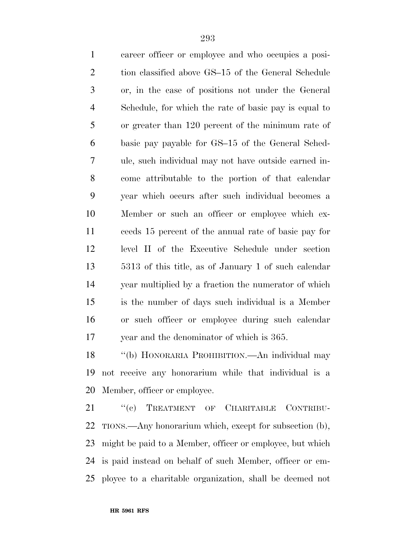career officer or employee and who occupies a posi-2 tion classified above GS–15 of the General Schedule or, in the case of positions not under the General Schedule, for which the rate of basic pay is equal to or greater than 120 percent of the minimum rate of basic pay payable for GS–15 of the General Sched- ule, such individual may not have outside earned in- come attributable to the portion of that calendar year which occurs after such individual becomes a Member or such an officer or employee which ex- ceeds 15 percent of the annual rate of basic pay for level II of the Executive Schedule under section 5313 of this title, as of January 1 of such calendar year multiplied by a fraction the numerator of which is the number of days such individual is a Member or such officer or employee during such calendar year and the denominator of which is 365.

 ''(b) HONORARIA PROHIBITION.—An individual may not receive any honorarium while that individual is a Member, officer or employee.

21 "(c) TREATMENT OF CHARITABLE CONTRIBU- TIONS.—Any honorarium which, except for subsection (b), might be paid to a Member, officer or employee, but which is paid instead on behalf of such Member, officer or em-ployee to a charitable organization, shall be deemed not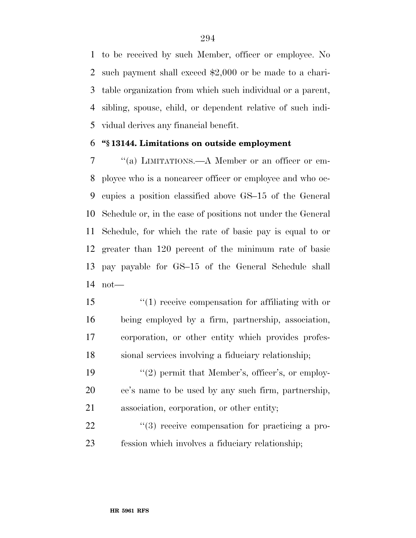to be received by such Member, officer or employee. No such payment shall exceed \$2,000 or be made to a chari- table organization from which such individual or a parent, sibling, spouse, child, or dependent relative of such indi-vidual derives any financial benefit.

### **''§ 13144. Limitations on outside employment**

 ''(a) LIMITATIONS.—A Member or an officer or em- ployee who is a noncareer officer or employee and who oc- cupies a position classified above GS–15 of the General Schedule or, in the case of positions not under the General Schedule, for which the rate of basic pay is equal to or greater than 120 percent of the minimum rate of basic pay payable for GS–15 of the General Schedule shall not—

 ''(1) receive compensation for affiliating with or being employed by a firm, partnership, association, corporation, or other entity which provides profes-sional services involving a fiduciary relationship;

19  $\frac{1}{2}$  permit that Member's, officer's, or employ- ee's name to be used by any such firm, partnership, association, corporation, or other entity;

22  $\frac{4}{3}$  receive compensation for practicing a pro-fession which involves a fiduciary relationship;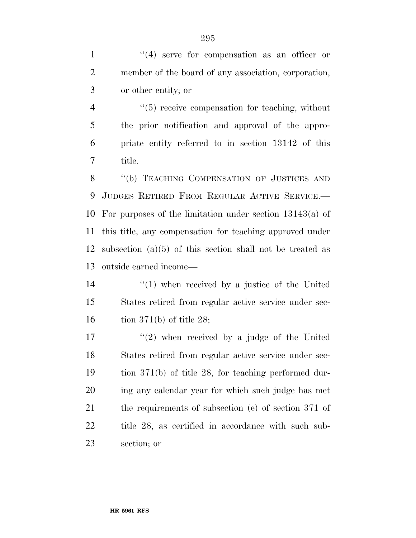1 ''(4) serve for compensation as an officer or member of the board of any association, corporation, or other entity; or

 $\frac{4}{5}$  receive compensation for teaching, without the prior notification and approval of the appro- priate entity referred to in section 13142 of this title.

8 "(b) TEACHING COMPENSATION OF JUSTICES AND JUDGES RETIRED FROM REGULAR ACTIVE SERVICE.— For purposes of the limitation under section 13143(a) of this title, any compensation for teaching approved under subsection (a)(5) of this section shall not be treated as outside earned income—

14  $\frac{1}{2}$  (1) when received by a justice of the United States retired from regular active service under sec-16 tion 371(b) of title 28;

 $\frac{17}{2}$  when received by a judge of the United States retired from regular active service under sec- tion 371(b) of title 28, for teaching performed dur- ing any calendar year for which such judge has met the requirements of subsection (e) of section 371 of title 28, as certified in accordance with such sub-section; or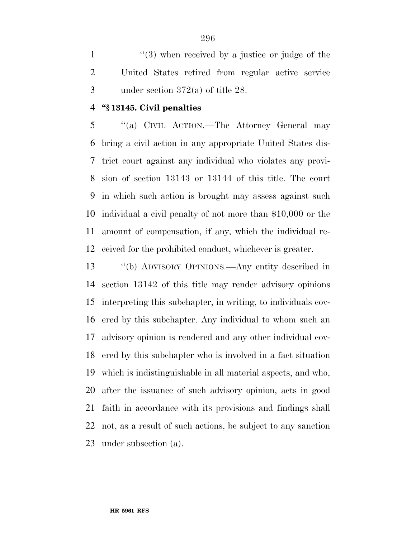1 ''(3) when received by a justice or judge of the United States retired from regular active service under section 372(a) of title 28.

## **''§ 13145. Civil penalties**

 ''(a) CIVIL ACTION.—The Attorney General may bring a civil action in any appropriate United States dis- trict court against any individual who violates any provi- sion of section 13143 or 13144 of this title. The court in which such action is brought may assess against such individual a civil penalty of not more than \$10,000 or the amount of compensation, if any, which the individual re-ceived for the prohibited conduct, whichever is greater.

 ''(b) ADVISORY OPINIONS.—Any entity described in section 13142 of this title may render advisory opinions interpreting this subchapter, in writing, to individuals cov- ered by this subchapter. Any individual to whom such an advisory opinion is rendered and any other individual cov- ered by this subchapter who is involved in a fact situation which is indistinguishable in all material aspects, and who, after the issuance of such advisory opinion, acts in good faith in accordance with its provisions and findings shall not, as a result of such actions, be subject to any sanction under subsection (a).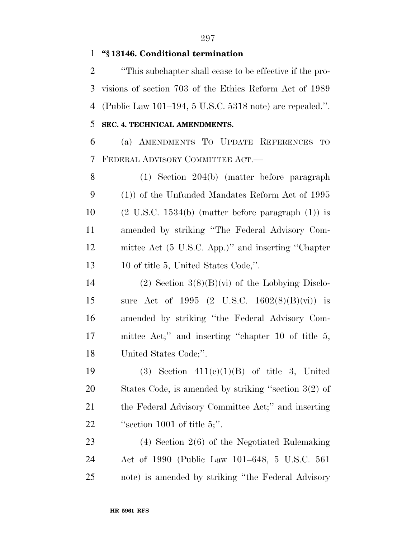### **''§ 13146. Conditional termination**

 ''This subchapter shall cease to be effective if the pro- visions of section 703 of the Ethics Reform Act of 1989 (Public Law 101–194, 5 U.S.C. 5318 note) are repealed.''. **SEC. 4. TECHNICAL AMENDMENTS.** 

 (a) AMENDMENTS TO UPDATE REFERENCES TO FEDERAL ADVISORY COMMITTEE ACT.—

 (1) Section 204(b) (matter before paragraph (1)) of the Unfunded Mandates Reform Act of 1995  $(2 \text{ U.S.C. } 1534(\text{b}) \text{ (matter before paragraph (1)) is}$  amended by striking ''The Federal Advisory Com- mittee Act (5 U.S.C. App.)'' and inserting ''Chapter 10 of title 5, United States Code,''.

14 (2) Section  $3(8)(B)(vi)$  of the Lobbying Disclo- sure Act of 1995 (2 U.S.C. 1602(8)(B)(vi)) is amended by striking ''the Federal Advisory Com- mittee Act;'' and inserting ''chapter 10 of title 5, United States Code;''.

19 (3) Section  $411(e)(1)(B)$  of title 3, United States Code, is amended by striking ''section 3(2) of the Federal Advisory Committee Act;'' and inserting  $"section 1001 of title 5;"$ .

 (4) Section 2(6) of the Negotiated Rulemaking Act of 1990 (Public Law 101–648, 5 U.S.C. 561 note) is amended by striking ''the Federal Advisory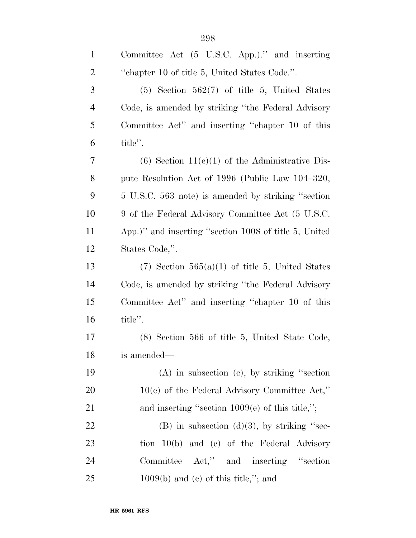| $\mathbf{1}$   | Committee Act (5 U.S.C. App.)." and inserting         |
|----------------|-------------------------------------------------------|
| $\overline{c}$ | "chapter 10 of title 5, United States Code.".         |
| 3              | $(5)$ Section $562(7)$ of title 5, United States      |
| $\overline{4}$ | Code, is amended by striking "the Federal Advisory"   |
| 5              | Committee Act" and inserting "chapter 10 of this      |
| 6              | title".                                               |
| 7              | $(6)$ Section 11 $(e)(1)$ of the Administrative Dis-  |
| 8              | pute Resolution Act of 1996 (Public Law 104–320,      |
| 9              | 5 U.S.C. 563 note) is amended by striking "section    |
| 10             | 9 of the Federal Advisory Committee Act (5 U.S.C.     |
| 11             | App.)" and inserting "section 1008 of title 5, United |
| 12             | States Code,".                                        |
| 13             | $(7)$ Section 565 $(a)(1)$ of title 5, United States  |
| 14             | Code, is amended by striking "the Federal Advisory"   |
| 15             | Committee Act" and inserting "chapter 10 of this      |
| 16             | title".                                               |
| 17             | (8) Section 566 of title 5, United State Code,        |
| 18             | is amended—                                           |
| 19             | $(A)$ in subsection $(c)$ , by striking "section      |
| <b>20</b>      | $10(e)$ of the Federal Advisory Committee Act,"       |
| 21             | and inserting "section $1009(e)$ of this title,";     |
| 22             | $(B)$ in subsection $(d)(3)$ , by striking "sec-      |
| 23             | tion 10(b) and (c) of the Federal Advisory            |
| 24             | Committee Act," and inserting "section                |
| 25             | $1009(b)$ and (c) of this title,"; and                |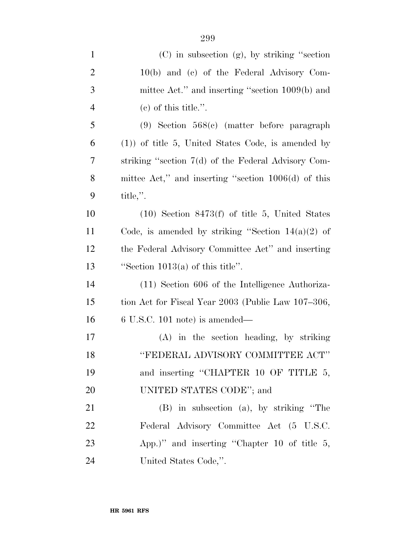| $\mathbf{1}$   | $(C)$ in subsection $(g)$ , by striking "section"     |
|----------------|-------------------------------------------------------|
| $\overline{c}$ | 10(b) and (c) of the Federal Advisory Com-            |
| 3              | mittee Act." and inserting "section 1009(b) and       |
| $\overline{4}$ | $(e)$ of this title.".                                |
| 5              | $(9)$ Section 568 $(c)$ (matter before paragraph)     |
| 6              | $(1)$ of title 5, United States Code, is amended by   |
| 7              | striking "section 7(d) of the Federal Advisory Com-   |
| 8              | mittee Act," and inserting "section $1006(d)$ of this |
| 9              | title,".                                              |
| 10             | $(10)$ Section 8473(f) of title 5, United States      |
| 11             | Code, is amended by striking "Section $14(a)(2)$ of   |
| 12             | the Federal Advisory Committee Act" and inserting     |
| 13             | "Section $1013(a)$ of this title".                    |
| 14             | (11) Section 606 of the Intelligence Authoriza-       |
| 15             | tion Act for Fiscal Year 2003 (Public Law 107–306,    |
| 16             | $6$ U.S.C. 101 note) is amended—                      |
| 17             | $(A)$ in the section heading, by striking             |
| 18             | "FEDERAL ADVISORY COMMITTEE ACT"                      |
| 19             | and inserting "CHAPTER 10 OF TITLE 5,                 |
| 20             | UNITED STATES CODE"; and                              |
| 21             | (B) in subsection (a), by striking "The               |
| 22             | Federal Advisory Committee Act (5 U.S.C.              |
| 23             | App.)" and inserting "Chapter 10 of title $5$ ,       |
| 24             | United States Code,".                                 |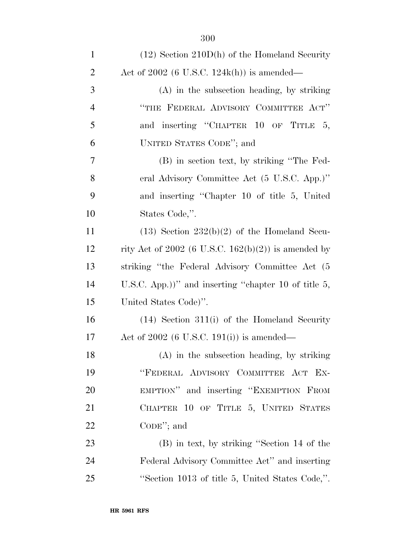| $\mathbf{1}$   | $(12)$ Section 210D(h) of the Homeland Security         |
|----------------|---------------------------------------------------------|
| $\overline{2}$ | Act of $2002$ (6 U.S.C. 124k(h)) is amended—            |
| 3              | $(A)$ in the subsection heading, by striking            |
| $\overline{4}$ | "THE FEDERAL ADVISORY COMMITTEE ACT"                    |
| 5              | and inserting "CHAPTER 10 OF TITLE 5,                   |
| 6              | UNITED STATES CODE"; and                                |
| 7              | (B) in section text, by striking "The Fed-              |
| 8              | eral Advisory Committee Act (5 U.S.C. App.)"            |
| 9              | and inserting "Chapter 10 of title 5, United            |
| 10             | States Code,".                                          |
| 11             | $(13)$ Section $232(b)(2)$ of the Homeland Secu-        |
| 12             | rity Act of 2002 (6 U.S.C. 162(b)(2)) is amended by     |
| 13             | striking "the Federal Advisory Committee Act (5         |
| 14             | U.S.C. App.))" and inserting "chapter 10 of title $5$ , |
| 15             | United States Code)".                                   |
| 16             | $(14)$ Section 311(i) of the Homeland Security          |
| 17             | Act of $2002$ (6 U.S.C. 191(i)) is amended—             |
| 18             | (A) in the subsection heading, by striking              |
| 19             | "FEDERAL ADVISORY COMMITTEE ACT EX-                     |
| 20             | EMPTION" and inserting "EXEMPTION FROM                  |
| 21             | CHAPTER 10 OF TITLE 5, UNITED STATES                    |
| 22             | $CODE$ ; and                                            |
| 23             | (B) in text, by striking "Section 14 of the             |
| 24             | Federal Advisory Committee Act" and inserting           |
| 25             | "Section 1013 of title 5, United States Code,".         |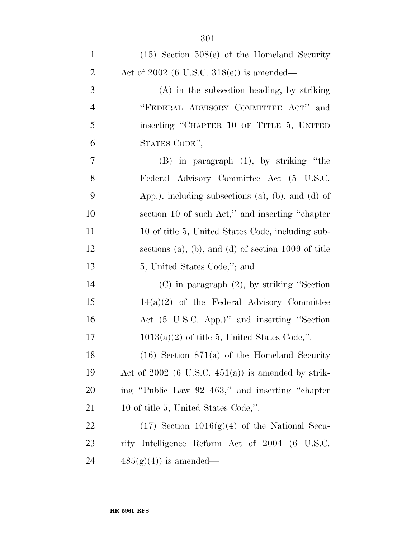| $\mathbf{1}$   | $(15)$ Section $508(e)$ of the Homeland Security          |
|----------------|-----------------------------------------------------------|
| $\overline{2}$ | Act of $2002$ (6 U.S.C. $318(e)$ ) is amended—            |
| 3              | $(A)$ in the subsection heading, by striking              |
| $\overline{4}$ | "FEDERAL ADVISORY COMMITTEE ACT" and                      |
| 5              | inserting "CHAPTER 10 OF TITLE 5, UNITED                  |
| 6              | STATES CODE";                                             |
| 7              | $(B)$ in paragraph $(1)$ , by striking "the               |
| 8              | Federal Advisory Committee Act (5 U.S.C.                  |
| 9              | App.), including subsections $(a)$ , $(b)$ , and $(d)$ of |
| 10             | section 10 of such Act," and inserting "chapter"          |
| 11             | 10 of title 5, United States Code, including sub-         |
| 12             | sections (a), (b), and (d) of section $1009$ of title     |
| 13             | 5, United States Code,"; and                              |
| 14             | $(C)$ in paragraph $(2)$ , by striking "Section"          |
| 15             | $14(a)(2)$ of the Federal Advisory Committee              |
| 16             | Act (5 U.S.C. App.)" and inserting "Section               |
| 17             | $1013(a)(2)$ of title 5, United States Code,".            |
| 18             | $(16)$ Section $871(a)$ of the Homeland Security          |
| 19             | Act of $2002$ (6 U.S.C. $451(a)$ ) is amended by strik-   |
| 20             | ing "Public Law 92–463," and inserting "chapter           |
| 21             | 10 of title 5, United States Code,".                      |
| 22             | $(17)$ Section $1016(g)(4)$ of the National Secu-         |
| 23             | rity Intelligence Reform Act of 2004 (6 U.S.C.            |
| 24             | $485(g)(4)$ is amended—                                   |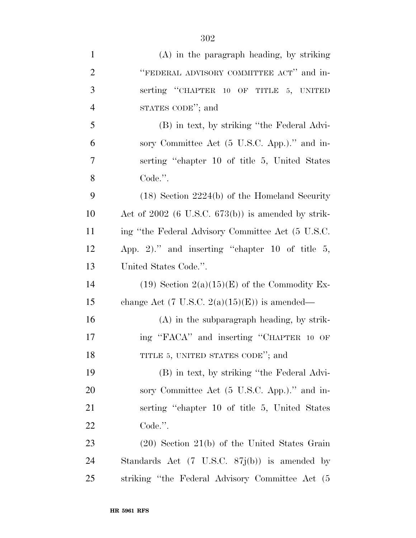| $\mathbf{1}$   | $(A)$ in the paragraph heading, by striking             |
|----------------|---------------------------------------------------------|
| $\overline{2}$ | "FEDERAL ADVISORY COMMITTEE ACT" and in-                |
| 3              | serting "CHAPTER 10 OF TITLE 5, UNITED                  |
| $\overline{4}$ | STATES CODE"; and                                       |
| 5              | (B) in text, by striking "the Federal Advi-             |
| 6              | sory Committee Act (5 U.S.C. App.)." and in-            |
| 7              | serting "chapter 10 of title 5, United States"          |
| 8              | Code.".                                                 |
| 9              | $(18)$ Section 2224(b) of the Homeland Security         |
| 10             | Act of $2002$ (6 U.S.C. $673(b)$ ) is amended by strik- |
| 11             | ing "the Federal Advisory Committee Act (5 U.S.C.       |
| 12             | App. 2)." and inserting "chapter 10 of title $5$ ,      |
| 13             | United States Code.".                                   |
| 14             | (19) Section $2(a)(15)(E)$ of the Commodity Ex-         |
| 15             | change Act (7 U.S.C. $2(a)(15)(E)$ ) is amended—        |
| 16             | $(A)$ in the subparagraph heading, by strik-            |
| 17             | ing "FACA" and inserting "CHAPTER 10 OF                 |
| 18             | TITLE 5, UNITED STATES CODE"; and                       |
| 19             | (B) in text, by striking "the Federal Advi-             |
| 20             | sory Committee Act (5 U.S.C. App.)." and in-            |
| 21             | serting "chapter 10 of title 5, United States"          |
| <u>22</u>      | Code.".                                                 |
| 23             | $(20)$ Section 21(b) of the United States Grain         |
| 24             | Standards Act (7 U.S.C. 87j(b)) is amended by           |
| 25             | striking "the Federal Advisory Committee Act (5)        |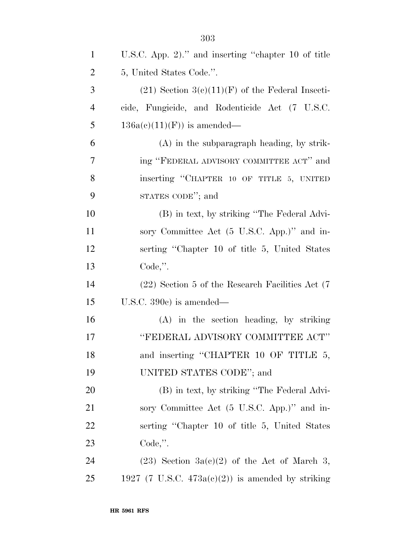| $\mathbf{1}$   | U.S.C. App. 2)." and inserting "chapter 10 of title  |
|----------------|------------------------------------------------------|
| $\overline{2}$ | 5, United States Code.".                             |
| 3              | $(21)$ Section 3(c)(11)(F) of the Federal Insecti-   |
| $\overline{4}$ | cide, Fungicide, and Rodenticide Act (7 U.S.C.       |
| 5              | $136a(c)(11)(F)$ is amended—                         |
| 6              | $(A)$ in the subparagraph heading, by strik-         |
| 7              | ing "FEDERAL ADVISORY COMMITTEE ACT" and             |
| 8              | inserting "CHAPTER 10 OF TITLE 5, UNITED             |
| 9              | STATES CODE"; and                                    |
| 10             | (B) in text, by striking "The Federal Advi-          |
| 11             | sory Committee Act (5 U.S.C. App.)" and in-          |
| 12             | serting "Chapter 10 of title 5, United States"       |
| 13             | Code,".                                              |
| 14             | (22) Section 5 of the Research Facilities Act (7)    |
| 15             | U.S.C. $390c$ is amended—                            |
| 16             | (A) in the section heading, by striking              |
| 17             | "FEDERAL ADVISORY COMMITTEE ACT"                     |
| 18             | and inserting "CHAPTER 10 OF TITLE 5,                |
| 19             | UNITED STATES CODE"; and                             |
| 20             | (B) in text, by striking "The Federal Advi-          |
| 21             | sory Committee Act (5 U.S.C. App.)" and in-          |
| 22             | serting "Chapter 10 of title 5, United States        |
| 23             | $Code,$ ".                                           |
| 24             | $(23)$ Section 3a(c)(2) of the Act of March 3,       |
| 25             | 1927 (7 U.S.C. $473a(c)(2)$ ) is amended by striking |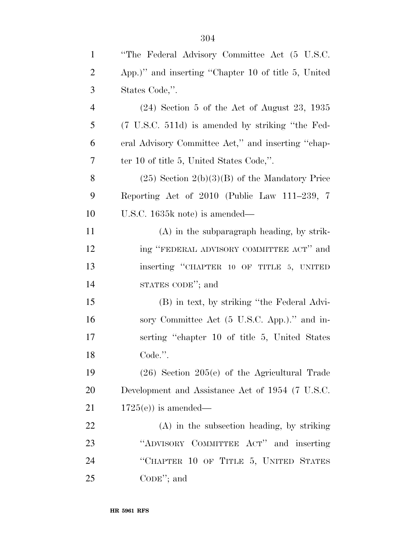| $\mathbf{1}$   | "The Federal Advisory Committee Act (5 U.S.C.       |
|----------------|-----------------------------------------------------|
| $\overline{2}$ | App.)" and inserting "Chapter 10 of title 5, United |
| $\mathfrak{Z}$ | States Code,".                                      |
| $\overline{4}$ | $(24)$ Section 5 of the Act of August 23, 1935      |
| 5              | (7 U.S.C. 511d) is amended by striking "the Fed-    |
| 6              | eral Advisory Committee Act," and inserting "chap-  |
| $\tau$         | ter 10 of title 5, United States Code,".            |
| 8              | $(25)$ Section $2(b)(3)(B)$ of the Mandatory Price  |
| 9              | Reporting Act of 2010 (Public Law 111–239, 7        |
| 10             | U.S.C. 1635k note) is amended—                      |
| 11             | $(A)$ in the subparagraph heading, by strik-        |
| 12             | ing "FEDERAL ADVISORY COMMITTEE ACT" and            |
| 13             | inserting "CHAPTER 10 OF TITLE 5, UNITED            |
| 14             | STATES CODE"; and                                   |
| 15             | (B) in text, by striking "the Federal Advi-         |
| 16             | sory Committee Act (5 U.S.C. App.)." and in-        |
| 17             | serting "chapter 10 of title 5, United States"      |
| 18             | Code.".                                             |
| 19             | $(26)$ Section $205(e)$ of the Agricultural Trade   |
| 20             | Development and Assistance Act of 1954 (7 U.S.C.    |
| 21             | $1725(e)$ is amended—                               |
| 22             | $(A)$ in the subsection heading, by striking        |
| 23             | "ADVISORY COMMITTEE ACT" and inserting              |
| 24             | "CHAPTER 10 OF TITLE 5, UNITED STATES               |
| 25             | $\mathrm{CoDE}$ "; and                              |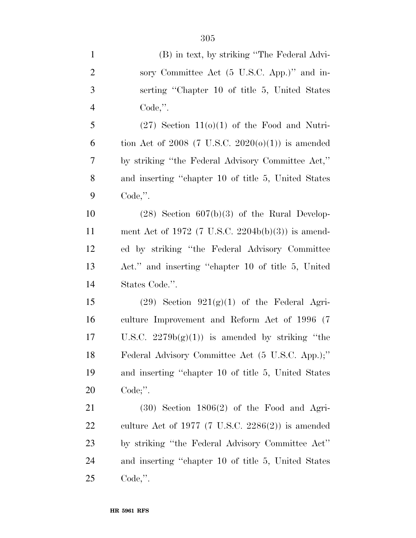| $\mathbf{1}$   | (B) in text, by striking "The Federal Advi-          |
|----------------|------------------------------------------------------|
| $\overline{2}$ | sory Committee Act (5 U.S.C. App.)" and in-          |
| 3              | serting "Chapter 10 of title 5, United States        |
| $\overline{4}$ | $Code,$ ".                                           |
| 5              | $(27)$ Section $11(0)(1)$ of the Food and Nutri-     |
| 6              | tion Act of 2008 (7 U.S.C. 2020(o)(1)) is amended    |
| $\tau$         | by striking "the Federal Advisory Committee Act,"    |
| 8              | and inserting "chapter 10 of title 5, United States" |
| 9              | $Code,$ ".                                           |
| 10             | $(28)$ Section $607(b)(3)$ of the Rural Develop-     |
| 11             | ment Act of 1972 (7 U.S.C. 2204b(b)(3)) is amend-    |
| 12             | ed by striking "the Federal Advisory Committee       |
| 13             | Act." and inserting "chapter 10 of title 5, United   |
| 14             | States Code.".                                       |
| 15             | $(29)$ Section $921(g)(1)$ of the Federal Agri-      |
| 16             | culture Improvement and Reform Act of 1996 (7        |
| $17\,$         | U.S.C. $2279b(g)(1)$ is amended by striking "the     |
| 18             | Federal Advisory Committee Act (5 U.S.C. App.);"     |
| 19             | and inserting "chapter 10 of title 5, United States  |
| 20             | Code;".                                              |
| 21             | $(30)$ Section $1806(2)$ of the Food and Agri-       |
| 22             | culture Act of 1977 (7 U.S.C. 2286(2)) is amended    |
| 23             | by striking "the Federal Advisory Committee Act"     |
| 24             | and inserting "chapter 10 of title 5, United States  |
| 25             | $Code,$ ".                                           |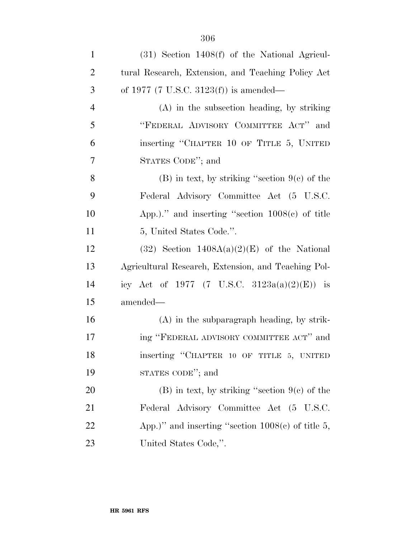| $\mathbf{1}$   | $(31)$ Section 1408 $(f)$ of the National Agricul-  |
|----------------|-----------------------------------------------------|
| $\overline{2}$ | tural Research, Extension, and Teaching Policy Act  |
| 3              | of 1977 (7 U.S.C. 3123(f)) is amended—              |
| $\overline{4}$ | $(A)$ in the subsection heading, by striking        |
| 5              | "FEDERAL ADVISORY COMMITTEE ACT" and                |
| 6              | inserting "CHAPTER 10 OF TITLE 5, UNITED            |
| 7              | STATES CODE"; and                                   |
| 8              | $(B)$ in text, by striking "section $9(c)$ of the   |
| 9              | Federal Advisory Committee Act (5 U.S.C.            |
| 10             | App.)." and inserting "section $1008(e)$ of title   |
| 11             | 5, United States Code.".                            |
| 12             | $(32)$ Section $1408A(a)(2)(E)$ of the National     |
| 13             | Agricultural Research, Extension, and Teaching Pol- |
| 14             | icy Act of 1977 (7 U.S.C. 3123a(a)(2)(E)) is        |
| 15             | amended—                                            |
| 16             | $(A)$ in the subparagraph heading, by strik-        |
| 17             | ing "FEDERAL ADVISORY COMMITTEE ACT" and            |
| 18             | inserting "CHAPTER 10 OF TITLE 5, UNITED            |
| 19             | STATES CODE"; and                                   |
| 20             | $(B)$ in text, by striking "section $9(c)$ of the   |
| 21             | Federal Advisory Committee Act (5 U.S.C.            |
| 22             | App.)" and inserting "section $1008(c)$ of title 5, |
| 23             | United States Code,".                               |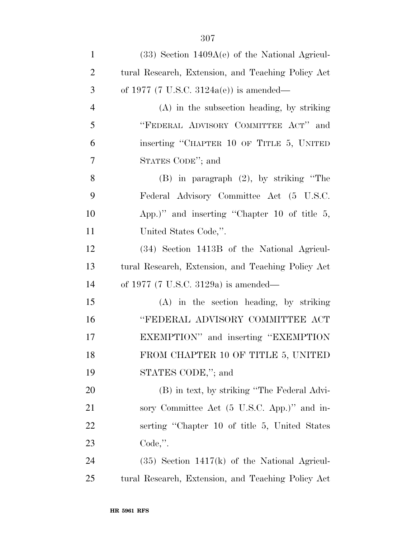| $\mathbf{1}$   | $(33)$ Section 1409A(e) of the National Agricul-   |
|----------------|----------------------------------------------------|
| $\overline{2}$ | tural Research, Extension, and Teaching Policy Act |
| 3              | of 1977 (7 U.S.C. 3124a(e)) is amended—            |
| $\overline{4}$ | $(A)$ in the subsection heading, by striking       |
| 5              | "FEDERAL ADVISORY COMMITTEE ACT" and               |
| 6              | inserting "CHAPTER 10 OF TITLE 5, UNITED           |
| 7              | STATES CODE"; and                                  |
| 8              | $(B)$ in paragraph $(2)$ , by striking "The        |
| 9              | Federal Advisory Committee Act (5 U.S.C.           |
| 10             | App.)" and inserting "Chapter 10 of title 5,       |
| 11             | United States Code,".                              |
| 12             | (34) Section 1413B of the National Agricul-        |
| 13             | tural Research, Extension, and Teaching Policy Act |
| 14             | of 1977 (7 U.S.C. 3129a) is amended—               |
| 15             | (A) in the section heading, by striking            |
| 16             | "FEDERAL ADVISORY COMMITTEE ACT                    |
| 17             | EXEMPTION" and inserting "EXEMPTION                |
| 18             | FROM CHAPTER 10 OF TITLE 5, UNITED                 |
| 19             | STATES CODE,"; and                                 |
| 20             | (B) in text, by striking "The Federal Advi-        |
| 21             | sory Committee Act (5 U.S.C. App.)" and in-        |
| 22             | serting "Chapter 10 of title 5, United States      |
| 23             | $Code,$ ".                                         |
| 24             | $(35)$ Section 1417(k) of the National Agricul-    |
| 25             | tural Research, Extension, and Teaching Policy Act |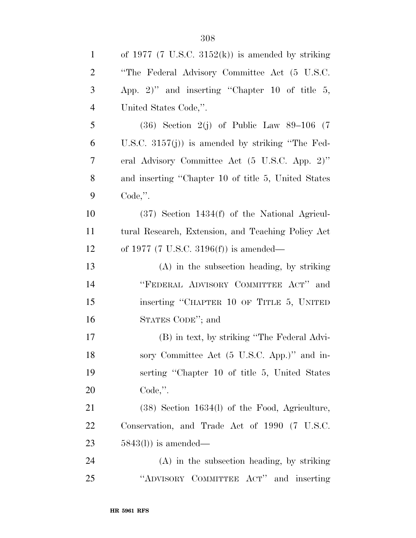| $\mathbf{1}$   | of 1977 (7 U.S.C. 3152 $(k)$ ) is amended by striking |
|----------------|-------------------------------------------------------|
| $\overline{2}$ | "The Federal Advisory Committee Act (5 U.S.C.         |
| 3              | App. 2)" and inserting "Chapter 10 of title $5$ ,     |
| $\overline{4}$ | United States Code,".                                 |
| 5              | $(36)$ Section 2(j) of Public Law 89–106 (7)          |
| 6              | U.S.C. $3157(j)$ is amended by striking "The Fed-     |
| $\overline{7}$ | eral Advisory Committee Act (5 U.S.C. App. 2)"        |
| 8              | and inserting "Chapter 10 of title 5, United States   |
| 9              | $Code,$ ".                                            |
| 10             | $(37)$ Section 1434 $(f)$ of the National Agricul-    |
| 11             | tural Research, Extension, and Teaching Policy Act    |
| 12             | of 1977 (7 U.S.C. 3196(f)) is amended—                |
| 13             | $(A)$ in the subsection heading, by striking          |
| 14             | "FEDERAL ADVISORY COMMITTEE ACT" and                  |
| 15             | inserting "CHAPTER 10 OF TITLE 5, UNITED              |
| 16             | STATES CODE"; and                                     |
| 17             | (B) in text, by striking "The Federal Advi-           |
| 18             | sory Committee Act (5 U.S.C. App.)" and in-           |
| 19             | serting "Chapter 10 of title 5, United States         |
| 20             | $Code,$ ".                                            |
| 21             | $(38)$ Section 1634(l) of the Food, Agriculture,      |
| 22             | Conservation, and Trade Act of 1990 (7 U.S.C.         |
| 23             | $5843(l)$ ) is amended—                               |
| 24             | $(A)$ in the subsection heading, by striking          |
| 25             | "ADVISORY COMMITTEE ACT"<br>and inserting             |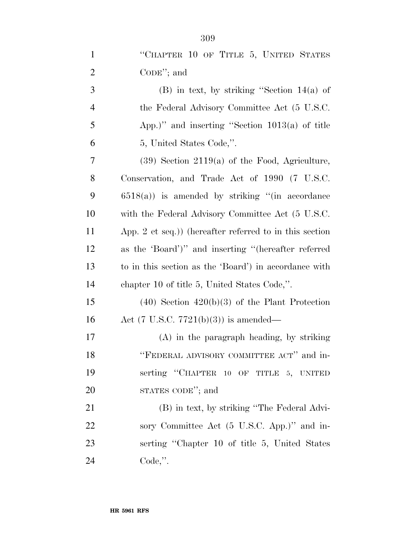| $\mathbf{1}$   | "CHAPTER 10 OF TITLE 5, UNITED STATES                   |
|----------------|---------------------------------------------------------|
| $\overline{2}$ | $CoDE$ "; and                                           |
| $\mathfrak{Z}$ | $(B)$ in text, by striking "Section 14(a) of            |
| $\overline{4}$ | the Federal Advisory Committee Act (5 U.S.C.            |
| 5              | App.)" and inserting "Section $1013(a)$ of title        |
| 6              | 5, United States Code,".                                |
| $\overline{7}$ | $(39)$ Section 2119(a) of the Food, Agriculture,        |
| 8              | Conservation, and Trade Act of 1990 (7 U.S.C.           |
| 9              | $6518(a)$ ) is amended by striking "(in accordance      |
| 10             | with the Federal Advisory Committee Act (5 U.S.C.       |
| 11             | App. 2 et seq.)) (hereafter referred to in this section |
| 12             | as the 'Board')" and inserting "(hereafter referred     |
| 13             | to in this section as the 'Board') in accordance with   |
| 14             | chapter 10 of title 5, United States Code,".            |
| 15             | $(40)$ Section $420(b)(3)$ of the Plant Protection      |
| 16             | Act $(7 \text{ U.S.C. } 7721(b)(3))$ is amended—        |
| $17\,$         | $(A)$ in the paragraph heading, by striking             |
| 18             | "FEDERAL ADVISORY COMMITTEE ACT" and in-                |
| 19             | serting "CHAPTER 10 OF TITLE 5, UNITED                  |
| 20             | STATES CODE"; and                                       |
| 21             | (B) in text, by striking "The Federal Advi-             |
| 22             | sory Committee Act (5 U.S.C. App.)" and in-             |
| 23             | serting "Chapter 10 of title 5, United States"          |
| 24             | $Code,$ ".                                              |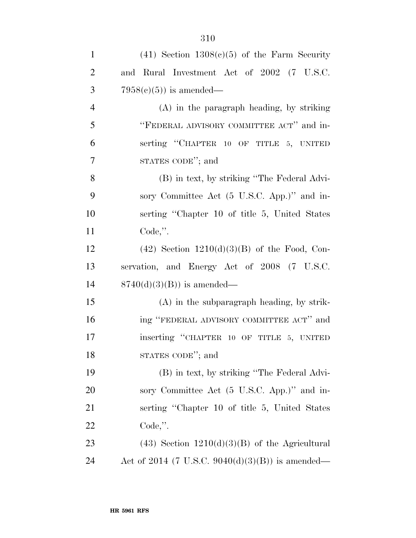| $\mathbf{1}$   | $(41)$ Section $1308(c)(5)$ of the Farm Security   |
|----------------|----------------------------------------------------|
| $\overline{2}$ | and Rural Investment Act of 2002 (7 U.S.C.         |
| 3              | $7958(c)(5)$ is amended—                           |
| $\overline{4}$ | $(A)$ in the paragraph heading, by striking        |
| 5              | "FEDERAL ADVISORY COMMITTEE ACT" and in-           |
| 6              | serting "CHAPTER 10 OF TITLE 5, UNITED             |
| $\overline{7}$ | STATES CODE"; and                                  |
| 8              | (B) in text, by striking "The Federal Advi-        |
| 9              | sory Committee Act (5 U.S.C. App.)" and in-        |
| 10             | serting "Chapter 10 of title 5, United States"     |
| 11             | Code,".                                            |
| 12             | $(42)$ Section $1210(d)(3)(B)$ of the Food, Con-   |
| 13             | servation, and Energy Act of 2008 (7 U.S.C.        |
| 14             | $8740(d)(3)(B)$ is amended—                        |
| 15             | $(A)$ in the subparagraph heading, by strik-       |
| 16             | ing "FEDERAL ADVISORY COMMITTEE ACT" and           |
| 17             | inserting "CHAPTER 10 OF TITLE 5, UNITED           |
| 18             | STATES CODE"; and                                  |
| 19             | (B) in text, by striking "The Federal Advi-        |
| 20             | sory Committee Act (5 U.S.C. App.)" and in-        |
| 21             | serting "Chapter 10 of title 5, United States"     |
| 22             | $Code,$ ".                                         |
| 23             | $(43)$ Section $1210(d)(3)(B)$ of the Agricultural |
| 24             | Act of 2014 (7 U.S.C. 9040(d)(3)(B)) is amended—   |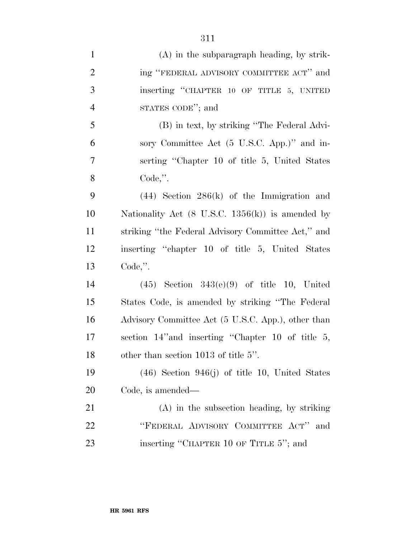| $\mathbf{1}$   | $(A)$ in the subparagraph heading, by strik-                |
|----------------|-------------------------------------------------------------|
| $\overline{2}$ | ing "FEDERAL ADVISORY COMMITTEE ACT" and                    |
| 3              | inserting "CHAPTER 10 OF TITLE 5, UNITED                    |
| $\overline{4}$ | STATES CODE"; and                                           |
| 5              | (B) in text, by striking "The Federal Advi-                 |
| 6              | sory Committee Act (5 U.S.C. App.)" and in-                 |
| 7              | serting "Chapter 10 of title 5, United States"              |
| 8              | $Code,$ ".                                                  |
| 9              | $(44)$ Section $286(k)$ of the Immigration and              |
| 10             | Nationality Act $(8 \text{ U.S.C. } 1356(k))$ is amended by |
| 11             | striking "the Federal Advisory Committee Act," and          |
| 12             | inserting "chapter 10 of title 5, United States"            |
| 13             | Code,".                                                     |
| 14             | $(45)$ Section $343(e)(9)$ of title 10, United              |
| 15             | States Code, is amended by striking "The Federal"           |
| 16             | Advisory Committee Act (5 U.S.C. App.), other than          |
| 17             | section 14" and inserting "Chapter 10 of title 5,           |
| 18             | other than section 1013 of title 5".                        |
| 19             | $(46)$ Section 946(j) of title 10, United States            |
| 20             | Code, is amended—                                           |
| 21             | $(A)$ in the subsection heading, by striking                |
| <u>22</u>      | "FEDERAL ADVISORY COMMITTEE ACT"<br>and                     |
| 23             | inserting "CHAPTER 10 OF TITLE 5"; and                      |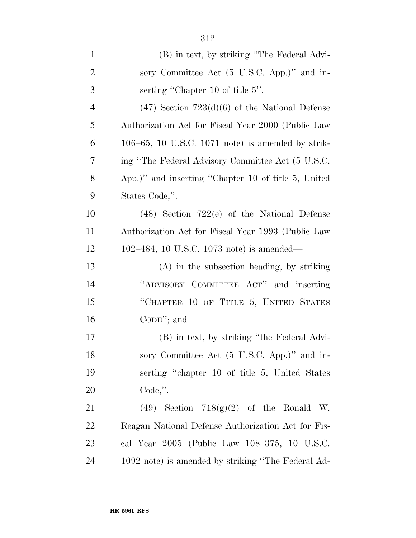| $\mathbf{1}$   | (B) in text, by striking "The Federal Advi-          |
|----------------|------------------------------------------------------|
| $\overline{2}$ | sory Committee Act (5 U.S.C. App.)" and in-          |
| 3              | serting "Chapter 10 of title 5".                     |
| $\overline{4}$ | $(47)$ Section $723(d)(6)$ of the National Defense   |
| 5              | Authorization Act for Fiscal Year 2000 (Public Law   |
| 6              | $106-65$ , 10 U.S.C. 1071 note) is amended by strik- |
| 7              | ing "The Federal Advisory Committee Act (5 U.S.C.    |
| 8              | App.)" and inserting "Chapter 10 of title 5, United  |
| 9              | States Code,".                                       |
| 10             | $(48)$ Section 722(e) of the National Defense        |
| 11             | Authorization Act for Fiscal Year 1993 (Public Law   |
| 12             | 102–484, 10 U.S.C. 1073 note) is amended—            |
| 13             | $(A)$ in the subsection heading, by striking         |
| 14             | "ADVISORY COMMITTEE ACT" and inserting               |
| 15             | "CHAPTER 10 OF TITLE 5, UNITED STATES                |
| 16             | $CoDE$ "; and                                        |
| 17             | (B) in text, by striking "the Federal Advi-          |
| 18             | sory Committee Act (5 U.S.C. App.)" and in-          |
| 19             | serting "chapter 10 of title 5, United States"       |
| 20             | $Code,$ ".                                           |
| 21             | $(49)$ Section $718(g)(2)$ of the Ronald W.          |
| 22             | Reagan National Defense Authorization Act for Fis-   |
| 23             | cal Year 2005 (Public Law 108-375, 10 U.S.C.         |
| 24             | 1092 note) is amended by striking "The Federal Ad-   |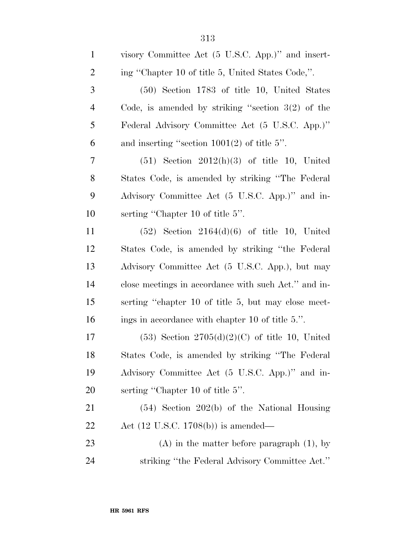| $\mathbf{1}$   | visory Committee Act (5 U.S.C. App.)" and insert-    |
|----------------|------------------------------------------------------|
| $\overline{2}$ | ing "Chapter 10 of title 5, United States Code,".    |
| 3              | $(50)$ Section 1783 of title 10, United States       |
| $\overline{4}$ | Code, is amended by striking "section $3(2)$ of the  |
| 5              | Federal Advisory Committee Act (5 U.S.C. App.)"      |
| 6              | and inserting "section $1001(2)$ of title 5".        |
| 7              | $(51)$ Section $2012(h)(3)$ of title 10, United      |
| 8              | States Code, is amended by striking "The Federal"    |
| 9              | Advisory Committee Act (5 U.S.C. App.)" and in-      |
| 10             | serting "Chapter 10 of title 5".                     |
| 11             | $(52)$ Section $2164(d)(6)$ of title 10, United      |
| 12             | States Code, is amended by striking "the Federal"    |
| 13             | Advisory Committee Act (5 U.S.C. App.), but may      |
| 14             | close meetings in accordance with such Act." and in- |
| 15             | serting "chapter 10 of title 5, but may close meet-  |
| 16             | ings in accordance with chapter 10 of title 5.".     |
| 17             | $(53)$ Section $2705(d)(2)(C)$ of title 10, United   |
| 18             | States Code, is amended by striking "The Federal     |
| 19             | Advisory Committee Act (5 U.S.C. App.)" and in-      |
| 20             | serting "Chapter 10 of title 5".                     |
| 21             | $(54)$ Section 202(b) of the National Housing        |
| 22             | Act $(12 \text{ U.S.C. } 1708(b))$ is amended—       |
| 23             | $(A)$ in the matter before paragraph $(1)$ , by      |
| 24             | striking "the Federal Advisory Committee Act."       |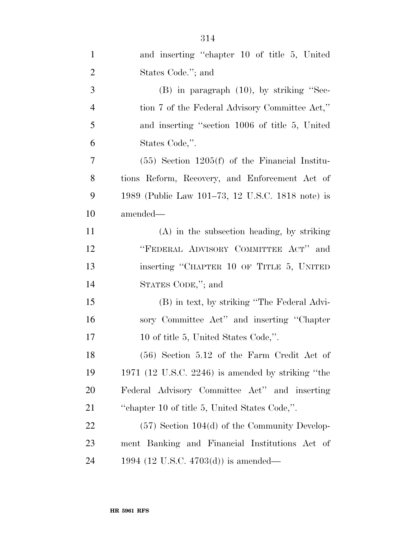| $\mathbf{1}$   | and inserting "chapter 10 of title 5, United      |
|----------------|---------------------------------------------------|
| $\overline{2}$ | States Code."; and                                |
| 3              | $(B)$ in paragraph $(10)$ , by striking "Sec-     |
| $\overline{4}$ | tion 7 of the Federal Advisory Committee Act,"    |
| 5              | and inserting "section 1006 of title 5, United    |
| 6              | States Code,".                                    |
| 7              | $(55)$ Section 1205(f) of the Financial Institu-  |
| 8              | tions Reform, Recovery, and Enforcement Act of    |
| 9              | 1989 (Public Law 101–73, 12 U.S.C. 1818 note) is  |
| 10             | amended—                                          |
| 11             | $(A)$ in the subsection heading, by striking      |
| 12             | "FEDERAL ADVISORY COMMITTEE ACT" and              |
| 13             | inserting "CHAPTER 10 OF TITLE 5, UNITED          |
| 14             | STATES CODE,"; and                                |
| 15             | (B) in text, by striking "The Federal Advi-       |
| 16             | sory Committee Act" and inserting "Chapter"       |
| 17             | 10 of title 5, United States Code,".              |
| 18             | (56) Section 5.12 of the Farm Credit Act of       |
| 19             | 1971 (12 U.S.C. 2246) is amended by striking "the |
| 20             | Federal Advisory Committee Act" and inserting     |
| 21             | "chapter 10 of title 5, United States Code,".     |
| 22             | $(57)$ Section 104(d) of the Community Develop-   |
| 23             | ment Banking and Financial Institutions Act of    |
| 24             | 1994 (12 U.S.C. 4703(d)) is amended—              |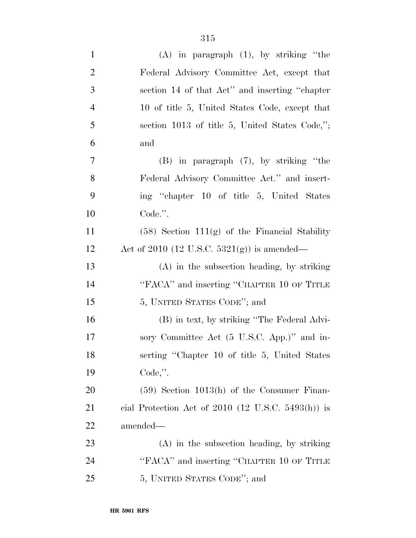| $\mathbf{1}$   | $(A)$ in paragraph $(1)$ , by striking "the          |
|----------------|------------------------------------------------------|
| $\overline{2}$ | Federal Advisory Committee Act, except that          |
| 3              | section 14 of that Act" and inserting "chapter       |
| $\overline{4}$ | 10 of title 5, United States Code, except that       |
| 5              | section 1013 of title 5, United States Code,";       |
| 6              | and                                                  |
| $\tau$         | $(B)$ in paragraph $(7)$ , by striking "the          |
| 8              | Federal Advisory Committee Act." and insert-         |
| 9              | ing "chapter 10 of title 5, United States"           |
| 10             | Code.".                                              |
| 11             | $(58)$ Section 111 $(g)$ of the Financial Stability  |
| 12             | Act of 2010 (12 U.S.C. 5321(g)) is amended—          |
| 13             | $(A)$ in the subsection heading, by striking         |
| 14             | "FACA" and inserting "CHAPTER 10 OF TITLE            |
| 15             | 5, UNITED STATES CODE"; and                          |
| 16             | (B) in text, by striking "The Federal Advi-          |
| 17             | sory Committee Act (5 U.S.C. App.)" and in-          |
| 18             | serting "Chapter 10 of title 5, United States        |
| 19             | $Code,$ ".                                           |
| 20             | $(59)$ Section 1013(h) of the Consumer Finan-        |
| 21             | cial Protection Act of $2010$ (12 U.S.C. 5493(h)) is |
| 22             | amended—                                             |
| 23             | $(A)$ in the subsection heading, by striking         |
| 24             | "FACA" and inserting "CHAPTER 10 OF TITLE            |
| 25             | 5, UNITED STATES CODE"; and                          |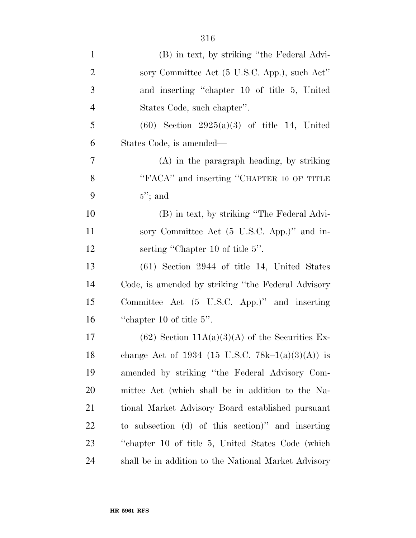| $\mathbf{1}$   | (B) in text, by striking "the Federal Advi-          |
|----------------|------------------------------------------------------|
| $\overline{2}$ | sory Committee Act (5 U.S.C. App.), such Act"        |
| 3              | and inserting "chapter 10 of title 5, United         |
| $\overline{4}$ | States Code, such chapter".                          |
| 5              | $(60)$ Section 2925(a)(3) of title 14, United        |
| 6              | States Code, is amended—                             |
| 7              | $(A)$ in the paragraph heading, by striking          |
| 8              | "FACA" and inserting "CHAPTER 10 OF TITLE            |
| 9              | $5$ "; and                                           |
| 10             | (B) in text, by striking "The Federal Advi-          |
| 11             | sory Committee Act (5 U.S.C. App.)" and in-          |
| 12             | serting "Chapter 10 of title 5".                     |
| 13             | $(61)$ Section 2944 of title 14, United States       |
| 14             | Code, is amended by striking "the Federal Advisory"  |
| 15             | Committee Act (5 U.S.C. App.)" and inserting         |
| 16             | "chapter 10 of title $5$ ".                          |
| 17             | $(62)$ Section 11A(a)(3)(A) of the Securities Ex-    |
| 18             | change Act of 1934 (15 U.S.C. 78k-1(a)(3)(A)) is     |
| 19             | amended by striking "the Federal Advisory Com-       |
| 20             | mittee Act (which shall be in addition to the Na-    |
| 21             | tional Market Advisory Board established pursuant    |
| 22             | to subsection (d) of this section)" and inserting    |
| 23             | "chapter 10 of title 5, United States Code (which    |
| 24             | shall be in addition to the National Market Advisory |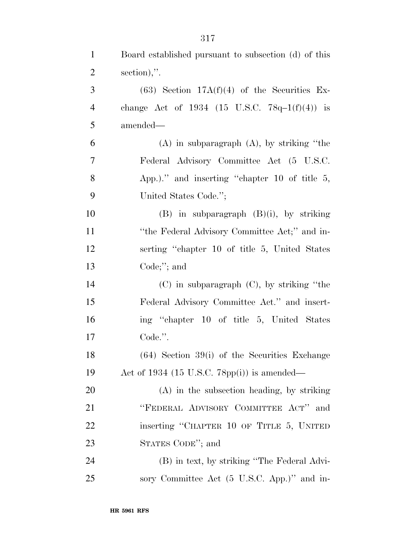| $\mathbf{1}$   | Board established pursuant to subsection (d) of this |
|----------------|------------------------------------------------------|
| $\overline{2}$ | section),".                                          |
| 3              | $(63)$ Section 17A(f)(4) of the Securities Ex-       |
| $\overline{4}$ | change Act of 1934 (15 U.S.C. $78q-1(f)(4)$ ) is     |
| 5              | amended—                                             |
| 6              | $(A)$ in subparagraph $(A)$ , by striking "the       |
| $\overline{7}$ | Federal Advisory Committee Act (5 U.S.C.             |
| 8              | App.)." and inserting "chapter 10 of title $5$ ,     |
| 9              | United States Code.";                                |
| 10             | $(B)$ in subparagraph $(B)(i)$ , by striking         |
| 11             | "the Federal Advisory Committee Act;" and in-        |
| 12             | serting "chapter 10 of title 5, United States"       |
| 13             | Code; $";$ and                                       |
| 14             | $(C)$ in subparagraph $(C)$ , by striking "the       |
| 15             | Federal Advisory Committee Act." and insert-         |
| 16             | ing "chapter 10 of title 5, United States            |
| 17             | Code.".                                              |
| 18             | $(64)$ Section 39(i) of the Securities Exchange      |
| 19             | Act of 1934 (15 U.S.C. 78pp(i)) is amended—          |
| <b>20</b>      | (A) in the subsection heading, by striking           |
| 21             | "FEDERAL ADVISORY COMMITTEE ACT" and                 |
| 22             | inserting "CHAPTER 10 OF TITLE 5, UNITED             |
| 23             | STATES CODE"; and                                    |
| 24             | (B) in text, by striking "The Federal Advi-          |
| 25             | sory Committee Act (5 U.S.C. App.)" and in-          |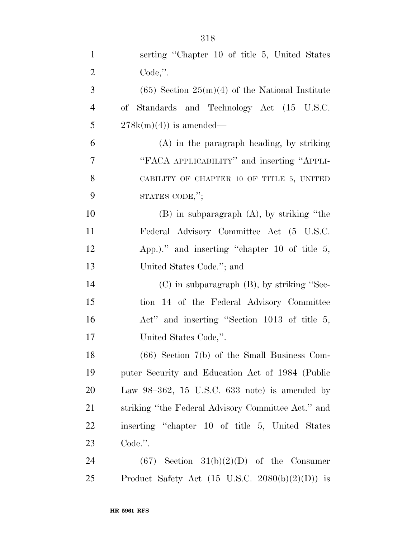| $\mathbf{1}$   | serting "Chapter 10 of title 5, United States              |
|----------------|------------------------------------------------------------|
| $\overline{2}$ | $Code,$ ".                                                 |
| 3              | $(65)$ Section $25(m)(4)$ of the National Institute        |
| $\overline{4}$ | of Standards and Technology Act (15 U.S.C.                 |
| 5              | $278k(m)(4)$ is amended—                                   |
| 6              | $(A)$ in the paragraph heading, by striking                |
| 7              | "FACA APPLICABILITY" and inserting "APPLI-                 |
| 8              | CABILITY OF CHAPTER 10 OF TITLE 5, UNITED                  |
| 9              | STATES CODE,";                                             |
| 10             | $(B)$ in subparagraph $(A)$ , by striking "the             |
| 11             | Federal Advisory Committee Act (5 U.S.C.                   |
| 12             | App.)." and inserting "chapter 10 of title $5$ ,           |
| 13             | United States Code."; and                                  |
| 14             | $(C)$ in subparagraph $(B)$ , by striking "Sec-            |
| 15             | tion 14 of the Federal Advisory Committee                  |
| 16             | Act" and inserting "Section 1013 of title 5,               |
| 17             | United States Code,".                                      |
| 18             | $(66)$ Section $7(b)$ of the Small Business Com-           |
| 19             | puter Security and Education Act of 1984 (Public           |
| 20             | Law $98-362$ , 15 U.S.C. 633 note) is amended by           |
| 21             | striking "the Federal Advisory Committee Act." and         |
| 22             | inserting "chapter 10 of title 5, United States"           |
| 23             | Code.".                                                    |
| 24             | $(67)$ Section 31(b)(2)(D) of the Consumer                 |
| 25             | Product Safety Act $(15 \text{ U.S.C. } 2080(b)(2)(D))$ is |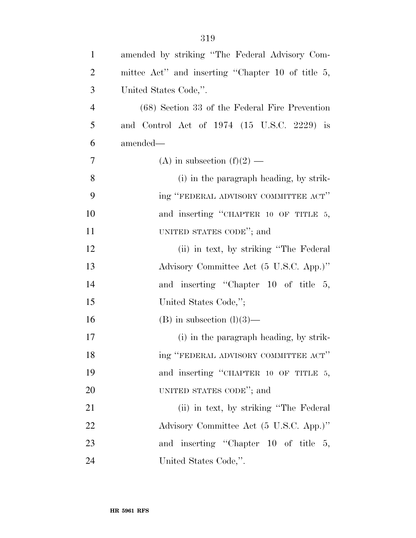| $\mathbf{1}$   | amended by striking "The Federal Advisory Com-    |
|----------------|---------------------------------------------------|
| $\overline{2}$ | mittee Act" and inserting "Chapter 10 of title 5, |
| 3              | United States Code,".                             |
| $\overline{4}$ | (68) Section 33 of the Federal Fire Prevention    |
| 5              | and Control Act of 1974 (15 U.S.C. 2229) is       |
| 6              | amended—                                          |
| $\tau$         | (A) in subsection $(f)(2)$ —                      |
| 8              | (i) in the paragraph heading, by strik-           |
| 9              | ing "FEDERAL ADVISORY COMMITTEE ACT"              |
| 10             | and inserting "CHAPTER 10 OF TITLE 5,             |
| 11             | UNITED STATES CODE"; and                          |
| 12             | (ii) in text, by striking "The Federal"           |
| 13             | Advisory Committee Act (5 U.S.C. App.)"           |
| 14             | and inserting "Chapter 10 of title 5,             |
| 15             | United States Code,";                             |
| 16             | $(B)$ in subsection $(l)(3)$ —                    |
| 17             | (i) in the paragraph heading, by strik-           |
| 18             | ing "FEDERAL ADVISORY COMMITTEE ACT"              |
| 19             | and inserting "CHAPTER 10 OF TITLE 5,             |
| 20             | UNITED STATES CODE"; and                          |
| 21             | (ii) in text, by striking "The Federal"           |
| 22             | Advisory Committee Act (5 U.S.C. App.)"           |
| 23             | and inserting "Chapter 10 of title 5,             |
| 24             | United States Code,".                             |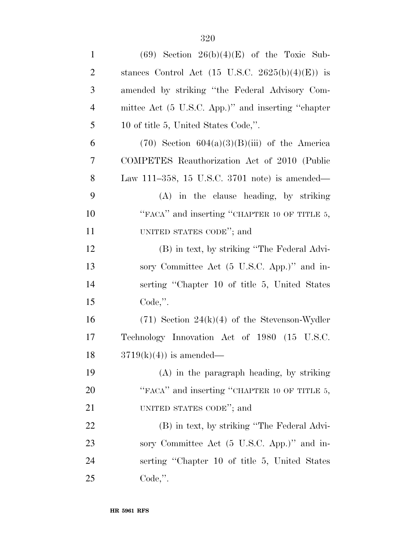| $\mathbf{1}$   | $(69)$ Section $26(b)(4)(E)$ of the Toxic Sub-              |
|----------------|-------------------------------------------------------------|
| $\overline{2}$ | stances Control Act $(15 \text{ U.S.C. } 2625(b)(4)(E))$ is |
| 3              | amended by striking "the Federal Advisory Com-              |
| $\overline{4}$ | mittee Act (5 U.S.C. App.)" and inserting "chapter          |
| 5              | 10 of title 5, United States Code,".                        |
| 6              | $(70)$ Section $604(a)(3)(B)(iii)$ of the America           |
| 7              | COMPETES Reauthorization Act of 2010 (Public                |
| 8              | Law 111–358, 15 U.S.C. 3701 note) is amended—               |
| 9              | (A) in the clause heading, by striking                      |
| 10             | "FACA" and inserting "CHAPTER 10 OF TITLE 5,                |
| 11             | UNITED STATES CODE"; and                                    |
| 12             | (B) in text, by striking "The Federal Advi-                 |
| 13             | sory Committee Act (5 U.S.C. App.)" and in-                 |
| 14             | serting "Chapter 10 of title 5, United States               |
| 15             | Code,".                                                     |
| 16             | $(71)$ Section 24(k)(4) of the Stevenson-Wydler             |
| 17             | Technology Innovation Act of 1980 (15 U.S.C.                |
| 18             | $3719(k)(4)$ is amended—                                    |
| 19             | $(A)$ in the paragraph heading, by striking                 |
| 20             | "FACA" and inserting "CHAPTER 10 OF TITLE 5,                |
| 21             | UNITED STATES CODE"; and                                    |
| 22             | (B) in text, by striking "The Federal Advi-                 |
| 23             | sory Committee Act (5 U.S.C. App.)" and in-                 |
| 24             | serting "Chapter 10 of title 5, United States               |
| 25             | $Code,$ ".                                                  |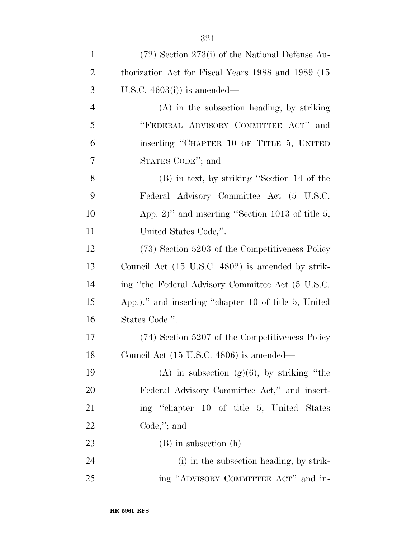| $\mathbf{1}$   | $(72)$ Section 273(i) of the National Defense Au-    |
|----------------|------------------------------------------------------|
| $\overline{2}$ | thorization Act for Fiscal Years 1988 and 1989 (15)  |
| 3              | U.S.C. $4603(i)$ is amended—                         |
| $\overline{4}$ | (A) in the subsection heading, by striking           |
| 5              | "FEDERAL ADVISORY COMMITTEE ACT" and                 |
| 6              | inserting "CHAPTER 10 OF TITLE 5, UNITED             |
| 7              | STATES CODE"; and                                    |
| 8              | (B) in text, by striking "Section 14 of the          |
| 9              | Federal Advisory Committee Act (5 U.S.C.             |
| 10             | App. 2)" and inserting "Section 1013 of title $5$ ,  |
| 11             | United States Code,".                                |
| 12             | (73) Section 5203 of the Competitiveness Policy      |
| 13             | Council Act (15 U.S.C. 4802) is amended by strik-    |
| 14             | ing "the Federal Advisory Committee Act (5 U.S.C.    |
| 15             | App.)." and inserting "chapter 10 of title 5, United |
| 16             | States Code.".                                       |
| 17             | (74) Section 5207 of the Competitiveness Policy      |
| 18             | Council Act (15 U.S.C. 4806) is amended—             |
| 19             | (A) in subsection (g)(6), by striking "the           |
| 20             | Federal Advisory Committee Act," and insert-         |
| 21             | ing "chapter 10 of title 5, United States"           |
| <u>22</u>      | $Code$ ,"; and                                       |
| 23             | $(B)$ in subsection $(h)$ —                          |
| 24             | (i) in the subsection heading, by strik-             |
| 25             | ing "ADVISORY COMMITTEE ACT" and in-                 |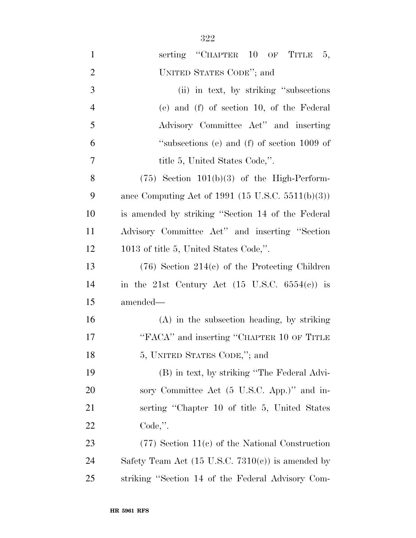| $\mathbf{1}$   | serting "CHAPTER 10 OF TITLE<br>5,                           |
|----------------|--------------------------------------------------------------|
| $\overline{2}$ | UNITED STATES CODE"; and                                     |
| 3              | (ii) in text, by striking "subsections"                      |
| $\overline{4}$ | (e) and (f) of section 10, of the Federal                    |
| 5              | Advisory Committee Act" and inserting                        |
| 6              | "subsections (e) and (f) of section 1009 of                  |
| 7              | title 5, United States Code,".                               |
| 8              | $(75)$ Section $101(b)(3)$ of the High-Perform-              |
| 9              | ance Computing Act of 1991 $(15 \text{ U.S.C. } 5511(b)(3))$ |
| 10             | is amended by striking "Section 14 of the Federal            |
| 11             | Advisory Committee Act" and inserting "Section               |
| 12             | 1013 of title 5, United States Code,".                       |
| 13             | $(76)$ Section 214(c) of the Protecting Children             |
| 14             | in the 21st Century Act $(15 \text{ U.S.C. } 6554(e))$ is    |
| 15             | amended—                                                     |
| 16             | $(A)$ in the subsection heading, by striking                 |
| 17             | "FACA" and inserting "CHAPTER 10 OF TITLE                    |
| 18             | 5, UNITED STATES CODE,"; and                                 |
| 19             | (B) in text, by striking "The Federal Advi-                  |
| <b>20</b>      | sory Committee Act (5 U.S.C. App.)" and in-                  |
| 21             | serting "Chapter 10 of title 5, United States"               |
| <u>22</u>      | $Code,$ ".                                                   |
| 23             | $(77)$ Section 11(c) of the National Construction            |
| 24             | Safety Team Act $(15 \text{ U.S.C. } 7310(e))$ is amended by |
| 25             | striking "Section 14 of the Federal Advisory Com-            |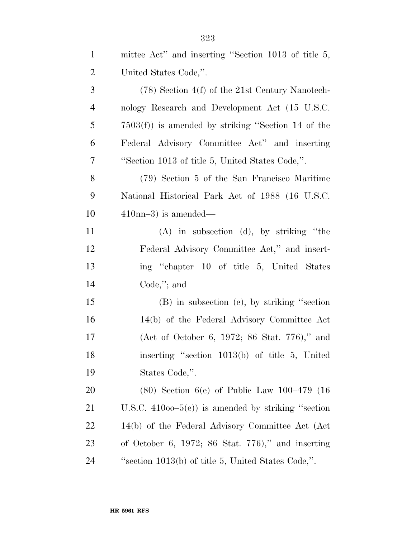| $\mathbf{1}$   | mittee Act" and inserting "Section 1013 of title 5,   |
|----------------|-------------------------------------------------------|
| $\overline{2}$ | United States Code,".                                 |
| 3              | $(78)$ Section 4(f) of the 21st Century Nanotech-     |
| $\overline{4}$ | nology Research and Development Act (15 U.S.C.        |
| 5              | $7503(f)$ ) is amended by striking "Section 14 of the |
| 6              | Federal Advisory Committee Act" and inserting         |
| 7              | "Section 1013 of title 5, United States Code,".       |
| 8              | (79) Section 5 of the San Francisco Maritime          |
| 9              | National Historical Park Act of 1988 (16 U.S.C.       |
| 10             | $410nn-3$ ) is amended—                               |
| 11             | $(A)$ in subsection $(d)$ , by striking "the          |
| 12             | Federal Advisory Committee Act," and insert-          |
| 13             | ing "chapter 10 of title 5, United States"            |
| 14             | $Code$ ,"; and                                        |
| 15             | (B) in subsection (e), by striking "section           |
| 16             | 14(b) of the Federal Advisory Committee Act           |
| 17             | (Act of October 6, 1972; 86 Stat. 776)," and          |
| 18             | inserting "section 1013(b) of title 5, United         |
| 19             | States Code,".                                        |
| 20             | $(80)$ Section 6(e) of Public Law 100–479 (16)        |
| 21             | U.S.C. $41000-5(e)$ is amended by striking "section"  |
| <u>22</u>      | 14(b) of the Federal Advisory Committee Act (Act)     |
| 23             | of October 6, 1972; 86 Stat. 776)," and inserting     |
| 24             | "section $1013(b)$ of title 5, United States Code,".  |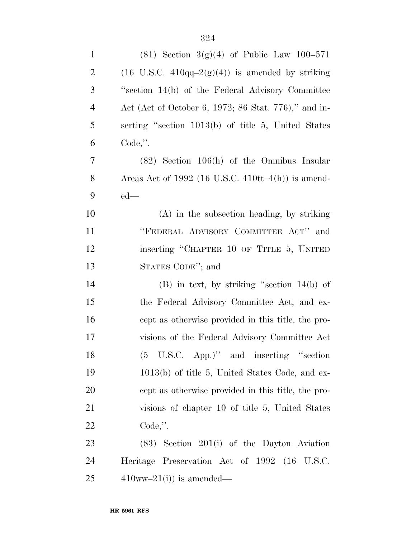| $\mathbf{1}$   | $(81)$ Section 3(g)(4) of Public Law 100-571                                 |
|----------------|------------------------------------------------------------------------------|
| $\overline{2}$ | $(16 \text{ U.S.C. } 410 \text{qq} - 2(\text{g})(4))$ is amended by striking |
| 3              | "section 14(b) of the Federal Advisory Committee                             |
| $\overline{4}$ | Act (Act of October 6, 1972; 86 Stat. 776)," and in-                         |
| 5              | serting "section 1013(b) of title 5, United States                           |
| 6              | $Code,$ ".                                                                   |
| $\overline{7}$ | $(82)$ Section 106(h) of the Omnibus Insular                                 |
| 8              | Areas Act of 1992 (16 U.S.C. $410tt-4(h)$ ) is amend-                        |
| 9              | $ed$ —                                                                       |
| 10             | $(A)$ in the subsection heading, by striking                                 |
| 11             | "FEDERAL ADVISORY COMMITTEE ACT" and                                         |
| 12             | inserting "CHAPTER 10 OF TITLE 5, UNITED                                     |
| 13             | STATES CODE"; and                                                            |
| 14             | $(B)$ in text, by striking "section 14(b) of                                 |
| 15             | the Federal Advisory Committee Act, and ex-                                  |
| 16             | cept as otherwise provided in this title, the pro-                           |
| 17             | visions of the Federal Advisory Committee Act                                |
| 18             | (5 U.S.C. App.)" and inserting "section                                      |
| 19             | $1013(b)$ of title 5, United States Code, and ex-                            |
| 20             | cept as otherwise provided in this title, the pro-                           |
| 21             | visions of chapter 10 of title 5, United States                              |
| 22             | $Code,$ ".                                                                   |
| 23             | $(83)$ Section 201(i) of the Dayton Aviation                                 |
| 24             | Heritage Preservation Act of 1992 (16 U.S.C.                                 |
| 25             | $410ww-21(i)$ is amended—                                                    |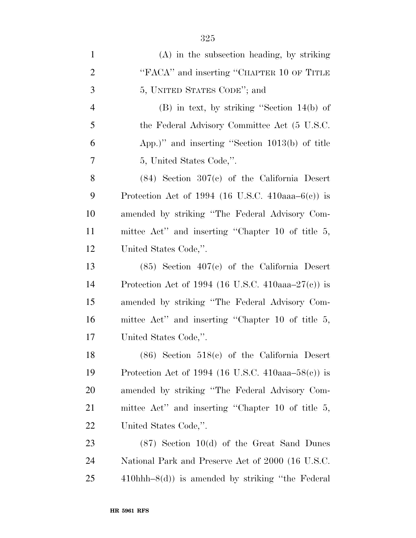| $\mathbf{1}$   | $(A)$ in the subsection heading, by striking           |
|----------------|--------------------------------------------------------|
| $\overline{2}$ | "FACA" and inserting "CHAPTER 10 OF TITLE              |
| 3              | 5, UNITED STATES CODE"; and                            |
| $\overline{4}$ | $(B)$ in text, by striking "Section 14(b) of           |
| 5              | the Federal Advisory Committee Act (5 U.S.C.           |
| 6              | App.)" and inserting "Section $1013(b)$ of title       |
| 7              | 5, United States Code,".                               |
| 8              | $(84)$ Section $307(c)$ of the California Desert       |
| 9              | Protection Act of 1994 (16 U.S.C. 410aaa– $6(c)$ ) is  |
| 10             | amended by striking "The Federal Advisory Com-         |
| <sup>11</sup>  | mittee Act" and inserting "Chapter 10 of title 5,      |
| 12             | United States Code,".                                  |
| 13             | $(85)$ Section $407(c)$ of the California Desert       |
| 14             | Protection Act of 1994 (16 U.S.C. 410aaa– $27(e)$ ) is |
| 15             | amended by striking "The Federal Advisory Com-         |
| 16             | mittee Act" and inserting "Chapter 10 of title 5,      |
| 17             | United States Code,".                                  |
| 18             | $(86)$ Section $518(c)$ of the California Desert       |
| 19             | Protection Act of 1994 (16 U.S.C. 410aaa–58(c)) is     |
| 20             | amended by striking "The Federal Advisory Com-         |
| 21             | mittee Act" and inserting "Chapter 10 of title 5,      |
| 22             | United States Code,".                                  |
| 23             | $(87)$ Section 10(d) of the Great Sand Dunes           |
| 24             | National Park and Preserve Act of 2000 (16 U.S.C.      |
| 25             | $410$ hhh $-8(d)$ is amended by striking "the Federal" |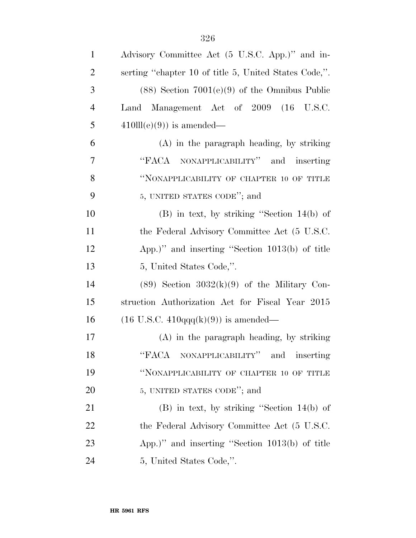| $\mathbf{1}$   | Advisory Committee Act (5 U.S.C. App.)" and in-        |
|----------------|--------------------------------------------------------|
| $\overline{2}$ | serting "chapter 10 of title 5, United States Code,".  |
| 3              | $(88)$ Section $7001(e)(9)$ of the Omnibus Public      |
| $\overline{4}$ | Land Management Act of 2009 (16 U.S.C.                 |
| 5              | $410\mathrm{ll}(e)(9)$ is amended—                     |
| 6              | $(A)$ in the paragraph heading, by striking            |
| 7              | "FACA NONAPPLICABILITY" and inserting                  |
| 8              | "NONAPPLICABILITY OF CHAPTER 10 OF TITLE               |
| 9              | 5, UNITED STATES CODE"; and                            |
| 10             | $(B)$ in text, by striking "Section 14(b) of           |
| 11             | the Federal Advisory Committee Act (5 U.S.C.           |
| 12             | App.)" and inserting "Section 1013(b) of title         |
| 13             | 5, United States Code,".                               |
| 14             | $(89)$ Section $3032(k)(9)$ of the Military Con-       |
| 15             | struction Authorization Act for Fiscal Year 2015       |
| 16             | $(16 \text{ U.S.C. } 410q\text{qq}(k)(9))$ is amended— |
| 17             | $(A)$ in the paragraph heading, by striking            |
| 18             | "FACA NONAPPLICABILITY" and<br>inserting               |
| 19             | "NONAPPLICABILITY OF CHAPTER 10 OF TITLE               |
| 20             | 5, UNITED STATES CODE"; and                            |
| 21             | $(B)$ in text, by striking "Section 14(b) of           |
| <u>22</u>      | the Federal Advisory Committee Act (5 U.S.C.           |
| 23             | App.)" and inserting "Section 1013(b) of title         |
| 24             | 5, United States Code,".                               |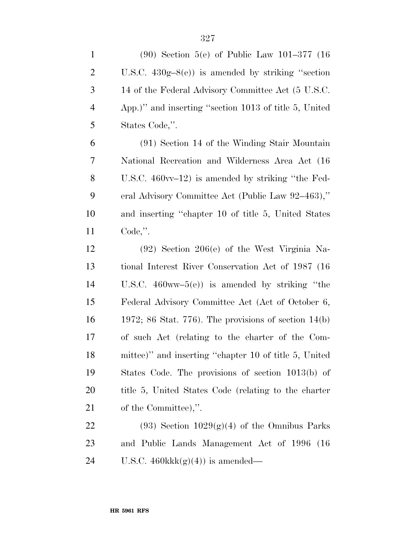| $\mathbf{1}$   | $(90)$ Section 5(e) of Public Law 101-377 (16)            |
|----------------|-----------------------------------------------------------|
| $\overline{2}$ | U.S.C. $430g-8(e)$ is amended by striking "section"       |
| 3              | 14 of the Federal Advisory Committee Act (5 U.S.C.        |
| $\overline{4}$ | App.)" and inserting "section 1013 of title 5, United     |
| 5              | States Code,".                                            |
| 6              | (91) Section 14 of the Winding Stair Mountain             |
| 7              | National Recreation and Wilderness Area Act (16)          |
| 8              | U.S.C. $460\text{vv}-12$ is amended by striking "the Fed- |
| 9              | eral Advisory Committee Act (Public Law 92-463),"         |
| 10             | and inserting "chapter 10 of title 5, United States"      |
| 11             | $Code,$ ".                                                |
| 12             | $(92)$ Section 206(e) of the West Virginia Na-            |
| 13             | tional Interest River Conservation Act of 1987 (16)       |
| 14             | U.S.C. $460ww-5(e)$ is amended by striking "the           |
| 15             | Federal Advisory Committee Act (Act of October 6,         |
| 16             | 1972; 86 Stat. 776). The provisions of section $14(b)$    |
| 17             | of such Act (relating to the charter of the Com-          |
| 18             | mittee)" and inserting "chapter 10 of title 5, United     |
| 19             | States Code. The provisions of section 1013(b) of         |
| 20             | title 5, United States Code (relating to the charter      |
| 21             | of the Committee),".                                      |
| <u>22</u>      | $(93)$ Section $1029(g)(4)$ of the Omnibus Parks          |
| 23             | and Public Lands Management Act of 1996<br>(16)           |
| 24             | U.S.C. $460$ kk $k(g)(4)$ is amended—                     |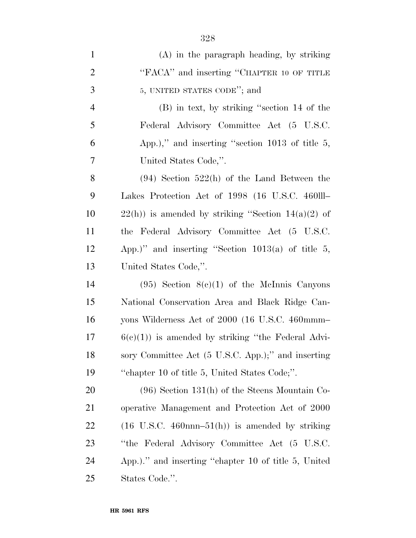| $\mathbf{1}$   | $(A)$ in the paragraph heading, by striking                                   |
|----------------|-------------------------------------------------------------------------------|
| $\overline{2}$ | "FACA" and inserting "CHAPTER 10 OF TITLE                                     |
| 3              | 5, UNITED STATES CODE"; and                                                   |
| $\overline{4}$ | (B) in text, by striking "section 14 of the                                   |
| 5              | Federal Advisory Committee Act (5 U.S.C.                                      |
| 6              | App.)," and inserting "section 1013 of title 5,                               |
| 7              | United States Code,".                                                         |
| 8              | $(94)$ Section 522(h) of the Land Between the                                 |
| 9              | Lakes Protection Act of 1998 (16 U.S.C. 460III                                |
| 10             | $22(h)$ ) is amended by striking "Section $14(a)(2)$ of                       |
| 11             | the Federal Advisory Committee Act (5 U.S.C.                                  |
| 12             | App.)" and inserting "Section $1013(a)$ of title 5,                           |
| 13             | United States Code,".                                                         |
| 14             | $(95)$ Section $8(c)(1)$ of the McInnis Canyons                               |
| 15             | National Conservation Area and Black Ridge Can-                               |
| 16             | yons Wilderness Act of 2000 (16 U.S.C. 460mmm-                                |
| 17             | $6(c)(1)$ is amended by striking "the Federal Advi-                           |
| 18             | sory Committee Act (5 U.S.C. App.);" and inserting                            |
| 19             | "chapter 10 of title 5, United States Code;".                                 |
| 20             | $(96)$ Section 131(h) of the Steens Mountain Co-                              |
| 21             | operative Management and Protection Act of 2000                               |
| 22             | $(16 \text{ U.S.C. } 460 \text{nnn} - 51 \text{ (h)})$ is amended by striking |
| 23             | "the Federal Advisory Committee Act (5 U.S.C.                                 |
| 24             | App.)." and inserting "chapter 10 of title 5, United                          |
| 25             | States Code.".                                                                |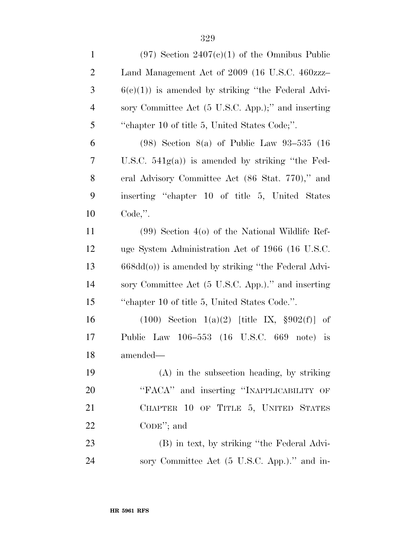| $\mathbf{1}$   | $(97)$ Section $2407(c)(1)$ of the Omnibus Public      |
|----------------|--------------------------------------------------------|
| $\overline{2}$ | Land Management Act of 2009 (16 U.S.C. 460zzz-         |
| 3              | $6(c)(1)$ is amended by striking "the Federal Advi-    |
| $\overline{4}$ | sory Committee Act (5 U.S.C. App.);" and inserting     |
| 5              | "chapter 10 of title 5, United States Code;".          |
| 6              | $(98)$ Section $8(a)$ of Public Law $93-535$ $(16)$    |
| 7              | U.S.C. $541g(a)$ is amended by striking "the Fed-      |
| 8              | eral Advisory Committee Act (86 Stat. 770)," and       |
| 9              | inserting "chapter 10 of title 5, United States"       |
| 10             | $Code,$ ".                                             |
| 11             | $(99)$ Section 4(o) of the National Wildlife Ref-      |
| 12             | uge System Administration Act of 1966 (16 U.S.C.       |
| 13             | $668dd(0)$ ) is amended by striking "the Federal Advi- |
| 14             | sory Committee Act (5 U.S.C. App.)." and inserting     |
| 15             | "chapter 10 of title 5, United States Code.".          |
| 16             | $(100)$ Section $1(a)(2)$ [title IX, §902(f)] of       |
| 17             | Public Law 106-553 (16 U.S.C. 669 note) is             |
| 18             | amended—                                               |
| 19             | $(A)$ in the subsection heading, by striking           |
| 20             | "FACA" and inserting "INAPPLICABILITY OF               |
| 21             | CHAPTER 10 OF TITLE 5, UNITED STATES                   |
| 22             | $\mathrm{CoDE}$ "; and                                 |
| 23             | (B) in text, by striking "the Federal Advi-            |
| 24             | sory Committee Act (5 U.S.C. App.)." and in-           |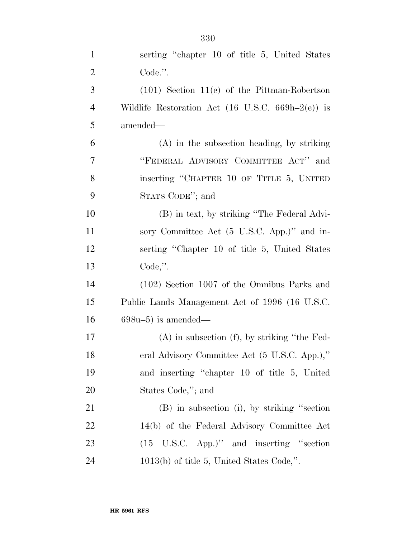| $\mathbf{1}$   | serting "chapter 10 of title 5, United States                                |
|----------------|------------------------------------------------------------------------------|
| $\overline{2}$ | Code.".                                                                      |
| 3              | $(101)$ Section 11(e) of the Pittman-Robertson                               |
| $\overline{4}$ | Wildlife Restoration Act $(16 \text{ U.S.C. } 669\text{h} - 2(\text{e}))$ is |
| 5              | amended—                                                                     |
| 6              | $(A)$ in the subsection heading, by striking                                 |
| 7              | "FEDERAL ADVISORY COMMITTEE ACT" and                                         |
| 8              | inserting "CHAPTER 10 OF TITLE 5, UNITED                                     |
| 9              | STATS CODE"; and                                                             |
| 10             | (B) in text, by striking "The Federal Advi-                                  |
| 11             | sory Committee Act (5 U.S.C. App.)" and in-                                  |
| 12             | serting "Chapter 10 of title 5, United States"                               |
| 13             | $Code,$ ".                                                                   |
| 14             | (102) Section 1007 of the Omnibus Parks and                                  |
| 15             | Public Lands Management Act of 1996 (16 U.S.C.                               |
| 16             | $698u-5$ ) is amended—                                                       |
| 17             | $(A)$ in subsection $(f)$ , by striking "the Fed-                            |
| 18             | eral Advisory Committee Act (5 U.S.C. App.),"                                |
| 19             | and inserting "chapter 10 of title 5, United                                 |
| 20             | States Code,"; and                                                           |
| 21             | (B) in subsection (i), by striking "section                                  |
| 22             | 14(b) of the Federal Advisory Committee Act                                  |
| 23             | (15 U.S.C. App.)" and inserting "section                                     |
| 24             | $1013(b)$ of title 5, United States Code,".                                  |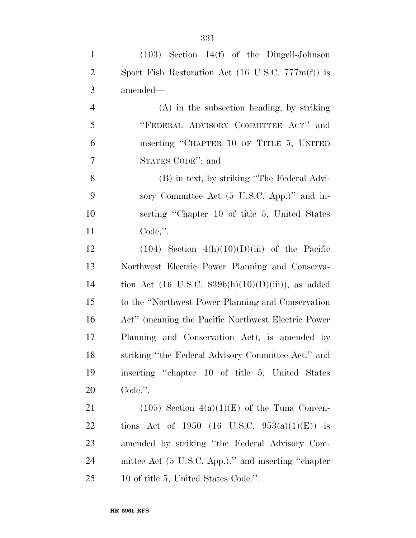| $\mathbf{1}$   | $(103)$ Section 14(f) of the Dingell-Johnson                         |
|----------------|----------------------------------------------------------------------|
| $\overline{2}$ | Sport Fish Restoration Act $(16 \text{ U.S.C. } 777 \text{m(f)})$ is |
| $\mathfrak{Z}$ | amended—                                                             |
| $\overline{4}$ | $(A)$ in the subsection heading, by striking                         |
| 5              | "FEDERAL ADVISORY COMMITTEE ACT" and                                 |
| 6              | inserting "CHAPTER 10 OF TITLE 5, UNITED                             |
| 7              | STATES CODE"; and                                                    |
| 8              | (B) in text, by striking "The Federal Advi-                          |
| 9              | sory Committee Act (5 U.S.C. App.)" and in-                          |
| 10             | serting "Chapter 10 of title 5, United States                        |
| 11             | $Code,$ ".                                                           |
| 12             | $(104)$ Section $4(h)(10)(D(iii)$ of the Pacific                     |
| 13             | Northwest Electric Power Planning and Conserva-                      |
| 14             | tion Act (16 U.S.C. $839b(h)(10)(D(iii))$ , as added                 |
| 15             | to the "Northwest Power Planning and Conservation"                   |
| 16             | Act" (meaning the Pacific Northwest Electric Power)                  |
| 17             | Planning and Conservation Act), is amended by                        |
| 18             | striking "the Federal Advisory Committee Act." and                   |
| 19             | inserting "chapter 10 of title 5, United States"                     |
| 20             | Code.".                                                              |
| 21             | $(105)$ Section $4(a)(1)(E)$ of the Tuna Conven-                     |
| 22             | tions Act of 1950 (16 U.S.C. 953(a)(1)(E)) is                        |
| 23             | amended by striking "the Federal Advisory Com-                       |
| 24             | mittee Act (5 U.S.C. App.)." and inserting "chapter                  |

10 of title 5, United States Code.''.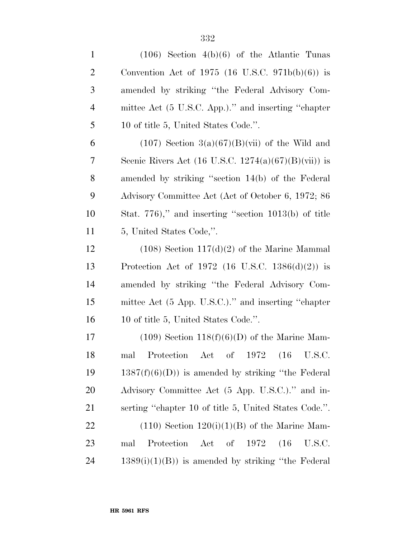| $\mathbf{1}$   | $(106)$ Section $4(b)(6)$ of the Atlantic Tunas       |
|----------------|-------------------------------------------------------|
| $\overline{2}$ | Convention Act of 1975 (16 U.S.C. 971b(b)(6)) is      |
| 3              | amended by striking "the Federal Advisory Com-        |
| $\overline{4}$ | mittee Act (5 U.S.C. App.)." and inserting "chapter   |
| 5              | 10 of title 5, United States Code.".                  |
| 6              | $(107)$ Section 3(a)(67)(B)(vii) of the Wild and      |
| 7              | Scenic Rivers Act (16 U.S.C. 1274(a)(67)(B)(vii)) is  |
| 8              | amended by striking "section 14(b) of the Federal     |
| 9              | Advisory Committee Act (Act of October 6, 1972; 86    |
| 10             | Stat. 776)," and inserting "section 1013(b) of title  |
| 11             | 5, United States Code,".                              |
| 12             | $(108)$ Section $117(d)(2)$ of the Marine Mammal      |
| 13             | Protection Act of 1972 (16 U.S.C. 1386(d)(2)) is      |
| 14             | amended by striking "the Federal Advisory Com-        |
| 15             | mittee Act (5 App. U.S.C.)." and inserting "chapter   |
| 16             | 10 of title 5, United States Code.".                  |
| 17             | $(109)$ Section $118(f)(6)(D)$ of the Marine Mam-     |
| 18             | mal Protection Act of 1972 (16 U.S.C.                 |
| 19             | $1387(f)(6)(D)$ is amended by striking "the Federal"  |
| 20             | Advisory Committee Act (5 App. U.S.C.)." and in-      |
| 21             | serting "chapter 10 of title 5, United States Code.". |
| 22             | $(110)$ Section $120(i)(1)(B)$ of the Marine Mam-     |
| 23             | Protection<br>Act of 1972 (16)<br>U.S.C.<br>mal       |
| 24             | $1389(i)(1)(B)$ is amended by striking "the Federal"  |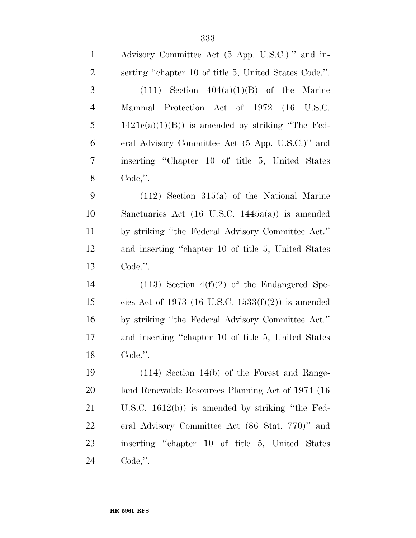| $\mathbf{1}$   | Advisory Committee Act (5 App. U.S.C.)." and in-           |
|----------------|------------------------------------------------------------|
| $\overline{2}$ | serting "chapter 10 of title 5, United States Code.".      |
| 3              | $(111)$ Section $404(a)(1)(B)$ of the Marine               |
| $\overline{4}$ | Mammal Protection Act of 1972 (16 U.S.C.                   |
| 5              | $1421c(a)(1)(B)$ is amended by striking "The Fed-          |
| 6              | eral Advisory Committee Act (5 App. U.S.C.)" and           |
| 7              | inserting "Chapter 10 of title 5, United States            |
| 8              | $Code,$ ".                                                 |
| 9              | $(112)$ Section 315(a) of the National Marine              |
| 10             | Sanctuaries Act $(16 \text{ U.S.C. } 1445a(a))$ is amended |
| 11             | by striking "the Federal Advisory Committee Act."          |
| 12             | and inserting "chapter 10 of title 5, United States        |
| 13             | Code.".                                                    |
| 14             | $(113)$ Section $4(f)(2)$ of the Endangered Spe-           |
| 15             | cies Act of 1973 (16 U.S.C. 1533 $(f)(2)$ ) is amended     |
| 16             | by striking "the Federal Advisory Committee Act."          |
| 17             | and inserting "chapter 10 of title 5, United States        |
| 18             | Code.".                                                    |
| 19             | $(114)$ Section 14(b) of the Forest and Range-             |
| <b>20</b>      | land Renewable Resources Planning Act of 1974 (16)         |
| 21             | U.S.C. $1612(b)$ is amended by striking "the Fed-          |
| <u>22</u>      | eral Advisory Committee Act (86 Stat. 770)" and            |
| 23             | inserting "chapter 10 of title 5, United States"           |
| 24             | $Code,$ ".                                                 |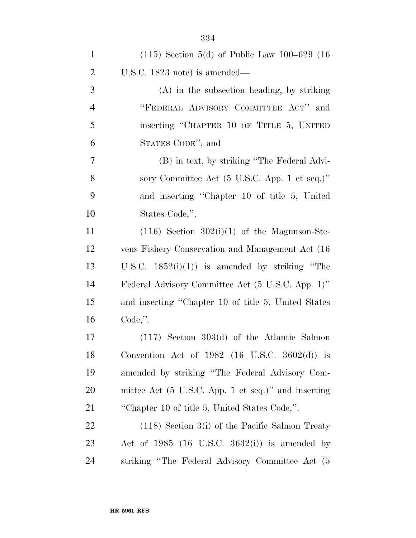| $\mathbf{1}$   | $(115)$ Section 5(d) of Public Law 100–629 (16)     |
|----------------|-----------------------------------------------------|
| $\overline{2}$ | U.S.C. $1823$ note) is amended—                     |
| 3              | $(A)$ in the subsection heading, by striking        |
| $\overline{4}$ | "FEDERAL ADVISORY COMMITTEE ACT" and                |
| 5              | inserting "CHAPTER 10 OF TITLE 5, UNITED            |
| 6              | STATES CODE"; and                                   |
| 7              | (B) in text, by striking "The Federal Advi-         |
| 8              | sory Committee Act (5 U.S.C. App. 1 et seq.)"       |
| 9              | and inserting "Chapter 10 of title 5, United        |
| 10             | States Code,".                                      |
| 11             | $(116)$ Section $302(i)(1)$ of the Magnuson-Ste-    |
| 12             | vens Fishery Conservation and Management Act (16)   |
| 13             | U.S.C. $1852(i)(1)$ is amended by striking "The     |
| 14             | Federal Advisory Committee Act (5 U.S.C. App. 1)"   |
| 15             | and inserting "Chapter 10 of title 5, United States |
| 16             | $Code,$ ".                                          |
| 17             | $(117)$ Section 303 $(d)$ of the Atlantic Salmon    |
| 18             | Convention Act of 1982 (16 U.S.C. 3602(d)) is       |
| 19             | amended by striking "The Federal Advisory Com-      |
| 20             | mittee Act (5 U.S.C. App. 1 et seq.)" and inserting |
| 21             | "Chapter 10 of title 5, United States Code,".       |
| 22             | $(118)$ Section $3(i)$ of the Pacific Salmon Treaty |
| 23             | Act of $1985$ (16 U.S.C. $3632(i)$ ) is amended by  |
| 24             | striking "The Federal Advisory Committee Act (5     |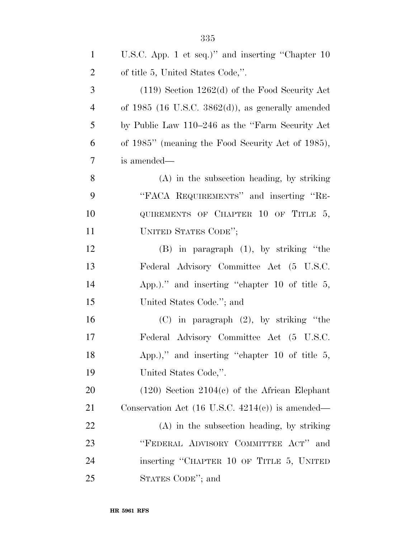| $\mathbf{1}$   | U.S.C. App. 1 et seq.)" and inserting "Chapter 10           |
|----------------|-------------------------------------------------------------|
| $\overline{2}$ | of title 5, United States Code,".                           |
| 3              | $(119)$ Section 1262(d) of the Food Security Act            |
| $\overline{4}$ | of $1985$ (16 U.S.C. $3862(d)$ ), as generally amended      |
| 5              | by Public Law 110–246 as the "Farm Security Act"            |
| 6              | of 1985" (meaning the Food Security Act of 1985),           |
| $\tau$         | is amended—                                                 |
| 8              | $(A)$ in the subsection heading, by striking                |
| 9              | "FACA REQUIREMENTS" and inserting "RE-                      |
| 10             | QUIREMENTS OF CHAPTER 10 OF TITLE 5,                        |
| 11             | UNITED STATES CODE";                                        |
| 12             | $(B)$ in paragraph $(1)$ , by striking "the                 |
| 13             | Federal Advisory Committee Act (5 U.S.C.                    |
| 14             | App.)." and inserting "chapter 10 of title $5$ ,            |
| 15             | United States Code."; and                                   |
| 16             | $(C)$ in paragraph $(2)$ , by striking "the                 |
| 17             | Federal Advisory Committee Act (5 U.S.C.                    |
| 18             | App.)," and inserting "chapter 10 of title $5$ ,            |
| 19             | United States Code,".                                       |
| 20             | $(120)$ Section $2104(c)$ of the African Elephant           |
| 21             | Conservation Act $(16 \text{ U.S.C. } 4214(c))$ is amended— |
| 22             | $(A)$ in the subsection heading, by striking                |
| 23             | "FEDERAL ADVISORY COMMITTEE ACT" and                        |
| 24             | inserting "CHAPTER 10 OF TITLE 5, UNITED                    |
| 25             | STATES CODE"; and                                           |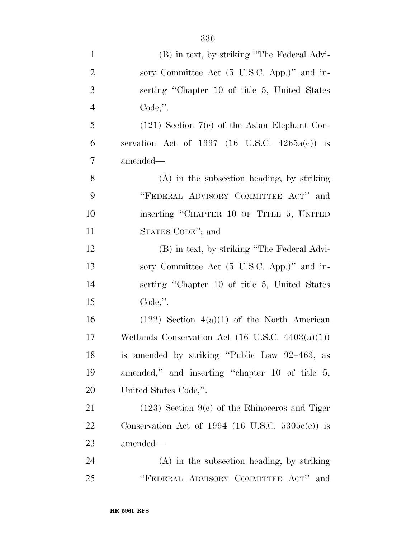| $\mathbf{1}$   | (B) in text, by striking "The Federal Advi-                 |
|----------------|-------------------------------------------------------------|
| $\overline{2}$ | sory Committee Act (5 U.S.C. App.)" and in-                 |
| 3              | serting "Chapter 10 of title 5, United States               |
| $\overline{4}$ | $Code,$ ".                                                  |
| 5              | $(121)$ Section 7(c) of the Asian Elephant Con-             |
| 6              | servation Act of 1997 (16 U.S.C. $4265a(c)$ ) is            |
| 7              | amended—                                                    |
| 8              | $(A)$ in the subsection heading, by striking                |
| 9              | "FEDERAL ADVISORY COMMITTEE ACT" and                        |
| 10             | inserting "CHAPTER 10 OF TITLE 5, UNITED                    |
| 11             | STATES CODE"; and                                           |
| 12             | (B) in text, by striking "The Federal Advi-                 |
| 13             | sory Committee Act (5 U.S.C. App.)" and in-                 |
| 14             | serting "Chapter 10 of title 5, United States               |
| 15             | $Code,$ ".                                                  |
| 16             | $(122)$ Section $4(a)(1)$ of the North American             |
| 17             | Wetlands Conservation Act $(16 \text{ U.S.C. } 4403(a)(1))$ |
| 18             | is amended by striking "Public Law 92-463, as               |
| 19             | amended," and inserting "chapter 10 of title 5,             |
| 20             | United States Code,".                                       |
| 21             | $(123)$ Section 9(c) of the Rhinoceros and Tiger            |
| 22             | Conservation Act of 1994 (16 U.S.C. $5305e(e)$ ) is         |
| 23             | amended—                                                    |
| 24             | $(A)$ in the subsection heading, by striking                |
| 25             | "FEDERAL ADVISORY COMMITTEE ACT"<br>and                     |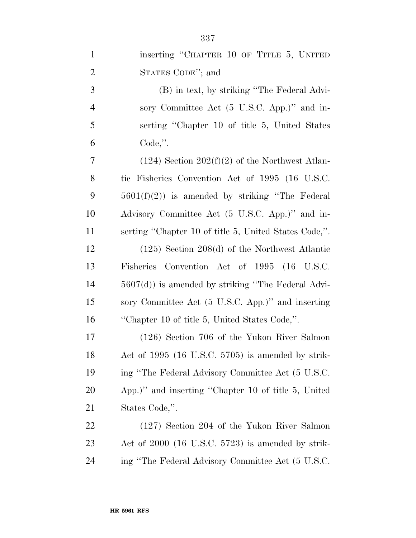| $\mathbf{1}$   | inserting "CHAPTER 10 OF TITLE 5, UNITED              |
|----------------|-------------------------------------------------------|
| $\overline{2}$ | STATES CODE"; and                                     |
| 3              | (B) in text, by striking "The Federal Advi-           |
| $\overline{4}$ | sory Committee Act (5 U.S.C. App.)" and in-           |
| 5              | serting "Chapter 10 of title 5, United States         |
| 6              | Code,".                                               |
| 7              | $(124)$ Section $202(f)(2)$ of the Northwest Atlan-   |
| 8              | tic Fisheries Convention Act of 1995 (16 U.S.C.       |
| 9              | $5601(f)(2)$ is amended by striking "The Federal"     |
| 10             | Advisory Committee Act (5 U.S.C. App.)" and in-       |
| 11             | serting "Chapter 10 of title 5, United States Code,". |
| 12             | $(125)$ Section 208(d) of the Northwest Atlantic      |
| 13             | Fisheries Convention Act of 1995 (16 U.S.C.           |
| 14             | $5607(d)$ ) is amended by striking "The Federal Advi- |
| 15             | sory Committee Act (5 U.S.C. App.)" and inserting     |
| 16             | "Chapter 10 of title 5, United States Code,".         |
| 17             | $(126)$ Section 706 of the Yukon River Salmon         |
| 18             | Act of 1995 (16 U.S.C. 5705) is amended by strik-     |
| 19             | ing "The Federal Advisory Committee Act (5 U.S.C.     |
| 20             | App.)" and inserting "Chapter 10 of title 5, United   |
| 21             | States Code,".                                        |
| 22             | $(127)$ Section 204 of the Yukon River Salmon         |
| 23             | Act of $2000$ (16 U.S.C. 5723) is amended by strik-   |
| 24             | ing "The Federal Advisory Committee Act (5 U.S.C.     |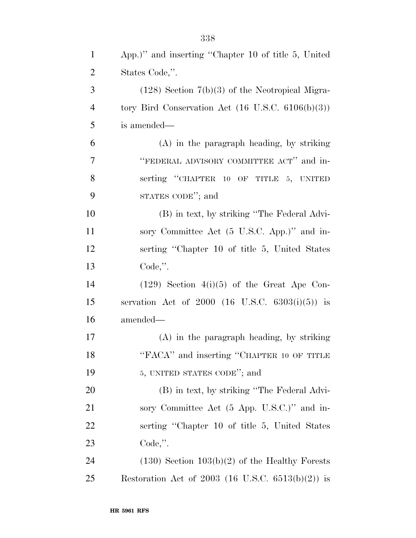| $\mathbf{1}$   | App.)" and inserting "Chapter 10 of title 5, United          |
|----------------|--------------------------------------------------------------|
| $\overline{2}$ | States Code,".                                               |
| 3              | $(128)$ Section $7(b)(3)$ of the Neotropical Migra-          |
| $\overline{4}$ | tory Bird Conservation Act $(16 \text{ U.S.C. } 6106(b)(3))$ |
| 5              | is amended—                                                  |
| 6              | (A) in the paragraph heading, by striking                    |
| $\tau$         | "FEDERAL ADVISORY COMMITTEE ACT" and in-                     |
| 8              | serting "CHAPTER 10 OF TITLE 5, UNITED                       |
| 9              | STATES CODE"; and                                            |
| 10             | (B) in text, by striking "The Federal Advi-                  |
| 11             | sory Committee Act (5 U.S.C. App.)" and in-                  |
| 12             | serting "Chapter 10 of title 5, United States"               |
| 13             | Code,".                                                      |
| 14             | $(129)$ Section $4(i)(5)$ of the Great Ape Con-              |
| 15             | servation Act of $2000$ (16 U.S.C. 6303(i)(5)) is            |
| 16             | amended—                                                     |
| 17             | (A) in the paragraph heading, by striking                    |
| 18             | "FACA" and inserting "CHAPTER 10 OF TITLE                    |
| 19             | 5, UNITED STATES CODE"; and                                  |
| 20             | (B) in text, by striking "The Federal Advi-                  |
| 21             | sory Committee Act (5 App. U.S.C.)" and in-                  |
| 22             | serting "Chapter 10 of title 5, United States"               |
| 23             | $Code,$ ".                                                   |
| 24             | $(130)$ Section $103(b)(2)$ of the Healthy Forests           |
| 25             | Restoration Act of 2003 (16 U.S.C. $6513(b)(2)$ ) is         |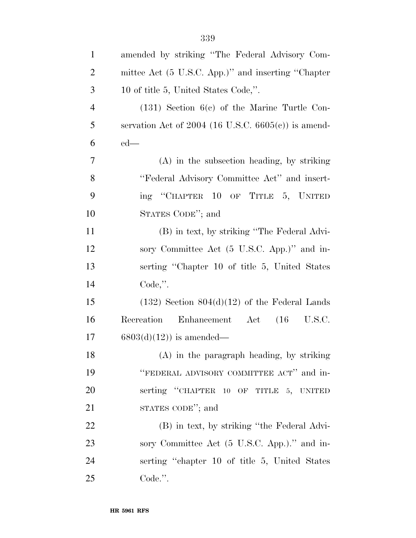| $\mathbf{1}$   | amended by striking "The Federal Advisory Com-        |
|----------------|-------------------------------------------------------|
| $\overline{2}$ | mittee Act (5 U.S.C. App.)" and inserting "Chapter    |
| 3              | 10 of title 5, United States Code,".                  |
| $\overline{4}$ | $(131)$ Section $6(c)$ of the Marine Turtle Con-      |
| 5              | servation Act of $2004$ (16 U.S.C. 6605(c)) is amend- |
| 6              | $ed$ —                                                |
| 7              | (A) in the subsection heading, by striking            |
| 8              | "Federal Advisory Committee Act" and insert-          |
| 9              | ing "CHAPTER 10 OF TITLE 5, UNITED                    |
| 10             | STATES CODE"; and                                     |
| 11             | (B) in text, by striking "The Federal Advi-           |
| 12             | sory Committee Act (5 U.S.C. App.)" and in-           |
| 13             | serting "Chapter 10 of title 5, United States"        |
| 14             | $Code,$ ".                                            |
| 15             | $(132)$ Section $804(d)(12)$ of the Federal Lands     |
| 16             | Recreation Enhancement Act<br>$(16 \t\t\t U.S.C.$     |
| 17             | $6803(d)(12)$ is amended—                             |
| 18             | (A) in the paragraph heading, by striking             |
| 19             | "FEDERAL ADVISORY COMMITTEE ACT" and in-              |
| 20             | serting "CHAPTER 10 OF TITLE 5, UNITED                |
| 21             | STATES CODE"; and                                     |
| 22             | (B) in text, by striking "the Federal Advi-           |
| 23             | sory Committee Act (5 U.S.C. App.)." and in-          |
| 24             | serting "chapter 10 of title 5, United States         |
| 25             | Code.".                                               |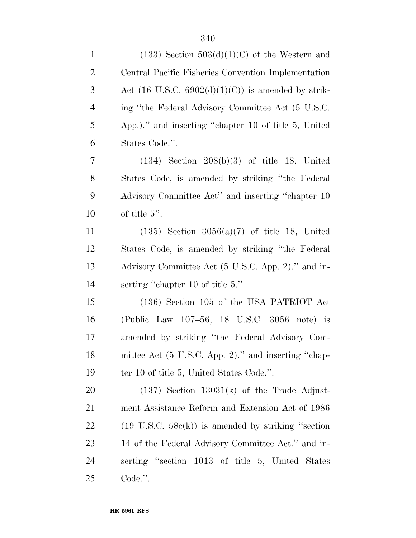| $\mathbf{1}$   | $(133)$ Section $503(d)(1)(C)$ of the Western and              |
|----------------|----------------------------------------------------------------|
| $\overline{2}$ | Central Pacific Fisheries Convention Implementation            |
| 3              | Act $(16 \text{ U.S.C. } 6902(d)(1)(C))$ is amended by strik-  |
| $\overline{4}$ | ing "the Federal Advisory Committee Act (5 U.S.C.              |
| 5              | App.)." and inserting "chapter 10 of title 5, United           |
| 6              | States Code.".                                                 |
| 7              | $(134)$ Section $208(b)(3)$ of title 18, United                |
| 8              | States Code, is amended by striking "the Federal"              |
| 9              | Advisory Committee Act" and inserting "chapter 10              |
| 10             | of title $5$ ".                                                |
| 11             | $(135)$ Section $3056(a)(7)$ of title 18, United               |
| 12             | States Code, is amended by striking "the Federal"              |
| 13             | Advisory Committee Act (5 U.S.C. App. 2)." and in-             |
| 14             | serting "chapter 10 of title 5.".                              |
| 15             | (136) Section 105 of the USA PATRIOT Act                       |
| 16             | (Public Law 107-56, 18 U.S.C. 3056 note) is                    |
| 17             | amended by striking "the Federal Advisory Com-                 |
| 18             | mittee Act (5 U.S.C. App. 2)." and inserting "chap-            |
| 19             | ter 10 of title 5, United States Code.".                       |
| 20             | $(137)$ Section $13031(k)$ of the Trade Adjust-                |
| 21             | ment Assistance Reform and Extension Act of 1986               |
| 22             | $(19 \text{ U.S.C. } 58c(k))$ is amended by striking "section" |
| 23             | 14 of the Federal Advisory Committee Act." and in-             |
| 24             | serting "section 1013 of title 5, United States                |
| 25             | Code.".                                                        |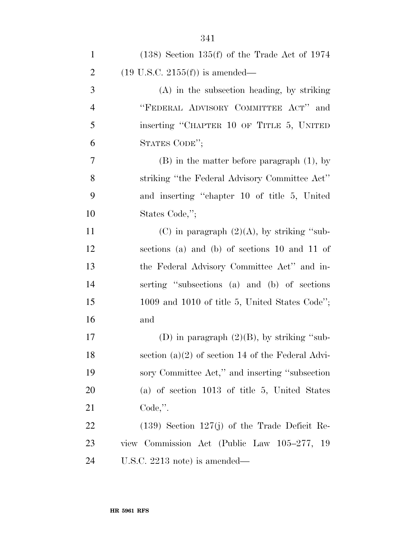| $\mathbf{1}$   | $(138)$ Section 135(f) of the Trade Act of 1974     |
|----------------|-----------------------------------------------------|
| $\overline{2}$ | $(19 \text{ U.S.C. } 2155(f))$ is amended—          |
| 3              | $(A)$ in the subsection heading, by striking        |
| $\overline{4}$ | "FEDERAL ADVISORY COMMITTEE ACT" and                |
| 5              | inserting "CHAPTER 10 OF TITLE 5, UNITED            |
| 6              | STATES CODE";                                       |
| 7              | $(B)$ in the matter before paragraph $(1)$ , by     |
| 8              | striking "the Federal Advisory Committee Act"       |
| 9              | and inserting "chapter 10 of title 5, United        |
| 10             | States Code,";                                      |
| 11             | (C) in paragraph $(2)(A)$ , by striking "sub-       |
| 12             | sections (a) and (b) of sections 10 and 11 of       |
| 13             | the Federal Advisory Committee Act" and in-         |
| 14             | serting "subsections (a) and (b) of sections        |
| 15             | 1009 and 1010 of title 5, United States Code";      |
| 16             | and                                                 |
| 17             | (D) in paragraph $(2)(B)$ , by striking "sub-       |
| 18             | section $(a)(2)$ of section 14 of the Federal Advi- |
| 19             | sory Committee Act," and inserting "subsection"     |
| 20             | (a) of section $1013$ of title 5, United States     |
| 21             | $Code,$ ".                                          |
| 22             | $(139)$ Section $127(j)$ of the Trade Deficit Re-   |
| 23             | view Commission Act (Public Law 105–277, 19         |
| 24             | U.S.C. $2213$ note) is amended—                     |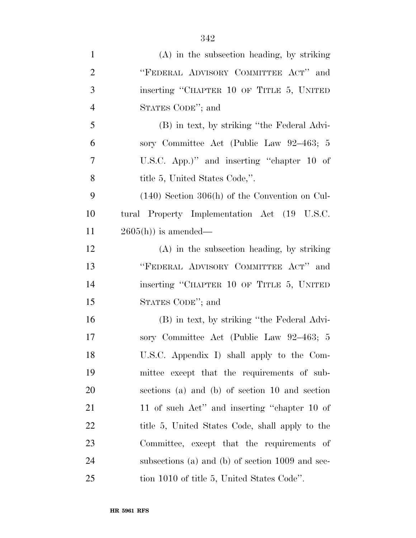| $\mathbf{1}$   | $(A)$ in the subsection heading, by striking     |
|----------------|--------------------------------------------------|
| $\overline{2}$ | "FEDERAL ADVISORY COMMITTEE ACT" and             |
| 3              | inserting "CHAPTER 10 OF TITLE 5, UNITED         |
| $\overline{4}$ | STATES CODE"; and                                |
| 5              | (B) in text, by striking "the Federal Advi-      |
| 6              | sory Committee Act (Public Law 92–463; 5         |
| 7              | U.S.C. App.)" and inserting "chapter 10 of       |
| 8              | title 5, United States Code,".                   |
| 9              | $(140)$ Section 306(h) of the Convention on Cul- |
| 10             | tural Property Implementation Act (19 U.S.C.     |
| 11             | $2605(h)$ is amended—                            |
| 12             | $(A)$ in the subsection heading, by striking     |
| 13             | "FEDERAL ADVISORY COMMITTEE ACT" and             |
| 14             | inserting "CHAPTER 10 OF TITLE 5, UNITED         |
| 15             | STATES CODE"; and                                |
| 16             | (B) in text, by striking "the Federal Advi-      |
| 17             | sory Committee Act (Public Law 92-463; 5         |
| 18             | U.S.C. Appendix I) shall apply to the Com-       |
| 19             | mittee except that the requirements of sub-      |
| 20             | sections (a) and (b) of section 10 and section   |
| 21             | 11 of such Act" and inserting "chapter 10 of     |
| 22             | title 5, United States Code, shall apply to the  |
| 23             | Committee, except that the requirements of       |
| 24             | subsections (a) and (b) of section 1009 and sec- |
| 25             | tion 1010 of title 5, United States Code".       |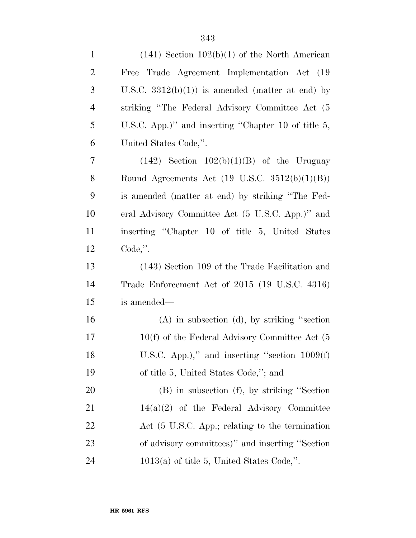| $\mathbf{1}$   | $(141)$ Section $102(b)(1)$ of the North American         |
|----------------|-----------------------------------------------------------|
| $\overline{c}$ | Trade Agreement Implementation Act (19)<br>Free           |
| 3              | U.S.C. $3312(b)(1)$ is amended (matter at end) by         |
| $\overline{4}$ | striking "The Federal Advisory Committee Act (5)          |
| 5              | U.S.C. App.)" and inserting "Chapter 10 of title 5,       |
| 6              | United States Code,".                                     |
| 7              | $(142)$ Section $102(b)(1)(B)$ of the Uruguay             |
| 8              | Round Agreements Act $(19 \text{ U.S.C. } 3512(b)(1)(B))$ |
| 9              | is amended (matter at end) by striking "The Fed-          |
| 10             | eral Advisory Committee Act (5 U.S.C. App.)" and          |
| 11             | inserting "Chapter 10 of title 5, United States           |
| 12             | $Code,$ ".                                                |
| 13             | (143) Section 109 of the Trade Facilitation and           |
| 14             | Trade Enforcement Act of 2015 (19 U.S.C. 4316)            |
| 15             | is amended—                                               |
| 16             | $(A)$ in subsection $(d)$ , by striking "section"         |
| 17             | $10(f)$ of the Federal Advisory Committee Act (5          |
| 18             | U.S.C. App.)," and inserting "section $1009(f)$           |
| 19             | of title 5, United States Code,"; and                     |
| 20             | $(B)$ in subsection $(f)$ , by striking "Section"         |
| 21             | $14(a)(2)$ of the Federal Advisory Committee              |
| 22             | Act (5 U.S.C. App.; relating to the termination           |
| 23             | of advisory committees)" and inserting "Section           |
| 24             | $1013(a)$ of title 5, United States Code,".               |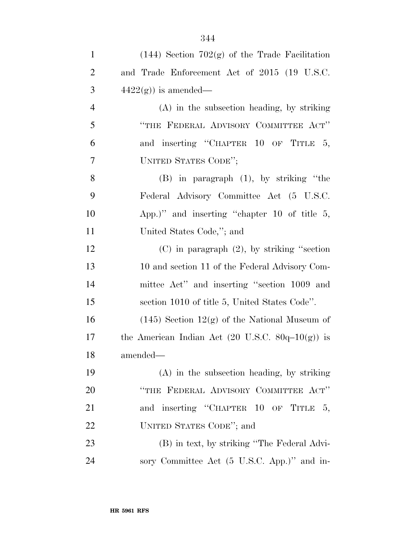| $\mathbf{1}$   | $(144)$ Section 702(g) of the Trade Facilitation    |
|----------------|-----------------------------------------------------|
| $\overline{2}$ | and Trade Enforcement Act of 2015 (19 U.S.C.        |
| 3              | $4422(g)$ ) is amended—                             |
| $\overline{4}$ | $(A)$ in the subsection heading, by striking        |
| 5              | "THE FEDERAL ADVISORY COMMITTEE ACT"                |
| 6              | and inserting "CHAPTER 10 OF TITLE 5,               |
| 7              | UNITED STATES CODE";                                |
| 8              | $(B)$ in paragraph $(1)$ , by striking "the         |
| 9              | Federal Advisory Committee Act (5 U.S.C.            |
| 10             | App.)" and inserting "chapter 10 of title $5$ ,     |
| 11             | United States Code,"; and                           |
| 12             | $(C)$ in paragraph $(2)$ , by striking "section     |
| 13             | 10 and section 11 of the Federal Advisory Com-      |
| 14             | mittee Act" and inserting "section 1009 and         |
| 15             | section 1010 of title 5, United States Code".       |
| 16             | $(145)$ Section $12(g)$ of the National Museum of   |
| 17             | the American Indian Act (20 U.S.C. $80q-10(g)$ ) is |
| 18             | amended—                                            |
| 19             | $(A)$ in the subsection heading, by striking        |
| 20             | "THE FEDERAL ADVISORY COMMITTEE ACT"                |
| 21             | and inserting "CHAPTER 10 OF TITLE 5,               |
| 22             | UNITED STATES CODE"; and                            |
| 23             | (B) in text, by striking "The Federal Advi-         |
| 24             | sory Committee Act (5 U.S.C. App.)" and in-         |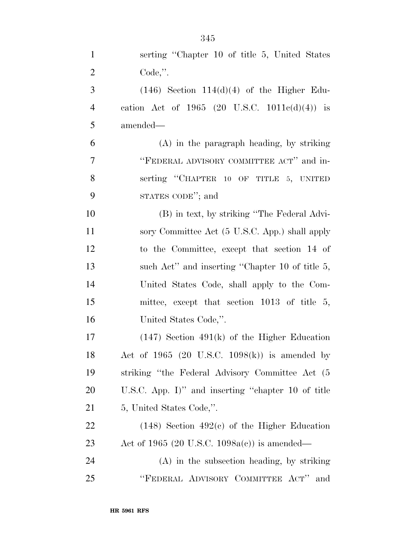| $\mathbf{1}$   | serting "Chapter 10 of title 5, United States      |
|----------------|----------------------------------------------------|
| $\overline{2}$ | $Code,$ ".                                         |
| 3              | $(146)$ Section $114(d)(4)$ of the Higher Edu-     |
| $\overline{4}$ | cation Act of 1965 (20 U.S.C. $1011c(d)(4)$ ) is   |
| 5              | amended—                                           |
| 6              | $(A)$ in the paragraph heading, by striking        |
| 7              | "FEDERAL ADVISORY COMMITTEE ACT" and in-           |
| 8              | serting "CHAPTER 10 OF TITLE 5, UNITED             |
| 9              | STATES CODE"; and                                  |
| 10             | (B) in text, by striking "The Federal Advi-        |
| 11             | sory Committee Act (5 U.S.C. App.) shall apply     |
| 12             | to the Committee, except that section 14 of        |
| 13             | such Act" and inserting "Chapter 10 of title 5,    |
| 14             | United States Code, shall apply to the Com-        |
| 15             | mittee, except that section 1013 of title 5,       |
| 16             | United States Code,".                              |
| 17             | $(147)$ Section $491(k)$ of the Higher Education   |
| 18             | Act of 1965 (20 U.S.C. 1098 $(k)$ ) is amended by  |
| 19             | striking "the Federal Advisory Committee Act (5    |
| 20             | U.S.C. App. I)" and inserting "chapter 10 of title |
| 21             | 5, United States Code,".                           |
| 22             | $(148)$ Section $492(c)$ of the Higher Education   |
| 23             | Act of 1965 (20 U.S.C. 1098a(c)) is amended—       |
| 24             | $(A)$ in the subsection heading, by striking       |
| 25             | "FEDERAL ADVISORY COMMITTEE ACT"<br>and            |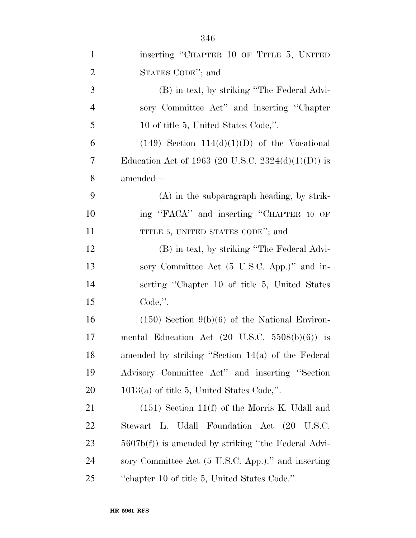| $\mathbf{1}$   | inserting "CHAPTER 10 OF TITLE 5, UNITED                  |
|----------------|-----------------------------------------------------------|
| $\overline{2}$ | STATES CODE"; and                                         |
| 3              | (B) in text, by striking "The Federal Advi-               |
| $\overline{4}$ | sory Committee Act" and inserting "Chapter"               |
| 5              | 10 of title 5, United States Code,".                      |
| 6              | $(149)$ Section $114(d)(1)(D)$ of the Vocational          |
| 7              | Education Act of 1963 (20 U.S.C. 2324(d)(1)(D)) is        |
| 8              | amended—                                                  |
| 9              | $(A)$ in the subparagraph heading, by strik-              |
| 10             | ing "FACA" and inserting "CHAPTER 10 OF                   |
| 11             | TITLE 5, UNITED STATES CODE"; and                         |
| 12             | (B) in text, by striking "The Federal Advi-               |
| 13             | sory Committee Act (5 U.S.C. App.)" and in-               |
| 14             | serting "Chapter 10 of title 5, United States"            |
| 15             | $Code,$ ".                                                |
| 16             | $(150)$ Section $9(b)(6)$ of the National Environ-        |
| 17             | mental Education Act $(20 \text{ U.S.C. } 5508(b)(6))$ is |
| 18             | amended by striking "Section 14(a) of the Federal         |
| 19             | Advisory Committee Act" and inserting "Section            |
| 20             | $1013(a)$ of title 5, United States Code,".               |
| 21             | $(151)$ Section 11(f) of the Morris K. Udall and          |
| 22             | Stewart L. Udall Foundation Act (20 U.S.C.                |
| 23             | $5607b(f)$ is amended by striking "the Federal Advi-      |
| 24             | sory Committee Act (5 U.S.C. App.)." and inserting        |
| 25             | "chapter 10 of title 5, United States Code.".             |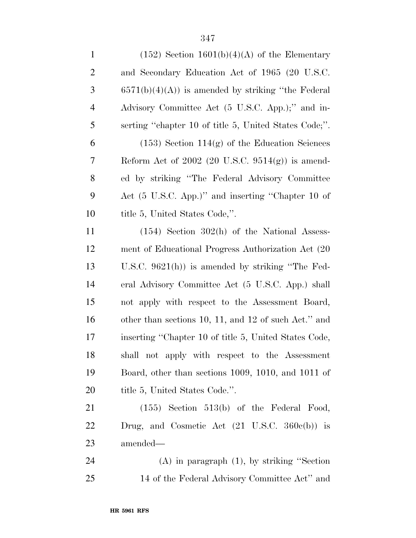| $\mathbf{1}$   | $(152)$ Section $1601(b)(4)(A)$ of the Elementary        |
|----------------|----------------------------------------------------------|
| $\overline{2}$ | and Secondary Education Act of 1965 (20 U.S.C.           |
| 3              | $6571(b)(4)(A)$ is amended by striking "the Federal"     |
| $\overline{4}$ | Advisory Committee Act (5 U.S.C. App.);" and in-         |
| 5              | serting "chapter 10 of title 5, United States Code;".    |
| 6              | $(153)$ Section $114(g)$ of the Education Sciences       |
| 7              | Reform Act of $2002$ (20 U.S.C. 9514(g)) is amend-       |
| 8              | ed by striking "The Federal Advisory Committee"          |
| 9              | Act (5 U.S.C. App.)" and inserting "Chapter 10 of        |
| 10             | title 5, United States Code,".                           |
| 11             | $(154)$ Section 302(h) of the National Assess-           |
| 12             | ment of Educational Progress Authorization Act (20)      |
| 13             | U.S.C. $9621(h)$ is amended by striking "The Fed-        |
| 14             | eral Advisory Committee Act (5 U.S.C. App.) shall        |
| 15             | not apply with respect to the Assessment Board,          |
| 16             | other than sections 10, 11, and 12 of such Act." and     |
| 17             | inserting "Chapter 10 of title 5, United States Code,    |
| 18             | shall not apply with respect to the Assessment           |
| 19             | Board, other than sections 1009, 1010, and 1011 of       |
| 20             | title 5, United States Code.".                           |
| 21             | $(155)$ Section 513(b) of the Federal Food,              |
| 22             | Drug, and Cosmetic Act $(21 \text{ U.S.C. } 360e(b))$ is |
| 23             | amended—                                                 |
| 24             | $(A)$ in paragraph $(1)$ , by striking "Section"         |
| 25             | 14 of the Federal Advisory Committee Act" and            |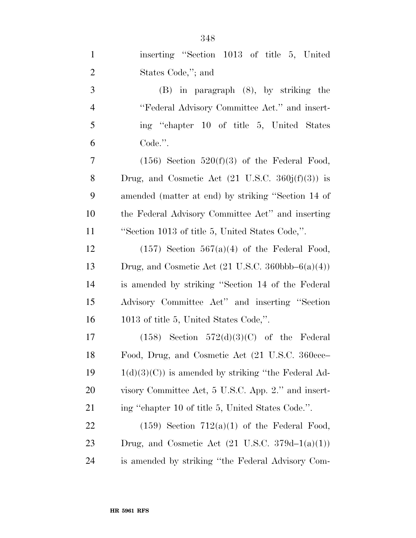| $\mathbf{1}$   | inserting "Section 1013 of title 5, United                             |
|----------------|------------------------------------------------------------------------|
| $\overline{2}$ | States Code,"; and                                                     |
| 3              | $(B)$ in paragraph $(8)$ , by striking the                             |
| $\overline{4}$ | "Federal Advisory Committee Act." and insert-                          |
| 5              | ing "chapter 10 of title 5, United States"                             |
| 6              | Code.".                                                                |
| 7              | $(156)$ Section $520(f)(3)$ of the Federal Food,                       |
| 8              | Drug, and Cosmetic Act $(21 \text{ U.S.C. } 360j(f)(3))$ is            |
| 9              | amended (matter at end) by striking "Section 14 of                     |
| 10             | the Federal Advisory Committee Act" and inserting                      |
| 11             | "Section 1013 of title 5, United States Code,".                        |
| 12             | $(157)$ Section 567(a)(4) of the Federal Food,                         |
| 13             | Drug, and Cosmetic Act $(21 \text{ U.S.C. } 360 \text{bbb} - 6(a)(4))$ |
| 14             | is amended by striking "Section 14 of the Federal                      |
| 15             | Advisory Committee Act" and inserting "Section                         |
| 16             | 1013 of title 5, United States Code,".                                 |
| 17             | $(158)$ Section $572(d)(3)(C)$ of the Federal                          |
| 18             | Food, Drug, and Cosmetic Act (21 U.S.C. 360ccc-                        |
| 19             | $1(d)(3)(C)$ is amended by striking "the Federal Ad-                   |
| 20             | visory Committee Act, 5 U.S.C. App. 2." and insert-                    |
| 21             | ing "chapter 10 of title 5, United States Code.".                      |
| 22             | $(159)$ Section $712(a)(1)$ of the Federal Food,                       |
| 23             | Drug, and Cosmetic Act $(21 \text{ U.S.C. } 379d-1(a)(1))$             |
| 24             | is amended by striking "the Federal Advisory Com-                      |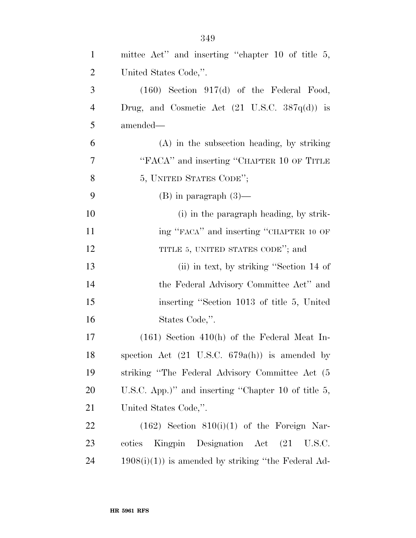| $\mathbf{1}$   | mittee Act" and inserting "chapter 10 of title 5,         |
|----------------|-----------------------------------------------------------|
| $\overline{2}$ | United States Code,".                                     |
| 3              | $(160)$ Section 917(d) of the Federal Food,               |
| $\overline{4}$ | Drug, and Cosmetic Act $(21 \text{ U.S.C. } 387q(d))$ is  |
| 5              | amended—                                                  |
| 6              | (A) in the subsection heading, by striking                |
| 7              | "FACA" and inserting "CHAPTER 10 OF TITLE                 |
| 8              | 5, UNITED STATES CODE";                                   |
| 9              | $(B)$ in paragraph $(3)$ —                                |
| 10             | (i) in the paragraph heading, by strik-                   |
| 11             | ing "FACA" and inserting "CHAPTER 10 OF                   |
| 12             | TITLE 5, UNITED STATES CODE"; and                         |
| 13             | (ii) in text, by striking "Section 14 of                  |
| 14             | the Federal Advisory Committee Act" and                   |
| 15             | inserting "Section 1013 of title 5, United                |
| 16             | States Code,".                                            |
| 17             | $(161)$ Section 410(h) of the Federal Meat In-            |
| 18             | spection Act $(21 \text{ U.S.C. } 679a(h))$ is amended by |
| 19             | striking "The Federal Advisory Committee Act (5           |
| 20             | U.S.C. App.)" and inserting "Chapter 10 of title $5$ ,    |
| 21             | United States Code,".                                     |
| 22             | $(162)$ Section $810(i)(1)$ of the Foreign Nar-           |
| 23             | Kingpin Designation Act (21<br>cotics<br>U.S.C.           |
| 24             | $1908(i)(1)$ is amended by striking "the Federal Ad-      |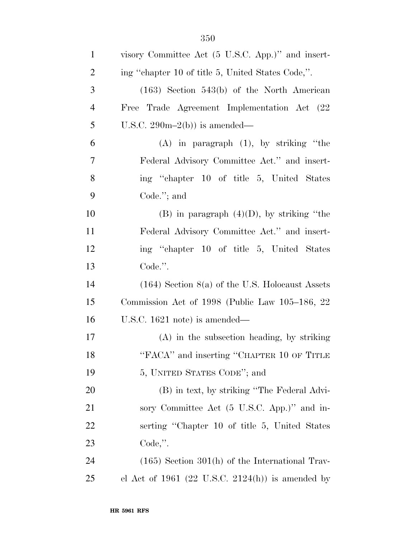| $\mathbf{1}$   | visory Committee Act (5 U.S.C. App.)" and insert- |
|----------------|---------------------------------------------------|
| $\overline{2}$ | ing "chapter 10 of title 5, United States Code,". |
| 3              | $(163)$ Section 543(b) of the North American      |
| $\overline{4}$ | Free Trade Agreement Implementation Act (22       |
| 5              | U.S.C. $290m-2(b)$ is amended—                    |
| 6              | $(A)$ in paragraph $(1)$ , by striking "the       |
| 7              | Federal Advisory Committee Act." and insert-      |
| 8              | ing "chapter 10 of title 5, United States"        |
| 9              | Code. $";$ and                                    |
| 10             | $(B)$ in paragraph $(4)(D)$ , by striking "the    |
| 11             | Federal Advisory Committee Act." and insert-      |
| 12             | ing "chapter 10 of title 5, United States"        |
| 13             | Code.".                                           |
| 14             | $(164)$ Section 8(a) of the U.S. Holocaust Assets |
| 15             | Commission Act of 1998 (Public Law 105–186, 22    |
| 16             | U.S.C. $1621$ note) is amended—                   |
| 17             | $(A)$ in the subsection heading, by striking      |
| 18             | "FACA" and inserting "CHAPTER 10 OF TITLE         |
| 19             | 5, UNITED STATES CODE"; and                       |
| <b>20</b>      | (B) in text, by striking "The Federal Advi-       |
| 21             | sory Committee Act (5 U.S.C. App.)" and in-       |
| 22             | serting "Chapter 10 of title 5, United States"    |
| 23             | $Code,$ ".                                        |
| 24             | $(165)$ Section 301(h) of the International Trav- |
| 25             | el Act of 1961 (22 U.S.C. 2124(h)) is amended by  |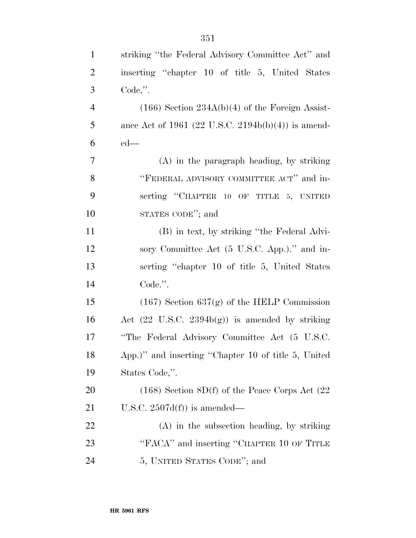| $\mathbf{1}$   | striking "the Federal Advisory Committee Act" and          |
|----------------|------------------------------------------------------------|
| $\overline{2}$ | inserting "chapter 10 of title 5, United States"           |
| 3              | $Code,$ ".                                                 |
| $\overline{4}$ | $(166)$ Section 234A(b)(4) of the Foreign Assist-          |
| 5              | ance Act of 1961 (22 U.S.C. 2194b(b)(4)) is amend-         |
| 6              | $ed$ —                                                     |
| $\overline{7}$ | $(A)$ in the paragraph heading, by striking                |
| 8              | "FEDERAL ADVISORY COMMITTEE ACT" and in-                   |
| 9              | serting "CHAPTER 10 OF TITLE 5, UNITED                     |
| 10             | STATES CODE"; and                                          |
| 11             | (B) in text, by striking "the Federal Advi-                |
| 12             | sory Committee Act (5 U.S.C. App.)." and in-               |
| 13             | serting "chapter 10 of title 5, United States"             |
| 14             | Code.".                                                    |
| 15             | $(167)$ Section 637(g) of the HELP Commission              |
| 16             | Act $(22 \text{ U.S.C. } 2394b(g))$ is amended by striking |
| 17             | "The Federal Advisory Committee Act (5 U.S.C.              |
| 18             | App.)" and inserting "Chapter 10 of title 5, United        |
| 19             | States Code,".                                             |
| 20             | $(168)$ Section $8D(f)$ of the Peace Corps Act $(22)$      |
| 21             | U.S.C. $2507d(f)$ is amended—                              |
| 22             | (A) in the subsection heading, by striking                 |
| 23             | "FACA" and inserting "CHAPTER 10 OF TITLE                  |
| 24             | 5, UNITED STATES CODE"; and                                |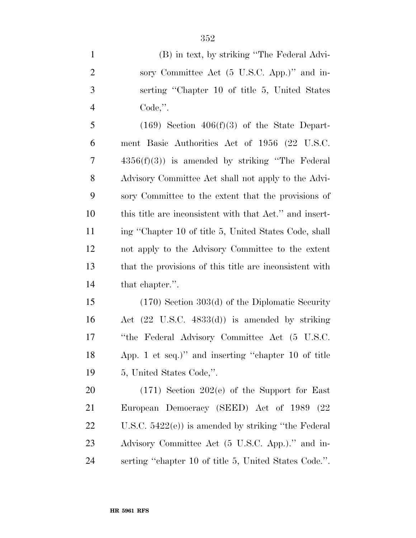| $\mathbf{1}$   | (B) in text, by striking "The Federal Advi-               |
|----------------|-----------------------------------------------------------|
| $\overline{2}$ | sory Committee Act (5 U.S.C. App.)" and in-               |
| 3              | serting "Chapter 10 of title 5, United States"            |
| $\overline{4}$ | Code,".                                                   |
| 5              | $(169)$ Section $406(f)(3)$ of the State Depart-          |
| 6              | ment Basic Authorities Act of 1956 (22 U.S.C.             |
| 7              | $4356(f)(3)$ is amended by striking "The Federal"         |
| $8\,$          | Advisory Committee Act shall not apply to the Advi-       |
| 9              | sory Committee to the extent that the provisions of       |
| 10             | this title are inconsistent with that Act." and insert-   |
| 11             | ing "Chapter 10 of title 5, United States Code, shall     |
| 12             | not apply to the Advisory Committee to the extent         |
| 13             | that the provisions of this title are inconsistent with   |
| 14             | that chapter.".                                           |
| 15             | $(170)$ Section 303(d) of the Diplomatic Security         |
| 16             | Act $(22 \text{ U.S.C. } 4833(d))$ is amended by striking |
| 17             | "the Federal Advisory Committee Act (5 U.S.C.             |
| 18             | App. 1 et seq.)" and inserting "chapter 10 of title       |
| 19             | 5, United States Code,".                                  |

 (171) Section 202(e) of the Support for East European Democracy (SEED) Act of 1989 (22 U.S.C. 5422(e)) is amended by striking ''the Federal Advisory Committee Act (5 U.S.C. App.).'' and in-serting ''chapter 10 of title 5, United States Code.''.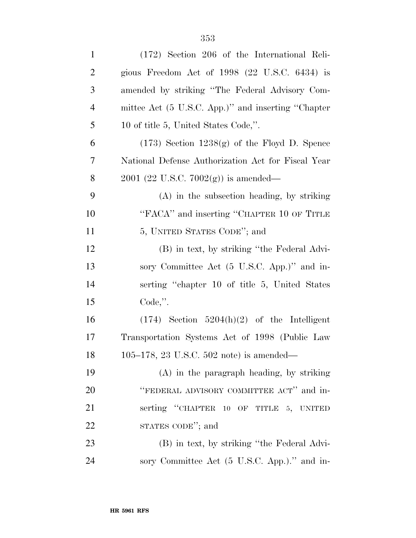| $\mathbf{1}$   | $(172)$ Section 206 of the International Reli-     |
|----------------|----------------------------------------------------|
| $\overline{2}$ | gious Freedom Act of $1998$ (22 U.S.C. 6434) is    |
| 3              | amended by striking "The Federal Advisory Com-     |
| $\overline{4}$ | mittee Act (5 U.S.C. App.)" and inserting "Chapter |
| 5              | 10 of title 5, United States Code,".               |
| 6              | $(173)$ Section $1238(g)$ of the Floyd D. Spence   |
| 7              | National Defense Authorization Act for Fiscal Year |
| 8              | $2001$ (22 U.S.C. 7002(g)) is amended—             |
| 9              | $(A)$ in the subsection heading, by striking       |
| 10             | "FACA" and inserting "CHAPTER 10 OF TITLE          |
| 11             | 5, UNITED STATES CODE"; and                        |
| 12             | (B) in text, by striking "the Federal Advi-        |
| 13             | sory Committee Act (5 U.S.C. App.)" and in-        |
| 14             | serting "chapter 10 of title 5, United States"     |
| 15             | $Code,$ ".                                         |
| 16             | $(174)$ Section $5204(h)(2)$ of the Intelligent    |
| 17             | Transportation Systems Act of 1998 (Public Law     |
| 18             | 105-178, 23 U.S.C. 502 note) is amended—           |
| 19             | $(A)$ in the paragraph heading, by striking        |
| <b>20</b>      | "FEDERAL ADVISORY COMMITTEE ACT" and in-           |
| 21             | serting "CHAPTER 10 OF TITLE 5, UNITED             |
| 22             | STATES CODE"; and                                  |
| 23             | (B) in text, by striking "the Federal Advi-        |
| 24             | sory Committee Act (5 U.S.C. App.)." and in-       |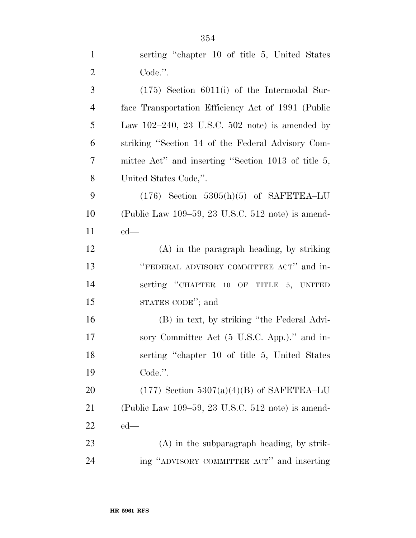| $\mathbf{1}$   | serting "chapter 10 of title 5, United States                       |
|----------------|---------------------------------------------------------------------|
| $\overline{2}$ | Code.".                                                             |
| 3              | $(175)$ Section $6011(i)$ of the Intermodal Sur-                    |
| $\overline{4}$ | face Transportation Efficiency Act of 1991 (Public                  |
| 5              | Law $102-240$ , $23 \text{ U.S.C. } 502 \text{ note}$ is amended by |
| 6              | striking "Section 14 of the Federal Advisory Com-                   |
| $\overline{7}$ | mittee Act" and inserting "Section 1013 of title 5,                 |
| $8\,$          | United States Code,".                                               |
| 9              | $(176)$ Section 5305(h)(5) of SAFETEA-LU                            |
| 10             | (Public Law $109-59$ , 23 U.S.C. 512 note) is amend-                |
| 11             | $ed$ —                                                              |
| 12             | $(A)$ in the paragraph heading, by striking                         |
| 13             | "FEDERAL ADVISORY COMMITTEE ACT" and in-                            |
| 14             | serting "CHAPTER 10 OF TITLE 5, UNITED                              |
| 15             | STATES CODE"; and                                                   |
| 16             | (B) in text, by striking "the Federal Advi-                         |
| 17             | sory Committee Act (5 U.S.C. App.)." and in-                        |
| 18             | serting "chapter 10 of title 5, United States"                      |
| 19             | Code.".                                                             |
| 20             | $(177)$ Section 5307(a)(4)(B) of SAFETEA–LU                         |
| 21             | (Public Law $109-59$ , 23 U.S.C. 512 note) is amend-                |
| 22             | $ed$ —                                                              |
| 23             | $(A)$ in the subparagraph heading, by strik-                        |
| 24             | ing "ADVISORY COMMITTEE ACT" and inserting                          |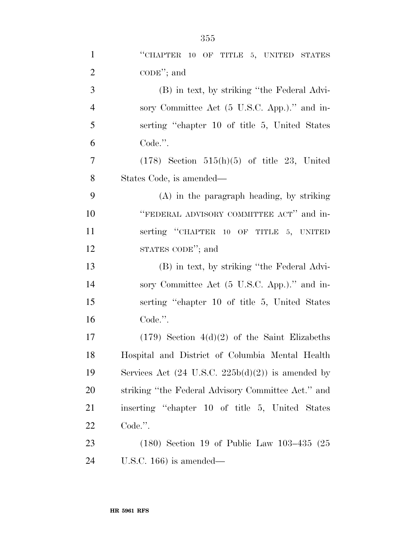| $\mathbf{1}$   | "CHAPTER 10 OF TITLE 5, UNITED STATES                        |
|----------------|--------------------------------------------------------------|
| $\overline{2}$ | $\mathrm{CODE}$ "; and                                       |
| 3              | (B) in text, by striking "the Federal Advi-                  |
| $\overline{4}$ | sory Committee Act (5 U.S.C. App.)." and in-                 |
| 5              | serting "chapter 10 of title 5, United States"               |
| 6              | Code.".                                                      |
| $\overline{7}$ | $(178)$ Section $515(h)(5)$ of title 23, United              |
| $8\,$          | States Code, is amended—                                     |
| 9              | $(A)$ in the paragraph heading, by striking                  |
| 10             | "FEDERAL ADVISORY COMMITTEE ACT" and in-                     |
| 11             | serting "CHAPTER 10 OF TITLE 5, UNITED                       |
| 12             | STATES CODE"; and                                            |
| 13             | (B) in text, by striking "the Federal Advi-                  |
| 14             | sory Committee Act (5 U.S.C. App.)." and in-                 |
| 15             | serting "chapter 10 of title 5, United States"               |
| 16             | Code.".                                                      |
| 17             | $(179)$ Section $4(d)(2)$ of the Saint Elizabeths            |
| 18             | Hospital and District of Columbia Mental Health              |
| 19             | Services Act $(24 \text{ U.S.C. } 225b(d)(2))$ is amended by |
| 20             | striking "the Federal Advisory Committee Act." and           |
| 21             | inserting "chapter 10 of title 5, United States              |
| 22             | Code.".                                                      |
| 23             | $(180)$ Section 19 of Public Law $103-435$ $(25)$            |
| 24             | U.S.C. $166$ ) is amended—                                   |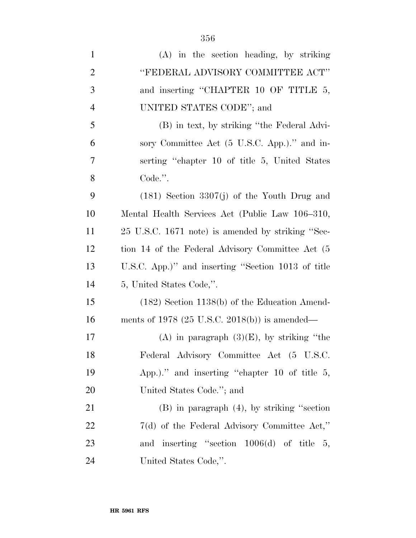| $\mathbf{1}$   | (A) in the section heading, by striking            |
|----------------|----------------------------------------------------|
| $\overline{2}$ | "FEDERAL ADVISORY COMMITTEE ACT"                   |
| 3              | and inserting "CHAPTER 10 OF TITLE 5,              |
| $\overline{4}$ | UNITED STATES CODE"; and                           |
| 5              | (B) in text, by striking "the Federal Advi-        |
| 6              | sory Committee Act (5 U.S.C. App.)." and in-       |
| $\tau$         | serting "chapter 10 of title 5, United States"     |
| 8              | Code.".                                            |
| 9              | $(181)$ Section 3307(j) of the Youth Drug and      |
| 10             | Mental Health Services Act (Public Law 106-310,    |
| 11             | 25 U.S.C. 1671 note) is amended by striking "Sec-  |
| 12             | tion 14 of the Federal Advisory Committee Act (5   |
| 13             | U.S.C. App.)" and inserting "Section 1013 of title |
| 14             | 5, United States Code,".                           |
| 15             | $(182)$ Section 1138(b) of the Education Amend-    |
| 16             | ments of $1978$ (25 U.S.C. 2018(b)) is amended—    |
| 17             | (A) in paragraph $(3)(E)$ , by striking "the       |
| 18             | Federal Advisory Committee Act (5 U.S.C.           |
| 19             | App.)." and inserting "chapter 10 of title $5$ ,   |
| 20             | United States Code."; and                          |
| 21             | $(B)$ in paragraph $(4)$ , by striking "section"   |
| 22             | $7(d)$ of the Federal Advisory Committee Act,"     |
| 23             | and inserting "section $1006(d)$ of title 5,       |
| 24             | United States Code,".                              |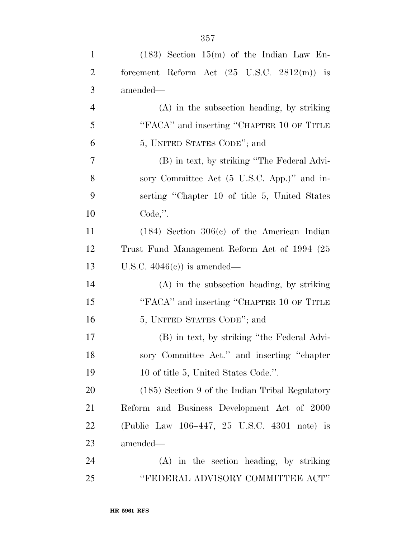| $\mathbf{1}$   | $(183)$ Section $15(m)$ of the Indian Law En-                 |
|----------------|---------------------------------------------------------------|
| $\overline{2}$ | forcement Reform Act $(25 \text{ U.S.C. } 2812(\text{m}))$ is |
| 3              | amended—                                                      |
| $\overline{4}$ | $(A)$ in the subsection heading, by striking                  |
| 5              | "FACA" and inserting "CHAPTER 10 OF TITLE                     |
| 6              | 5, UNITED STATES CODE"; and                                   |
| 7              | (B) in text, by striking "The Federal Advi-                   |
| 8              | sory Committee Act (5 U.S.C. App.)" and in-                   |
| 9              | serting "Chapter 10 of title 5, United States                 |
| 10             | $Code,$ ".                                                    |
| 11             | $(184)$ Section $306(c)$ of the American Indian               |
| 12             | Trust Fund Management Reform Act of 1994 (25)                 |
| 13             | U.S.C. $4046(e)$ is amended—                                  |
| 14             | (A) in the subsection heading, by striking                    |
| 15             | "FACA" and inserting "CHAPTER 10 OF TITLE                     |
| 16             | 5, UNITED STATES CODE"; and                                   |
| 17             | (B) in text, by striking "the Federal Advi-                   |
| 18             | sory Committee Act." and inserting "chapter                   |
| 19             | 10 of title 5, United States Code.".                          |
| 20             | (185) Section 9 of the Indian Tribal Regulatory               |
| 21             | Reform and Business Development Act of 2000                   |
| 22             | (Public Law 106–447, 25 U.S.C. 4301 note) is                  |
| 23             | amended—                                                      |
| 24             | $(A)$ in the section heading, by striking                     |
| 25             | "FEDERAL ADVISORY COMMITTEE ACT"                              |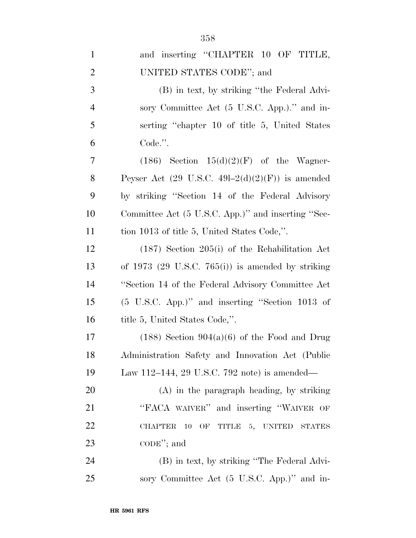| $\mathbf{1}$   | and inserting "CHAPTER 10 OF TITLE,                         |
|----------------|-------------------------------------------------------------|
| $\overline{2}$ | UNITED STATES CODE"; and                                    |
| 3              | (B) in text, by striking "the Federal Advi-                 |
| $\overline{4}$ | sory Committee Act (5 U.S.C. App.)." and in-                |
| 5              | serting "chapter 10 of title 5, United States               |
| 6              | Code.".                                                     |
| $\overline{7}$ | $(186)$ Section $15(d)(2)(F)$ of the Wagner-                |
| 8              | Peyser Act $(29 \text{ U.S.C. } 49l-2(d)(2)(F))$ is amended |
| 9              | by striking "Section 14 of the Federal Advisory             |
| 10             | Committee Act (5 U.S.C. App.)" and inserting "Sec-          |
| 11             | tion 1013 of title 5, United States Code,".                 |
| 12             | $(187)$ Section 205(i) of the Rehabilitation Act            |
| 13             | of $1973$ (29 U.S.C. 765(i)) is amended by striking         |
| 14             | "Section 14 of the Federal Advisory Committee Act"          |
| 15             | (5 U.S.C. App.)" and inserting "Section 1013 of             |
| 16             | title 5, United States Code,".                              |
| 17             | $(188)$ Section $904(a)(6)$ of the Food and Drug            |
| 18             | Administration Safety and Innovation Act (Public            |
| 19             | Law 112-144, 29 U.S.C. 792 note) is amended—                |
| 20             | $(A)$ in the paragraph heading, by striking                 |
| 21             | "FACA WAIVER" and inserting "WAIVER OF                      |
| 22             | 10 OF TITLE 5, UNITED STATES<br><b>CHAPTER</b>              |
| 23             | $\mathrm{CODE}$ "; and                                      |
| 24             | (B) in text, by striking "The Federal Advi-                 |
| $25\,$         | sory Committee Act (5 U.S.C. App.)" and in-                 |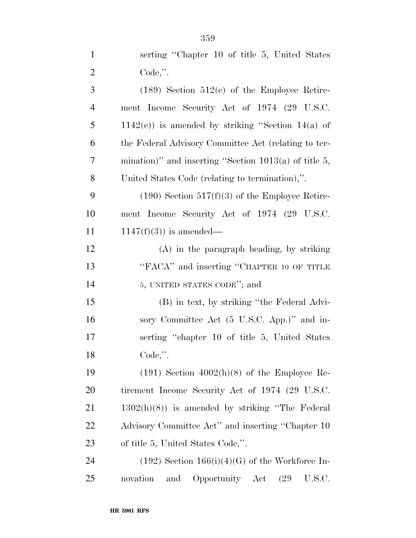| $\mathbf{1}$   | serting "Chapter 10 of title 5, United States"          |
|----------------|---------------------------------------------------------|
| $\overline{2}$ | Code,".                                                 |
| 3              | $(189)$ Section $512(e)$ of the Employee Retire-        |
| $\overline{4}$ | ment Income Security Act of 1974 (29 U.S.C.             |
| 5              | $1142(e)$ ) is amended by striking "Section 14(a) of    |
| 6              | the Federal Advisory Committee Act (relating to ter-    |
| 7              | mination)" and inserting "Section $1013(a)$ of title 5, |
| 8              | United States Code (relating to termination),".         |
| 9              | $(190)$ Section $517(f)(3)$ of the Employee Retire-     |
| 10             | ment Income Security Act of 1974 (29 U.S.C.             |
| 11             | $1147(f)(3)$ is amended—                                |
| 12             | $(A)$ in the paragraph heading, by striking             |
| 13             | "FACA" and inserting "CHAPTER 10 OF TITLE               |
| 14             | 5, UNITED STATES CODE"; and                             |
| 15             | (B) in text, by striking "the Federal Advi-             |
| 16             | sory Committee Act (5 U.S.C. App.)" and in-             |
| 17             | serting "chapter 10 of title 5, United States"          |
| 18             | $Code,$ ".                                              |
| 19             | $(191)$ Section $4002(h)(8)$ of the Employee Re-        |
| 20             | tirement Income Security Act of 1974 (29 U.S.C.         |
| 21             | $1302(h)(8)$ ) is amended by striking "The Federal      |
| 22             | Advisory Committee Act" and inserting "Chapter 10       |
| 23             | of title 5, United States Code,".                       |
| 24             | $(192)$ Section $166(i)(4)(G)$ of the Workforce In-     |
| 25             | Opportunity Act<br>U.S.C.<br>novation<br>and<br>(29     |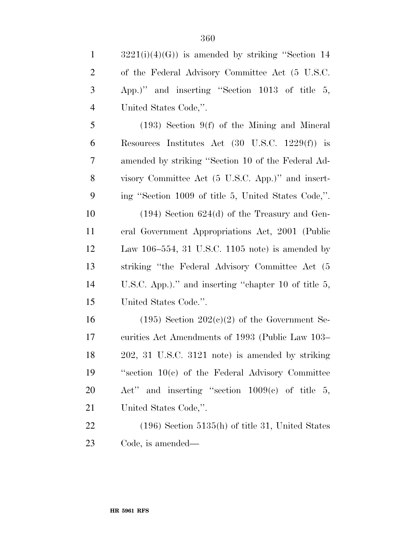| $\mathbf{1}$   | $3221(i)(4)(G)$ is amended by striking "Section 14         |
|----------------|------------------------------------------------------------|
| $\overline{2}$ | of the Federal Advisory Committee Act (5 U.S.C.            |
| 3              | App.)" and inserting "Section 1013 of title 5,             |
| $\overline{4}$ | United States Code,".                                      |
| 5              | $(193)$ Section 9(f) of the Mining and Mineral             |
| 6              | Resources Institutes Act $(30 \text{ U.S.C. } 1229(f))$ is |
| 7              | amended by striking "Section 10 of the Federal Ad-         |
| 8              | visory Committee Act (5 U.S.C. App.)" and insert-          |
| 9              | ing "Section 1009 of title 5, United States Code,".        |
| 10             | $(194)$ Section 624(d) of the Treasury and Gen-            |
| 11             | eral Government Appropriations Act, 2001 (Public           |
| 12             | Law 106-554, 31 U.S.C. 1105 note) is amended by            |
| 13             | striking "the Federal Advisory Committee Act (5)           |
| 14             | U.S.C. App.)." and inserting "chapter 10 of title 5,       |
| 15             | United States Code.".                                      |
| 16             | $(195)$ Section $202(c)(2)$ of the Government Se-          |
| 17             | curities Act Amendments of 1993 (Public Law 103–           |
| 18             | 202, 31 U.S.C. 3121 note) is amended by striking           |
| 19             | "section $10(c)$ of the Federal Advisory Committee         |
| 20             | Act" and inserting "section $1009(e)$ of title 5,          |
| 21             | United States Code,".                                      |
| 22             | $(196)$ Section 5135(h) of title 31, United States         |
| 23             | Code, is amended—                                          |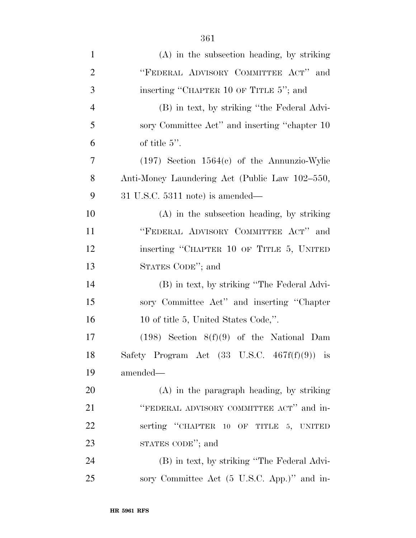| $\mathbf{1}$   | $(A)$ in the subsection heading, by striking            |
|----------------|---------------------------------------------------------|
| $\overline{2}$ | "FEDERAL ADVISORY COMMITTEE ACT" and                    |
| 3              | inserting "CHAPTER 10 OF TITLE 5"; and                  |
| $\overline{4}$ | (B) in text, by striking "the Federal Advi-             |
| 5              | sory Committee Act" and inserting "chapter 10           |
| 6              | of title $5$ ".                                         |
| 7              | $(197)$ Section $1564(c)$ of the Annunzio-Wylie         |
| 8              | Anti-Money Laundering Act (Public Law 102–550,          |
| 9              | $31$ U.S.C. $5311$ note) is amended—                    |
| 10             | $(A)$ in the subsection heading, by striking            |
| 11             | "FEDERAL ADVISORY COMMITTEE ACT" and                    |
| 12             | inserting "CHAPTER 10 OF TITLE 5, UNITED                |
| 13             | STATES CODE"; and                                       |
| 14             | (B) in text, by striking "The Federal Advi-             |
| 15             | sory Committee Act" and inserting "Chapter              |
| 16             | 10 of title 5, United States Code,".                    |
| 17             | $(198)$ Section $8(f)(9)$ of the National Dam           |
| 18             | Safety Program Act $(33 \text{ U.S.C. } 467f(f)(9))$ is |
| 19             | amended—                                                |
| 20             | (A) in the paragraph heading, by striking               |
| 21             | "FEDERAL ADVISORY COMMITTEE ACT" and in-                |
| 22             | serting "CHAPTER 10 OF TITLE 5, UNITED                  |
| 23             | STATES CODE"; and                                       |
| 24             | (B) in text, by striking "The Federal Advi-             |
| 25             | sory Committee Act (5 U.S.C. App.)" and in-             |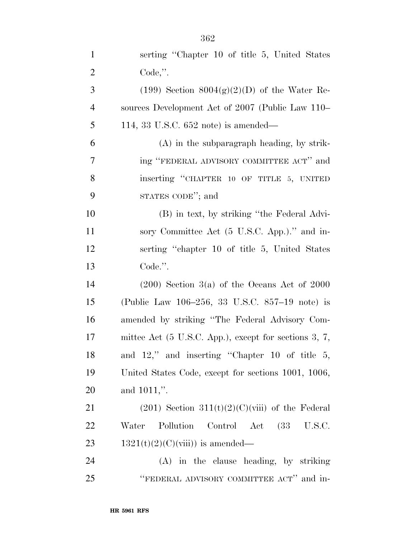| $\mathbf{1}$   | serting "Chapter 10 of title 5, United States"                   |
|----------------|------------------------------------------------------------------|
| $\overline{2}$ | $Code,$ ".                                                       |
| 3              | $(199)$ Section $8004(g)(2)(D)$ of the Water Re-                 |
| $\overline{4}$ | sources Development Act of 2007 (Public Law 110–                 |
| 5              | 114, 33 U.S.C. $652$ note) is amended—                           |
| 6              | $(A)$ in the subparagraph heading, by strik-                     |
| 7              | ing "FEDERAL ADVISORY COMMITTEE ACT" and                         |
| 8              | inserting "CHAPTER 10 OF TITLE 5, UNITED                         |
| 9              | STATES CODE"; and                                                |
| 10             | (B) in text, by striking "the Federal Advi-                      |
| 11             | sory Committee Act (5 U.S.C. App.)." and in-                     |
| 12             | serting "chapter 10 of title 5, United States"                   |
| 13             | Code.".                                                          |
| 14             | $(200)$ Section 3(a) of the Oceans Act of 2000                   |
| 15             | (Public Law 106–256, 33 U.S.C. 857–19 note) is                   |
| 16             | amended by striking "The Federal Advisory Com-                   |
| 17             | mittee Act $(5 \text{ U.S.C. App.})$ , except for sections 3, 7, |
| 18             | and $12$ ," and inserting "Chapter 10 of title 5,                |
| 19             | United States Code, except for sections 1001, 1006,              |
| 20             | and 1011,".                                                      |
| 21             | $(201)$ Section 311(t)(2)(C)(viii) of the Federal                |
| 22             | Pollution<br>Control Act (33 U.S.C.<br>Water                     |
| 23             | $1321(t)(2)(C)(viii)$ is amended—                                |
| 24             | (A) in the clause heading, by striking                           |
| 25             | "FEDERAL ADVISORY COMMITTEE ACT" and in-                         |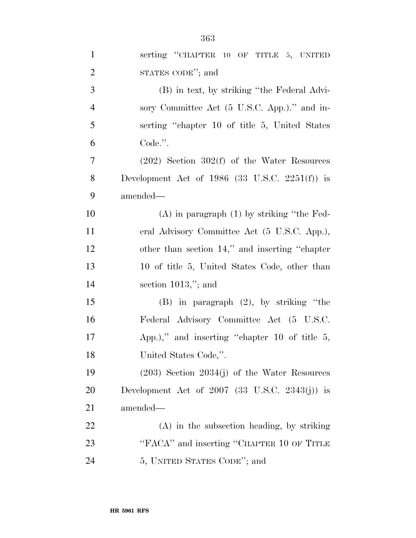| $\mathbf{1}$   | serting "CHAPTER 10 OF TITLE 5, UNITED              |
|----------------|-----------------------------------------------------|
| $\overline{2}$ | STATES CODE"; and                                   |
| 3              | (B) in text, by striking "the Federal Advi-         |
| $\overline{4}$ | sory Committee Act (5 U.S.C. App.)." and in-        |
| 5              | serting "chapter 10 of title 5, United States"      |
| 6              | Code.".                                             |
| 7              | $(202)$ Section 302(f) of the Water Resources       |
| 8              | Development Act of $1986$ (33 U.S.C. 2251(f)) is    |
| 9              | amended—                                            |
| 10             | $(A)$ in paragraph $(1)$ by striking "the Fed-      |
| 11             | eral Advisory Committee Act (5 U.S.C. App.),        |
| 12             | other than section 14," and inserting "chapter"     |
| 13             | 10 of title 5, United States Code, other than       |
| 14             | section $1013$ ,"; and                              |
| 15             | $(B)$ in paragraph $(2)$ , by striking "the         |
| 16             | Federal Advisory Committee Act (5 U.S.C.            |
| 17             | App.)," and inserting "chapter 10 of title $5$ ,    |
| 18             | United States Code,".                               |
| 19             | $(203)$ Section $2034(j)$ of the Water Resources    |
| 20             | Development Act of $2007$ (33 U.S.C. $2343(j)$ ) is |
| 21             | amended—                                            |
| 22             | $(A)$ in the subsection heading, by striking        |
| 23             | "FACA" and inserting "CHAPTER 10 OF TITLE           |
| 24             | 5, UNITED STATES CODE"; and                         |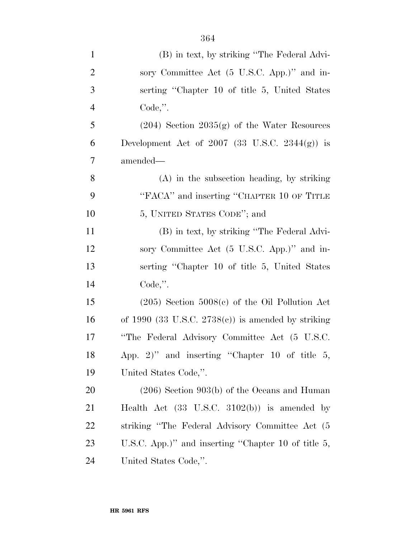| $\mathbf{1}$   | (B) in text, by striking "The Federal Advi-             |
|----------------|---------------------------------------------------------|
| $\overline{2}$ | sory Committee Act (5 U.S.C. App.)" and in-             |
| 3              | serting "Chapter 10 of title 5, United States           |
| $\overline{4}$ | $Code,$ ".                                              |
| 5              | $(204)$ Section $2035(g)$ of the Water Resources        |
| 6              | Development Act of $2007$ (33 U.S.C. $2344(g)$ ) is     |
| 7              | amended—                                                |
| $8\,$          | (A) in the subsection heading, by striking              |
| 9              | "FACA" and inserting "CHAPTER 10 OF TITLE               |
| 10             | 5, UNITED STATES CODE"; and                             |
| 11             | (B) in text, by striking "The Federal Advi-             |
| 12             | sory Committee Act (5 U.S.C. App.)" and in-             |
| 13             | serting "Chapter 10 of title 5, United States           |
| 14             | $Code,$ ".                                              |
| 15             | $(205)$ Section $5008(c)$ of the Oil Pollution Act      |
| 16             | of 1990 (33 U.S.C. $2738(c)$ ) is amended by striking   |
| 17             | "The Federal Advisory Committee Act (5 U.S.C.           |
| 18             | App. 2)" and inserting "Chapter 10 of title $5$ ,       |
| 19             | United States Code,".                                   |
| 20             | $(206)$ Section 903(b) of the Oceans and Human          |
| 21             | Health Act $(33 \text{ U.S.C. } 3102(b))$ is amended by |
| 22             | striking "The Federal Advisory Committee Act (5)        |
| 23             | U.S.C. App.)" and inserting "Chapter 10 of title 5,     |
| 24             | United States Code,".                                   |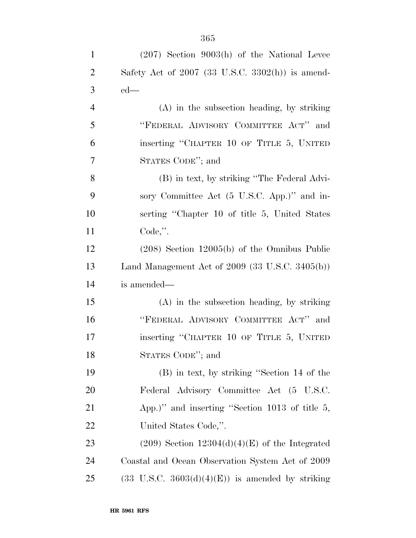| $\mathbf{1}$   | $(207)$ Section 9003(h) of the National Levee               |
|----------------|-------------------------------------------------------------|
| $\overline{2}$ | Safety Act of $2007$ (33 U.S.C. 3302(h)) is amend-          |
| 3              | $ed$ —                                                      |
| $\overline{4}$ | $(A)$ in the subsection heading, by striking                |
| 5              | "FEDERAL ADVISORY COMMITTEE ACT" and                        |
| 6              | inserting "CHAPTER 10 OF TITLE 5, UNITED                    |
| 7              | STATES CODE"; and                                           |
| 8              | (B) in text, by striking "The Federal Advi-                 |
| 9              | sory Committee Act (5 U.S.C. App.)" and in-                 |
| 10             | serting "Chapter 10 of title 5, United States               |
| 11             | Code,".                                                     |
| 12             | $(208)$ Section 12005(b) of the Omnibus Public              |
| 13             | Land Management Act of $2009$ (33 U.S.C. 3405(b))           |
| 14             | is amended—                                                 |
| 15             | $(A)$ in the subsection heading, by striking                |
| 16             | "FEDERAL ADVISORY COMMITTEE ACT" and                        |
| 17             | inserting "CHAPTER 10 OF TITLE 5, UNITED                    |
| 18             | STATES CODE"; and                                           |
| 19             | (B) in text, by striking "Section 14 of the                 |
| <b>20</b>      | Federal Advisory Committee Act (5 U.S.C.                    |
| 21             | App.)" and inserting "Section $1013$ of title 5,            |
| 22             | United States Code,".                                       |
| 23             | $(209)$ Section 12304(d)(4)(E) of the Integrated            |
| 24             | Coastal and Ocean Observation System Act of 2009            |
| 25             | $(33 \text{ U.S.C. } 3603(d)(4)(E))$ is amended by striking |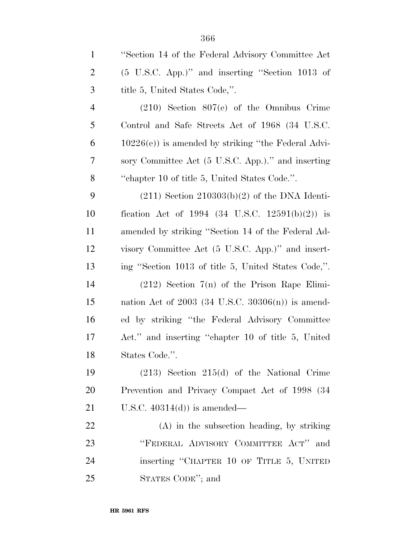| $\mathbf{1}$   | "Section 14 of the Federal Advisory Committee Act          |
|----------------|------------------------------------------------------------|
| $\overline{2}$ | $(5 \text{ U.S.C. App.})$ " and inserting "Section 1013 of |
| 3              | title 5, United States Code,".                             |
| 4              | $(210)$ Section 807(e) of the Omnibus Crime                |
| 5              | Control and Safe Streets Act of 1968 (34 U.S.C.            |
| 6              | $10226(e)$ ) is amended by striking "the Federal Advi-     |
| 7              | sory Committee Act (5 U.S.C. App.)." and inserting         |
| 8              | "chapter 10 of title 5, United States Code.".              |
| 9              | $(211)$ Section $210303(b)(2)$ of the DNA Identi-          |
| 10             | fication Act of 1994 (34 U.S.C. 12591(b)(2)) is            |
| 11             | amended by striking "Section 14 of the Federal Ad-         |
| 12             | visory Committee Act (5 U.S.C. App.)" and insert-          |
| 13             | ing "Section 1013 of title 5, United States Code,".        |
| 14             | $(212)$ Section 7(n) of the Prison Rape Elimi-             |
| 15             | nation Act of $2003$ (34 U.S.C. $30306(n)$ ) is amend-     |
| 16             | ed by striking "the Federal Advisory Committee"            |
| 17             | Act." and inserting "chapter 10 of title 5, United         |
| 18             | States Code.".                                             |
| 19             | $(213)$ Section $215(d)$ of the National Crime             |
| 20             | Prevention and Privacy Compact Act of 1998 (34             |
| 21             | U.S.C. $40314(d)$ is amended—                              |
| 22             | $(A)$ in the subsection heading, by striking               |
| 23             | "FEDERAL ADVISORY COMMITTEE ACT" and                       |
| 24             | inserting "CHAPTER 10 OF TITLE 5, UNITED                   |
| 25             | STATES CODE"; and                                          |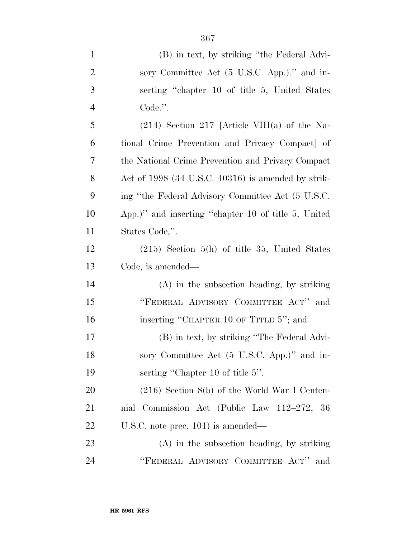| $\mathbf{1}$   | (B) in text, by striking "the Federal Advi-         |
|----------------|-----------------------------------------------------|
| $\overline{2}$ | sory Committee Act (5 U.S.C. App.)." and in-        |
| 3              | serting "chapter 10 of title 5, United States"      |
| $\overline{4}$ | Code.".                                             |
| 5              | $(214)$ Section 217 [Article VIII(a) of the Na-     |
| 6              | tional Crime Prevention and Privacy Compact of      |
| 7              | the National Crime Prevention and Privacy Compact   |
| $8\phantom{1}$ | Act of 1998 (34 U.S.C. 40316) is amended by strik-  |
| 9              | ing "the Federal Advisory Committee Act (5 U.S.C.   |
| 10             | App.)" and inserting "chapter 10 of title 5, United |
| 11             | States Code,".                                      |
| 12             | $(215)$ Section 5(h) of title 35, United States     |
| 13             | Code, is amended—                                   |
| 14             | (A) in the subsection heading, by striking          |
| 15             | "FEDERAL ADVISORY COMMITTEE ACT" and                |
| 16             | inserting "CHAPTER 10 OF TITLE 5"; and              |
| 17             | (B) in text, by striking "The Federal Advi-         |
| 18             | sory Committee Act (5 U.S.C. App.)" and in-         |
| 19             | serting "Chapter 10 of title 5".                    |
| 20             | $(216)$ Section $8(b)$ of the World War I Centen-   |
| 21             | nial Commission Act (Public Law 112–272, 36         |
| 22             | U.S.C. note prec. $101$ ) is amended—               |
| 23             | (A) in the subsection heading, by striking          |
|                |                                                     |

''FEDERAL ADVISORY COMMITTEE ACT'' and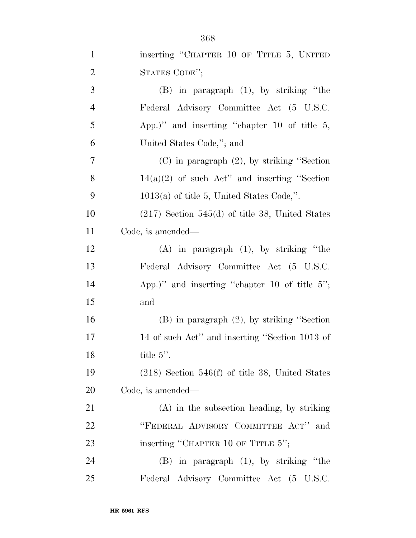| $\mathbf{1}$   | inserting "CHAPTER 10 OF TITLE 5, UNITED          |
|----------------|---------------------------------------------------|
| $\overline{2}$ | STATES CODE";                                     |
| 3              | $(B)$ in paragraph $(1)$ , by striking "the       |
| $\overline{4}$ | Federal Advisory Committee Act (5 U.S.C.          |
| 5              | App.)" and inserting "chapter 10 of title $5$ ,   |
| 6              | United States Code,"; and                         |
| 7              | $(C)$ in paragraph $(2)$ , by striking "Section"  |
| 8              | $14(a)(2)$ of such Act" and inserting "Section"   |
| 9              | $1013(a)$ of title 5, United States Code,".       |
| 10             | $(217)$ Section 545(d) of title 38, United States |
| 11             | Code, is amended—                                 |
| 12             | $(A)$ in paragraph $(1)$ , by striking "the       |
| 13             | Federal Advisory Committee Act (5 U.S.C.          |
| 14             | App.)" and inserting "chapter 10 of title $5$ ";  |
| 15             | and                                               |
| 16             | $(B)$ in paragraph $(2)$ , by striking "Section"  |
| 17             | 14 of such Act" and inserting "Section 1013 of    |
| 18             | title 5".                                         |
| 19             | $(218)$ Section 546(f) of title 38, United States |
| 20             | Code, is amended—                                 |
| 21             | $(A)$ in the subsection heading, by striking      |
| 22             | "FEDERAL ADVISORY COMMITTEE ACT"<br>and           |
| 23             | inserting "CHAPTER 10 OF TITLE 5";                |
| 24             | $(B)$ in paragraph $(1)$ , by striking "the       |
| 25             | Federal Advisory Committee Act (5 U.S.C.          |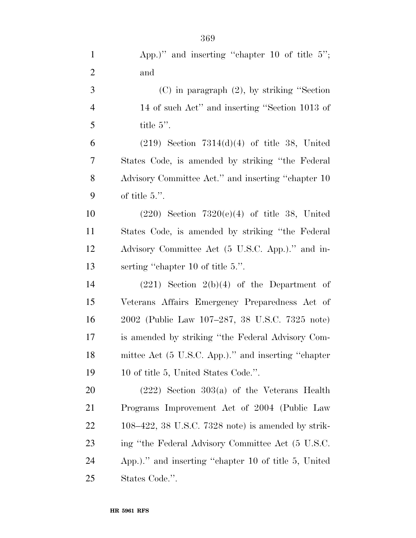| $\mathbf{1}$   | App.)" and inserting "chapter 10 of title $5$ ";      |
|----------------|-------------------------------------------------------|
| $\overline{2}$ | and                                                   |
| 3              | $(C)$ in paragraph $(2)$ , by striking "Section"      |
| $\overline{4}$ | 14 of such Act" and inserting "Section 1013 of        |
| 5              | title $5$ ".                                          |
| 6              | $(219)$ Section $7314(d)(4)$ of title 38, United      |
| 7              | States Code, is amended by striking "the Federal"     |
| 8              | Advisory Committee Act." and inserting "chapter 10    |
| 9              | of title $5$ .".                                      |
| 10             | $(220)$ Section $7320(e)(4)$ of title 38, United      |
| 11             | States Code, is amended by striking "the Federal"     |
| 12             | Advisory Committee Act (5 U.S.C. App.)." and in-      |
| 13             | serting "chapter 10 of title 5.".                     |
| 14             | $(221)$ Section $2(b)(4)$ of the Department of        |
| 15             | Veterans Affairs Emergency Preparedness Act of        |
| 16             | 2002 (Public Law 107–287, 38 U.S.C. 7325 note)        |
| 17             | is amended by striking "the Federal Advisory Com-     |
| 18             | mittee Act (5 U.S.C. App.)." and inserting "chapter   |
| 19             | 10 of title 5, United States Code.".                  |
| 20             | $(222)$ Section 303(a) of the Veterans Health         |
| 21             | Programs Improvement Act of 2004 (Public Law          |
| 22             | $108-422$ , 38 U.S.C. 7328 note) is amended by strik- |
| 23             | ing "the Federal Advisory Committee Act (5 U.S.C.     |
| 24             | App.)." and inserting "chapter 10 of title 5, United  |
| 25             | States Code.".                                        |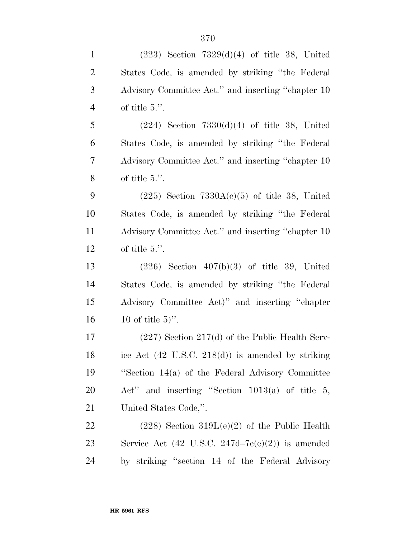| $\mathbf{1}$   | $(223)$ Section $7329(d)(4)$ of title 38, United              |
|----------------|---------------------------------------------------------------|
| $\overline{2}$ | States Code, is amended by striking "the Federal"             |
| 3              | Advisory Committee Act." and inserting "chapter 10            |
| $\overline{4}$ | of title $5$ .".                                              |
| 5              | $(224)$ Section $7330(d)(4)$ of title 38, United              |
| 6              | States Code, is amended by striking "the Federal"             |
| 7              | Advisory Committee Act." and inserting "chapter 10            |
| $8\,$          | of title $5$ .".                                              |
| 9              | $(225)$ Section $7330A(c)(5)$ of title 38, United             |
| 10             | States Code, is amended by striking "the Federal"             |
| 11             | Advisory Committee Act." and inserting "chapter 10            |
| 12             | of title $5$ .".                                              |
| 13             | $(226)$ Section $407(b)(3)$ of title 39, United               |
| 14             | States Code, is amended by striking "the Federal"             |
| 15             | Advisory Committee Act)" and inserting "chapter               |
| 16             | 10 of title $5$ ".                                            |
| 17             | $(227)$ Section $217(d)$ of the Public Health Serv-           |
| 18             | ice Act $(42 \text{ U.S.C. } 218(d))$ is amended by striking  |
| 19             | "Section 14(a) of the Federal Advisory Committee              |
| <b>20</b>      | Act" and inserting "Section $1013(a)$ of title 5,             |
| 21             | United States Code,".                                         |
| <u>22</u>      | $(228)$ Section 319L $(e)(2)$ of the Public Health            |
| 23             | Service Act $(42 \text{ U.S.C. } 247d - 7e(e)(2))$ is amended |
| 24             | by striking "section 14 of the Federal Advisory               |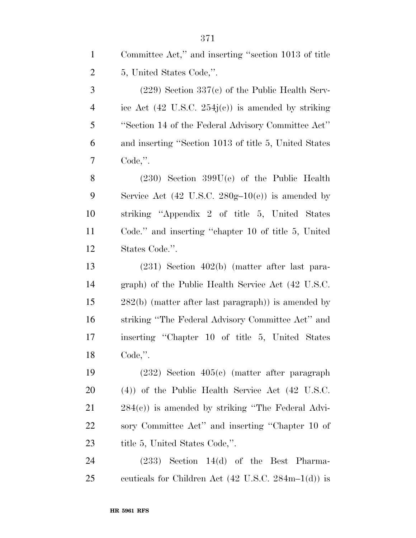| $\mathbf{1}$   | Committee Act," and inserting "section 1013 of title                               |
|----------------|------------------------------------------------------------------------------------|
| $\overline{2}$ | 5, United States Code,".                                                           |
| $\mathfrak{Z}$ | $(229)$ Section 337(c) of the Public Health Serv-                                  |
| $\overline{4}$ | ice Act $(42 \text{ U.S.C. } 254j(c))$ is amended by striking                      |
| 5              | "Section 14 of the Federal Advisory Committee Act"                                 |
| 6              | and inserting "Section 1013 of title 5, United States                              |
| 7              | $Code,$ ".                                                                         |
| 8              | $(230)$ Section 399U(e) of the Public Health                                       |
| 9              | Service Act $(42 \text{ U.S.C. } 280g-10(e))$ is amended by                        |
| 10             | striking "Appendix 2 of title 5, United States                                     |
| 11             | Code." and inserting "chapter 10 of title 5, United                                |
| 12             | States Code.".                                                                     |
| 13             | $(231)$ Section $402(b)$ (matter after last para-                                  |
| 14             | graph) of the Public Health Service Act (42 U.S.C.                                 |
| 15             | $282(b)$ (matter after last paragraph)) is amended by                              |
| 16             | striking "The Federal Advisory Committee Act" and                                  |
| 17             | inserting "Chapter 10 of title 5, United States                                    |
| 18             | $Code,$ ".                                                                         |
| 19             | $(232)$ Section $405(c)$ (matter after paragraph                                   |
| 20             | $(4)$ ) of the Public Health Service Act $(42 \text{ U.S.C.})$                     |
| 21             | $284(c)$ ) is amended by striking "The Federal Advi-                               |
| 22             | sory Committee Act" and inserting "Chapter 10 of                                   |
| 23             | title 5, United States Code,".                                                     |
| 24             | $(233)$ Section 14(d) of the Best Pharma-                                          |
| 25             | centricals for Children Act $(42 \text{ U.S.C. } 284 \text{m} - 1 \text{ (d)})$ is |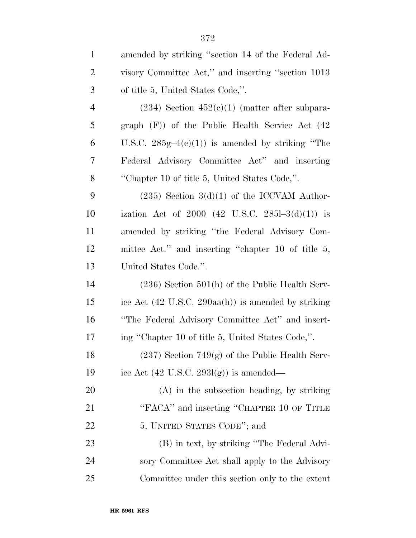| $\mathbf{1}$   | amended by striking "section 14 of the Federal Ad-                     |
|----------------|------------------------------------------------------------------------|
| $\overline{2}$ | visory Committee Act," and inserting "section 1013                     |
| 3              | of title 5, United States Code,".                                      |
| $\overline{4}$ | $(234)$ Section $452(c)(1)$ (matter after subpara-                     |
| 5              | graph $(F)$ of the Public Health Service Act $(42)$                    |
| 6              | U.S.C. $285g-4(c)(1)$ is amended by striking "The                      |
| 7              | Federal Advisory Committee Act" and inserting                          |
| 8              | "Chapter 10 of title 5, United States Code,".                          |
| 9              | $(235)$ Section 3(d)(1) of the ICCVAM Author-                          |
| 10             | ization Act of 2000 (42 U.S.C. 2851-3(d)(1)) is                        |
| 11             | amended by striking "the Federal Advisory Com-                         |
| 12             | mittee Act." and inserting "chapter 10 of title 5,                     |
| 13             | United States Code.".                                                  |
| 14             | $(236)$ Section 501(h) of the Public Health Serv-                      |
| 15             | ice Act $(42 \text{ U.S.C. } 290 \text{aa(h)})$ is amended by striking |
| 16             | "The Federal Advisory Committee Act" and insert-                       |
| $17\,$         | ing "Chapter 10 of title 5, United States Code,".                      |
| 18             | $(237)$ Section 749 $(g)$ of the Public Health Serv-                   |
| 19             | ice Act $(42 \text{ U.S.C. } 293l(g))$ is amended—                     |
| <b>20</b>      | (A) in the subsection heading, by striking                             |
| 21             | "FACA" and inserting "CHAPTER 10 OF TITLE                              |
| 22             | 5, UNITED STATES CODE"; and                                            |
| 23             | (B) in text, by striking "The Federal Advi-                            |
| 24             | sory Committee Act shall apply to the Advisory                         |
| 25             | Committee under this section only to the extent                        |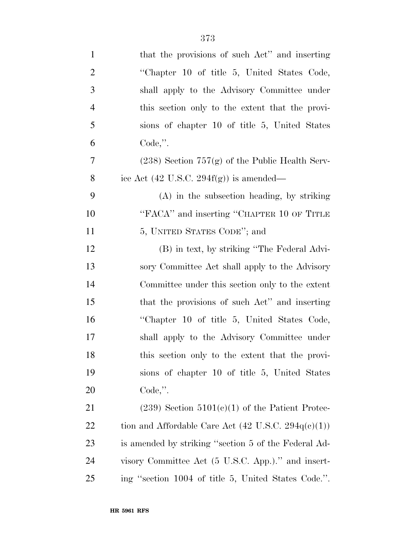| $\mathbf{1}$   | that the provisions of such Act" and inserting                 |
|----------------|----------------------------------------------------------------|
| $\overline{2}$ | "Chapter 10 of title 5, United States Code,                    |
| 3              | shall apply to the Advisory Committee under                    |
| 4              | this section only to the extent that the provi-                |
| 5              | sions of chapter 10 of title 5, United States                  |
| 6              | $Code,$ ".                                                     |
| 7              | $(238)$ Section $757(g)$ of the Public Health Serv-            |
| 8              | ice Act $(42 \text{ U.S.C. } 294f(g))$ is amended—             |
| 9              | $(A)$ in the subsection heading, by striking                   |
| 10             | "FACA" and inserting "CHAPTER 10 OF TITLE                      |
| 11             | 5, UNITED STATES CODE"; and                                    |
| 12             | (B) in text, by striking "The Federal Advi-                    |
| 13             | sory Committee Act shall apply to the Advisory                 |
| 14             | Committee under this section only to the extent                |
| 15             | that the provisions of such Act" and inserting                 |
| 16             | "Chapter 10 of title 5, United States Code,                    |
| 17             | shall apply to the Advisory Committee under                    |
| 18             | this section only to the extent that the provi-                |
| 19             | sions of chapter 10 of title 5, United States                  |
| 20             | $Code,$ ".                                                     |
| 21             | $(239)$ Section $5101(c)(1)$ of the Patient Protec-            |
| 22             | tion and Affordable Care Act $(42 \text{ U.S.C. } 294q(c)(1))$ |
| 23             | is amended by striking "section 5 of the Federal Ad-           |
| 24             | visory Committee Act (5 U.S.C. App.)." and insert-             |
| 25             | ing "section 1004 of title 5, United States Code.".            |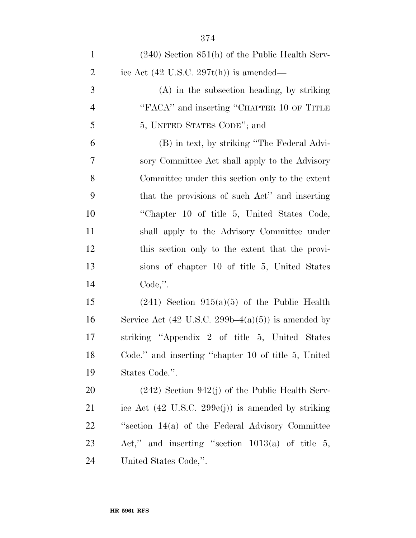| $\mathbf{1}$   | $(240)$ Section $851(h)$ of the Public Health Serv-           |
|----------------|---------------------------------------------------------------|
| $\overline{2}$ | ice Act $(42 \text{ U.S.C. } 297t(h))$ is amended—            |
| 3              | $(A)$ in the subsection heading, by striking                  |
| $\overline{4}$ | "FACA" and inserting "CHAPTER 10 OF TITLE                     |
| 5              | 5, UNITED STATES CODE"; and                                   |
| 6              | (B) in text, by striking "The Federal Advi-                   |
| 7              | sory Committee Act shall apply to the Advisory                |
| 8              | Committee under this section only to the extent               |
| 9              | that the provisions of such Act" and inserting                |
| 10             | "Chapter 10 of title 5, United States Code,                   |
| 11             | shall apply to the Advisory Committee under                   |
| 12             | this section only to the extent that the provi-               |
| 13             | sions of chapter 10 of title 5, United States                 |
| 14             | $Code,$ ".                                                    |
| 15             | $(241)$ Section 915(a)(5) of the Public Health                |
| 16             | Service Act $(42 \text{ U.S.C. } 299b-4(a)(5))$ is amended by |
| 17             | striking "Appendix 2 of title 5, United States                |
| 18             | Code." and inserting "chapter 10 of title 5, United           |
| 19             | States Code.".                                                |
| 20             | $(242)$ Section 942(j) of the Public Health Serv-             |
| 21             | ice Act $(42 \text{ U.S.C. } 299c(j))$ is amended by striking |
| <u>22</u>      | "section $14(a)$ of the Federal Advisory Committee            |
| 23             | Act," and inserting "section $1013(a)$ of title 5,            |
| 24             | United States Code,".                                         |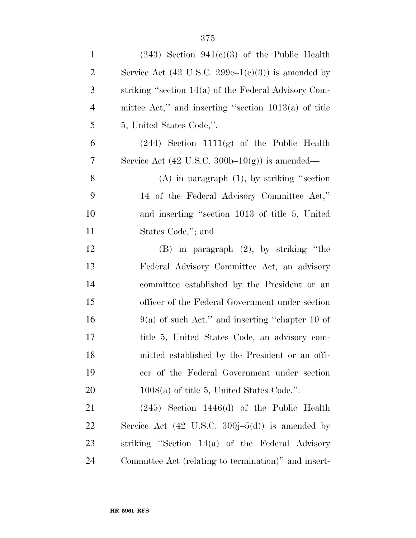| $\mathbf{1}$   | $(243)$ Section $941(c)(3)$ of the Public Health              |
|----------------|---------------------------------------------------------------|
| $\overline{2}$ | Service Act $(42 \text{ U.S.C. } 299c-1(c)(3))$ is amended by |
| 3              | striking "section 14(a) of the Federal Advisory Com-          |
| $\overline{4}$ | mittee Act," and inserting "section $1013(a)$ of title        |
| 5              | 5, United States Code,".                                      |
| 6              | $(244)$ Section 1111(g) of the Public Health                  |
| 7              | Service Act $(42 \text{ U.S.C. } 300b-10(g))$ is amended—     |
| 8              | $(A)$ in paragraph $(1)$ , by striking "section"              |
| 9              | 14 of the Federal Advisory Committee Act,"                    |
| 10             | and inserting "section 1013 of title 5, United                |
| 11             | States Code,"; and                                            |
| 12             | $(B)$ in paragraph $(2)$ , by striking "the                   |
| 13             | Federal Advisory Committee Act, an advisory                   |
| 14             | committee established by the President or an                  |
| 15             | officer of the Federal Government under section               |
| 16             | $9(a)$ of such Act." and inserting "chapter 10 of             |
| 17             | title 5, United States Code, an advisory com-                 |
| 18             | mitted established by the President or an offi-               |
| 19             | cer of the Federal Government under section                   |
| <b>20</b>      | $1008(a)$ of title 5, United States Code.".                   |
| 21             | $(245)$ Section 1446(d) of the Public Health                  |
| 22             | Service Act $(42 \text{ U.S.C. } 300j-5(d))$ is amended by    |
| 23             | striking "Section $14(a)$ of the Federal Advisory             |
| 24             | Committee Act (relating to termination)" and insert-          |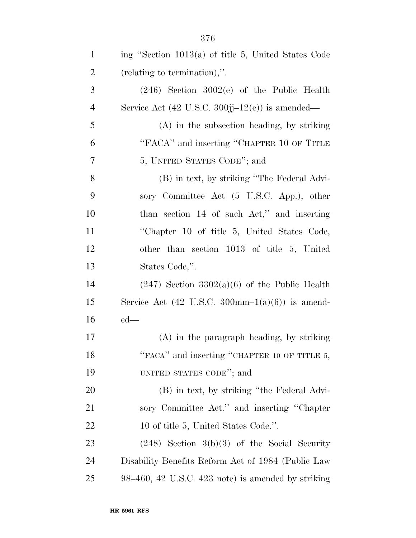| $\mathbf{1}$   | ing "Section 1013(a) of title 5, United States Code                     |
|----------------|-------------------------------------------------------------------------|
| $\overline{c}$ | (relating to termination),".                                            |
| 3              | $(246)$ Section $3002(e)$ of the Public Health                          |
| $\overline{4}$ | Service Act $(42 \text{ U.S.C. } 300j - 12(e))$ is amended—             |
| 5              | (A) in the subsection heading, by striking                              |
| 6              | "FACA" and inserting "CHAPTER 10 OF TITLE                               |
| 7              | 5, UNITED STATES CODE"; and                                             |
| 8              | (B) in text, by striking "The Federal Advi-                             |
| 9              | sory Committee Act (5 U.S.C. App.), other                               |
| 10             | than section 14 of such Act," and inserting                             |
| 11             | "Chapter 10 of title 5, United States Code,                             |
| 12             | other than section 1013 of title 5, United                              |
| 13             | States Code,".                                                          |
| 14             | $(247)$ Section 3302(a)(6) of the Public Health                         |
| 15             | Service Act $(42 \text{ U.S.C. } 300 \text{mm} - 1(a)(6))$ is amend-    |
| 16             | $ed$ —                                                                  |
| 17             | $(A)$ in the paragraph heading, by striking                             |
| 18             | "FACA" and inserting "CHAPTER 10 OF TITLE 5,                            |
| 19             | UNITED STATES CODE"; and                                                |
| 20             | (B) in text, by striking "the Federal Advi-                             |
| 21             | sory Committee Act." and inserting "Chapter"                            |
| 22             | 10 of title 5, United States Code.".                                    |
| 23             | $(248)$ Section 3(b)(3) of the Social Security                          |
| 24             | Disability Benefits Reform Act of 1984 (Public Law                      |
| 25             | $98-460$ , $42 \text{ U.S.C. } 423 \text{ note}$ is amended by striking |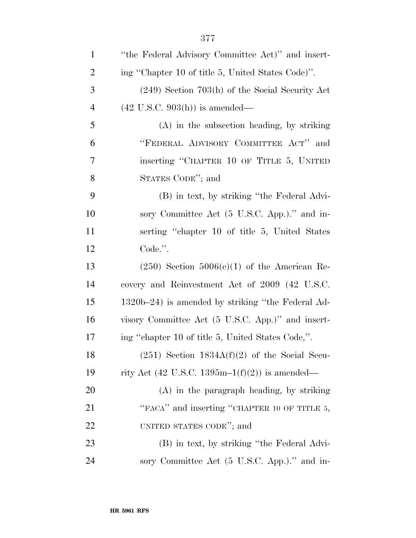| $\mathbf{1}$   | "the Federal Advisory Committee Act)" and insert- |
|----------------|---------------------------------------------------|
| $\overline{2}$ | ing "Chapter 10 of title 5, United States Code)". |
| 3              | $(249)$ Section 703(h) of the Social Security Act |
| $\overline{4}$ | $(42 \text{ U.S.C. } 903(h))$ is amended—         |
| 5              | $(A)$ in the subsection heading, by striking      |
| 6              | "FEDERAL ADVISORY COMMITTEE ACT"<br>and           |
| $\tau$         | inserting "CHAPTER 10 OF TITLE 5, UNITED          |
| 8              | STATES CODE"; and                                 |
| 9              | (B) in text, by striking "the Federal Advi-       |
| 10             | sory Committee Act (5 U.S.C. App.)." and in-      |
| 11             | serting "chapter 10 of title 5, United States"    |
| 12             | Code.".                                           |
| 13             | $(250)$ Section $5006(e)(1)$ of the American Re-  |
| 14             | covery and Reinvestment Act of 2009 (42 U.S.C.    |
| 15             | 1320b–24) is amended by striking "the Federal Ad- |
| 16             | visory Committee Act (5 U.S.C. App.)" and insert- |
| 17             | ing "chapter 10 of title 5, United States Code,". |
| 18             | $(251)$ Section $1834A(f)(2)$ of the Social Secu- |
| 19             | rity Act (42 U.S.C. 1395m-1(f)(2)) is amended—    |
| 20             | $(A)$ in the paragraph heading, by striking       |
| 21             | "FACA" and inserting "CHAPTER 10 OF TITLE 5,      |
| 22             | UNITED STATES CODE"; and                          |
| 23             | (B) in text, by striking "the Federal Advi-       |
| 24             | sory Committee Act (5 U.S.C. App.)." and in-      |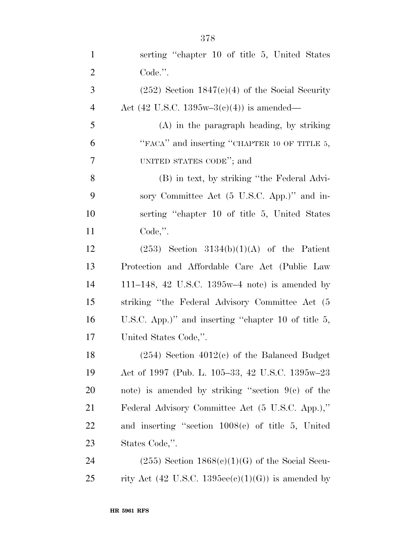| $\mathbf{1}$   | serting "chapter 10 of title 5, United States"         |
|----------------|--------------------------------------------------------|
| $\overline{2}$ | Code.".                                                |
| 3              | $(252)$ Section 1847(c)(4) of the Social Security      |
| $\overline{4}$ | Act (42 U.S.C. 1395w-3 $(c)(4)$ ) is amended—          |
| 5              | $(A)$ in the paragraph heading, by striking            |
| 6              | "FACA" and inserting "CHAPTER 10 OF TITLE 5,           |
| 7              | UNITED STATES CODE"; and                               |
| 8              | (B) in text, by striking "the Federal Advi-            |
| 9              | sory Committee Act (5 U.S.C. App.)" and in-            |
| 10             | serting "chapter 10 of title 5, United States"         |
| 11             | $Code,$ ".                                             |
| 12             | $(253)$ Section 3134(b)(1)(A) of the Patient           |
| 13             | Protection and Affordable Care Act (Public Law         |
| 14             | 111–148, 42 U.S.C. 1395w–4 note) is amended by         |
| 15             | striking "the Federal Advisory Committee Act (5)       |
| 16             | U.S.C. App.)" and inserting "chapter 10 of title $5$ , |
| 17             | United States Code,".                                  |
| 18             | $(254)$ Section $4012(c)$ of the Balanced Budget       |
| 19             | Act of 1997 (Pub. L. 105–33, 42 U.S.C. 1395w–23        |
| 20             | note) is amended by striking "section $9(c)$ of the    |
| 21             | Federal Advisory Committee Act (5 U.S.C. App.),"       |
| 22             | and inserting "section $1008(c)$ of title 5, United    |
| 23             | States Code,".                                         |
| 24             | $(255)$ Section $1868(c)(1)(G)$ of the Social Secu-    |
| 25             | rity Act (42 U.S.C. 1395ee(c)(1)(G)) is amended by     |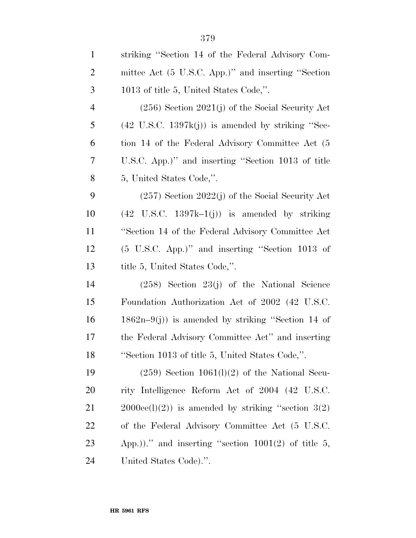| $\mathbf{1}$   | striking "Section 14 of the Federal Advisory Com-            |
|----------------|--------------------------------------------------------------|
| $\overline{2}$ | mittee Act (5 U.S.C. App.)" and inserting "Section           |
| 3              | 1013 of title 5, United States Code,".                       |
| $\overline{4}$ | $(256)$ Section $2021(j)$ of the Social Security Act         |
| 5              | $(42 \text{ U.S.C. } 1397k(j))$ is amended by striking "Sec- |
| 6              | tion 14 of the Federal Advisory Committee Act (5             |
| 7              | U.S.C. App.)" and inserting "Section 1013 of title           |
| 8              | 5, United States Code,".                                     |
| 9              | $(257)$ Section $2022(j)$ of the Social Security Act         |
| 10             | $(42 \text{ U.S.C. } 1397k-1(j))$ is amended by striking     |
| 11             | "Section 14 of the Federal Advisory Committee Act            |
| 12             | $(5 \text{ U.S.C. App.})$ " and inserting "Section 1013 of   |
| 13             | title 5, United States Code,".                               |
| 14             | $(258)$ Section $23(j)$ of the National Science              |
| 15             | Foundation Authorization Act of 2002 (42 U.S.C.              |
| 16             | $1862n-9(j)$ is amended by striking "Section 14 of           |
| 17             | the Federal Advisory Committee Act" and inserting            |
| 18             | "Section 1013 of title 5, United States Code,".              |
| 19             | $(259)$ Section 1061(1)(2) of the National Secu-             |
| <b>20</b>      | rity Intelligence Reform Act of 2004 (42 U.S.C.              |
| 21             | $2000\text{ee}(l)(2)$ is amended by striking "section $3(2)$ |
| 22             | of the Federal Advisory Committee Act (5 U.S.C.              |
| 23             | App.))." and inserting "section $1001(2)$ of title 5,        |
| 24             | United States Code).".                                       |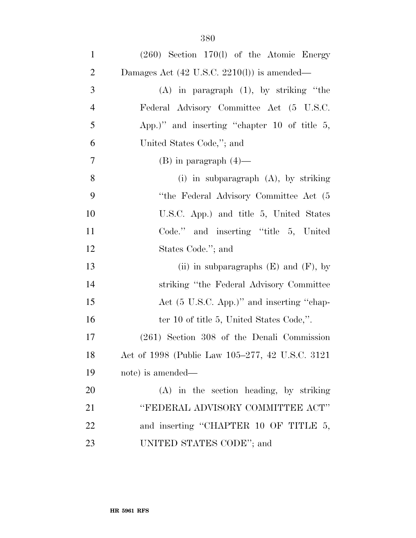| $\mathbf{1}$   | $(260)$ Section 170(l) of the Atomic Energy            |
|----------------|--------------------------------------------------------|
| $\overline{2}$ | Damages Act $(42 \text{ U.S.C. } 2210(l))$ is amended— |
| 3              | $(A)$ in paragraph $(1)$ , by striking "the            |
| $\overline{4}$ | Federal Advisory Committee Act (5 U.S.C.               |
| 5              | App.)" and inserting "chapter 10 of title $5$ ,        |
| 6              | United States Code,"; and                              |
| $\tau$         | $(B)$ in paragraph $(4)$ —                             |
| 8              | (i) in subparagraph $(A)$ , by striking                |
| 9              | "the Federal Advisory Committee Act (5)                |
| 10             | U.S.C. App.) and title 5, United States                |
| 11             | Code." and inserting "title 5, United                  |
| 12             | States Code."; and                                     |
| 13             | (ii) in subparagraphs $(E)$ and $(F)$ , by             |
| 14             | striking "the Federal Advisory Committee"              |
| 15             | Act (5 U.S.C. App.)" and inserting "chap-              |
| 16             | ter 10 of title 5, United States Code,".               |
| 17             | $(261)$ Section 308 of the Denali Commission           |
| 18             | Act of 1998 (Public Law 105–277, 42 U.S.C. 3121)       |
| 19             | note) is amended—                                      |
| 20             | (A) in the section heading, by striking                |
| 21             | "FEDERAL ADVISORY COMMITTEE ACT"                       |
| 22             | and inserting "CHAPTER 10 OF TITLE 5,                  |
| 23             | UNITED STATES CODE"; and                               |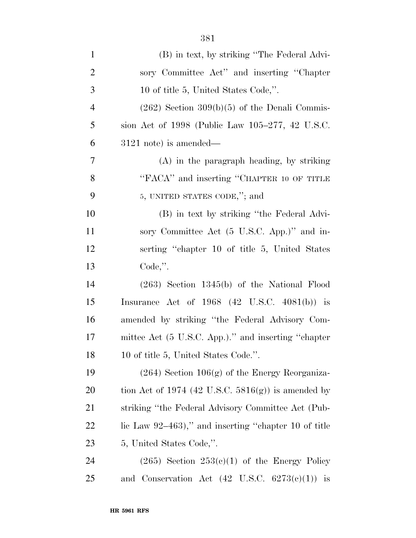| $\mathbf{1}$   | (B) in text, by striking "The Federal Advi-               |
|----------------|-----------------------------------------------------------|
| $\overline{2}$ | sory Committee Act" and inserting "Chapter"               |
| $\mathfrak{Z}$ | 10 of title 5, United States Code,".                      |
| $\overline{4}$ | $(262)$ Section $309(b)(5)$ of the Denali Commis-         |
| 5              | sion Act of 1998 (Public Law 105–277, 42 U.S.C.           |
| 6              | $3121$ note) is amended—                                  |
| 7              | $(A)$ in the paragraph heading, by striking               |
| 8              | "FACA" and inserting "CHAPTER 10 OF TITLE                 |
| 9              | 5, UNITED STATES CODE,"; and                              |
| 10             | (B) in text by striking "the Federal Advi-                |
| 11             | sory Committee Act (5 U.S.C. App.)" and in-               |
| 12             | serting "chapter 10 of title 5, United States             |
| 13             | $Code,$ ".                                                |
| 14             | $(263)$ Section 1345(b) of the National Flood             |
| 15             | Insurance Act of $1968$ (42 U.S.C. 4081(b)) is            |
| 16             | amended by striking "the Federal Advisory Com-            |
| 17             | mittee Act (5 U.S.C. App.)." and inserting "chapter       |
| 18             | 10 of title 5, United States Code.".                      |
| 19             | $(264)$ Section $106(g)$ of the Energy Reorganiza-        |
| 20             | tion Act of 1974 (42 U.S.C. $5816(g)$ ) is amended by     |
| 21             | striking "the Federal Advisory Committee Act (Pub-        |
| <u>22</u>      | lic Law $92-463$ ," and inserting "chapter 10 of title    |
| 23             | 5, United States Code,".                                  |
| 24             | $(265)$ Section $253(c)(1)$ of the Energy Policy          |
| 25             | and Conservation Act $(42 \text{ U.S.C. } 6273(c)(1))$ is |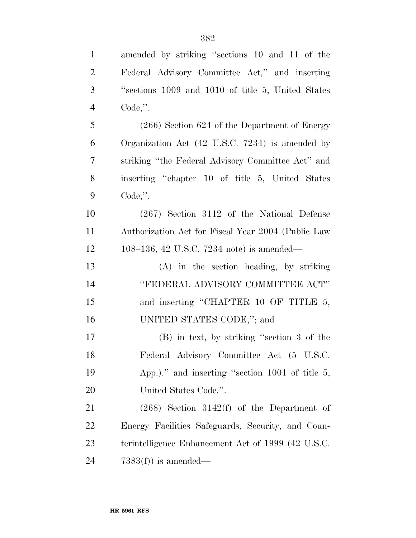| $\mathbf{1}$   | amended by striking "sections 10 and 11 of the     |
|----------------|----------------------------------------------------|
| $\overline{2}$ | Federal Advisory Committee Act," and inserting     |
| 3              | "sections 1009 and 1010 of title 5, United States" |
| $\overline{4}$ | $Code,$ ".                                         |
| 5              | $(266)$ Section 624 of the Department of Energy    |
| 6              | Organization Act (42 U.S.C. 7234) is amended by    |
| $\overline{7}$ | striking "the Federal Advisory Committee Act" and  |
| 8              | inserting "chapter 10 of title 5, United States"   |
| 9              | $Code,$ ".                                         |
| 10             | $(267)$ Section 3112 of the National Defense       |
| 11             | Authorization Act for Fiscal Year 2004 (Public Law |
| 12             | 108–136, 42 U.S.C. 7234 note) is amended—          |
| 13             | (A) in the section heading, by striking            |
| 14             | "FEDERAL ADVISORY COMMITTEE ACT"                   |
| 15             | and inserting "CHAPTER 10 OF TITLE 5,              |
| 16             | UNITED STATES CODE,"; and                          |
| 17             | $(B)$ in text, by striking "section 3 of the       |
| 18             | Federal Advisory Committee Act (5 U.S.C.           |
| 19             | App.)." and inserting "section $1001$ of title 5,  |
| 20             | United States Code.".                              |
| 21             | $(268)$ Section 3142(f) of the Department of       |
| 22             | Energy Facilities Safeguards, Security, and Coun-  |
| 23             | terintelligence Enhancement Act of 1999 (42 U.S.C. |
| 24             | $7383(f)$ is amended—                              |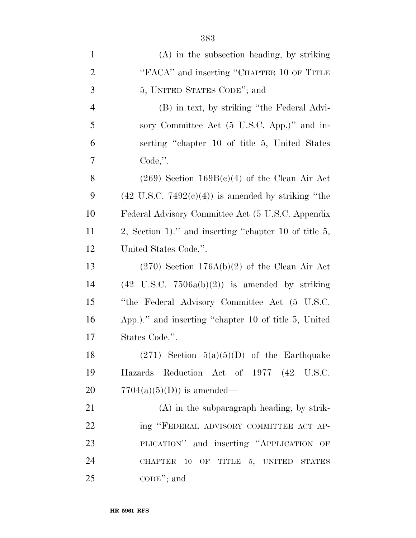| $\mathbf{1}$   | (A) in the subsection heading, by striking                    |
|----------------|---------------------------------------------------------------|
| $\overline{2}$ | "FACA" and inserting "CHAPTER 10 OF TITLE                     |
| 3              | 5, UNITED STATES CODE"; and                                   |
| $\overline{4}$ | (B) in text, by striking "the Federal Advi-                   |
| 5              | sory Committee Act (5 U.S.C. App.)" and in-                   |
| 6              | serting "chapter 10 of title 5, United States"                |
| 7              | $Code,$ ".                                                    |
| 8              | $(269)$ Section $169B(c)(4)$ of the Clean Air Act             |
| 9              | $(42 \text{ U.S.C. } 7492(e)(4))$ is amended by striking "the |
| 10             | Federal Advisory Committee Act (5 U.S.C. Appendix             |
| 11             | 2, Section 1)." and inserting "chapter 10 of title $5$ ,      |
| 12             | United States Code.".                                         |
| 13             | $(270)$ Section 176A(b)(2) of the Clean Air Act               |
| 14             | $(42 \text{ U.S.C. } 7506a(b)(2))$ is amended by striking     |
| 15             | "the Federal Advisory Committee Act (5 U.S.C.                 |
| 16             | App.)." and inserting "chapter 10 of title 5, United          |
| 17             | States Code.".                                                |
| 18             | $(271)$ Section $5(a)(5)(D)$ of the Earthquake                |
| 19             | Hazards Reduction Act of 1977 (42 U.S.C.                      |
| 20             | $7704(a)(5)(D)$ is amended—                                   |
| 21             | $(A)$ in the subparagraph heading, by strik-                  |
| 22             | ing "FEDERAL ADVISORY COMMITTEE ACT AP-                       |
| 23             | PLICATION" and inserting "APPLICATION OF                      |
| 24             | CHAPTER 10 OF TITLE 5, UNITED STATES                          |
| 25             | $\mathrm{CODE}$ "; and                                        |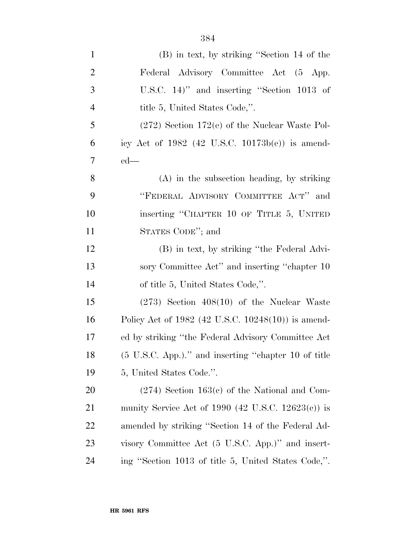| $\mathbf{1}$     | (B) in text, by striking "Section 14 of the             |
|------------------|---------------------------------------------------------|
| $\overline{2}$   | Federal Advisory Committee Act (5 App.                  |
| 3                | U.S.C. $14$ )" and inserting "Section $1013$ of         |
| $\overline{4}$   | title 5, United States Code,".                          |
| 5                | $(272)$ Section 172(e) of the Nuclear Waste Pol-        |
| 6                | icy Act of $1982$ (42 U.S.C. $10173b(e)$ ) is amend-    |
| $\boldsymbol{7}$ | $ed$ —                                                  |
| 8                | $(A)$ in the subsection heading, by striking            |
| 9                | "FEDERAL ADVISORY COMMITTEE ACT" and                    |
| 10               | inserting "CHAPTER 10 OF TITLE 5, UNITED                |
| 11               | STATES CODE"; and                                       |
| 12               | (B) in text, by striking "the Federal Advi-             |
| 13               | sory Committee Act" and inserting "chapter 10           |
| 14               | of title 5, United States Code,".                       |
| 15               | $(273)$ Section $408(10)$ of the Nuclear Waste          |
| 16               | Policy Act of $1982$ (42 U.S.C. $10248(10)$ ) is amend- |
| 17               | ed by striking "the Federal Advisory Committee Act      |
| 18               | (5 U.S.C. App.)." and inserting "chapter 10 of title    |
| 19               | 5, United States Code.".                                |
| 20               | $(274)$ Section 163(c) of the National and Com-         |
| 21               | munity Service Act of 1990 (42 U.S.C. $12623(c)$ ) is   |
| 22               | amended by striking "Section 14 of the Federal Ad-      |
| 23               | visory Committee Act (5 U.S.C. App.)" and insert-       |
| 24               | ing "Section 1013 of title 5, United States Code,".     |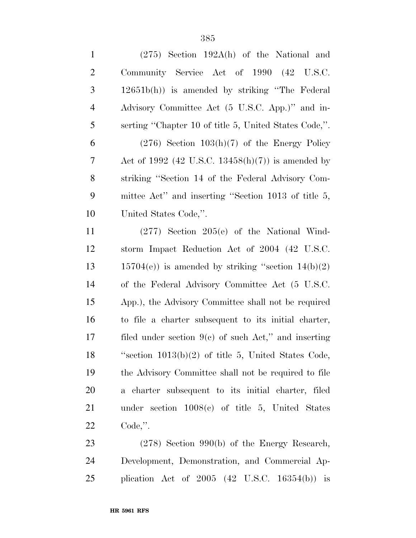| $\mathbf{1}$   | $(275)$ Section 192A(h) of the National and             |
|----------------|---------------------------------------------------------|
| $\mathbf{2}$   | Community Service Act of 1990 (42 U.S.C.                |
| 3              | 12651b(h)) is amended by striking "The Federal          |
| $\overline{4}$ | Advisory Committee Act (5 U.S.C. App.)" and in-         |
| 5              | serting "Chapter 10 of title 5, United States Code,".   |
| 6              | $(276)$ Section $103(h)(7)$ of the Energy Policy        |
| 7              | Act of 1992 (42 U.S.C. 13458(h)(7)) is amended by       |
| 8              | striking "Section 14 of the Federal Advisory Com-       |
| 9              | mittee Act" and inserting "Section 1013 of title 5,     |
| 10             | United States Code,".                                   |
| 11             | $(277)$ Section $205(e)$ of the National Wind-          |
| 12             | storm Impact Reduction Act of 2004 (42 U.S.C.           |
| 13             | $15704(e)$ ) is amended by striking "section $14(b)(2)$ |
| 14             | of the Federal Advisory Committee Act (5 U.S.C.         |
| 15             | App.), the Advisory Committee shall not be required     |
| 16             | to file a charter subsequent to its initial charter,    |
| 17             | filed under section $9(e)$ of such Act," and inserting  |
| 18             | "section $1013(b)(2)$ of title 5, United States Code,   |
| 19             | the Advisory Committee shall not be required to file    |
| 20             | a charter subsequent to its initial charter, filed      |
| 21             | under section $1008(c)$ of title 5, United States       |
| 22             | $Code,$ ".                                              |
| 23             | $(278)$ Section 990(b) of the Energy Research,          |

 Development, Demonstration, and Commercial Ap-plication Act of 2005 (42 U.S.C. 16354(b)) is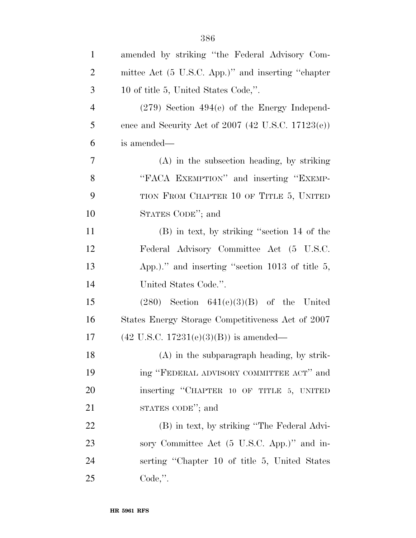| $\mathbf{1}$   | amended by striking "the Federal Advisory Com-       |
|----------------|------------------------------------------------------|
| $\overline{2}$ | mittee Act (5 U.S.C. App.)" and inserting "chapter   |
| 3              | 10 of title 5, United States Code,".                 |
| $\overline{4}$ | $(279)$ Section $494(e)$ of the Energy Independ-     |
| 5              | ence and Security Act of $2007$ (42 U.S.C. 17123(e)) |
| 6              | is amended—                                          |
| $\tau$         | $(A)$ in the subsection heading, by striking         |
| 8              | "FACA EXEMPTION" and inserting "EXEMP-               |
| 9              | TION FROM CHAPTER 10 OF TITLE 5, UNITED              |
| 10             | STATES CODE"; and                                    |
| 11             | (B) in text, by striking "section 14 of the          |
| 12             | Federal Advisory Committee Act (5 U.S.C.             |
| 13             | App.)." and inserting "section $1013$ of title 5,    |
| 14             | United States Code.".                                |
| 15             | $(280)$ Section $641(e)(3)(B)$ of the United         |
| 16             | States Energy Storage Competitiveness Act of 2007    |
| 17             | $(42 \text{ U.S.C. } 17231(e)(3)(B))$ is amended—    |
| 18             | (A) in the subparagraph heading, by strik-           |
| 19             | ing "FEDERAL ADVISORY COMMITTEE ACT" and             |
| 20             | inserting "CHAPTER 10 OF TITLE 5, UNITED             |
| 21             | STATES CODE"; and                                    |
| 22             | (B) in text, by striking "The Federal Advi-          |
| 23             | sory Committee Act (5 U.S.C. App.)" and in-          |
| 24             | serting "Chapter 10 of title 5, United States        |
| 25             | $Code,$ ".                                           |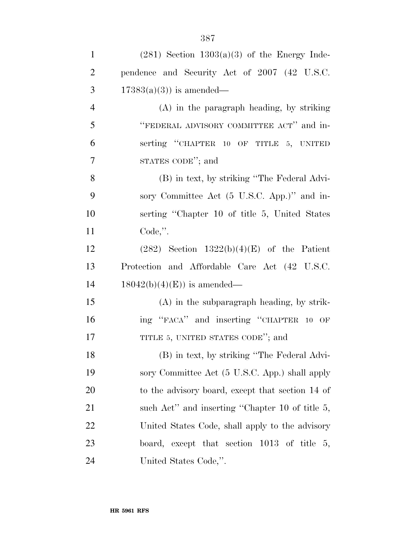| $\mathbf{1}$   | $(281)$ Section $1303(a)(3)$ of the Energy Inde- |
|----------------|--------------------------------------------------|
| $\overline{2}$ | pendence and Security Act of 2007 (42 U.S.C.     |
| 3              | $17383(a)(3)$ is amended—                        |
| $\overline{4}$ | $(A)$ in the paragraph heading, by striking      |
| 5              | "FEDERAL ADVISORY COMMITTEE ACT" and in-         |
| 6              | serting "CHAPTER 10 OF TITLE 5, UNITED           |
| 7              | STATES CODE"; and                                |
| 8              | (B) in text, by striking "The Federal Advi-      |
| 9              | sory Committee Act (5 U.S.C. App.)" and in-      |
| 10             | serting "Chapter 10 of title 5, United States    |
| 11             | $Code,$ ".                                       |
| 12             | $(282)$ Section $1322(b)(4)(E)$ of the Patient   |
| 13             | Protection and Affordable Care Act (42 U.S.C.    |
| 14             | $18042(b)(4)(E)$ is amended—                     |
| 15             | $(A)$ in the subparagraph heading, by strik-     |
| 16             | ing "FACA" and inserting "CHAPTER 10 OF          |
| 17             | TITLE 5, UNITED STATES CODE"; and                |
| 18             | (B) in text, by striking "The Federal Advi-      |
| 19             | sory Committee Act (5 U.S.C. App.) shall apply   |
| 20             | to the advisory board, except that section 14 of |
| 21             | such Act" and inserting "Chapter 10 of title 5,  |
| 22             | United States Code, shall apply to the advisory  |
| 23             | board, except that section $1013$ of title 5,    |
| 24             | United States Code,".                            |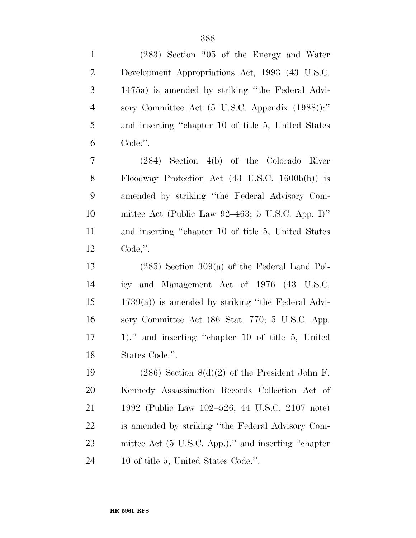| $\mathbf{1}$   | (283) Section 205 of the Energy and Water                  |
|----------------|------------------------------------------------------------|
| $\overline{2}$ | Development Appropriations Act, 1993 (43 U.S.C.            |
| 3              | 1475a) is amended by striking "the Federal Advi-           |
| $\overline{4}$ | sory Committee Act (5 U.S.C. Appendix (1988)):"            |
| 5              | and inserting "chapter 10 of title 5, United States        |
| 6              | Code:".                                                    |
| 7              | $(284)$ Section 4(b) of the Colorado River                 |
| 8              | Floodway Protection Act $(43 \text{ U.S.C. } 1600b(b))$ is |
| 9              | amended by striking "the Federal Advisory Com-             |
| 10             | mittee Act (Public Law 92–463; 5 U.S.C. App. I)"           |
| 11             | and inserting "chapter 10 of title 5, United States        |
| 12             | $Code,$ ".                                                 |
| 13             | $(285)$ Section 309(a) of the Federal Land Pol-            |
| 14             | icy and Management Act of 1976 (43 U.S.C.                  |
| 15             | $1739(a)$ ) is amended by striking "the Federal Advi-      |
| 16             | sory Committee Act (86 Stat. 770; 5 U.S.C. App.            |
| 17             | 1)." and inserting "chapter 10 of title 5, United          |
| 18             | States Code.".                                             |
| 19             | $(286)$ Section $8(d)(2)$ of the President John F.         |
| <b>20</b>      | Kennedy Assassination Records Collection Act of            |
| 21             | 1992 (Public Law 102–526, 44 U.S.C. 2107 note)             |
| 22             | is amended by striking "the Federal Advisory Com-          |
| 23             | mittee Act (5 U.S.C. App.)." and inserting "chapter        |
| 24             | 10 of title 5, United States Code.".                       |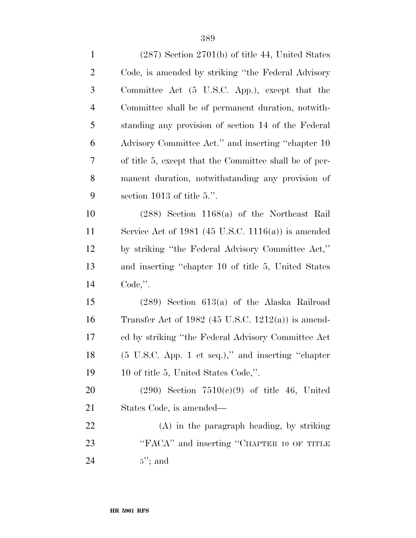| $\mathbf{1}$   | $(287)$ Section $2701(b)$ of title 44, United States          |
|----------------|---------------------------------------------------------------|
| $\overline{2}$ | Code, is amended by striking "the Federal Advisory"           |
| 3              | Committee Act (5 U.S.C. App.), except that the                |
| $\overline{4}$ | Committee shall be of permanent duration, notwith-            |
| 5              | standing any provision of section 14 of the Federal           |
| 6              | Advisory Committee Act." and inserting "chapter 10            |
| 7              | of title 5, except that the Committee shall be of per-        |
| $8\,$          | manent duration, notwithstanding any provision of             |
| 9              | section 1013 of title $5$ .".                                 |
| 10             | $(288)$ Section 1168(a) of the Northeast Rail                 |
| 11             | Service Act of 1981 (45 U.S.C. 1116(a)) is amended            |
| 12             | by striking "the Federal Advisory Committee Act,"             |
| 13             | and inserting "chapter 10 of title 5, United States           |
| 14             | $Code,$ ".                                                    |
| 15             | $(289)$ Section 613(a) of the Alaska Railroad                 |
| 16             | Transfer Act of $1982$ (45 U.S.C. $1212(a)$ ) is amend-       |
| 17             | ed by striking "the Federal Advisory Committee Act            |
| 18             | $(5 \text{ U.S.C. App. 1 et seq.})$ ," and inserting "chapter |
| 19             | 10 of title 5, United States Code,".                          |
| 20             | $(290)$ Section $7510(c)(9)$ of title 46, United              |
| 21             | States Code, is amended—                                      |
| 22             | $(A)$ in the paragraph heading, by striking                   |
| 23             | "FACA" and inserting "CHAPTER 10 OF TITLE                     |
| 24             | $5$ "; and                                                    |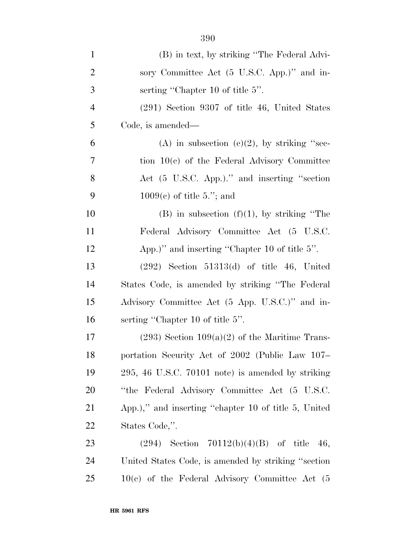| $\mathbf{1}$   | (B) in text, by striking "The Federal Advi-           |
|----------------|-------------------------------------------------------|
| $\overline{2}$ | sory Committee Act (5 U.S.C. App.)" and in-           |
| 3              | serting "Chapter 10 of title $5$ ".                   |
| $\overline{4}$ | $(291)$ Section 9307 of title 46, United States       |
| 5              | Code, is amended—                                     |
| 6              | (A) in subsection (c)(2), by striking "sec-           |
| 7              | tion $10(c)$ of the Federal Advisory Committee        |
| 8              | Act (5 U.S.C. App.)." and inserting "section          |
| 9              | $1009(e)$ of title 5."; and                           |
| 10             | $(B)$ in subsection $(f)(1)$ , by striking "The       |
| 11             | Federal Advisory Committee Act (5 U.S.C.              |
| 12             | App.)" and inserting "Chapter 10 of title 5".         |
| 13             | $(292)$ Section 51313(d) of title 46, United          |
| 14             | States Code, is amended by striking "The Federal"     |
| 15             | Advisory Committee Act (5 App. U.S.C.)" and in-       |
| 16             | serting "Chapter 10 of title 5".                      |
| 17             | $(293)$ Section $109(a)(2)$ of the Maritime Trans-    |
| 18             | portation Security Act of 2002 (Public Law 107-       |
| 19             | $295, 46$ U.S.C. $70101$ note) is amended by striking |
| 20             | "the Federal Advisory Committee Act (5 U.S.C.         |
| 21             | App.)," and inserting "chapter 10 of title 5, United  |
| <u>22</u>      | States Code,".                                        |
| 23             | $(294)$ Section $70112(b)(4)(B)$ of title 46,         |
| 24             | United States Code, is amended by striking "section"  |
| 25             | $10(c)$ of the Federal Advisory Committee Act $(5)$   |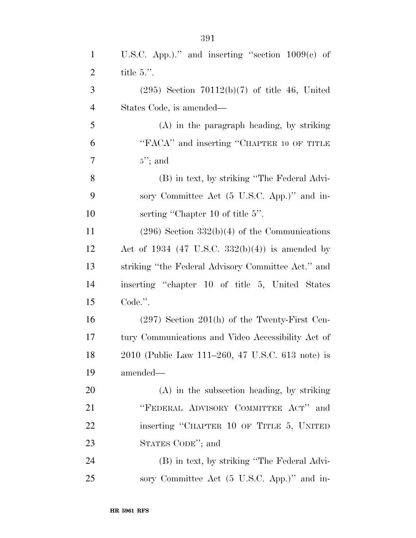| $\mathbf{1}$             | U.S.C. App.)." and inserting "section $1009(c)$ of |
|--------------------------|----------------------------------------------------|
| $\overline{2}$           | title $5$ .".                                      |
| 3                        | $(295)$ Section $70112(b)(7)$ of title 46, United  |
| $\overline{\mathcal{A}}$ | States Code, is amended—                           |
| 5                        | $(A)$ in the paragraph heading, by striking        |
| 6                        | "FACA" and inserting "CHAPTER 10 OF TITLE          |
| 7                        | $5$ "; and                                         |
| 8                        | (B) in text, by striking "The Federal Advi-        |
| 9                        | sory Committee Act (5 U.S.C. App.)" and in-        |
| 10                       | serting "Chapter 10 of title 5".                   |
| 11                       | $(296)$ Section $332(b)(4)$ of the Communications  |
| 12                       | Act of 1934 (47 U.S.C. 332(b)(4)) is amended by    |
| 13                       | striking "the Federal Advisory Committee Act." and |
| 14                       | inserting "chapter 10 of title 5, United States    |
| 15                       | Code.".                                            |
| 16                       | $(297)$ Section 201(h) of the Twenty-First Cen-    |
| 17                       | tury Communications and Video Accessibility Act of |
| 18                       | 2010 (Public Law 111–260, 47 U.S.C. 613 note) is   |
| 19                       | amended—                                           |
| 20                       | $(A)$ in the subsection heading, by striking       |
| 21                       | "FEDERAL ADVISORY COMMITTEE ACT" and               |
| 22                       | inserting "CHAPTER 10 OF TITLE 5, UNITED           |
| 23                       | STATES CODE"; and                                  |
| 24                       | (B) in text, by striking "The Federal Advi-        |
| 25                       | sory Committee Act (5 U.S.C. App.)" and in-        |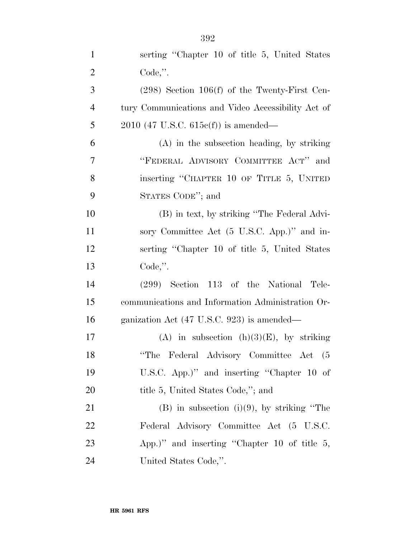| $\mathbf{1}$   | serting "Chapter 10 of title 5, United States"     |
|----------------|----------------------------------------------------|
| $\overline{2}$ | $Code,$ ".                                         |
| 3              | $(298)$ Section 106(f) of the Twenty-First Cen-    |
| $\overline{4}$ | tury Communications and Video Accessibility Act of |
| 5              | $2010$ (47 U.S.C. 615 $c(f)$ ) is amended—         |
| 6              | (A) in the subsection heading, by striking         |
| 7              | "FEDERAL ADVISORY COMMITTEE ACT" and               |
| 8              | inserting "CHAPTER 10 OF TITLE 5, UNITED           |
| 9              | STATES CODE"; and                                  |
| 10             | (B) in text, by striking "The Federal Advi-        |
| 11             | sory Committee Act (5 U.S.C. App.)" and in-        |
| 12             | serting "Chapter 10 of title 5, United States"     |
| 13             | Code,".                                            |
| 14             | $(299)$ Section 113 of the National<br>Tele-       |
| 15             | communications and Information Administration Or-  |
| 16             | ganization Act (47 U.S.C. 923) is amended—         |
| 17             | (A) in subsection $(h)(3)(E)$ , by striking        |
| 18             | "The Federal Advisory Committee Act (5             |
| 19             | U.S.C. App.)" and inserting "Chapter 10 of         |
| 20             | title 5, United States Code,"; and                 |
| 21             | $(B)$ in subsection $(i)(9)$ , by striking "The    |
| 22             | Federal Advisory Committee Act (5 U.S.C.           |
| 23             | App.)" and inserting "Chapter 10 of title $5$ ,    |
| 24             | United States Code,".                              |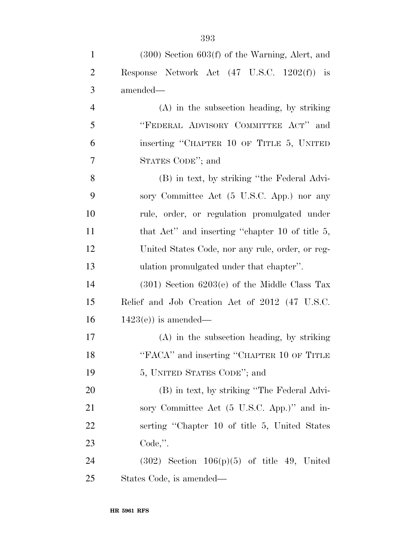| $\mathbf{1}$   | $(300)$ Section $603(f)$ of the Warning, Alert, and |
|----------------|-----------------------------------------------------|
| $\overline{2}$ | Response Network Act (47 U.S.C. 1202(f)) is         |
| 3              | amended—                                            |
| $\overline{4}$ | $(A)$ in the subsection heading, by striking        |
| 5              | "FEDERAL ADVISORY COMMITTEE ACT" and                |
| 6              | inserting "CHAPTER 10 OF TITLE 5, UNITED            |
| 7              | STATES CODE"; and                                   |
| 8              | (B) in text, by striking "the Federal Advi-         |
| 9              | sory Committee Act (5 U.S.C. App.) nor any          |
| 10             | rule, order, or regulation promulgated under        |
| 11             | that Act" and inserting "chapter 10 of title $5$ ,  |
| 12             | United States Code, nor any rule, order, or reg-    |
| 13             | ulation promulgated under that chapter".            |
| 14             | $(301)$ Section $6203(e)$ of the Middle Class Tax   |
| 15             | Relief and Job Creation Act of 2012 (47 U.S.C.      |
| 16             | $1423(e)$ is amended—                               |
| 17             | $(A)$ in the subsection heading, by striking        |
| 18             | "FACA" and inserting "CHAPTER 10 OF TITLE           |
| 19             | 5, UNITED STATES CODE"; and                         |
| 20             | (B) in text, by striking "The Federal Advi-         |
| 21             | sory Committee Act (5 U.S.C. App.)" and in-         |
| 22             | serting "Chapter 10 of title 5, United States"      |
| 23             | $Code,$ ".                                          |
| 24             | $(302)$ Section $106(p)(5)$ of title 49, United     |
| 25             | States Code, is amended—                            |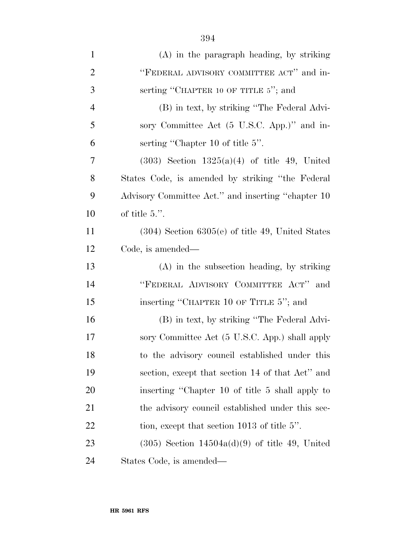| $\mathbf{1}$   | $(A)$ in the paragraph heading, by striking       |
|----------------|---------------------------------------------------|
| $\overline{2}$ | "FEDERAL ADVISORY COMMITTEE ACT" and in-          |
| 3              | serting "CHAPTER 10 OF TITLE 5"; and              |
| $\overline{4}$ | (B) in text, by striking "The Federal Advi-       |
| 5              | sory Committee Act (5 U.S.C. App.)" and in-       |
| 6              | serting "Chapter 10 of title 5".                  |
| 7              | $(303)$ Section $1325(a)(4)$ of title 49, United  |
| 8              | States Code, is amended by striking "the Federal" |

 States Code, is amended by striking ''the Federal Advisory Committee Act.'' and inserting ''chapter 10 of title 5.''.

 (304) Section 6305(e) of title 49, United States Code, is amended—

 (A) in the subsection heading, by striking ''FEDERAL ADVISORY COMMITTEE ACT'' and 15 inserting "CHAPTER 10 OF TITLE 5"; and

 (B) in text, by striking ''The Federal Advi- sory Committee Act (5 U.S.C. App.) shall apply to the advisory council established under this section, except that section 14 of that Act'' and inserting ''Chapter 10 of title 5 shall apply to 21 the advisory council established under this sec-22 tion, except that section 1013 of title 5".

 (305) Section 14504a(d)(9) of title 49, United States Code, is amended—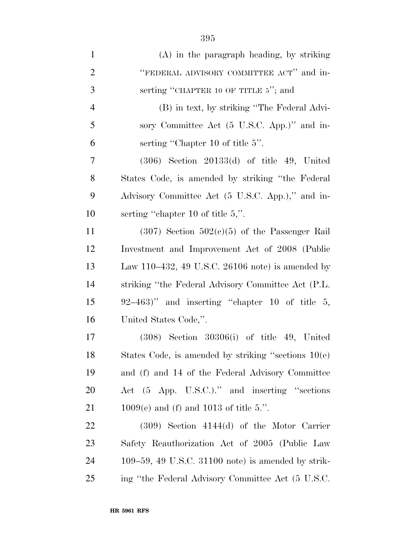| $\mathbf{1}$   | $(A)$ in the paragraph heading, by striking           |
|----------------|-------------------------------------------------------|
| $\overline{2}$ | "FEDERAL ADVISORY COMMITTEE ACT" and in-              |
| 3              | serting "CHAPTER 10 OF TITLE 5"; and                  |
| $\overline{4}$ | (B) in text, by striking "The Federal Advi-           |
| 5              | sory Committee Act (5 U.S.C. App.)" and in-           |
| 6              | serting "Chapter 10 of title 5".                      |
| 7              | $(306)$ Section 20133(d) of title 49, United          |
| 8              | States Code, is amended by striking "the Federal"     |
| 9              | Advisory Committee Act (5 U.S.C. App.)," and in-      |
| 10             | serting "chapter 10 of title $5$ ,".                  |
| 11             | $(307)$ Section $502(c)(5)$ of the Passenger Rail     |
| 12             | Investment and Improvement Act of 2008 (Public        |
| 13             | Law 110–432, 49 U.S.C. 26106 note) is amended by      |
| 14             | striking "the Federal Advisory Committee Act (P.L.    |
| 15             | $92-463$ " and inserting "chapter 10 of title 5,      |
| 16             | United States Code,".                                 |
| 17             | $(308)$ Section $30306(i)$ of title 49, United        |
| 18             | States Code, is amended by striking "sections $10(e)$ |
| 19             | and (f) and 14 of the Federal Advisory Committee      |
| 20             | Act (5 App. U.S.C.)." and inserting "sections         |
| 21             | $1009(e)$ and (f) and 1013 of title 5.".              |
| 22             | $(309)$ Section $4144(d)$ of the Motor Carrier        |
| 23             | Safety Reauthorization Act of 2005 (Public Law        |
| 24             | $109-59$ , 49 U.S.C. 31100 note) is amended by strik- |
| 25             | ing "the Federal Advisory Committee Act (5 U.S.C.     |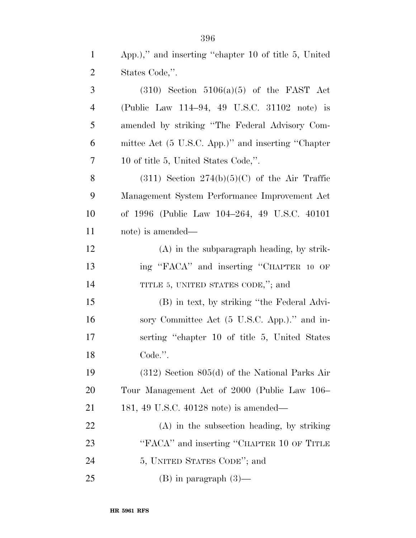| $\mathbf{1}$   | App.)," and inserting "chapter 10 of title 5, United |
|----------------|------------------------------------------------------|
| $\overline{2}$ | States Code,".                                       |
| 3              | $(310)$ Section $5106(a)(5)$ of the FAST Act         |
| $\overline{4}$ | (Public Law 114–94, 49 U.S.C. 31102 note) is         |
| 5              | amended by striking "The Federal Advisory Com-       |
| 6              | mittee Act (5 U.S.C. App.)" and inserting "Chapter   |
| 7              | 10 of title 5, United States Code,".                 |
| 8              | $(311)$ Section $274(b)(5)(C)$ of the Air Traffic    |
| 9              | Management System Performance Improvement Act        |
| 10             | of 1996 (Public Law 104-264, 49 U.S.C. 40101)        |
| 11             | note) is amended—                                    |
| 12             | $(A)$ in the subparagraph heading, by strik-         |
| 13             | ing "FACA" and inserting "CHAPTER 10 OF              |
| 14             | TITLE 5, UNITED STATES CODE,"; and                   |
| 15             | (B) in text, by striking "the Federal Advi-          |
| 16             | sory Committee Act (5 U.S.C. App.)." and in-         |
| 17             | serting "chapter 10 of title 5, United States"       |
| 18             | Code.".                                              |
| 19             | $(312)$ Section 805(d) of the National Parks Air     |
| <b>20</b>      | Tour Management Act of 2000 (Public Law 106–         |
| 21             | 181, 49 U.S.C. 40128 note) is amended—               |
| 22             | $(A)$ in the subsection heading, by striking         |
| 23             | "FACA" and inserting "CHAPTER 10 OF TITLE            |
| 24             | 5, UNITED STATES CODE"; and                          |
| 25             | $(B)$ in paragraph $(3)$ —                           |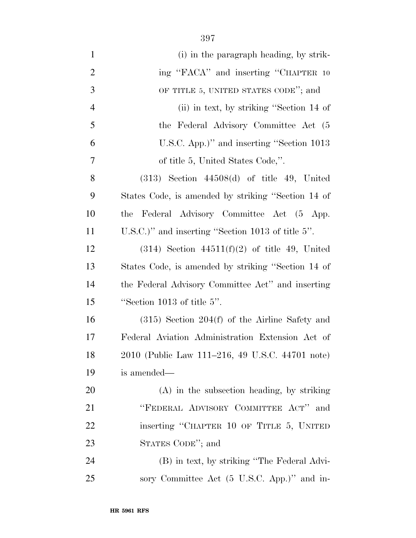| $\mathbf{1}$   | (i) in the paragraph heading, by strik-            |
|----------------|----------------------------------------------------|
| $\overline{2}$ | ing "FACA" and inserting "CHAPTER 10               |
| 3              | OF TITLE 5, UNITED STATES CODE"; and               |
| $\overline{4}$ | (ii) in text, by striking "Section 14 of           |
| 5              | the Federal Advisory Committee Act (5              |
| 6              | U.S.C. App.)" and inserting "Section 1013          |
| 7              | of title 5, United States Code,".                  |
| 8              | $(313)$ Section $44508(d)$ of title 49, United     |
| 9              | States Code, is amended by striking "Section 14 of |
| 10             | Federal Advisory Committee Act (5 App.<br>the      |
| 11             | $U.S.C.'$ and inserting "Section 1013 of title 5". |
| 12             | $(314)$ Section $44511(f)(2)$ of title 49, United  |
| 13             | States Code, is amended by striking "Section 14 of |
| 14             | the Federal Advisory Committee Act" and inserting  |
| 15             | "Section 1013 of title $5$ ".                      |
| 16             | $(315)$ Section 204(f) of the Airline Safety and   |
| 17             | Federal Aviation Administration Extension Act of   |
| 18             | 2010 (Public Law 111–216, 49 U.S.C. 44701 note)    |
| 19             | is amended—                                        |
| 20             | (A) in the subsection heading, by striking         |
| 21             | "FEDERAL ADVISORY COMMITTEE ACT" and               |
| <u>22</u>      | inserting "CHAPTER 10 OF TITLE 5, UNITED           |
| 23             | STATES CODE"; and                                  |
| 24             | (B) in text, by striking "The Federal Advi-        |
| 25             | sory Committee Act (5 U.S.C. App.)" and in-        |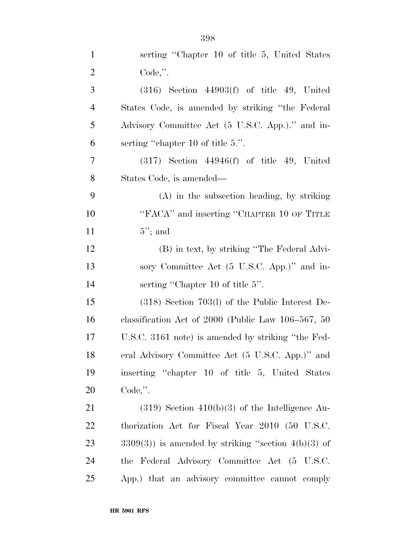| $\mathbf{1}$   | serting "Chapter 10 of title 5, United States             |
|----------------|-----------------------------------------------------------|
| $\overline{2}$ | $Code,$ ".                                                |
| 3              | $(316)$ Section $44903(f)$ of title 49, United            |
| $\overline{4}$ | States Code, is amended by striking "the Federal"         |
| 5              | Advisory Committee Act (5 U.S.C. App.)." and in-          |
| 6              | serting "chapter 10 of title 5.".                         |
| 7              | $(317)$ Section $44946(f)$ of title 49, United            |
| 8              | States Code, is amended—                                  |
| 9              | $(A)$ in the subsection heading, by striking              |
| 10             | "FACA" and inserting "CHAPTER 10 OF TITLE                 |
| 11             | $5$ "; and                                                |
| 12             | (B) in text, by striking "The Federal Advi-               |
| 13             | sory Committee Act (5 U.S.C. App.)" and in-               |
| 14             | serting "Chapter 10 of title 5".                          |
| 15             | $(318)$ Section 703(l) of the Public Interest De-         |
| 16             | classification Act of $2000$ (Public Law $106-567$ , $50$ |
| 17             | U.S.C. 3161 note) is amended by striking "the Fed-        |
| 18             | eral Advisory Committee Act (5 U.S.C. App.)" and          |
| 19             | inserting "chapter 10 of title 5, United States           |
| 20             | $Code,$ ".                                                |
| 21             | $(319)$ Section $410(b)(3)$ of the Intelligence Au-       |
| 22             | thorization Act for Fiscal Year 2010 (50 U.S.C.           |
| 23             | $3309(3)$ ) is amended by striking "section $4(b)(3)$ of  |
| 24             | the Federal Advisory Committee Act (5 U.S.C.              |
| 25             | App.) that an advisory committee cannot comply            |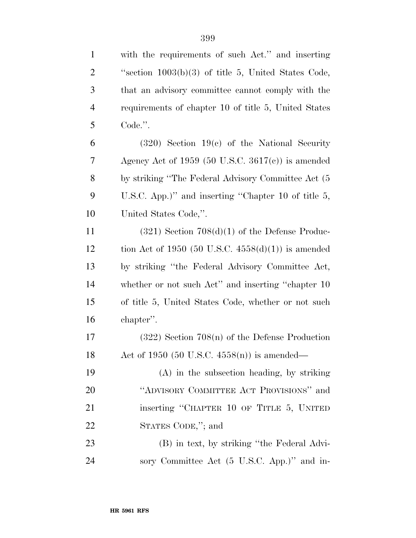| $\mathbf{1}$   | with the requirements of such Act." and inserting     |
|----------------|-------------------------------------------------------|
| $\overline{c}$ | "section $1003(b)(3)$ of title 5, United States Code, |
| 3              | that an advisory committee cannot comply with the     |
| $\overline{4}$ | requirements of chapter 10 of title 5, United States  |
| 5              | Code.".                                               |
| 6              | $(320)$ Section 19(c) of the National Security        |
| 7              | Agency Act of 1959 (50 U.S.C. 3617(c)) is amended     |
| 8              | by striking "The Federal Advisory Committee Act (5)   |
| 9              | U.S.C. App.)" and inserting "Chapter 10 of title 5,   |
| 10             | United States Code,".                                 |
| 11             | $(321)$ Section $708(d)(1)$ of the Defense Produc-    |
| 12             | tion Act of 1950 (50 U.S.C. $4558(d)(1)$ ) is amended |
| 13             | by striking "the Federal Advisory Committee Act,      |
| 14             | whether or not such Act" and inserting "chapter 10    |
| 15             | of title 5, United States Code, whether or not such   |
| 16             | chapter".                                             |
| 17             | $(322)$ Section 708(n) of the Defense Production      |
| 18             | Act of 1950 (50 U.S.C. 4558(n)) is amended—           |
| 19             | $(A)$ in the subsection heading, by striking          |
| 20             | "ADVISORY COMMITTEE ACT PROVISIONS" and               |
| 21             | inserting "CHAPTER 10 OF TITLE 5, UNITED              |
| 22             | STATES CODE,"; and                                    |
| 23             | (B) in text, by striking "the Federal Advi-           |
| 24             | sory Committee Act (5 U.S.C. App.)" and in-           |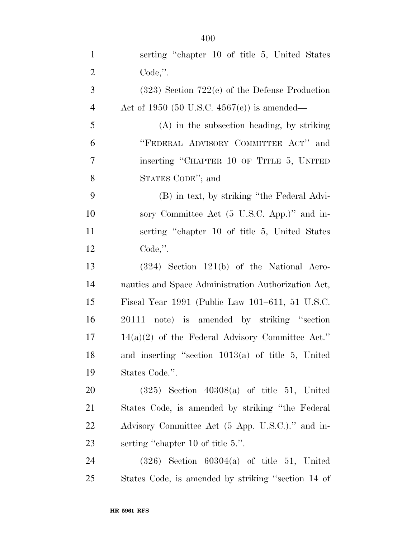| $\mathbf{1}$   | serting "chapter 10 of title 5, United States"      |
|----------------|-----------------------------------------------------|
| $\overline{2}$ | $Code,$ ".                                          |
| 3              | $(323)$ Section 722(e) of the Defense Production    |
| $\overline{4}$ | Act of 1950 (50 U.S.C. 4567(e)) is amended—         |
| 5              | $(A)$ in the subsection heading, by striking        |
| 6              | "FEDERAL ADVISORY COMMITTEE ACT" and                |
| 7              | inserting "CHAPTER 10 OF TITLE 5, UNITED            |
| $8\,$          | STATES CODE"; and                                   |
| 9              | (B) in text, by striking "the Federal Advi-         |
| 10             | sory Committee Act (5 U.S.C. App.)" and in-         |
| 11             | serting "chapter 10 of title 5, United States"      |
| 12             | Code,".                                             |
| 13             | $(324)$ Section 121(b) of the National Aero-        |
| 14             | nautics and Space Administration Authorization Act, |
| 15             | Fiscal Year 1991 (Public Law 101–611, 51 U.S.C.     |
| 16             | 20111 note) is amended by striking "section         |
| 17             | $14(a)(2)$ of the Federal Advisory Committee Act."  |
| 18             | and inserting "section $1013(a)$ of title 5, United |
| 19             | States Code.".                                      |
| 20             | $(325)$ Section $40308(a)$ of title 51, United      |
| 21             | States Code, is amended by striking "the Federal"   |
| 22             | Advisory Committee Act (5 App. U.S.C.)." and in-    |
| 23             | serting "chapter 10 of title 5.".                   |
| 24             | $(326)$ Section $60304(a)$ of title 51, United      |
| 25             | States Code, is amended by striking "section 14 of  |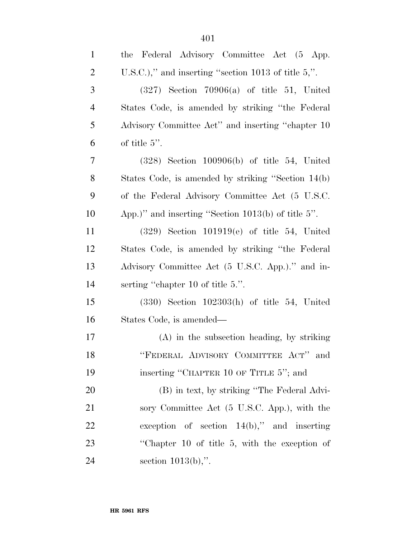| $\mathbf{1}$   | the Federal Advisory Committee Act (5 App.             |
|----------------|--------------------------------------------------------|
| 2              | U.S.C.)," and inserting "section 1013 of title $5$ ,". |
| 3              | $(327)$ Section 70906(a) of title 51, United           |
| $\overline{4}$ | States Code, is amended by striking "the Federal"      |
| 5              | Advisory Committee Act" and inserting "chapter 10      |
| 6              | of title $5$ ".                                        |
| 7              | $(328)$ Section 100906(b) of title 54, United          |
| 8              | States Code, is amended by striking "Section 14(b)     |
| 9              | of the Federal Advisory Committee Act (5 U.S.C.        |
| 10             | App.)" and inserting "Section $1013(b)$ of title 5".   |
| 11             | $(329)$ Section 101919(e) of title 54, United          |
| 12             | States Code, is amended by striking "the Federal"      |
| 13             | Advisory Committee Act (5 U.S.C. App.)." and in-       |
| 14             | serting "chapter 10 of title 5.".                      |
| 15             | $(330)$ Section $102303(h)$ of title 54, United        |
| 16             | States Code, is amended—                               |
| 17             | $(A)$ in the subsection heading, by striking           |
| 18             | "FEDERAL ADVISORY COMMITTEE ACT" and                   |
| 19             | inserting "CHAPTER 10 OF TITLE 5"; and                 |
| 20             | (B) in text, by striking "The Federal Advi-            |
| 21             | sory Committee Act (5 U.S.C. App.), with the           |
| 22             | exception of section $14(b)$ ," and inserting          |
| 23             | "Chapter 10 of title 5, with the exception of          |
| 24             | section $1013(b)$ ,".                                  |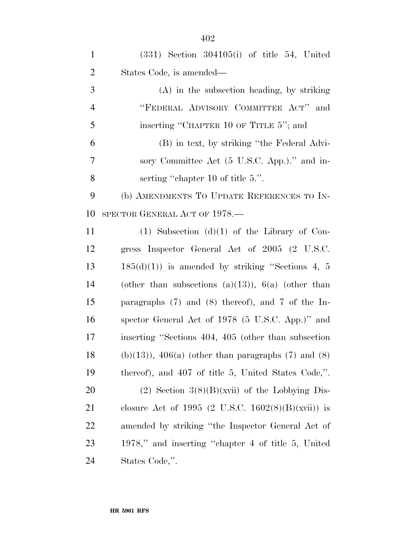| $\mathbf{1}$   | $(331)$ Section $304105(i)$ of title 54, United         |
|----------------|---------------------------------------------------------|
| $\overline{2}$ | States Code, is amended—                                |
| 3              | $(A)$ in the subsection heading, by striking            |
| $\overline{4}$ | "FEDERAL ADVISORY COMMITTEE ACT" and                    |
| 5              | inserting "CHAPTER 10 OF TITLE 5"; and                  |
| 6              | (B) in text, by striking "the Federal Advi-             |
| 7              | sory Committee Act (5 U.S.C. App.)." and in-            |
| 8              | serting "chapter 10 of title 5.".                       |
| 9              | (b) AMENDMENTS TO UPDATE REFERENCES TO IN-              |
| 10             | SPECTOR GENERAL ACT OF 1978.—                           |
| 11             | $(1)$ Subsection $(d)(1)$ of the Library of Con-        |
| 12             | gress Inspector General Act of 2005 (2 U.S.C.           |
| 13             | $185(d)(1)$ is amended by striking "Sections 4, 5       |
| 14             | (other than subsections (a)(13)), $6(a)$ (other than    |
| 15             | paragraphs $(7)$ and $(8)$ thereof), and 7 of the In-   |
| 16             | spector General Act of 1978 (5 U.S.C. App.)" and        |
| 17             | inserting "Sections 404, 405 (other than subsection     |
| 18             | $(b)(13)$ , $406(a)$ (other than paragraphs (7) and (8) |
| 19             | thereof), and 407 of title 5, United States Code,".     |
| 20             | $(2)$ Section 3(8)(B)(xvii) of the Lobbying Dis-        |
| 21             | closure Act of 1995 (2 U.S.C. 1602(8)(B)(xvii)) is      |
| <u>22</u>      | amended by striking "the Inspector General Act of       |
| 23             | 1978," and inserting "chapter 4 of title 5, United      |
| 24             | States Code,".                                          |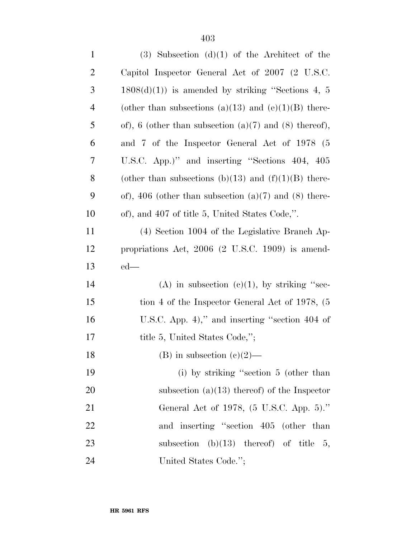| $\mathbf{1}$   | $(3)$ Subsection $(d)(1)$ of the Architect of the          |
|----------------|------------------------------------------------------------|
| $\overline{2}$ | Capitol Inspector General Act of 2007 (2 U.S.C.            |
| 3              | $1808(d)(1)$ is amended by striking "Sections 4, 5         |
| $\overline{4}$ | (other than subsections (a)(13) and (e)(1)(B) there-       |
| 5              | of), 6 (other than subsection $(a)(7)$ and $(8)$ thereof), |
| 6              | and 7 of the Inspector General Act of 1978 (5              |
| 7              | U.S.C. App.)" and inserting "Sections 404, 405             |
| 8              | (other than subsections (b)(13) and (f)(1)(B) there-       |
| 9              | of), 406 (other than subsection $(a)(7)$ and $(8)$ there-  |
| 10             | of), and 407 of title 5, United States Code,".             |
| 11             | (4) Section 1004 of the Legislative Branch Ap-             |
| 12             | propriations Act, $2006$ (2 U.S.C. 1909) is amend-         |
| 13             | $ed$ —                                                     |
| 14             | (A) in subsection (c)(1), by striking "sec-                |
| 15             | tion 4 of the Inspector General Act of 1978, (5)           |
| 16             | U.S.C. App. 4)," and inserting "section $404$ of           |
| 17             | title 5, United States Code,";                             |
| 18             | (B) in subsection $(c)(2)$ —                               |
| 19             | (i) by striking "section 5 (other than                     |
| 20             | subsection $(a)(13)$ thereof) of the Inspector             |
| 21             | General Act of 1978, (5 U.S.C. App. 5)."                   |
| 22             | and inserting "section 405 (other than                     |
| 23             | subsection (b) $(13)$ thereof) of title 5,                 |
| 24             | United States Code.";                                      |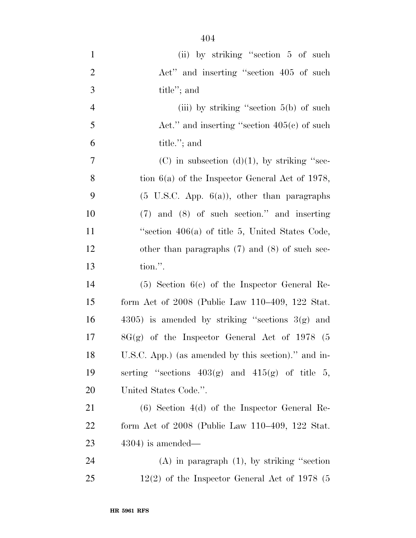| $\mathbf{1}$   | (ii) by striking "section 5 of such                     |
|----------------|---------------------------------------------------------|
| $\overline{2}$ | Act" and inserting "section 405 of such                 |
| 3              | title"; and                                             |
| $\overline{4}$ | (iii) by striking "section $5(b)$ of such               |
| 5              | Act." and inserting "section $405(c)$ of such           |
| 6              | title."; and                                            |
| $\tau$         | $(C)$ in subsection $(d)(1)$ , by striking "sec-        |
| 8              | tion $6(a)$ of the Inspector General Act of 1978,       |
| 9              | $(5 \text{ U.S.C. App. } 6(a))$ , other than paragraphs |
| 10             | $(7)$ and $(8)$ of such section." and inserting         |
| 11             | "section $406(a)$ of title 5, United States Code,       |
| 12             | other than paragraphs $(7)$ and $(8)$ of such sec-      |
| 13             | tion.".                                                 |
| 14             | $(5)$ Section $6(c)$ of the Inspector General Re-       |
| 15             | form Act of $2008$ (Public Law 110–409, 122 Stat.       |
| 16             | $(4305)$ is amended by striking "sections $3(g)$ and    |
| 17             | $8G(g)$ of the Inspector General Act of 1978 (5         |
| 18             | U.S.C. App.) (as amended by this section)." and in-     |
| 19             | serting "sections $403(g)$ and $415(g)$ of title 5,     |
| 20             | United States Code.".                                   |
| 21             | $(6)$ Section 4(d) of the Inspector General Re-         |
| 22             | form Act of $2008$ (Public Law $110-409$ , $122$ Stat.  |
| 23             | $4304$ ) is amended—                                    |
| 24             | $(A)$ in paragraph $(1)$ , by striking "section"        |
| 25             | $12(2)$ of the Inspector General Act of 1978 (5         |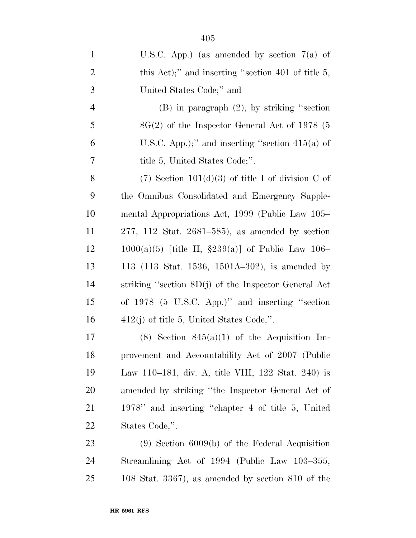| $\mathbf{1}$   | U.S.C. App.) (as amended by section $7(a)$ of          |
|----------------|--------------------------------------------------------|
| $\overline{2}$ | this Act);" and inserting "section 401 of title $5$ ,  |
| 3              | United States Code;" and                               |
| $\overline{4}$ | $(B)$ in paragraph $(2)$ , by striking "section"       |
| 5              | $8G(2)$ of the Inspector General Act of 1978 (5        |
| 6              | U.S.C. App.);" and inserting "section $415(a)$ of      |
| 7              | title 5, United States Code;".                         |
| 8              | $(7)$ Section 101(d)(3) of title I of division C of    |
| 9              | the Omnibus Consolidated and Emergency Supple-         |
| 10             | mental Appropriations Act, 1999 (Public Law 105–       |
| 11             | $277, 112$ Stat. $2681-585$ , as amended by section    |
| 12             | $1000(a)(5)$ [title II, §239(a)] of Public Law 106–    |
| 13             | 113 (113 Stat. 1536, 1501A-302), is amended by         |
| 14             | striking "section $8D(j)$ of the Inspector General Act |
| 15             | of 1978 (5 U.S.C. App.)" and inserting "section        |
| 16             | $412(j)$ of title 5, United States Code,".             |
| 17             | $(8)$ Section $845(a)(1)$ of the Acquisition Im-       |
| 18             | provement and Accountability Act of 2007 (Public       |
| 19             | Law 110–181, div. A, title VIII, 122 Stat. 240) is     |
| 20             | amended by striking "the Inspector General Act of      |
| 21             | 1978" and inserting "chapter 4 of title 5, United      |
| 22             | States Code,".                                         |
| 23             | $(9)$ Section 6009(b) of the Federal Acquisition       |
| 24             | Streamlining Act of 1994 (Public Law 103–355,          |
| 25             | 108 Stat. $3367$ , as amended by section $810$ of the  |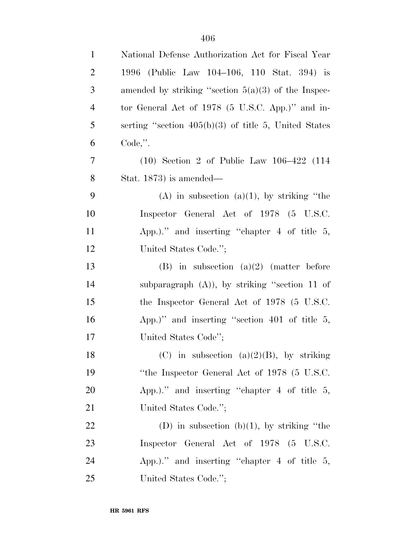| $\mathbf{1}$   | National Defense Authorization Act for Fiscal Year     |
|----------------|--------------------------------------------------------|
| $\overline{2}$ | 1996 (Public Law 104–106, 110 Stat. 394) is            |
| 3              | amended by striking "section $5(a)(3)$ of the Inspec-  |
| $\overline{4}$ | tor General Act of $1978$ (5 U.S.C. App.)" and in-     |
| 5              | serting "section $405(b)(3)$ of title 5, United States |
| 6              | $Code,$ ".                                             |
| 7              | $(10)$ Section 2 of Public Law $106-422$ $(114)$       |
| 8              | Stat. $1873$ ) is amended—                             |
| 9              | $(A)$ in subsection $(a)(1)$ , by striking "the        |
| 10             | Inspector General Act of 1978 (5 U.S.C.                |
| 11             | App.)." and inserting "chapter $4$ of title $5$ ,      |
| 12             | United States Code.";                                  |
| 13             | (B) in subsection (a)(2) (matter before                |
| 14             | subparagraph $(A)$ ), by striking "section 11 of       |
| 15             | the Inspector General Act of 1978 (5 U.S.C.            |
| 16             | App.)" and inserting "section $401$ of title 5,        |
| 17             | United States Code";                                   |
| 18             | (C) in subsection (a)(2)(B), by striking               |
| 19             | "the Inspector General Act of 1978 (5 U.S.C.           |
| <b>20</b>      | App.)." and inserting "chapter $4$ of title $5$ ,      |
| 21             | United States Code.";                                  |
| 22             | (D) in subsection (b)(1), by striking "the             |
| 23             | Inspector General Act of 1978 (5 U.S.C.                |
| 24             | App.)." and inserting "chapter $4$ of title $5$ ,      |
| 25             | United States Code.";                                  |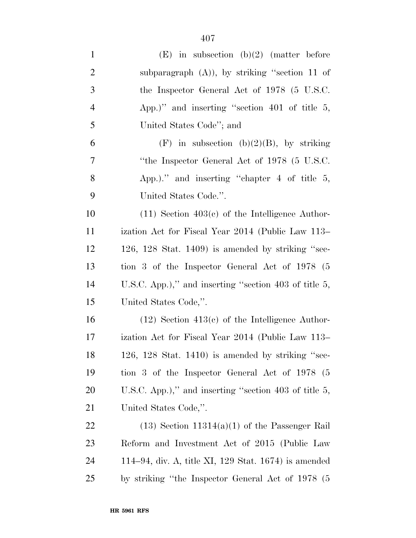| $\mathbf{1}$   | $(E)$ in subsection $(b)(2)$ (matter before              |
|----------------|----------------------------------------------------------|
| $\overline{2}$ | subparagraph $(A)$ ), by striking "section 11 of         |
| 3              | the Inspector General Act of 1978 (5 U.S.C.              |
| $\overline{4}$ | App.)" and inserting "section $401$ of title 5,          |
| 5              | United States Code"; and                                 |
| 6              | $(F)$ in subsection (b)(2)(B), by striking               |
| $\overline{7}$ | "the Inspector General Act of 1978 (5 U.S.C.             |
| 8              | App.)." and inserting "chapter $4$ of title $5$ ,        |
| 9              | United States Code.".                                    |
| 10             | $(11)$ Section 403 $(e)$ of the Intelligence Author-     |
| 11             | ization Act for Fiscal Year 2014 (Public Law 113–        |
| 12             | $126, 128$ Stat. 1409) is amended by striking "sec-      |
| 13             | tion 3 of the Inspector General Act of 1978 (5           |
| 14             | U.S.C. App.)," and inserting "section 403 of title 5,    |
| 15             | United States Code,".                                    |
| 16             | $(12)$ Section $413(c)$ of the Intelligence Author-      |
| 17             | ization Act for Fiscal Year 2014 (Public Law 113–        |
| 18             | 126, 128 Stat. 1410) is amended by striking "sec-        |
| 19             | tion 3 of the Inspector General Act of 1978 (5           |
| 20             | U.S.C. App.)," and inserting "section 403 of title $5$ , |
| 21             | United States Code,".                                    |
| 22             | $(13)$ Section 11314(a)(1) of the Passenger Rail         |
| 23             | Reform and Investment Act of 2015 (Public Law            |
| 24             | 114–94, div. A, title XI, 129 Stat. $1674$ ) is amended  |
| 25             | by striking "the Inspector General Act of 1978 (5        |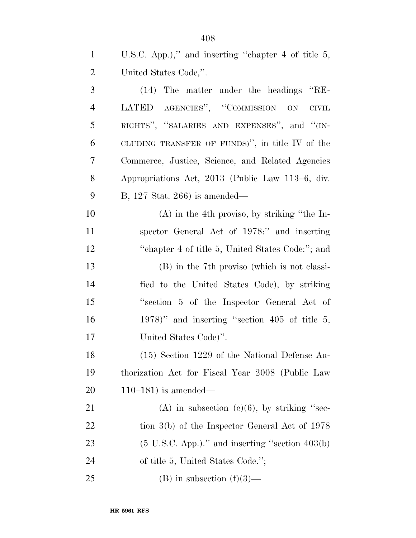| $\mathbf{1}$ | U.S.C. App.)," and inserting "chapter 4 of title $5$ ,     |
|--------------|------------------------------------------------------------|
| 2            | United States Code,".                                      |
| 3            | (14) The matter under the headings "RE-                    |
| 4            | LATED AGENCIES", "COMMISSION ON<br>$\text{CIVIL}$          |
| 5            | RIGHTS", "SALARIES AND EXPENSES", and "(IN-                |
| 6            | CLUDING TRANSFER OF FUNDS)", in title IV of the            |
| 7            | Commerce, Justice, Science, and Related Agencies           |
| 8            | Appropriations Act, 2013 (Public Law 113–6, div.           |
| 9            | B, 127 Stat. 266) is amended—                              |
| 10           | $(A)$ in the 4th proviso, by striking "the In-             |
| 11           | spector General Act of 1978:" and inserting                |
| 12           | "chapter 4 of title 5, United States Code:"; and           |
| 13           | (B) in the 7th proviso (which is not classi-               |
| 14           | fied to the United States Code), by striking               |
| 15           | "section 5 of the Inspector General Act of                 |
| 16           | $1978$ " and inserting "section 405 of title 5,            |
| 17           | United States Code)".                                      |
| 18           | (15) Section 1229 of the National Defense Au-              |
| 19           | thorization Act for Fiscal Year 2008 (Public Law           |
| 20           | $110-181$ ) is amended—                                    |
| 21           | (A) in subsection (c)(6), by striking "sec-                |
| 22           | tion $3(b)$ of the Inspector General Act of 1978           |
| 23           | $(5 \text{ U.S.C. App.})$ ." and inserting "section 403(b) |
| 24           | of title 5, United States Code.";                          |
| 25           | $(B)$ in subsection $(f)(3)$ —                             |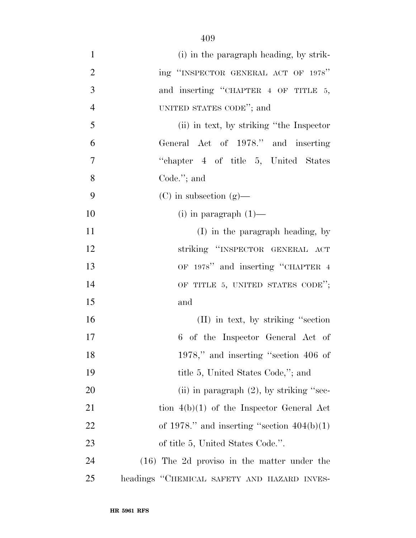| $\mathbf{1}$   | (i) in the paragraph heading, by strik-       |
|----------------|-----------------------------------------------|
| $\overline{2}$ | ing "INSPECTOR GENERAL ACT OF 1978"           |
| 3              | and inserting "CHAPTER 4 OF TITLE 5,          |
| $\overline{4}$ | UNITED STATES CODE"; and                      |
| 5              | (ii) in text, by striking "the Inspector"     |
| 6              | General Act of 1978." and inserting           |
| 7              | "chapter 4 of title 5, United States"         |
| 8              | Code. $";$ and                                |
| 9              | $(C)$ in subsection $(g)$ —                   |
| 10             | $(i)$ in paragraph $(1)$ —                    |
| 11             | $(I)$ in the paragraph heading, by            |
| 12             | striking "INSPECTOR GENERAL ACT               |
| 13             | OF 1978" and inserting "CHAPTER 4             |
| 14             | OF TITLE 5, UNITED STATES CODE";              |
| 15             | and                                           |
| 16             | $(II)$ in text, by striking "section"         |
| 17             | 6 of the Inspector General Act of             |
| 18             | $1978$ ," and inserting "section 406 of       |
| 19             | title 5, United States Code,"; and            |
| 20             | (ii) in paragraph $(2)$ , by striking "sec-   |
| 21             | tion $4(b)(1)$ of the Inspector General Act   |
| 22             | of 1978." and inserting "section $404(b)(1)$  |
| 23             | of title 5, United States Code.".             |
| 24             | $(16)$ The 2d proviso in the matter under the |
| 25             | headings "CHEMICAL SAFETY AND HAZARD INVES-   |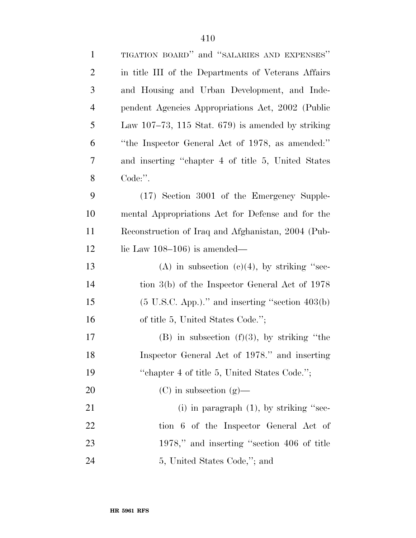| $\mathbf{1}$   | TIGATION BOARD" and "SALARIES AND EXPENSES"                  |
|----------------|--------------------------------------------------------------|
| $\overline{2}$ | in title III of the Departments of Veterans Affairs          |
| 3              | and Housing and Urban Development, and Inde-                 |
| $\overline{4}$ | pendent Agencies Appropriations Act, 2002 (Public            |
| 5              | Law $107-73$ , 115 Stat. 679) is amended by striking         |
| 6              | "the Inspector General Act of 1978, as amended:"             |
| 7              | and inserting "chapter 4 of title 5, United States           |
| 8              | Code:".                                                      |
| 9              | (17) Section 3001 of the Emergency Supple-                   |
| 10             | mental Appropriations Act for Defense and for the            |
| 11             | Reconstruction of Iraq and Afghanistan, 2004 (Pub-           |
| 12             | lic Law $108-106$ ) is amended—                              |
| 13             | (A) in subsection (c)(4), by striking "sec-                  |
| 14             | tion $3(b)$ of the Inspector General Act of 1978             |
| 15             | $(5 \text{ U.S.C. App.})$ ." and inserting "section $403(b)$ |
| 16             | of title 5, United States Code.";                            |
| 17             | $(B)$ in subsection $(f)(3)$ , by striking "the              |
| 18             | Inspector General Act of 1978." and inserting                |
| 19             | "chapter 4 of title 5, United States Code.";                 |
| 20             | $(C)$ in subsection $(g)$ —                                  |
| 21             | (i) in paragraph $(1)$ , by striking "sec-                   |
| 22             | tion 6 of the Inspector General Act of                       |
| 23             | 1978," and inserting "section 406 of title                   |
| 24             | 5, United States Code,"; and                                 |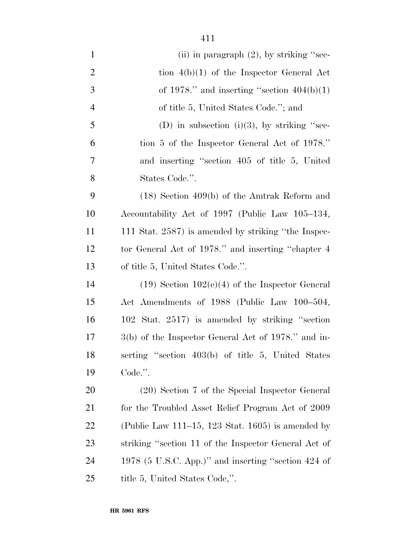| $\mathbf{1}$   | (ii) in paragraph $(2)$ , by striking "sec-           |
|----------------|-------------------------------------------------------|
| $\overline{2}$ | tion $4(b)(1)$ of the Inspector General Act           |
| 3              | of 1978." and inserting "section $404(b)(1)$          |
| $\overline{4}$ | of title 5, United States Code."; and                 |
| 5              | (D) in subsection (i)(3), by striking "sec-           |
| 6              | tion 5 of the Inspector General Act of 1978."         |
| $\tau$         | and inserting "section 405 of title 5, United         |
| 8              | States Code.".                                        |
| 9              | $(18)$ Section 409(b) of the Amtrak Reform and        |
| 10             | Accountability Act of 1997 (Public Law 105–134,       |
| 11             | 111 Stat. 2587) is amended by striking "the Inspec-   |
| 12             | tor General Act of 1978." and inserting "chapter 4    |
| 13             | of title 5, United States Code.".                     |
| 14             | $(19)$ Section $102(e)(4)$ of the Inspector General   |
| 15             | Act Amendments of 1988 (Public Law 100–504,           |
| 16             | 102 Stat. 2517) is amended by striking "section       |
| 17             | 3(b) of the Inspector General Act of 1978." and in-   |
| 18             | serting "section 403(b) of title 5, United States     |
| 19             | Code.".                                               |
| 20             | (20) Section 7 of the Special Inspector General       |
| 21             | for the Troubled Asset Relief Program Act of 2009     |
| 22             | (Public Law 111–15, 123 Stat. 1605) is amended by     |
| 23             | striking "section 11 of the Inspector General Act of  |
| 24             | 1978 (5 U.S.C. App.)" and inserting "section $424$ of |
| 25             | title 5, United States Code,".                        |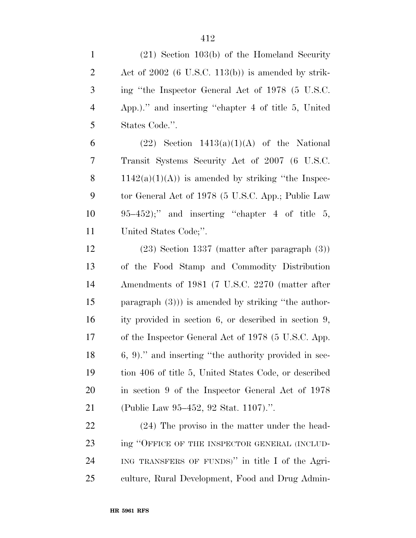| $\mathbf{1}$   | $(21)$ Section 103(b) of the Homeland Security        |
|----------------|-------------------------------------------------------|
| $\overline{2}$ | Act of $2002$ (6 U.S.C. 113(b)) is amended by strik-  |
| $\mathfrak{Z}$ | ing "the Inspector General Act of 1978 (5 U.S.C.      |
| $\overline{4}$ | App.)." and inserting "chapter 4 of title 5, United   |
| 5              | States Code.".                                        |
| 6              | $(22)$ Section $1413(a)(1)(A)$ of the National        |
| 7              | Transit Systems Security Act of 2007 (6 U.S.C.        |
| 8              | $1142(a)(1)(A)$ is amended by striking "the Inspec-   |
| 9              | tor General Act of 1978 (5 U.S.C. App.; Public Law    |
| 10             | $95-452$ ;" and inserting "chapter 4 of title 5,      |
| 11             | United States Code;".                                 |
| 12             | $(23)$ Section 1337 (matter after paragraph $(3)$ )   |
| 13             | of the Food Stamp and Commodity Distribution          |
| 14             | Amendments of 1981 (7 U.S.C. 2270 (matter after       |
| 15             | paragraph $(3)$ ) is amended by striking "the author- |
| 16             | ity provided in section 6, or described in section 9, |
| $17\,$         | of the Inspector General Act of 1978 (5 U.S.C. App.   |
| 18             | 6, 9)." and inserting "the authority provided in sec- |
| 19             | tion 406 of title 5, United States Code, or described |
| 20             | in section 9 of the Inspector General Act of 1978     |
| 21             | (Public Law 95–452, 92 Stat. 1107).".                 |
| 22             | (24) The proviso in the matter under the head-        |
| 23             | ing "OFFICE OF THE INSPECTOR GENERAL (INCLUD-         |
| 24             | ING TRANSFERS OF FUNDS)" in title I of the Agri-      |
| 25             | culture, Rural Development, Food and Drug Admin-      |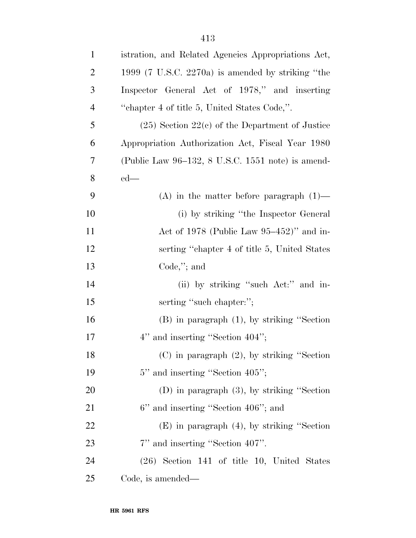| $\mathbf{1}$   | istration, and Related Agencies Appropriations Act,          |
|----------------|--------------------------------------------------------------|
| $\overline{2}$ | 1999 $(7 \text{ U.S.C. } 2270a)$ is amended by striking "the |
| 3              | Inspector General Act of 1978," and inserting                |
| $\overline{4}$ | "chapter 4 of title 5, United States Code,".                 |
| 5              | $(25)$ Section $22(c)$ of the Department of Justice          |
| 6              | Appropriation Authorization Act, Fiscal Year 1980            |
| 7              | (Public Law 96–132, 8 U.S.C. 1551 note) is amend-            |
| 8              | $ed$ —                                                       |
| 9              | (A) in the matter before paragraph $(1)$ —                   |
| 10             | (i) by striking "the Inspector General                       |
| 11             | Act of 1978 (Public Law $95-452$ )" and in-                  |
| 12             | serting "chapter 4 of title 5, United States"                |
| 13             | $Code$ ,"; and                                               |
| 14             | (ii) by striking "such Act:" and in-                         |
| 15             | serting "such chapter:";                                     |
| 16             | $(B)$ in paragraph $(1)$ , by striking "Section              |
| 17             | 4" and inserting "Section 404";                              |
| 18             | $(C)$ in paragraph $(2)$ , by striking "Section"             |
| 19             | 5" and inserting "Section 405";                              |
| 20             | (D) in paragraph $(3)$ , by striking "Section                |
| 21             | 6" and inserting "Section 406"; and                          |
| 22             | $(E)$ in paragraph $(4)$ , by striking "Section"             |
| 23             | 7" and inserting "Section 407".                              |
| 24             | $(26)$ Section 141 of title 10, United States                |
| 25             | Code, is amended—                                            |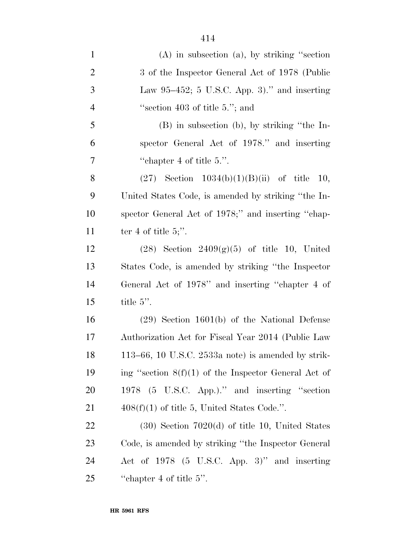| $\mathbf{1}$   | $(A)$ in subsection $(a)$ , by striking "section"      |
|----------------|--------------------------------------------------------|
| $\overline{2}$ | 3 of the Inspector General Act of 1978 (Public         |
| 3              | Law $95-452$ ; 5 U.S.C. App. 3)." and inserting        |
| $\overline{4}$ | "section 403 of title $5$ ."; and                      |
| 5              | $(B)$ in subsection (b), by striking "the In-          |
| 6              | spector General Act of 1978." and inserting            |
| 7              | "chapter 4 of title $5$ .".                            |
| 8              | $(27)$ Section $1034(b)(1)(B)(ii)$ of title<br>10,     |
| 9              | United States Code, is amended by striking "the In-    |
| 10             | spector General Act of 1978;" and inserting "chap-     |
| 11             | ter 4 of title 5;".                                    |
| 12             | $(28)$ Section $2409(g)(5)$ of title 10, United        |
| 13             | States Code, is amended by striking "the Inspector"    |
| 14             | General Act of 1978" and inserting "chapter 4 of       |
| 15             | title $5$ ".                                           |
| 16             | $(29)$ Section 1601(b) of the National Defense         |
| 17             | Authorization Act for Fiscal Year 2014 (Public Law     |
| 18             | 113–66, 10 U.S.C. $2533a$ note) is amended by strik-   |
| 19             | ing "section $8(f)(1)$ of the Inspector General Act of |
| 20             | 1978 (5 U.S.C. App.)." and inserting "section          |
| 21             | $408(f)(1)$ of title 5, United States Code.".          |
| 22             | $(30)$ Section 7020 $(d)$ of title 10, United States   |
| 23             | Code, is amended by striking "the Inspector General"   |
| 24             | Act of 1978 (5 U.S.C. App. 3)" and inserting           |
| 25             | "chapter 4 of title $5$ ".                             |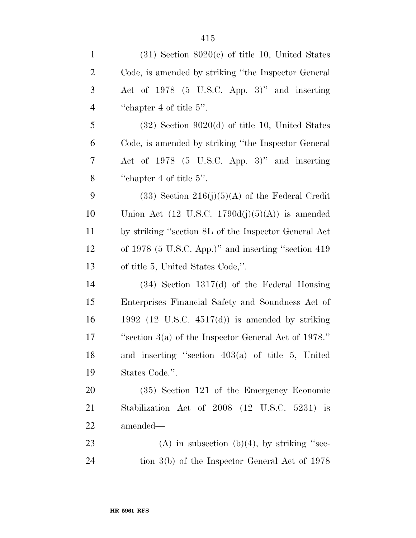| $\mathbf{1}$   | $(31)$ Section $8020(c)$ of title 10, United States        |
|----------------|------------------------------------------------------------|
| $\overline{2}$ | Code, is amended by striking "the Inspector General"       |
| 3              | Act of 1978 (5 U.S.C. App. 3)" and inserting               |
| $\overline{4}$ | "chapter 4 of title $5$ ".                                 |
| 5              | $(32)$ Section 9020(d) of title 10, United States          |
| 6              | Code, is amended by striking "the Inspector General"       |
| 7              | Act of 1978 (5 U.S.C. App. 3)" and inserting               |
| 8              | "chapter 4 of title $5$ ".                                 |
| 9              | $(33)$ Section $216(j)(5)(A)$ of the Federal Credit        |
| 10             | Union Act $(12 \text{ U.S.C. } 1790d(j)(5)(A))$ is amended |
| 11             | by striking "section 8L of the Inspector General Act       |
| 12             | of 1978 (5 U.S.C. App.)" and inserting "section 419        |
| 13             | of title 5, United States Code,".                          |
| 14             | $(34)$ Section 1317(d) of the Federal Housing              |
| 15             | Enterprises Financial Safety and Soundness Act of          |
| 16             | 1992 (12 U.S.C. $4517(d)$ ) is amended by striking         |
| 17             | "section $3(a)$ of the Inspector General Act of 1978."     |
| 18             | and inserting "section $403(a)$ of title 5, United         |
| 19             | States Code.".                                             |
| 20             | (35) Section 121 of the Emergency Economic                 |
| 21             | Stabilization Act of 2008 (12 U.S.C. 5231) is              |
| 22             | amended—                                                   |
| 23             | (A) in subsection (b)(4), by striking "sec-                |
| 24             | tion $3(b)$ of the Inspector General Act of 1978           |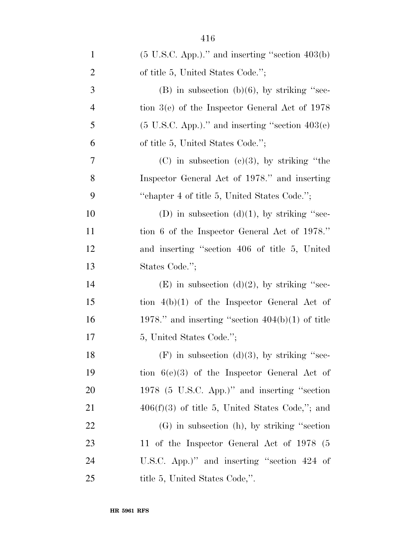| $\mathbf{1}$   | $(5 \text{ U.S.C. App.})$ ." and inserting "section 403(b)   |
|----------------|--------------------------------------------------------------|
| $\overline{2}$ | of title 5, United States Code.";                            |
| 3              | $(B)$ in subsection $(b)(6)$ , by striking "sec-             |
| $\overline{4}$ | tion $3(e)$ of the Inspector General Act of 1978             |
| 5              | $(5 \text{ U.S.C. App.})$ ." and inserting "section $403(e)$ |
| 6              | of title 5, United States Code.";                            |
| 7              | $(C)$ in subsection $(e)(3)$ , by striking "the              |
| 8              | Inspector General Act of 1978." and inserting                |
| 9              | "chapter 4 of title 5, United States Code.";                 |
| 10             | (D) in subsection (d)(1), by striking "sec-                  |
| 11             | tion 6 of the Inspector General Act of 1978."                |
| 12             | and inserting "section 406 of title 5, United                |
| 13             | States Code.";                                               |
| 14             | $(E)$ in subsection $(d)(2)$ , by striking "sec-             |
| 15             | tion $4(b)(1)$ of the Inspector General Act of               |
| 16             | 1978." and inserting "section $404(b)(1)$ of title           |
| 17             | 5, United States Code.";                                     |
| 18             | $(F)$ in subsection (d)(3), by striking "sec-                |
| 19             | tion $6(e)(3)$ of the Inspector General Act of               |
| <b>20</b>      | 1978 (5 U.S.C. App.)" and inserting "section                 |
| 21             | $406(f)(3)$ of title 5, United States Code,"; and            |
| <u>22</u>      | $(G)$ in subsection $(h)$ , by striking "section"            |
| 23             | 11 of the Inspector General Act of 1978 (5                   |
| 24             | U.S.C. App.)" and inserting "section 424 of                  |
| 25             | title 5, United States Code,".                               |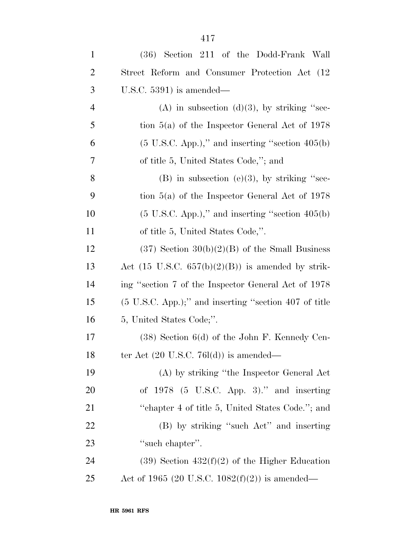| $\mathbf{1}$   | (36) Section 211 of the Dodd-Frank Wall                          |
|----------------|------------------------------------------------------------------|
| $\overline{2}$ | Street Reform and Consumer Protection Act (12)                   |
| 3              | U.S.C. $5391$ ) is amended—                                      |
| $\overline{4}$ | (A) in subsection (d)(3), by striking "sec-                      |
| 5              | tion $5(a)$ of the Inspector General Act of 1978                 |
| 6              | $(5 \text{ U.S.C. App.})$ ," and inserting "section $405(b)$     |
| 7              | of title 5, United States Code,"; and                            |
| 8              | $(B)$ in subsection (e)(3), by striking "sec-                    |
| 9              | tion $5(a)$ of the Inspector General Act of 1978                 |
| 10             | $(5 \text{ U.S.C. App.})$ ," and inserting "section $405(b)$     |
| 11             | of title 5, United States Code,".                                |
| 12             | $(37)$ Section $30(b)(2)(B)$ of the Small Business               |
| 13             | Act $(15 \text{ U.S.C. } 657(b)(2)(B))$ is amended by strik-     |
| 14             | ing "section 7 of the Inspector General Act of 1978              |
| 15             | $(5 \text{ U.S.C. App.})$ ;" and inserting "section 407 of title |
| 16             | 5, United States Code;".                                         |
| 17             | $(38)$ Section 6(d) of the John F. Kennedy Cen-                  |
| 18             | ter Act $(20 \text{ U.S.C. } 76l(d))$ is amended—                |
| 19             | (A) by striking "the Inspector General Act                       |
| <b>20</b>      | of $1978$ (5 U.S.C. App. 3)." and inserting                      |
| 21             | "chapter 4 of title 5, United States Code."; and                 |
| 22             | (B) by striking "such Act" and inserting                         |
| 23             | "such chapter".                                                  |
| 24             | $(39)$ Section $432(f)(2)$ of the Higher Education               |
| 25             | Act of 1965 (20 U.S.C. 1082 $(f)(2)$ ) is amended—               |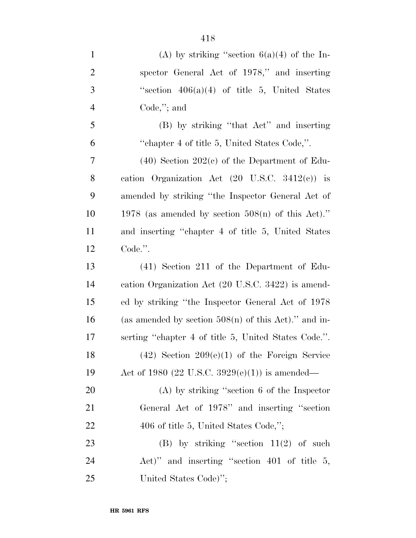| $\mathbf{1}$   | (A) by striking "section $6(a)(4)$ of the In-             |
|----------------|-----------------------------------------------------------|
| $\overline{2}$ | spector General Act of 1978," and inserting               |
| 3              | "section $406(a)(4)$ of title 5, United States            |
| $\overline{4}$ | Code,"; and                                               |
| 5              | (B) by striking "that Act" and inserting                  |
| 6              | "chapter 4 of title 5, United States Code,".              |
| $\tau$         | $(40)$ Section 202 $(c)$ of the Department of Edu-        |
| 8              | cation Organization Act $(20 \text{ U.S.C. } 3412(c))$ is |
| 9              | amended by striking "the Inspector General Act of         |
| 10             | 1978 (as amended by section $508(n)$ of this Act)."       |
| 11             | and inserting "chapter 4 of title 5, United States        |
| 12             | Code.".                                                   |
| 13             | $(41)$ Section 211 of the Department of Edu-              |
| 14             | cation Organization Act (20 U.S.C. 3422) is amend-        |
| 15             | ed by striking "the Inspector General Act of 1978         |
| 16             | (as amended by section $508(n)$ of this Act)." and in-    |
| 17             | serting "chapter 4 of title 5, United States Code.".      |
| 18             | $(42)$ Section $209(e)(1)$ of the Foreign Service         |
| 19             | Act of 1980 (22 U.S.C. 3929(e)(1)) is amended—            |
| 20             | $(A)$ by striking "section 6 of the Inspector             |
| 21             | General Act of 1978" and inserting "section               |
| 22             | 406 of title 5, United States Code,";                     |
| 23             | (B) by striking "section $11(2)$ of such                  |
| 24             | Act)" and inserting "section $401$ of title 5,            |
| 25             | United States Code)";                                     |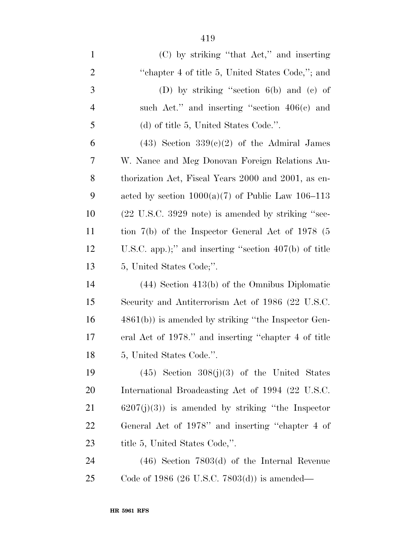| $\mathbf{1}$   | $(C)$ by striking "that Act," and inserting                           |
|----------------|-----------------------------------------------------------------------|
| $\overline{2}$ | "chapter 4 of title 5, United States Code,"; and                      |
| 3              | (D) by striking "section $6(b)$ and (c) of                            |
| $\overline{4}$ | such Act." and inserting "section $406(c)$ and                        |
| 5              | (d) of title 5, United States Code.".                                 |
| 6              | $(43)$ Section $339(c)(2)$ of the Admiral James                       |
| 7              | W. Nance and Meg Donovan Foreign Relations Au-                        |
| 8              | thorization Act, Fiscal Years 2000 and 2001, as en-                   |
| 9              | acted by section $1000(a)(7)$ of Public Law $106-113$                 |
| 10             | $(22 \text{ U.S.C. } 3929 \text{ note})$ is amended by striking "sec- |
| 11             | tion $7(b)$ of the Inspector General Act of 1978 (5                   |
| 12             | U.S.C. app.);" and inserting "section $407(b)$ of title               |
| 13             | 5, United States Code;".                                              |
| 14             | $(44)$ Section $413(b)$ of the Omnibus Diplomatic                     |
| 15             | Security and Antiterrorism Act of 1986 (22 U.S.C.                     |
| 16             | $4861(b)$ ) is amended by striking "the Inspector Gen-                |
| 17             | eral Act of 1978." and inserting "chapter 4 of title                  |
| 18             | 5, United States Code.".                                              |
| 19             | $(45)$ Section $308(j)(3)$ of the United States                       |
| 20             | International Broadcasting Act of 1994 (22 U.S.C.                     |
| 21             | $6207(j)(3)$ is amended by striking "the Inspector"                   |
| 22             | General Act of 1978" and inserting "chapter 4 of                      |
| 23             | title 5, United States Code,".                                        |
|                |                                                                       |

 (46) Section 7803(d) of the Internal Revenue Code of 1986 (26 U.S.C. 7803(d)) is amended—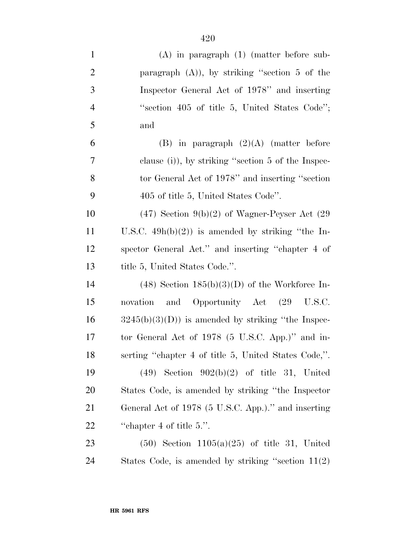| $\mathbf{1}$   | $(A)$ in paragraph $(1)$ (matter before sub-         |
|----------------|------------------------------------------------------|
| $\overline{2}$ | paragraph (A)), by striking "section 5 of the        |
| 3              | Inspector General Act of 1978" and inserting         |
| $\overline{4}$ | "section 405 of title 5, United States Code";        |
| 5              | and                                                  |
| 6              | (B) in paragraph $(2)(A)$ (matter before             |
| $\tau$         | clause (i)), by striking "section $5$ of the Inspec- |
| 8              | tor General Act of 1978" and inserting "section      |
| 9              | 405 of title 5, United States Code".                 |
| 10             | $(47)$ Section 9(b)(2) of Wagner-Peyser Act (29)     |
| 11             | U.S.C. $49h(b)(2)$ is amended by striking "the In-   |
| 12             | spector General Act." and inserting "chapter 4 of    |
| 13             | title 5, United States Code.".                       |
| 14             | $(48)$ Section $185(b)(3)(D)$ of the Workforce In-   |
| 15             | novation and Opportunity Act (29 U.S.C.              |
| 16             | $3245(b)(3)(D)$ is amended by striking "the Inspec-  |
| 17             | tor General Act of 1978 (5 U.S.C. App.)" and in-     |
| 18             | serting "chapter 4 of title 5, United States Code,". |
| 19             | $(49)$ Section $902(b)(2)$ of title 31, United       |
| 20             | States Code, is amended by striking "the Inspector"  |
| 21             | General Act of 1978 (5 U.S.C. App.)." and inserting  |
| <u>22</u>      | "chapter 4 of title $5$ .".                          |
| 23             | $(50)$ Section 1105(a)(25) of title 31, United       |
| 24             | States Code, is amended by striking "section $11(2)$ |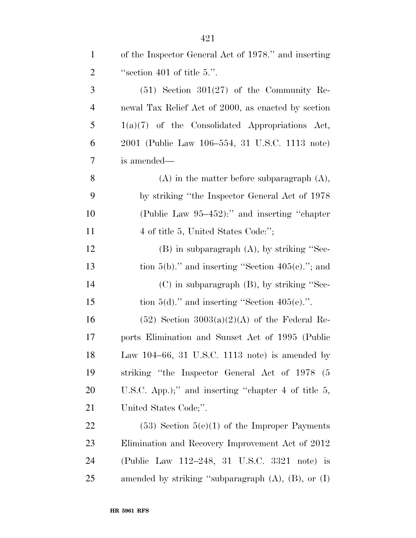| $\mathbf{1}$   | of the Inspector General Act of 1978." and inserting       |
|----------------|------------------------------------------------------------|
| $\overline{2}$ | "section 401 of title 5.".                                 |
| 3              | $(51)$ Section 301 $(27)$ of the Community Re-             |
| $\overline{4}$ | newal Tax Relief Act of 2000, as enacted by section        |
| 5              | $1(a)(7)$ of the Consolidated Appropriations Act,          |
| 6              | 2001 (Public Law 106-554, 31 U.S.C. 1113 note)             |
| 7              | is amended—                                                |
| 8              | $(A)$ in the matter before subparagraph $(A)$ ,            |
| 9              | by striking "the Inspector General Act of 1978             |
| 10             | (Public Law 95–452):" and inserting "chapter"              |
| 11             | 4 of title 5, United States Code:";                        |
| 12             | $(B)$ in subparagraph $(A)$ , by striking "Sec-            |
| 13             | tion $5(b)$ ." and inserting "Section $405(c)$ ."; and     |
| 14             | $(C)$ in subparagraph $(B)$ , by striking "Sec-            |
| 15             | tion $5(d)$ ." and inserting "Section $405(e)$ .".         |
| 16             | $(52)$ Section 3003(a)(2)(A) of the Federal Re-            |
| 17             | ports Elimination and Sunset Act of 1995 (Public           |
| 18             | Law $104-66$ , 31 U.S.C. 1113 note) is amended by          |
| 19             | striking "the Inspector General Act of 1978<br>(5)         |
| 20             | U.S.C. App.);" and inserting "chapter 4 of title 5,        |
| 21             | United States Code;".                                      |
| 22             | $(53)$ Section $5(e)(1)$ of the Improper Payments          |
| 23             | Elimination and Recovery Improvement Act of 2012           |
| 24             | (Public Law 112-248, 31 U.S.C. 3321 note) is               |
| 25             | amended by striking "subparagraph $(A)$ , $(B)$ , or $(I)$ |

**HR 5961 RFS**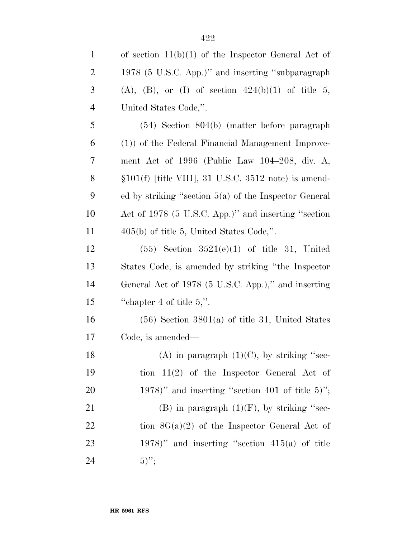| $\mathbf{1}$   | of section $11(b)(1)$ of the Inspector General Act of       |
|----------------|-------------------------------------------------------------|
| $\overline{2}$ | 1978 (5 U.S.C. App.)" and inserting "subparagraph           |
| 3              | $(A)$ , $(B)$ , or $(I)$ of section $424(b)(1)$ of title 5, |
| $\overline{4}$ | United States Code,".                                       |
| 5              | $(54)$ Section $804(b)$ (matter before paragraph)           |
| 6              | (1)) of the Federal Financial Management Improve-           |
| 7              | ment Act of 1996 (Public Law $104-208$ , div. A,            |
| 8              | $$101(f)$ [title VIII], 31 U.S.C. 3512 note) is amend-      |
| 9              | ed by striking "section $5(a)$ of the Inspector General     |
| 10             | Act of 1978 (5 U.S.C. App.)" and inserting "section         |
| 11             | $405(b)$ of title 5, United States Code,".                  |
| 12             | $(55)$ Section $3521(e)(1)$ of title 31, United             |
| 13             | States Code, is amended by striking "the Inspector"         |
| 14             | General Act of 1978 (5 U.S.C. App.)," and inserting         |
| 15             | "chapter 4 of title $5$ ,".                                 |
| 16             | $(56)$ Section 3801(a) of title 31, United States           |
| 17             | Code, is amended—                                           |
| 18             | (A) in paragraph $(1)(C)$ , by striking "sec-               |
| 19             | tion $11(2)$ of the Inspector General Act of                |
| 20             | $(1978)$ " and inserting "section 401 of title 5)";         |
| 21             | (B) in paragraph $(1)(F)$ , by striking "sec-               |
| 22             | tion $8G(a)(2)$ of the Inspector General Act of             |
| 23             | 1978)" and inserting "section $415(a)$ of title             |
| 24             | $(5)$ ";                                                    |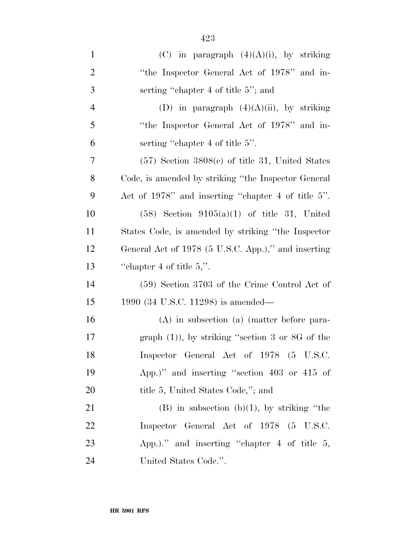| $\mathbf{1}$   | (C) in paragraph $(4)(A)(i)$ , by striking           |
|----------------|------------------------------------------------------|
| $\overline{2}$ | "the Inspector General Act of 1978" and in-          |
| 3              | serting "chapter 4 of title 5"; and                  |
| $\overline{4}$ | (D) in paragraph $(4)(A)(ii)$ , by striking          |
| 5              | "the Inspector General Act of 1978" and in-          |
| 6              | serting "chapter 4 of title 5".                      |
| 7              | $(57)$ Section 3808 $(e)$ of title 31, United States |
| 8              | Code, is amended by striking "the Inspector General  |
| 9              | Act of 1978" and inserting "chapter 4 of title 5".   |
| 10             | $(58)$ Section $9105(a)(1)$ of title 31, United      |
| 11             | States Code, is amended by striking "the Inspector"  |
| 12             | General Act of 1978 (5 U.S.C. App.)," and inserting  |
| 13             | "chapter 4 of title $5$ ,".                          |
| 14             | (59) Section 3703 of the Crime Control Act of        |
| 15             | 1990 (34 U.S.C. 11298) is amended—                   |
| 16             | $(A)$ in subsection $(a)$ (matter before para-       |
| 17             | graph $(1)$ ), by striking "section 3 or 8G of the   |
| 18             | Inspector General Act of 1978 (5 U.S.C.              |
| 19             | App.)" and inserting "section 403 or 415 of          |
| 20             | title 5, United States Code,"; and                   |
| 21             | $(B)$ in subsection $(b)(1)$ , by striking "the      |
| 22             | Inspector General Act of 1978 (5 U.S.C.              |
| 23             | App.)." and inserting "chapter $4$ of title $5$ ,    |
| 24             | United States Code.".                                |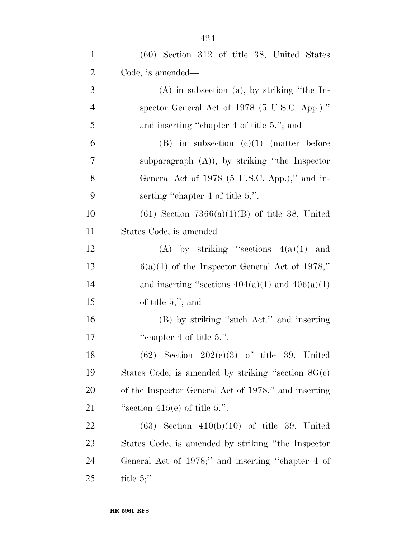| $\mathbf{1}$   | $(60)$ Section 312 of title 38, United States        |
|----------------|------------------------------------------------------|
| $\overline{2}$ | Code, is amended—                                    |
| 3              | $(A)$ in subsection $(a)$ , by striking "the In-     |
| $\overline{4}$ | spector General Act of 1978 (5 U.S.C. App.)."        |
| 5              | and inserting "chapter 4 of title 5."; and           |
| 6              | $(B)$ in subsection $(c)(1)$ (matter before          |
| 7              | subparagraph $(A)$ ), by striking "the Inspector"    |
| 8              | General Act of 1978 (5 U.S.C. App.)," and in-        |
| 9              | serting "chapter 4 of title $5$ ,".                  |
| 10             | $(61)$ Section 7366(a)(1)(B) of title 38, United     |
| 11             | States Code, is amended—                             |
| 12             | (A) by striking "sections $4(a)(1)$ and              |
| 13             | $6(a)(1)$ of the Inspector General Act of 1978,"     |
| 14             | and inserting "sections $404(a)(1)$ and $406(a)(1)$  |
| 15             | of title $5,$ "; and                                 |
| 16             | (B) by striking "such Act." and inserting            |
| 17             | "chapter 4 of title $5$ .".                          |
| 18             | $(62)$ Section $202(e)(3)$ of title 39, United       |
| 19             | States Code, is amended by striking "section $8G(e)$ |
| 20             | of the Inspector General Act of 1978." and inserting |
| 21             | "section $415(e)$ of title 5.".                      |
| 22             | $(63)$ Section $410(b)(10)$ of title 39, United      |
| 23             | States Code, is amended by striking "the Inspector"  |
| 24             | General Act of 1978;" and inserting "chapter 4 of    |
| 25             | title $5$ .                                          |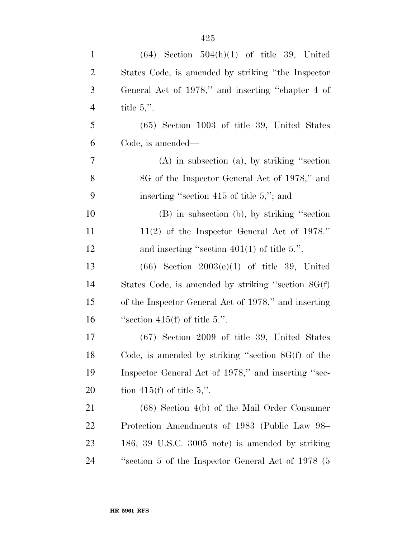| $\mathbf{1}$   | $(64)$ Section $504(h)(1)$ of title 39, United       |
|----------------|------------------------------------------------------|
| $\overline{2}$ | States Code, is amended by striking "the Inspector   |
| 3              | General Act of 1978," and inserting "chapter 4 of    |
| $\overline{4}$ | title $5$ .".                                        |
| 5              | (65) Section 1003 of title 39, United States         |
| 6              | Code, is amended—                                    |
| 7              | $(A)$ in subsection $(a)$ , by striking "section"    |
| 8              | 8G of the Inspector General Act of 1978," and        |
| 9              | inserting "section 415 of title $5$ ,"; and          |
| 10             | (B) in subsection (b), by striking "section          |
| 11             | $11(2)$ of the Inspector General Act of 1978."       |
| 12             | and inserting "section $401(1)$ of title 5.".        |
| 13             | $(66)$ Section $2003(e)(1)$ of title 39, United      |
| 14             | States Code, is amended by striking "section 8G(f)   |
| 15             | of the Inspector General Act of 1978." and inserting |
| 16             | "section $415(f)$ of title 5.".                      |
| 17             | $(67)$ Section 2009 of title 39, United States       |
| 18             | Code, is amended by striking "section $8G(f)$ of the |
| 19             | Inspector General Act of 1978," and inserting "sec-  |
| <b>20</b>      | tion 415(f) of title 5,".                            |
| 21             | $(68)$ Section 4(b) of the Mail Order Consumer       |
| 22             | Protection Amendments of 1983 (Public Law 98–        |
| 23             | 186, 39 U.S.C. 3005 note) is amended by striking     |
| 24             | "section 5 of the Inspector General Act of 1978 (5)  |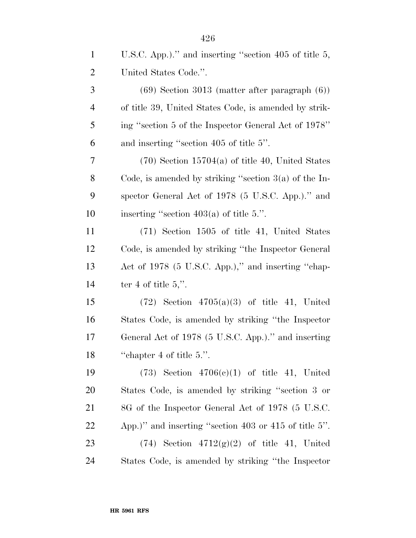| $\mathbf{1}$   | U.S.C. App.)." and inserting "section 405 of title $5$ , |
|----------------|----------------------------------------------------------|
| $\overline{2}$ | United States Code.".                                    |
| 3              | $(69)$ Section 3013 (matter after paragraph $(6)$ )      |
| $\overline{4}$ | of title 39, United States Code, is amended by strik-    |
| 5              | ing "section 5 of the Inspector General Act of 1978"     |
| 6              | and inserting "section 405 of title 5".                  |
| 7              | $(70)$ Section 15704(a) of title 40, United States       |
| $8\phantom{1}$ | Code, is amended by striking "section $3(a)$ of the In-  |
| 9              | spector General Act of 1978 (5 U.S.C. App.)." and        |
| 10             | inserting "section $403(a)$ of title 5.".                |
| 11             | (71) Section 1505 of title 41, United States             |
| 12             | Code, is amended by striking "the Inspector General      |
| 13             | Act of 1978 (5 U.S.C. App.)," and inserting "chap-       |
| 14             | ter 4 of title $5$ .".                                   |
| 15             | $(72)$ Section $4705(a)(3)$ of title 41, United          |
| 16             | States Code, is amended by striking "the Inspector"      |
| 17             | General Act of 1978 (5 U.S.C. App.)." and inserting      |
| 18             | "chapter 4 of title $5$ .".                              |
| 19             | $(73)$ Section $4706(c)(1)$ of title 41, United          |
| 20             | States Code, is amended by striking "section 3 or        |
| 21             | 8G of the Inspector General Act of 1978 (5 U.S.C.        |
| 22             | App.)" and inserting "section 403 or 415 of title 5".    |
| 23             | $(74)$ Section $4712(g)(2)$ of title 41, United          |
| 24             | States Code, is amended by striking "the Inspector"      |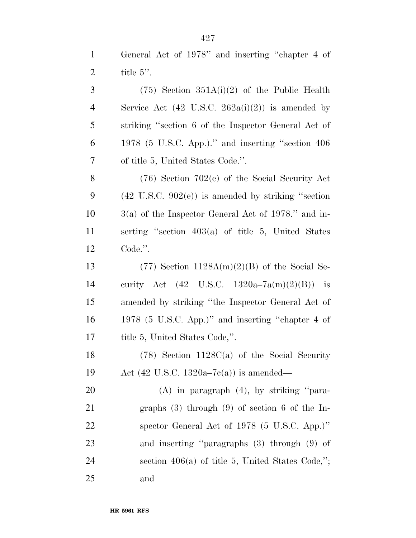|                | General Act of 1978" and inserting "chapter 4 of            |
|----------------|-------------------------------------------------------------|
| 2              | title $5$ ".                                                |
| $\overline{3}$ | $(75)$ Section 351A(i)(2) of the Public Health              |
| $\overline{4}$ | Service Act $(42 \text{ U.S.C. } 262a(i)(2))$ is amended by |
|                |                                                             |

 striking ''section 6 of the Inspector General Act of 1978 (5 U.S.C. App.).'' and inserting ''section 406 of title 5, United States Code.''.

 (76) Section 702(e) of the Social Security Act  $(42 \text{ U.S.C. } 902(e))$  is amended by striking "section 3(a) of the Inspector General Act of 1978.'' and in- serting ''section 403(a) of title 5, United States Code.''.

13 (77) Section  $1128A(m)(2)(B)$  of the Social Se- curity Act (42 U.S.C. 1320a–7a(m)(2)(B)) is amended by striking ''the Inspector General Act of 1978 (5 U.S.C. App.)'' and inserting ''chapter 4 of 17 title 5, United States Code,".

 (78) Section 1128C(a) of the Social Security Act (42 U.S.C. 1320a–7c(a)) is amended—

 (A) in paragraph (4), by striking ''para- graphs (3) through (9) of section 6 of the In- spector General Act of 1978 (5 U.S.C. App.)'' and inserting ''paragraphs (3) through (9) of section 406(a) of title 5, United States Code,''; and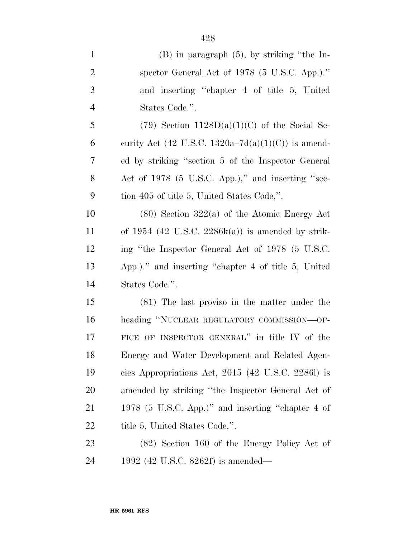| $(B)$ in paragraph $(5)$ , by striking "the In-<br>spector General Act of $1978$ (5 U.S.C. App.)."<br>and inserting "chapter 4 of title 5, United<br>$(79)$ Section $1128D(a)(1)(C)$ of the Social Se-<br>curity Act (42 U.S.C. 1320a–7d(a)(1)(C)) is amend-<br>ed by striking "section 5 of the Inspector General |
|--------------------------------------------------------------------------------------------------------------------------------------------------------------------------------------------------------------------------------------------------------------------------------------------------------------------|
|                                                                                                                                                                                                                                                                                                                    |
|                                                                                                                                                                                                                                                                                                                    |
|                                                                                                                                                                                                                                                                                                                    |
|                                                                                                                                                                                                                                                                                                                    |
|                                                                                                                                                                                                                                                                                                                    |
|                                                                                                                                                                                                                                                                                                                    |
|                                                                                                                                                                                                                                                                                                                    |
| Act of 1978 (5 U.S.C. App.)," and inserting "sec-                                                                                                                                                                                                                                                                  |
|                                                                                                                                                                                                                                                                                                                    |
| $(80)$ Section 322(a) of the Atomic Energy Act                                                                                                                                                                                                                                                                     |
| of $1954$ (42 U.S.C. $2286k(a)$ ) is amended by strik-                                                                                                                                                                                                                                                             |
| ing "the Inspector General Act of 1978 (5 U.S.C.                                                                                                                                                                                                                                                                   |
| App.)." and inserting "chapter 4 of title 5, United                                                                                                                                                                                                                                                                |
|                                                                                                                                                                                                                                                                                                                    |
| (81) The last proviso in the matter under the                                                                                                                                                                                                                                                                      |
| heading "NUCLEAR REGULATORY COMMISSION—OF-                                                                                                                                                                                                                                                                         |
| FICE OF INSPECTOR GENERAL" in title IV of the                                                                                                                                                                                                                                                                      |
| Energy and Water Development and Related Agen-                                                                                                                                                                                                                                                                     |
| cies Appropriations Act, $2015$ (42 U.S.C. 22861) is                                                                                                                                                                                                                                                               |
| amended by striking "the Inspector General Act of                                                                                                                                                                                                                                                                  |
|                                                                                                                                                                                                                                                                                                                    |
| 1978 (5 U.S.C. App.)" and inserting "chapter 4 of                                                                                                                                                                                                                                                                  |
|                                                                                                                                                                                                                                                                                                                    |

 (82) Section 160 of the Energy Policy Act of 1992 (42 U.S.C. 8262f) is amended—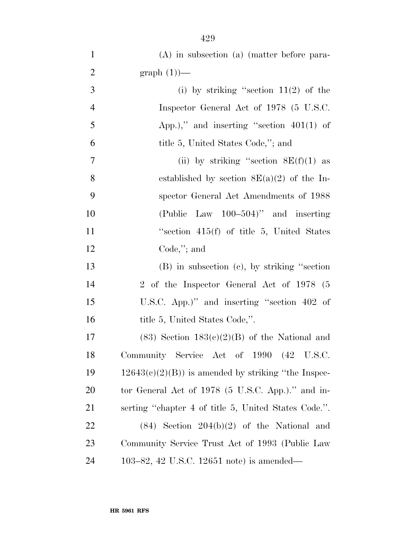| $\mathbf{1}$   | $(A)$ in subsection $(a)$ (matter before para-         |
|----------------|--------------------------------------------------------|
| $\overline{2}$ | $graph(1)$ —                                           |
| 3              | (i) by striking "section $11(2)$ of the                |
| $\overline{4}$ | Inspector General Act of 1978 (5 U.S.C.                |
| 5              | App.)," and inserting "section $401(1)$ of             |
| 6              | title 5, United States Code,"; and                     |
| 7              | (ii) by striking "section $8E(f)(1)$ as                |
| 8              | established by section $8E(a)(2)$ of the In-           |
| 9              | spector General Act Amendments of 1988                 |
| 10             | (Public Law $100-504$ )" and inserting                 |
| 11             | "section $415(f)$ of title 5, United States            |
| 12             | $Code$ ,"; and                                         |
| 13             | $(B)$ in subsection $(c)$ , by striking "section"      |
| 14             | 2 of the Inspector General Act of 1978 (5              |
| 15             | U.S.C. App.)" and inserting "section 402 of            |
| 16             | title 5, United States Code,".                         |
| 17             | $(83)$ Section $183(e)(2)(B)$ of the National and      |
| 18             | Community Service Act of 1990 (42 U.S.C.               |
| 19             | $12643(c)(2)(B)$ ) is amended by striking "the Inspec- |
| <b>20</b>      | tor General Act of 1978 (5 U.S.C. App.)." and in-      |
| 21             | serting "chapter 4 of title 5, United States Code.".   |
| 22             | $(84)$ Section $204(b)(2)$ of the National and         |
| 23             | Community Service Trust Act of 1993 (Public Law        |
| 24             | 103–82, 42 U.S.C. 12651 note) is amended—              |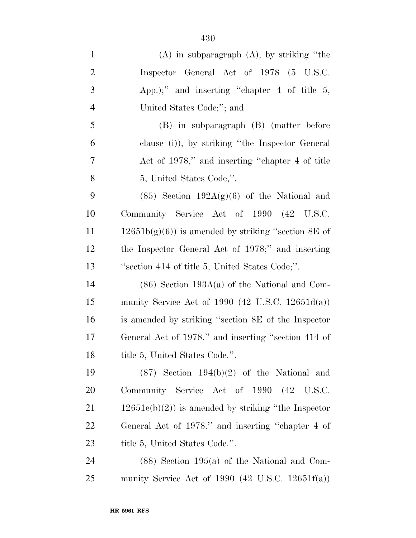| $\mathbf{1}$   | $(A)$ in subparagraph $(A)$ , by striking "the        |
|----------------|-------------------------------------------------------|
| $\overline{2}$ | Inspector General Act of 1978 (5 U.S.C.               |
| 3              | App.);" and inserting "chapter $4$ of title $5$ ,     |
| $\overline{4}$ | United States Code;"; and                             |
| 5              | (B) in subparagraph (B) (matter before                |
| 6              | clause (i)), by striking "the Inspector General       |
| $\tau$         | Act of 1978," and inserting "chapter 4 of title       |
| 8              | 5, United States Code,".                              |
| 9              | $(85)$ Section $192A(g)(6)$ of the National and       |
| 10             | Community Service Act of 1990 (42 U.S.C.              |
| 11             | $12651b(g)(6)$ is amended by striking "section 8E of  |
| 12             | the Inspector General Act of 1978;" and inserting     |
| 13             | "section 414 of title 5, United States Code;".        |
| 14             | $(86)$ Section 193A(a) of the National and Com-       |
| 15             | munity Service Act of 1990 (42 U.S.C. 12651 $d(a)$ )  |
| 16             | is amended by striking "section 8E of the Inspector   |
| 17             | General Act of 1978." and inserting "section 414 of   |
| 18             | title 5, United States Code.".                        |
| 19             | $(87)$ Section 194(b)(2) of the National and          |
| <b>20</b>      | Community Service Act of 1990 (42 U.S.C.              |
| 21             | $12651e(b)(2)$ is amended by striking "the Inspector" |
| 22             | General Act of 1978." and inserting "chapter 4 of     |
| 23             | title 5, United States Code.".                        |
| 24             | $(88)$ Section 195(a) of the National and Com-        |
| 25             | munity Service Act of 1990 (42 U.S.C. 12651 $f(a)$ )  |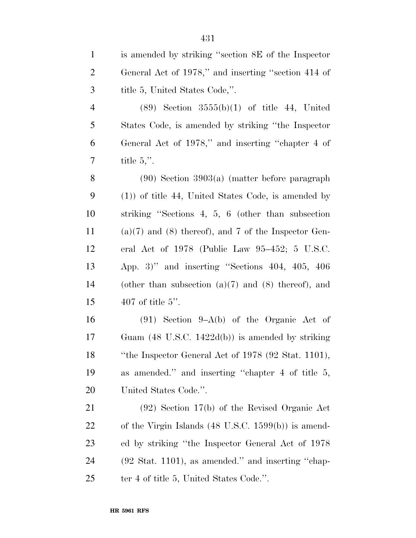| $\mathbf{1}$   | is amended by striking "section 8E of the Inspector"           |
|----------------|----------------------------------------------------------------|
| $\overline{2}$ | General Act of 1978," and inserting "section 414 of            |
| 3              | title 5, United States Code,".                                 |
| $\overline{4}$ | $(89)$ Section $3555(b)(1)$ of title 44, United                |
| 5              | States Code, is amended by striking "the Inspector"            |
| 6              | General Act of 1978," and inserting "chapter 4 of              |
| 7              | title $5$ .".                                                  |
| $8\,$          | $(90)$ Section 3903(a) (matter before paragraph                |
| 9              | $(1)$ ) of title 44, United States Code, is amended by         |
| 10             | striking "Sections 4, 5, 6 (other than subsection              |
| 11             | $(a)(7)$ and $(8)$ thereof), and 7 of the Inspector Gen-       |
| 12             | eral Act of $1978$ (Public Law $95-452$ ; 5 U.S.C.             |
| 13             | App. 3)" and inserting "Sections 404, 405, 406                 |
| 14             | (other than subsection $(a)(7)$ and $(8)$ thereof), and        |
| 15             | 407 of title 5".                                               |
| 16             | $(91)$ Section 9–A(b) of the Organic Act of                    |
| 17             | Guam $(48 \text{ U.S.C. } 1422d(b))$ is amended by striking    |
| 18             | "the Inspector General Act of $1978$ (92 Stat. 1101),          |
| 19             | as amended." and inserting "chapter 4 of title 5,              |
| 20             | United States Code.".                                          |
| 21             | $(92)$ Section 17(b) of the Revised Organic Act                |
| 22             | of the Virgin Islands $(48 \text{ U.S.C. } 1599(b))$ is amend- |
| 23             | ed by striking "the Inspector General Act of 1978              |
| 24             | $(92 \text{ Stat. } 1101)$ , as amended." and inserting "chap- |
| 25             | ter 4 of title 5, United States Code.".                        |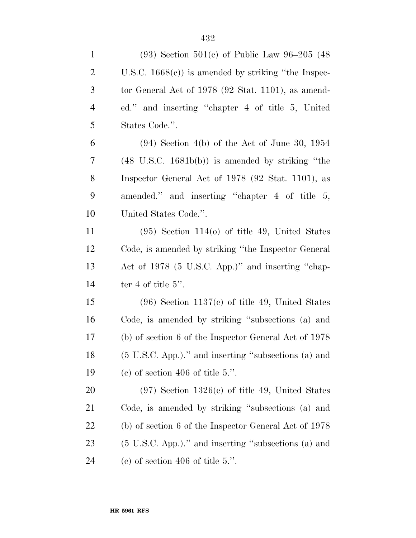| $\mathbf{1}$   | $(93)$ Section 501(c) of Public Law 96–205 (48)             |
|----------------|-------------------------------------------------------------|
| $\overline{2}$ | U.S.C. $1668(e)$ is amended by striking "the Inspec-        |
| 3              | tor General Act of $1978$ (92 Stat. 1101), as amend-        |
| $\overline{4}$ | ed." and inserting "chapter 4 of title 5, United            |
| 5              | States Code.".                                              |
| 6              | $(94)$ Section 4(b) of the Act of June 30, 1954             |
| 7              | $(48 \text{ U.S.C. } 1681b(b))$ is amended by striking "the |
| 8              | Inspector General Act of 1978 (92 Stat. 1101), as           |
| 9              | amended." and inserting "chapter 4 of title 5,              |
| 10             | United States Code.".                                       |
| 11             | $(95)$ Section 114(o) of title 49, United States            |
| 12             | Code, is amended by striking "the Inspector General"        |
| 13             | Act of 1978 (5 U.S.C. App.)" and inserting "chap-           |
| 14             | ter 4 of title $5$ ".                                       |
| 15             | $(96)$ Section 1137(c) of title 49, United States           |
| 16             | Code, is amended by striking "subsections (a) and           |
| 17             | (b) of section 6 of the Inspector General Act of 1978       |
| 18             | (5 U.S.C. App.)." and inserting "subsections (a) and        |
| 19             | (c) of section 406 of title 5.".                            |
| <b>20</b>      | $(97)$ Section 1326(c) of title 49, United States           |
| 21             | Code, is amended by striking "subsections (a) and           |
| 22             | (b) of section 6 of the Inspector General Act of 1978       |
| 23             | (5 U.S.C. App.)." and inserting "subsections (a) and        |
| 24             | (c) of section 406 of title 5.".                            |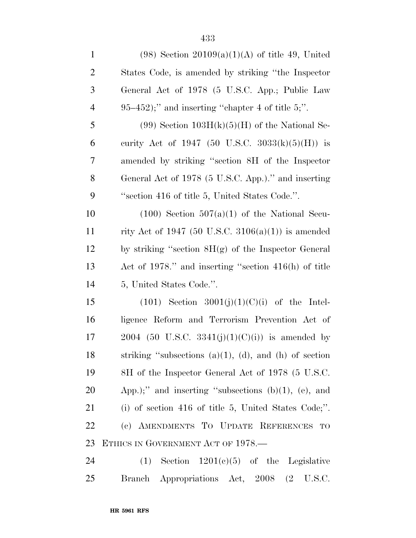| $\mathbf{1}$   | $(98)$ Section $20109(a)(1)(A)$ of title 49, United           |
|----------------|---------------------------------------------------------------|
| $\overline{c}$ | States Code, is amended by striking "the Inspector"           |
| 3              | General Act of 1978 (5 U.S.C. App.; Public Law                |
| $\overline{4}$ | $95-452$ ;" and inserting "chapter 4 of title 5;".            |
| 5              | $(99)$ Section $103H(k)(5)(H)$ of the National Se-            |
| 6              | curity Act of 1947 (50 U.S.C. 3033(k)(5)(H)) is               |
| 7              | amended by striking "section 8H of the Inspector              |
| 8              | General Act of 1978 (5 U.S.C. App.)." and inserting           |
| 9              | "section 416 of title 5, United States Code.".                |
| 10             | $(100)$ Section $507(a)(1)$ of the National Secu-             |
| 11             | rity Act of 1947 (50 U.S.C. 3106(a)(1)) is amended            |
| 12             | by striking "section $8H(g)$ of the Inspector General         |
| 13             | Act of 1978." and inserting "section $416(h)$ of title        |
| 14             | 5, United States Code.".                                      |
| 15             | $(101)$ Section 3001(j)(1)(C)(i) of the Intel-                |
| 16             | ligence Reform and Terrorism Prevention Act of                |
| 17             | 2004 (50 U.S.C. 3341(j)(1)(C)(i)) is amended by               |
| 18             | striking "subsections $(a)(1)$ , $(d)$ , and $(h)$ of section |
| 19             | 8H of the Inspector General Act of 1978 (5 U.S.C.             |
| 20             | App.);" and inserting "subsections $(b)(1)$ , $(e)$ , and     |
| 21             | (i) of section 416 of title 5, United States Code;".          |
| 22             | (c) AMENDMENTS TO UPDATE REFERENCES<br>TO                     |
| 23             | ETHICS IN GOVERNMENT ACT OF 1978.—                            |
| 24             | $(1)$ Section $1201(c)(5)$ of the Legislative                 |
| 25             | Branch Appropriations Act, 2008 (2 U.S.C.                     |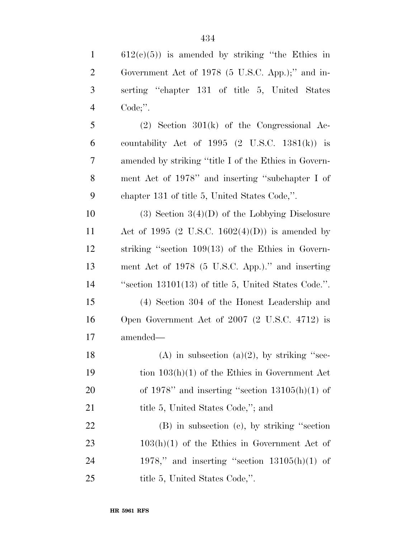612(c)(5)) is amended by striking "the Ethics in Government Act of 1978 (5 U.S.C. App.);'' and in- serting ''chapter 131 of title 5, United States Code;''. (2) Section 301(k) of the Congressional Ac-

6 countability Act of 1995  $(2 \text{ U.S.C. } 1381(\text{k}))$  is amended by striking ''title I of the Ethics in Govern- ment Act of 1978'' and inserting ''subchapter I of chapter 131 of title 5, United States Code,''.

10 (3) Section  $3(4)(D)$  of the Lobbying Disclosure 11 Act of 1995 (2 U.S.C. 1602(4)(D)) is amended by striking ''section 109(13) of the Ethics in Govern- ment Act of 1978 (5 U.S.C. App.).'' and inserting ''section 13101(13) of title 5, United States Code.''.

 (4) Section 304 of the Honest Leadership and Open Government Act of 2007 (2 U.S.C. 4712) is amended—

18 (A) in subsection  $(a)(2)$ , by striking "sec- tion 103(h)(1) of the Ethics in Government Act 20 of 1978" and inserting "section  $13105(h)(1)$  of 21 title 5, United States Code,"; and

 (B) in subsection (c), by striking ''section 23 103(h)(1) of the Ethics in Government Act of 24 1978," and inserting "section  $13105(h)(1)$  of 25 title 5, United States Code,".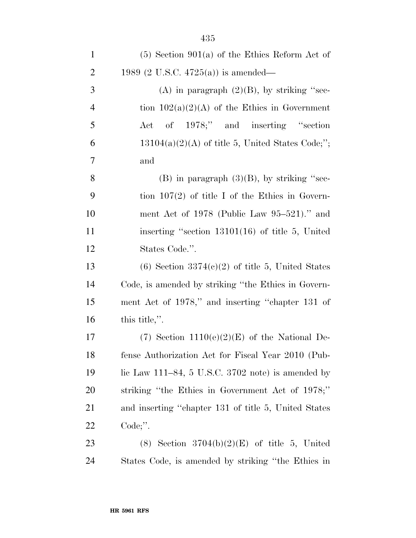| $\mathbf{1}$   | $(5)$ Section 901(a) of the Ethics Reform Act of         |
|----------------|----------------------------------------------------------|
| $\overline{2}$ | 1989 (2 U.S.C. 4725(a)) is amended—                      |
| 3              | (A) in paragraph $(2)(B)$ , by striking "sec-            |
| $\overline{4}$ | tion $102(a)(2)(A)$ of the Ethics in Government          |
| 5              | of 1978;" and inserting "section<br>$\operatorname{Act}$ |
| 6              | $13104(a)(2)(A)$ of title 5, United States Code;";       |
| 7              | and                                                      |
| 8              | $(B)$ in paragraph $(3)(B)$ , by striking "sec-          |
| 9              | tion $107(2)$ of title I of the Ethics in Govern-        |
| 10             | ment Act of 1978 (Public Law $95-521$ )." and            |
| 11             | inserting "section $13101(16)$ of title 5, United        |
| 12             | States Code.".                                           |
| 13             | $(6)$ Section 3374 $(c)(2)$ of title 5, United States    |
| 14             | Code, is amended by striking "the Ethics in Govern-      |
| 15             | ment Act of 1978," and inserting "chapter 131 of         |
| 16             | this title,".                                            |
| 17             | $(7)$ Section 1110(e)(2)(E) of the National De-          |
| 18             | fense Authorization Act for Fiscal Year 2010 (Pub-       |
| 19             | lic Law $111-84$ , 5 U.S.C. 3702 note) is amended by     |
| 20             | striking "the Ethics in Government Act of 1978;"         |
| 21             | and inserting "chapter 131 of title 5, United States     |
| <u>22</u>      | $Code$ ;".                                               |
| 23             | (8) Section $3704(b)(2)(E)$ of title 5, United           |
| 24             | States Code, is amended by striking "the Ethics in       |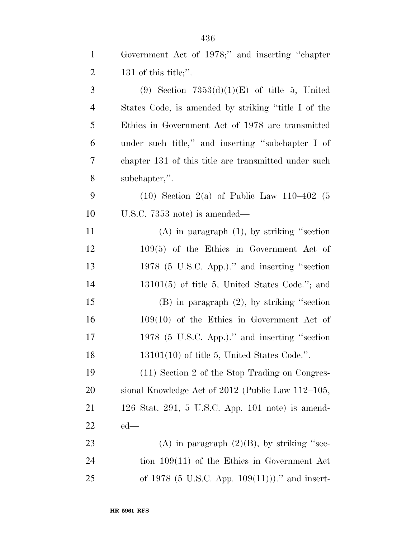| $\mathbf{1}$   | Government Act of 1978;" and inserting "chapter      |
|----------------|------------------------------------------------------|
| $\overline{2}$ | 131 of this title;".                                 |
| 3              | (9) Section $7353(d)(1)(E)$ of title 5, United       |
| $\overline{4}$ | States Code, is amended by striking "title I of the  |
| 5              | Ethics in Government Act of 1978 are transmitted     |
| 6              | under such title," and inserting "subchapter I of    |
| 7              | chapter 131 of this title are transmitted under such |
| 8              | subchapter,".                                        |
| 9              | $(10)$ Section 2(a) of Public Law 110–402 (5         |
| 10             | U.S.C. $7353$ note) is amended—                      |
| 11             | $(A)$ in paragraph $(1)$ , by striking "section      |
| 12             | $109(5)$ of the Ethics in Government Act of          |
| 13             | 1978 (5 U.S.C. App.)." and inserting "section        |
| 14             | $13101(5)$ of title 5, United States Code."; and     |
| 15             | $(B)$ in paragraph $(2)$ , by striking "section      |
| 16             | $109(10)$ of the Ethics in Government Act of         |
| 17             | 1978 (5 U.S.C. App.)." and inserting "section        |
| 18             | $13101(10)$ of title 5, United States Code.".        |
| 19             | (11) Section 2 of the Stop Trading on Congres-       |
| <b>20</b>      | sional Knowledge Act of 2012 (Public Law 112–105,    |
| 21             | 126 Stat. 291, 5 U.S.C. App. 101 note) is amend-     |
| 22             | $ed$ —                                               |
| 23             | (A) in paragraph $(2)(B)$ , by striking "sec-        |
| 24             | tion $109(11)$ of the Ethics in Government Act       |
| 25             | of 1978 (5 U.S.C. App. $109(11)$ ))." and insert-    |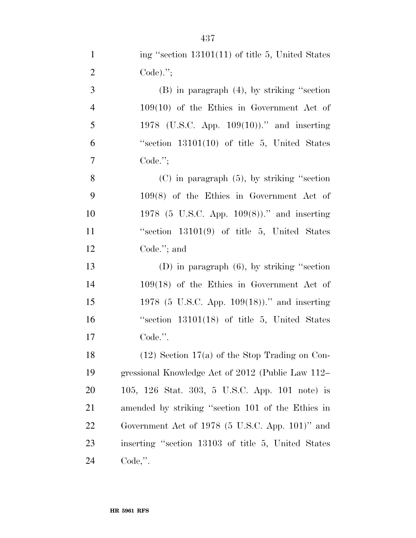| ing "section $13101(11)$ of title 5, United States |
|----------------------------------------------------|
| Code). $";$                                        |
|                                                    |

 (B) in paragraph (4), by striking ''section 109(10) of the Ethics in Government Act of 1978 (U.S.C. App. 109(10)).'' and inserting ''section 13101(10) of title 5, United States Code.'';

 (C) in paragraph (5), by striking ''section 109(8) of the Ethics in Government Act of 1978 (5 U.S.C. App. 109(8)).'' and inserting ''section 13101(9) of title 5, United States Code.''; and

 (D) in paragraph (6), by striking ''section 109(18) of the Ethics in Government Act of 1978 (5 U.S.C. App. 109(18)).'' and inserting ''section 13101(18) of title 5, United States Code.''.

 $(12)$  Section 17(a) of the Stop Trading on Con- gressional Knowledge Act of 2012 (Public Law 112– 105, 126 Stat. 303, 5 U.S.C. App. 101 note) is amended by striking ''section 101 of the Ethics in Government Act of 1978 (5 U.S.C. App. 101)'' and inserting ''section 13103 of title 5, United States Code,''.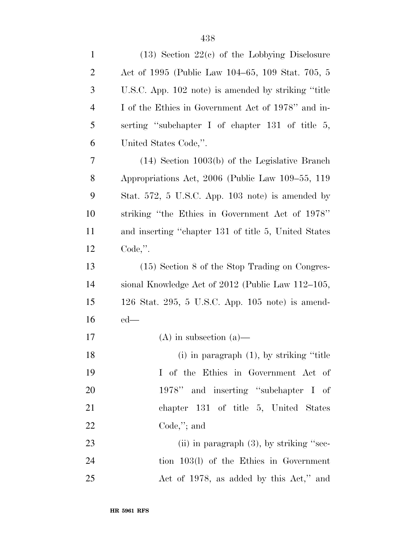| $\mathbf{1}$   | $(13)$ Section $22(c)$ of the Lobbying Disclosure    |
|----------------|------------------------------------------------------|
| $\overline{c}$ | Act of 1995 (Public Law 104–65, 109 Stat. 705, 5     |
| 3              | U.S.C. App. 102 note) is amended by striking "title" |
| $\overline{4}$ | I of the Ethics in Government Act of 1978" and in-   |
| 5              | serting "subchapter I of chapter 131 of title 5,     |
| 6              | United States Code,".                                |
| 7              | $(14)$ Section 1003(b) of the Legislative Branch     |
| 8              | Appropriations Act, 2006 (Public Law 109–55, 119     |
| 9              | Stat. 572, 5 U.S.C. App. 103 note) is amended by     |
| 10             | striking "the Ethics in Government Act of 1978"      |
| 11             | and inserting "chapter 131 of title 5, United States |
| 12             | $Code,$ ".                                           |
| 13             | (15) Section 8 of the Stop Trading on Congres-       |
| 14             | sional Knowledge Act of 2012 (Public Law 112–105,    |
| 15             | 126 Stat. 295, 5 U.S.C. App. 105 note) is amend-     |
| 16             | $ed$ —                                               |
| 17             | $(A)$ in subsection $(a)$ —                          |
| 18             | $(i)$ in paragraph $(1)$ , by striking "title"       |
| 19             | I of the Ethics in Government Act of                 |
| 20             | 1978" and inserting "subchapter I of                 |
| 21             | chapter 131 of title 5, United States                |
| 22             | $Code$ ,"; and                                       |
| 23             | (ii) in paragraph $(3)$ , by striking "sec-          |
| 24             | tion 103(l) of the Ethics in Government              |
| 25             | Act of 1978, as added by this Act," and              |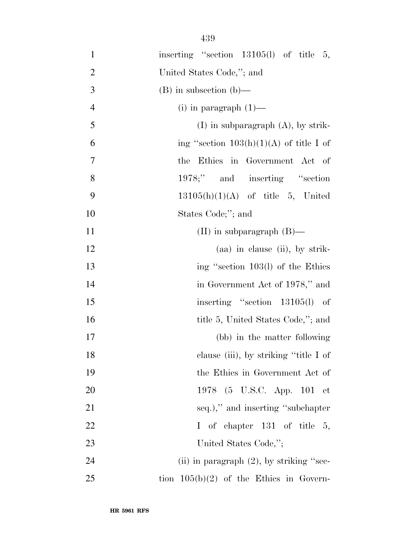| $\mathbf{1}$   | inserting "section 13105(l) of title 5,     |
|----------------|---------------------------------------------|
| $\overline{2}$ | United States Code,"; and                   |
| 3              | $(B)$ in subsection $(b)$ —                 |
| $\overline{4}$ | (i) in paragraph $(1)$ —                    |
| 5              | $(I)$ in subparagraph $(A)$ , by strik-     |
| 6              | ing "section $103(h)(1)(A)$ of title I of   |
| $\tau$         | the Ethics in Government Act of             |
| 8              | 1978;" and inserting "section"              |
| 9              | $13105(h)(1)(A)$ of title 5, United         |
| 10             | States Code;"; and                          |
| 11             | (II) in subparagraph $(B)$ —                |
| 12             | $(aa)$ in clause (ii), by strik-            |
| 13             | ing "section 103(l) of the Ethics           |
| 14             | in Government Act of 1978," and             |
| 15             | inserting "section 13105(l) of              |
| 16             | title 5, United States Code,"; and          |
| 17             | (bb) in the matter following                |
| 18             | clause (iii), by striking "title I of       |
| 19             | the Ethics in Government Act of             |
| 20             | 1978 (5 U.S.C. App. 101 et                  |
| 21             | seq.)," and inserting "subchapter"          |
| 22             | I of chapter $131$ of title 5,              |
| 23             | United States Code,";                       |
| 24             | (ii) in paragraph $(2)$ , by striking "sec- |
| 25             | tion $105(b)(2)$ of the Ethics in Govern-   |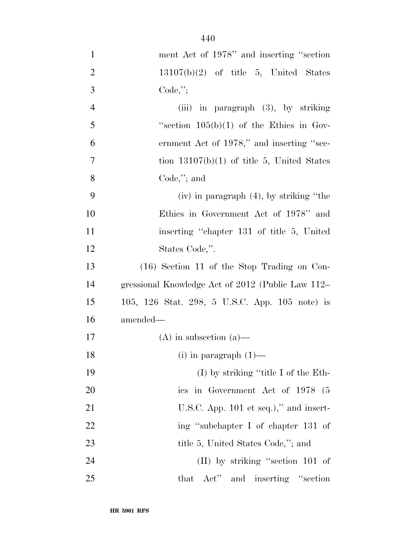| $\mathbf{1}$   | ment Act of 1978" and inserting "section          |
|----------------|---------------------------------------------------|
| $\overline{2}$ | $13107(b)(2)$ of title 5, United States           |
| 3              | $Code,$ ";                                        |
| $\overline{4}$ | (iii) in paragraph $(3)$ , by striking            |
| 5              | "section $105(b)(1)$ of the Ethics in Gov-        |
| 6              | ernment Act of 1978," and inserting "sec-         |
| 7              | tion $13107(b)(1)$ of title 5, United States      |
| 8              | $Code$ ,"; and                                    |
| 9              | $(iv)$ in paragraph $(4)$ , by striking "the      |
| 10             | Ethics in Government Act of 1978" and             |
| 11             | inserting "chapter 131 of title 5, United         |
| 12             | States Code,".                                    |
| 13             | $(16)$ Section 11 of the Stop Trading on Con-     |
| 14             | gressional Knowledge Act of 2012 (Public Law 112– |
| 15             | 105, 126 Stat. 298, 5 U.S.C. App. 105 note) is    |
| 16             | amended—                                          |
| 17             | $(A)$ in subsection $(a)$ —                       |
| 18             | $(i)$ in paragraph $(1)$ —                        |
| 19             | $(I)$ by striking "title I of the Eth-            |
| 20             | ics in Government Act of 1978 (5                  |
| 21             | U.S.C. App. $101$ et seq.)," and insert-          |
| 22             | ing "subchapter I of chapter 131 of               |
| 23             | title 5, United States Code,"; and                |
| 24             | $(II)$ by striking "section 101 of                |
| 25             | that Act" and inserting "section"                 |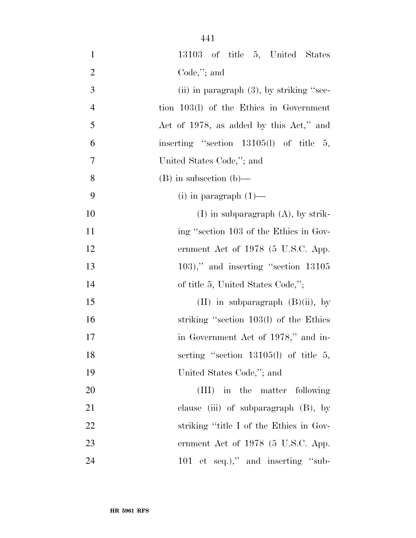| $\mathbf{1}$     | 13103 of title 5, United States             |
|------------------|---------------------------------------------|
| $\overline{2}$   | $Code$ ,"; and                              |
| 3                | (ii) in paragraph $(3)$ , by striking "sec- |
| $\overline{4}$   | tion 103(l) of the Ethics in Government     |
| 5                | Act of 1978, as added by this Act," and     |
| 6                | inserting "section $13105(l)$ of title 5,   |
| $\boldsymbol{7}$ | United States Code,"; and                   |
| 8                | $(B)$ in subsection $(b)$ —                 |
| 9                | $(i)$ in paragraph $(1)$ —                  |
| 10               | $(I)$ in subparagraph $(A)$ , by strik-     |
| 11               | ing "section 103 of the Ethics in Gov-      |
| 12               | ernment Act of 1978 (5 U.S.C. App.          |
| 13               | $(103)$ ," and inserting "section $13105$   |
| 14               | of title 5, United States Code,";           |
| 15               | $(II)$ in subparagraph $(B)(ii)$ , by       |
| 16               | striking "section 103(l) of the Ethics      |
| 17               | in Government Act of 1978," and in-         |
| 18               | serting "section 13105(l) of title 5,       |
| 19               | United States Code,"; and                   |
| 20               | (III) in the matter following               |
| 21               | clause (iii) of subparagraph (B), by        |
| 22               | striking "title I of the Ethics in Gov-     |
| 23               | ernment Act of $1978$ (5 U.S.C. App.        |
| 24               | 101 et seq.)," and inserting "sub-          |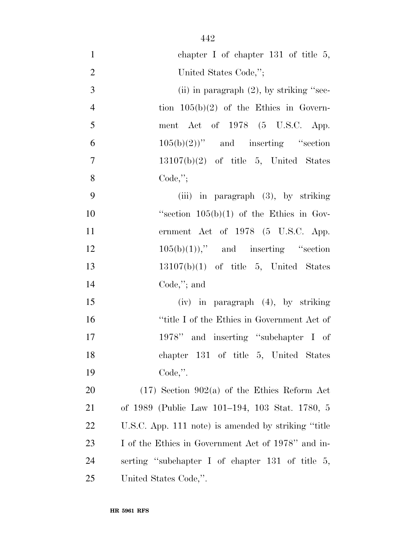| $\mathbf{1}$   | chapter I of chapter $131$ of title 5,               |
|----------------|------------------------------------------------------|
| $\overline{2}$ | United States Code,";                                |
| $\overline{3}$ | (ii) in paragraph $(2)$ , by striking "sec-          |
| $\overline{4}$ | tion $105(b)(2)$ of the Ethics in Govern-            |
| 5              | ment Act of $1978$ (5 U.S.C. App.                    |
| 6              | $105(b)(2)$ " and inserting "section                 |
| $\tau$         | $13107(b)(2)$ of title 5, United States              |
| 8              | Code,";                                              |
| 9              | (iii) in paragraph $(3)$ , by striking               |
| 10             | "section $105(b)(1)$ of the Ethics in Gov-           |
| 11             | ernment Act of 1978 (5 U.S.C. App.                   |
| 12             | $105(b)(1)$ ," and inserting "section"               |
| 13             | $13107(b)(1)$ of title 5, United States              |
| 14             | Code,"; and                                          |
| 15             | (iv) in paragraph (4), by striking                   |
| 16             | "title I of the Ethics in Government Act of          |
| 17             | 1978" and inserting "subchapter I of                 |
| 18             | chapter 131 of title 5, United States                |
| 19             | $Code,$ ".                                           |
| 20             | $(17)$ Section 902(a) of the Ethics Reform Act       |
| 21             | of 1989 (Public Law 101–194, 103 Stat. 1780, 5       |
| <u>22</u>      | U.S.C. App. 111 note) is amended by striking "title" |
| 23             | I of the Ethics in Government Act of 1978" and in-   |
| 24             | serting "subchapter I of chapter 131 of title 5,     |
| 25             | United States Code,".                                |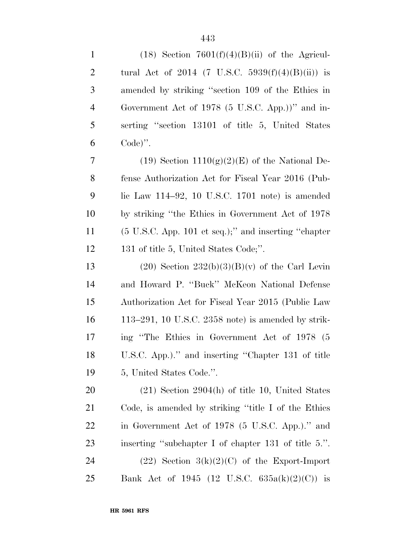| $\mathbf{1}$   | $(18)$ Section $7601(f)(4)(B)(ii)$ of the Agricul-              |
|----------------|-----------------------------------------------------------------|
| $\overline{2}$ | tural Act of 2014 (7 U.S.C. 5939 $(f)(4)(B)(ii)$ ) is           |
| 3              | amended by striking "section 109 of the Ethics in               |
| $\overline{4}$ | Government Act of 1978 (5 U.S.C. App.))" and in-                |
| 5              | serting "section 13101 of title 5, United States                |
| 6              | $Code)$ ".                                                      |
| 7              | (19) Section $1110(g)(2)(E)$ of the National De-                |
| 8              | fense Authorization Act for Fiscal Year 2016 (Pub-              |
| 9              | lic Law $114-92$ , 10 U.S.C. 1701 note) is amended              |
| 10             | by striking "the Ethics in Government Act of 1978               |
| 11             | $(5 \text{ U.S.C. App. 101 et seq.})$ ; and inserting "chapter" |
| 12             | 131 of title 5, United States Code;".                           |
| 13             | $(20)$ Section $232(b)(3)(B)(v)$ of the Carl Levin              |
| 14             | and Howard P. "Buck" McKeon National Defense                    |
| 15             | Authorization Act for Fiscal Year 2015 (Public Law              |
| 16             | 113–291, 10 U.S.C. 2358 note) is amended by strik-              |
| 17             | ing "The Ethics in Government Act of 1978 (5                    |
| 18             | U.S.C. App.)." and inserting "Chapter 131 of title              |
| 19             | 5, United States Code.".                                        |
| <b>20</b>      | $(21)$ Section 2904(h) of title 10, United States               |
| 21             | Code, is amended by striking "title I of the Ethics"            |
| 22             | in Government Act of 1978 (5 U.S.C. App.)." and                 |
| 23             | inserting "subchapter I of chapter 131 of title 5.".            |
| 24             | $(22)$ Section 3(k)(2)(C) of the Export-Import                  |
| 25             | Bank Act of 1945 (12 U.S.C. $635a(k)(2)(C)$ ) is                |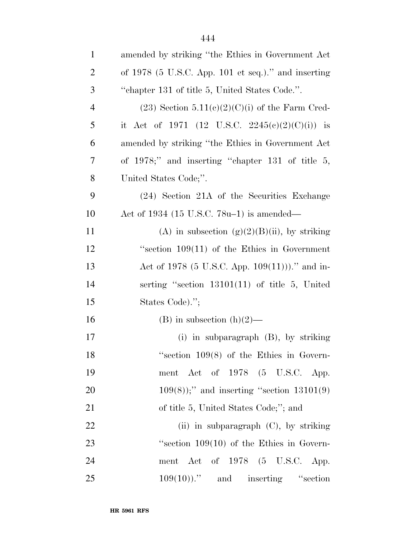| $\mathbf{1}$   | amended by striking "the Ethics in Government Act     |
|----------------|-------------------------------------------------------|
| $\overline{2}$ | of $1978$ (5 U.S.C. App. 101 et seq.)." and inserting |
| 3              | "chapter 131 of title 5, United States Code.".        |
| $\overline{4}$ | $(23)$ Section 5.11(c)(2)(C)(i) of the Farm Cred-     |
| 5              | it Act of 1971 (12 U.S.C. 2245(c)(2)(C)(i)) is        |
| 6              | amended by striking "the Ethics in Government Act     |
| 7              | of $1978$ ;" and inserting "chapter 131 of title 5,   |
| 8              | United States Code;".                                 |
| 9              | (24) Section 21A of the Securities Exchange           |
| 10             | Act of 1934 (15 U.S.C. $78u-1$ ) is amended—          |
| 11             | (A) in subsection $(g)(2)(B)(ii)$ , by striking       |
| 12             | "section $109(11)$ of the Ethics in Government        |
| 13             | Act of 1978 (5 U.S.C. App. $109(11)$ ))." and in-     |
| 14             | serting "section 13101(11) of title 5, United         |
| 15             | States Code).";                                       |
| 16             | (B) in subsection $(h)(2)$ —                          |
| 17             | (i) in subparagraph $(B)$ , by striking               |
| 18             | "section $109(8)$ of the Ethics in Govern-            |
| 19             | ment Act of 1978 (5 U.S.C. App.                       |
| 20             | $109(8)$ ;" and inserting "section $13101(9)$         |
| 21             | of title 5, United States Code;"; and                 |
| 22             | (ii) in subparagraph $(C)$ , by striking              |
| 23             | "section $109(10)$ of the Ethics in Govern-           |
| 24             | ment Act of $1978$ (5 U.S.C. App.                     |
| 25             | $109(10)$ ." and inserting "section                   |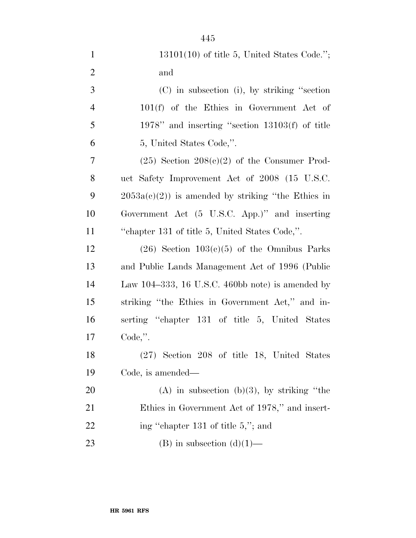| $\mathbf{1}$   | $13101(10)$ of title 5, United States Code.";       |
|----------------|-----------------------------------------------------|
| $\overline{2}$ | and                                                 |
| 3              | $(C)$ in subsection (i), by striking "section       |
| $\overline{4}$ | $101(f)$ of the Ethics in Government Act of         |
| 5              | 1978" and inserting "section $13103(f)$ of title    |
| 6              | 5, United States Code,".                            |
| 7              | $(25)$ Section $208(c)(2)$ of the Consumer Prod-    |
| 8              | uct Safety Improvement Act of 2008 (15 U.S.C.       |
| 9              | $2053a(c)(2)$ is amended by striking "the Ethics in |
| 10             | Government Act (5 U.S.C. App.)" and inserting       |
| 11             | "chapter 131 of title 5, United States Code,".      |
| 12             | $(26)$ Section $103(c)(5)$ of the Omnibus Parks     |
| 13             | and Public Lands Management Act of 1996 (Public     |
| 14             | Law 104–333, 16 U.S.C. 460bb note) is amended by    |
| 15             | striking "the Ethics in Government Act," and in-    |
| 16             | serting "chapter 131 of title 5, United States      |
| 17             | $Code,$ ".                                          |
| 18             | (27) Section 208 of title 18, United States         |
| 19             | Code, is amended—                                   |
| 20             | $(A)$ in subsection $(b)(3)$ , by striking "the     |
| 21             | Ethics in Government Act of 1978," and insert-      |

23 (B) in subsection  $(d)(1)$ —

22 ing "chapter 131 of title 5,"; and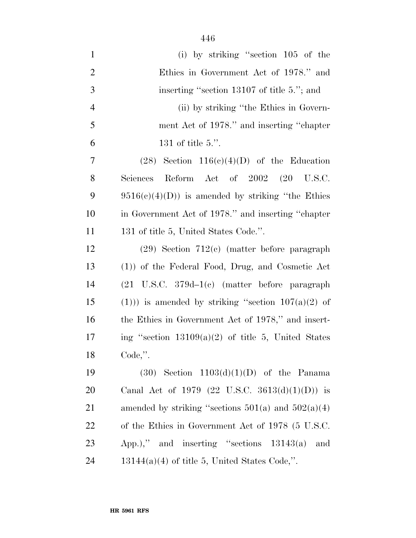| $\mathbf{1}$   | (i) by striking "section 105 of the                    |
|----------------|--------------------------------------------------------|
| $\overline{2}$ | Ethics in Government Act of 1978." and                 |
| 3              | inserting "section 13107 of title 5."; and             |
| $\overline{4}$ | (ii) by striking "the Ethics in Govern-                |
| 5              | ment Act of 1978." and inserting "chapter              |
| 6              | 131 of title $5$ .".                                   |
| $\overline{7}$ | $(28)$ Section $116(c)(4)(D)$ of the Education         |
| 8              | Reform Act of 2002 (20 U.S.C.<br>Sciences              |
| 9              | $9516(c)(4)(D)$ is amended by striking "the Ethics"    |
| 10             | in Government Act of 1978." and inserting "chapter     |
| 11             | 131 of title 5, United States Code.".                  |
| 12             | $(29)$ Section 712(c) (matter before paragraph         |
| 13             | (1)) of the Federal Food, Drug, and Cosmetic Act       |
| 14             |                                                        |
| 15             | $(1))$ is amended by striking "section $107(a)(2)$ of  |
| 16             | the Ethics in Government Act of 1978," and insert-     |
| 17             | ing "section $13109(a)(2)$ of title 5, United States   |
| 18             | Code,".                                                |
| 19             | $(30)$ Section $1103(d)(1)(D)$ of the Panama           |
| 20             | Canal Act of 1979 (22 U.S.C. 3613(d)(1)(D)) is         |
| 21             | amended by striking "sections $501(a)$ and $502(a)(4)$ |
| <u>22</u>      | of the Ethics in Government Act of 1978 (5 U.S.C.      |
| 23             | App.)," and inserting "sections $13143(a)$<br>and      |
| 24             | $13144(a)(4)$ of title 5, United States Code,".        |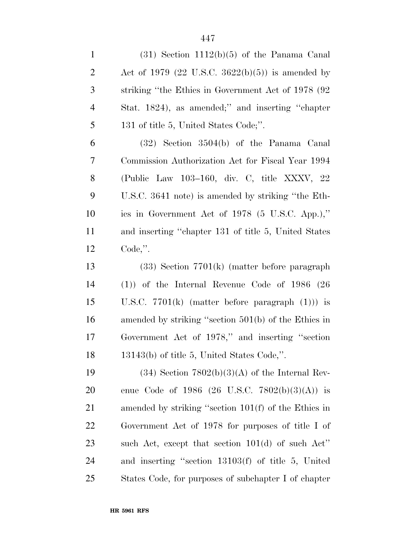| $\mathbf{1}$   | $(31)$ Section 1112(b)(5) of the Panama Canal          |
|----------------|--------------------------------------------------------|
| $\overline{2}$ | Act of 1979 (22 U.S.C. 3622(b)(5)) is amended by       |
| 3              | striking "the Ethics in Government Act of 1978 (92)    |
| $\overline{4}$ | Stat. 1824), as amended;" and inserting "chapter       |
| 5              | 131 of title 5, United States Code;".                  |
| 6              | $(32)$ Section $3504(b)$ of the Panama Canal           |
| 7              | Commission Authorization Act for Fiscal Year 1994      |
| $8\,$          | (Public Law 103–160, div. C, title XXXV, 22            |
| 9              | U.S.C. 3641 note) is amended by striking "the Eth-     |
| 10             | ics in Government Act of $1978$ (5 U.S.C. App.),"      |
| 11             | and inserting "chapter 131 of title 5, United States   |
| 12             | $Code,$ ".                                             |
| 13             | $(33)$ Section 7701(k) (matter before paragraph        |
| 14             | $(1)$ of the Internal Revenue Code of 1986 (26)        |
| 15             | U.S.C. $7701(k)$ (matter before paragraph $(1))$ ) is  |
| 16             | amended by striking "section $501(b)$ of the Ethics in |
| 17             | Government Act of 1978," and inserting "section        |
| 18             | $13143(b)$ of title 5, United States Code,".           |
| 19             | $(34)$ Section $7802(b)(3)(A)$ of the Internal Rev-    |
| 20             | enue Code of 1986 (26 U.S.C. 7802(b)(3)(A)) is         |
| 21             | amended by striking "section 101(f) of the Ethics in   |
| <u>22</u>      | Government Act of 1978 for purposes of title I of      |
| 23             | such Act, except that section $101(d)$ of such Act"    |
| 24             | and inserting "section $13103(f)$ of title 5, United   |
| 25             | States Code, for purposes of subchapter I of chapter   |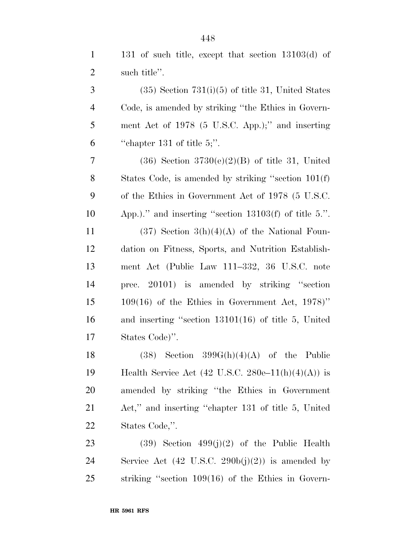131 of such title, except that section 13103(d) of

| $\overline{2}$ | such title".                                                |
|----------------|-------------------------------------------------------------|
| 3              | $(35)$ Section $731(i)(5)$ of title 31, United States       |
| $\overline{4}$ | Code, is amended by striking "the Ethics in Govern-         |
| 5              | ment Act of 1978 (5 U.S.C. App.);" and inserting            |
| 6              | "chapter 131 of title 5;".                                  |
| 7              | $(36)$ Section $3730(e)(2)(B)$ of title 31, United          |
| 8              | States Code, is amended by striking "section 101(f)         |
| 9              | of the Ethics in Government Act of 1978 (5 U.S.C.           |
| 10             | App.)." and inserting "section $13103(f)$ of title 5.".     |
| 11             | $(37)$ Section $3(h)(4)(A)$ of the National Foun-           |
| 12             | dation on Fitness, Sports, and Nutrition Establish-         |
| 13             | ment Act (Public Law 111–332, 36 U.S.C. note                |
| 14             | prec. 20101) is amended by striking "section                |
| 15             | $109(16)$ of the Ethics in Government Act, $1978$ )"        |
| 16             | and inserting "section $13101(16)$ of title 5, United       |
| 17             | States Code)".                                              |
| 18             | $(38)$ Section $399G(h)(4)(A)$ of the<br>Public             |
| 19             | Health Service Act (42 U.S.C. 280e–11(h)(4)(A)) is          |
| 20             | amended by striking "the Ethics in Government               |
| 21             | Act," and inserting "chapter 131 of title 5, United         |
| 22             | States Code,".                                              |
| 23             | $(39)$ Section $499(j)(2)$ of the Public Health             |
| 24             | Service Act $(42 \text{ U.S.C. } 290b(j)(2))$ is amended by |
| 25             | striking "section $109(16)$ of the Ethics in Govern-        |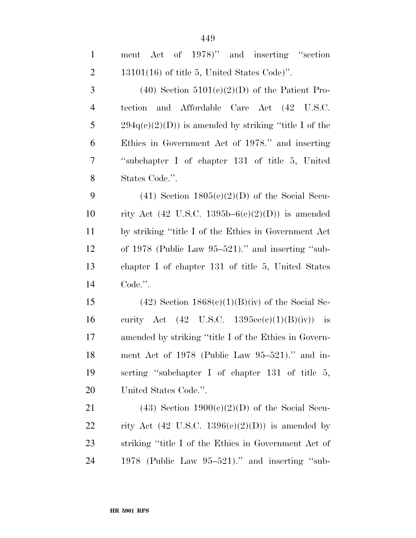| $\mathbf{1}$   | Act of 1978)" and inserting "section<br>ment           |
|----------------|--------------------------------------------------------|
| $\overline{2}$ | $13101(16)$ of title 5, United States Code)".          |
| 3              | $(40)$ Section $5101(e)(2)(D)$ of the Patient Pro-     |
| $\overline{4}$ | and Affordable Care Act (42 U.S.C.<br>tection          |
| 5              | $294q(c)(2)(D)$ is amended by striking "title I of the |
| 6              | Ethics in Government Act of 1978." and inserting       |
| $\overline{7}$ | "subchapter I of chapter 131 of title 5, United        |
| $8\,$          | States Code.".                                         |
| 9              | $(41)$ Section $1805(e)(2)(D)$ of the Social Secu-     |
| 10             | rity Act (42 U.S.C. 1395b– $6(c)(2)(D)$ ) is amended   |
| 11             | by striking "title I of the Ethics in Government Act   |
| 12             | of $1978$ (Public Law $95-521$ )." and inserting "sub- |
| 13             | chapter I of chapter 131 of title 5, United States     |
| 14             | Code.".                                                |
| 15             | $(42)$ Section $1868(c)(1)(B)(iv)$ of the Social Se-   |
| 16             | curity Act (42 U.S.C. 1395ee(c)(1)(B)(iv)) is          |
| 17             | amended by striking "title I of the Ethics in Govern-  |
| 18             | ment Act of 1978 (Public Law $95-521$ )." and in-      |
| 19             | serting "subchapter I of chapter $131$ of title 5,     |
| <b>20</b>      | United States Code.".                                  |
| 21             | $(43)$ Section $1900(c)(2)(D)$ of the Social Secu-     |
| <u>22</u>      | rity Act (42 U.S.C. 1396(c)(2)(D)) is amended by       |
| 23             | striking "title I of the Ethics in Government Act of   |
| 24             | 1978 (Public Law 95-521)." and inserting "sub-         |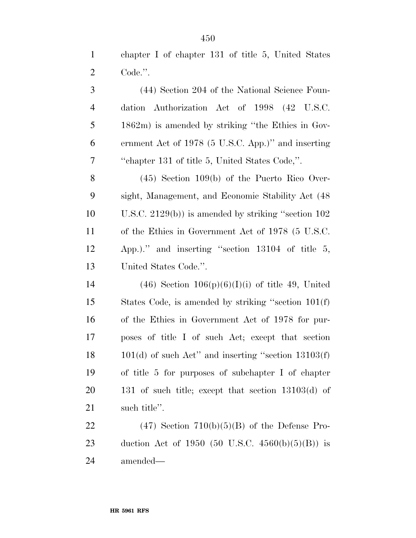chapter I of chapter 131 of title 5, United States Code.''.

 (44) Section 204 of the National Science Foun- dation Authorization Act of 1998 (42 U.S.C. 1862m) is amended by striking ''the Ethics in Gov- ernment Act of 1978 (5 U.S.C. App.)'' and inserting ''chapter 131 of title 5, United States Code,''.

 (45) Section 109(b) of the Puerto Rico Over- sight, Management, and Economic Stability Act (48 U.S.C. 2129(b)) is amended by striking ''section 102 of the Ethics in Government Act of 1978 (5 U.S.C. App.).'' and inserting ''section 13104 of title 5, United States Code.''.

14 (46) Section  $106(p)(6)(I)(i)$  of title 49, United States Code, is amended by striking ''section 101(f) of the Ethics in Government Act of 1978 for pur- poses of title I of such Act; except that section 101(d) of such Act'' and inserting ''section 13103(f) of title 5 for purposes of subchapter I of chapter 131 of such title; except that section 13103(d) of such title''.

22 (47) Section  $710(b)(5)(B)$  of the Defense Pro- duction Act of 1950 (50 U.S.C. 4560(b)(5)(B)) is amended—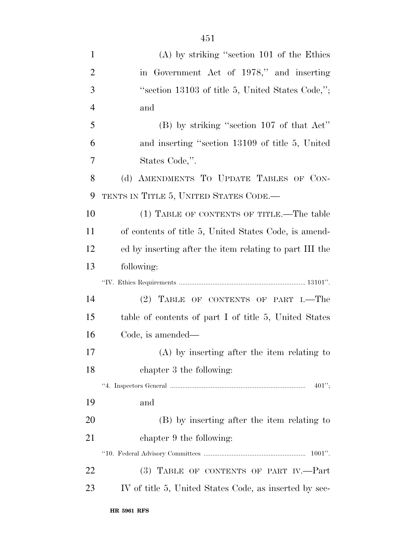| $\mathbf{1}$   | $(A)$ by striking "section 101 of the Ethics"           |
|----------------|---------------------------------------------------------|
| $\overline{2}$ | in Government Act of 1978," and inserting               |
| 3              | "section 13103 of title 5, United States Code,";        |
| $\overline{4}$ | and                                                     |
| 5              | $(B)$ by striking "section 107 of that Act"             |
| 6              | and inserting "section 13109 of title 5, United         |
| 7              | States Code,".                                          |
| 8              | (d) AMENDMENTS TO UPDATE TABLES OF CON-                 |
| 9              | TENTS IN TITLE 5, UNITED STATES CODE.—                  |
| 10             | (1) TABLE OF CONTENTS OF TITLE.—The table               |
| 11             | of contents of title 5, United States Code, is amend-   |
| 12             | ed by inserting after the item relating to part III the |
| 13             | following:                                              |
|                |                                                         |
|                |                                                         |
| 14             | (2) TABLE OF CONTENTS OF PART I.—The                    |
| 15             | table of contents of part I of title 5, United States   |
| 16             | Code, is amended—                                       |
| 17             | (A) by inserting after the item relating to             |
| 18             | chapter 3 the following:                                |
|                | $401$ ";                                                |
| 19             | and                                                     |
| 20             | (B) by inserting after the item relating to             |
| 21             | chapter 9 the following:                                |
|                |                                                         |
| 22             | (3) TABLE OF CONTENTS OF PART IV.-Part                  |
| 23             | IV of title 5, United States Code, as inserted by sec-  |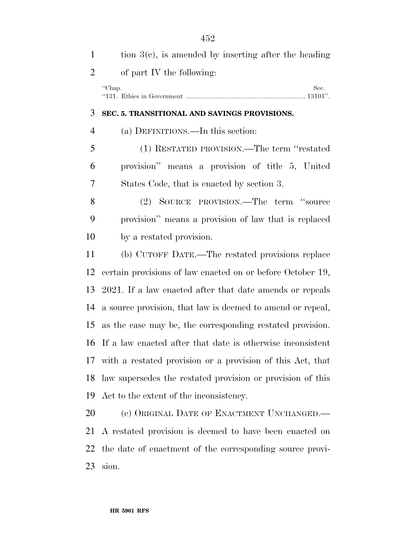| $\mathbf{1}$   | tion $3(c)$ , is amended by inserting after the heading       |
|----------------|---------------------------------------------------------------|
| $\overline{2}$ | of part IV the following:                                     |
|                | "Chap.<br>Sec.                                                |
| 3              | SEC. 5. TRANSITIONAL AND SAVINGS PROVISIONS.                  |
| $\overline{4}$ | (a) DEFINITIONS.—In this section:                             |
| 5              | (1) RESTATED PROVISION.—The term "restated                    |
| 6              | provision" means a provision of title 5, United               |
| 7              | States Code, that is enacted by section 3.                    |
| 8              | (2) SOURCE PROVISION.—The term "source                        |
| 9              | provision" means a provision of law that is replaced          |
| 10             | by a restated provision.                                      |
| 11             | (b) CUTOFF DATE.—The restated provisions replace              |
| 12             | certain provisions of law enacted on or before October 19,    |
| 13             | 2021. If a law enacted after that date amends or repeals      |
| 14             | a source provision, that law is deemed to amend or repeal,    |
| 15             | as the case may be, the corresponding restated provision.     |
|                | 16 If a law enacted after that date is otherwise inconsistent |
| 17             | with a restated provision or a provision of this Act, that    |
| 18             | law supersedes the restated provision or provision of this    |
| 19             | Act to the extent of the inconsistency.                       |
| 20             | (c) ORIGINAL DATE OF ENACTMENT UNCHANGED.                     |
| 21             | A restated provision is deemed to have been enacted on        |
| 22             | the date of enactment of the corresponding source provi-      |

sion.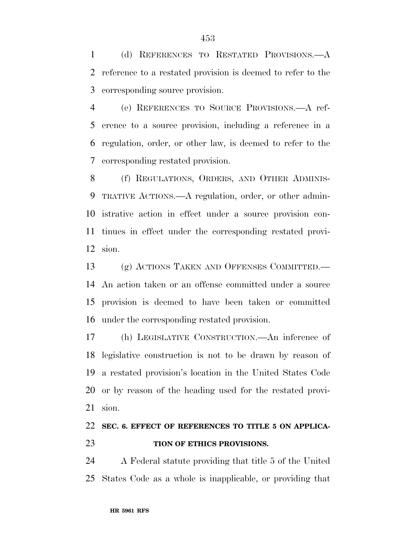(d) REFERENCES TO RESTATED PROVISIONS.—A reference to a restated provision is deemed to refer to the corresponding source provision.

 (e) REFERENCES TO SOURCE PROVISIONS.—A ref- erence to a source provision, including a reference in a regulation, order, or other law, is deemed to refer to the corresponding restated provision.

 (f) REGULATIONS, ORDERS, AND OTHER ADMINIS- TRATIVE ACTIONS.—A regulation, order, or other admin- istrative action in effect under a source provision con- tinues in effect under the corresponding restated provi-sion.

 (g) ACTIONS TAKEN AND OFFENSES COMMITTED.— An action taken or an offense committed under a source provision is deemed to have been taken or committed under the corresponding restated provision.

 (h) LEGISLATIVE CONSTRUCTION.—An inference of legislative construction is not to be drawn by reason of a restated provision's location in the United States Code or by reason of the heading used for the restated provi-sion.

## **SEC. 6. EFFECT OF REFERENCES TO TITLE 5 ON APPLICA-TION OF ETHICS PROVISIONS.**

 A Federal statute providing that title 5 of the United States Code as a whole is inapplicable, or providing that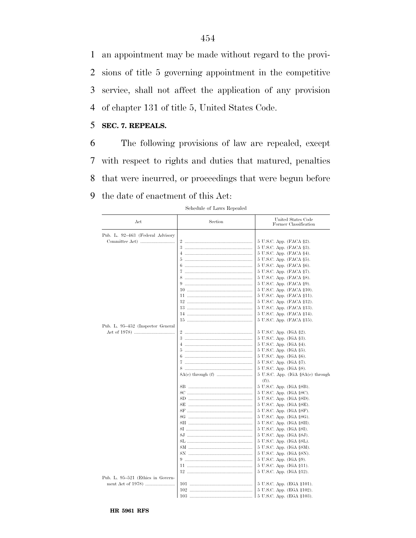an appointment may be made without regard to the provi- sions of title 5 governing appointment in the competitive service, shall not affect the application of any provision of chapter 131 of title 5, United States Code.

## 5 **SEC. 7. REPEALS.**

 The following provisions of law are repealed, except with respect to rights and duties that matured, penalties that were incurred, or proceedings that were begun before the date of enactment of this Act:

| Act                               | Section | United States Code<br>Former Classification      |
|-----------------------------------|---------|--------------------------------------------------|
| Pub. L. 92-463 (Federal Advisory  |         |                                                  |
|                                   |         | 5 U.S.C. App. (FACA §2).                         |
|                                   | 3       | 5 U.S.C. App. (FACA §3).                         |
|                                   |         | 5 U.S.C. App. (FACA §4).                         |
|                                   | 5       | 5 U.S.C. App. (FACA §5).                         |
|                                   |         | 5 U.S.C. App. (FACA §6).                         |
|                                   |         | 5 U.S.C. App. (FACA §7).                         |
|                                   | 8       | 5 U.S.C. App. (FACA §8).                         |
|                                   |         | 5 U.S.C. App. (FACA §9).                         |
|                                   |         | 5 U.S.C. App. (FACA §10).                        |
|                                   |         | 5 U.S.C. App. (FACA §11).                        |
|                                   |         | 5 U.S.C. App. (FACA §12).                        |
|                                   |         | 5 U.S.C. App. (FACA §13).                        |
|                                   |         | 5 U.S.C. App. (FACA §14).                        |
|                                   |         | 5 U.S.C. App. (FACA §15).                        |
| Pub. L. 95–452 (Inspector General |         |                                                  |
|                                   |         | 5 U.S.C. App. (IGA §2).                          |
|                                   |         | 5 U.S.C. App. (IGA §3).                          |
|                                   |         | 5 U.S.C. App. (IGA §4).                          |
|                                   |         | 5 U.S.C. App. (IGA §5).                          |
|                                   | 6       | 5 U.S.C. App. (IGA §6).                          |
|                                   | 7       | 5 U.S.C. App. (IGA §7).                          |
|                                   |         | 5 U.S.C. App. (IGA §8).                          |
|                                   |         | $5$ U.S.C. App. (IGA $\S 8A(c)$ through<br>(f)). |
|                                   |         | 5 U.S.C. App. (IGA §8B).                         |
|                                   |         | 5 U.S.C. App. (IGA §8C).                         |
|                                   |         | 5 U.S.C. App. (IGA §8D).                         |
|                                   |         | 5 U.S.C. App. (IGA §8E).                         |
|                                   |         | 5 U.S.C. App. (IGA §8F).                         |
|                                   |         | 5 U.S.C. App. (IGA §8G).                         |
|                                   |         | 5 U.S.C. App. (IGA §8H).                         |
|                                   |         | 5 U.S.C. App. (IGA §8I).                         |
|                                   |         | 5 U.S.C. App. (IGA §8J).                         |
|                                   |         | 5 U.S.C. App. (IGA §8L).                         |
|                                   |         | 5 U.S.C. App. (IGA §8M).                         |
|                                   |         | 5 U.S.C. App. (IGA §8N).                         |
|                                   |         | 5 U.S.C. App. (IGA §9).                          |
|                                   |         | 5 U.S.C. App. (IGA §11).                         |
|                                   |         | 5 U.S.C. App. (IGA §12).                         |
| Pub. L. 95–521 (Ethics in Govern- |         |                                                  |
|                                   |         | 5 U.S.C. App. (EGA §101).                        |
|                                   |         | 5 U.S.C. App. (EGA §102).                        |
|                                   |         | 5 U.S.C. App. (EGA §103).                        |

Schedule of Laws Repealed